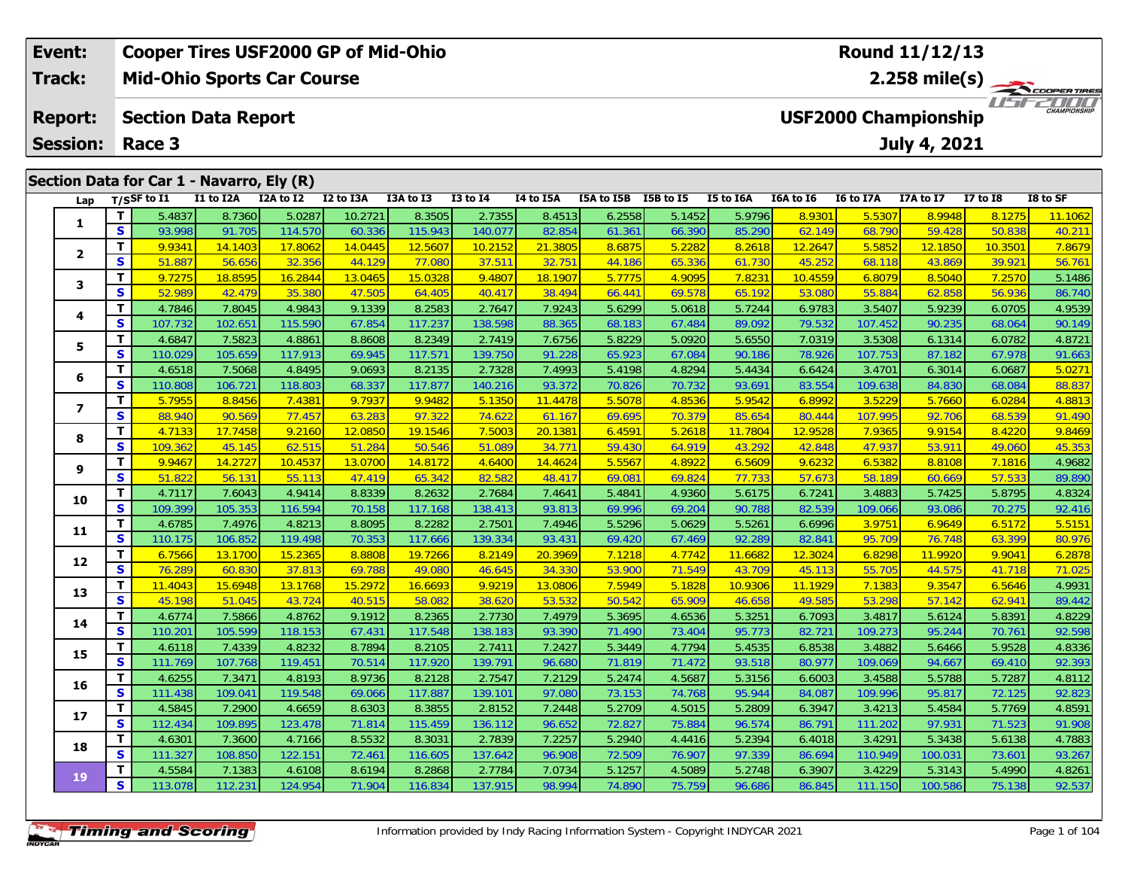| Event:                  |     |                                           |           | <b>Cooper Tires USF2000 GP of Mid-Ohio</b> |           |           |              |                  |            |           |           |           |           | Round 11/12/13              |              |                         |
|-------------------------|-----|-------------------------------------------|-----------|--------------------------------------------|-----------|-----------|--------------|------------------|------------|-----------|-----------|-----------|-----------|-----------------------------|--------------|-------------------------|
| Track:                  |     |                                           |           | <b>Mid-Ohio Sports Car Course</b>          |           |           |              |                  |            |           |           |           |           |                             |              | $2.258 \text{ mile(s)}$ |
| <b>Report:</b>          |     | <b>Section Data Report</b>                |           |                                            |           |           |              |                  |            |           |           |           |           | <b>USF2000 Championship</b> |              | 2000<br>CHAMPIONSHIP    |
| <b>Session:</b>         |     | Race 3                                    |           |                                            |           |           |              |                  |            |           |           |           |           | July 4, 2021                |              |                         |
|                         |     | Section Data for Car 1 - Navarro, Ely (R) |           |                                            |           |           |              |                  |            |           |           |           |           |                             |              |                         |
| Lap                     |     | T/SSF to I1                               | I1 to I2A | I2A to I2                                  | I2 to I3A | I3A to I3 | $I3$ to $I4$ | <b>I4 to I5A</b> | I5A to I5B | I5B to I5 | I5 to I6A | I6A to I6 | I6 to I7A | I7A to I7                   | $I7$ to $I8$ | I8 to SF                |
|                         |     | 5.4837                                    | 8.7360    | 5.0287                                     | 10.2721   | 8.3505    | 2.7355       | 8.4513           | 6.2558     | 5.1452    | 5.9796    | 8.9301    | 5.5307    | 8.9948                      | 8.1275       | 11.1062                 |
|                         | S I | 93.998                                    | 91.705    | 114.570                                    | 60.336    | 115.943   | 140.077      | 82.854           | 61.361     | 66.390    | 85.290    | 62.149    | 68.790    | 59.428                      | 50.838       | 40.21                   |
| $\overline{\mathbf{2}}$ | т   | 9.9341                                    | 14.1403   | 17.8062                                    | 14.0445   | 12.5607   | 10.2152      | 21.3805          | 8.6875     | 5.2282    | 8.2618    | 12.2647   | 5.5852    | 12.1850                     | 10.3501      | 7.8679                  |
|                         | S   | 51.887                                    | 56.656    | 32.356                                     | 44.129    | 77.080    | 37.511       | 32.751           | 44.186     | 65.336    | 61.730    | 45.252    | 68.118    | 43.869                      | 39.921       | 56.761                  |
| 3                       |     | 9.7275                                    | 18.8595   | 16.2844                                    | 13.0465   | 15.0328   | 9.4807       | 18.1907          | 5.7775     | 4.9095    | 7.8231    | 10.4559   | 6.8079    | 8.5040                      | 7.2570       | 5.1486                  |
|                         | S   | 52.989                                    | 42.479    | 35.380                                     | 47.505    | 64.405    | 40.417       | 38.494           | 66.441     | 69.578    | 65.192    | 53.080    | 55.884    | 62.858                      | 56.936       | 86.740                  |
|                         |     | 4.7846                                    | 7.8045    | 4.9843                                     | 9.1339    | 8.2583    | 2.7647       | 7.9243           | 5.6299     | 5.0618    | 5.7244    | 6.9783    | 3.5407    | 5.9239                      | 6.0705       | 4.9539                  |

|           | э  | 93.998  | 91.705  | 114.570 | <b>60.336</b> | 115.943 | 140.077 | 82.854  | 01.301 | 00.390 | 85.290  | <u>62.149</u> | <b>68.790</b> | 59.428  | 50.838  | 40.ZTT |
|-----------|----|---------|---------|---------|---------------|---------|---------|---------|--------|--------|---------|---------------|---------------|---------|---------|--------|
| 2         | T  | 9.9341  | 14.1403 | 17.8062 | 14.0445       | 12.5607 | 10.2152 | 21.3805 | 8.6875 | 5.2282 | 8.2618  | 12.2647       | 5.5852        | 12.1850 | 10.3501 | 7.8679 |
|           | S  | 51.887  | 56.656  | 32.356  | 44.129        | 77.080  | 37.511  | 32.751  | 44.186 | 65.336 | 61.730  | 45.252        | 68.118        | 43.869  | 39.921  | 56.761 |
| 3         | T. | 9.7275  | 18.8595 | 16.2844 | 13.0465       | 15.0328 | 9.4807  | 18.1907 | 5.7775 | 4.9095 | 7.8231  | 10.4559       | 6.8079        | 8.5040  | 7.2570  | 5.1486 |
|           | S  | 52.989  | 42.479  | 35.380  | 47.505        | 64.405  | 40.417  | 38.494  | 66.441 | 69.578 | 65.192  | 53.080        | 55.884        | 62.858  | 56.936  | 86.740 |
| 4         | т  | 4.7846  | 7.8045  | 4.9843  | 9.1339        | 8.2583  | 2.7647  | 7.9243  | 5.6299 | 5.0618 | 5.7244  | 6.9783        | 3.5407        | 5.9239  | 6.0705  | 4.9539 |
|           | S  | 107.732 | 102.651 | 115.590 | 67.854        | 117.237 | 138.598 | 88.365  | 68.183 | 67.484 | 89.092  | 79.532        | 107.452       | 90.235  | 68.064  | 90.149 |
| 5.        | T. | 4.6847  | 7.5823  | 4.8861  | 8.8608        | 8.2349  | 2.7419  | 7.6756  | 5.8229 | 5.0920 | 5.6550  | 7.0319        | 3.5308        | 6.1314  | 6.0782  | 4.8721 |
|           | S  | 110.029 | 105.659 | 117.913 | 69.945        | 117.571 | 139.750 | 91.228  | 65.923 | 67.084 | 90.186  | 78.926        | 107.753       | 87.182  | 67.978  | 91.663 |
| 6         | T. | 4.6518  | 7.5068  | 4.8495  | 9.0693        | 8.2135  | 2.7328  | 7.4993  | 5.4198 | 4.8294 | 5.4434  | 6.6424        | 3.4701        | 6.3014  | 6.0687  | 5.0271 |
|           | S  | 110.808 | 106.721 | 118.803 | 68.337        | 117.877 | 140.216 | 93.372  | 70.826 | 70.732 | 93.691  | 83.554        | 109.638       | 84.830  | 68.084  | 88.837 |
| 7         | T. | 5.7955  | 8.8456  | 7.4381  | 9.7937        | 9.9482  | 5.1350  | 11.4478 | 5.5078 | 4.8536 | 5.9542  | 6.8992        | 3.5229        | 5.7660  | 6.0284  | 4.8813 |
|           | S  | 88.940  | 90.569  | 77.457  | 63.283        | 97.322  | 74.622  | 61.167  | 69.695 | 70.379 | 85.654  | 80.444        | 107.995       | 92.706  | 68.539  | 91.490 |
| 8         | T. | 4.7133  | 17.7458 | 9.2160  | 12.0850       | 19.1546 | 7.5003  | 20.1381 | 6.4591 | 5.2618 | 11.7804 | 12.9528       | 7.9365        | 9.9154  | 8.4220  | 9.8469 |
|           | S  | 109.362 | 45.145  | 62.515  | 51.284        | 50.546  | 51.089  | 34.771  | 59.430 | 64.919 | 43.292  | 42.848        | 47.937        | 53.911  | 49.060  | 45.353 |
| 9         | т  | 9.9467  | 14.2727 | 10.4537 | 13.0700       | 14.8172 | 4.6400  | 14.4624 | 5.5567 | 4.8922 | 6.5609  | 9.6232        | 6.5382        | 8.8108  | 7.1816  | 4.9682 |
|           | S  | 51.822  | 56.131  | 55.113  | 47.419        | 65.342  | 82.582  | 48.417  | 69.081 | 69.824 | 77.733  | 57.67         | 58.189        | 60.669  | 57.533  | 89.890 |
| 10        | T. | 4.7117  | 7.6043  | 4.9414  | 8.8339        | 8.2632  | 2.7684  | 7.4641  | 5.4841 | 4.9360 | 5.6175  | 6.7241        | 3.4883        | 5.7425  | 5.8795  | 4.8324 |
|           | S  | 109.399 | 105.353 | 116.594 | 70.158        | 117.168 | 138.413 | 93.813  | 69.996 | 69.204 | 90.788  | 82.539        | 109.066       | 93.086  | 70.275  | 92.416 |
| 11        | T. | 4.6785  | 7.4976  | 4.8213  | 8.8095        | 8.2282  | 2.7501  | 7.4946  | 5.5296 | 5.0629 | 5.5261  | 6.6996        | 3.9751        | 6.9649  | 6.5172  | 5.5151 |
|           | S  | 110.175 | 106.852 | 119.498 | 70.353        | 117.666 | 139.334 | 93.431  | 69.420 | 67.469 | 92.289  | 82.841        | 95.709        | 76.748  | 63.399  | 80.976 |
| 12        | T. | 6.7566  | 13.1700 | 15.2365 | 8.8808        | 19.7266 | 8.2149  | 20.3969 | 7.1218 | 4.7742 | 11.6682 | 12.3024       | 6.8298        | 11.9920 | 9.9041  | 6.2878 |
|           | S  | 76.289  | 60.830  | 37.813  | 69.788        | 49.080  | 46.645  | 34.330  | 53.900 | 71.549 | 43.709  | 45.113        | 55.705        | 44.575  | 41.718  | 71.025 |
| 13        | T  | 11.4043 | 15.6948 | 13.1768 | 15.2972       | 16.6693 | 9.9219  | 13.0806 | 7.5949 | 5.1828 | 10.9306 | 11.1929       | 7.1383        | 9.3547  | 6.5646  | 4.9931 |
|           | S  | 45.198  | 51.045  | 43.724  | 40.515        | 58.082  | 38.620  | 53.532  | 50.542 | 65.909 | 46.658  | 49.585        | 53.298        | 57.142  | 62.941  | 89.442 |
| 14        | T. | 4.6774  | 7.5866  | 4.8762  | 9.1912        | 8.2365  | 2.7730  | 7.4979  | 5.3695 | 4.6536 | 5.3251  | 6.7093        | 3.4817        | 5.6124  | 5.8391  | 4.8229 |
|           | S  | 110.201 | 105.599 | 118.153 | 67.431        | 117.548 | 138.183 | 93.390  | 71.490 | 73.404 | 95.773  | 82.721        | 109.273       | 95.244  | 70.761  | 92.598 |
| 15        | T. | 4.6118  | 7.4339  | 4.8232  | 8.7894        | 8.2105  | 2.7411  | 7.2427  | 5.3449 | 4.7794 | 5.4535  | 6.8538        | 3.4882        | 5.6466  | 5.9528  | 4.8336 |
|           | S  | 111.769 | 107.768 | 119.451 | 70.514        | 117.920 | 139.791 | 96.680  | 71.819 | 71.472 | 93.518  | 80.977        | 109.069       | 94.667  | 69.410  | 92.393 |
| 16        | T  | 4.6255  | 7.3471  | 4.8193  | 8.9736        | 8.2128  | 2.7547  | 7.2129  | 5.2474 | 4.5687 | 5.3156  | 6.6003        | 3.4588        | 5.5788  | 5.7287  | 4.8112 |
|           | S  | 111.438 | 109.041 | 119.548 | 69.066        | 117.887 | 139.101 | 97.080  | 73.153 | 74.768 | 95.944  | 84.087        | 109.996       | 95.817  | 72.125  | 92.823 |
| 17        | T. | 4.5845  | 7.2900  | 4.6659  | 8.6303        | 8.3855  | 2.8152  | 7.2448  | 5.2709 | 4.5015 | 5.2809  | 6.3947        | 3.4213        | 5.4584  | 5.7769  | 4.8591 |
|           | S  | 112.434 | 109.895 | 123.478 | 71.814        | 115.459 | 136.112 | 96.652  | 72.827 | 75.884 | 96.574  | 86.791        | 111.202       | 97.931  | 71.523  | 91.908 |
| 18        | T. | 4.6301  | 7.3600  | 4.7166  | 8.5532        | 8.3031  | 2.7839  | 7.2257  | 5.2940 | 4.4416 | 5.2394  | 6.4018        | 3.4291        | 5.3438  | 5.6138  | 4.7883 |
|           | S  | 111.327 | 108.850 | 122.151 | 72.461        | 116.605 | 137.642 | 96.908  | 72.509 | 76.907 | 97.339  | 86.694        | 110.949       | 100.031 | 73.601  | 93.267 |
|           | т  | 4.5584  | 7.1383  | 4.6108  | 8.6194        | 8.2868  | 2.7784  | 7.0734  | 5.1257 | 4.5089 | 5.2748  | 6.3907        | 3.4229        | 5.3143  | 5.4990  | 4.8261 |
| <b>19</b> | S  | 113.078 | 112.231 | 124.954 | 71.904        | 116.834 | 137.915 | 98.994  | 74.890 | 75.759 | 96.686  | 86.845        | 111.150       | 100.586 | 75.138  | 92.537 |
|           |    |         |         |         |               |         |         |         |        |        |         |               |               |         |         |        |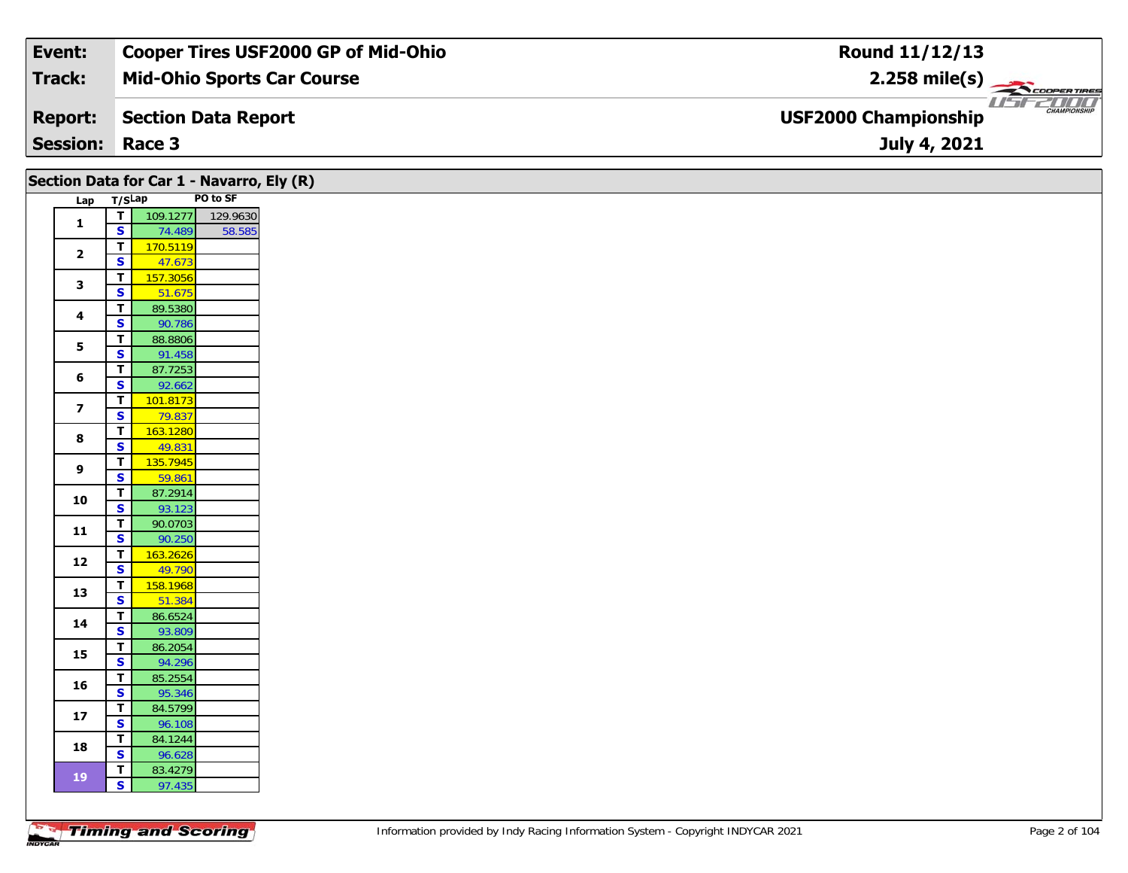| Event:          | <b>Cooper Tires USF2000 GP of Mid-Ohio</b> | Round 11/12/13                                             |
|-----------------|--------------------------------------------|------------------------------------------------------------|
| Track:          | <b>Mid-Ohio Sports Car Course</b>          | $2.258$ mile(s)                                            |
| <b>Report:</b>  | Section Data Report                        | 7000<br><b>CHAMPIONSHIP</b><br><b>USF2000 Championship</b> |
| <b>Session:</b> | Race 3                                     | July 4, 2021                                               |

|                         |                                         | Section Data for Car 1 - Navarro, Ely (R) |                   |
|-------------------------|-----------------------------------------|-------------------------------------------|-------------------|
| Lap T/SLap              |                                         |                                           | PO to SF          |
|                         | $\mathbf{T}$                            |                                           | 109.1277 129.9630 |
| $\mathbf{1}$            | $\overline{\mathbf{s}}$                 | 74.489                                    | 58.585            |
| $\overline{\mathbf{2}}$ | $\overline{\mathsf{r}}$                 | 170.5119                                  |                   |
|                         | $\overline{\mathbf{s}}$                 | 47.673                                    |                   |
| $\mathbf{3}$            | T                                       | 157.3056                                  |                   |
|                         | $\overline{\mathbf{s}}$                 | 51.675                                    |                   |
| $\overline{\mathbf{4}}$ | $\mathbf T$                             | 89.5380                                   |                   |
|                         | S<br>$\mathbf{T}$                       | 90.786<br>88.8806                         |                   |
| 5                       | $\overline{\mathbf{s}}$                 | 91.458                                    |                   |
|                         | $\mathbf T$                             | 87.7253                                   |                   |
| $\bf 6$                 | S                                       | 92.662                                    |                   |
|                         | T                                       | 101.8173                                  |                   |
| $\overline{\mathbf{z}}$ | $\overline{\mathbf{s}}$                 | 79.837                                    |                   |
| $\bf8$                  | $\overline{\mathbf{T}}$                 | 163.1280                                  |                   |
|                         | $\overline{\mathbf{s}}$                 | 49.831                                    |                   |
| $\boldsymbol{9}$        | $\mathbf{T}$                            | 135.7945                                  |                   |
|                         | $\overline{\mathbf{s}}$                 | 59.861                                    |                   |
| 10                      | $\overline{t}$                          | 87.2914                                   |                   |
|                         | $\overline{\mathbf{s}}$                 | 93.123                                    |                   |
| $11$                    | T                                       | 90.0703                                   |                   |
|                         | $\overline{\mathbf{s}}$<br>$\mathbf{T}$ | 90.250<br>163.2626                        |                   |
| 12                      | $\overline{\mathbf{s}}$                 | 49.790                                    |                   |
|                         | $\mathbf{T}$                            | 158.1968                                  |                   |
| 13                      | $\overline{\mathbf{s}}$                 | 51.384                                    |                   |
|                         | T.                                      | 86.6524                                   |                   |
| 14                      | S                                       | 93.809                                    |                   |
| 15                      | T                                       | 86.2054                                   |                   |
|                         | $\overline{\mathbf{s}}$                 | 94.296                                    |                   |
| 16                      | T                                       | 85.2554                                   |                   |
|                         | S                                       | 95.346                                    |                   |
| $17$                    | T.                                      | 84.5799                                   |                   |
|                         | $\overline{\mathbf{s}}$                 | 96.108                                    |                   |
| 18                      | $\overline{\mathbf{T}}$<br>$\mathbf{s}$ | 84.1244<br>96.628                         |                   |
|                         | T                                       | 83.4279                                   |                   |
| 19                      | $\vert$ s $\vert$                       | 97.435                                    |                   |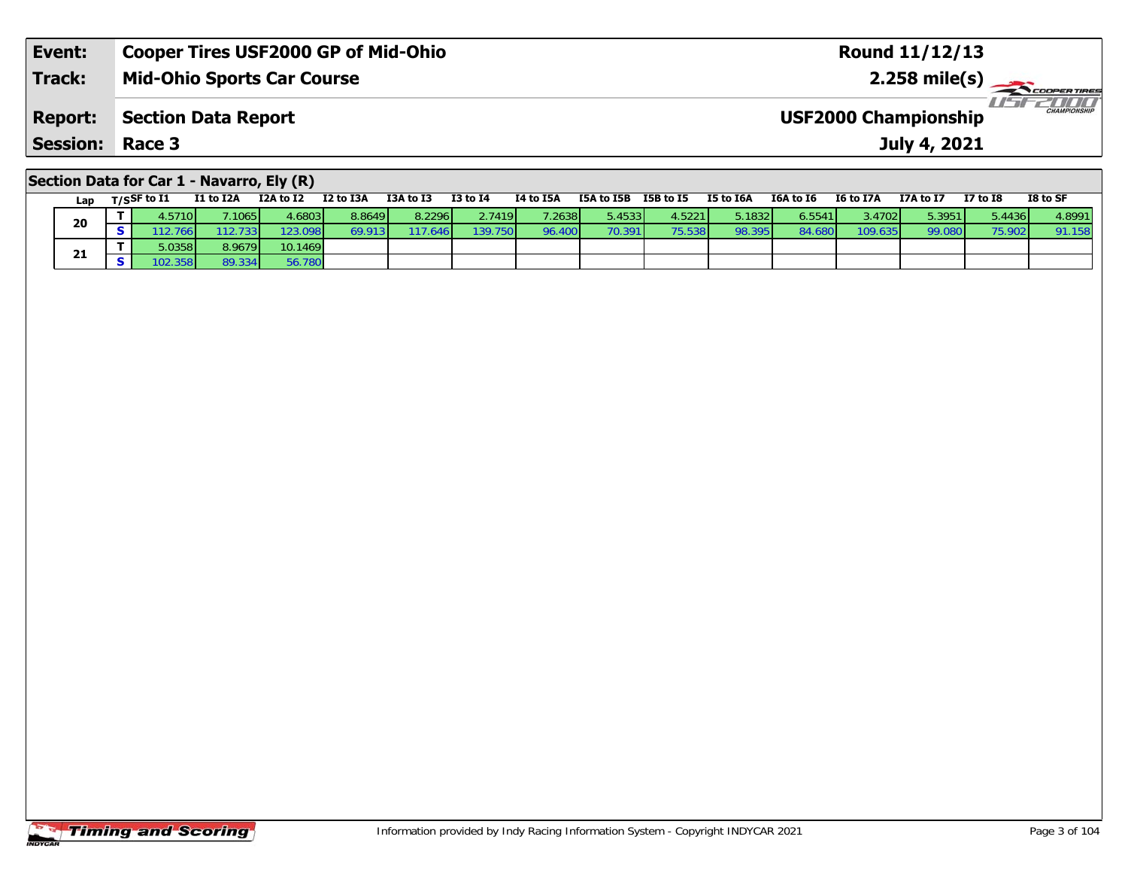| Event:          | <b>Cooper Tires USF2000 GP of Mid-Ohio</b> | <b>Round 11/12/13</b>                              |
|-----------------|--------------------------------------------|----------------------------------------------------|
| <b>Track:</b>   | <b>Mid-Ohio Sports Car Course</b>          | $2.258 \text{ mile(s)}$                            |
| <b>Report:</b>  | Section Data Report                        | <b>CHAMPIONSHIP</b><br><b>USF2000 Championship</b> |
| <b>Session:</b> | Race 3                                     | July 4, 2021                                       |
|                 |                                            |                                                    |

### **Section Data for Car 1 - Navarro, Ely (R)**

| Lap | T/SSF to I1     | I1 to I2A | I2A to I2 | I2 to I3A | I3A to I3 | $I3$ to $I4$ | I4 to I5A       | I5A to I5B              | I5B to I5 | <b>I5 to I6A</b> | I6A to I6 | <b>I6 to I7A</b> | I7A to I7 | <b>I7 to I8</b> | I8 to SF |
|-----|-----------------|-----------|-----------|-----------|-----------|--------------|-----------------|-------------------------|-----------|------------------|-----------|------------------|-----------|-----------------|----------|
| 20  | 4.5710 <b>l</b> | .1065     | 4.68031   | 8.8649    | 8.2296    | 2.7419       | 7.2638 <b>1</b> | $5.4533$ $\blacksquare$ | 4.5221    | 5.1832           | 6.5541    | 3.4702           | 5.3951    | 5.4436          | 4.8991   |
|     |                 | 733       | 123.098   | 69.913 I  | .646      | 139.750      | 96.400          | 70.391                  | 75.538    | 98.395           | 84.6      | 109.635          | 99.080    | 75.902          | 91.158   |
|     | .0358           | 8.9679    | 10.1469   |           |           |              |                 |                         |           |                  |           |                  |           |                 |          |
| 21  |                 | 89.334    | 56.780    |           |           |              |                 |                         |           |                  |           |                  |           |                 |          |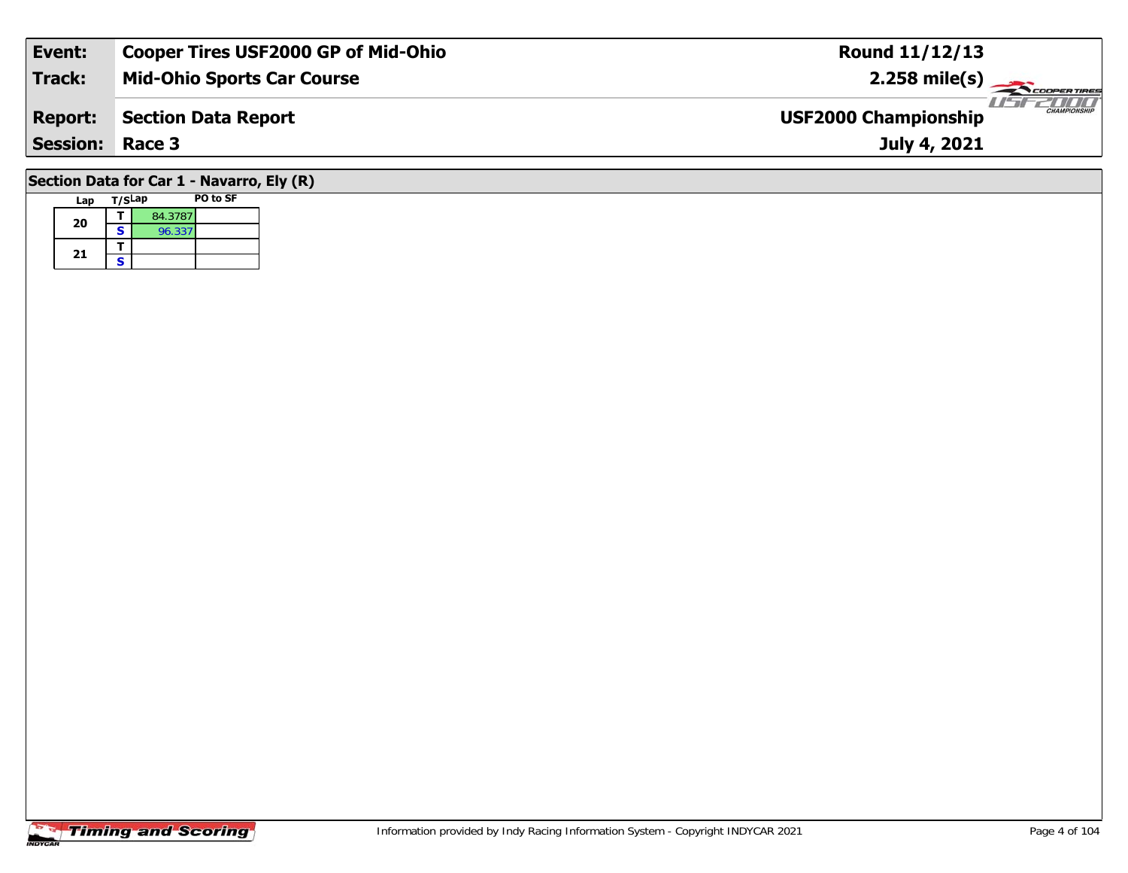| Event:                 | <b>Cooper Tires USF2000 GP of Mid-Ohio</b> | Round 11/12/13                              |
|------------------------|--------------------------------------------|---------------------------------------------|
| Track:                 | <b>Mid-Ohio Sports Car Course</b>          | $2.258$ mile(s)                             |
| <b>Report:</b>         | Section Data Report                        | CHAMPIONSHIP<br><b>USF2000 Championship</b> |
| <b>Session: Race 3</b> |                                            | July 4, 2021                                |
|                        | Section Data for Car 1 - Navarro, Ely (R)  |                                             |

# **Lap T/SLap PO to SF**

| 20 |   | 84.3787 |  |
|----|---|---------|--|
|    | s | 96.337  |  |
|    |   |         |  |
| 21 | c |         |  |

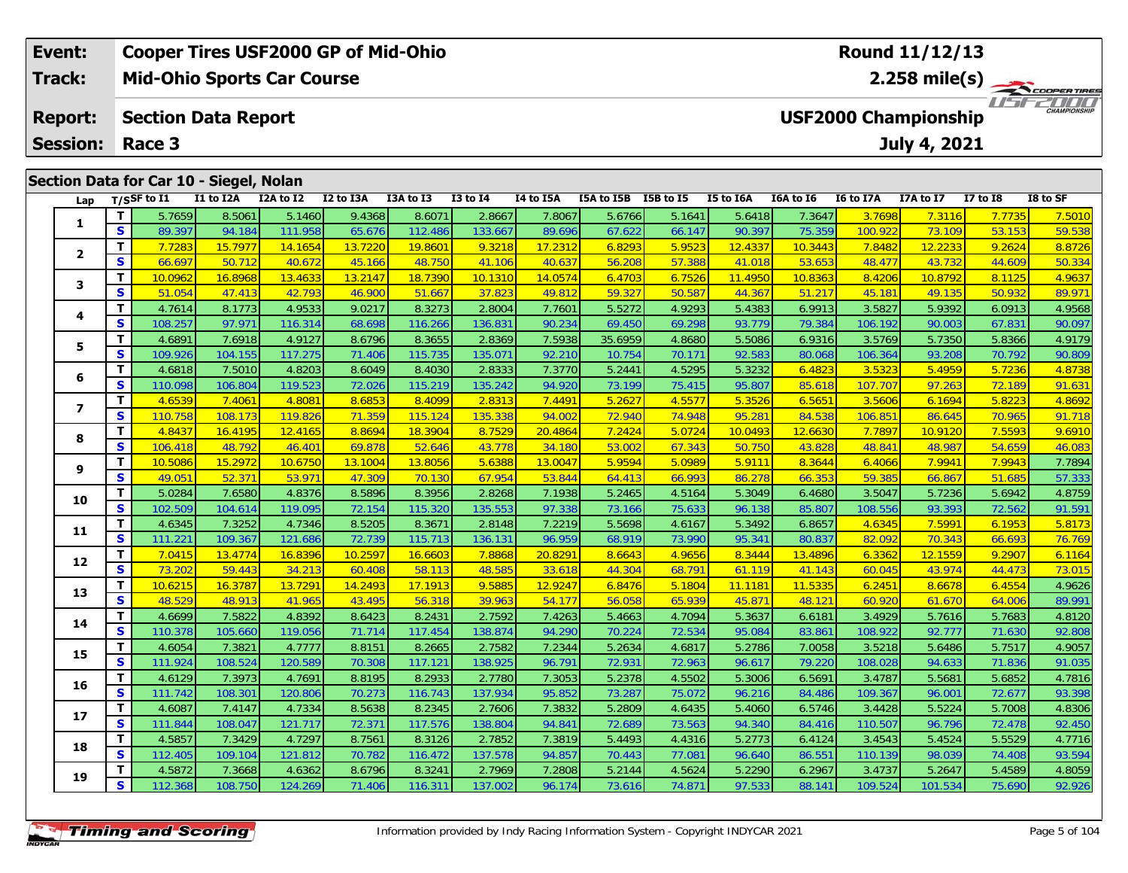| Event:                                  |             | <b>Cooper Tires USF2000 GP of Mid-Ohio</b> |           |           |           |              |           |                      |                  |           |                             | Round 11/12/13 |                 |                        |
|-----------------------------------------|-------------|--------------------------------------------|-----------|-----------|-----------|--------------|-----------|----------------------|------------------|-----------|-----------------------------|----------------|-----------------|------------------------|
| <b>Track:</b>                           |             | <b>Mid-Ohio Sports Car Course</b>          |           |           |           |              |           |                      |                  |           |                             |                |                 |                        |
| <b>Report:</b>                          |             | <b>Section Data Report</b>                 |           |           |           |              |           |                      |                  |           | <b>USF2000 Championship</b> |                |                 | 2000 M<br>CHAMPIONSHIP |
| <b>Session:</b>                         | Race 3      |                                            |           |           |           |              |           |                      |                  |           |                             | July 4, 2021   |                 |                        |
|                                         |             |                                            |           |           |           |              |           |                      |                  |           |                             |                |                 |                        |
| Section Data for Car 10 - Siegel, Nolan |             |                                            |           |           |           |              |           |                      |                  |           |                             |                |                 |                        |
| Lap                                     | T/SSF to I1 | I1 to I2A                                  | I2A to I2 | I2 to I3A | I3A to I3 | $I3$ to $I4$ | I4 to I5A | I5A to I5B I5B to I5 | <b>I5 to I6A</b> | I6A to I6 | <b>I6 to I7A</b>            | I7A to I7      | <b>I7 to I8</b> | I8 to SF               |

| Lap            |              | T/SSF to $I1$ | I1 to I2A | I2A to I2 | I2 to I3A | I3A to I3 | <b>I3 to I4</b> | 14 to 15A | I5A to I5B | I5B to I5 | I5 to I6A | I6A to I6 | <b>I6 to I7A</b> | I7A to I7 | <b>I7 to I8</b> | I8 to SF |
|----------------|--------------|---------------|-----------|-----------|-----------|-----------|-----------------|-----------|------------|-----------|-----------|-----------|------------------|-----------|-----------------|----------|
|                | T.           | 5.7659        | 8.5061    | 5.1460    | 9.4368    | 8.6071    | 2.8667          | 7.8067    | 5.6766     | 5.1641    | 5.6418    | 7.3647    | 3.7698           | 7.3116    | 7.7735          | 7.5010   |
| 1              | S.           | 89.397        | 94.184    | 111.958   | 65.676    | 112.486   | 133.667         | 89.696    | 67.622     | 66.147    | 90.397    | 75.359    | 100.922          | 73.109    | 53.153          | 59.538   |
|                | T.           | 7.7283        | 15.7977   | 14.1654   | 13.7220   | 19.8601   | 9.3218          | 17.2312   | 6.8293     | 5.9523    | 12.4337   | 10.3443   | 7.8482           | 12.2233   | 9.2624          | 8.8726   |
| $\mathbf{2}$   | S            | 66.697        | 50.712    | 40.672    | 45.166    | 48.750    | 41.106          | 40.637    | 56.208     | 57.388    | 41.018    | 53.653    | 48.477           | 43.732    | 44.609          | 50.334   |
| 3              | T            | 10.0962       | 16.8968   | 13.4633   | 13.2147   | 18.7390   | 10.1310         | 14.0574   | 6.4703     | 6.7526    | 11.4950   | 10.8363   | 8.4206           | 10.8792   | 8.1125          | 4.9637   |
|                | S            | 51.054        | 47.413    | 42.793    | 46.900    | 51.667    | 37.823          | 49.812    | 59.327     | 50.587    | 44.367    | 51.217    | 45.181           | 49.135    | 50.932          | 89.971   |
| 4              | T            | 4.7614        | 8.1773    | 4.9533    | 9.0217    | 8.3273    | 2.8004          | 7.7601    | 5.5272     | 4.9293    | 5.4383    | 6.9913    | 3.5827           | 5.9392    | 6.0913          | 4.9568   |
|                | $\mathbf{s}$ | 108.257       | 97.971    | 116.314   | 68.698    | 116.266   | 136.831         | 90.234    | 69.450     | 69.298    | 93.779    | 79.384    | 106.192          | 90.003    | 67.831          | 90.097   |
| 5              | T            | 4.6891        | 7.6918    | 4.9127    | 8.6796    | 8.3655    | 2.8369          | 7.5938    | 35.6959    | 4.8680    | 5.5086    | 6.9316    | 3.5769           | 5.7350    | 5.8366          | 4.9179   |
|                | S            | 109.926       | 104.155   | 117.275   | 71.406    | 115.735   | 135.071         | 92.210    | 10.754     | 70.171    | 92.583    | 80.068    | 106.364          | 93.208    | 70.792          | 90.809   |
| 6              | T            | 4.6818        | 7.5010    | 4.8203    | 8.6049    | 8.4030    | 2.8333          | 7.3770    | 5.2441     | 4.5295    | 5.3232    | 6.4823    | 3.5323           | 5.4959    | 5.7236          | 4.8738   |
|                | S            | 110.098       | 106.804   | 119.523   | 72.026    | 115.219   | 135.242         | 94.920    | 73.199     | 75.415    | 95.807    | 85.618    | 107.707          | 97.263    | 72.189          | 91.631   |
| $\overline{ }$ | т            | 4.6539        | 7.4061    | 4.8081    | 8.6853    | 8.4099    | 2.8313          | 7.4491    | 5.2627     | 4.5577    | 5.3526    | 6.5651    | 3.5606           | 6.1694    | 5.8223          | 4.8692   |
|                | S            | 110.758       | 108.173   | 119.826   | 71.359    | 115.124   | 135.338         | 94.002    | 72.940     | 74.948    | 95.281    | 84.538    | 106.851          | 86.645    | 70.965          | 91.718   |
| 8              | T.           | 4.8437        | 16.4195   | 12.4165   | 8.8694    | 18.3904   | 8.7529          | 20.4864   | 7.2424     | 5.0724    | 10.0493   | 12.6630   | 7.7897           | 10.9120   | 7.5593          | 9.6910   |
|                | S            | 106.418       | 48.792    | 46.401    | 69.878    | 52.646    | 43.778          | 34.180    | 53.002     | 67.343    | 50.750    | 43.828    | 48.841           | 48.987    | 54.659          | 46.083   |
| 9              | T            | 10.5086       | 15.2972   | 10.6750   | 13.1004   | 13.8056   | 5.6388          | 13.0047   | 5.9594     | 5.0989    | 5.9111    | 8.3644    | 6.4066           | 7.9941    | 7.9943          | 7.7894   |
|                | $\mathbf{s}$ | 49.051        | 52.371    | 53.971    | 47.309    | 70.130    | 67.954          | 53.844    | 64.413     | 66.993    | 86.278    | 66.353    | 59.385           | 66.867    | 51.685          | 57.333   |
| 10             | T            | 5.0284        | 7.6580    | 4.8376    | 8.5896    | 8.3956    | 2.8268          | 7.1938    | 5.2465     | 4.5164    | 5.3049    | 6.4680    | 3.5047           | 5.7236    | 5.6942          | 4.8759   |
|                | S            | 102.509       | 104.614   | 119.095   | 72.154    | 115.320   | 135.553         | 97.338    | 73.166     | 75.633    | 96.138    | 85.807    | 108.556          | 93.393    | 72.562          | 91.591   |
| 11             | T            | 4.6345        | 7.3252    | 4.7346    | 8.5205    | 8.3671    | 2.8148          | 7.2219    | 5.5698     | 4.6167    | 5.3492    | 6.8657    | 4.6345           | 7.5991    | 6.1953          | 5.8173   |
|                | S            | 111.221       | 109.367   | 121.686   | 72.739    | 115.713   | 136.131         | 96.959    | 68.919     | 73.990    | 95.341    | 80.837    | 82.092           | 70.343    | 66.693          | 76.769   |
| 12             | T            | 7.0415        | 13.4774   | 16.8396   | 10.2597   | 16.6603   | 7.8868          | 20.8291   | 8.6643     | 4.9656    | 8.3444    | 13.4896   | 6.3362           | 12.1559   | 9.2907          | 6.1164   |
|                | S            | 73.202        | 59.443    | 34.213    | 60.408    | 58.113    | 48.585          | 33.618    | 44.304     | 68.791    | 61.119    | 41.143    | 60.045           | 43.974    | 44.473          | 73.015   |
| 13             | T            | 10.6215       | 16.3787   | 13.7291   | 14.2493   | 17.1913   | 9.5885          | 12.9247   | 6.8476     | 5.1804    | 11.1181   | 11.5335   | 6.2451           | 8.6678    | 6.4554          | 4.9626   |
|                | $\mathbf{s}$ | 48.529        | 48.913    | 41.965    | 43.495    | 56.318    | 39.963          | 54.177    | 56.058     | 65.939    | 45.871    | 48.121    | 60.920           | 61.670    | 64.006          | 89.991   |
| 14             | T.           | 4.6699        | 7.5822    | 4.8392    | 8.6423    | 8.2431    | 2.7592          | 7.4263    | 5.4663     | 4.7094    | 5.3637    | 6.6181    | 3.4929           | 5.7616    | 5.7683          | 4.8120   |
|                | S            | 110.378       | 105.660   | 119.056   | 71.714    | 117.454   | 138.874         | 94.290    | 70.224     | 72.534    | 95.084    | 83.86     | 108.922          | 92.777    | 71.630          | 92.808   |
| 15             | T            | 4.6054        | 7.3821    | 4.7777    | 8.8151    | 8.2665    | 2.7582          | 7.2344    | 5.2634     | 4.6817    | 5.2786    | 7.0058    | 3.5218           | 5.6486    | 5.7517          | 4.9057   |
|                | <b>S</b>     | 111.924       | 108.524   | 120.589   | 70.308    | 117.121   | 138.925         | 96.791    | 72.931     | 72.963    | 96.617    | 79.220    | 108.028          | 94.633    | 71.836          | 91.035   |
| 16             | T            | 4.6129        | 7.3973    | 4.7691    | 8.8195    | 8.2933    | 2.7780          | 7.3053    | 5.2378     | 4.5502    | 5.3006    | 6.5691    | 3.4787           | 5.5681    | 5.6852          | 4.7816   |
|                | S            | 111.742       | 108.301   | 120.806   | 70.273    | 116.743   | 137.934         | 95.852    | 73.287     | 75.072    | 96.216    | 84.486    | 109.367          | 96.001    | 72.677          | 93.398   |
| 17             | T            | 4.6087        | 7.4147    | 4.7334    | 8.5638    | 8.2345    | 2.7606          | 7.3832    | 5.2809     | 4.6435    | 5.4060    | 6.5746    | 3.4428           | 5.5224    | 5.7008          | 4.8306   |
|                | S            | 111.844       | 108.047   | 121.717   | 72.371    | 117.576   | 138.804         | 94.841    | 72.689     | 73.563    | 94.340    | 84.416    | 110.507          | 96.796    | 72.478          | 92.450   |
| 18             | T.           | 4.5857        | 7.3429    | 4.7297    | 8.7561    | 8.3126    | 2.7852          | 7.3819    | 5.4493     | 4.4316    | 5.2773    | 6.4124    | 3.4543           | 5.4524    | 5.5529          | 4.7716   |
|                | <b>S</b>     | 112.405       | 109.104   | 121.812   | 70.782    | 116.472   | 137.578         | 94.857    | 70.443     | 77.081    | 96.640    | 86.551    | 110.139          | 98.039    | 74.408          | 93.594   |
| 19             | T.           | 4.5872        | 7.3668    | 4.6362    | 8.6796    | 8.3241    | 2.7969          | 7.2808    | 5.2144     | 4.5624    | 5.2290    | 6.2967    | 3.4737           | 5.2647    | 5.4589          | 4.8059   |
|                | S.           | 112.368       | 108.750   | 124.269   | 71.406    | 116.311   | 137.002         | 96.174    | 73.616     | 74.871    | 97.533    | 88.14     | 109.524          | 101.534   | 75.690          | 92.926   |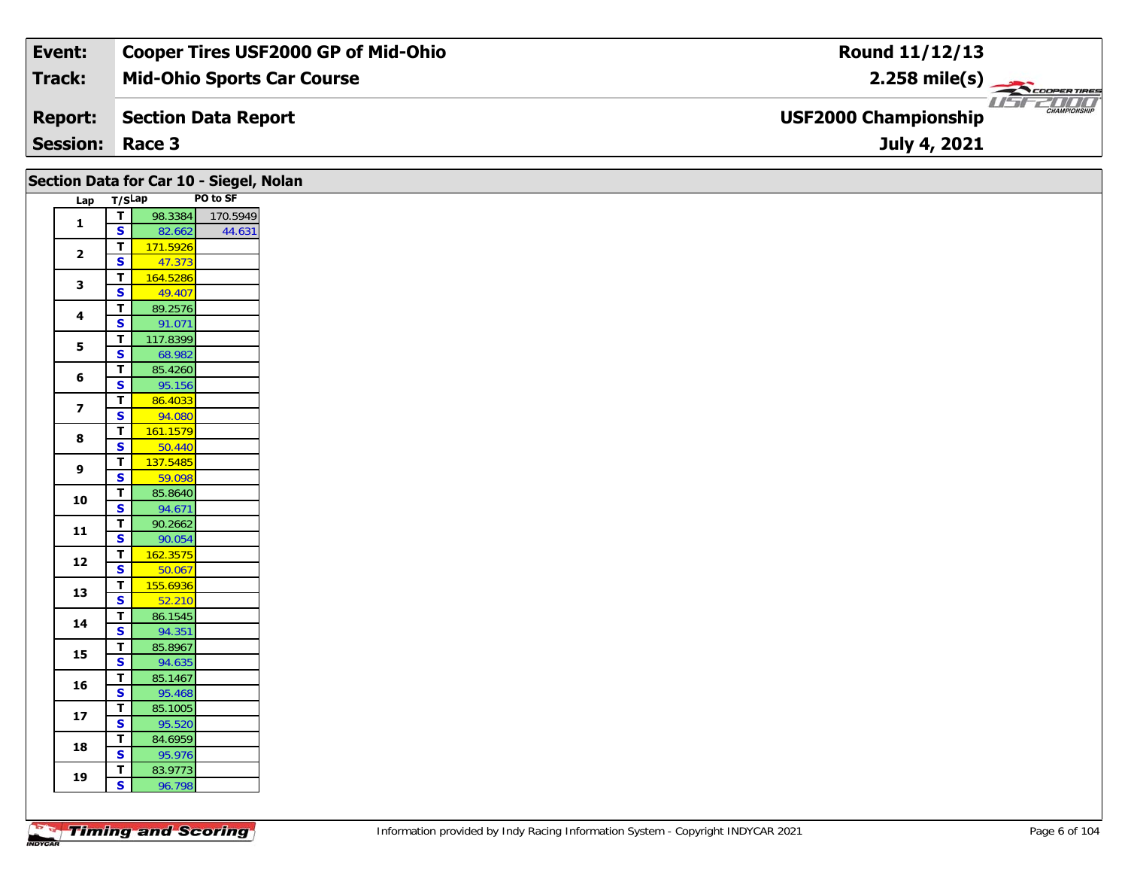| Event:          | Cooper Tires USF2000 GP of Mid-Ohio | Round 11/12/13                                                |
|-----------------|-------------------------------------|---------------------------------------------------------------|
| Track:          | <b>Mid-Ohio Sports Car Course</b>   | $2.258$ mile(s)                                               |
| <b>Report:</b>  | Section Data Report                 | USFZDOO<br><b>CHAMPIONSHIP</b><br><b>USF2000 Championship</b> |
| <b>Session:</b> | Race 3                              | July 4, 2021                                                  |

|                         |                                           | Section Data for Car 10 - Siegel, Nolan |          |
|-------------------------|-------------------------------------------|-----------------------------------------|----------|
| Lap T/SLap              |                                           |                                         | PO to SF |
| $\mathbf{1}$            | $\mathbf T$                               | 98.3384                                 | 170.5949 |
|                         | $\overline{\mathbf{s}}$                   | 82.662                                  | 44.631   |
| $\overline{2}$          | $\overline{t}$<br>$\overline{\mathbf{s}}$ | 171.5926<br>47.373                      |          |
|                         | $\overline{\mathbf{T}}$                   | 164.5286                                |          |
| $\mathbf{3}$            | $\mathbf{s}$                              | 49.407                                  |          |
|                         | $\overline{\mathbf{T}}$                   | 89.2576                                 |          |
| 4                       | S                                         | 91.071                                  |          |
| 5                       | $\overline{\mathbf{r}}$                   | 117.8399                                |          |
|                         | $\overline{\mathbf{s}}$                   | 68.982                                  |          |
| 6                       | $\overline{\mathbf{T}}$                   | 85.4260                                 |          |
|                         | $\overline{\mathbf{s}}$                   | 95.156                                  |          |
| $\overline{\mathbf{z}}$ | $\mathbf T$<br>$\overline{\mathbf{s}}$    | 86.4033<br>94.080                       |          |
|                         | $\mathbf T$                               | 161.1579                                |          |
| 8                       | $\overline{\mathbf{s}}$                   | 50.440                                  |          |
|                         | $\overline{\mathbf{T}}$                   | 137.5485                                |          |
| 9                       | $\mathbf{s}$                              | 59.098                                  |          |
| 10                      | $\overline{\mathbf{r}}$                   | 85.8640                                 |          |
|                         | $\overline{\mathbf{s}}$                   | 94.671                                  |          |
| 11                      | $\mathbf T$                               | 90.2662                                 |          |
|                         | $\mathbf{s}$                              | 90.054                                  |          |
| ${\bf 12}$              | $\mathbf T$                               | 162.3575                                |          |
|                         | $\overline{\mathbf{s}}$<br>$\mathbf T$    | 50.067<br>155.6936                      |          |
| 13                      | $\overline{\mathbf{s}}$                   | 52.210                                  |          |
|                         | T                                         | 86.1545                                 |          |
| 14                      | $\overline{\mathbf{s}}$                   | 94.351                                  |          |
|                         | $\mathbf T$                               | 85.8967                                 |          |
| 15                      | $\overline{\mathbf{s}}$                   | 94.635                                  |          |
| 16                      | $\mathbf T$                               | 85.1467                                 |          |
|                         | S                                         | 95.468                                  |          |
| $17\,$                  | $\overline{t}$                            | 85.1005                                 |          |
|                         | $\overline{\mathbf{s}}$                   | 95.520                                  |          |
| 18                      | T<br>$\overline{\mathbf{s}}$              | 84.6959<br>95.976                       |          |
|                         | T                                         | 83.9773                                 |          |
| 19                      | $\mathbf{s}$                              | 96.798                                  |          |
|                         |                                           |                                         |          |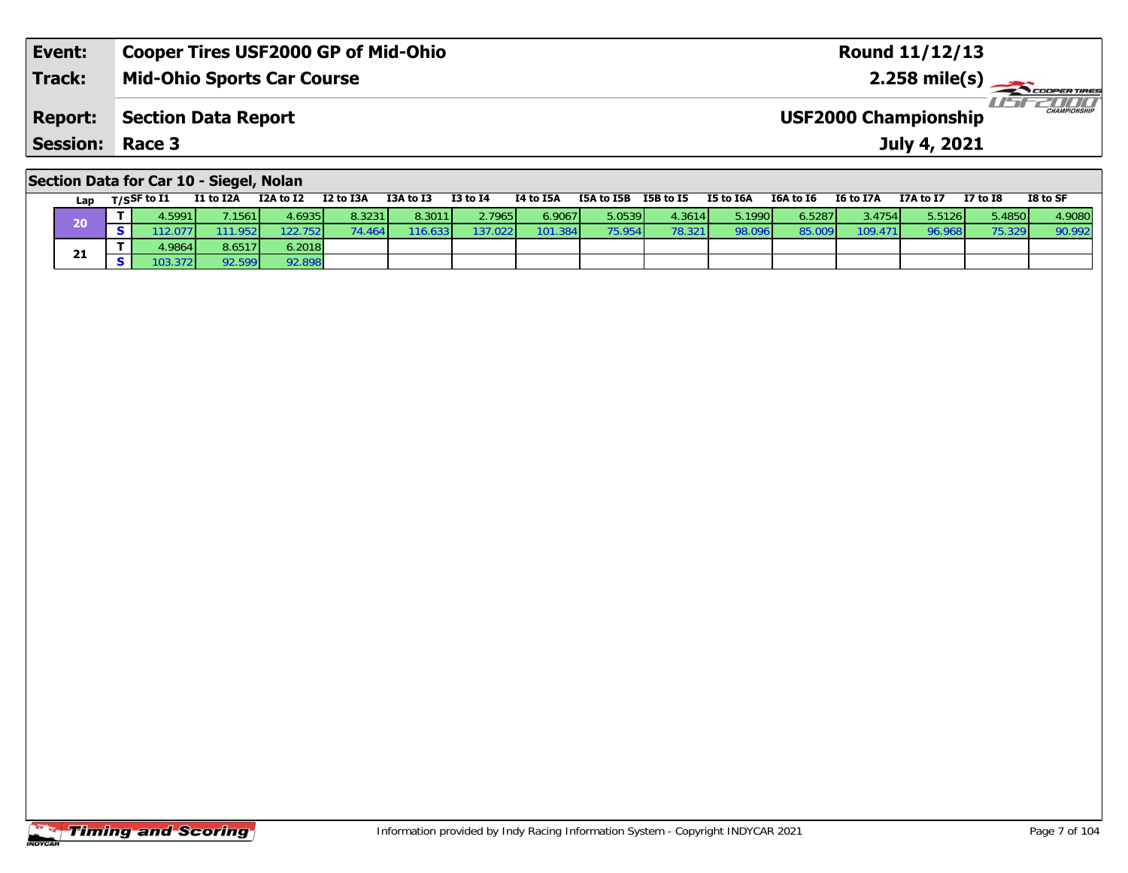| Event:                 | <b>Cooper Tires USF2000 GP of Mid-Ohio</b> | Round 11/12/13                                     |
|------------------------|--------------------------------------------|----------------------------------------------------|
| <b>Track:</b>          | <b>Mid-Ohio Sports Car Course</b>          | $2.258 \text{ mile(s)}$                            |
| <b>Report:</b>         | Section Data Report                        | <b>CHAMPIONSHIP</b><br><b>USF2000 Championship</b> |
| <b>Session: Race 3</b> |                                            | July 4, 2021                                       |
|                        |                                            |                                                    |

#### **Section Data for Car 10 - Siegel, Nolan**

| Lap | $T/S$ SF to $I1$ | I1 to I2A | I2A to I2 | I2 to I3A | I3A to I3 | <b>I3 to I4</b> | I4 to I5A | I5A to I5B      | I5B to I5 | I5 to I6A | I6A to I6 | I6 to I7A | I7A to I7 | <b>I7 to I8</b> | I8 to SF |
|-----|------------------|-----------|-----------|-----------|-----------|-----------------|-----------|-----------------|-----------|-----------|-----------|-----------|-----------|-----------------|----------|
| 20  | I.5991           | .1561     | 4.6935    | 8.3231    | 8.3011    | 2.7965          | 6.9067    | 5.0539          | 4.3614    | 5.1990    | 6.5287    | 3.4754    | 5.5126    | √3.4850. ذ      | 4.9080   |
|     |                  | 1.952     | 22.752    | .4641     | 116.633   | 137.022         | 101.384   | 75.954 <b>I</b> | 78.321    | 98.096    |           | 109.471   | 96.968    |                 | 90.992   |
|     | 4.9864 L         | 8.6517    | 6.2018    |           |           |                 |           |                 |           |           |           |           |           |                 |          |
| 21  |                  | 92.599    | 92.898    |           |           |                 |           |                 |           |           |           |           |           |                 |          |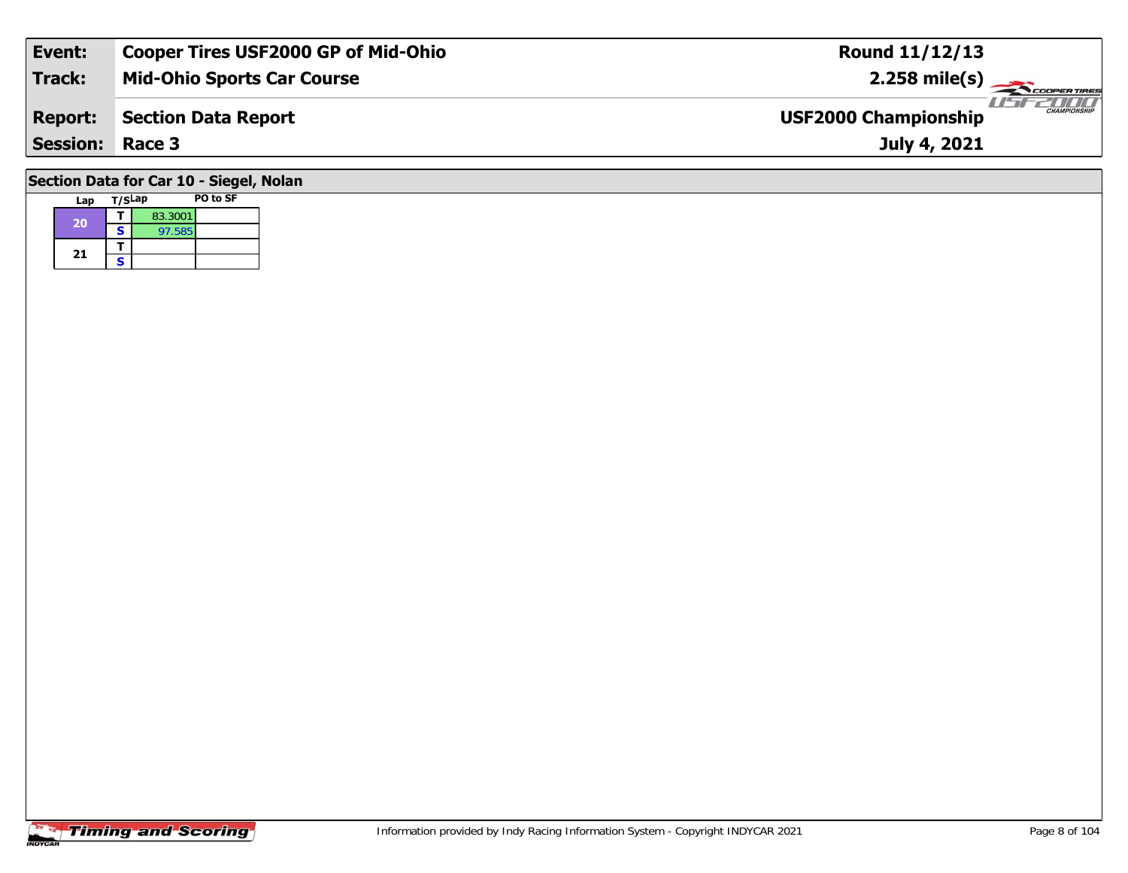| Event:                                  | <b>Cooper Tires USF2000 GP of Mid-Ohio</b> | <b>Round 11/12/13</b>                              |  |  |  |  |  |  |  |
|-----------------------------------------|--------------------------------------------|----------------------------------------------------|--|--|--|--|--|--|--|
| <b>Track:</b>                           | <b>Mid-Ohio Sports Car Course</b>          | $2.258$ mile(s)                                    |  |  |  |  |  |  |  |
| <b>Report:</b>                          | <b>Section Data Report</b>                 | <b>CHAMPIONSHIP</b><br><b>USF2000 Championship</b> |  |  |  |  |  |  |  |
| <b>Session: Race 3</b>                  |                                            | July 4, 2021                                       |  |  |  |  |  |  |  |
| Section Data for Car 10 - Siegel, Nolan |                                            |                                                    |  |  |  |  |  |  |  |

| Lap | T/SLap |         | PO to SF |
|-----|--------|---------|----------|
| 20  |        | 83.3001 |          |
|     | S      | 97.585  |          |
| 21  |        |         |          |
|     | S      |         |          |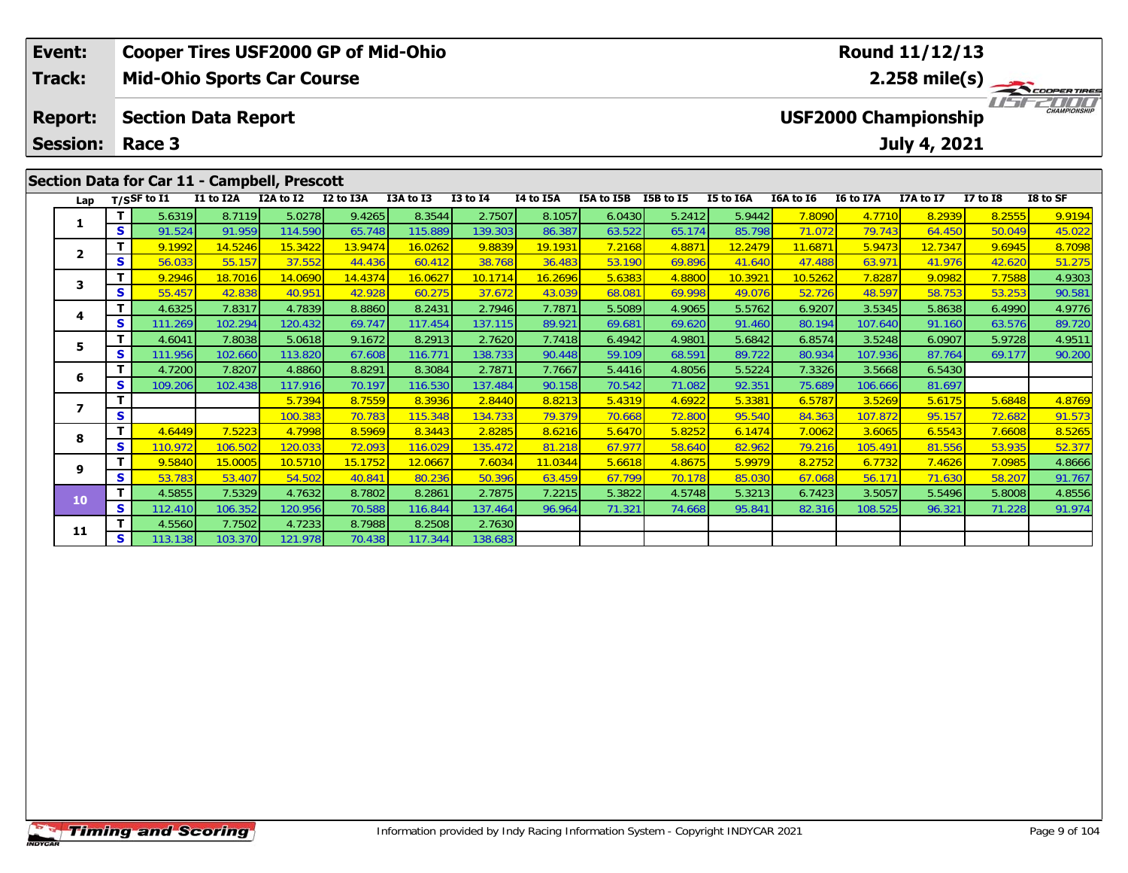| Event:                                             |    |                                      |           | <b>Cooper Tires USF2000 GP of Mid-Ohio</b>   |           |           |              |           |            |                         |           |           |           | <b>Round 11/12/13</b>                       |                 |                     |
|----------------------------------------------------|----|--------------------------------------|-----------|----------------------------------------------|-----------|-----------|--------------|-----------|------------|-------------------------|-----------|-----------|-----------|---------------------------------------------|-----------------|---------------------|
| <b>Track:</b><br><b>Mid-Ohio Sports Car Course</b> |    |                                      |           |                                              |           |           |              |           |            | $2.258 \text{ mile(s)}$ |           |           |           |                                             |                 |                     |
| <b>Report:</b><br><b>Session:</b>                  |    | <b>Section Data Report</b><br>Race 3 |           |                                              |           |           |              |           |            |                         |           |           |           | <b>USF2000 Championship</b><br>July 4, 2021 |                 | <b>CHAMPIONSHIP</b> |
|                                                    |    |                                      |           | Section Data for Car 11 - Campbell, Prescott |           |           |              |           |            |                         |           |           |           |                                             |                 |                     |
| Lap                                                |    | $T/S$ SF to $I1$                     | I1 to I2A | I2A to I2                                    | I2 to I3A | I3A to I3 | $I3$ to $I4$ | I4 to I5A | I5A to I5B | <b>I5B</b> to I5        | I5 to I6A | I6A to I6 | I6 to I7A | I7A to I7                                   | <b>I7 to I8</b> | I8 to SF            |
|                                                    |    | 5.6319                               | 8.7119    | 5.0278                                       | 9.4265    | 8.3544    | 2.7507       | 8.1057    | 6.0430     | 5.2412                  | 5.9442    | 7.8090    | 4.7710    | 8.2939                                      | 8.2555          | 9.9194              |
|                                                    | S. | 91.524                               | 91.959    | 114.590                                      | 65.748    | 115.889   | 139.303      | 86.387    | 63.522     | 65.174                  | 85.798    | 71.072    | 79.743    | 64.450                                      | 50.049          | 45.022              |
|                                                    |    | 9.1992                               | 14.5246   | 15.3422                                      | 13.9474   | 16.0262   | 9.8839       | 19.1931   | 7.2168     | 4.8871                  | 12.2479   | 11.6871   | 5.9473    | 12.7347                                     | 9.6945          | 8.7098              |
| $\overline{2}$                                     | S  | 56.033                               | 55.157    | 37.552                                       | 44.436    | 60.412    | 38.768       | 36.483    | 53.190     | 69.896                  | 41.640    | 47.488    | 63.971    | 41.976                                      | 42.620          | 51.275              |

3 | **T |** 9.2946 18.7016 14.0690 14.4374 16.0627 10.1714 16.2696 5.6383 4.8800 10.3921 10.5262 7.8287 9.0982 7.7588 4.9303<br>- S 55.457 42.838 40.951 42.928 60.275 37.672 43.039 68.081 69.998 49.076 52.726 48.597 58.753 53.2

4 T 4.6325 7.8317 4.7839 8.8860 8.2431 2.7946 7.7871 5.5089 4.9065 5.5762 6.9207 3.5345 5.8638 6.4990 4.9776<br>S 111.269 102.294 120.432 69.747 117.454 137.115 89.921 69.681 69.620 91.460 80.194 107.640 91.160 63.576 89.720

5 T 4.6041 7.8038 5.0618 9.1672 8.2913 2.7620 7.7418 6.4942 4.9801 5.6842 6.8574 3.5248 6.0907 5.9728 4.9511<br>5 S 111.956 102.660 113.820 67.608 116.771 138.733 90.448 59.109 68.591 89.722 80.934 107.936 87.764 69.177 90.20

**<sup>T</sup>** 5.7394 8.7559 8.3936 2.8440 8.8213 5.4319 4.6922 5.3381 6.5787 3.5269 5.6175 5.6848 4.8769 **<sup>S</sup>** 100.383 70.783 115.348 134.733 79.379 70.668 72.800 95.540 84.363 107.872 95.157 72.682 91.573

8 | **T |** 4.6449 | 7.5223 | 4.7998 | 8.5969 | 8.3443 | 2.8285 | 8.6216 | 5.6470 | 5.8252 | 6.1474 | 7.0062 | 3.6065 | 6.5543 | 7.6608 | 8.5265<br>| S | 110.972 | 106.502 | 120.033 | 72.093 | 116.029 | 135.472 | 81.218 | 67.97

**<sup>T</sup>** 9.5840 15.0005 10.5710 15.1752 12.0667 7.6034 11.0344 5.6618 4.8675 5.9979 8.2752 6.7732 7.4626 7.0985 4.8666 **<sup>S</sup>** 53.783 53.407 54.502 40.841 80.236 50.396 63.459 67.799 70.178 85.030 67.068 56.171 71.630 58.207 91.767

0 T 4.5855 7.5329 4.7632 8.7802 8.2861 2.7875 7.2215 5.3822 4.5748 5.3213 6.7423 3.5057 5.5496 5.8008 4.8556 4<br>S 112.410 106.352 120.956 70.588 116.844 137.464 96.964 71.321 74.668 95.841 82.316 108.525 96.321 71.228 91.97

**<sup>T</sup>** 4.7200 7.8207 4.8860 8.8291 8.3084 2.7871 7.7667 5.4416 4.8056 5.5224 7.3326 3.5668 6.5430 **<sup>S</sup>** 109.206 102.438 117.916 70.197 116.530 137.484 90.158 70.542 71.082 92.351 75.689 106.666 81.697

**T** 4.5560 7.7502 4.7233 8.7988 8.2508 2.7630<br>**S** 113.138 103.370 121.978 70.438 117.344 138.683

**3**

**4**

**5**

**6**

**7**

**8**

**9**

**10**

**11**

89.72

91.767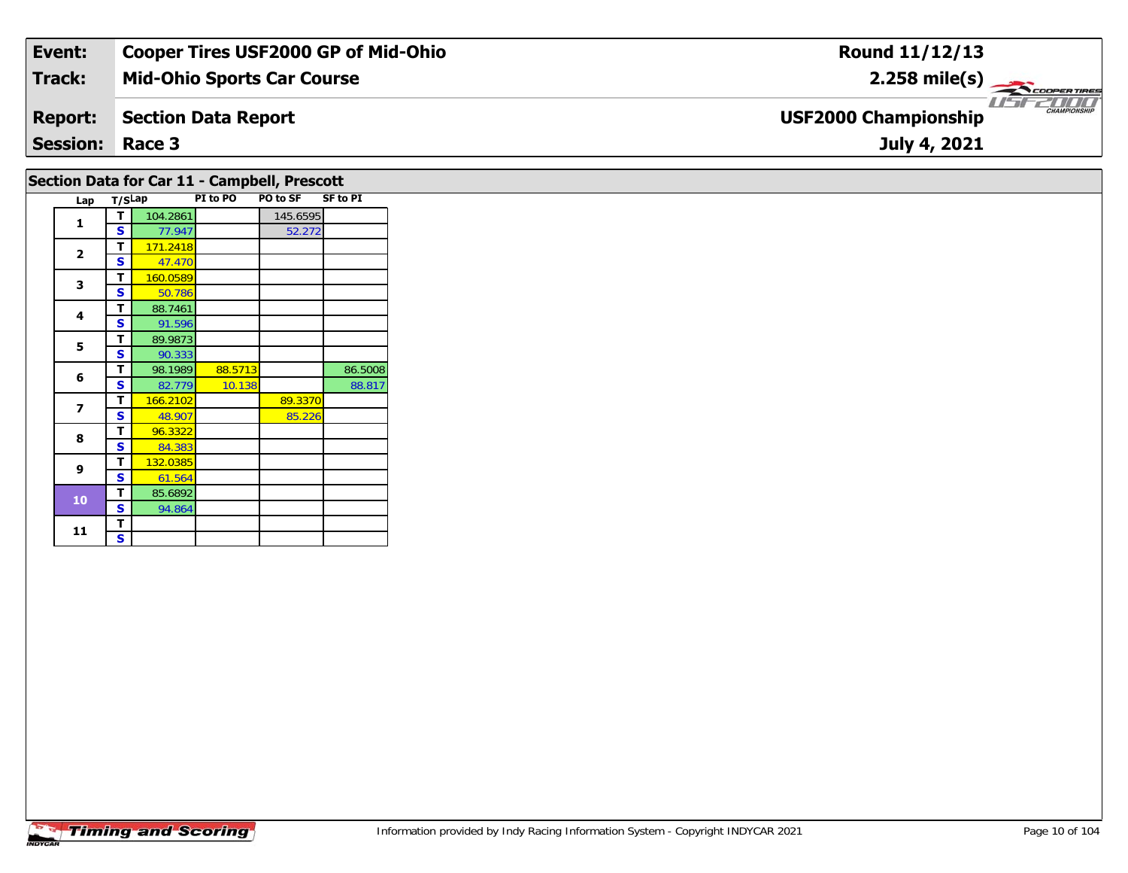| Event:          | <b>Cooper Tires USF2000 GP of Mid-Ohio</b> | Round 11/12/13                                     |
|-----------------|--------------------------------------------|----------------------------------------------------|
| <b>Track:</b>   | <b>Mid-Ohio Sports Car Course</b>          | 2.258 mile(s) $\longrightarrow$<br>COOPER TIRES    |
| <b>Report:</b>  | Section Data Report                        | <b>CHAMPIONSHIP</b><br><b>USF2000 Championship</b> |
| <b>Session:</b> | Race 3                                     | July 4, 2021                                       |

### **Section Data for Car 11 - Campbell, Prescott**

| Lap         | T/SLap |          | PI to PO | <b>PO to SF</b> | <b>SF to PI</b> |
|-------------|--------|----------|----------|-----------------|-----------------|
| 1           | т      | 104.2861 |          | 145.6595        |                 |
|             | S      | 77.947   |          | 52.272          |                 |
| $\mathbf 2$ | Т      | 171.2418 |          |                 |                 |
|             | S      | 47.470   |          |                 |                 |
| 3           | т      | 160.0589 |          |                 |                 |
|             | S      | 50.786   |          |                 |                 |
| 4           | т      | 88.7461  |          |                 |                 |
|             | S      | 91.596   |          |                 |                 |
| 5           | т      | 89.9873  |          |                 |                 |
|             | S      | 90.333   |          |                 |                 |
| 6           | Т      | 98.1989  | 88.5713  |                 | 86.5008         |
|             | S      | 82.779   | 10.138   |                 | 88.817          |
| 7           | Т      | 166.2102 |          | 89.3370         |                 |
|             | S      | 48.907   |          | 85.226          |                 |
| 8           | Т      | 96.3322  |          |                 |                 |
|             | S      | 84.383   |          |                 |                 |
| 9           | т      | 132.0385 |          |                 |                 |
|             | S      | 61.564   |          |                 |                 |
| 10          | т      | 85.6892  |          |                 |                 |
|             | S      | 94.864   |          |                 |                 |
| 11          | Т      |          |          |                 |                 |
|             | S      |          |          |                 |                 |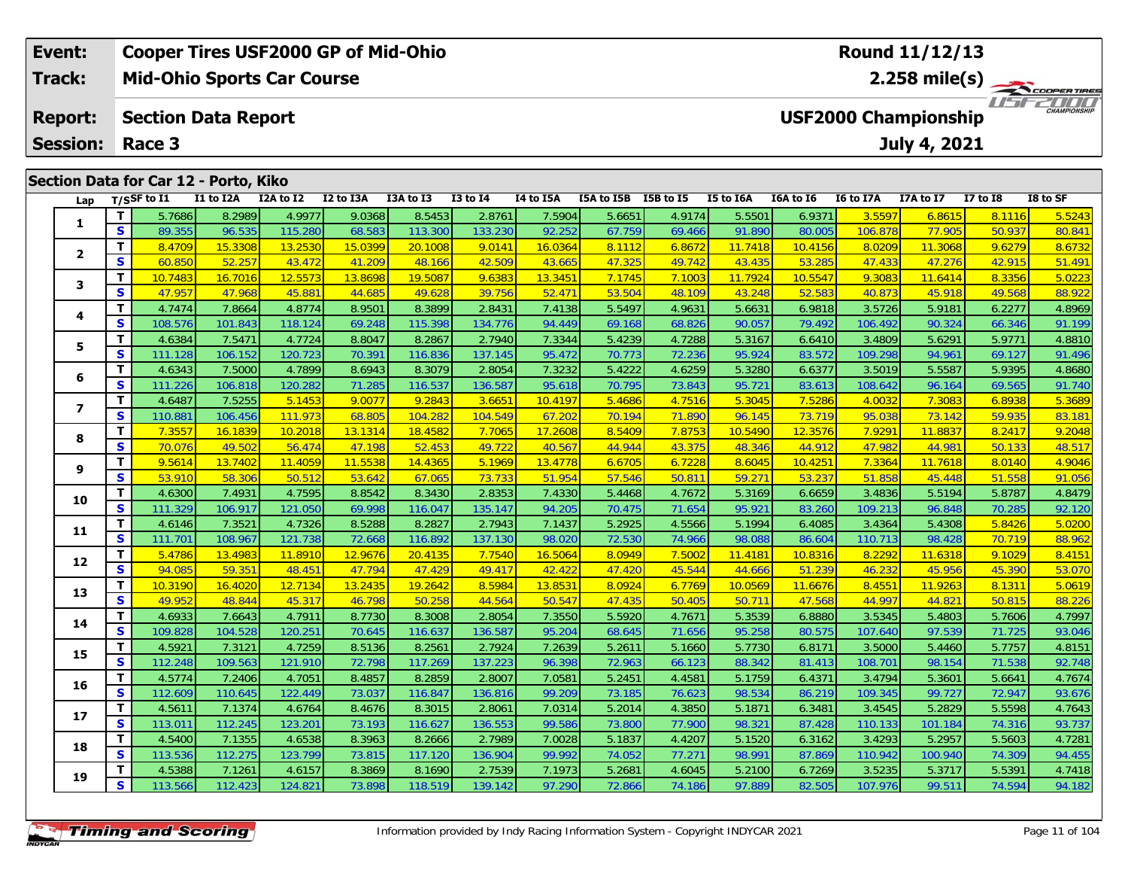|                                                                                                                          | Event: |                                       |           | <b>Cooper Tires USF2000 GP of Mid-Ohio</b> |           |           |              |           |            |              |                             |               |                  | Round 11/12/13 |               |          |
|--------------------------------------------------------------------------------------------------------------------------|--------|---------------------------------------|-----------|--------------------------------------------|-----------|-----------|--------------|-----------|------------|--------------|-----------------------------|---------------|------------------|----------------|---------------|----------|
| Track:<br>2.258 mile(s) $-$<br><b>Mid-Ohio Sports Car Course</b>                                                         |        |                                       |           |                                            |           |           |              |           |            | COOPER TIRES |                             |               |                  |                |               |          |
| <b>USF2000 Championship</b><br><b>Section Data Report</b><br><b>Report:</b><br><b>Session:</b><br>July 4, 2021<br>Race 3 |        |                                       |           |                                            |           |           |              |           |            |              | 2000<br><b>CHAMPIONSHIP</b> |               |                  |                |               |          |
|                                                                                                                          |        | Section Data for Car 12 - Porto, Kiko |           |                                            |           |           |              |           |            |              |                             |               |                  |                |               |          |
|                                                                                                                          | Lap    | T/SSF to $\mathbf{I1}$                | I1 to I2A | I2A to I2                                  | I2 to I3A | I3A to I3 | $I3$ to $I4$ | I4 to I5A | I5A to I5B | I5B to I5    | I5 to I6A                   | I6A to I6     | I6 to I7A        | I7A to I7      | I7 to I8      | I8 to SF |
|                                                                                                                          |        |                                       | 5.7686    | 8.2989<br>4.9977                           | 9.0368    | 8.5453    | 2.8761       | 7.5904    | 5.6651     | 4.9174       | 5.5501                      | 6.9371        | 3.5597           | 6.8615         | <b>8.1116</b> | 5.5243   |
|                                                                                                                          | л.     | S.                                    | 89 355    | 96 535<br>115 280                          | 68.583    | 113,300   | 133.230      | 92.252    | 67 759L    | 69466        | 91 890                      | <b>80.005</b> | 106.878 <b>1</b> | 77 905         | 50.937        | 80 841   |

| Lap            |    | 1/2 <sub>2</sub> muuta 11 | 11 W 12A | IZA W IZ | <b>IZ WIJA</b> | <b>TAM TO TA</b> | +ו טו כז | <b>14 M TOW</b> | 15A W 13B | 196 M 19 | <b>13 MO TOW</b> | TOW TO TO | 10 to 17A | $17A$ to $17$ | 17 M TO | TO IN 9L |
|----------------|----|---------------------------|----------|----------|----------------|------------------|----------|-----------------|-----------|----------|------------------|-----------|-----------|---------------|---------|----------|
|                | T. | 5.7686                    | 8.2989   | 4.9977   | 9.0368         | 8.5453           | 2.8761   | 7.5904          | 5.6651    | 4.9174   | 5.5501           | 6.9371    | 3.5597    | 6.8615        | 8.1116  | 5.5243   |
| 1              | S  | 89.355                    | 96.535   | 115.280  | 68.583         | 113.300          | 133.230  | 92.252          | 67.759    | 69.466   | 91.890           | 80.005    | 106.878   | 77.905        | 50.937  | 80.841   |
|                | T. | 8.4709                    | 15.3308  | 13.2530  | 15.0399        | 20.1008          | 9.0141   | 16.0364         | 8.1112    | 6.8672   | 11.7418          | 10.4156   | 8.0209    | 11.3068       | 9.6279  | 8.6732   |
| $\mathbf{2}$   | S  | 60.850                    | 52.257   | 43.472   | 41.209         | 48.166           | 42.509   | 43.665          | 47.325    | 49.742   | 43.435           | 53.285    | 47.433    | 47.276        | 42.915  | 51.491   |
| 3              | T. | 10.7483                   | 16.7016  | 12.5573  | 13.8698        | 19.5087          | 9.6383   | 13.3451         | 7.1745    | 7.1003   | 11.7924          | 10.5547   | 9.3083    | 11.6414       | 8.3356  | 5.0223   |
|                | S  | 47.957                    | 47.968   | 45.881   | 44.685         | 49.628           | 39.756   | 52.47'          | 53.504    | 48.109   | 43.248           | 52.583    | 40.873    | 45.918        | 49.568  | 88.922   |
| 4              | T. | 4.7474                    | 7.8664   | 4.8774   | 8.9501         | 8.3899           | 2.8431   | 7.4138          | 5.5497    | 4.9631   | 5.6631           | 6.9818    | 3.5726    | 5.9181        | 6.2277  | 4.8969   |
|                | S  | 108.576                   | 101.843  | 118.124  | 69.248         | 115.398          | 134.776  | 94.449          | 69.168    | 68.826   | 90.057           | 79.492    | 106.492   | 90.324        | 66.346  | 91.199   |
| 5              | T. | 4.6384                    | 7.5471   | 4.7724   | 8.8047         | 8.2867           | 2.7940   | 7.3344          | 5.4239    | 4.7288   | 5.3167           | 6.6410    | 3.4809    | 5.6291        | 5.9771  | 4.8810   |
|                | S  | 111.128                   | 106.152  | 120.723  | 70.391         | 116.836          | 137.145  | 95.472          | 70.773    | 72.236   | 95.924           | 83.572    | 109.298   | 94.961        | 69.127  | 91.496   |
| 6              | T. | 4.6343                    | 7.5000   | 4.7899   | 8.6943         | 8.3079           | 2.8054   | 7.3232          | 5.4222    | 4.6259   | 5.3280           | 6.6377    | 3.5019    | 5.5587        | 5.9395  | 4.8680   |
|                | S  | 111.226                   | 106.818  | 120.282  | 71.285         | 116.537          | 136.587  | 95.618          | 70.795    | 73.843   | 95.721           | 83.613    | 108.642   | 96.164        | 69.565  | 91.740   |
| $\overline{ }$ | T. | 4.6487                    | 7.5255   | 5.1453   | 9.0077         | 9.2843           | 3.6651   | 10.4197         | 5.4686    | 4.7516   | 5.3045           | 7.5286    | 4.0032    | 7.3083        | 6.8938  | 5.3689   |
|                | S  | 110.881                   | 106.456  | 111.973  | 68.805         | 104.282          | 104.549  | 67.202          | 70.194    | 71.890   | 96.145           | 73.719    | 95.038    | 73.142        | 59.935  | 83.181   |
| 8              | т  | 7.3557                    | 16.1839  | 10.2018  | 13.1314        | 18.4582          | 7.7065   | 17.2608         | 8.5409    | 7.8753   | 10.5490          | 12.3576   | 7.9291    | 11.8837       | 8.2417  | 9.2048   |
|                | S  | 70.076                    | 49.502   | 56.474   | 47.198         | 52.453           | 49.722   | 40.567          | 44.944    | 43.375   | 48.346           | 44.912    | 47.982    | 44.981        | 50.133  | 48.517   |
| 9              | T. | 9.5614                    | 13.7402  | 11.4059  | 11.5538        | 14.4365          | 5.1969   | 13.4778         | 6.6705    | 6.7228   | 8.6045           | 10.4251   | 7.3364    | 11.7618       | 8.0140  | 4.9046   |
|                | S  | 53.910                    | 58.306   | 50.512   | 53.642         | 67.065           | 73.733   | 51.954          | 57.546    | 50.811   | 59.271           | 53.237    | 51.858    | 45.448        | 51.558  | 91.056   |
| 10             | T. | 4.6300                    | 7.4931   | 4.7595   | 8.8542         | 8.3430           | 2.8353   | 7.4330          | 5.4468    | 4.7672   | 5.3169           | 6.6659    | 3.4836    | 5.5194        | 5.8787  | 4.8479   |
|                | S  | 111.329                   | 106.917  | 121.050  | 69.998         | 116.047          | 135.147  | 94.205          | 70.475    | 71.654   | 95.921           | 83.260    | 109.213   | 96.848        | 70.285  | 92.120   |
| 11             | T. | 4.6146                    | 7.3521   | 4.7326   | 8.5288         | 8.2827           | 2.7943   | 7.1437          | 5.2925    | 4.5566   | 5.1994           | 6.4085    | 3.4364    | 5.4308        | 5.8426  | 5.0200   |
|                | S  | 111.701                   | 108.967  | 121.738  | 72.668         | 116.892          | 137.130  | 98.020          | 72.530    | 74.966   | 98.088           | 86.604    | 110.713   | 98.428        | 70.719  | 88.962   |
| 12             | T. | 5.4786                    | 13.4983  | 11.8910  | 12.9676        | 20.4135          | 7.7540   | 16.5064         | 8.0949    | 7.5002   | 11.4181          | 10.8316   | 8.2292    | 11.6318       | 9.1029  | 8.4151   |
|                | S  | 94.085                    | 59.351   | 48.451   | 47.794         | 47.429           | 49.417   | 42.422          | 47.420    | 45.544   | 44.666           | 51.239    | 46.232    | 45.956        | 45.390  | 53.070   |
| 13             | T  | 10.3190                   | 16.4020  | 12.7134  | 13.2435        | 19.2642          | 8.5984   | 13.8531         | 8.0924    | 6.7769   | 10.0569          | 11.6676   | 8.4551    | 11.9263       | 8.1311  | 5.0619   |
|                | S  | 49.952                    | 48.844   | 45.317   | 46.798         | 50.258           | 44.564   | 50.547          | 47.435    | 50.405   | 50.711           | 47.568    | 44.997    | 44.821        | 50.815  | 88.226   |
| 14             | T. | 4.6933                    | 7.6643   | 4.7911   | 8.7730         | 8.3008           | 2.8054   | 7.3550          | 5.5920    | 4.7671   | 5.3539           | 6.8880    | 3.5345    | 5.4803        | 5.7606  | 4.7997   |
|                | S  | 109.828                   | 104.528  | 120.251  | 70.645         | 116.637          | 136.587  | 95.204          | 68.645    | 71.656   | 95.258           | 80.575    | 107.640   | 97.539        | 71.725  | 93.046   |
| 15             | T. | 4.5921                    | 7.3121   | 4.7259   | 8.5136         | 8.2561           | 2.7924   | 7.2639          | 5.2611    | 5.1660   | 5.7730           | 6.8171    | 3.5000    | 5.4460        | 5.7757  | 4.8151   |
|                | S  | 112.248                   | 109.563  | 121.910  | 72.798         | 117.269          | 137.223  | 96.398          | 72.963    | 66.123   | 88.342           | 81.413    | 108.701   | 98.154        | 71.538  | 92.748   |
| 16             | T. | 4.5774                    | 7.2406   | 4.7051   | 8.4857         | 8.2859           | 2.8007   | 7.0581          | 5.2451    | 4.4581   | 5.1759           | 6.4371    | 3.4794    | 5.3601        | 5.6641  | 4.7674   |
|                | S  | 112.609                   | 110.645  | 122.449  | 73.037         | 116.847          | 136.816  | 99.209          | 73.185    | 76.623   | 98.534           | 86.219    | 109.345   | 99.727        | 72.947  | 93.676   |
| 17             | T. | 4.5611                    | 7.1374   | 4.6764   | 8.4676         | 8.3015           | 2.8061   | 7.0314          | 5.2014    | 4.3850   | 5.1871           | 6.3481    | 3.4545    | 5.2829        | 5.5598  | 4.7643   |
|                | S  | 113.011                   | 112.245  | 123.201  | 73.193         | 116.627          | 136.553  | 99.586          | 73.800    | 77.900   | 98.321           | 87.428    | 110.133   | 101.184       | 74.316  | 93.737   |
| 18             | T. | 4.5400                    | 7.1355   | 4.6538   | 8.3963         | 8.2666           | 2.7989   | 7.0028          | 5.1837    | 4.4207   | 5.1520           | 6.3162    | 3.4293    | 5.2957        | 5.5603  | 4.7281   |
|                | S  | 113.536                   | 112.275  | 123.799  | 73.815         | 117.120          | 136.904  | 99.992          | 74.052    | 77.27'   | 98.991           | 87.869    | 110.942   | 100.940       | 74.309  | 94.455   |
| 19             | Τ. | 4.5388                    | 7.1261   | 4.6157   | 8.3869         | 8.1690           | 2.7539   | 7.1973          | 5.2681    | 4.6045   | 5.2100           | 6.7269    | 3.5235    | 5.3717        | 5.5391  | 4.7418   |
|                | S  | 113.566                   | 112.423  | 124.821  | 73.898         | 118.519          | 139.142  | 97.290          | 72.866    | 74.186   | 97.889           | 82.505    | 107.976   | 99.511        | 74.594  | 94.182   |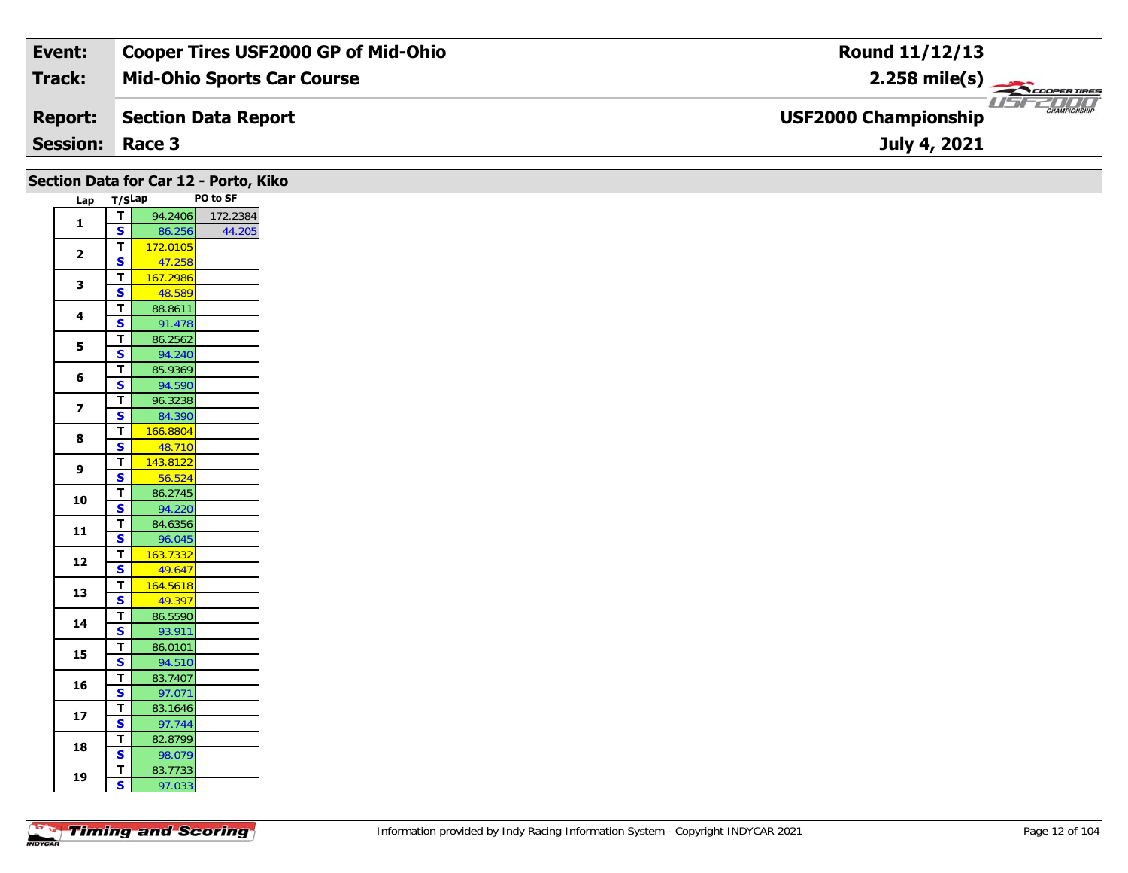| Event:                 | <b>Cooper Tires USF2000 GP of Mid-Ohio</b> | Round 11/12/13                                     |
|------------------------|--------------------------------------------|----------------------------------------------------|
| Track:                 | <b>Mid-Ohio Sports Car Course</b>          | $2.258$ mile(s)                                    |
| <b>Report:</b>         | Section Data Report                        | <b>CHAMPIONSHIP</b><br><b>USF2000 Championship</b> |
| <b>Session: Race 3</b> |                                            | July 4, 2021                                       |

|                         |                                        | Section Data for Car 12 - Porto, Kiko |                  |
|-------------------------|----------------------------------------|---------------------------------------|------------------|
| Lap T/SLap              |                                        |                                       | PO to SF         |
| $\mathbf{1}$            | $\overline{\mathbf{r}}$                |                                       | 94.2406 172.2384 |
|                         | $\overline{\mathbf{s}}$                | 86.256                                | 44.205           |
| $\mathbf{2}$            | $\mathbf{T}$                           | 172.0105                              |                  |
|                         | $\overline{\mathbf{s}}$                | 47.258                                |                  |
| 3                       | $\overline{\mathbf{T}}$                | 167.2986                              |                  |
|                         | $\mathbf{s}$                           | 48.589                                |                  |
| 4                       | $\mathbf T$                            | 88.8611                               |                  |
|                         | S<br>$\overline{I}$                    | 91.478<br>86.2562                     |                  |
| 5                       | $\overline{\mathbf{s}}$                | 94.240                                |                  |
|                         | $\mathbf{T}$                           | 85.9369                               |                  |
| 6                       | $\mathbf{s}$                           | 94.590                                |                  |
|                         | $\mathbf{T}$                           | 96.3238                               |                  |
| $\overline{\mathbf{z}}$ | <b>S</b>                               | 84.390                                |                  |
|                         | $\mathbf{T}$                           | 166.8804                              |                  |
| 8                       | $\mathbf{s}$                           | 48.710                                |                  |
|                         | $\mathbf{T}$                           | 143.8122                              |                  |
| 9                       | S                                      | 56.524                                |                  |
| 10                      | $\mathbf T$                            | 86.2745                               |                  |
|                         | $\overline{\mathbf{s}}$                | 94.220                                |                  |
| 11                      | T                                      | 84.6356                               |                  |
|                         | $\overline{\mathbf{s}}$                | 96.045                                |                  |
| 12                      | $\mathbf T$                            | 163.7332                              |                  |
|                         | $\overline{\mathbf{s}}$                | 49.647                                |                  |
| 13                      | $\overline{\mathbf{T}}$                | 164.5618                              |                  |
|                         | $\overline{\mathbf{s}}$                | 49.397                                |                  |
| 14                      | $\mathbf T$<br>$\overline{\mathbf{s}}$ | 86.5590<br>93.911                     |                  |
|                         | $\overline{t}$                         | 86.0101                               |                  |
| 15                      | $\overline{\mathbf{s}}$                | 94.510                                |                  |
|                         | $\mathbf T$                            | 83.7407                               |                  |
| 16                      | $\overline{\mathbf{s}}$                | 97.071                                |                  |
|                         | $\mathbf T$                            | 83.1646                               |                  |
| $17\,$                  | $\overline{\mathbf{s}}$                | 97.744                                |                  |
|                         | T                                      | 82.8799                               |                  |
| 18                      | $\mathbf{s}$                           | 98.079                                |                  |
| 19                      | Τ                                      | 83.7733                               |                  |
|                         | $\overline{\mathbf{s}}$                | 97.033                                |                  |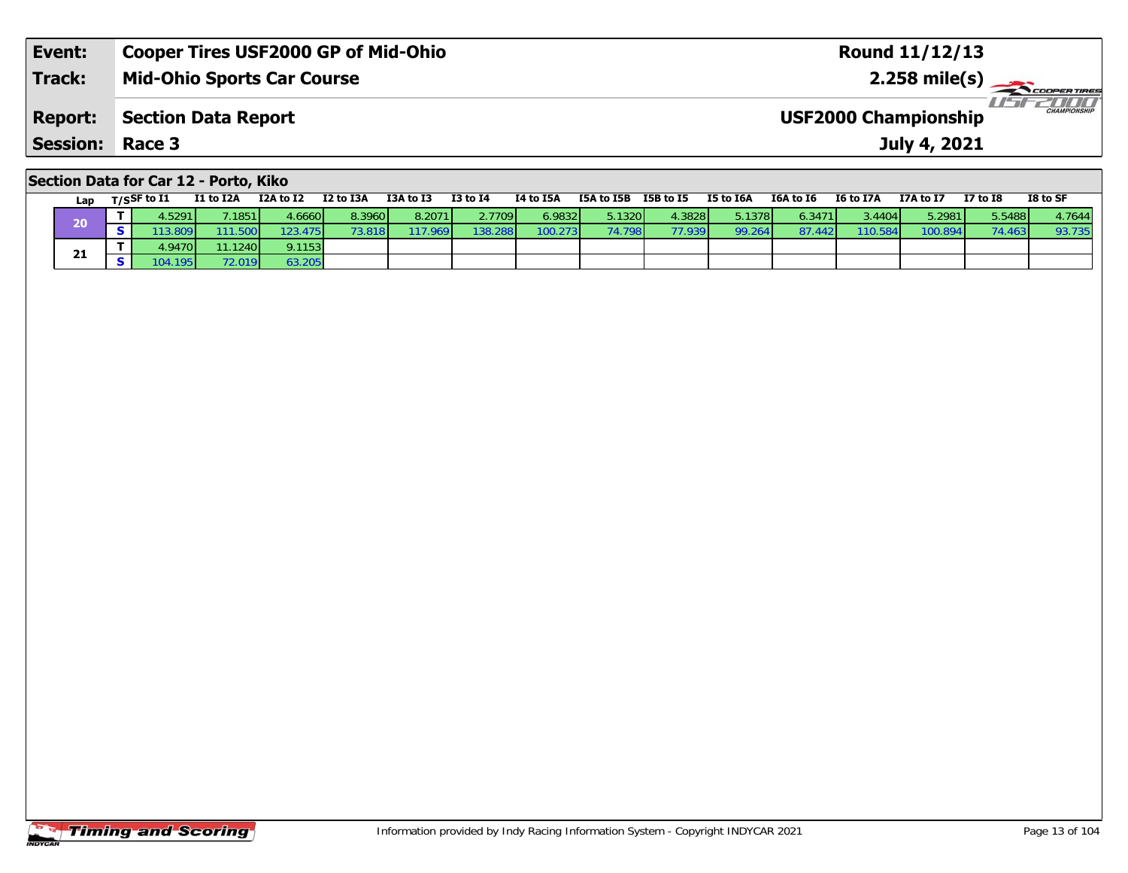| Event:                 | <b>Cooper Tires USF2000 GP of Mid-Ohio</b> | Round 11/12/13                                    |
|------------------------|--------------------------------------------|---------------------------------------------------|
| <b>Track:</b>          | <b>Mid-Ohio Sports Car Course</b>          | 2.258 mile(s) $\rightarrow$<br><b>COOPERTIRES</b> |
| <b>Report:</b>         | Section Data Report                        | CHAMPIONSHIP<br><b>USF2000 Championship</b>       |
| <b>Session: Race 3</b> |                                            | July 4, 2021                                      |
|                        |                                            |                                                   |

| Section Data for Car 12 - Porto, Kiko |  |  |  |  |  |  |
|---------------------------------------|--|--|--|--|--|--|
|---------------------------------------|--|--|--|--|--|--|

| Lap | $T/S$ SF to $I1$ | I1 to I2A | I2A to I2 | I2 to I3A              | I3A to I3 | <b>I3 to I4</b> | I4 to I5A | I5A to I5B | I5B to I5 | I5 to I6A | I6A to I6       | I6 to I7A | I7A to I7 | <b>I7 to I8</b> | I8 to SF |
|-----|------------------|-----------|-----------|------------------------|-----------|-----------------|-----------|------------|-----------|-----------|-----------------|-----------|-----------|-----------------|----------|
| 20  | .5291            | 1851      | .66601    | 8.3960                 | 8.2071    | 2.7709          | 6.9832    | 5.1320     | 4.3828    | 5.1378    | 6.3471 <b>1</b> | 3.4404    | 5.2981 l  | 5.5488          | 4.7644   |
|     | 3.8091           | 11.500    | '23.475   | $3.818$ $\blacksquare$ | 17.969    | 138.288         | 100.273   | 74.798     | 77.939    | 99.264    | 87.442          | 110.5841  | 100.894   | 74.463          | 93.735   |
|     | 1.94701          | 11.1240   | 9.1153    |                        |           |                 |           |            |           |           |                 |           |           |                 |          |
| 21  | 195 <sub>l</sub> | 72.019    | 63.205    |                        |           |                 |           |            |           |           |                 |           |           |                 |          |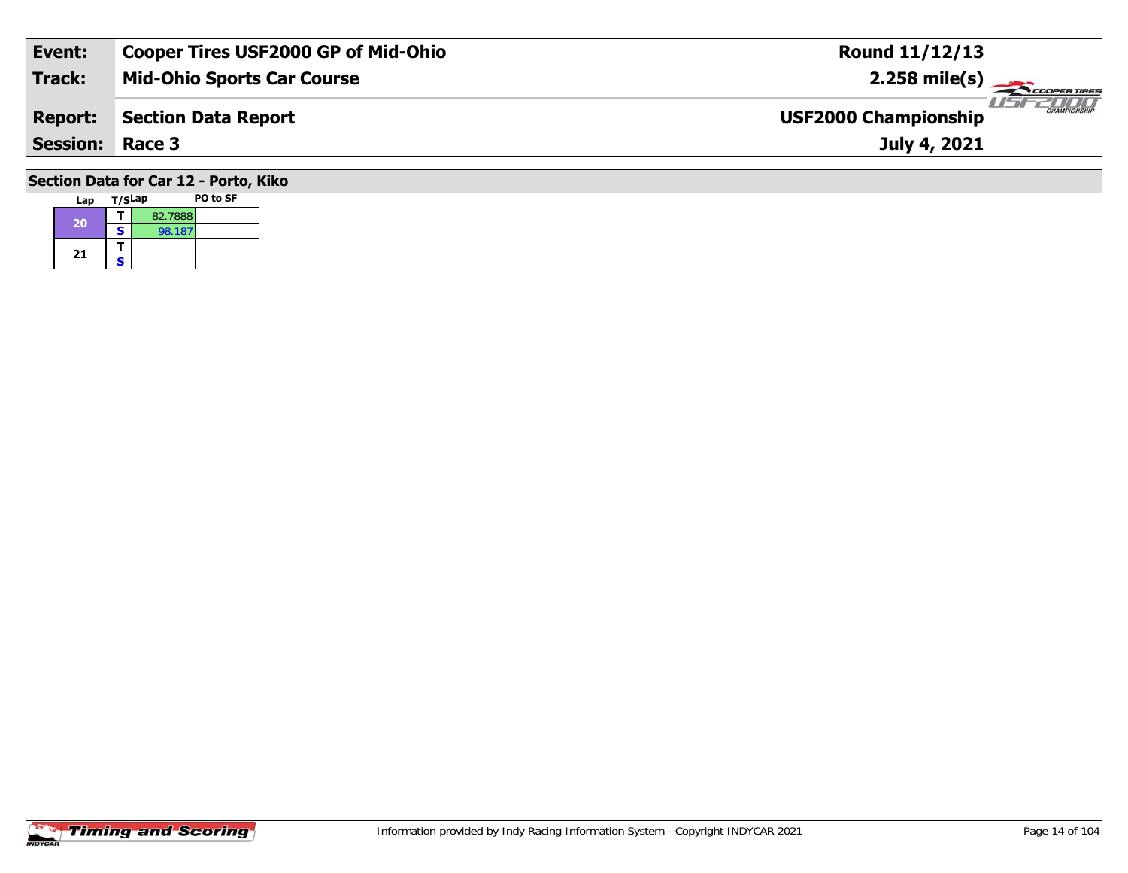| Event:                                | <b>Cooper Tires USF2000 GP of Mid-Ohio</b> | <b>Round 11/12/13</b>                              |  |  |  |  |  |  |  |  |  |
|---------------------------------------|--------------------------------------------|----------------------------------------------------|--|--|--|--|--|--|--|--|--|
| <b>Track:</b>                         | <b>Mid-Ohio Sports Car Course</b>          | $2.258$ mile(s)                                    |  |  |  |  |  |  |  |  |  |
| <b>Report:</b>                        | <b>Section Data Report</b>                 | <b>CHAMPIONSHIP</b><br><b>USF2000 Championship</b> |  |  |  |  |  |  |  |  |  |
| <b>Session: Race 3</b>                |                                            | July 4, 2021                                       |  |  |  |  |  |  |  |  |  |
| Section Data for Car 12 - Porto, Kiko |                                            |                                                    |  |  |  |  |  |  |  |  |  |

#### **Lap T/SLap PO to SF 20d T** 82.7888<br>**S** 98.187 21  $\frac{1}{s}$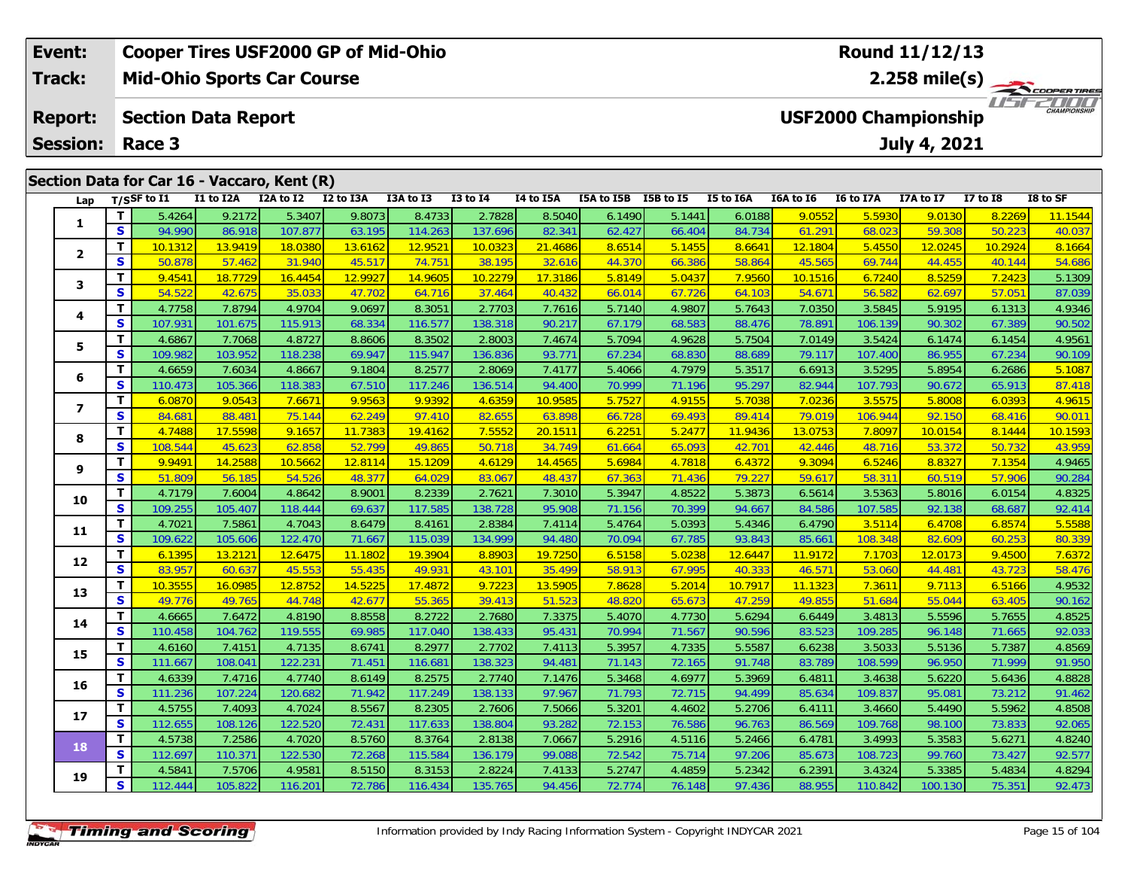| <b>Cooper Tires USF2000 GP of Mid-Ohio</b><br>Event: |          |                            |           |                                             |           |                |              |           |            | <b>Round 11/12/13</b>          |           |           |           |                             |                 |                     |  |  |
|------------------------------------------------------|----------|----------------------------|-----------|---------------------------------------------|-----------|----------------|--------------|-----------|------------|--------------------------------|-----------|-----------|-----------|-----------------------------|-----------------|---------------------|--|--|
| Track:                                               |          |                            |           | <b>Mid-Ohio Sports Car Course</b>           |           |                |              |           |            | $2.258$ mile(s)<br>COOPERTIRES |           |           |           |                             |                 |                     |  |  |
| <b>Report:</b>                                       |          | <b>Section Data Report</b> |           |                                             |           |                |              |           |            |                                |           |           |           | <b>USF2000 Championship</b> |                 | <b>CHAMPIONSHIP</b> |  |  |
| <b>Session:</b>                                      |          | Race 3                     |           |                                             |           |                |              |           |            |                                |           |           |           | <b>July 4, 2021</b>         |                 |                     |  |  |
|                                                      |          |                            |           | Section Data for Car 16 - Vaccaro, Kent (R) |           |                |              |           |            |                                |           |           |           |                             |                 |                     |  |  |
| Lap                                                  |          | T/SSF to $I1$              | I1 to I2A | I2A to I2                                   | I2 to I3A | I3A to I3      | $I3$ to $I4$ | I4 to I5A | I5A to I5B | I5B to I5                      | I5 to I6A | I6A to I6 | I6 to I7A | I7A to I7                   | <b>I7 to I8</b> | I8 to SF            |  |  |
|                                                      |          | 5.4264                     | 9.2172    | 5.3407                                      | 9.8073    | 8.4733         | 2.7828       | 8.5040    | 6.1490     | 5.1441                         | 6.0188    | 9.0552    | 5.5930    | 9.0130                      | 8.2269          | 11.1544             |  |  |
|                                                      | <b>S</b> | 94.990                     | 86.918    | 107.877                                     | 63.195    | 114.263        | 137.696      | 82.341    | 62.427     | 66.404                         | 84.734    | 61.291    | 68.023    | 59.308                      | 50.223          | 40.037              |  |  |
|                                                      |          | 10.1312                    | 13.9419   | 18.0380                                     | 13.6162   | 12.9521        | 10.0323      | 21.4686   | 8.6514     | 5.1455                         | 8.6641    | 12.1804   | 5.4550    | 12.0245                     | 10.2924         | 8.1664              |  |  |
| $\overline{\mathbf{2}}$                              | <b>S</b> | 50.878                     | 57.462    | 31.940                                      | 45.517    | <b>74.7511</b> | 38.195       | 32.616    | 44.370     | 66.386                         | 58.864    | 45.565    | 69.744    | 44.455                      | 40.144          | 54.686              |  |  |

| 3  | T.           | 9.4541  | <u>18.7729</u> | <u>16.4454</u> | <u>12.9927</u> | 14.9605 | <u>10.2279</u> | <b>17.3186</b> | 5.8149 | 5.0437 | 7.9560  | 10.1516 | 6.7240  | 8.5259  | 7.2423 | 5.1309  |
|----|--------------|---------|----------------|----------------|----------------|---------|----------------|----------------|--------|--------|---------|---------|---------|---------|--------|---------|
|    | S            | 54.522  | 42.675         | 35.033         | 47.702         | 64.716  | 37.464         | 40.432         | 66.014 | 67.726 | 64.103  | 54.671  | 56.582  | 62.697  | 57.051 | 87.039  |
| 4  | T            | 4.7758  | 7.8794         | 4.9704         | 9.0697         | 8.3051  | 2.7703         | 7.7616         | 5.7140 | 4.9807 | 5.7643  | 7.0350  | 3.5845  | 5.9195  | 6.1313 | 4.9346  |
|    | S            | 107.931 | 101.675        | 115.913        | 68.334         | 116.577 | 138.318        | 90.217         | 67.179 | 68.583 | 88.476  | 78.891  | 106.139 | 90.302  | 67.389 | 90.502  |
| 5  | T            | 4.6867  | 7.7068         | 4.8727         | 8.8606         | 8.3502  | 2.8003         | 7.4674         | 5.7094 | 4.9628 | 5.7504  | 7.0149  | 3.5424  | 6.1474  | 6.1454 | 4.9561  |
|    | S            | 109.982 | 103.952        | 118.238        | 69.947         | 115.947 | 136.836        | 93.771         | 67.234 | 68.830 | 88.689  | 79.117  | 107.400 | 86.955  | 67.234 | 90.109  |
| 6  | т            | 4.6659  | 7.6034         | 4.8667         | 9.1804         | 8.2577  | 2.8069         | 7.4177         | 5.4066 | 4.7979 | 5.3517  | 6.6913  | 3.5295  | 5.8954  | 6.2686 | 5.1087  |
|    | S            | 110.473 | 105.366        | 118.383        | 67.510         | 117.246 | 136.514        | 94.400         | 70.999 | 71.196 | 95.297  | 82.944  | 107.793 | 90.672  | 65.913 | 87.418  |
| 7  | T            | 6.0870  | 9.0543         | 7.6671         | 9.9563         | 9.9392  | 4.6359         | 10.9585        | 5.7527 | 4.9155 | 5.7038  | 7.0236  | 3.5575  | 5.8008  | 6.0393 | 4.9615  |
|    | S            | 84.681  | 88.481         | 75.144         | 62.249         | 97.410  | 82.655         | 63.898         | 66.728 | 69.493 | 89.414  | 79.019  | 106.944 | 92.150  | 68.416 | 90.011  |
| 8  | T            | 4.7488  | 17.5598        | 9.1657         | 11.7383        | 19.4162 | 7.5552         | 20.1511        | 6.2251 | 5.2477 | 11.9436 | 13.0753 | 7.8097  | 10.0154 | 8.1444 | 10.1593 |
|    | S            | 108.544 | 45.623         | 62.858         | 52.799         | 49.865  | 50.718         | 34.749         | 61.664 | 65.093 | 42.701  | 42.446  | 48.716  | 53.372  | 50.732 | 43.959  |
| 9  | т            | 9.9491  | 14.2588        | 10.5662        | 12.8114        | 15.1209 | 4.6129         | 14.4565        | 5.6984 | 4.7818 | 6.4372  | 9.3094  | 6.5246  | 8.8327  | 7.1354 | 4.9465  |
|    | S            | 51.809  | 56.185         | 54.526         | 48.377         | 64.029  | 83.067         | 48.437         | 67.363 | 71.436 | 79.227  | 59.617  | 58.311  | 60.519  | 57.906 | 90.284  |
| 10 | T            | 4.7179  | 7.6004         | 4.8642         | 8.9001         | 8.2339  | 2.7621         | 7.3010         | 5.3947 | 4.8522 | 5.3873  | 6.5614  | 3.5363  | 5.8016  | 6.0154 | 4.8325  |
|    | $\mathbf{s}$ | 109.255 | 105.407        | 118.444        | 69.637         | 117.585 | 138.728        | 95.908         | 71.156 | 70.399 | 94.667  | 84.586  | 107.585 | 92.138  | 68.687 | 92.414  |
| 11 | T.           | 4.7021  | 7.5861         | 4.7043         | 8.6479         | 8.4161  | 2.8384         | 7.4114         | 5.4764 | 5.0393 | 5.4346  | 6.4790  | 3.5114  | 6.4708  | 6.8574 | 5.5588  |
|    | S            | 109.622 | 105.606        | 122.470        | 71.667         | 115.039 | 134.999        | 94.480         | 70.094 | 67.785 | 93.843  | 85.661  | 108.348 | 82.609  | 60.253 | 80.339  |
| 12 | T.           | 6.1395  | 13.2121        | 12.6475        | 11.1802        | 19.3904 | 8.8903         | 19.7250        | 6.5158 | 5.0238 | 12.6447 | 11.9172 | 7.1703  | 12.0173 | 9.4500 | 7.6372  |
|    | S            | 83.957  | 60.637         | 45.553         | 55.435         | 49.931  | 43.101         | 35.499         | 58.913 | 67.995 | 40.333  | 46.571  | 53.060  | 44.481  | 43.723 | 58.476  |
| 13 | T            | 10.3555 | 16.0985        | 12.8752        | 14.5225        | 17.4872 | 9.7223         | 13.5905        | 7.8628 | 5.2014 | 10.7917 | 11.1323 | 7.3611  | 9.7113  | 6.5166 | 4.9532  |
|    | $\mathbf{s}$ | 49.776  | 49.765         | 44.748         | 42.677         | 55.365  | 39.413         | 51.523         | 48.820 | 65.673 | 47.259  | 49.855  | 51.684  | 55.044  | 63.405 | 90.162  |
| 14 | т            | 4.6665  | 7.6472         | 4.8190         | 8.8558         | 8.2722  | 2.7680         | 7.3375         | 5.4070 | 4.7730 | 5.6294  | 6.6449  | 3.4813  | 5.5596  | 5.7655 | 4.8525  |
|    | S            | 110.458 | 104.762        | 119.555        | 69.985         | 117.040 | 138.433        | 95.431         | 70.994 | 71.567 | 90.596  | 83.523  | 109.285 | 96.148  | 71.665 | 92.033  |
| 15 | т            | 4.6160  | 7.4151         | 4.7135         | 8.6741         | 8.2977  | 2.7702         | 7.4113         | 5.3957 | 4.7335 | 5.5587  | 6.6238  | 3.5033  | 5.5136  | 5.7387 | 4.8569  |
|    | S            | 111.667 | 108.041        | 122.231        | 71.451         | 116.681 | 138.323        | 94.481         | 71.143 | 72.165 | 91.748  | 83.789  | 108.599 | 96.950  | 71.999 | 91.950  |
| 16 | T.           | 4.6339  | 7.4716         | 4.7740         | 8.6149         | 8.2575  | 2.7740         | 7.1476         | 5.3468 | 4.6977 | 5.3969  | 6.4811  | 3.4638  | 5.6220  | 5.6436 | 4.8828  |
|    | S            | 111.236 | 107.224        | 120.682        | 71.942         | 117.249 | 138.133        | 97.967         | 71.793 | 72.715 | 94.499  | 85.634  | 109.837 | 95.081  | 73.212 | 91.462  |
| 17 | T            | 4.5755  | 7.4093         | 4.7024         | 8.5567         | 8.2305  | 2.7606         | 7.5066         | 5.3201 | 4.4602 | 5.2706  | 6.4111  | 3.4660  | 5.4490  | 5.5962 | 4.8508  |
|    | S            | 112.655 | 108.126        | 122.520        | 72.431         | 117.633 | 138.804        | 93.282         | 72.153 | 76.586 | 96.763  | 86.569  | 109.768 | 98.100  | 73.833 | 92.065  |
| 18 | T            | 4.5738  | 7.2586         | 4.7020         | 8.5760         | 8.3764  | 2.8138         | 7.0667         | 5.2916 | 4.5116 | 5.2466  | 6.4781  | 3.4993  | 5.3583  | 5.6271 | 4.8240  |
|    | S            | 112.697 | 110.371        | 122.530        | 72.268         | 115.584 | 136.179        | 99.088         | 72.542 | 75.714 | 97.206  | 85.673  | 108.723 | 99.760  | 73.427 | 92.577  |
| 19 | Т            | 4.5841  | 7.5706         | 4.9581         | 8.5150         | 8.3153  | 2.8224         | 7.4133         | 5.2747 | 4.4859 | 5.2342  | 6.2391  | 3.4324  | 5.3385  | 5.4834 | 4.8294  |
|    | S.           | 112.444 | 105.822        | 116.201        | 72.786         | 116.434 | 135.765        | 94.456         | 72.774 | 76.148 | 97.436  | 88.955  | 110.842 | 100.130 | 75.351 | 92.473  |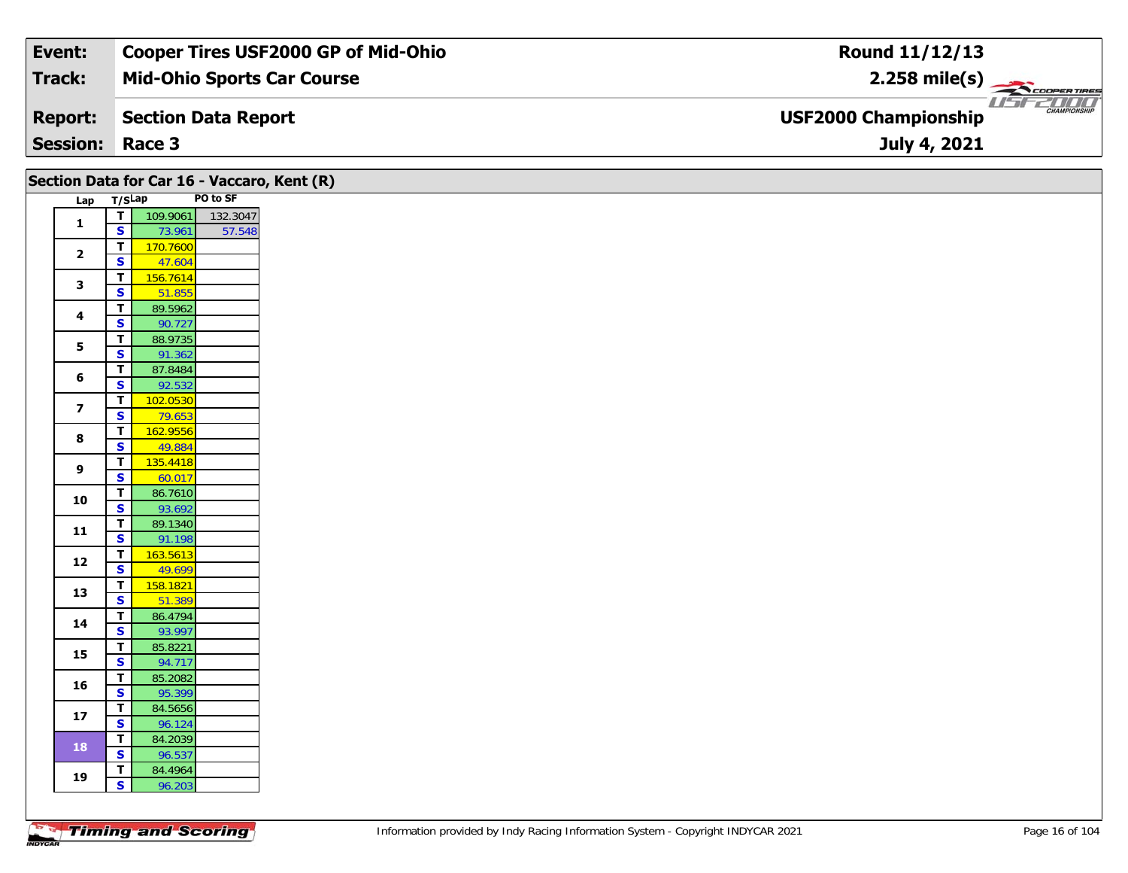| Event:          | Cooper Tires USF2000 GP of Mid-Ohio | Round 11/12/13                                                      |
|-----------------|-------------------------------------|---------------------------------------------------------------------|
| Track:          | <b>Mid-Ohio Sports Car Course</b>   | $2.258$ mile(s)                                                     |
| <b>Report:</b>  | Section Data Report                 | <b>ENTITY</b><br><b>CHAMPIONSHIP</b><br><b>USF2000 Championship</b> |
| <b>Session:</b> | Race 3                              | July 4, 2021                                                        |

| Section Data for Car 16 - Vaccaro, Kent (R) |                         |          |          |
|---------------------------------------------|-------------------------|----------|----------|
| Lap T/SLap                                  |                         |          | PO to SF |
|                                             | ⊤।                      | 109.9061 | 132.3047 |
| $\mathbf{1}$                                | $\mathbf{s}$            | 73.961   | 57.548   |
|                                             | T                       | 170.7600 |          |
| $\mathbf{2}$                                | $\overline{\mathbf{s}}$ | 47.604   |          |
|                                             | $\mathbf{T}$            | 156.7614 |          |
| $\mathbf{3}$                                | $\overline{\mathbf{s}}$ | 51.855   |          |
|                                             | $\mathbf{T}$            | 89.5962  |          |
| $\overline{\mathbf{4}}$                     | $\overline{\mathbf{s}}$ | 90.727   |          |
| 5                                           | $\mathbf T$             | 88.9735  |          |
|                                             | $\overline{\mathbf{s}}$ | 91.362   |          |
| 6                                           | $\overline{\mathbf{T}}$ | 87.8484  |          |
|                                             | $\overline{\mathbf{s}}$ | 92.532   |          |
| $\overline{\mathbf{z}}$                     | $\mathbf T$             | 102.0530 |          |
|                                             | $\mathbf{s}$            | 79.653   |          |
| 8                                           | $\overline{\mathsf{T}}$ | 162.9556 |          |
|                                             | $\overline{\mathbf{s}}$ | 49.884   |          |
| 9                                           | $\mathbf T$             | 135.4418 |          |
|                                             | $\overline{\mathbf{s}}$ | 60.017   |          |
| 10                                          | $\overline{\mathbf{r}}$ | 86.7610  |          |
|                                             | $\overline{\mathbf{s}}$ | 93.692   |          |
| ${\bf 11}$                                  | $\mathbf T$             | 89.1340  |          |
|                                             | $\overline{\mathbf{s}}$ | 91.198   |          |
| 12                                          | $\mathbf{T}$            | 163.5613 |          |
|                                             | $\overline{\mathbf{s}}$ | 49.699   |          |
| 13                                          | $\overline{\mathbf{T}}$ | 158.1821 |          |
|                                             | $\overline{\mathbf{s}}$ | 51.389   |          |
| 14                                          | T                       | 86.4794  |          |
|                                             | $\overline{\mathbf{s}}$ | 93.997   |          |
| 15                                          | $\overline{\mathbf{r}}$ | 85.8221  |          |
|                                             | $\overline{\mathbf{s}}$ | 94.717   |          |
| 16                                          | $\mathbf{T}$            | 85.2082  |          |
|                                             | $\mathbf{s}$            | 95.399   |          |
| $17$                                        | $\overline{\mathbf{r}}$ | 84.5656  |          |
|                                             | $\overline{\mathbf{s}}$ | 96.124   |          |
| 18                                          | $\mathbf T$             | 84.2039  |          |
|                                             | $\mathbf{s}$            | 96.537   |          |
| 19                                          | $\mathbf{T}$            | 84.4964  |          |
|                                             | $\mathsf{s}$            | 96.203   |          |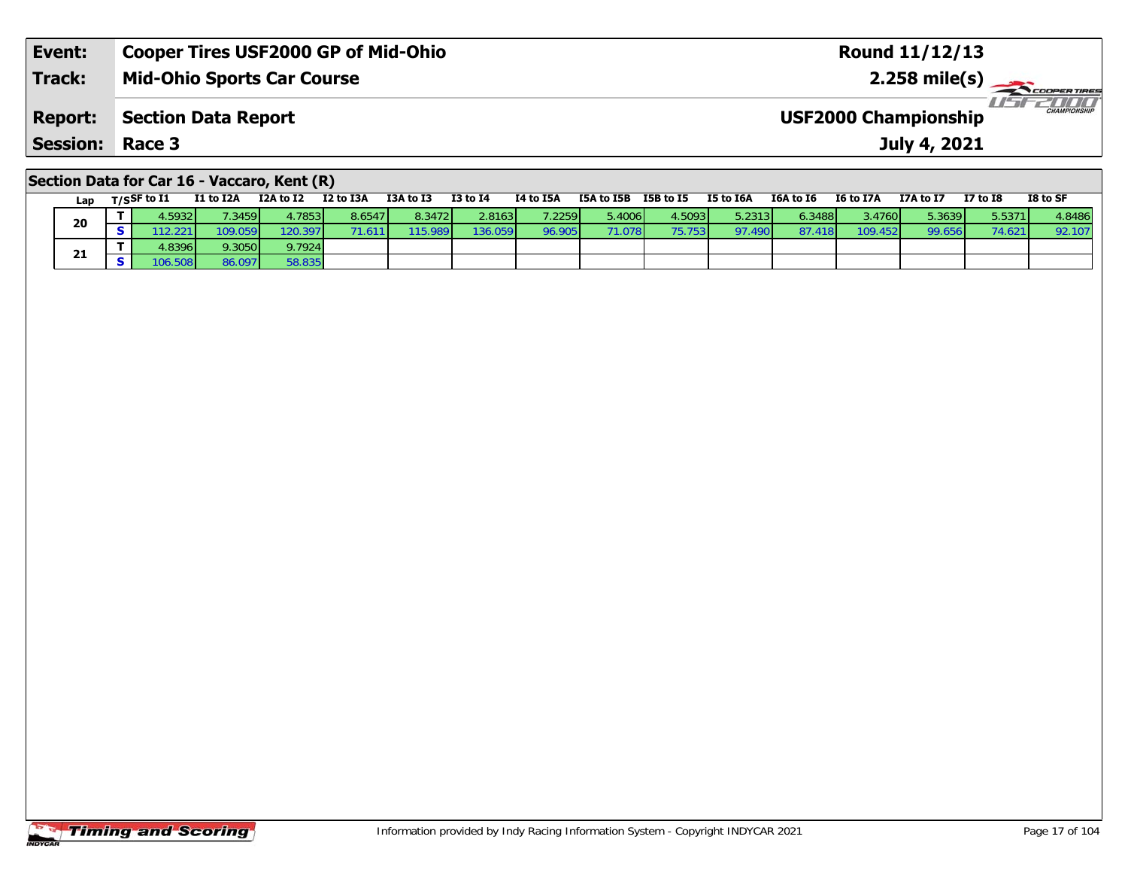| Event:         | <b>Cooper Tires USF2000 GP of Mid-Ohio</b> | <b>Round 11/12/13</b>                              |
|----------------|--------------------------------------------|----------------------------------------------------|
| <b>Track:</b>  | <b>Mid-Ohio Sports Car Course</b>          | $2.258 \text{ mile(s)}$                            |
| <b>Report:</b> | Section Data Report                        | <b>CHAMPIONSHIP</b><br><b>USF2000 Championship</b> |
| Session:       | Race 3                                     | July 4, 2021                                       |
|                |                                            |                                                    |

#### **Section Data for Car 16 - Vaccaro, Kent (R)**

| Lap | T/SSF to I1     | I1 to I2A | I2A to I2 | I2 to I3A | I3A to I3        | <b>I3 to I4</b> | I4 to I5A       | I5A to I5B      | I5B to I5 | I5 to I6A | I6A to I6 | I6 to I7A | I7A to I7 | <b>I7 to I8</b> | I8 to SF |
|-----|-----------------|-----------|-----------|-----------|------------------|-----------------|-----------------|-----------------|-----------|-----------|-----------|-----------|-----------|-----------------|----------|
| 20  | .5932           | 7.3459    | 4.7853    | 8.6547    | 8.3472           | 2.8163          | 7.2259 <b>1</b> | 5.4006          | 4.5093    | 5.2313    | 6.3488    | 3.4760    | 5.3639    | 5.5371          | 4.8486   |
|     | .221            | 109.059   | 20.397    |           | 115.989 <b>1</b> | 136.059         | 96.905          | 71.078 <b>1</b> | 75.753    | 97.490    | 87.4      | 109.452   | 99.656    | 74.62           | 92.107   |
| 21  | 4.8396 <b>1</b> | 9.3050    | 9.7924    |           |                  |                 |                 |                 |           |           |           |           |           |                 |          |
|     | 06.508          | 86.097    | 58.835    |           |                  |                 |                 |                 |           |           |           |           |           |                 |          |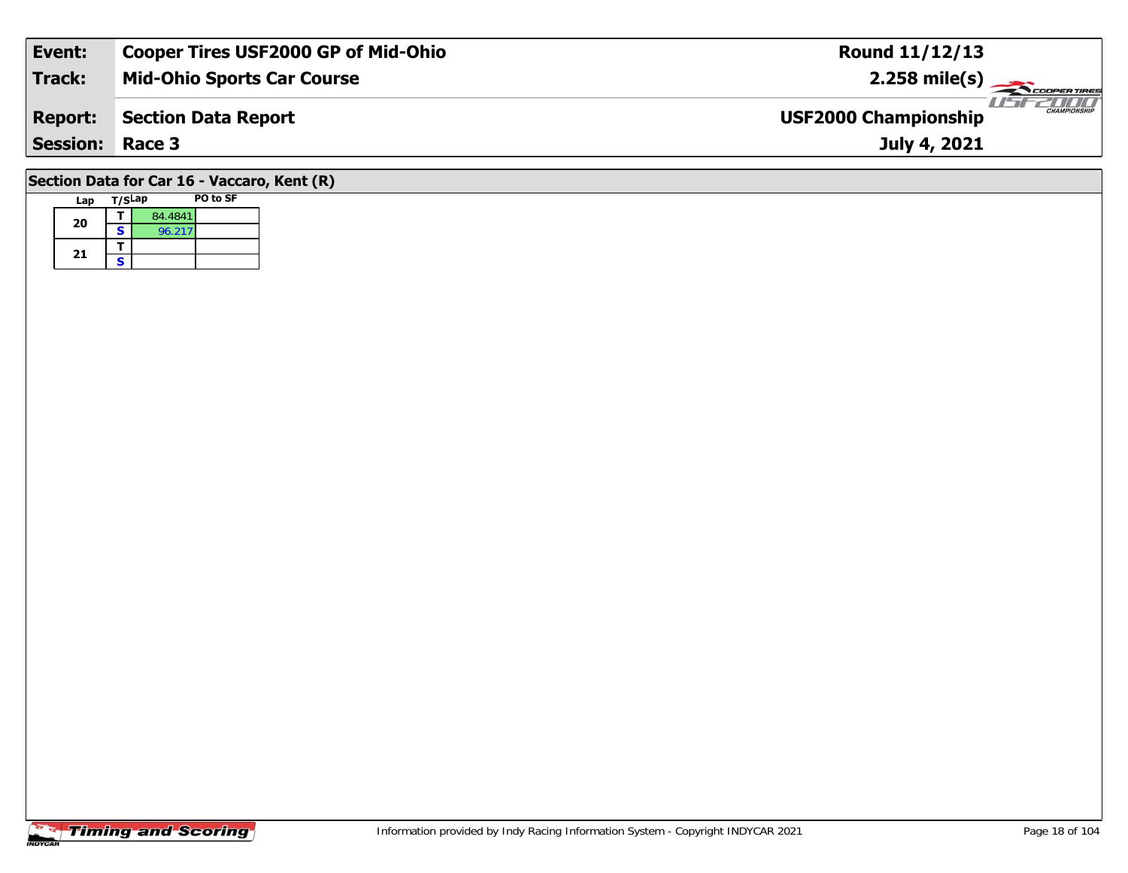| Event:                                      | <b>Cooper Tires USF2000 GP of Mid-Ohio</b> | <b>Round 11/12/13</b>                              |  |  |  |  |  |  |  |  |  |
|---------------------------------------------|--------------------------------------------|----------------------------------------------------|--|--|--|--|--|--|--|--|--|
| Track:                                      | <b>Mid-Ohio Sports Car Course</b>          | $2.258$ mile(s)                                    |  |  |  |  |  |  |  |  |  |
| <b>Report:</b>                              | Section Data Report                        | <b>CHAMPIONSHIP</b><br><b>USF2000 Championship</b> |  |  |  |  |  |  |  |  |  |
| <b>Session: Race 3</b>                      |                                            | July 4, 2021                                       |  |  |  |  |  |  |  |  |  |
| Section Data for Car 16 - Vaccaro, Kent (R) |                                            |                                                    |  |  |  |  |  |  |  |  |  |

### Lap T/S<sup>Lap</sup> PO to SF **20a**  $\begin{array}{|c|c|c|}\n\hline\n\textbf{S} & \textbf{84.4841} \\
\hline\n\textbf{S} & \textbf{96.217}\n\hline\n\end{array}$ 21  $\frac{1}{s}$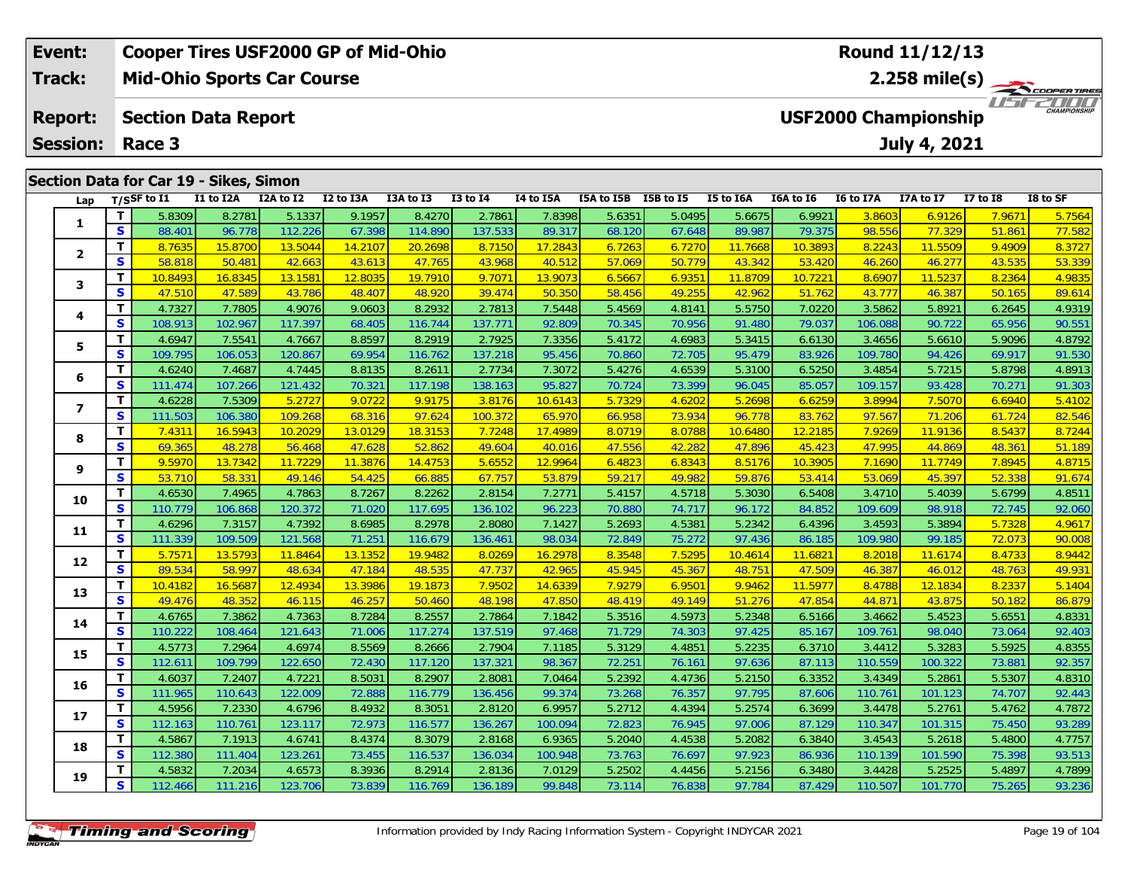| Event:         |                 |                                        | <b>Cooper Tires USF2000 GP of Mid-Ohio</b> |           |           |           |                 |           | <b>Round 11/12/13</b> |           |                  |           |                             |                  |            |                             |
|----------------|-----------------|----------------------------------------|--------------------------------------------|-----------|-----------|-----------|-----------------|-----------|-----------------------|-----------|------------------|-----------|-----------------------------|------------------|------------|-----------------------------|
| Track:         |                 |                                        | <b>Mid-Ohio Sports Car Course</b>          |           |           |           |                 |           |                       |           |                  |           |                             |                  |            |                             |
| <b>Report:</b> |                 |                                        | <b>Section Data Report</b>                 |           |           |           |                 |           |                       |           |                  |           | <b>USF2000 Championship</b> |                  |            | 2000<br><b>CHAMPIONSHIP</b> |
|                | <b>Session:</b> | Race 3                                 |                                            |           |           |           |                 |           | July 4, 2021          |           |                  |           |                             |                  |            |                             |
|                |                 |                                        |                                            |           |           |           |                 |           |                       |           |                  |           |                             |                  |            |                             |
|                |                 | Section Data for Car 19 - Sikes, Simon |                                            |           |           |           |                 |           |                       |           |                  |           |                             |                  |            |                             |
|                | Lap             | T/SSF to I1                            | I1 to I2A                                  | I2A to I2 | I2 to I3A | I3A to I3 | <b>I3 to I4</b> | I4 to I5A | I5A to I5B            | I5B to I5 | <b>I5 to I6A</b> | I6A to I6 | <b>I6 to I7A</b>            | <b>I7A to I7</b> | I7 to $I8$ | I8 to SF                    |
|                |                 | ΤI<br>58309                            | 8 2781 L                                   | 51337     | 91957     | 8.4270L   | 27861           | 78398     | 5 6351                | 5.0495    | 5.6675           | 69921     | 3.8603                      | 69126            | 7 9671     | 5 7564                      |

| Lap                     |              | $T/S$ SF to I1 | I1 to I2A | I2A to I2 | I2 to I3A | I3A to I3 | <b>I3 to I4</b> | I4 to I5A | I5A to I5B I5B to I5 |        | I5 to I6A | I6A to I6 | I6 to I7A | I7A to I7 | $I7$ to $I8$ | I8 to SF |
|-------------------------|--------------|----------------|-----------|-----------|-----------|-----------|-----------------|-----------|----------------------|--------|-----------|-----------|-----------|-----------|--------------|----------|
| 1                       | т            | 5.8309         | 8.2781    | 5.1337    | 9.1957    | 8.4270    | 2.7861          | 7.8398    | 5.6351               | 5.0495 | 5.6675    | 6.9921    | 3.8603    | 6.9126    | 7.9671       | 5.7564   |
|                         | S            | 88.401         | 96.778    | 112.226   | 67.398    | 114.890   | 137.533         | 89.317    | 68.120               | 67.648 | 89.987    | 79.375    | 98.556    | 77.329    | 51.861       | 77.582   |
| $\overline{\mathbf{2}}$ | т            | 8.7635         | 15.8700   | 13.5044   | 14.2107   | 20.2698   | 8.7150          | 17.2843   | 6.7263               | 6.7270 | 11.7668   | 10.3893   | 8.2243    | 11.5509   | 9.4909       | 8.3727   |
|                         | S            | 58.818         | 50.481    | 42.663    | 43.613    | 47.765    | 43.968          | 40.512    | 57.069               | 50.779 | 43.342    | 53.420    | 46.260    | 46.277    | 43.535       | 53.339   |
| 3                       | т            | 10.8493        | 16.8345   | 13.1581   | 12.8035   | 19.7910   | 9.7071          | 13.9073   | 6.5667               | 6.9351 | 11.8709   | 10.7221   | 8.6907    | 11.5237   | 8.2364       | 4.9835   |
|                         | S            | 47.510         | 47.589    | 43.786    | 48.407    | 48.920    | 39.474          | 50.350    | 58.456               | 49.255 | 42.962    | 51.762    | 43.777    | 46.387    | 50.165       | 89.614   |
| 4                       | т            | 4.7327         | 7.7805    | 4.9076    | 9.0603    | 8.2932    | 2.7813          | 7.5448    | 5.4569               | 4.8141 | 5.5750    | 7.0220    | 3.5862    | 5.8921    | 6.2645       | 4.9319   |
|                         | S            | 108.913        | 102.967   | 117.397   | 68.405    | 116.744   | 137.771         | 92.809    | 70.345               | 70.956 | 91.480    | 79.037    | 106.088   | 90.722    | 65.956       | 90.551   |
| 5                       | T            | 4.6947         | 7.5541    | 4.7667    | 8.8597    | 8.2919    | 2.7925          | 7.3356    | 5.4172               | 4.6983 | 5.3415    | 6.6130    | 3.4656    | 5.6610    | 5.9096       | 4.8792   |
|                         | S            | 109.795        | 106.053   | 120.867   | 69.954    | 116.762   | 137.218         | 95.456    | 70.860               | 72.705 | 95.479    | 83.926    | 109.780   | 94.426    | 69.917       | 91.530   |
| 6                       | T            | 4.6240         | 7.4687    | 4.7445    | 8.8135    | 8.2611    | 2.7734          | 7.3072    | 5.4276               | 4.6539 | 5.3100    | 6.5250    | 3.4854    | 5.7215    | 5.8798       | 4.8913   |
|                         | S            | 111.474        | 107.266   | 121.432   | 70.321    | 117.198   | 138.163         | 95.827    | 70.724               | 73.399 | 96.045    | 85.057    | 109.157   | 93.428    | 70.271       | 91.303   |
| $\overline{\mathbf{z}}$ | T            | 4.6228         | 7.5309    | 5.2727    | 9.0722    | 9.9175    | 3.8176          | 10.6143   | 5.7329               | 4.6202 | 5.2698    | 6.6259    | 3.8994    | 7.5070    | 6.6940       | 5.4102   |
|                         | $\mathbf{s}$ | 111.503        | 106.380   | 109.268   | 68.316    | 97.624    | 100.372         | 65.970    | 66.958               | 73.934 | 96.778    | 83.762    | 97.567    | 71.206    | 61.724       | 82.546   |
| 8                       | т            | 7.4311         | 16.5943   | 10.2029   | 13.0129   | 18.3153   | 7.7248          | 17.4989   | 8.0719               | 8.0788 | 10.6480   | 12.2185   | 7.9269    | 11.9136   | 8.5437       | 8.7244   |
|                         | S            | 69.365         | 48.278    | 56.468    | 47.628    | 52.862    | 49.604          | 40.016    | 47.556               | 42.282 | 47.896    | 45.423    | 47.995    | 44.869    | 48.361       | 51.189   |
| 9                       | T.           | 9.5970         | 13.7342   | 11.7229   | 11.3876   | 14.4753   | 5.6552          | 12.9964   | 6.4823               | 6.8343 | 8.5176    | 10.3905   | 7.1690    | 11.7749   | 7.8945       | 4.8715   |
|                         | S            | 53.710         | 58.331    | 49.146    | 54.425    | 66.885    | 67.757          | 53.879    | 59.217               | 49.982 | 59.876    | 53.414    | 53.069    | 45.397    | 52.338       | 91.674   |
| 10                      | т            | 4.6530         | 7.4965    | 4.7863    | 8.7267    | 8.2262    | 2.8154          | 7.2771    | 5.4157               | 4.5718 | 5.3030    | 6.5408    | 3.4710    | 5.4039    | 5.6799       | 4.8511   |
|                         | S            | 110.779        | 106.868   | 120.372   | 71.020    | 117.695   | 136.102         | 96.223    | 70.880               | 74.717 | 96.172    | 84.852    | 109.609   | 98.918    | 72.745       | 92.060   |
| 11                      | т            | 4.6296         | 7.3157    | 4.7392    | 8.6985    | 8.2978    | 2.8080          | 7.1427    | 5.2693               | 4.5381 | 5.2342    | 6.4396    | 3.4593    | 5.3894    | 5.7328       | 4.9617   |
|                         | $\mathbf{s}$ | 111.339        | 109.509   | 121.568   | 71.251    | 116.679   | 136.461         | 98.034    | 72.849               | 75.272 | 97.436    | 86.185    | 109.980   | 99.185    | 72.073       | 90.008   |
| 12                      | T.           | 5.7571         | 13.5793   | 11.8464   | 13.1352   | 19.9482   | 8.0269          | 16.2978   | 8.3548               | 7.5295 | 10.4614   | 11.6821   | 8.2018    | 11.6174   | 8.4733       | 8.9442   |
|                         | S            | 89.534         | 58.997    | 48.634    | 47.184    | 48.535    | 47.737          | 42.965    | 45.945               | 45.367 | 48.751    | 47.509    | 46.387    | 46.012    | 48.763       | 49.931   |
| 13                      | т            | 10.4182        | 16.5687   | 12.4934   | 13.3986   | 19.1873   | 7.9502          | 14.6339   | 7.9279               | 6.9501 | 9.9462    | 11.5977   | 8.4788    | 12.1834   | 8.2337       | 5.1404   |
|                         | S            | 49.476         | 48.352    | 46.115    | 46.257    | 50.460    | 48.198          | 47.850    | 48.419               | 49.149 | 51.276    | 47.854    | 44.871    | 43.875    | 50.182       | 86.879   |
| 14                      | т            | 4.6765         | 7.3862    | 4.7363    | 8.7284    | 8.2557    | 2.7864          | 7.1842    | 5.3516               | 4.5973 | 5.2348    | 6.5166    | 3.4662    | 5.4523    | 5.6551       | 4.8331   |
|                         | $\mathbf{s}$ | 110.222        | 108.464   | 121.643   | 71.006    | 117.274   | 137.519         | 97.468    | 71.729               | 74.303 | 97.425    | 85.167    | 109.761   | 98.040    | 73.064       | 92.403   |
| 15                      | т            | 4.5773         | 7.2964    | 4.6974    | 8.5569    | 8.2666    | 2.7904          | 7.1185    | 5.3129               | 4.4851 | 5.2235    | 6.3710    | 3.4412    | 5.3283    | 5.5925       | 4.8355   |
|                         | $\mathbf{s}$ | 112.611        | 109.799   | 122.650   | 72.430    | 117.120   | 137.321         | 98.367    | 72.251               | 76.161 | 97.636    | 87.113    | 110.559   | 100.322   | 73.881       | 92.357   |
| 16                      | т            | 4.6037         | 7.2407    | 4.7221    | 8.5031    | 8.2907    | 2.8081          | 7.0464    | 5.2392               | 4.4736 | 5.2150    | 6.3352    | 3.4349    | 5.2861    | 5.5307       | 4.8310   |
|                         | S            | 111.965        | 110.643   | 122.009   | 72.888    | 116.779   | 136.456         | 99.374    | 73.268               | 76.357 | 97.795    | 87.606    | 110.761   | 101.123   | 74.707       | 92.443   |
| 17                      | т            | 4.5956         | 7.2330    | 4.6796    | 8.4932    | 8.3051    | 2.8120          | 6.9957    | 5.2712               | 4.4394 | 5.2574    | 6.3699    | 3.4478    | 5.2761    | 5.4762       | 4.7872   |
|                         | $\mathbf{s}$ | 112.163        | 110.761   | 123.117   | 72.973    | 116.577   | 136.267         | 100.094   | 72.823               | 76.945 | 97.006    | 87.129    | 110.347   | 101.315   | 75.450       | 93.289   |
| 18                      | т            | 4.5867         | 7.1913    | 4.6741    | 8.4374    | 8.3079    | 2.8168          | 6.9365    | 5.2040               | 4.4538 | 5.2082    | 6.3840    | 3.4543    | 5.2618    | 5.4800       | 4.7757   |
|                         | S            | 112.380        | 111.404   | 123.261   | 73.455    | 116.537   | 136.034         | 100.948   | 73.763               | 76.697 | 97.923    | 86.936    | 110.139   | 101.590   | 75.398       | 93.513   |
| 19                      | т            | 4.5832         | 7.2034    | 4.6573    | 8.3936    | 8.2914    | 2.8136          | 7.0129    | 5.2502               | 4.4456 | 5.2156    | 6.3480    | 3.4428    | 5.2525    | 5.4897       | 4.7899   |
|                         | $\mathbf{s}$ | 112.466        | 111.216   | 123.706   | 73.839    | 116.769   | 136.189         | 99.848    | 73.114               | 76.838 | 97.784    | 87.429    | 110.507   | 101.770   | 75.265       | 93.236   |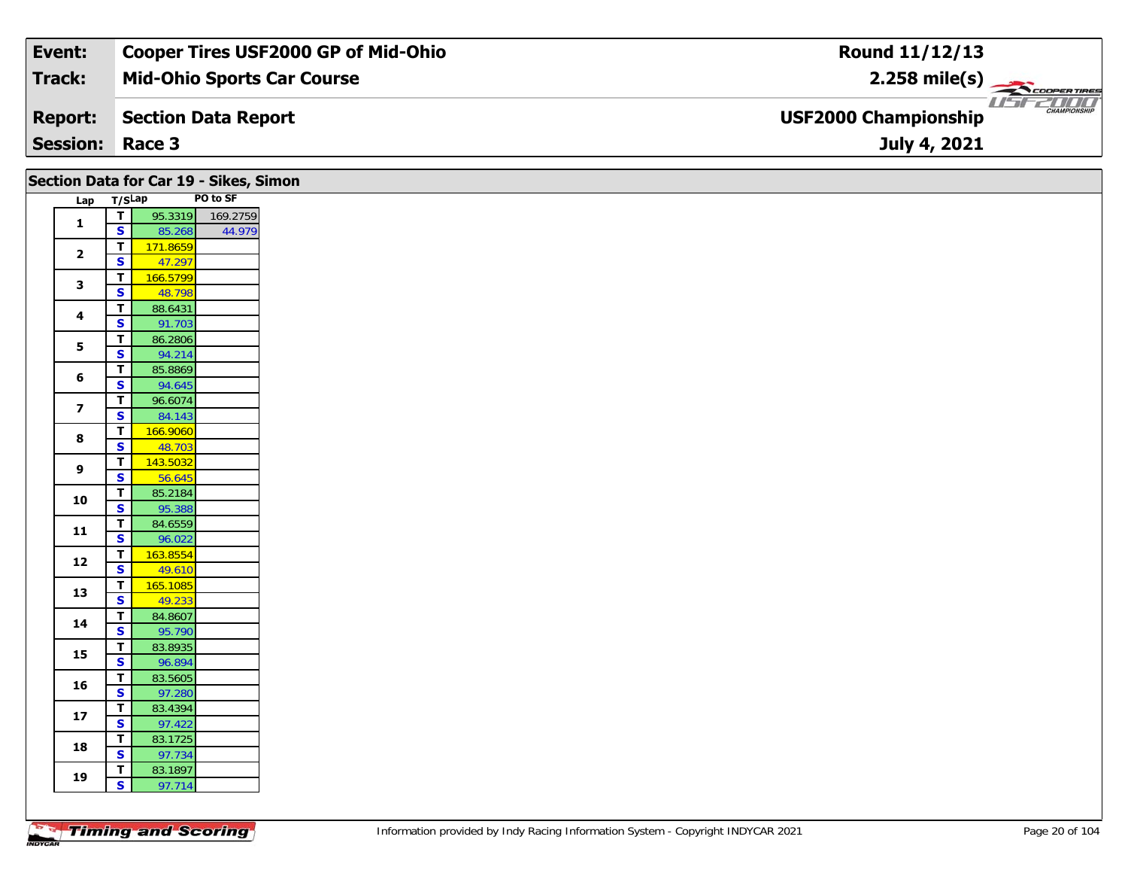| Event:                 | <b>Cooper Tires USF2000 GP of Mid-Ohio</b> | Round 11/12/13                                     |
|------------------------|--------------------------------------------|----------------------------------------------------|
| Track:                 | <b>Mid-Ohio Sports Car Course</b>          | $2.258$ mile(s)                                    |
| <b>Report:</b>         | Section Data Report                        | <b>CHAMPIONSHIP</b><br><b>USF2000 Championship</b> |
| <b>Session: Race 3</b> |                                            | July 4, 2021                                       |

| Section Data for Car 19 - Sikes, Simon |                         |                                         |                    |                  |  |  |  |  |  |
|----------------------------------------|-------------------------|-----------------------------------------|--------------------|------------------|--|--|--|--|--|
|                                        | Lap T/SLap              |                                         |                    | PO to SF         |  |  |  |  |  |
|                                        |                         | ⊤।                                      |                    | 95.3319 169.2759 |  |  |  |  |  |
|                                        | $\mathbf{1}$            | $\mathsf{s}$                            | 85.268             | 44.979           |  |  |  |  |  |
|                                        |                         | $\mathbf T$                             | 171.8659           |                  |  |  |  |  |  |
|                                        | $\overline{2}$          | $\mathbf{s}$                            | 47.297             |                  |  |  |  |  |  |
|                                        | $\mathbf{3}$            | $\overline{\mathsf{T}}$                 | 166.5799           |                  |  |  |  |  |  |
|                                        |                         | $\overline{\mathbf{s}}$                 | 48.798             |                  |  |  |  |  |  |
|                                        | 4                       | $\overline{\mathsf{r}}$                 | 88.6431            |                  |  |  |  |  |  |
|                                        |                         | $\mathbf{s}$                            | 91.703             |                  |  |  |  |  |  |
|                                        | 5                       | $\overline{\mathbf{T}}$                 | 86.2806            |                  |  |  |  |  |  |
|                                        |                         | S                                       | 94.214             |                  |  |  |  |  |  |
|                                        | 6                       | $\mathbf T$                             | 85.8869            |                  |  |  |  |  |  |
|                                        |                         | $\overline{\mathbf{s}}$                 | 94.645             |                  |  |  |  |  |  |
|                                        | $\overline{\mathbf{z}}$ | $\mathbf T$                             | 96.6074            |                  |  |  |  |  |  |
|                                        |                         | $\mathbf{s}$                            | 84.143             |                  |  |  |  |  |  |
|                                        | $\boldsymbol{8}$        | $\overline{\mathbf{T}}$                 | 166.9060           |                  |  |  |  |  |  |
|                                        |                         | $\mathbf{s}$                            | 48.703             |                  |  |  |  |  |  |
|                                        | 9                       | $\overline{\mathsf{r}}$                 | 143.5032           |                  |  |  |  |  |  |
|                                        |                         | $\mathbf{s}$                            | 56.645             |                  |  |  |  |  |  |
|                                        | 10                      | $\overline{\mathsf{T}}$                 | 85.2184            |                  |  |  |  |  |  |
|                                        |                         | $\overline{\mathbf{s}}$                 | 95.388             |                  |  |  |  |  |  |
|                                        | 11                      | $\mathbf{T}$                            | 84.6559            |                  |  |  |  |  |  |
|                                        |                         | $\overline{\mathbf{s}}$                 | 96.022             |                  |  |  |  |  |  |
|                                        | 12                      | $\overline{\mathsf{r}}$<br>$\mathbf{s}$ | 163.8554           |                  |  |  |  |  |  |
|                                        |                         | $\overline{\mathsf{T}}$                 | 49.610             |                  |  |  |  |  |  |
|                                        | 13                      | $\overline{\mathbf{s}}$                 | 165.1085<br>49.233 |                  |  |  |  |  |  |
|                                        |                         | $\overline{\mathsf{r}}$                 | 84.8607            |                  |  |  |  |  |  |
|                                        | 14                      | $\overline{\mathbf{s}}$                 | 95.790             |                  |  |  |  |  |  |
|                                        |                         | $\overline{1}$                          | 83.8935            |                  |  |  |  |  |  |
|                                        | 15                      | $\overline{\mathbf{s}}$                 | 96.894             |                  |  |  |  |  |  |
|                                        |                         | $\mathbf{T}$                            | 83.5605            |                  |  |  |  |  |  |
|                                        | 16                      | $\overline{\mathbf{s}}$                 | 97.280             |                  |  |  |  |  |  |
|                                        |                         | T                                       | 83.4394            |                  |  |  |  |  |  |
|                                        | 17                      | $\overline{\mathbf{s}}$                 | 97.422             |                  |  |  |  |  |  |
|                                        |                         | $\mathbf{T}$                            | 83.1725            |                  |  |  |  |  |  |
|                                        | 18                      | $\overline{\mathbf{s}}$                 | 97.734             |                  |  |  |  |  |  |
|                                        |                         | T.                                      | 83.1897            |                  |  |  |  |  |  |
|                                        | 19                      | $\overline{\mathbf{s}}$                 | 97.714             |                  |  |  |  |  |  |
|                                        |                         |                                         |                    |                  |  |  |  |  |  |

Τ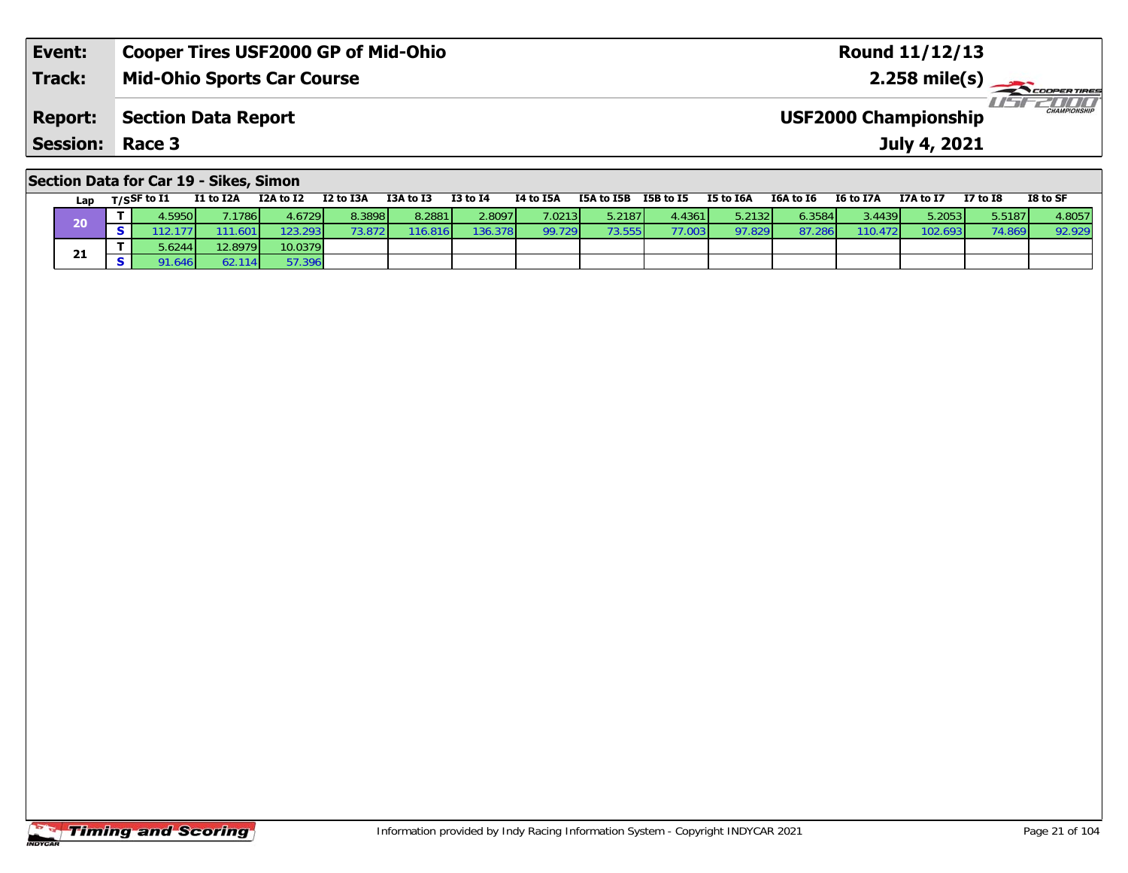| Event:          | Cooper Tires USF2000 GP of Mid-Ohio | <b>Round 11/12/13</b>                              |
|-----------------|-------------------------------------|----------------------------------------------------|
| <b>Track:</b>   | <b>Mid-Ohio Sports Car Course</b>   | $2.258$ mile(s)<br><b>COOPERTIRES</b>              |
| <b>Report:</b>  | Section Data Report                 | <b>CHAMPIONSHIP</b><br><b>USF2000 Championship</b> |
| <b>Session:</b> | Race 3                              | July 4, 2021                                       |
|                 |                                     |                                                    |

|  |  | Section Data for Car 19 - Sikes, Simon |
|--|--|----------------------------------------|
|--|--|----------------------------------------|

|    | Lap | T/SSF to I1 | I1 to I2A | I2A to I2 | I2 to I3A | I3A to I3 | $I3$ to $I4$ | I4 to I5A       | I5A to I5B | I5B to I5 | I5 to I6A | I6A to I6 | I6 to I7A | I7A to I7 | $I7$ to $I8$ | I8 to SF |
|----|-----|-------------|-----------|-----------|-----------|-----------|--------------|-----------------|------------|-----------|-----------|-----------|-----------|-----------|--------------|----------|
| 20 |     | 4.5950∦     | .1786     | 4.67291   | 8.3898    | 8.2881    | 2.80971      | 7.0213 <b>1</b> | 5.2187     | 4.4361    | 5.2132    | 6.3584    | 3.4439    | 5.2053    | 5.5187       | 4.8057   |
|    |     |             | .601      | 123.2931  |           | 16.816    | 136.378      | 99.729          | 73.555     | 77.003    | 97.829    | 87.28     | 110.472   | 102.693   | 74.8691      | 92.929   |
|    |     | 5.6244      | 12.8979   | 10.0379   |           |           |              |                 |            |           |           |           |           |           |              |          |
|    | 21  | 91.646      | 62.114    | 57.396    |           |           |              |                 |            |           |           |           |           |           |              |          |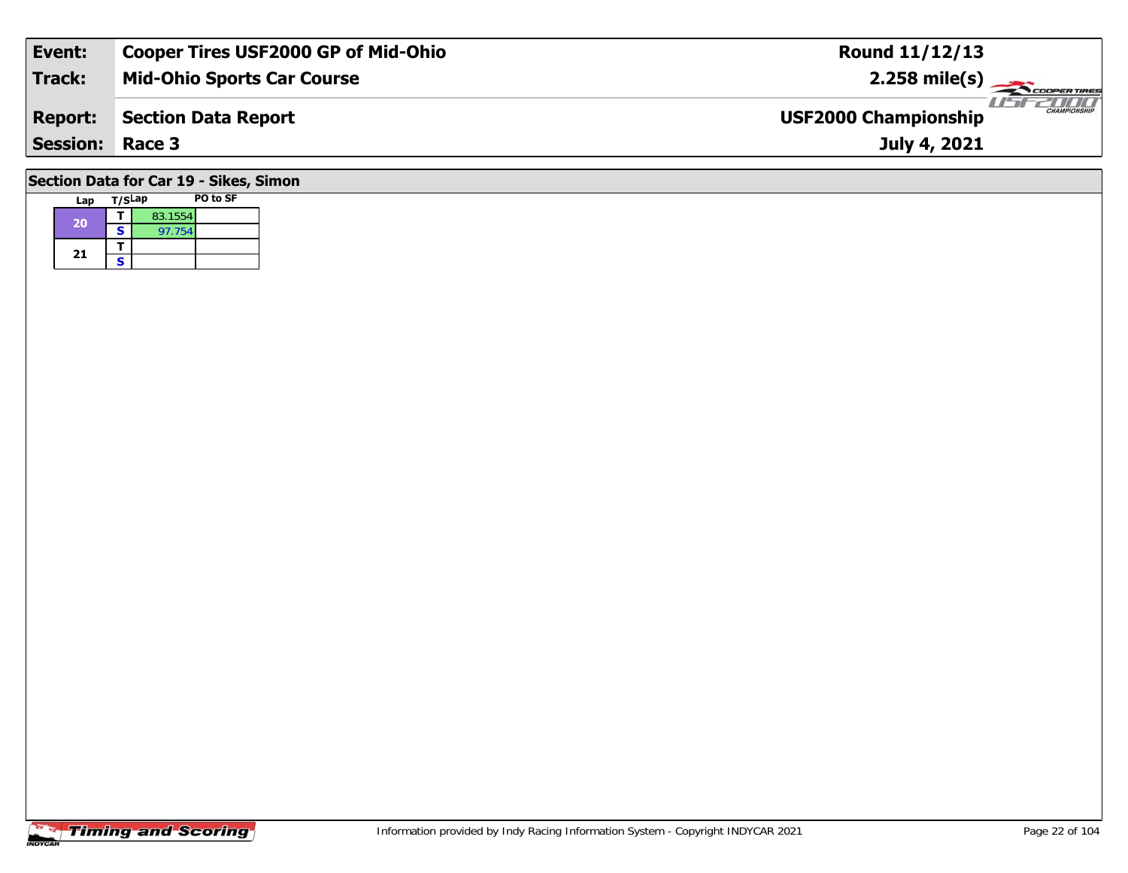| Event:                                 | <b>Cooper Tires USF2000 GP of Mid-Ohio</b> | <b>Round 11/12/13</b>                              |  |  |  |  |  |  |  |
|----------------------------------------|--------------------------------------------|----------------------------------------------------|--|--|--|--|--|--|--|
| Track:                                 | <b>Mid-Ohio Sports Car Course</b>          | $2.258$ mile(s)                                    |  |  |  |  |  |  |  |
| <b>Report:</b>                         | <b>Section Data Report</b>                 | <b>CHAMPIONSHIP</b><br><b>USF2000 Championship</b> |  |  |  |  |  |  |  |
|                                        | <b>Session: Race 3</b><br>July 4, 2021     |                                                    |  |  |  |  |  |  |  |
| Section Data for Car 19 - Sikes, Simon |                                            |                                                    |  |  |  |  |  |  |  |

#### **Lap T/SLap PO to SF 20d T** 83.1554<br>**S** 97.754 21  $\frac{1}{s}$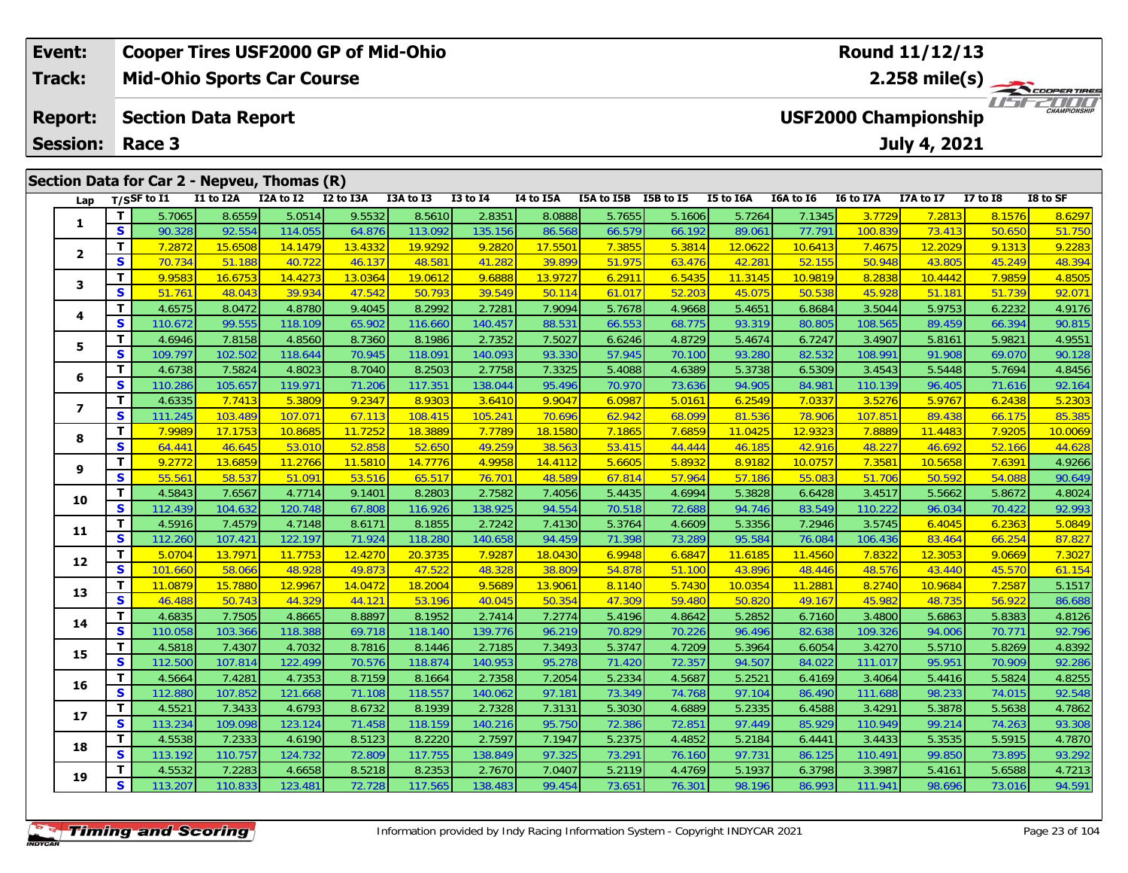| <b>Cooper Tires USF2000 GP of Mid-Ohio</b><br>Event: |          |                            |           |                                             |           |           |              |                      |            | Round 11/12/13                 |              |                                                    |                  |           |                 |          |
|------------------------------------------------------|----------|----------------------------|-----------|---------------------------------------------|-----------|-----------|--------------|----------------------|------------|--------------------------------|--------------|----------------------------------------------------|------------------|-----------|-----------------|----------|
| Track:<br><b>Mid-Ohio Sports Car Course</b>          |          |                            |           |                                             |           |           |              |                      |            | $2.258$ mile(s)<br>COOPERTIRES |              |                                                    |                  |           |                 |          |
| <b>Report:</b>                                       |          | <b>Section Data Report</b> |           |                                             |           |           |              |                      |            |                                |              | <b>CHAMPIONSHIP</b><br><b>USF2000 Championship</b> |                  |           |                 |          |
| <b>Session:</b>                                      |          | Race 3                     |           |                                             |           |           |              |                      |            |                                | July 4, 2021 |                                                    |                  |           |                 |          |
|                                                      |          |                            |           | Section Data for Car 2 - Nepveu, Thomas (R) |           |           |              |                      |            |                                |              |                                                    |                  |           |                 |          |
| Lap                                                  |          | $T/S$ SF to $I1$           | I1 to I2A | I2A to I2                                   | I2 to I3A | I3A to I3 | $I3$ to $I4$ | I4 to I5A            | I5A to I5B | I5B to I5                      | I5 to I6A    | I6A to I6                                          | <b>I6 to I7A</b> | I7A to I7 | <b>I7 to I8</b> | I8 to SF |
|                                                      |          | 5.7065                     | 8.6559    | 5.0514                                      | 9.5532    | 8.5610    | 2.8351       | 8.0888               | 5.7655     | 5.1606                         | 5.7264       | 7.1345                                             | 3.7729           | 7.2813    | 8.1576          | 8.6297   |
|                                                      | <b>S</b> | 90.328                     | 92.554    | 114.055                                     | 64.876    | 113.092   | 135.156      | 86.568               | 66.579     | 66.192                         | 89.061       | 77.791                                             | 100.839          | 73.413    | 50.650          | 51.750   |
|                                                      |          | 7.2872                     | 15.6508   | 14.1479                                     | 13.4332   | 19.9292   | 9.2820       | <mark>17.5501</mark> | 7.3855     | 5.3814                         | 12.062       | 10.6413                                            | 7.4675           | 12.2029   | 9.1313          | 9.2283   |

#### **2**2 | **T |** 7.2872 | 15.6508 | 14.1479 | 13.4332 | 19.9292 | 9.2820 | 17.5501 | 7.3855 | 5.3814 | 12.0622 | 10.6413 | 7.4675 | 12.2029 | 9.1313 | 9.2283<br>2 | S | 70.734 | 51.188 | 40.722 | 46.137 | 48.581 | 41.282 | 39.899 | **3**3 | **T |** 9.9583| 16.6753| 14.4273| 13.0364| 19.0612| 9.6888| 13.9727| 6.2911| 6.5435| 11.3145| 10.9819| 8.2838| 10.4442| 7.9859| 4.8505<br>| S | 51.761| 48.043| 39.934| 47.542| 50.793| 39.549| 50.114| 61.017| 52.203| 45.075| **4**4 T 4.6575 8.0472 4.8780 9.4045 8.2992 2.7281 7.9094 5.7678 4.9668 5.4651 6.8684 3.5044 5.9753 6.2232 4.9176<br>S 110.672 99.555 118.109 65.902 116.660 140.457 88.531 66.553 68.775 93.319 80.805 108.565 89.459 66.394 90.815 90.81 **5**5 1 4.6946 7.8158 4.8560 8.7360 8.1986 2.7352 7.5027 6.6246 4.8729 5.4674 6.7247 3.4907 5.8161 5.9821 4.9551<br>5 5 109.797 102.502 118.644 70.945 118.091 140.093 93.330 57.945 70.100 93.280 82.532 108.991 91.908 69.070 90.12 **6 <sup>T</sup>** 4.6738 7.5824 4.8023 8.7040 8.2503 2.7758 7.3325 5.4088 4.6389 5.3738 6.5309 3.4543 5.5448 5.7694 4.8456 **<sup>S</sup>** 110.286 105.657 119.971 71.206 117.351 138.044 95.496 70.970 73.636 94.905 84.981 110.139 96.405 71.616 92.164**7**7 | T | 4.6335 | 7.7413 | 5.3809 | 9.2347 | 8.9303 | 3.6410 | 9.9047 | 6.0987 | 5.0161 | 6.2549 | 7.0337 | 3.5276 | 5.9767 | 6.2438 | 5.2303<br>7 | S | 111.245 | 103.489 | 107.071 | 67.113 | 108.415 | 105.241 | 70.696 | 62.94 85.385 **8 <sup>T</sup>** 7.9989 17.1753 10.8685 11.7252 18.3889 7.7789 18.1580 7.1865 7.6859 11.0425 12.9323 7.8889 11.4483 7.9205 10.0069 **<sup>S</sup>** 64.441 46.645 53.010 52.858 52.650 49.259 38.563 53.415 44.444 46.185 42.916 48.227 46.692 52.166 44.628**9**4.9266 11.2766 11.2766 11.5810 14.7776 1.7776 1.9958 14.4112 5.6605 5.8932 8.9182 10.0757 7.3581 10.5658 7.6391 1.<br>S 55.561 58.537 51.091 53.516 65.517 76.701 48.589 67.814 57.964 57.186 55.083 51.706 50.592 54.088 90.649 90.649 **10**0 T 4.5843 7.6567 4.7714 9.1401 8.2803 2.7582 7.4056 5.4435 4.6994 5.3828 6.6428 3.4517 5.5662 5.8672 4.8024<br>S 112.439 104.632 120.748 67.808 116.926 138.925 94.554 70.518 72.688 94.746 83.549 110.222 96.034 70.422 92.993 **11 <sup>T</sup>** 4.5916 7.4579 4.7148 8.6171 8.1855 2.7242 7.4130 5.3764 4.6609 5.3356 7.2946 3.5745 6.4045 6.2363 5.0849 **<sup>S</sup>** 112.260 107.421 122.197 71.924 118.280 140.658 94.459 71.398 73.289 95.584 76.084 106.436 83.464 66.254 87.827**12**2 T 5.0704 13.7971 11.7753 12.4270 20.3735 7.9287 18.0430 6.9948 6.6847 11.6185 11.4560 7.8322 12.3053 9.0669 7.3027<br>2 S 101.660 58.066 48.928 49.873 47.522 48.328 38.809 54.878 51.100 43.896 48.446 48.576 43.440 45.570 61 **13**3 T 11.0879 15.7880 12.9967 14.0472 18.2004 9.5689 13.9061 8.1140 5.7430 10.0354 11.2881 8.2740 10.9684 7.2587 5.1517<br>S S 46.488 50.743 44.329 44.121 53.196 40.045 50.354 47.309 59.480 50.820 49.167 45.982 48.735 56.922 86 86.688 **14**4 T 4.6835 7.7505 4.8665 8.8897 8.1952 2.7414 7.2774 5.4196 4.8642 5.2852 6.7160 3.4800 5.6863 5.8383 4.8126<br>5 110.058 103.366 118.388 69.718 118.140 139.776 96.219 70.829 70.226 96.496 82.638 109.326 94.006 70.771 92.796 92.796 **15**5 T 4.5818 7.4307 4.7032 8.7816 8.1446 2.7185 7.3493 5.3747 4.7209 5.3964 6.6054 3.4270 5.5710 5.8269 4.8392<br>5 S 112.500 107.814 122.499 70.576 118.874 140.953 95.278 71.420 72.357 94.507 84.022 111.017 95.951 70.909 92.28 **16**6 T 4.5664 7.4281 4.7353 8.7159 8.1664 2.7358 7.2054 5.2334 4.5687 5.2521 6.4169 3.4064 5.4416 5.5824 4.8255<br>5 S 112.880 107.852 121.668 71.108 118.557 140.062 97.181 73.349 74.768 97.104 86.490 111.688 98.233 74.015 92 **17**7 T 4.5521 7.3433 4.6793 8.6732 8.1939 2.7328 7.3131 5.3030 4.6889 5.2335 6.4588 3.4291 5.3878 5.5638 4.7862<br>7 S 113.234 109.098 123.124 71.458 118.159 140.216 95.750 72.386 72.851 97.449 85.929 110.949 99.214 74.263 93.30 93.308 **18**8 T 4.5538 7.2333 4.6190 8.5123 8.2220 2.7597 7.1947 5.2375 4.4852 5.2184 6.4441 3.4433 5.3535 5.5915 4.7870<br>8 S 113.192 110.757 124.732 72.809 117.755 138.849 97.325 73.291 76.160 97.731 86.125 110.491 99.850 73.895 93.29 93.292 **19<sup>T</sup>** 4.5532 7.2283 4.6658 8.5218 8.2353 2.7670 7.0407 5.2119 4.4769 5.1937 6.3798 3.3987 5.4161 5.6588 4.7213 **<sup>S</sup>** 113.207 110.833 123.481 72.728 117.565 138.483 99.454 73.651 76.301 98.196 86.993 111.941 98.696 73.016 94.591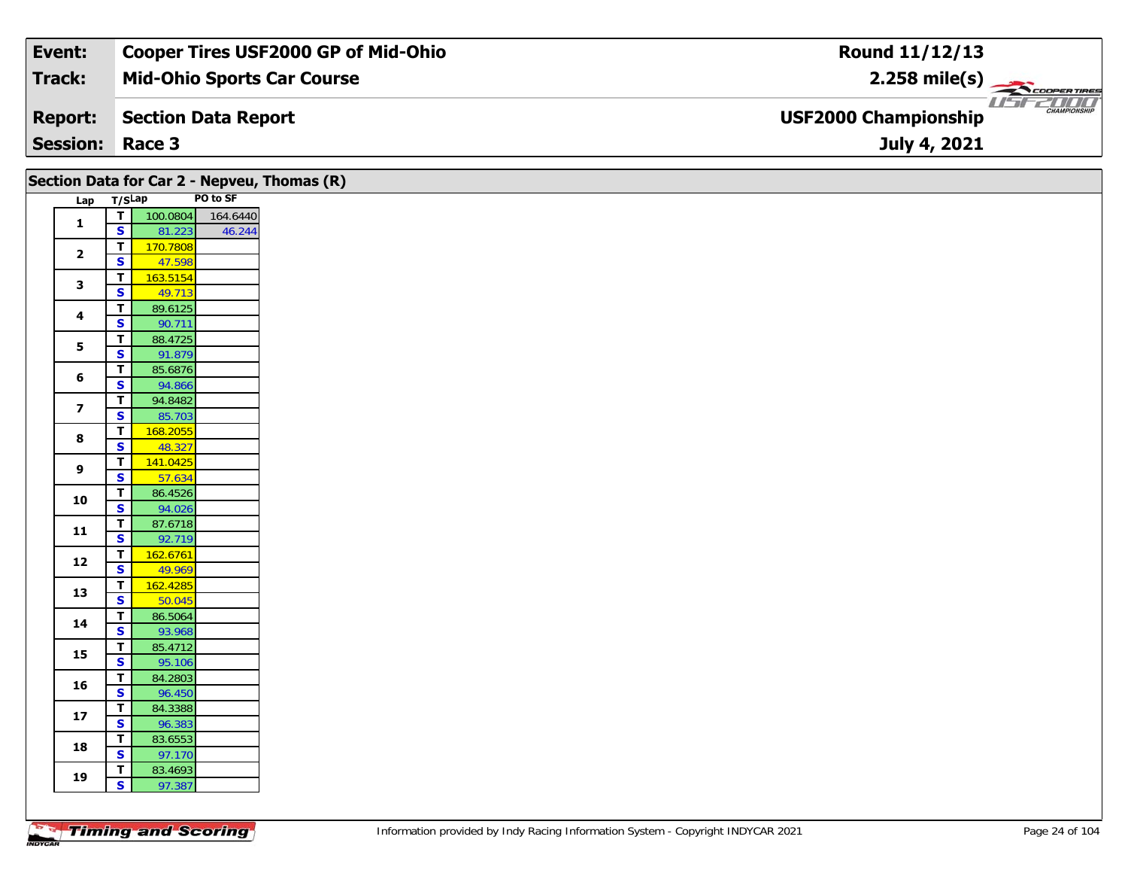| Event:                 | <b>Cooper Tires USF2000 GP of Mid-Ohio</b> | Round 11/12/13                                                       |
|------------------------|--------------------------------------------|----------------------------------------------------------------------|
| Track:                 | <b>Mid-Ohio Sports Car Course</b>          | $2.258$ mile(s)                                                      |
| <b>Report:</b>         | Section Data Report                        | <i>USF2DOO</i><br><b>CHAMPIONSHIP</b><br><b>USF2000 Championship</b> |
| <b>Session: Race 3</b> |                                            | July 4, 2021                                                         |

|                         |                                                    | Section Data for Car 2 - Nepveu, Thomas (R) |                   |
|-------------------------|----------------------------------------------------|---------------------------------------------|-------------------|
| Lap T/SLap              |                                                    |                                             | PO to SF          |
|                         | ᄀ                                                  |                                             | 100.0804 164.6440 |
| $\mathbf{1}$            | $\mathbf{s}$                                       | 81.223                                      | 46.244            |
| $\overline{\mathbf{2}}$ | T                                                  | 170.7808                                    |                   |
|                         | $\overline{\mathbf{s}}$                            | 47.598                                      |                   |
| $\mathbf{3}$            | $\mathbf{T}$                                       | 163.5154                                    |                   |
|                         | $\overline{\mathbf{s}}$                            | 49.713                                      |                   |
| 4                       | $\overline{t}$<br>$\overline{\mathbf{s}}$          | 89.6125<br>90.711                           |                   |
|                         | $\overline{\mathsf{r}}$                            | 88.4725                                     |                   |
| 5                       | $\overline{\mathbf{s}}$                            | 91.879                                      |                   |
|                         | $\mathbf T$                                        | 85.6876                                     |                   |
| $\bf 6$                 | $\mathbf{s}$                                       | 94.866                                      |                   |
| $\overline{\mathbf{z}}$ | $\mathbf T$                                        | 94.8482                                     |                   |
|                         | $\overline{\mathbf{s}}$                            | 85.703                                      |                   |
| $\bf8$                  | $\overline{\mathbf{T}}$                            | 168.2055                                    |                   |
|                         | $\overline{\mathbf{s}}$                            | 48.327                                      |                   |
| $\boldsymbol{9}$        | T<br>$\mathbf{s}$                                  | 141.0425<br>57.634                          |                   |
|                         | $\overline{\mathbf{I}}$                            | 86.4526                                     |                   |
| 10                      | $\overline{\mathbf{s}}$                            | 94.026                                      |                   |
|                         | $\mathbf T$                                        | 87.6718                                     |                   |
| $\mathbf{11}$           | $\overline{\mathbf{s}}$                            | 92.719                                      |                   |
|                         | T                                                  | 162.6761                                    |                   |
| $\bf{12}$               | $\mathbf{s}$                                       | 49.969                                      |                   |
| 13                      | $\overline{\mathsf{r}}$                            | 162.4285                                    |                   |
|                         | $\overline{\mathbf{s}}$                            | 50.045                                      |                   |
| 14                      | $\mathbf T$                                        | 86.5064                                     |                   |
|                         | $\overline{\mathbf{s}}$<br>$\overline{\mathsf{r}}$ | 93.968<br>85.4712                           |                   |
| 15                      | $\overline{\mathbf{s}}$                            | 95.106                                      |                   |
|                         | $\mathbf T$                                        | 84.2803                                     |                   |
| 16                      | $\mathbf{s}$                                       | 96.450                                      |                   |
|                         | $\mathbf{T}$                                       | 84.3388                                     |                   |
| ${\bf 17}$              | $\mathbf{s}$                                       | 96.383                                      |                   |
| 18                      | $\overline{\mathbf{T}}$                            | 83.6553                                     |                   |
|                         | $\overline{\mathbf{s}}$                            | 97.170                                      |                   |
| 19                      | $\mathbf T$                                        | 83.4693                                     |                   |
|                         | S                                                  | 97.387                                      |                   |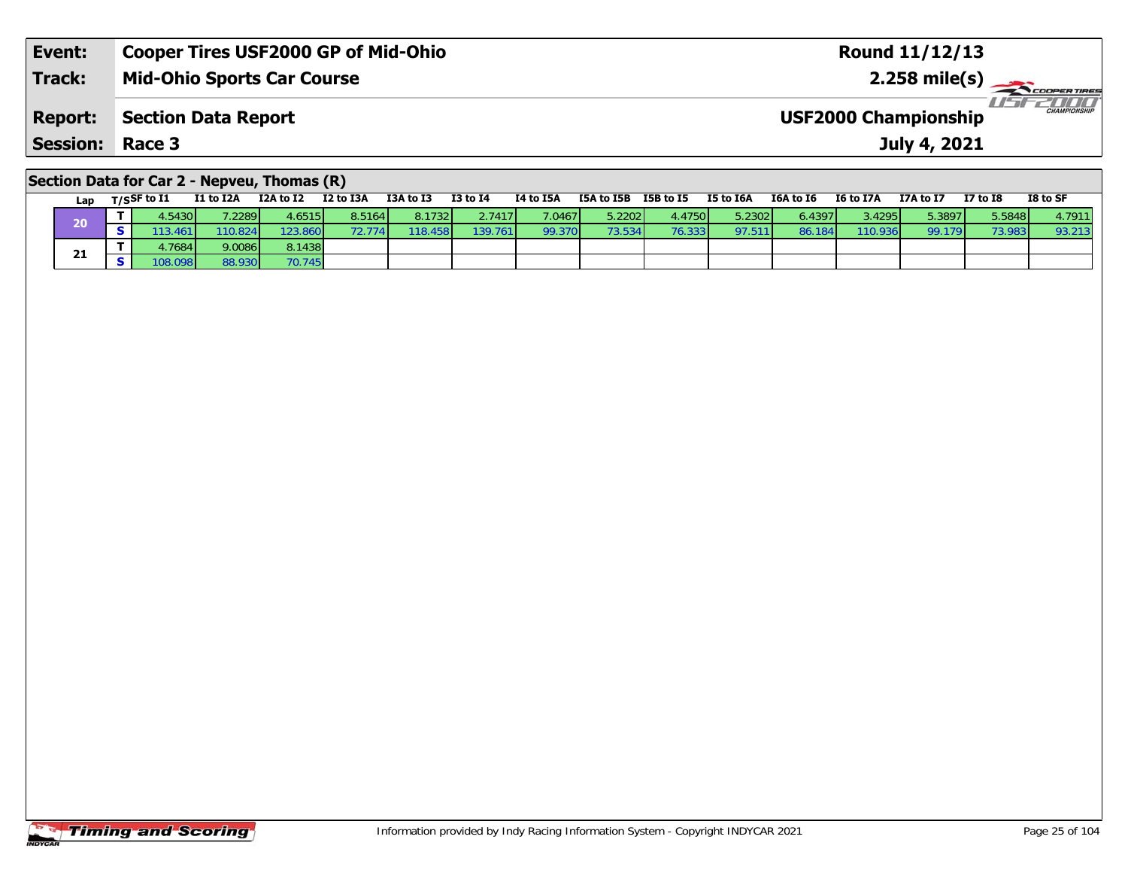| Event:          | <b>Cooper Tires USF2000 GP of Mid-Ohio</b> | <b>Round 11/12/13</b>                                  |
|-----------------|--------------------------------------------|--------------------------------------------------------|
| <b>Track:</b>   | <b>Mid-Ohio Sports Car Course</b>          | $2.258$ mile(s) $\leftarrow$                           |
| <b>Report:</b>  | Section Data Report                        | <b>THE CHAMPIONSHIP</b><br><b>USF2000 Championship</b> |
| <b>Session:</b> | Race 3                                     | July 4, 2021                                           |
|                 |                                            |                                                        |

#### **Section Data for Car 2 - Nepveu, Thomas (R)**

| Lap | $T/S$ SF to $I1$  | <b>I1 to I2A</b> | I2A to I2       | I2 to I3A | I3A to I3 | I3 to I4 | I4 to I5A | I5A to I5B      | I5B to I5 | I5 to I6A | I6A to I6 | I6 to I7A | I7A to I7 | <b>I7 to I8</b> | I8 to SF |
|-----|-------------------|------------------|-----------------|-----------|-----------|----------|-----------|-----------------|-----------|-----------|-----------|-----------|-----------|-----------------|----------|
| 20  | .5430             | 1.2289           | 4.6515 <b>1</b> | 8.5164    | 8.1732    | 2.7417   | 7.0467    | 5.2202 l        | 4.4750    | 5.23021   | 6.4397 L  | 3.4295    | 5.38971   | 5.5848          | 4.7911   |
|     | .461 <sup>′</sup> | '10.824          | 123.8601        |           | 18.458    | 139.761  | 99.370    | 73.534 <b>1</b> | 76.333    | 97.511    | 86.184    | 110.936   | 99.179    | 73.983          | 93.213   |
| 21  | .7684             | 9.0086           | 8.1438          |           |           |          |           |                 |           |           |           |           |           |                 |          |
|     | 108.0981          | 88.930           | 70.745          |           |           |          |           |                 |           |           |           |           |           |                 |          |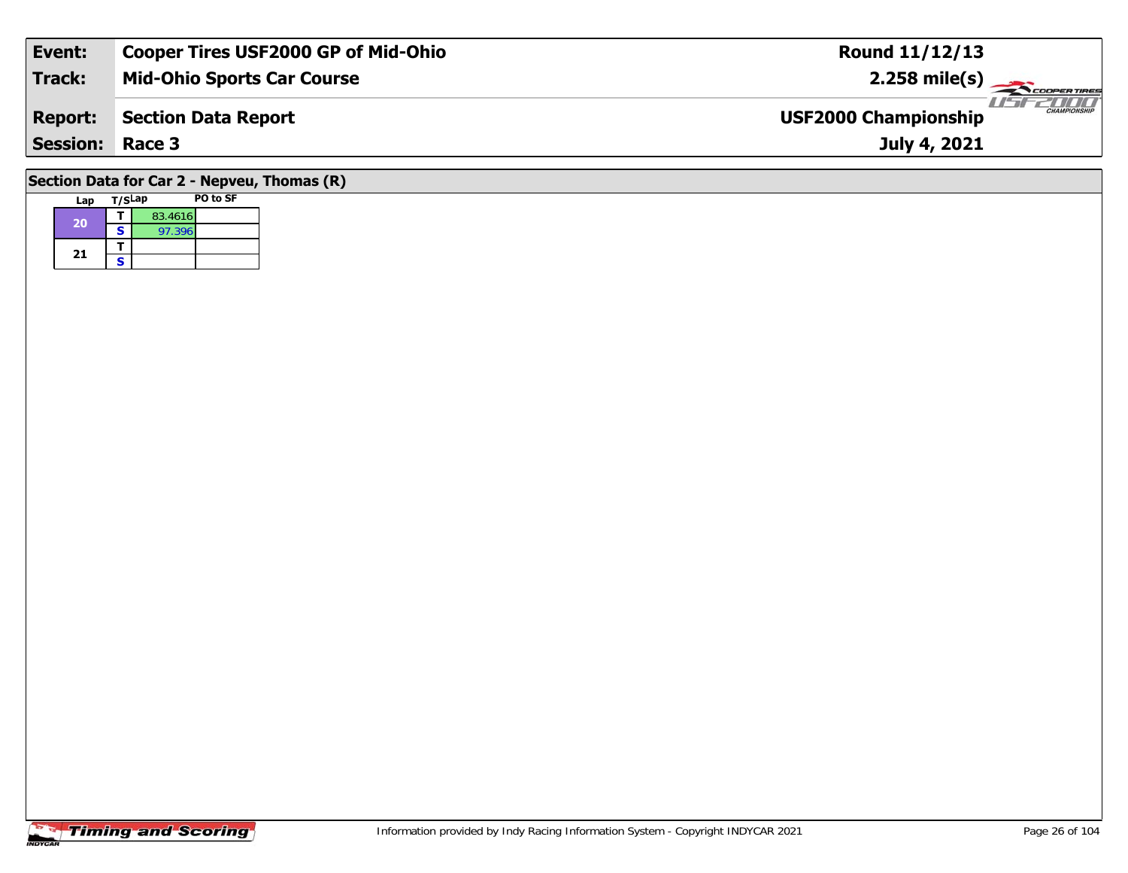| Event:                                                                                                                                                                                                                                                                                                                                              | <b>Cooper Tires USF2000 GP of Mid-Ohio</b> | <b>Round 11/12/13</b>                                        |  |  |  |  |  |  |  |
|-----------------------------------------------------------------------------------------------------------------------------------------------------------------------------------------------------------------------------------------------------------------------------------------------------------------------------------------------------|--------------------------------------------|--------------------------------------------------------------|--|--|--|--|--|--|--|
| Track:                                                                                                                                                                                                                                                                                                                                              | <b>Mid-Ohio Sports Car Course</b>          | $2.258 \text{ mile(s)}$                                      |  |  |  |  |  |  |  |
| <b>Report:</b>                                                                                                                                                                                                                                                                                                                                      | <b>Section Data Report</b>                 | 2000 T<br><b>CHAMPIONSHIP</b><br><b>USF2000 Championship</b> |  |  |  |  |  |  |  |
| <b>Session: Race 3</b>                                                                                                                                                                                                                                                                                                                              |                                            | July 4, 2021                                                 |  |  |  |  |  |  |  |
| $\overline{a}$ . $\overline{a}$ . $\overline{a}$ . $\overline{a}$ . $\overline{a}$ . $\overline{a}$ . $\overline{a}$ . $\overline{a}$ . $\overline{a}$ . $\overline{a}$ . $\overline{a}$ . $\overline{a}$ . $\overline{a}$ . $\overline{a}$ . $\overline{a}$ . $\overline{a}$ . $\overline{a}$ . $\overline{a}$ . $\overline{a}$ . $\overline{a}$ . |                                            |                                                              |  |  |  |  |  |  |  |

#### **Section Data for Car 2 - Nepveu, Thomas (R)**

| Lap | T/SLap |         | PO to SF |
|-----|--------|---------|----------|
| 20  |        | 83.4616 |          |
|     | S      | 97.396  |          |
| 21  |        |         |          |
|     | S      |         |          |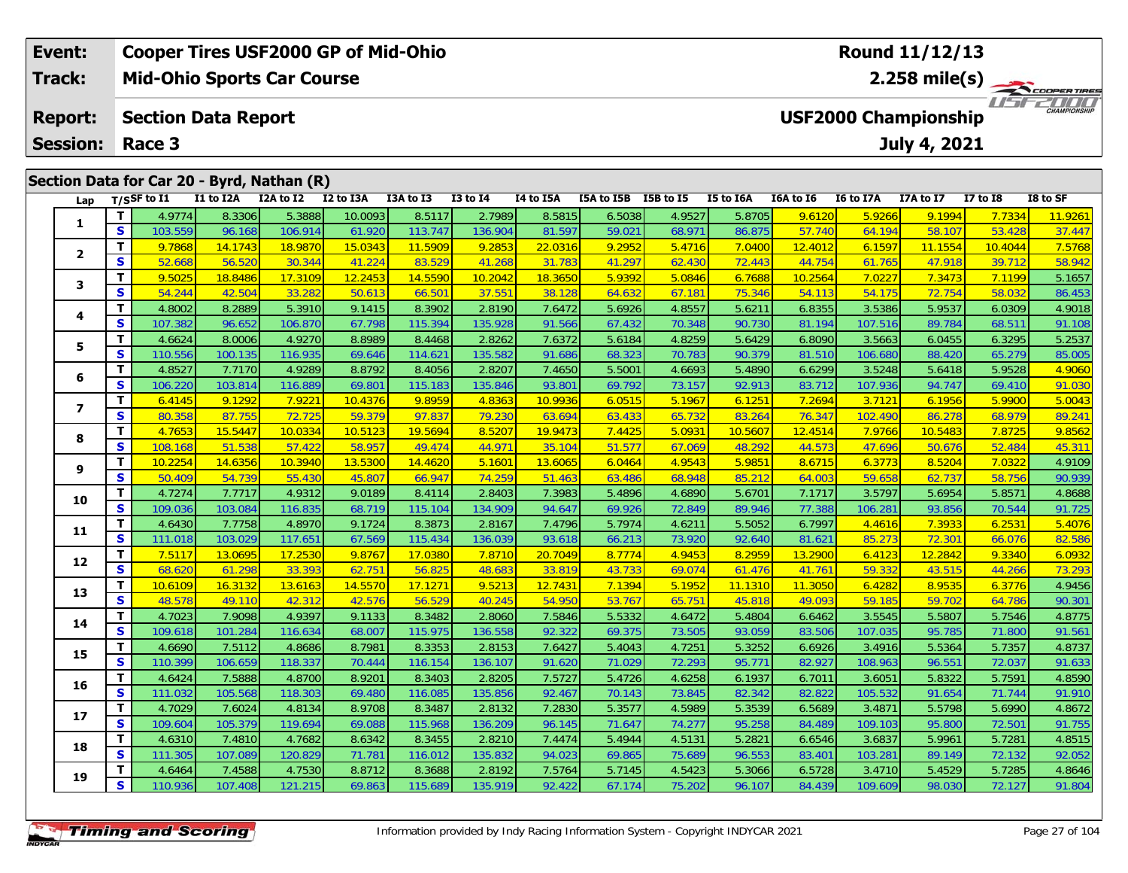| Event:                  |          |                            |           | <b>Cooper Tires USF2000 GP of Mid-Ohio</b>              |           |           |              |           | <b>Round 11/12/13</b>   |           |                                                    |           |           |                     |              |          |  |
|-------------------------|----------|----------------------------|-----------|---------------------------------------------------------|-----------|-----------|--------------|-----------|-------------------------|-----------|----------------------------------------------------|-----------|-----------|---------------------|--------------|----------|--|
| Track:                  |          |                            |           | <b>Mid-Ohio Sports Car Course</b>                       |           |           |              |           | $2.258 \text{ mile(s)}$ |           |                                                    |           |           |                     |              |          |  |
| <b>Report:</b>          |          | <b>Section Data Report</b> |           |                                                         |           |           |              |           |                         |           | <b>CHAMPIONSHIP</b><br><b>USF2000 Championship</b> |           |           |                     |              |          |  |
| <b>Session:</b>         |          | Race 3                     |           |                                                         |           |           |              |           |                         |           |                                                    |           |           | <b>July 4, 2021</b> |              |          |  |
|                         |          |                            | I1 to I2A | Section Data for Car 20 - Byrd, Nathan (R)<br>I2A to I2 | I2 to I3A | I3A to I3 | $I3$ to $I4$ | I4 to I5A | I5A to I5B              | I5B to I5 | I5 to I6A                                          | I6A to I6 | I6 to I7A | I7A to I7           | $I7$ to $I8$ | I8 to SF |  |
| Lap                     |          | $T/S$ SF to I1             |           |                                                         |           |           |              |           |                         |           |                                                    |           |           |                     |              |          |  |
|                         |          | 4.9774                     | 8.3306    | 5.3888                                                  | 10.0093   | 8.5117    | 2.7989       | 8.5815    | 6.5038                  | 4.9527    | 5.8705                                             | 9.6120    | 5.9266    | 9.1994              | 7.7334       | 11.9261  |  |
|                         | <b>S</b> | 103.559                    | 96.168    | 106.914                                                 | 61.920    | 113.747   | 136.904      | 81.597    | 59.021                  | 68.971    | 86.875                                             | 57.740    | 64.194    | 58.107              | 53.428       | 37.447   |  |
|                         |          | 9.7868                     | 14.1743   | 18.9870                                                 | 15.0343   | 11.5909   | 9.2853       | 22.0316   | 9.2952                  | 5.4716    | 7.0400                                             | 12.4012   | 6.1597    | 11.1554             | 10.4044      | 7.5768   |  |
| $\overline{\mathbf{2}}$ | <b>S</b> | 52.668                     | 56.520    | 30.344                                                  | 41.224    | 83.529    | 41.268       | 31.783    | 41.297                  | 62.430    | 72.443                                             | 44.754    | 61.765    | 47.918              | 39.712       | 58.942   |  |

**<sup>T</sup>** 9.5025 18.8486 17.3109 12.2453 14.5590 10.2042 18.3650 5.9392 5.0846 6.7688 10.2564 7.0227 7.3473 7.1199 5.1657 **<sup>S</sup>** 54.244 42.504 33.282 50.613 66.501 37.551 38.128 64.632 67.181 75.346 54.113 54.175 72.754 58.032 86.453

4 | **T** | 4.8002 | 8.2889 | 5.3910 | 9.1415 | 8.3902 | 2.8190 | 7.6472 | 5.6926 | 4.8557 | 5.6211 | 6.8355 | 3.5386 | 5.9537 | 6.0309 | 4.9018<br>- S | 107.382 | 96.652 | 106.870 | 67.798 | 115.394 | 135.928 | 91.566 | 67.432

5 T 4.6624 8.0006 4.9270 8.8989 8.4468 2.8262 7.6372 5.6184 4.8259 5.6429 6.8090 3.5663 6.0455 6.3295 5.2537<br>5 S 110.556 100.135 116.935 69.646 114.621 135.582 91.686 68.323 70.783 90.379 81.510 106.680 88.420 65.279 85.00

**<sup>T</sup>** 4.8527 7.7170 4.9289 8.8792 8.4056 2.8207 7.4650 5.5001 4.6693 5.4890 6.6299 3.5248 5.6418 5.9528 4.9060 **<sup>S</sup>** 106.220 103.814 116.889 69.801 115.183 135.846 93.801 69.792 73.157 92.913 83.712 107.936 94.747 69.410 91.030

7 | T | 6.4145 | 9.1292 | 7.9221 | 10.4376 | 9.8959 | 4.8363 | 10.9936 | 6.0515 | 5.1967 | 6.1251 | 7.2694 | 3.7121 | 6.1956 | 5.9900 | 5.0043<br>7 | S | 80.358 | 87.755 | 72.725 | 59.379 | 97.837 | 79.230 | 63.694 | 63.433 |

8 | **T |** 4.7653 | 15.5447 | 10.0334 | 10.5123 | 19.5694 | 8.5207 | 19.9473 | 7.4425 | 5.0931 | 10.5607 | 12.4514 | 7.9766 | 10.5483 | 7.8725 | 9.8562<br>| S | 108.168 | 51.538 | 57.422 | 58.957 | 49.474 | 44.971 | 35.104 | 5

19109 <mark>11 10.2254 14.6356 10.3940 13.5300 14.4620 5.1601 13.6065 6.0464 4.9543 5.9851 8.6715 6.3773 8.5204 7.0322 4.9109 1</mark><br>S 50.409 54.739 55.430 45.807 66.947 74.259 51.463 63.486 68.948 85.212 64.003 59.658 62.737 58.7

0 T 4.7274 7.7717| 4.9312 9.0189 8.4114| 2.8403| 7.3983| 5.4896| 4.6890| 5.6701| 7.1717| 3.5797| 5.6954| 5.8571| 4.8688<br>| S 109.036 103.084 116.835 68.719 115.104 134.909 94.647| 69.926 72.849 89.946| 77.388 106.281| 93.85

**<sup>T</sup>** 4.6430 7.7758 4.8970 9.1724 8.3873 2.8167 7.4796 5.7974 4.6211 5.5052 6.7997 4.4616 7.3933 6.2531 5.4076 **<sup>S</sup>** 111.018 103.029 117.651 67.569 115.434 136.039 93.618 66.213 73.920 92.640 81.621 85.273 72.301 66.076 82.586

2 | **T |** 7.5117| 13.0695| 17.2530| 9.8767| 17.0380| 7.8710| 20.7049| 8.7774| 4.9453| 8.2959| 13.2900| 6.4123| 12.2842| 9.3340| 6.0932<br>- S 68.620| 61.298| 33.393| 62.751| 56.825| 48.683| 33.819| 43.733| 69.074| 61.476| 41.

3 | **T |** 10.6109| 16.3132| 13.6163| 14.5570| 17.1271| 9.5213| 12.7431| 7.1394| 5.1952| 11.1310| 11.3050| 6.4282| 8.9535| 6.3776| 4.9456<br>| S | 48.578| 49.110| 42.312| 42.576| 56.529| 40.245| 54.950| 53.767| 65.751| 45.818|

**<sup>T</sup>** 4.7023 7.9098 4.9397 9.1133 8.3482 2.8060 7.5846 5.5332 4.6472 5.4804 6.6462 3.5545 5.5807 5.7546 4.8775 **<sup>S</sup>** 109.618 101.284 116.634 68.007 115.975 136.558 92.322 69.375 73.505 93.059 83.506 107.035 95.785 71.800 91.561

5 T 4.6690 7.5112 4.8686 8.7981 8.3353 2.8153 7.6427 5.4043 4.7251 5.3252 6.6926 3.4916 5.5364 5.7357 4.8737<br>5 S 110.399 106.659 118.337 70.444 116.154 136.107 91.620 71.029 72.293 95.771 82.927 108.963 96.551 72.037 91.63

6 T 4.6424 7.5888 4.8700 8.9201 8.3403 2.8205 7.5727 5.4726 4.6258 6.1937 6.7011 3.6051 5.8322 5.7591 4.8590<br>5 S 111.032 105.568 118.303 69.480 116.085 135.856 92.467 70.143 73.845 82.342 82.822 105.532 91.654 71.744 91

7 T 4.7029 7.6024 4.8134 8.9708 8.3487 2.8132 7.2830 5.3577 4.5989 5.3539 6.5689 3.4871 5.5798 5.6990 4.8672<br>7 S 109.604 105.379 119.694 69.088 115.968 136.209 96.145 71.647 74.277 95.258 84.489 109.103 95.800 72.501 91.75

8 T 4.6310 7.4810 4.7682 8.6342 8.3455 2.8210 7.4474 5.4944 4.5131 5.2821 6.6546 3.6837 5.9961 5.7281 4.8515<br>S 111.305 107.089 120.829 71.781 116.012 135.832 94.023 69.865 75.689 96.553 83.401 103.281 89.149 72.132 92.052

**<sup>T</sup>** 4.6464 7.4588 4.7530 8.8712 8.3688 2.8192 7.5764 5.7145 4.5423 5.3066 6.5728 3.4710 5.4529 5.7285 4.8646 **<sup>S</sup>** 110.936 107.408 121.215 69.863 115.689 135.919 92.422 67.174 75.202 96.107 84.439 109.609 98.030 72.127 91.804

**Timing and Scoring** 

**3**

**4**

**5**

**6**

**7**

**8**

**9**

**10**

**11**

**12**

**13**

**14**

**15**

**16**

**17**

**18**

**19**

91.10

90.939

91.561

91.755

92.05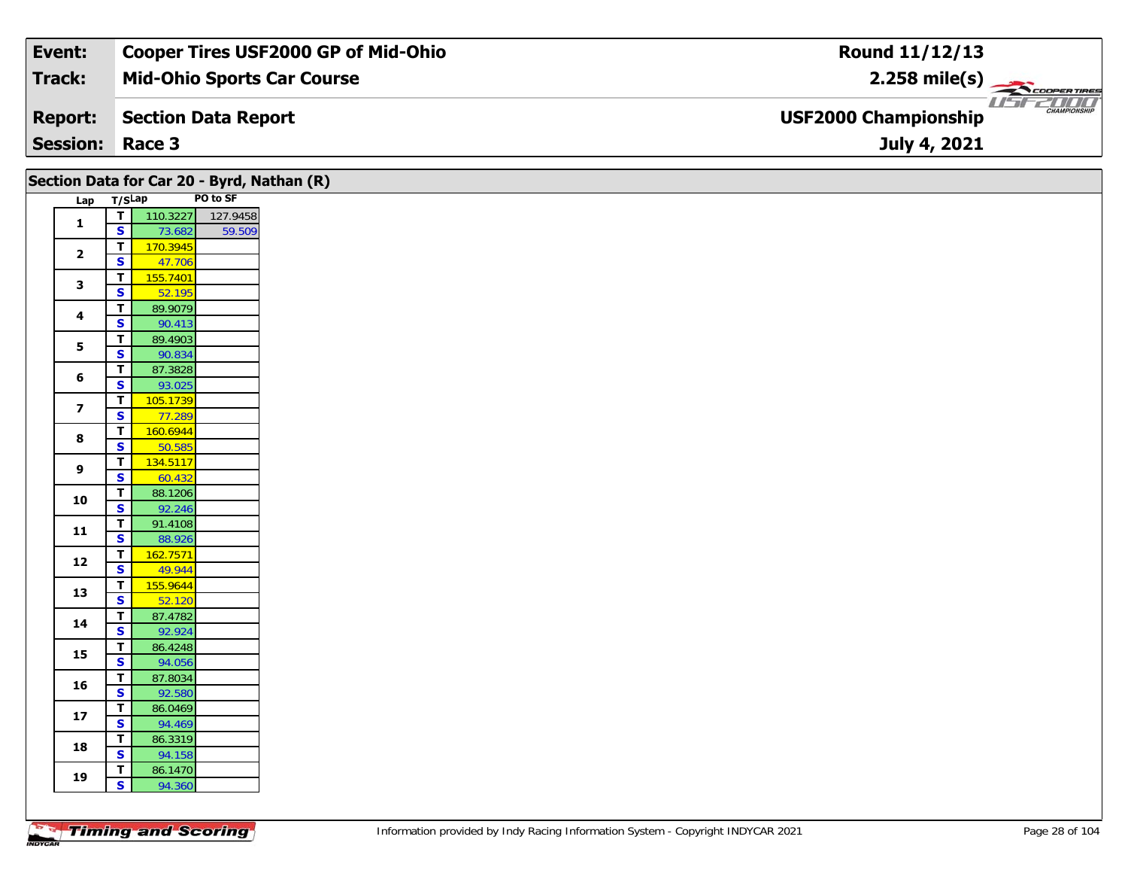| Event:                 | Cooper Tires USF2000 GP of Mid-Ohio | <b>Round 11/12/13</b>                                                                                                                                                                                                                                                                                                                                                                                                                      |
|------------------------|-------------------------------------|--------------------------------------------------------------------------------------------------------------------------------------------------------------------------------------------------------------------------------------------------------------------------------------------------------------------------------------------------------------------------------------------------------------------------------------------|
| Track:                 | <b>Mid-Ohio Sports Car Course</b>   | $2.258$ mile(s) $\frac{1}{\sqrt{2} \cdot \frac{1}{2} \cdot \frac{1}{2} \cdot \frac{1}{2} \cdot \frac{1}{2} \cdot \frac{1}{2} \cdot \frac{1}{2} \cdot \frac{1}{2} \cdot \frac{1}{2} \cdot \frac{1}{2} \cdot \frac{1}{2} \cdot \frac{1}{2} \cdot \frac{1}{2} \cdot \frac{1}{2} \cdot \frac{1}{2} \cdot \frac{1}{2} \cdot \frac{1}{2} \cdot \frac{1}{2} \cdot \frac{1}{2} \cdot \frac{1}{2} \cdot \frac{1}{2} \cdot \frac{1}{2} \cdot \frac{$ |
| <b>Report:</b>         | Section Data Report                 | <b>CHAMPIONSHIP</b><br><b>USF2000 Championship</b>                                                                                                                                                                                                                                                                                                                                                                                         |
| <b>Session: Race 3</b> |                                     | July 4, 2021                                                                                                                                                                                                                                                                                                                                                                                                                               |

|                         |                                |                    |          | Section Data for Car 20 - Byrd, Nathan (R) |  |
|-------------------------|--------------------------------|--------------------|----------|--------------------------------------------|--|
| Lap                     | T/SLap                         |                    | PO to SF |                                            |  |
| $\mathbf{1}$            | $\frac{1}{s}$                  | 110.3227           | 127.9458 |                                            |  |
|                         |                                | 73.682             | 59.509   |                                            |  |
| $\overline{\mathbf{2}}$ | $\overline{\mathbf{r}}$        | 170.3945           |          |                                            |  |
|                         | $\overline{\mathbf{s}}$        | 47.706             |          |                                            |  |
| 3                       | $\overline{\mathsf{T}}$        | 155.7401           |          |                                            |  |
|                         | $\overline{\mathbf{s}}$        | 52.195             |          |                                            |  |
| 4                       | $\overline{\mathsf{r}}$        | 89.9079            |          |                                            |  |
|                         | $\overline{\mathbf{s}}$        | 90.413             |          |                                            |  |
| ${\bf 5}$               | $\overline{r}$                 | 89.4903            |          |                                            |  |
|                         | $\overline{\mathbf{s}}$        | 90.834             |          |                                            |  |
| $6\phantom{1}6$         | $\overline{\mathsf{r}}$        | 87.3828            |          |                                            |  |
|                         | $\overline{\mathbf{s}}$        | 93.025             |          |                                            |  |
| $\overline{\mathbf{z}}$ | $\overline{\mathsf{r}}$        | 105.1739           |          |                                            |  |
|                         | $\overline{\mathbf{s}}$        | 77.289             |          |                                            |  |
| 8                       | $\overline{r}$                 | 160.6944           |          |                                            |  |
|                         | $\overline{\mathbf{s}}$        | 50.585             |          |                                            |  |
| 9                       | $\mathbf{T}$                   | 134.5117           |          |                                            |  |
|                         | $\mathbf{s}$                   | 60.432             |          |                                            |  |
| 10                      | $\overline{1}$                 | 88.1206            |          |                                            |  |
|                         | $\overline{\mathbf{s}}$        | 92.246             |          |                                            |  |
| $11$                    | $\overline{I}$<br>$\mathbf{s}$ | 91.4108            |          |                                            |  |
|                         | $\overline{\mathsf{r}}$        | 88.926<br>162.7571 |          |                                            |  |
| $12$                    | $\overline{\mathbf{s}}$        | 49.944             |          |                                            |  |
|                         | $\overline{1}$                 | 155.9644           |          |                                            |  |
| 13                      | $\overline{\mathbf{s}}$        | 52.120             |          |                                            |  |
|                         | $\overline{\mathbf{r}}$        | 87.4782            |          |                                            |  |
| 14                      | $\overline{\mathbf{s}}$        | 92.924             |          |                                            |  |
|                         | $\overline{1}$                 | 86.4248            |          |                                            |  |
| 15                      | $\overline{\mathbf{s}}$        | 94.056             |          |                                            |  |
|                         | $\mathbf{T}$                   | 87.8034            |          |                                            |  |
| 16                      | $\overline{\mathbf{s}}$        | 92.580             |          |                                            |  |
|                         | $\overline{\mathbf{r}}$        | 86.0469            |          |                                            |  |
| $17$                    | $\overline{\mathbf{s}}$        | 94.469             |          |                                            |  |
|                         | $\overline{\mathsf{T}}$        | 86.3319            |          |                                            |  |
| 18                      | $\overline{\mathbf{s}}$        | 94.158             |          |                                            |  |
|                         | $\mathbf{T}$                   | 86.1470            |          |                                            |  |
| 19                      | $\mathsf{s}$                   | 94.360             |          |                                            |  |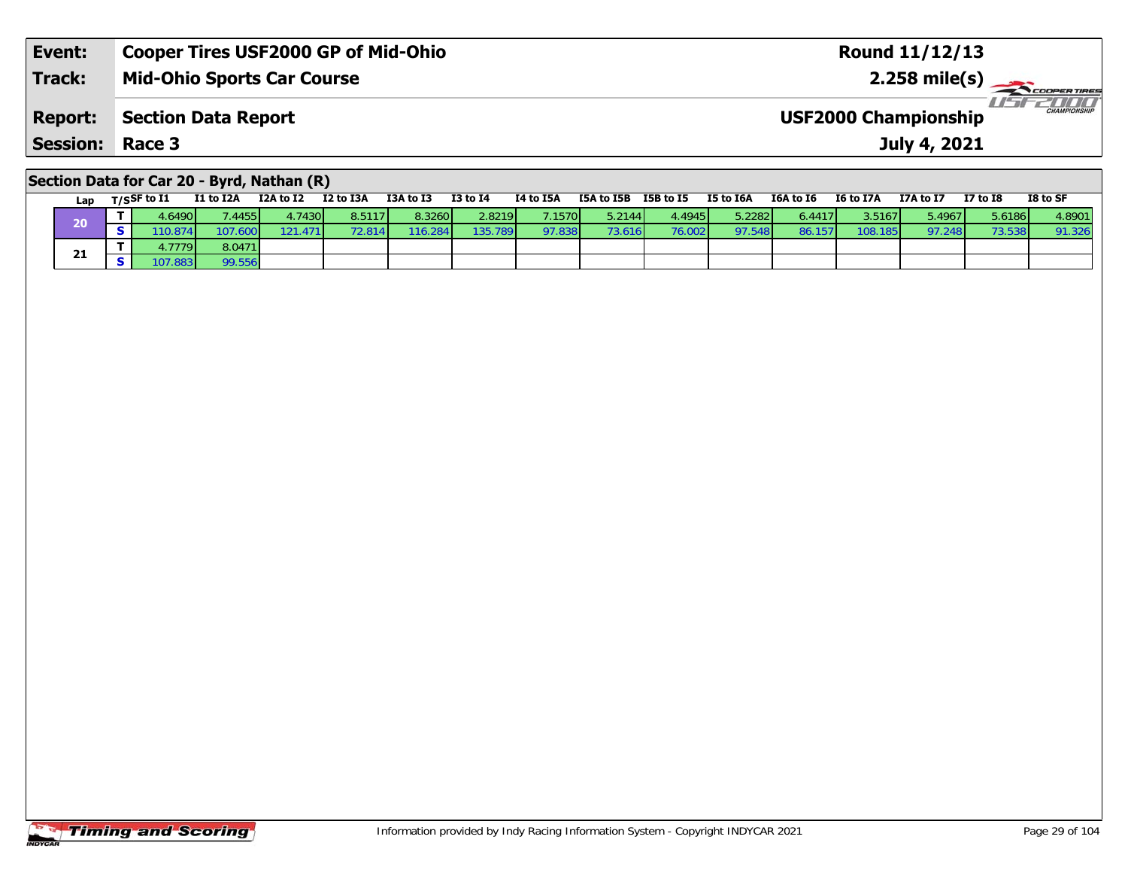| Event:                 | <b>Cooper Tires USF2000 GP of Mid-Ohio</b> | Round 11/12/13                                     |
|------------------------|--------------------------------------------|----------------------------------------------------|
| <b>Track:</b>          | <b>Mid-Ohio Sports Car Course</b>          |                                                    |
| <b>Report:</b>         | Section Data Report                        | <b>CHAMPIONSHIP</b><br><b>USF2000 Championship</b> |
| <b>Session: Race 3</b> |                                            | July 4, 2021                                       |
|                        |                                            |                                                    |

## **Section Data for Car 20 - Byrd, Nathan (R)**

| Lap | T/SSF to I1 | I1 to I2A | I2A to I2 | I2 to I3A | I3A to I3 | $I3$ to $I4$ | I4 to I5A | I5A to I5B | <b>I5B</b> to I5 | <b>I5 to I6A</b> | I6A to I6 | I6 to I7A       | I7A to I7 | <b>I7 to I8</b> | I8 to SF |
|-----|-------------|-----------|-----------|-----------|-----------|--------------|-----------|------------|------------------|------------------|-----------|-----------------|-----------|-----------------|----------|
|     | .6490       | .4455     | .74301    | 8.5117    | 8.3260    | 2.8219       | 7.1570    | 5.2144     | 4.4945           | 5.2282           | 6.4417    | 3.5167 <b>1</b> | 5.49671   | 5.6186 <b> </b> | 4.8901   |
| ZU  | 10.874      |           |           |           | 16.284    | 135.789      | 97.838    | 73.616     | 76.002           | 97.548           | 86.157    | 108.185         | 97.248    |                 | 91.326   |
| 21  | .77791      | 8.0471    |           |           |           |              |           |            |                  |                  |           |                 |           |                 |          |
|     | 07.8831     |           |           |           |           |              |           |            |                  |                  |           |                 |           |                 |          |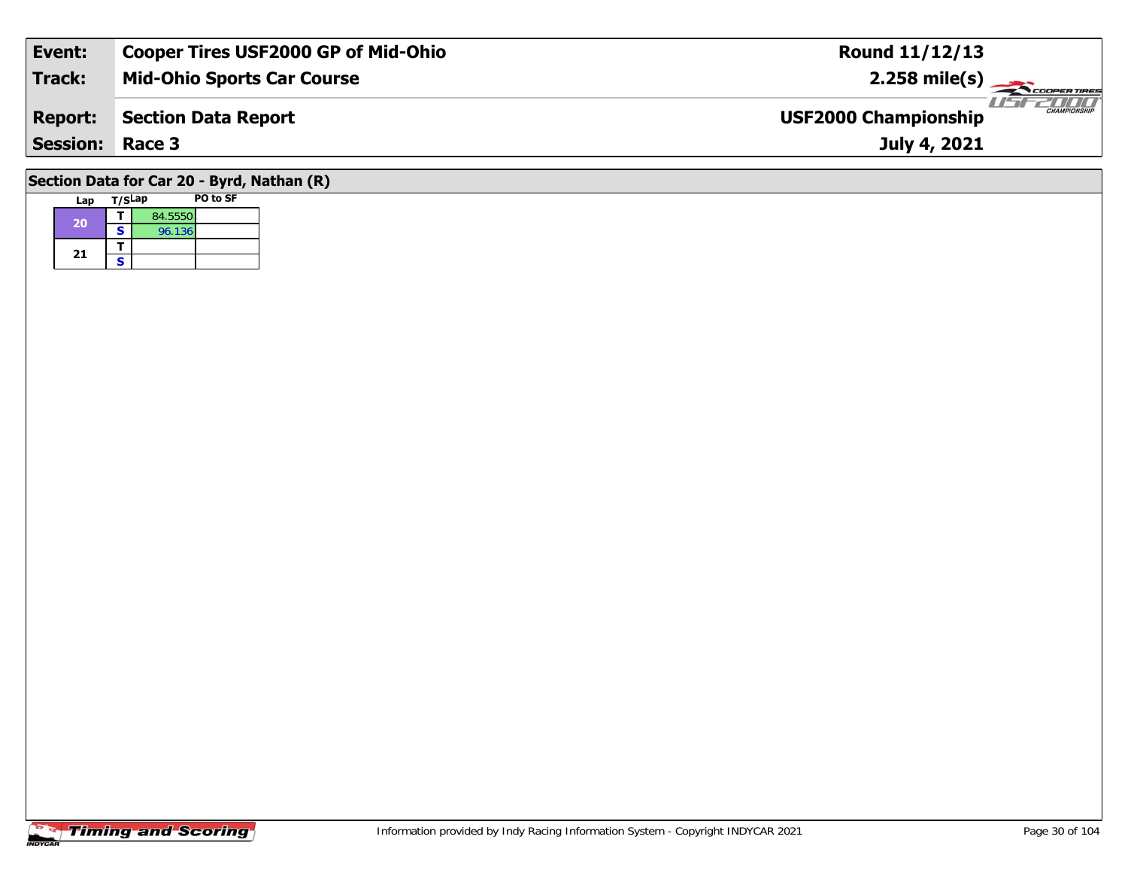| Event:                                     | <b>Cooper Tires USF2000 GP of Mid-Ohio</b> | <b>Round 11/12/13</b>                              |  |  |  |  |  |  |  |
|--------------------------------------------|--------------------------------------------|----------------------------------------------------|--|--|--|--|--|--|--|
| Track:                                     | <b>Mid-Ohio Sports Car Course</b>          | $2.258$ mile(s)                                    |  |  |  |  |  |  |  |
| <b>Report:</b>                             | Section Data Report                        | <b>CHAMPIONSHIP</b><br><b>USF2000 Championship</b> |  |  |  |  |  |  |  |
| <b>Session: Race 3</b>                     |                                            | July 4, 2021                                       |  |  |  |  |  |  |  |
| Section Data for Car 20 - Byrd, Nathan (R) |                                            |                                                    |  |  |  |  |  |  |  |

#### **Lap T/SLap PO to SF 20d T** 84.5550<br>**S** 96.136 21  $\frac{1}{s}$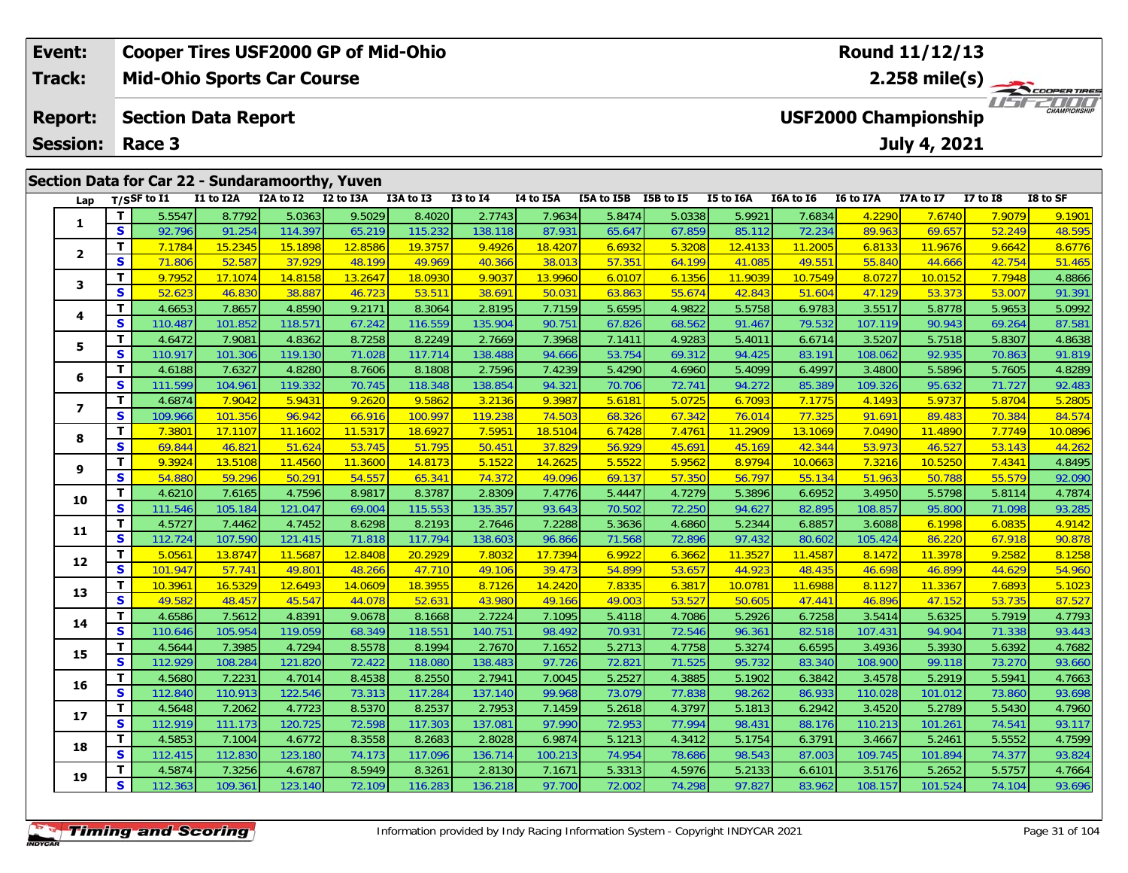|                                                    | Event:                                       |  |             | <b>Cooper Tires USF2000 GP of Mid-Ohio</b>      |           |           |           |                                                   |           |            | <b>Round 11/12/13</b> |           |           |           |                             |          |                              |  |
|----------------------------------------------------|----------------------------------------------|--|-------------|-------------------------------------------------|-----------|-----------|-----------|---------------------------------------------------|-----------|------------|-----------------------|-----------|-----------|-----------|-----------------------------|----------|------------------------------|--|
| <b>Track:</b><br><b>Mid-Ohio Sports Car Course</b> |                                              |  |             |                                                 |           |           |           | 2.258 mile(s) $\rightarrow$<br><b>COOPERTIRES</b> |           |            |                       |           |           |           |                             |          |                              |  |
|                                                    | <b>Section Data Report</b><br><b>Report:</b> |  |             |                                                 |           |           |           |                                                   |           |            |                       |           |           |           | <b>USF2000 Championship</b> |          | <b>TITTE</b><br>CHAMPIONSHIP |  |
|                                                    | <b>Session:</b>                              |  | Race 3      |                                                 |           |           |           |                                                   |           |            |                       |           |           |           | July 4, 2021                |          |                              |  |
|                                                    |                                              |  |             | Section Data for Car 22 - Sundaramoorthy, Yuven |           |           |           |                                                   |           |            |                       |           |           |           |                             |          |                              |  |
|                                                    | Lap                                          |  | T/SSF to I1 | I1 to I2A                                       | I2A to I2 | I2 to I3A | I3A to I3 | $I3$ to $I4$                                      | I4 to I5A | I5A to I5B | I5B to I5             | I5 to I6A | I6A to I6 | I6 to I7A | I7A to I7                   | I7 to I8 | I8 to SF                     |  |
|                                                    |                                              |  | 5.5547      | 8.7792                                          | 5.0363    | 9.5029    | 8.4020    | 2.7743                                            | 7.9634    | 5.8474     | 5.0338                | 5.9921    | 7.6834    | 4.2290    | <b>7.6740</b>               | 7.9079   | 9.1901                       |  |

| Lap                     | ייכוו        | .       | ** W *** |         | 14 W 198 | ິ       | 13 W 17 | 27 W 23M | 198 W 199 | 199 W 19 | 19 W 19M | 10A W 10 | w<br>w.n | ******* | 17 W 10 | יכ שי טו |
|-------------------------|--------------|---------|----------|---------|----------|---------|---------|----------|-----------|----------|----------|----------|----------|---------|---------|----------|
|                         | т            | 5.5547  | 8.7792   | 5.0363  | 9.5029   | 8.4020  | 2.7743  | 7.9634   | 5.8474    | 5.0338   | 5.9921   | 7.6834   | 4.2290   | 7.6740  | 7.9079  | 9.1901   |
| 1                       | $\mathbf{s}$ | 92.796  | 91.254   | 114.397 | 65.219   | 115.232 | 138.118 | 87.931   | 65.647    | 67.859   | 85.112   | 72.234   | 89.963   | 69.657  | 52.249  | 48.595   |
|                         | T.           | 7.1784  | 15.2345  | 15.1898 | 12.8586  | 19.3757 | 9.4926  | 18.4207  | 6.6932    | 5.3208   | 12.4133  | 11.2005  | 6.8133   | 11.9676 | 9.6642  | 8.6776   |
| $\overline{\mathbf{2}}$ | S            | 71.806  | 52.587   | 37.929  | 48.199   | 49.969  | 40.366  | 38.013   | 57.351    | 64.199   | 41.085   | 49.551   | 55.840   | 44.666  | 42.754  | 51.465   |
| 3                       | т            | 9.7952  | 17.1074  | 14.8158 | 13.2647  | 18.0930 | 9.9037  | 13.9960  | 6.0107    | 6.1356   | 11.9039  | 10.7549  | 8.0727   | 10.0152 | 7.7948  | 4.8866   |
|                         | S            | 52.623  | 46.830   | 38.887  | 46.723   | 53.511  | 38.691  | 50.031   | 63.863    | 55.674   | 42.843   | 51.604   | 47.129   | 53.373  | 53.00   | 91.391   |
| 4                       | т            | 4.6653  | 7.8657   | 4.8590  | 9.2171   | 8.3064  | 2.8195  | 7.7159   | 5.6595    | 4.9822   | 5.5758   | 6.9783   | 3.5517   | 5.8778  | 5.9653  | 5.0992   |
|                         | $\mathbf{s}$ | 110.487 | 101.852  | 118.571 | 67.242   | 116.559 | 135.904 | 90.751   | 67.826    | 68.562   | 91.467   | 79.532   | 107.119  | 90.943  | 69.264  | 87.581   |
| 5                       | Т            | 4.6472  | 7.9081   | 4.8362  | 8.7258   | 8.2249  | 2.7669  | 7.3968   | 7.1411    | 4.9283   | 5.4011   | 6.6714   | 3.5207   | 5.7518  | 5.8307  | 4.8638   |
|                         | S            | 110.917 | 101.306  | 119.130 | 71.028   | 117.714 | 138.488 | 94.666   | 53.754    | 69.312   | 94.425   | 83.191   | 108.062  | 92.935  | 70.863  | 91.819   |
| 6                       | т            | 4.6188  | 7.6327   | 4.8280  | 8.7606   | 8.1808  | 2.7596  | 7.4239   | 5.4290    | 4.6960   | 5.4099   | 6.4997   | 3.4800   | 5.5896  | 5.7605  | 4.8289   |
|                         | $\mathbf s$  | 111.599 | 104.961  | 119.332 | 70.745   | 118.348 | 138.854 | 94.321   | 70.706    | 72.741   | 94.272   | 85.389   | 109.326  | 95.632  | 71.727  | 92.483   |
| $\overline{\mathbf{z}}$ | т            | 4.6874  | 7.9042   | 5.9431  | 9.2620   | 9.5862  | 3.2136  | 9.3987   | 5.6181    | 5.0725   | 6.7093   | 7.1775   | 4.1493   | 5.9737  | 5.8704  | 5.2805   |
|                         | S            | 109.966 | 101.356  | 96.942  | 66.916   | 100.997 | 119.238 | 74.503   | 68.326    | 67.342   | 76.014   | 77.325   | 91.691   | 89.483  | 70.384  | 84.574   |
| 8                       | т            | 7.3801  | 17.1107  | 11.1602 | 11.5317  | 18.6927 | 7.5951  | 18.5104  | 6.7428    | 7.4761   | 11.2909  | 13.1069  | 7.0490   | 11.4890 | 7.7749  | 10.0896  |
|                         | S            | 69.844  | 46.821   | 51.624  | 53.745   | 51.795  | 50.451  | 37.829   | 56.929    | 45.691   | 45.169   | 42.344   | 53.973   | 46.527  | 53.143  | 44.262   |
| 9                       | т            | 9.3924  | 13.5108  | 11.4560 | 11.3600  | 14.8173 | 5.1522  | 14.2625  | 5.5522    | 5.9562   | 8.9794   | 10.0663  | 7.3216   | 10.5250 | 7.4341  | 4.8495   |
|                         | $\mathbf{s}$ | 54.880  | 59.296   | 50.291  | 54.557   | 65.341  | 74.372  | 49.096   | 69.137    | 57.350   | 56.797   | 55.134   | 51.963   | 50.788  | 55.579  | 92.090   |
| 10                      | т            | 4.6210  | 7.6165   | 4.7596  | 8.9817   | 8.3787  | 2.8309  | 7.4776   | 5.4447    | 4.7279   | 5.3896   | 6.6952   | 3.4950   | 5.5798  | 5.8114  | 4.7874   |
|                         | S            | 111.546 | 105.184  | 121.047 | 69.004   | 115.553 | 135.357 | 93.643   | 70.502    | 72.250   | 94.627   | 82.895   | 108.857  | 95.800  | 71.098  | 93.285   |
| 11                      | T            | 4.5727  | 7.4462   | 4.7452  | 8.6298   | 8.2193  | 2.7646  | 7.2288   | 5.3636    | 4.6860   | 5.2344   | 6.8857   | 3.6088   | 6.1998  | 6.0835  | 4.9142   |
|                         | $\mathbf{s}$ | 112.724 | 107.590  | 121.415 | 71.818   | 117.794 | 138.603 | 96.866   | 71.568    | 72.896   | 97.432   | 80.602   | 105.424  | 86.220  | 67.918  | 90.878   |
| 12                      | т            | 5.0561  | 13.8747  | 11.5687 | 12.8408  | 20.2929 | 7.8032  | 17.7394  | 6.9922    | 6.3662   | 11.3527  | 11.4587  | 8.1472   | 11.3978 | 9.2582  | 8.1258   |
|                         | S            | 101.947 | 57.741   | 49.801  | 48.266   | 47.710  | 49.106  | 39.473   | 54.899    | 53.657   | 44.923   | 48.435   | 46.698   | 46.899  | 44.629  | 54.960   |
| 13                      | т            | 10.3961 | 16.5329  | 12.6493 | 14.0609  | 18.3955 | 8.7126  | 14.2420  | 7.8335    | 6.3817   | 10.0781  | 11.6988  | 8.1127   | 11.3367 | 7.6893  | 5.1023   |
|                         | S            | 49.582  | 48.457   | 45.547  | 44.078   | 52.631  | 43.980  | 49.166   | 49.003    | 53.527   | 50.605   | 47.441   | 46.896   | 47.152  | 53.735  | 87.527   |
| 14                      | т            | 4.6586  | 7.5612   | 4.8391  | 9.0678   | 8.1668  | 2.7224  | 7.1095   | 5.4118    | 4.7086   | 5.2926   | 6.7258   | 3.5414   | 5.6325  | 5.7919  | 4.7793   |
|                         | $\mathbf{s}$ | 110.646 | 105.954  | 119.059 | 68.349   | 118.551 | 140.751 | 98.492   | 70.931    | 72.546   | 96.361   | 82.518   | 107.431  | 94.904  | 71.338  | 93.443   |
| 15                      | т            | 4.5644  | 7.3985   | 4.7294  | 8.5578   | 8.1994  | 2.7670  | 7.1652   | 5.2713    | 4.7758   | 5.3274   | 6.6595   | 3.4936   | 5.3930  | 5.6392  | 4.7682   |
|                         | $\mathbf s$  | 112.929 | 108.284  | 121.820 | 72.422   | 118.080 | 138.483 | 97.726   | 72.821    | 71.525   | 95.732   | 83.340   | 108.900  | 99.118  | 73.270  | 93.660   |
| 16                      | т            | 4.5680  | 7.2231   | 4.7014  | 8.4538   | 8.2550  | 2.7941  | 7.0045   | 5.2527    | 4.3885   | 5.1902   | 6.3842   | 3.4578   | 5.2919  | 5.5941  | 4.7663   |
|                         | S            | 112.840 | 110.913  | 122.546 | 73.313   | 117.284 | 137.140 | 99.968   | 73.079    | 77.838   | 98.262   | 86.933   | 110.028  | 101.012 | 73.860  | 93.698   |
| 17                      | т            | 4.5648  | 7.2062   | 4.7723  | 8.5370   | 8.2537  | 2.7953  | 7.1459   | 5.2618    | 4.3797   | 5.1813   | 6.2942   | 3.4520   | 5.2789  | 5.5430  | 4.7960   |
|                         | S            | 112.919 | 111.173  | 120.725 | 72.598   | 117.303 | 137.081 | 97.990   | 72.953    | 77.994   | 98.431   | 88.176   | 110.213  | 101.261 | 74.541  | 93.117   |
| 18                      | т            | 4.5853  | 7.1004   | 4.6772  | 8.3558   | 8.2683  | 2.8028  | 6.9874   | 5.1213    | 4.3412   | 5.1754   | 6.3791   | 3.4667   | 5.2461  | 5.5552  | 4.7599   |
|                         | S            | 112.415 | 112.830  | 123.180 | 74.173   | 117.096 | 136.714 | 100.213  | 74.954    | 78.686   | 98.543   | 87.003   | 109.745  | 101.894 | 74.377  | 93.824   |
| 19                      | т            | 4.5874  | 7.3256   | 4.6787  | 8.5949   | 8.3261  | 2.8130  | 7.1671   | 5.3313    | 4.5976   | 5.2133   | 6.6101   | 3.5176   | 5.2652  | 5.5757  | 4.7664   |
|                         | S            | 112.363 | 109.361  | 123.140 | 72.109   | 116.283 | 136.218 | 97.700   | 72.002    | 74.298   | 97.827   | 83.962   | 108.157  | 101.524 | 74.104  | 93.696   |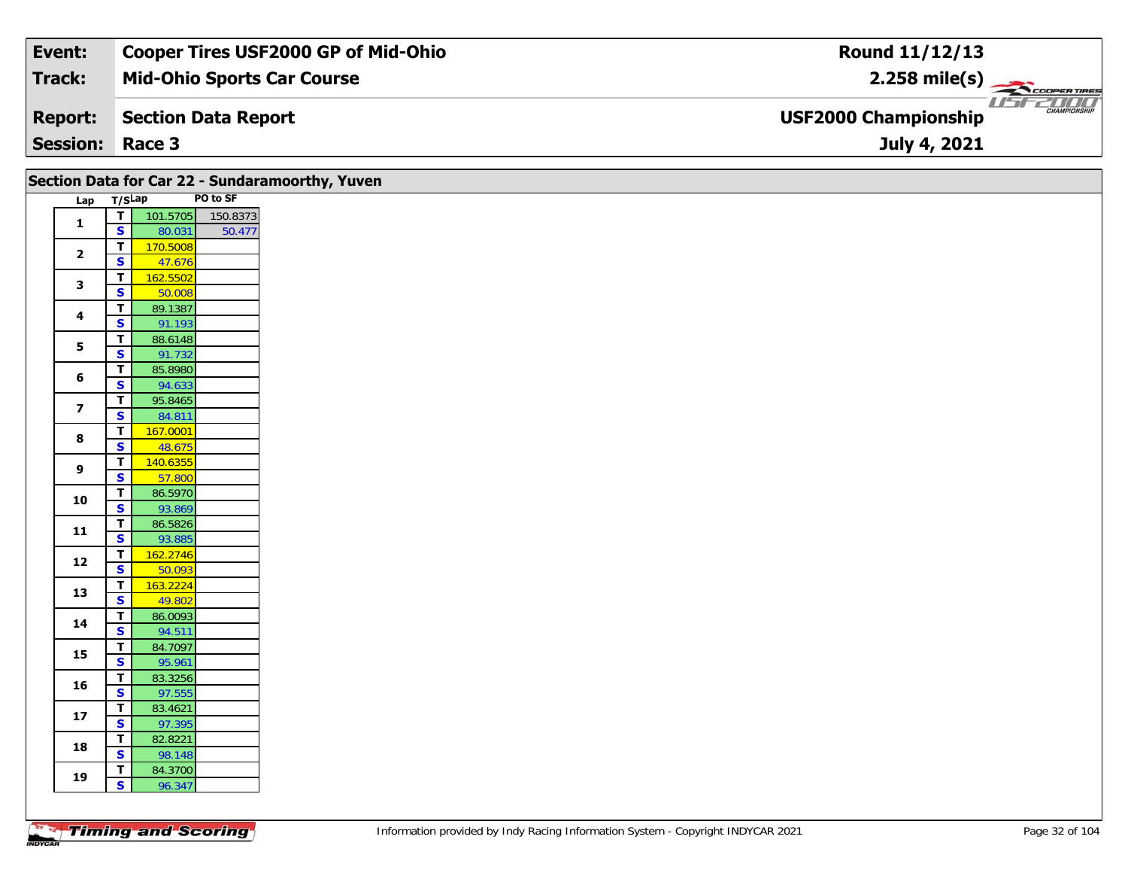| Event:          | <b>Cooper Tires USF2000 GP of Mid-Ohio</b> | Round 11/12/13                                     |
|-----------------|--------------------------------------------|----------------------------------------------------|
| <b>Track:</b>   | <b>Mid-Ohio Sports Car Course</b>          | $2.258$ mile(s)                                    |
| <b>Report:</b>  | Section Data Report                        | <b>CHAMPIONSHIP</b><br><b>USF2000 Championship</b> |
| <b>Session:</b> | Race 3                                     | July 4, 2021                                       |

|                         |                         |          | Section Data for Car 22 - Sundaramoorthy, Yuven |  |  |
|-------------------------|-------------------------|----------|-------------------------------------------------|--|--|
| Lap                     | T/SLap                  |          | PO to SF                                        |  |  |
| 1                       | T                       | 101.5705 | 150.8373                                        |  |  |
|                         | $\overline{\mathbf{s}}$ | 80.031   | 50.477                                          |  |  |
| $\mathbf{2}$            | T                       | 170.5008 |                                                 |  |  |
|                         | S                       | 47.676   |                                                 |  |  |
| 3                       | $\overline{\mathsf{r}}$ | 162.5502 |                                                 |  |  |
|                         | S                       | 50.008   |                                                 |  |  |
| $\overline{\mathbf{4}}$ | т                       | 89.1387  |                                                 |  |  |
|                         | S                       | 91.193   |                                                 |  |  |
| 5                       | T                       | 88.6148  |                                                 |  |  |
|                         | $\overline{\mathbf{s}}$ | 91.732   |                                                 |  |  |
| 6                       | T                       | 85.8980  |                                                 |  |  |
|                         | $\overline{\mathbf{s}}$ | 94.633   |                                                 |  |  |
| $\overline{ }$          | T                       | 95.8465  |                                                 |  |  |
|                         | S                       | 84.811   |                                                 |  |  |
| 8                       | T                       | 167.0001 |                                                 |  |  |
|                         | S                       | 48.675   |                                                 |  |  |
| 9                       | T                       | 140.6355 |                                                 |  |  |
|                         | S                       | 57.800   |                                                 |  |  |
| 10                      | T                       | 86.5970  |                                                 |  |  |
|                         | $\overline{\mathbf{s}}$ | 93.869   |                                                 |  |  |
| 11                      | T                       | 86.5826  |                                                 |  |  |
|                         | S                       | 93.885   |                                                 |  |  |
| 12                      | Т                       | 162.2746 |                                                 |  |  |
|                         | S                       | 50.093   |                                                 |  |  |
| 13                      | T                       | 163.2224 |                                                 |  |  |
|                         | $\overline{\mathbf{s}}$ | 49.802   |                                                 |  |  |
| 14                      | т                       | 86.0093  |                                                 |  |  |
|                         | S                       | 94.511   |                                                 |  |  |
| 15                      | T                       | 84.7097  |                                                 |  |  |
|                         | S                       | 95.961   |                                                 |  |  |
| 16                      | T                       | 83.3256  |                                                 |  |  |
|                         | $\overline{\mathbf{s}}$ | 97.555   |                                                 |  |  |
| 17                      | $\overline{\mathsf{r}}$ | 83.4621  |                                                 |  |  |
|                         | $\overline{\mathbf{s}}$ | 97.395   |                                                 |  |  |
| 18                      | T                       | 82.8221  |                                                 |  |  |
|                         | S                       | 98.148   |                                                 |  |  |
| 19                      | T                       | 84.3700  |                                                 |  |  |
|                         | $\overline{\mathbf{s}}$ | 96.347   |                                                 |  |  |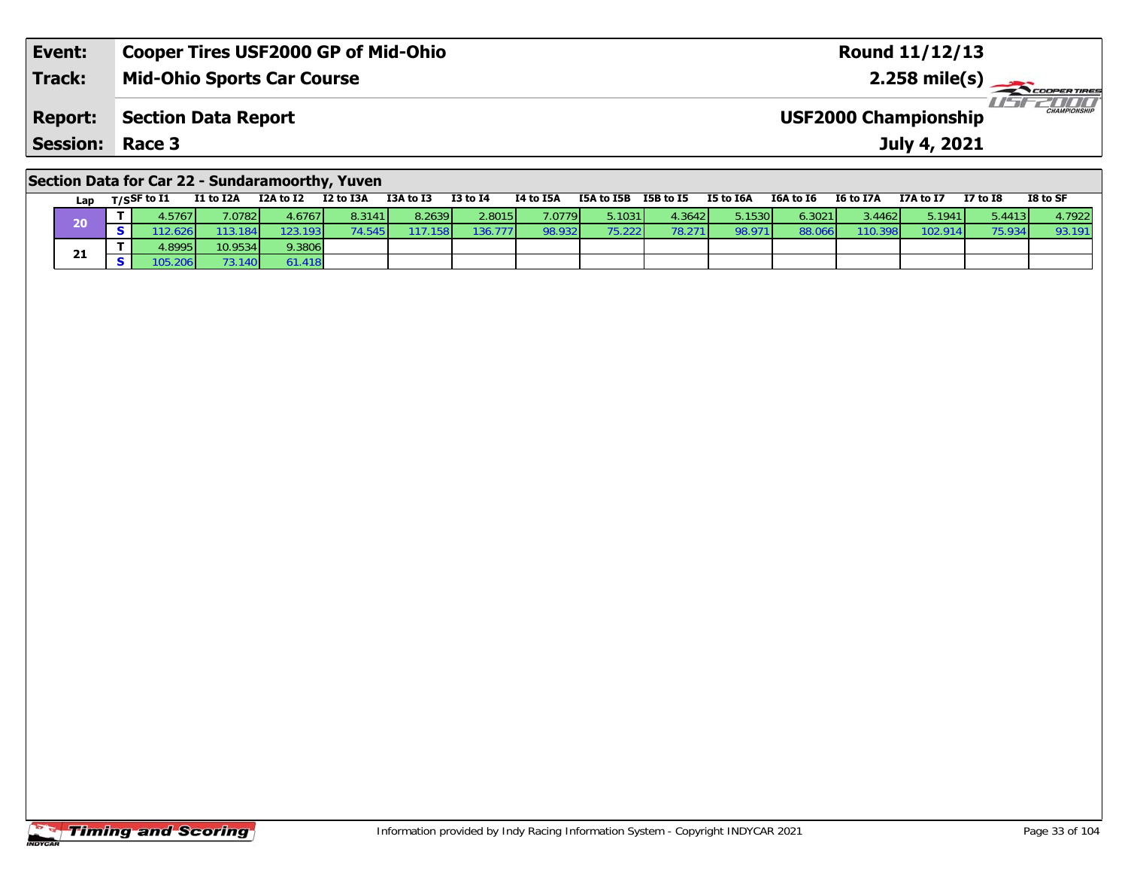| Event:                 | Cooper Tires USF2000 GP of Mid-Ohio | Round 11/12/13                                     |
|------------------------|-------------------------------------|----------------------------------------------------|
| <b>Track:</b>          | Mid-Ohio Sports Car Course          |                                                    |
|                        | <b>Report:</b> Section Data Report  | <b>CHAMPIONSHIP</b><br><b>USF2000 Championship</b> |
| <b>Session: Race 3</b> |                                     | July 4, 2021                                       |

#### **Section Data for Car 22 - Sundaramoorthy, Yuven**

| Lap | T/SSF to $\mathbf{I1}$ | I1 to I2A | I2A to I2 | I2 to I3A | I3A to I3 | <b>I3 to I4</b> | I4 to I5A       | I5A to I5B | I5B to I5 | I5 to I6A | I6A to I6 | I6 to I7A | I7A to I7 | <b>I7 to I8</b> | I8 to SF |
|-----|------------------------|-----------|-----------|-----------|-----------|-----------------|-----------------|------------|-----------|-----------|-----------|-----------|-----------|-----------------|----------|
|     | .5767                  | .0782     | 4.67671   | 8.3141    | 8.2639    | 2.8015          | 7.0779 <b>1</b> | 5.1031     | 4.36421   | 5.1530    | 6.3021    | 3.4462V   | 5.1941    | 5.4413          | 4.7922   |
| 40  | 12.626                 | 113.184   | 123.193   |           | .1581     | 136.777         | 98.932          | 75.2221    | 78.271    | 98.97     | 88.0      | 110.398   | '02.914.  | 75.934          | 93.191   |
|     | 1.8995                 | 10.9534   | 9.3806    |           |           |                 |                 |            |           |           |           |           |           |                 |          |
| 21  |                        | 3.140     | 51.418    |           |           |                 |                 |            |           |           |           |           |           |                 |          |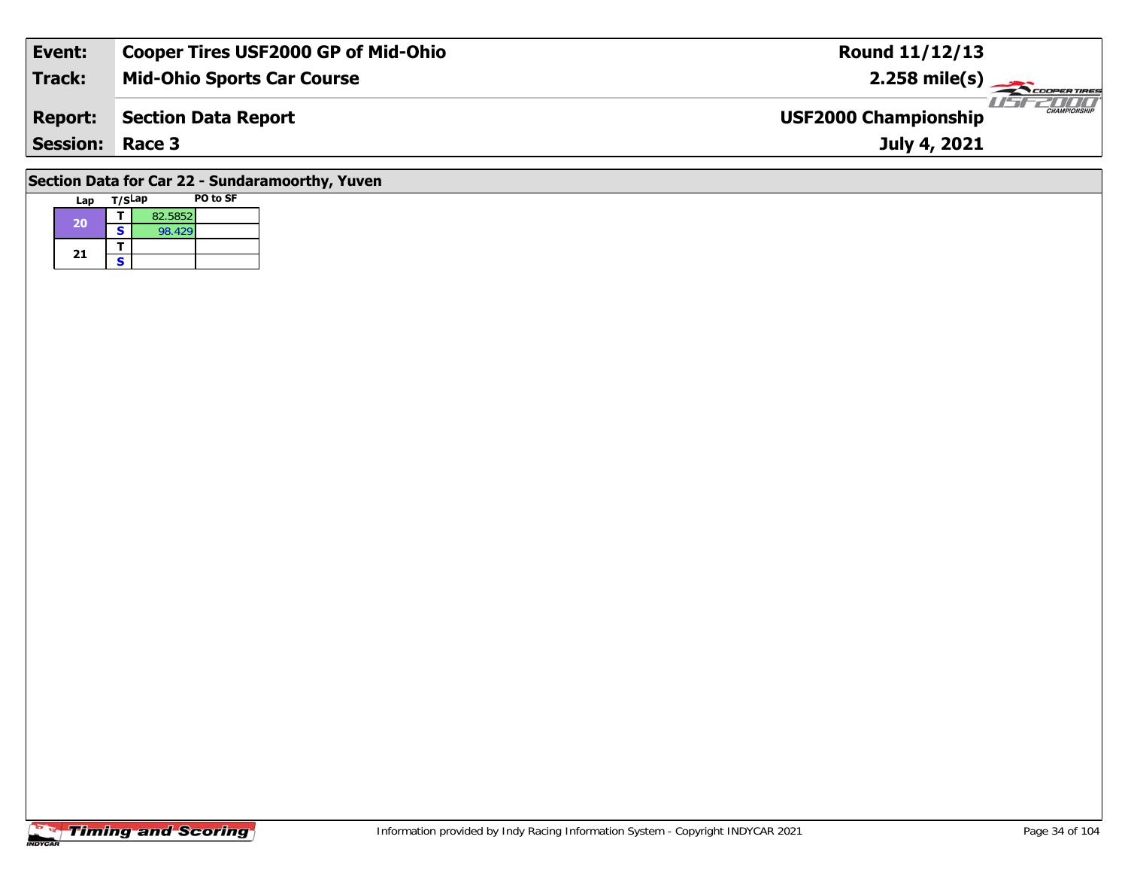| Event:                                          | <b>Cooper Tires USF2000 GP of Mid-Ohio</b> | <b>Round 11/12/13</b>                              |  |  |  |  |  |  |
|-------------------------------------------------|--------------------------------------------|----------------------------------------------------|--|--|--|--|--|--|
| <b>Track:</b>                                   | <b>Mid-Ohio Sports Car Course</b>          | $2.258$ mile(s)                                    |  |  |  |  |  |  |
| <b>Report:</b>                                  | Section Data Report                        | <b>CHAMPIONSHIP</b><br><b>USF2000 Championship</b> |  |  |  |  |  |  |
| <b>Session: Race 3</b>                          |                                            | July 4, 2021                                       |  |  |  |  |  |  |
| Section Data for Car 22 - Sundaramoorthy, Yuven |                                            |                                                    |  |  |  |  |  |  |

| Lap | T/SLap |         | <b>PO to SF</b> |
|-----|--------|---------|-----------------|
| 20  |        | 82.5852 |                 |
|     | S      | 98.429  |                 |
| 21  |        |         |                 |
|     | s      |         |                 |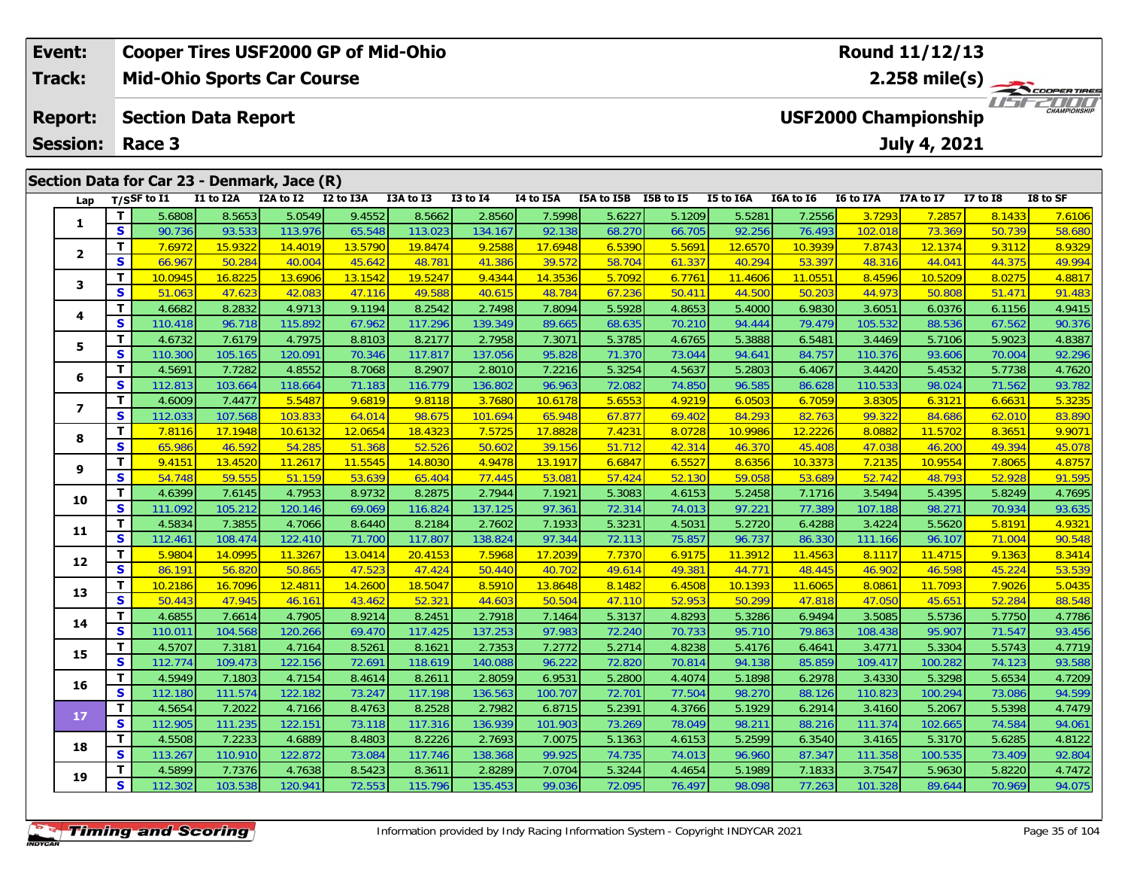|                          | Event:          |          | <b>Cooper Tires USF2000 GP of Mid-Ohio</b> |           |                                             |           |           |              |           |            |                  | Round 11/12/13                    |                                             |                  |           |                 |          |  |  |
|--------------------------|-----------------|----------|--------------------------------------------|-----------|---------------------------------------------|-----------|-----------|--------------|-----------|------------|------------------|-----------------------------------|---------------------------------------------|------------------|-----------|-----------------|----------|--|--|
| Track:<br><b>Report:</b> |                 |          | <b>Mid-Ohio Sports Car Course</b>          |           |                                             |           |           |              |           |            |                  | 2.258 mile(s) $-$<br>COOPER TIRES |                                             |                  |           |                 |          |  |  |
|                          |                 |          | <b>Section Data Report</b>                 |           |                                             |           |           |              |           |            |                  |                                   | CHAMPIONSHIP<br><b>USF2000 Championship</b> |                  |           |                 |          |  |  |
|                          | <b>Session:</b> |          | Race 3                                     |           |                                             |           |           |              |           |            |                  | July 4, 2021                      |                                             |                  |           |                 |          |  |  |
|                          |                 |          |                                            |           | Section Data for Car 23 - Denmark, Jace (R) |           |           |              |           |            |                  |                                   |                                             |                  |           |                 |          |  |  |
|                          | Lap             |          | $T/S$ SF to I1                             | I1 to I2A | I2A to I2                                   | I2 to I3A | I3A to I3 | $I3$ to $I4$ | I4 to I5A | I5A to I5B | <b>I5B</b> to I5 | I5 to I6A                         | I6A to I6                                   | <b>I6 to I7A</b> | I7A to I7 | <b>I7 to I8</b> | I8 to SF |  |  |
|                          |                 |          | 5.6808                                     | 8.5653    | 5.0549                                      | 9.4552    | 8.5662    | 2.8560       | 7.5998    | 5.6227     | 5.1209           | 5.5281                            | 7.2556                                      | 3.7293           | 7.2857    | 8.1433          | 7.6106   |  |  |
|                          |                 | <b>S</b> | 90.736                                     | 93.533    | 113.976                                     | 65.548    | 113.023   | 134.167      | 92.138    | 68.270     | 66.705           | 92.256                            | 76.493                                      | 102.018          | 73.369    | 50.739          | 58.680   |  |  |
|                          |                 |          | 7.6972                                     | 15.9322   | 14.4019                                     | 13.5790   | 19.8474   | 9.2588       | 17.6948   | 6.5390     | 5.5691           | 12.6570                           | 10.3939                                     | 7.8743           | 12.1374   | 9.3112          | 8.9329   |  |  |
|                          |                 |          |                                            |           |                                             |           |           |              |           |            |                  |                                   |                                             |                  |           |                 |          |  |  |

| S<br>90.736<br>93.533<br>65.548<br>68.270<br>66.705<br>92.256<br>76.493<br>102.018<br>73.369<br>50.739<br>113.976<br>113.023<br>134.167<br>92.138<br>T<br>7.6972<br>15.9322<br>9.2588<br>6.5390<br>5.5691<br>7.8743<br>9.3112<br>13.5790<br>19.8474<br>17.6948<br>12.6570<br>10.3939<br>12.1374<br>14.4019<br>$\mathbf{2}$<br>S<br>66.967<br>45.642<br>48.781<br>61.337<br>50.284<br>40.004<br>39.572<br>58.704<br>40.294<br>53.397<br>48.316<br>44.041<br>44.375<br>41.386<br>T<br>10.0945<br>16.8225<br>13.1542<br>19.5247<br>5.7092<br>6.7761<br>13.6906<br>9.4344<br>14.3536<br>11.4606<br>11.0551<br>8.4596<br>10.5209<br>8.0275<br>3<br>S<br>47.623<br>49.588<br>67.236<br>50.411<br>44.973<br>51.063<br>42.083<br>47.116<br>48.784<br>44.500<br>50.203<br>50.808<br>51.471<br>40.615<br>Т<br>4.6682<br>5.5928<br>8.2832<br>4.9713<br>9.1194<br>8.2542<br>2.7498<br>7.8094<br>4.8653<br>6.9830<br>6.0376<br>5.4000<br>3.6051<br>6.1156<br>4<br>S<br>110.418<br>96.718<br>67.962<br>117.296<br>68.635<br>70.210<br>79.479<br>105.532<br>88.536<br>67.562<br>115.892<br>139.349<br>89.665<br>94.444<br>T<br>4.6732<br>7.6179<br>8.2177<br>5.3785<br>4.7975<br>8.8103<br>2.7958<br>7.3071<br>4.6765<br>5.3888<br>6.5481<br>3.4469<br>5.7106<br>5.9023<br>5<br>S<br>105.165<br>71.370<br>73.044<br>84.757<br>110.300<br>120.091<br>70.346<br>117.817<br>137.056<br>95.828<br>94.641<br>110.376<br>93.606<br>70.004<br>T<br>4.5691<br>8.7068<br>8.2907<br>5.3254<br>6.4067<br>5.4532<br>7.7282<br>4.8552<br>2.8010<br>7.2216<br>4.5637<br>5.2803<br>3.4420<br>5.7738<br>6<br>$\mathbf{s}$<br>112.813<br>103.664<br>116.779<br>72.082<br>74.850<br>110.533<br>118.664<br>71.183<br>136.802<br>96.963<br>96.585<br>86.628<br>98.024<br>71.562<br>T<br>4.6009<br>5.5487<br>3.7680<br>5.6553<br>7.4477<br>9.6819<br>9.8118<br>10.6178<br>4.9219<br>6.0503<br>6.7059<br>3.8305<br>6.3121<br>6.6631<br>$\overline{\phantom{a}}$<br>S<br>107.568<br>64.014<br>98.675<br>65.948<br>67.877<br>69.402<br>84.293<br>82.763<br>99.322<br>84.686<br>112.033<br>103.833<br>101.694<br>62.010<br>Т<br>7.8116<br>12.0654<br>18.4323<br>7.5725<br>17.8828<br>7.4231<br>8.0728<br>10.9986<br>12.2226<br>8.0882<br>8.3651<br>17.1948<br>10.6132<br>11.5702<br>8<br>S<br>46.592<br>54.285<br>65.986<br>51.368<br>52.526<br>50.602<br>39.156<br>51.712<br>42.314<br>45.408<br>47.038<br>49.394<br>46.370<br>46.200<br>Т<br>9.4151<br>13.4520<br>11.5545<br>6.6847<br>6.5527<br>10.9554<br>11.2617<br>14.8030<br>4.9478<br>13.1917<br>8.6356<br>10.3373<br>7.2135<br>7.8065<br>9<br>S<br>54.748<br>59.555<br>53.639<br>65.404<br>52.130<br>53.689<br>51.159<br>77.445<br>53.081<br>57.424<br>59.058<br>52.742<br>48.793<br>52.928<br>Т<br>4.6399<br>8.9732<br>8.2875<br>2.7944<br>5.3083<br>4.6153<br>7.1716<br>3.5494<br>5.4395<br>7.6145<br>4.7953<br>7.1921<br>5.2458<br>5.8249<br>10<br>S<br>111.092<br>105.212<br>69.069<br>116.824<br>72.314<br>97.221<br>77.389<br>98.271<br>120.146<br>137.125<br>97.361<br>74.013<br>107.188<br>70.934<br>Т<br>4.5834<br>7.3855<br>8.6440<br>8.2184<br>2.7602<br>5.3231<br>4.5031<br>5.2720<br>6.4288<br>3.4224<br>5.5620<br>5.8191<br>4.7066<br>7.1933<br>11<br>S<br>112.461<br>108.474<br>122.410<br>117.807<br>138.824<br>72.113<br>75.857<br>86.330<br>96.107<br>71.700<br>97.344<br>96.737<br>111.166<br>71.004<br>Т<br>5.9804<br>14.0995<br>13.0414<br>7.5968<br>7.7370<br>6.9175<br>11.3912<br>11.4563<br>9.1363<br>11.3267<br>20.4153<br>17.2039<br>8.1117<br>11.4715<br>12<br>S<br>86.191<br>56.820<br>50.865<br>47.523<br>47.424<br>50.440<br>49.614<br>49.381<br>48.445<br>46.902<br>46.598<br>45.224<br>40.702<br>44.771<br>T<br>10.2186<br>16.7096<br>12.4811<br>14.2600<br>18.5047<br>8.5910<br>13.8648<br>8.1482<br>6.4508<br>10.1393<br>11.6065<br>8.0861<br>11.7093<br>7.9026<br>13<br>S<br>50.443<br>47.945<br>43.462<br>52.321<br>44.603<br>52.953<br>46.161<br>50.504<br>47.110<br>50.299<br>47.818<br>47.050<br>45.651<br>52.284<br>T<br>8.2451<br>2.7918<br>5.3137<br>3.5085<br>4.6855<br>7.6614<br>4.7905<br>8.9214<br>4.8293<br>5.3286<br>6.9494<br>5.5736<br>5.7750<br>7.1464<br>14<br>S<br>110.011<br>104.568<br>117.425<br>137.253<br>72.240<br>70.733<br>79.863<br>108.438<br>95.907<br>71.547<br>120.266<br>69.470<br>97.983<br>95.710<br>Т<br>7.3181<br>4.8238<br>4.5707<br>8.5261<br>8.1621<br>2.7353<br>7.2772<br>5.2714<br>6.4641<br>3.4771<br>5.3304<br>5.5743<br>4.7164<br>5.4176<br>15<br>S<br>112.774<br>109.473<br>72.820<br>122.156<br>72.691<br>118.619<br>96.222<br>70.814<br>85.859<br>109.417<br>140.088<br>94.138<br>100.282<br>74.123<br>Т<br>4.5949<br>8.2611<br>5.2800<br>6.2978<br>7.1803<br>4.7154<br>8.4614<br>2.8059<br>6.9531<br>4.4074<br>5.1898<br>3.4330<br>5.3298<br>5.6534<br>16<br>S<br>77.504<br>112.180<br>111.574<br>73.247<br>117.198<br>136.563<br>72.701<br>110.823<br>122.182<br>98.270<br>88.126<br>100.294<br>73.086<br>100.707<br>T<br>4.5654<br>5.2391<br>7.2022<br>8.4763<br>8.2528<br>2.7982<br>4.3766<br>5.1929<br>6.2914<br>3.4160<br>5.2067<br>5.5398<br>4.7166<br>6.8715<br>17<br>S<br>112.905<br>73.269<br>111.374<br>111.235<br>122.151<br>73.118<br>117.316<br>136.939<br>78.049<br>88.216<br>102.665<br>74.584<br>101.903<br>98.21<br>Т<br>4.5508<br>7.2233<br>8.2226<br>5.1363<br>4.6889<br>8.4803<br>2.7693<br>7.0075<br>4.6153<br>5.2599<br>6.3540<br>3.4165<br>5.3170<br>5.6285<br>18<br>S<br>113.267<br>110.910<br>74.735<br>122.872<br>73.084<br>117.746<br>138.368<br>99.925<br>74.013<br>96.960<br>87.347<br>111.358<br>100.535<br>73.409<br>т<br>4.5899<br>7.7376<br>5.3244<br>4.7638<br>8.5423<br>8.3611<br>2.8289<br>7.0704<br>4.4654<br>5.1989<br>7.1833<br>3.7547<br>5.9630<br>5.8220<br>19<br>S<br>112.302<br>103.538<br>72.553<br>72.095<br>120.941<br>115.796<br>135.453<br>99.036<br>76.497<br>98.098<br>77.263<br>101.328<br>89.644<br>70.969 | 1 | 5.6808 | 8.5653 | 5.0549 | 9.4552 | 8.5662 | 2.8560 | 7.5998 | 5.6227 | 5.1209 | 5.5281 | 7.2556 | 3.7293 | 7.2857 | 8.1433 | 7.6106             |
|--------------------------------------------------------------------------------------------------------------------------------------------------------------------------------------------------------------------------------------------------------------------------------------------------------------------------------------------------------------------------------------------------------------------------------------------------------------------------------------------------------------------------------------------------------------------------------------------------------------------------------------------------------------------------------------------------------------------------------------------------------------------------------------------------------------------------------------------------------------------------------------------------------------------------------------------------------------------------------------------------------------------------------------------------------------------------------------------------------------------------------------------------------------------------------------------------------------------------------------------------------------------------------------------------------------------------------------------------------------------------------------------------------------------------------------------------------------------------------------------------------------------------------------------------------------------------------------------------------------------------------------------------------------------------------------------------------------------------------------------------------------------------------------------------------------------------------------------------------------------------------------------------------------------------------------------------------------------------------------------------------------------------------------------------------------------------------------------------------------------------------------------------------------------------------------------------------------------------------------------------------------------------------------------------------------------------------------------------------------------------------------------------------------------------------------------------------------------------------------------------------------------------------------------------------------------------------------------------------------------------------------------------------------------------------------------------------------------------------------------------------------------------------------------------------------------------------------------------------------------------------------------------------------------------------------------------------------------------------------------------------------------------------------------------------------------------------------------------------------------------------------------------------------------------------------------------------------------------------------------------------------------------------------------------------------------------------------------------------------------------------------------------------------------------------------------------------------------------------------------------------------------------------------------------------------------------------------------------------------------------------------------------------------------------------------------------------------------------------------------------------------------------------------------------------------------------------------------------------------------------------------------------------------------------------------------------------------------------------------------------------------------------------------------------------------------------------------------------------------------------------------------------------------------------------------------------------------------------------------------------------------------------------------------------------------------------------------------------------------------------------------------------------------------------------------------------------------------------------------------------------------------------------------------------------------------------------------------------------------------------------------------------------------------------------------------------------------------------------------------------------------------------------------------------------------------------------------------------------------------------------------------------------------------------------------------------------------------------------------------------------------------------------------------------------------------------------------------------------------------------------------------------------------------------------------------------------------------------------------------------------------------------------------------------------------------------------------------------------------------------------------------------------------------------------------------------------------------------------------------------------------------------------------------------------------------------------------------------------------------------------------------------------------------------------------------------------------------------------------------------------------------------------------------------------------------------------------------------------------------|---|--------|--------|--------|--------|--------|--------|--------|--------|--------|--------|--------|--------|--------|--------|--------------------|
|                                                                                                                                                                                                                                                                                                                                                                                                                                                                                                                                                                                                                                                                                                                                                                                                                                                                                                                                                                                                                                                                                                                                                                                                                                                                                                                                                                                                                                                                                                                                                                                                                                                                                                                                                                                                                                                                                                                                                                                                                                                                                                                                                                                                                                                                                                                                                                                                                                                                                                                                                                                                                                                                                                                                                                                                                                                                                                                                                                                                                                                                                                                                                                                                                                                                                                                                                                                                                                                                                                                                                                                                                                                                                                                                                                                                                                                                                                                                                                                                                                                                                                                                                                                                                                                                                                                                                                                                                                                                                                                                                                                                                                                                                                                                                                                                                                                                                                                                                                                                                                                                                                                                                                                                                                                                                                                                                                                                                                                                                                                                                                                                                                                                                                                                                                                                                                                                    |   |        |        |        |        |        |        |        |        |        |        |        |        |        |        | 58.680             |
|                                                                                                                                                                                                                                                                                                                                                                                                                                                                                                                                                                                                                                                                                                                                                                                                                                                                                                                                                                                                                                                                                                                                                                                                                                                                                                                                                                                                                                                                                                                                                                                                                                                                                                                                                                                                                                                                                                                                                                                                                                                                                                                                                                                                                                                                                                                                                                                                                                                                                                                                                                                                                                                                                                                                                                                                                                                                                                                                                                                                                                                                                                                                                                                                                                                                                                                                                                                                                                                                                                                                                                                                                                                                                                                                                                                                                                                                                                                                                                                                                                                                                                                                                                                                                                                                                                                                                                                                                                                                                                                                                                                                                                                                                                                                                                                                                                                                                                                                                                                                                                                                                                                                                                                                                                                                                                                                                                                                                                                                                                                                                                                                                                                                                                                                                                                                                                                                    |   |        |        |        |        |        |        |        |        |        |        |        |        |        |        | 8.9329             |
|                                                                                                                                                                                                                                                                                                                                                                                                                                                                                                                                                                                                                                                                                                                                                                                                                                                                                                                                                                                                                                                                                                                                                                                                                                                                                                                                                                                                                                                                                                                                                                                                                                                                                                                                                                                                                                                                                                                                                                                                                                                                                                                                                                                                                                                                                                                                                                                                                                                                                                                                                                                                                                                                                                                                                                                                                                                                                                                                                                                                                                                                                                                                                                                                                                                                                                                                                                                                                                                                                                                                                                                                                                                                                                                                                                                                                                                                                                                                                                                                                                                                                                                                                                                                                                                                                                                                                                                                                                                                                                                                                                                                                                                                                                                                                                                                                                                                                                                                                                                                                                                                                                                                                                                                                                                                                                                                                                                                                                                                                                                                                                                                                                                                                                                                                                                                                                                                    |   |        |        |        |        |        |        |        |        |        |        |        |        |        |        | 49.994             |
|                                                                                                                                                                                                                                                                                                                                                                                                                                                                                                                                                                                                                                                                                                                                                                                                                                                                                                                                                                                                                                                                                                                                                                                                                                                                                                                                                                                                                                                                                                                                                                                                                                                                                                                                                                                                                                                                                                                                                                                                                                                                                                                                                                                                                                                                                                                                                                                                                                                                                                                                                                                                                                                                                                                                                                                                                                                                                                                                                                                                                                                                                                                                                                                                                                                                                                                                                                                                                                                                                                                                                                                                                                                                                                                                                                                                                                                                                                                                                                                                                                                                                                                                                                                                                                                                                                                                                                                                                                                                                                                                                                                                                                                                                                                                                                                                                                                                                                                                                                                                                                                                                                                                                                                                                                                                                                                                                                                                                                                                                                                                                                                                                                                                                                                                                                                                                                                                    |   |        |        |        |        |        |        |        |        |        |        |        |        |        |        | 4.8817             |
|                                                                                                                                                                                                                                                                                                                                                                                                                                                                                                                                                                                                                                                                                                                                                                                                                                                                                                                                                                                                                                                                                                                                                                                                                                                                                                                                                                                                                                                                                                                                                                                                                                                                                                                                                                                                                                                                                                                                                                                                                                                                                                                                                                                                                                                                                                                                                                                                                                                                                                                                                                                                                                                                                                                                                                                                                                                                                                                                                                                                                                                                                                                                                                                                                                                                                                                                                                                                                                                                                                                                                                                                                                                                                                                                                                                                                                                                                                                                                                                                                                                                                                                                                                                                                                                                                                                                                                                                                                                                                                                                                                                                                                                                                                                                                                                                                                                                                                                                                                                                                                                                                                                                                                                                                                                                                                                                                                                                                                                                                                                                                                                                                                                                                                                                                                                                                                                                    |   |        |        |        |        |        |        |        |        |        |        |        |        |        |        | 91.483             |
|                                                                                                                                                                                                                                                                                                                                                                                                                                                                                                                                                                                                                                                                                                                                                                                                                                                                                                                                                                                                                                                                                                                                                                                                                                                                                                                                                                                                                                                                                                                                                                                                                                                                                                                                                                                                                                                                                                                                                                                                                                                                                                                                                                                                                                                                                                                                                                                                                                                                                                                                                                                                                                                                                                                                                                                                                                                                                                                                                                                                                                                                                                                                                                                                                                                                                                                                                                                                                                                                                                                                                                                                                                                                                                                                                                                                                                                                                                                                                                                                                                                                                                                                                                                                                                                                                                                                                                                                                                                                                                                                                                                                                                                                                                                                                                                                                                                                                                                                                                                                                                                                                                                                                                                                                                                                                                                                                                                                                                                                                                                                                                                                                                                                                                                                                                                                                                                                    |   |        |        |        |        |        |        |        |        |        |        |        |        |        |        | 4.9415             |
|                                                                                                                                                                                                                                                                                                                                                                                                                                                                                                                                                                                                                                                                                                                                                                                                                                                                                                                                                                                                                                                                                                                                                                                                                                                                                                                                                                                                                                                                                                                                                                                                                                                                                                                                                                                                                                                                                                                                                                                                                                                                                                                                                                                                                                                                                                                                                                                                                                                                                                                                                                                                                                                                                                                                                                                                                                                                                                                                                                                                                                                                                                                                                                                                                                                                                                                                                                                                                                                                                                                                                                                                                                                                                                                                                                                                                                                                                                                                                                                                                                                                                                                                                                                                                                                                                                                                                                                                                                                                                                                                                                                                                                                                                                                                                                                                                                                                                                                                                                                                                                                                                                                                                                                                                                                                                                                                                                                                                                                                                                                                                                                                                                                                                                                                                                                                                                                                    |   |        |        |        |        |        |        |        |        |        |        |        |        |        |        | 90.376             |
|                                                                                                                                                                                                                                                                                                                                                                                                                                                                                                                                                                                                                                                                                                                                                                                                                                                                                                                                                                                                                                                                                                                                                                                                                                                                                                                                                                                                                                                                                                                                                                                                                                                                                                                                                                                                                                                                                                                                                                                                                                                                                                                                                                                                                                                                                                                                                                                                                                                                                                                                                                                                                                                                                                                                                                                                                                                                                                                                                                                                                                                                                                                                                                                                                                                                                                                                                                                                                                                                                                                                                                                                                                                                                                                                                                                                                                                                                                                                                                                                                                                                                                                                                                                                                                                                                                                                                                                                                                                                                                                                                                                                                                                                                                                                                                                                                                                                                                                                                                                                                                                                                                                                                                                                                                                                                                                                                                                                                                                                                                                                                                                                                                                                                                                                                                                                                                                                    |   |        |        |        |        |        |        |        |        |        |        |        |        |        |        | 4.8387             |
|                                                                                                                                                                                                                                                                                                                                                                                                                                                                                                                                                                                                                                                                                                                                                                                                                                                                                                                                                                                                                                                                                                                                                                                                                                                                                                                                                                                                                                                                                                                                                                                                                                                                                                                                                                                                                                                                                                                                                                                                                                                                                                                                                                                                                                                                                                                                                                                                                                                                                                                                                                                                                                                                                                                                                                                                                                                                                                                                                                                                                                                                                                                                                                                                                                                                                                                                                                                                                                                                                                                                                                                                                                                                                                                                                                                                                                                                                                                                                                                                                                                                                                                                                                                                                                                                                                                                                                                                                                                                                                                                                                                                                                                                                                                                                                                                                                                                                                                                                                                                                                                                                                                                                                                                                                                                                                                                                                                                                                                                                                                                                                                                                                                                                                                                                                                                                                                                    |   |        |        |        |        |        |        |        |        |        |        |        |        |        |        | 92.296             |
|                                                                                                                                                                                                                                                                                                                                                                                                                                                                                                                                                                                                                                                                                                                                                                                                                                                                                                                                                                                                                                                                                                                                                                                                                                                                                                                                                                                                                                                                                                                                                                                                                                                                                                                                                                                                                                                                                                                                                                                                                                                                                                                                                                                                                                                                                                                                                                                                                                                                                                                                                                                                                                                                                                                                                                                                                                                                                                                                                                                                                                                                                                                                                                                                                                                                                                                                                                                                                                                                                                                                                                                                                                                                                                                                                                                                                                                                                                                                                                                                                                                                                                                                                                                                                                                                                                                                                                                                                                                                                                                                                                                                                                                                                                                                                                                                                                                                                                                                                                                                                                                                                                                                                                                                                                                                                                                                                                                                                                                                                                                                                                                                                                                                                                                                                                                                                                                                    |   |        |        |        |        |        |        |        |        |        |        |        |        |        |        | 4.7620             |
|                                                                                                                                                                                                                                                                                                                                                                                                                                                                                                                                                                                                                                                                                                                                                                                                                                                                                                                                                                                                                                                                                                                                                                                                                                                                                                                                                                                                                                                                                                                                                                                                                                                                                                                                                                                                                                                                                                                                                                                                                                                                                                                                                                                                                                                                                                                                                                                                                                                                                                                                                                                                                                                                                                                                                                                                                                                                                                                                                                                                                                                                                                                                                                                                                                                                                                                                                                                                                                                                                                                                                                                                                                                                                                                                                                                                                                                                                                                                                                                                                                                                                                                                                                                                                                                                                                                                                                                                                                                                                                                                                                                                                                                                                                                                                                                                                                                                                                                                                                                                                                                                                                                                                                                                                                                                                                                                                                                                                                                                                                                                                                                                                                                                                                                                                                                                                                                                    |   |        |        |        |        |        |        |        |        |        |        |        |        |        |        | 93.782             |
|                                                                                                                                                                                                                                                                                                                                                                                                                                                                                                                                                                                                                                                                                                                                                                                                                                                                                                                                                                                                                                                                                                                                                                                                                                                                                                                                                                                                                                                                                                                                                                                                                                                                                                                                                                                                                                                                                                                                                                                                                                                                                                                                                                                                                                                                                                                                                                                                                                                                                                                                                                                                                                                                                                                                                                                                                                                                                                                                                                                                                                                                                                                                                                                                                                                                                                                                                                                                                                                                                                                                                                                                                                                                                                                                                                                                                                                                                                                                                                                                                                                                                                                                                                                                                                                                                                                                                                                                                                                                                                                                                                                                                                                                                                                                                                                                                                                                                                                                                                                                                                                                                                                                                                                                                                                                                                                                                                                                                                                                                                                                                                                                                                                                                                                                                                                                                                                                    |   |        |        |        |        |        |        |        |        |        |        |        |        |        |        | 5.3235             |
|                                                                                                                                                                                                                                                                                                                                                                                                                                                                                                                                                                                                                                                                                                                                                                                                                                                                                                                                                                                                                                                                                                                                                                                                                                                                                                                                                                                                                                                                                                                                                                                                                                                                                                                                                                                                                                                                                                                                                                                                                                                                                                                                                                                                                                                                                                                                                                                                                                                                                                                                                                                                                                                                                                                                                                                                                                                                                                                                                                                                                                                                                                                                                                                                                                                                                                                                                                                                                                                                                                                                                                                                                                                                                                                                                                                                                                                                                                                                                                                                                                                                                                                                                                                                                                                                                                                                                                                                                                                                                                                                                                                                                                                                                                                                                                                                                                                                                                                                                                                                                                                                                                                                                                                                                                                                                                                                                                                                                                                                                                                                                                                                                                                                                                                                                                                                                                                                    |   |        |        |        |        |        |        |        |        |        |        |        |        |        |        | 83.890             |
|                                                                                                                                                                                                                                                                                                                                                                                                                                                                                                                                                                                                                                                                                                                                                                                                                                                                                                                                                                                                                                                                                                                                                                                                                                                                                                                                                                                                                                                                                                                                                                                                                                                                                                                                                                                                                                                                                                                                                                                                                                                                                                                                                                                                                                                                                                                                                                                                                                                                                                                                                                                                                                                                                                                                                                                                                                                                                                                                                                                                                                                                                                                                                                                                                                                                                                                                                                                                                                                                                                                                                                                                                                                                                                                                                                                                                                                                                                                                                                                                                                                                                                                                                                                                                                                                                                                                                                                                                                                                                                                                                                                                                                                                                                                                                                                                                                                                                                                                                                                                                                                                                                                                                                                                                                                                                                                                                                                                                                                                                                                                                                                                                                                                                                                                                                                                                                                                    |   |        |        |        |        |        |        |        |        |        |        |        |        |        |        | 9.907 <sup>2</sup> |
|                                                                                                                                                                                                                                                                                                                                                                                                                                                                                                                                                                                                                                                                                                                                                                                                                                                                                                                                                                                                                                                                                                                                                                                                                                                                                                                                                                                                                                                                                                                                                                                                                                                                                                                                                                                                                                                                                                                                                                                                                                                                                                                                                                                                                                                                                                                                                                                                                                                                                                                                                                                                                                                                                                                                                                                                                                                                                                                                                                                                                                                                                                                                                                                                                                                                                                                                                                                                                                                                                                                                                                                                                                                                                                                                                                                                                                                                                                                                                                                                                                                                                                                                                                                                                                                                                                                                                                                                                                                                                                                                                                                                                                                                                                                                                                                                                                                                                                                                                                                                                                                                                                                                                                                                                                                                                                                                                                                                                                                                                                                                                                                                                                                                                                                                                                                                                                                                    |   |        |        |        |        |        |        |        |        |        |        |        |        |        |        | 45.078             |
|                                                                                                                                                                                                                                                                                                                                                                                                                                                                                                                                                                                                                                                                                                                                                                                                                                                                                                                                                                                                                                                                                                                                                                                                                                                                                                                                                                                                                                                                                                                                                                                                                                                                                                                                                                                                                                                                                                                                                                                                                                                                                                                                                                                                                                                                                                                                                                                                                                                                                                                                                                                                                                                                                                                                                                                                                                                                                                                                                                                                                                                                                                                                                                                                                                                                                                                                                                                                                                                                                                                                                                                                                                                                                                                                                                                                                                                                                                                                                                                                                                                                                                                                                                                                                                                                                                                                                                                                                                                                                                                                                                                                                                                                                                                                                                                                                                                                                                                                                                                                                                                                                                                                                                                                                                                                                                                                                                                                                                                                                                                                                                                                                                                                                                                                                                                                                                                                    |   |        |        |        |        |        |        |        |        |        |        |        |        |        |        | 4.8757             |
|                                                                                                                                                                                                                                                                                                                                                                                                                                                                                                                                                                                                                                                                                                                                                                                                                                                                                                                                                                                                                                                                                                                                                                                                                                                                                                                                                                                                                                                                                                                                                                                                                                                                                                                                                                                                                                                                                                                                                                                                                                                                                                                                                                                                                                                                                                                                                                                                                                                                                                                                                                                                                                                                                                                                                                                                                                                                                                                                                                                                                                                                                                                                                                                                                                                                                                                                                                                                                                                                                                                                                                                                                                                                                                                                                                                                                                                                                                                                                                                                                                                                                                                                                                                                                                                                                                                                                                                                                                                                                                                                                                                                                                                                                                                                                                                                                                                                                                                                                                                                                                                                                                                                                                                                                                                                                                                                                                                                                                                                                                                                                                                                                                                                                                                                                                                                                                                                    |   |        |        |        |        |        |        |        |        |        |        |        |        |        |        | 91.595             |
|                                                                                                                                                                                                                                                                                                                                                                                                                                                                                                                                                                                                                                                                                                                                                                                                                                                                                                                                                                                                                                                                                                                                                                                                                                                                                                                                                                                                                                                                                                                                                                                                                                                                                                                                                                                                                                                                                                                                                                                                                                                                                                                                                                                                                                                                                                                                                                                                                                                                                                                                                                                                                                                                                                                                                                                                                                                                                                                                                                                                                                                                                                                                                                                                                                                                                                                                                                                                                                                                                                                                                                                                                                                                                                                                                                                                                                                                                                                                                                                                                                                                                                                                                                                                                                                                                                                                                                                                                                                                                                                                                                                                                                                                                                                                                                                                                                                                                                                                                                                                                                                                                                                                                                                                                                                                                                                                                                                                                                                                                                                                                                                                                                                                                                                                                                                                                                                                    |   |        |        |        |        |        |        |        |        |        |        |        |        |        |        | 4.7695             |
|                                                                                                                                                                                                                                                                                                                                                                                                                                                                                                                                                                                                                                                                                                                                                                                                                                                                                                                                                                                                                                                                                                                                                                                                                                                                                                                                                                                                                                                                                                                                                                                                                                                                                                                                                                                                                                                                                                                                                                                                                                                                                                                                                                                                                                                                                                                                                                                                                                                                                                                                                                                                                                                                                                                                                                                                                                                                                                                                                                                                                                                                                                                                                                                                                                                                                                                                                                                                                                                                                                                                                                                                                                                                                                                                                                                                                                                                                                                                                                                                                                                                                                                                                                                                                                                                                                                                                                                                                                                                                                                                                                                                                                                                                                                                                                                                                                                                                                                                                                                                                                                                                                                                                                                                                                                                                                                                                                                                                                                                                                                                                                                                                                                                                                                                                                                                                                                                    |   |        |        |        |        |        |        |        |        |        |        |        |        |        |        | 93.635             |
|                                                                                                                                                                                                                                                                                                                                                                                                                                                                                                                                                                                                                                                                                                                                                                                                                                                                                                                                                                                                                                                                                                                                                                                                                                                                                                                                                                                                                                                                                                                                                                                                                                                                                                                                                                                                                                                                                                                                                                                                                                                                                                                                                                                                                                                                                                                                                                                                                                                                                                                                                                                                                                                                                                                                                                                                                                                                                                                                                                                                                                                                                                                                                                                                                                                                                                                                                                                                                                                                                                                                                                                                                                                                                                                                                                                                                                                                                                                                                                                                                                                                                                                                                                                                                                                                                                                                                                                                                                                                                                                                                                                                                                                                                                                                                                                                                                                                                                                                                                                                                                                                                                                                                                                                                                                                                                                                                                                                                                                                                                                                                                                                                                                                                                                                                                                                                                                                    |   |        |        |        |        |        |        |        |        |        |        |        |        |        |        | 4.9321             |
|                                                                                                                                                                                                                                                                                                                                                                                                                                                                                                                                                                                                                                                                                                                                                                                                                                                                                                                                                                                                                                                                                                                                                                                                                                                                                                                                                                                                                                                                                                                                                                                                                                                                                                                                                                                                                                                                                                                                                                                                                                                                                                                                                                                                                                                                                                                                                                                                                                                                                                                                                                                                                                                                                                                                                                                                                                                                                                                                                                                                                                                                                                                                                                                                                                                                                                                                                                                                                                                                                                                                                                                                                                                                                                                                                                                                                                                                                                                                                                                                                                                                                                                                                                                                                                                                                                                                                                                                                                                                                                                                                                                                                                                                                                                                                                                                                                                                                                                                                                                                                                                                                                                                                                                                                                                                                                                                                                                                                                                                                                                                                                                                                                                                                                                                                                                                                                                                    |   |        |        |        |        |        |        |        |        |        |        |        |        |        |        | 90.548             |
|                                                                                                                                                                                                                                                                                                                                                                                                                                                                                                                                                                                                                                                                                                                                                                                                                                                                                                                                                                                                                                                                                                                                                                                                                                                                                                                                                                                                                                                                                                                                                                                                                                                                                                                                                                                                                                                                                                                                                                                                                                                                                                                                                                                                                                                                                                                                                                                                                                                                                                                                                                                                                                                                                                                                                                                                                                                                                                                                                                                                                                                                                                                                                                                                                                                                                                                                                                                                                                                                                                                                                                                                                                                                                                                                                                                                                                                                                                                                                                                                                                                                                                                                                                                                                                                                                                                                                                                                                                                                                                                                                                                                                                                                                                                                                                                                                                                                                                                                                                                                                                                                                                                                                                                                                                                                                                                                                                                                                                                                                                                                                                                                                                                                                                                                                                                                                                                                    |   |        |        |        |        |        |        |        |        |        |        |        |        |        |        | 8.3414             |
|                                                                                                                                                                                                                                                                                                                                                                                                                                                                                                                                                                                                                                                                                                                                                                                                                                                                                                                                                                                                                                                                                                                                                                                                                                                                                                                                                                                                                                                                                                                                                                                                                                                                                                                                                                                                                                                                                                                                                                                                                                                                                                                                                                                                                                                                                                                                                                                                                                                                                                                                                                                                                                                                                                                                                                                                                                                                                                                                                                                                                                                                                                                                                                                                                                                                                                                                                                                                                                                                                                                                                                                                                                                                                                                                                                                                                                                                                                                                                                                                                                                                                                                                                                                                                                                                                                                                                                                                                                                                                                                                                                                                                                                                                                                                                                                                                                                                                                                                                                                                                                                                                                                                                                                                                                                                                                                                                                                                                                                                                                                                                                                                                                                                                                                                                                                                                                                                    |   |        |        |        |        |        |        |        |        |        |        |        |        |        |        | 53.539             |
|                                                                                                                                                                                                                                                                                                                                                                                                                                                                                                                                                                                                                                                                                                                                                                                                                                                                                                                                                                                                                                                                                                                                                                                                                                                                                                                                                                                                                                                                                                                                                                                                                                                                                                                                                                                                                                                                                                                                                                                                                                                                                                                                                                                                                                                                                                                                                                                                                                                                                                                                                                                                                                                                                                                                                                                                                                                                                                                                                                                                                                                                                                                                                                                                                                                                                                                                                                                                                                                                                                                                                                                                                                                                                                                                                                                                                                                                                                                                                                                                                                                                                                                                                                                                                                                                                                                                                                                                                                                                                                                                                                                                                                                                                                                                                                                                                                                                                                                                                                                                                                                                                                                                                                                                                                                                                                                                                                                                                                                                                                                                                                                                                                                                                                                                                                                                                                                                    |   |        |        |        |        |        |        |        |        |        |        |        |        |        |        | 5.0435             |
|                                                                                                                                                                                                                                                                                                                                                                                                                                                                                                                                                                                                                                                                                                                                                                                                                                                                                                                                                                                                                                                                                                                                                                                                                                                                                                                                                                                                                                                                                                                                                                                                                                                                                                                                                                                                                                                                                                                                                                                                                                                                                                                                                                                                                                                                                                                                                                                                                                                                                                                                                                                                                                                                                                                                                                                                                                                                                                                                                                                                                                                                                                                                                                                                                                                                                                                                                                                                                                                                                                                                                                                                                                                                                                                                                                                                                                                                                                                                                                                                                                                                                                                                                                                                                                                                                                                                                                                                                                                                                                                                                                                                                                                                                                                                                                                                                                                                                                                                                                                                                                                                                                                                                                                                                                                                                                                                                                                                                                                                                                                                                                                                                                                                                                                                                                                                                                                                    |   |        |        |        |        |        |        |        |        |        |        |        |        |        |        | 88.548             |
|                                                                                                                                                                                                                                                                                                                                                                                                                                                                                                                                                                                                                                                                                                                                                                                                                                                                                                                                                                                                                                                                                                                                                                                                                                                                                                                                                                                                                                                                                                                                                                                                                                                                                                                                                                                                                                                                                                                                                                                                                                                                                                                                                                                                                                                                                                                                                                                                                                                                                                                                                                                                                                                                                                                                                                                                                                                                                                                                                                                                                                                                                                                                                                                                                                                                                                                                                                                                                                                                                                                                                                                                                                                                                                                                                                                                                                                                                                                                                                                                                                                                                                                                                                                                                                                                                                                                                                                                                                                                                                                                                                                                                                                                                                                                                                                                                                                                                                                                                                                                                                                                                                                                                                                                                                                                                                                                                                                                                                                                                                                                                                                                                                                                                                                                                                                                                                                                    |   |        |        |        |        |        |        |        |        |        |        |        |        |        |        | 4.7786             |
|                                                                                                                                                                                                                                                                                                                                                                                                                                                                                                                                                                                                                                                                                                                                                                                                                                                                                                                                                                                                                                                                                                                                                                                                                                                                                                                                                                                                                                                                                                                                                                                                                                                                                                                                                                                                                                                                                                                                                                                                                                                                                                                                                                                                                                                                                                                                                                                                                                                                                                                                                                                                                                                                                                                                                                                                                                                                                                                                                                                                                                                                                                                                                                                                                                                                                                                                                                                                                                                                                                                                                                                                                                                                                                                                                                                                                                                                                                                                                                                                                                                                                                                                                                                                                                                                                                                                                                                                                                                                                                                                                                                                                                                                                                                                                                                                                                                                                                                                                                                                                                                                                                                                                                                                                                                                                                                                                                                                                                                                                                                                                                                                                                                                                                                                                                                                                                                                    |   |        |        |        |        |        |        |        |        |        |        |        |        |        |        | 93.456             |
|                                                                                                                                                                                                                                                                                                                                                                                                                                                                                                                                                                                                                                                                                                                                                                                                                                                                                                                                                                                                                                                                                                                                                                                                                                                                                                                                                                                                                                                                                                                                                                                                                                                                                                                                                                                                                                                                                                                                                                                                                                                                                                                                                                                                                                                                                                                                                                                                                                                                                                                                                                                                                                                                                                                                                                                                                                                                                                                                                                                                                                                                                                                                                                                                                                                                                                                                                                                                                                                                                                                                                                                                                                                                                                                                                                                                                                                                                                                                                                                                                                                                                                                                                                                                                                                                                                                                                                                                                                                                                                                                                                                                                                                                                                                                                                                                                                                                                                                                                                                                                                                                                                                                                                                                                                                                                                                                                                                                                                                                                                                                                                                                                                                                                                                                                                                                                                                                    |   |        |        |        |        |        |        |        |        |        |        |        |        |        |        | 4.7719             |
|                                                                                                                                                                                                                                                                                                                                                                                                                                                                                                                                                                                                                                                                                                                                                                                                                                                                                                                                                                                                                                                                                                                                                                                                                                                                                                                                                                                                                                                                                                                                                                                                                                                                                                                                                                                                                                                                                                                                                                                                                                                                                                                                                                                                                                                                                                                                                                                                                                                                                                                                                                                                                                                                                                                                                                                                                                                                                                                                                                                                                                                                                                                                                                                                                                                                                                                                                                                                                                                                                                                                                                                                                                                                                                                                                                                                                                                                                                                                                                                                                                                                                                                                                                                                                                                                                                                                                                                                                                                                                                                                                                                                                                                                                                                                                                                                                                                                                                                                                                                                                                                                                                                                                                                                                                                                                                                                                                                                                                                                                                                                                                                                                                                                                                                                                                                                                                                                    |   |        |        |        |        |        |        |        |        |        |        |        |        |        |        | 93.588             |
|                                                                                                                                                                                                                                                                                                                                                                                                                                                                                                                                                                                                                                                                                                                                                                                                                                                                                                                                                                                                                                                                                                                                                                                                                                                                                                                                                                                                                                                                                                                                                                                                                                                                                                                                                                                                                                                                                                                                                                                                                                                                                                                                                                                                                                                                                                                                                                                                                                                                                                                                                                                                                                                                                                                                                                                                                                                                                                                                                                                                                                                                                                                                                                                                                                                                                                                                                                                                                                                                                                                                                                                                                                                                                                                                                                                                                                                                                                                                                                                                                                                                                                                                                                                                                                                                                                                                                                                                                                                                                                                                                                                                                                                                                                                                                                                                                                                                                                                                                                                                                                                                                                                                                                                                                                                                                                                                                                                                                                                                                                                                                                                                                                                                                                                                                                                                                                                                    |   |        |        |        |        |        |        |        |        |        |        |        |        |        |        | 4.7209             |
|                                                                                                                                                                                                                                                                                                                                                                                                                                                                                                                                                                                                                                                                                                                                                                                                                                                                                                                                                                                                                                                                                                                                                                                                                                                                                                                                                                                                                                                                                                                                                                                                                                                                                                                                                                                                                                                                                                                                                                                                                                                                                                                                                                                                                                                                                                                                                                                                                                                                                                                                                                                                                                                                                                                                                                                                                                                                                                                                                                                                                                                                                                                                                                                                                                                                                                                                                                                                                                                                                                                                                                                                                                                                                                                                                                                                                                                                                                                                                                                                                                                                                                                                                                                                                                                                                                                                                                                                                                                                                                                                                                                                                                                                                                                                                                                                                                                                                                                                                                                                                                                                                                                                                                                                                                                                                                                                                                                                                                                                                                                                                                                                                                                                                                                                                                                                                                                                    |   |        |        |        |        |        |        |        |        |        |        |        |        |        |        | 94.599             |
|                                                                                                                                                                                                                                                                                                                                                                                                                                                                                                                                                                                                                                                                                                                                                                                                                                                                                                                                                                                                                                                                                                                                                                                                                                                                                                                                                                                                                                                                                                                                                                                                                                                                                                                                                                                                                                                                                                                                                                                                                                                                                                                                                                                                                                                                                                                                                                                                                                                                                                                                                                                                                                                                                                                                                                                                                                                                                                                                                                                                                                                                                                                                                                                                                                                                                                                                                                                                                                                                                                                                                                                                                                                                                                                                                                                                                                                                                                                                                                                                                                                                                                                                                                                                                                                                                                                                                                                                                                                                                                                                                                                                                                                                                                                                                                                                                                                                                                                                                                                                                                                                                                                                                                                                                                                                                                                                                                                                                                                                                                                                                                                                                                                                                                                                                                                                                                                                    |   |        |        |        |        |        |        |        |        |        |        |        |        |        |        | 4.7479             |
|                                                                                                                                                                                                                                                                                                                                                                                                                                                                                                                                                                                                                                                                                                                                                                                                                                                                                                                                                                                                                                                                                                                                                                                                                                                                                                                                                                                                                                                                                                                                                                                                                                                                                                                                                                                                                                                                                                                                                                                                                                                                                                                                                                                                                                                                                                                                                                                                                                                                                                                                                                                                                                                                                                                                                                                                                                                                                                                                                                                                                                                                                                                                                                                                                                                                                                                                                                                                                                                                                                                                                                                                                                                                                                                                                                                                                                                                                                                                                                                                                                                                                                                                                                                                                                                                                                                                                                                                                                                                                                                                                                                                                                                                                                                                                                                                                                                                                                                                                                                                                                                                                                                                                                                                                                                                                                                                                                                                                                                                                                                                                                                                                                                                                                                                                                                                                                                                    |   |        |        |        |        |        |        |        |        |        |        |        |        |        |        | 94.061             |
|                                                                                                                                                                                                                                                                                                                                                                                                                                                                                                                                                                                                                                                                                                                                                                                                                                                                                                                                                                                                                                                                                                                                                                                                                                                                                                                                                                                                                                                                                                                                                                                                                                                                                                                                                                                                                                                                                                                                                                                                                                                                                                                                                                                                                                                                                                                                                                                                                                                                                                                                                                                                                                                                                                                                                                                                                                                                                                                                                                                                                                                                                                                                                                                                                                                                                                                                                                                                                                                                                                                                                                                                                                                                                                                                                                                                                                                                                                                                                                                                                                                                                                                                                                                                                                                                                                                                                                                                                                                                                                                                                                                                                                                                                                                                                                                                                                                                                                                                                                                                                                                                                                                                                                                                                                                                                                                                                                                                                                                                                                                                                                                                                                                                                                                                                                                                                                                                    |   |        |        |        |        |        |        |        |        |        |        |        |        |        |        | 4.8122             |
|                                                                                                                                                                                                                                                                                                                                                                                                                                                                                                                                                                                                                                                                                                                                                                                                                                                                                                                                                                                                                                                                                                                                                                                                                                                                                                                                                                                                                                                                                                                                                                                                                                                                                                                                                                                                                                                                                                                                                                                                                                                                                                                                                                                                                                                                                                                                                                                                                                                                                                                                                                                                                                                                                                                                                                                                                                                                                                                                                                                                                                                                                                                                                                                                                                                                                                                                                                                                                                                                                                                                                                                                                                                                                                                                                                                                                                                                                                                                                                                                                                                                                                                                                                                                                                                                                                                                                                                                                                                                                                                                                                                                                                                                                                                                                                                                                                                                                                                                                                                                                                                                                                                                                                                                                                                                                                                                                                                                                                                                                                                                                                                                                                                                                                                                                                                                                                                                    |   |        |        |        |        |        |        |        |        |        |        |        |        |        |        | 92.804             |
|                                                                                                                                                                                                                                                                                                                                                                                                                                                                                                                                                                                                                                                                                                                                                                                                                                                                                                                                                                                                                                                                                                                                                                                                                                                                                                                                                                                                                                                                                                                                                                                                                                                                                                                                                                                                                                                                                                                                                                                                                                                                                                                                                                                                                                                                                                                                                                                                                                                                                                                                                                                                                                                                                                                                                                                                                                                                                                                                                                                                                                                                                                                                                                                                                                                                                                                                                                                                                                                                                                                                                                                                                                                                                                                                                                                                                                                                                                                                                                                                                                                                                                                                                                                                                                                                                                                                                                                                                                                                                                                                                                                                                                                                                                                                                                                                                                                                                                                                                                                                                                                                                                                                                                                                                                                                                                                                                                                                                                                                                                                                                                                                                                                                                                                                                                                                                                                                    |   |        |        |        |        |        |        |        |        |        |        |        |        |        |        | 4.7472             |
|                                                                                                                                                                                                                                                                                                                                                                                                                                                                                                                                                                                                                                                                                                                                                                                                                                                                                                                                                                                                                                                                                                                                                                                                                                                                                                                                                                                                                                                                                                                                                                                                                                                                                                                                                                                                                                                                                                                                                                                                                                                                                                                                                                                                                                                                                                                                                                                                                                                                                                                                                                                                                                                                                                                                                                                                                                                                                                                                                                                                                                                                                                                                                                                                                                                                                                                                                                                                                                                                                                                                                                                                                                                                                                                                                                                                                                                                                                                                                                                                                                                                                                                                                                                                                                                                                                                                                                                                                                                                                                                                                                                                                                                                                                                                                                                                                                                                                                                                                                                                                                                                                                                                                                                                                                                                                                                                                                                                                                                                                                                                                                                                                                                                                                                                                                                                                                                                    |   |        |        |        |        |        |        |        |        |        |        |        |        |        |        | 94.075             |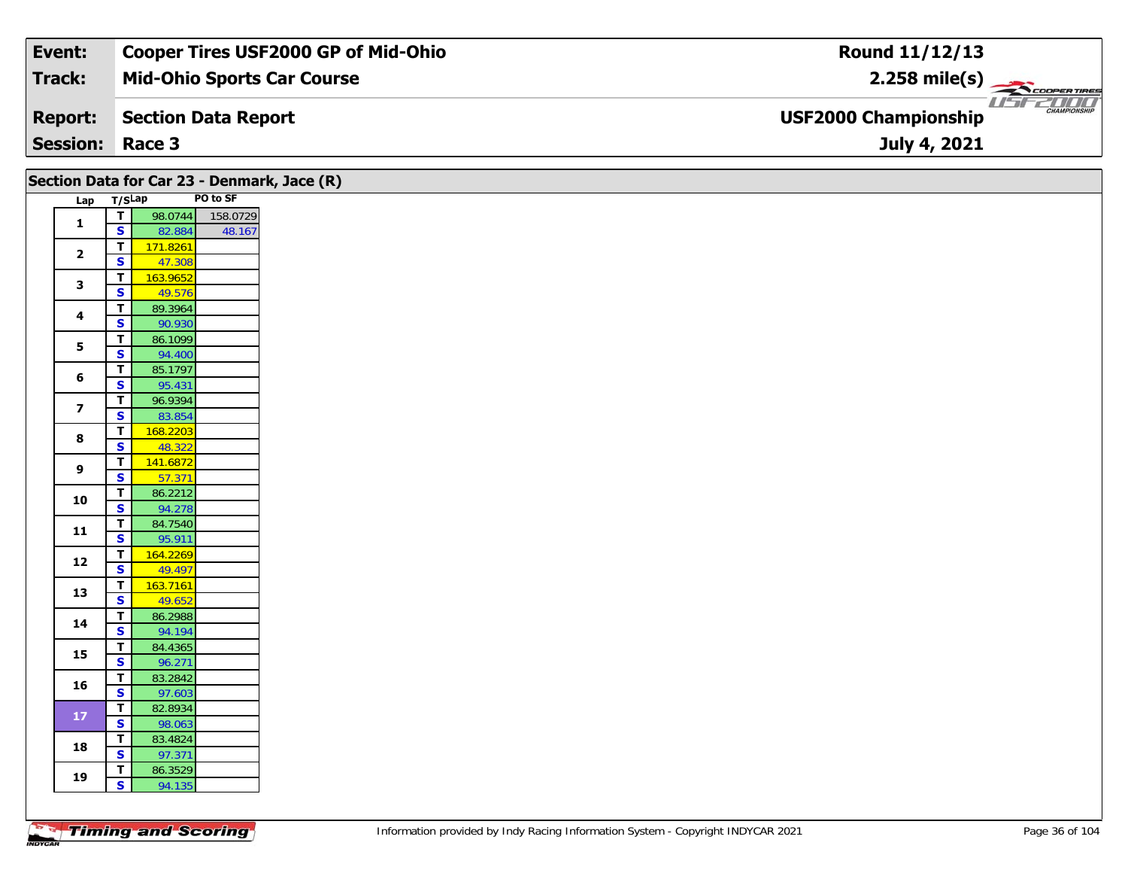| Event:                 | <b>Cooper Tires USF2000 GP of Mid-Ohio</b> | Round 11/12/13                                                 |
|------------------------|--------------------------------------------|----------------------------------------------------------------|
| Track:                 | <b>Mid-Ohio Sports Car Course</b>          | $2.258$ mile(s)                                                |
| <b>Report:</b>         | Section Data Report                        | USF2DOO'<br><b>CHAMPIONSHIP</b><br><b>USF2000 Championship</b> |
| <b>Session: Race 3</b> |                                            | July 4, 2021                                                   |

| Section Data for Car 23 - Denmark, Jace (R) |                         |                                                    |                     |  |  |  |  |  |  |  |
|---------------------------------------------|-------------------------|----------------------------------------------------|---------------------|--|--|--|--|--|--|--|
|                                             | PO to SF<br>Lap T/SLap  |                                                    |                     |  |  |  |  |  |  |  |
|                                             | $\mathbf{1}$            | $\overline{\mathbf{r}}$                            | 98.0744<br>158.0729 |  |  |  |  |  |  |  |
|                                             |                         | $\mathbf{s}$                                       | 82.884<br>48.167    |  |  |  |  |  |  |  |
|                                             | $\overline{\mathbf{2}}$ | $\overline{I}$                                     | 171.8261            |  |  |  |  |  |  |  |
|                                             |                         | $\mathbf{s}$<br>$\overline{\mathsf{T}}$            | 47.308              |  |  |  |  |  |  |  |
|                                             | $\mathbf{3}$            | $\overline{\mathbf{s}}$                            | 163.9652<br>49.576  |  |  |  |  |  |  |  |
|                                             |                         | $\mathbf T$                                        | 89.3964             |  |  |  |  |  |  |  |
|                                             | $\overline{\mathbf{4}}$ | $\overline{\mathbf{s}}$                            | 90.930              |  |  |  |  |  |  |  |
|                                             |                         | $\mathbf T$                                        | 86.1099             |  |  |  |  |  |  |  |
|                                             | $5\phantom{a}$          | $\overline{\mathbf{s}}$                            | 94.400              |  |  |  |  |  |  |  |
|                                             | 6                       | $\mathbf{T}$                                       | 85.1797             |  |  |  |  |  |  |  |
|                                             |                         | $\mathbf{s}$                                       | 95.431              |  |  |  |  |  |  |  |
|                                             | $\overline{\mathbf{z}}$ | $\overline{t}$                                     | 96.9394             |  |  |  |  |  |  |  |
|                                             |                         | $\overline{\mathbf{s}}$                            | 83.854              |  |  |  |  |  |  |  |
|                                             | 8                       | $\overline{\mathsf{r}}$<br>$\overline{\mathbf{s}}$ | 168.2203<br>48.322  |  |  |  |  |  |  |  |
|                                             |                         | $\overline{\mathbf{r}}$                            | 141.6872            |  |  |  |  |  |  |  |
|                                             | 9                       | $\overline{\mathbf{s}}$                            | 57.371              |  |  |  |  |  |  |  |
|                                             |                         | T                                                  | 86.2212             |  |  |  |  |  |  |  |
|                                             | 10                      | $\overline{\mathbf{s}}$                            | 94.278              |  |  |  |  |  |  |  |
|                                             | $11$                    | $\mathbf T$                                        | 84.7540             |  |  |  |  |  |  |  |
|                                             |                         | $\overline{\mathbf{s}}$                            | 95.911              |  |  |  |  |  |  |  |
|                                             | 12                      | $\overline{\mathbf{r}}$                            | 164.2269            |  |  |  |  |  |  |  |
|                                             |                         | $\mathbf{s}$                                       | 49.497              |  |  |  |  |  |  |  |
|                                             | 13                      | $\overline{T}$<br>$\overline{\mathbf{s}}$          | 163.7161<br>49.652  |  |  |  |  |  |  |  |
|                                             |                         | T                                                  | 86.2988             |  |  |  |  |  |  |  |
|                                             | 14                      | $\overline{\mathbf{s}}$                            | 94.194              |  |  |  |  |  |  |  |
|                                             |                         | $\overline{\mathbf{T}}$                            | 84.4365             |  |  |  |  |  |  |  |
|                                             | 15                      | $\overline{\mathbf{s}}$                            | 96.271              |  |  |  |  |  |  |  |
|                                             | 16                      | $\mathbf T$                                        | 83.2842             |  |  |  |  |  |  |  |
|                                             |                         | $\mathbf{s}$                                       | 97.603              |  |  |  |  |  |  |  |
|                                             | ${\bf 17}$              | $\mathbf T$                                        | 82.8934             |  |  |  |  |  |  |  |
|                                             |                         | $\mathbf{s}$                                       | 98.063              |  |  |  |  |  |  |  |
|                                             | 18                      | $\overline{\mathbf{T}}$<br>$\overline{\mathbf{s}}$ | 83.4824<br>97.371   |  |  |  |  |  |  |  |
|                                             |                         | T                                                  | 86.3529             |  |  |  |  |  |  |  |
|                                             | 19                      | $\overline{\mathbf{s}}$                            | 94.135              |  |  |  |  |  |  |  |
|                                             |                         |                                                    |                     |  |  |  |  |  |  |  |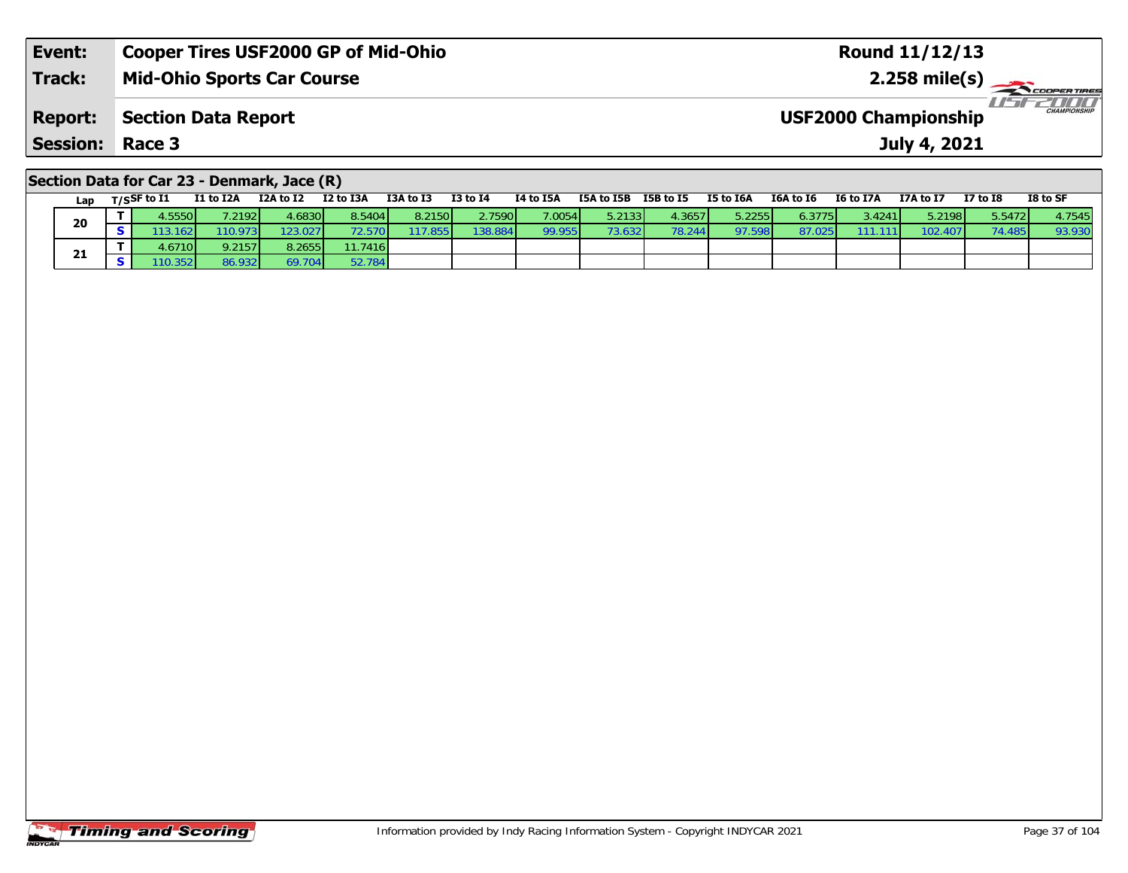| Event:                 | Cooper Tires USF2000 GP of Mid-Ohio | <b>Round 11/12/13</b>                              |
|------------------------|-------------------------------------|----------------------------------------------------|
| <b>Track:</b>          | <b>Mid-Ohio Sports Car Course</b>   | $2.258 \text{ mile(s)}$                            |
| <b>Report:</b>         | Section Data Report                 | <b>CHAMPIONSHIP</b><br><b>USF2000 Championship</b> |
| <b>Session: Race 3</b> |                                     | July 4, 2021                                       |
|                        |                                     |                                                    |

### **Section Data for Car 23 - Denmark, Jace (R)**

|    | Lap | T/SSF to I1 | I1 to I2A | I2A to I2 | I2 to I3A | I3A to I3 | <b>I3 to I4</b> | I4 to I5A | I5A to I5B | I5B to I5 | <b>I5 to I6A</b> | I6A to I6 | <b>I6 to I7A</b> | I7A to I7 | <b>I7 to I8</b> | I8 to SF |
|----|-----|-------------|-----------|-----------|-----------|-----------|-----------------|-----------|------------|-----------|------------------|-----------|------------------|-----------|-----------------|----------|
| 20 |     | .55501      | .2192     | 4.6830    | 8.5404    | 8.2150    | 2.7590          | 7.0054    | 5.2133     | 4.3657    | 5.2255           | 6.3775    | 3.4241           | 5.2198    | 5.5472          | 4.7545   |
|    |     | .162 I      | 10.973    | 123.027   |           | 17.855    | 138.884         | 99.955    | 73.632     | 78.244    | 97.598           | 87.02.    | 111              | 102.407   |                 | 93.930   |
|    |     | 1.6710 L    | 9.2157    | 8.2655    | 11.7416   |           |                 |           |            |           |                  |           |                  |           |                 |          |
|    | 21  | 10.3521     | 86.932    | 69.704    | 52.784    |           |                 |           |            |           |                  |           |                  |           |                 |          |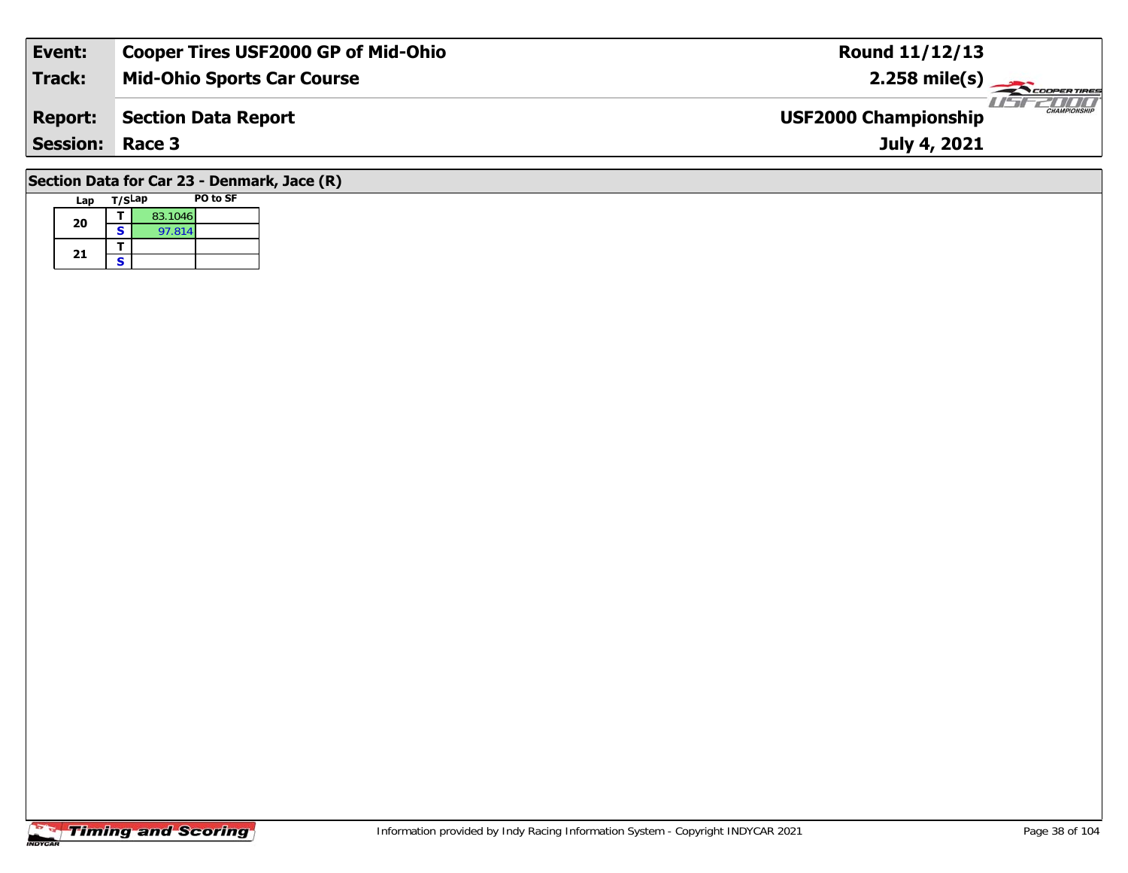| Event:          | <b>Cooper Tires USF2000 GP of Mid-Ohio</b> | <b>Round 11/12/13</b>                              |
|-----------------|--------------------------------------------|----------------------------------------------------|
| Track:          | <b>Mid-Ohio Sports Car Course</b>          | $2.258 \text{ mile(s)}$                            |
| <b>Report:</b>  | Section Data Report                        | <b>CHAMPIONSHIP</b><br><b>USF2000 Championship</b> |
| <b>Session:</b> | Race 3                                     | July 4, 2021                                       |
|                 | $\sim$                                     |                                                    |

#### **Section Data for Car 23 - Denmark, Jace (R) Lap T/SLap PO to SF**  Г

|    |   | 83.1046 |  |
|----|---|---------|--|
| 20 | s | 97.814  |  |
|    |   |         |  |
| 21 | S |         |  |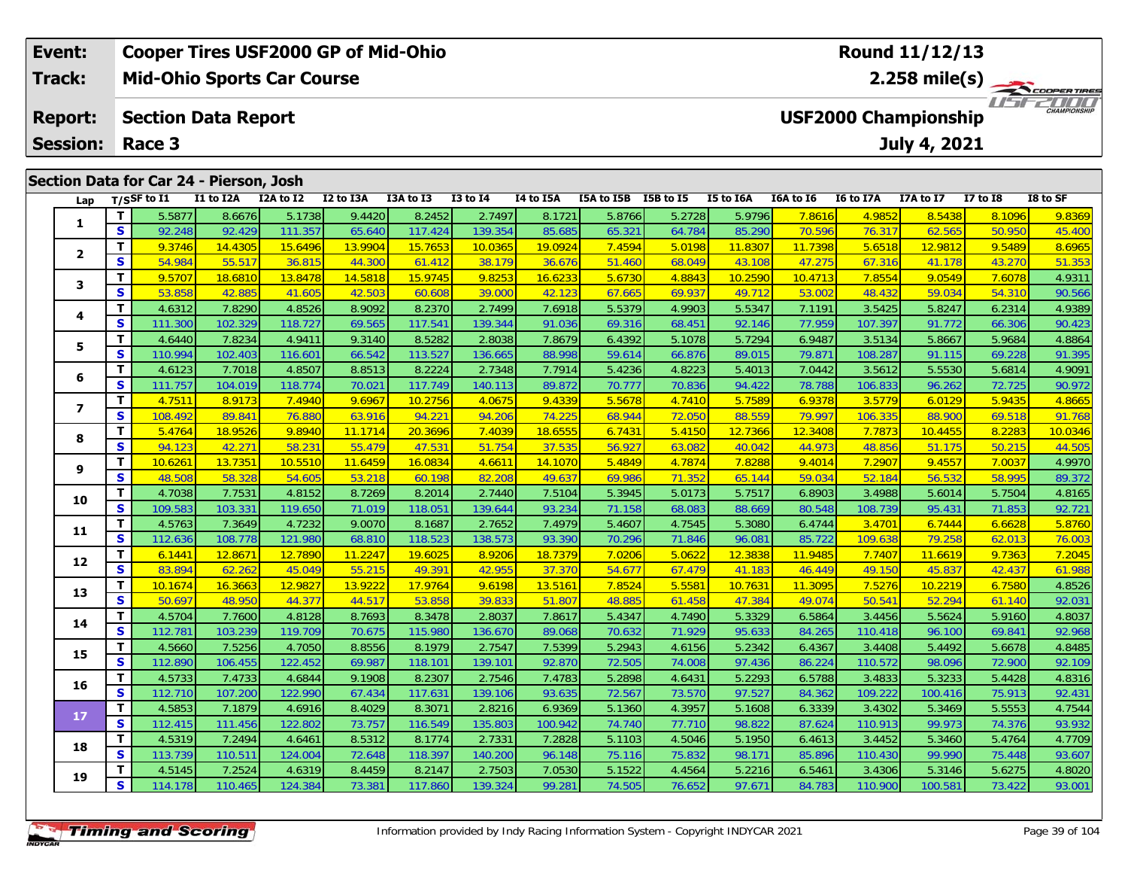| Event:          |                                         | <b>Cooper Tires USF2000 GP of Mid-Ohio</b> |           |           |           |              |           |            | Round 11/12/13                                             |           |                  |                  |                  |                 |          |  |  |
|-----------------|-----------------------------------------|--------------------------------------------|-----------|-----------|-----------|--------------|-----------|------------|------------------------------------------------------------|-----------|------------------|------------------|------------------|-----------------|----------|--|--|
| <b>Track:</b>   |                                         | <b>Mid-Ohio Sports Car Course</b>          |           |           |           |              |           |            | $2.258$ mile(s) $\frac{1}{2.256}$                          |           |                  |                  |                  |                 |          |  |  |
| <b>Report:</b>  |                                         | <b>Section Data Report</b>                 |           |           |           |              |           |            | 2000<br><b>CHAMPIONSHIP</b><br><b>USF2000 Championship</b> |           |                  |                  |                  |                 |          |  |  |
| <b>Session:</b> | Race 3                                  |                                            |           |           |           |              |           |            |                                                            |           |                  |                  | July 4, 2021     |                 |          |  |  |
|                 |                                         |                                            |           |           |           |              |           |            |                                                            |           |                  |                  |                  |                 |          |  |  |
|                 | Section Data for Car 24 - Pierson, Josh |                                            |           |           |           |              |           |            |                                                            |           |                  |                  |                  |                 |          |  |  |
| Lap             | T/SSF to I1                             | I1 to I2A                                  | I2A to I2 | I2 to I3A | I3A to I3 | $I3$ to $I4$ | I4 to I5A | I5A to I5B | I5B to I5                                                  | I5 to I6A | <b>I6A to 16</b> | <b>I6 to I7A</b> | <b>I7A to I7</b> | <b>I7 to I8</b> | I8 to SF |  |  |
|                 | 5.5877                                  | 8.6676                                     | 5.1738    | 9.4420    | 8.2452    | 2.7497       | 8.1721    | 5.8766     | 5.2728                                                     | 5.9796    | 7.8616L          | 4.9852           | 8.5438           | 8.1096          | 9.8369   |  |  |

| Lap            |                         | 1/5 <sup>3</sup> wii | 11 W 12A | IZA WIZ | <b>IZ WIJA</b> | 13A W 13 | +ב טו כב | 14 W 13A | <b>ISA IO 13D</b> | 196 M 19           | TO TO TOW | TOW TO TO | 10 to 17A | $17A$ to $17$ | <b>TV TO TO</b> | TO TO 9L |
|----------------|-------------------------|----------------------|----------|---------|----------------|----------|----------|----------|-------------------|--------------------|-----------|-----------|-----------|---------------|-----------------|----------|
|                | $\mathbf{T}$            | 5.5877               | 8.6676   | 5.1738  | 9.4420         | 8.2452   | 2.7497   | 8.1721   | 5.8766            | 5.2728             | 5.9796    | 7.8616    | 4.9852    | 8.5438        | 8.1096          | 9.8369   |
| 1              | S                       | 92.248               | 92.429   | 111.357 | 65.640         | 117.424  | 139.354  | 85.685   | 65.321            | 64.784             | 85.290    | 70.596    | 76.317    | 62.565        | 50.950          | 45.400   |
|                | $\mathbf{T}$            | 9.3746               | 14.4305  | 15.6496 | 13.9904        | 15.7653  | 10.0365  | 19.0924  | 7.4594            | 5.0198             | 11.8307   | 11.7398   | 5.6518    | 12.9812       | 9.5489          | 8.6965   |
| $\overline{2}$ | $\overline{\mathbf{s}}$ | 54.984               | 55.517   | 36.815  | 44.300         | 61.412   | 38.179   | 36.676   | 51.460            | 68.049             | 43.108    | 47.275    | 67.316    | 41.178        | 43.270          | 51.353   |
|                | T                       | 9.5707               | 18.6810  | 13.8478 | 14.5818        | 15.9745  | 9.8253   | 16.6233  | 5.6730            | 4.8843             | 10.2590   | 10.4713   | 7.8554    | 9.0549        | 7.6078          | 4.9311   |
| 3              | $\mathbf{s}$            | 53.858               | 42.885   | 41.605  | 42.503         | 60.608   | 39.000   | 42.123   | 67.665            | 69.937             | 49.712    | 53.002    | 48.432    | 59.034        | 54.310          | 90.566   |
| 4              | $\mathbf{T}$            | 4.6312               | 7.8290   | 4.8526  | 8.9092         | 8.2370   | 2.7499   | 7.6918   | 5.5379            | 4.9903             | 5.5347    | 7.1191    | 3.5425    | 5.8247        | 6.2314          | 4.9389   |
|                | S                       | 111.300              | 102.329  | 118.727 | 69.565         | 117.541  | 139.344  | 91.036   | 69.316            | 68.451             | 92.146    | 77.959    | 107.397   | 91.772        | 66.306          | 90.423   |
| 5              | T                       | 4.6440               | 7.8234   | 4.9411  | 9.3140         | 8.5282   | 2.8038   | 7.8679   | 6.4392            | 5.1078             | 5.7294    | 6.9487    | 3.5134    | 5.8667        | 5.9684          | 4.8864   |
|                | $\mathbf{s}$            | 110.994              | 102.403  | 116.601 | 66.542         | 113.527  | 136.665  | 88.998   | 59.614            | 66.876             | 89.015    | 79.871    | 108.287   | 91.115        | 69.228          | 91.395   |
| 6              | T                       | 4.6123               | 7.7018   | 4.8507  | 8.8513         | 8.2224   | 2.7348   | 7.7914   | 5.4236            | 4.8223             | 5.4013    | 7.0442    | 3.5612    | 5.5530        | 5.6814          | 4.9091   |
|                | $\mathbf{s}$            | 111.757              | 104.019  | 118.774 | 70.021         | 117.749  | 140.113  | 89.872   | 70.777            | 70.836             | 94.422    | 78.788    | 106.833   | 96.262        | 72.725          | 90.972   |
| 7              | $\mathbf{T}$            | 4.7511               | 8.9173   | 7.4940  | 9.6967         | 10.2756  | 4.0675   | 9.4339   | 5.5678            | 4.7410             | 5.7589    | 6.9378    | 3.5779    | 6.0129        | 5.9435          | 4.8665   |
|                | $\mathbf{s}$            | 108.492              | 89.841   | 76.880  | 63.916         | 94.221   | 94.206   | 74.225   | 68.944            | 72.050             | 88.559    | 79.997    | 106.335   | 88.900        | 69.518          | 91.768   |
| 8              | T                       | 5.4764               | 18.9526  | 9.8940  | 11.1714        | 20.3696  | 7.4039   | 18.6555  | 6.7431            | 5.4150             | 12.7366   | 12.3408   | 7.7873    | 10.4455       | 8.2283          | 10.0346  |
|                | $\mathbf{s}$            | 94.123               | 42.271   | 58.231  | 55.479         | 47.531   | 51.754   | 37.535   | 56.927            | 63.082             | 40.042    | 44.973    | 48.856    | 51.175        | 50.215          | 44.505   |
| 9              | Т                       | 10.6261              | 13.7351  | 10.5510 | 11.6459        | 16.0834  | 4.6611   | 14.1070  | 5.4849            | 4.7874             | 7.8288    | 9.4014    | 7.2907    | 9.4557        | 7.0037          | 4.9970   |
|                | $\mathbf{s}$            | 48.508               | 58.328   | 54.605  | 53.218         | 60.198   | 82.208   | 49.637   | 69.986            | 71.352             | 65.144    | 59.034    | 52.184    | 56.532        | 58.995          | 89.372   |
| 10             | Т                       | 4.7038               | 7.7531   | 4.8152  | 8.7269         | 8.2014   | 2.7440   | 7.5104   | 5.3945            | 5.0173             | 5.7517    | 6.8903    | 3.4988    | 5.6014        | 5.7504          | 4.8165   |
|                | $\mathbf{s}$            | 109.583              | 103.331  | 119.650 | 71.019         | 118.051  | 139.644  | 93.234   | 71.158            | 68.083             | 88.669    | 80.548    | 108.739   | 95.431        | 71.853          | 92.721   |
| 11             | $\mathbf{T}$            | 4.5763               | 7.3649   | 4.7232  | 9.0070         | 8.1687   | 2.7652   | 7.4979   | 5.4607            | 4.7545             | 5.3080    | 6.4744    | 3.4701    | 6.7444        | 6.6628          | 5.8760   |
|                | S                       | 112.636              | 108.778  | 121.980 | 68.810         | 118.523  | 138.573  | 93.390   | 70.296            | 71.846             | 96.081    | 85.722    | 109.638   | 79.258        | 62.013          | 76.003   |
| 12             | T                       | 6.1441               | 12.8671  | 12.7890 | 11.2247        | 19.6025  | 8.9206   | 18.7379  | 7.0206            | 5.0622             | 12.3838   | 11.9485   | 7.7407    | 11.6619       | 9.7363          | 7.2045   |
|                | $\mathbf{s}$            | 83.894               | 62.262   | 45.049  | 55.215         | 49.391   | 42.955   | 37.370   | 54.677            | 67.479             | 41.183    | 46.449    | 49.150    | 45.837        | 42.437          | 61.988   |
| 13             | $\mathbf{T}$            | 10.1674              | 16.3663  | 12.9827 | 13.9222        | 17.9764  | 9.6198   | 13.5161  | 7.8524            | 5.558 <sup>2</sup> | 10.7631   | 11.3095   | 7.5276    | 10.2219       | 6.7580          | 4.8526   |
|                | S                       | 50.697               | 48.950   | 44.377  | 44.517         | 53.858   | 39.833   | 51.807   | 48.885            | 61.458             | 47.384    | 49.074    | 50.541    | 52.294        | 61.140          | 92.031   |
| 14             | $\mathbf{T}$            | 4.5704               | 7.7600   | 4.8128  | 8.7693         | 8.3478   | 2.8037   | 7.8617   | 5.4347            | 4.7490             | 5.3329    | 6.5864    | 3.4456    | 5.5624        | 5.9160          | 4.8037   |
|                | $\mathbf{s}$            | 112.781              | 103.239  | 119.709 | 70.675         | 115.980  | 136.670  | 89.068   | 70.632            | 71.929             | 95.633    | 84.265    | 110.418   | 96.100        | 69.841          | 92.968   |
| 15             | $\mathbf{T}$            | 4.5660               | 7.5256   | 4.7050  | 8.8556         | 8.1979   | 2.7547   | 7.5399   | 5.2943            | 4.6156             | 5.2342    | 6.4367    | 3.4408    | 5.4492        | 5.6678          | 4.8485   |
|                | S                       | 112.890              | 106.455  | 122.452 | 69.987         | 118.101  | 139.101  | 92.870   | 72.505            | 74.008             | 97.436    | 86.224    | 110.572   | 98.096        | 72.900          | 92.109   |
| 16             | Т                       | 4.5733               | 7.4733   | 4.6844  | 9.1908         | 8.2307   | 2.7546   | 7.4783   | 5.2898            | 4.6431             | 5.2293    | 6.5788    | 3.4833    | 5.3233        | 5.4428          | 4.8316   |
|                | $\mathbf{s}$            | 112.710              | 107.200  | 122.990 | 67.434         | 117.631  | 139.106  | 93.635   | 72.567            | 73.570             | 97.527    | 84.362    | 109.222   | 100.416       | 75.913          | 92.431   |
| 17             | T                       | 4.5853               | 7.1879   | 4.6916  | 8.4029         | 8.3071   | 2.8216   | 6.9369   | 5.1360            | 4.3957             | 5.1608    | 6.3339    | 3.4302    | 5.3469        | 5.5553          | 4.7544   |
|                | S                       | 112.415              | 111.456  | 122.802 | 73.757         | 116.549  | 135.803  | 100.942  | 74.740            | 77.710             | 98.822    | 87.624    | 110.913   | 99.973        | 74.376          | 93.932   |
| 18             | Т                       | 4.5319               | 7.2494   | 4.6461  | 8.5312         | 8.1774   | 2.7331   | 7.2828   | 5.1103            | 4.5046             | 5.1950    | 6.4613    | 3.4452    | 5.3460        | 5.4764          | 4.7709   |
|                | $\mathbf{s}$            | 113.739              | 110.511  | 124.004 | 72.648         | 118.397  | 140.200  | 96.148   | 75.116            | 75.832             | 98.171    | 85.896    | 110.430   | 99.990        | 75.448          | 93.607   |
| 19             | T                       | 4.5145               | 7.2524   | 4.6319  | 8.4459         | 8.2147   | 2.7503   | 7.0530   | 5.1522            | 4.4564             | 5.2216    | 6.5461    | 3.4306    | 5.3146        | 5.6275          | 4.8020   |
|                | S                       | 114.178              | 110.465  | 124.384 | 73.381         | 117.860  | 139.324  | 99.281   | 74.505            | 76.652             | 97.671    | 84.783    | 110.900   | 100.581       | 73.422          | 93.001   |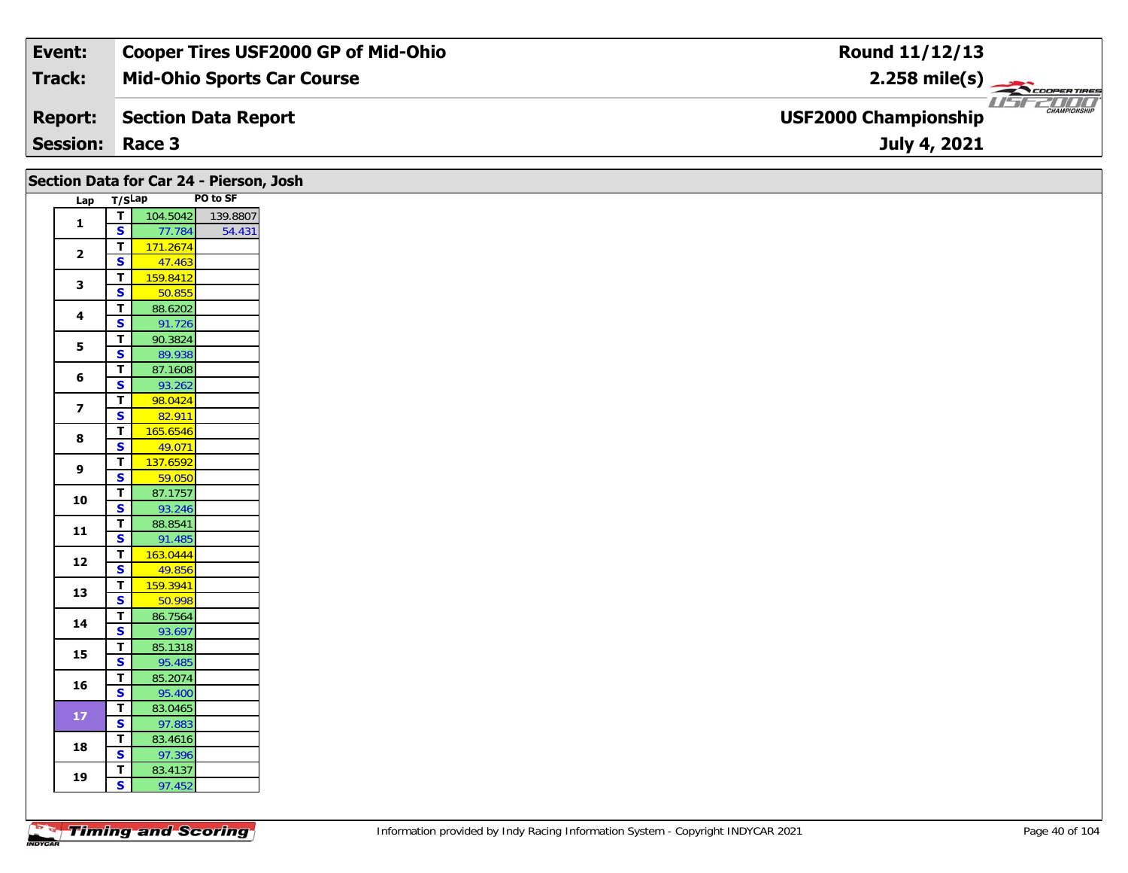| Event:          | Cooper Tires USF2000 GP of Mid-Ohio | Round 11/12/13                                     |
|-----------------|-------------------------------------|----------------------------------------------------|
| Track:          | <b>Mid-Ohio Sports Car Course</b>   | $2.258$ mile(s) $\frac{1}{2.258}$                  |
| <b>Report:</b>  | Section Data Report                 | <b>CHAMPIONSHIP</b><br><b>USF2000 Championship</b> |
| <b>Session:</b> | Race 3                              | July 4, 2021                                       |

|                         |                                         | Section Data for Car 24 - Pierson, Josh |          |  |  |  |  |
|-------------------------|-----------------------------------------|-----------------------------------------|----------|--|--|--|--|
| Lap T/SLap              |                                         | PO to SF                                |          |  |  |  |  |
|                         | $\mathbf{T}$                            | 104.5042                                | 139.8807 |  |  |  |  |
| $\mathbf{1}$            | $\mathbf{s}$                            | 77.784                                  | 54.431   |  |  |  |  |
| $\overline{2}$          | $\overline{\mathbf{T}}$                 | 171.2674                                |          |  |  |  |  |
|                         | $\overline{\mathbf{s}}$                 | 47.463                                  |          |  |  |  |  |
| $\mathbf{3}$            | $\mathbf T$                             | 159.8412                                |          |  |  |  |  |
|                         | $\mathbf{s}$                            | 50.855                                  |          |  |  |  |  |
| 4                       | $\overline{\mathsf{r}}$                 | 88.6202                                 |          |  |  |  |  |
|                         | S                                       | 91.726                                  |          |  |  |  |  |
| 5                       | $\mathbf{T}$                            | 90.3824                                 |          |  |  |  |  |
|                         | $\overline{\mathbf{s}}$                 | 89.938                                  |          |  |  |  |  |
| 6                       | $\mathbf{T}$                            | 87.1608                                 |          |  |  |  |  |
|                         | S                                       | 93.262                                  |          |  |  |  |  |
| $\overline{\mathbf{z}}$ | $\mathbf T$<br>S                        | 98.0424<br>82.911                       |          |  |  |  |  |
|                         | $\overline{\mathbf{T}}$                 | 165.6546                                |          |  |  |  |  |
| 8                       | $\overline{\mathbf{s}}$                 | 49.071                                  |          |  |  |  |  |
|                         | $\mathbf T$                             | 137.6592                                |          |  |  |  |  |
| 9                       | S                                       | 59.050                                  |          |  |  |  |  |
|                         | T                                       | 87.1757                                 |          |  |  |  |  |
| 10                      | $\overline{\mathbf{s}}$                 | 93.246                                  |          |  |  |  |  |
|                         | $\mathbf T$                             | 88.8541                                 |          |  |  |  |  |
| 11                      | $\overline{\mathbf{s}}$                 | 91.485                                  |          |  |  |  |  |
|                         | $\mathbf T$                             | 163.0444                                |          |  |  |  |  |
| 12                      | S                                       | 49.856                                  |          |  |  |  |  |
| 13                      | $\overline{\mathbf{T}}$                 | 159.3941                                |          |  |  |  |  |
|                         | $\mathbf{s}$                            | 50.998                                  |          |  |  |  |  |
| 14                      | T                                       | 86.7564                                 |          |  |  |  |  |
|                         | S                                       | 93.697                                  |          |  |  |  |  |
| 15                      | $\mathbf T$                             | 85.1318                                 |          |  |  |  |  |
|                         | $\overline{\mathbf{s}}$                 | 95.485                                  |          |  |  |  |  |
| 16                      | T.                                      | 85.2074                                 |          |  |  |  |  |
|                         | $\overline{\mathbf{s}}$                 | 95.400                                  |          |  |  |  |  |
| $17$                    | $\overline{\mathbf{I}}$<br>$\mathbf{s}$ | 83.0465<br>97.883                       |          |  |  |  |  |
|                         | $\mathbf{T}$                            | 83.4616                                 |          |  |  |  |  |
| 18                      | $\mathbf{s}$                            | 97.396                                  |          |  |  |  |  |
|                         | T                                       | 83.4137                                 |          |  |  |  |  |
| 19                      | $\overline{\mathbf{s}}$                 | 97.452                                  |          |  |  |  |  |
|                         |                                         |                                         |          |  |  |  |  |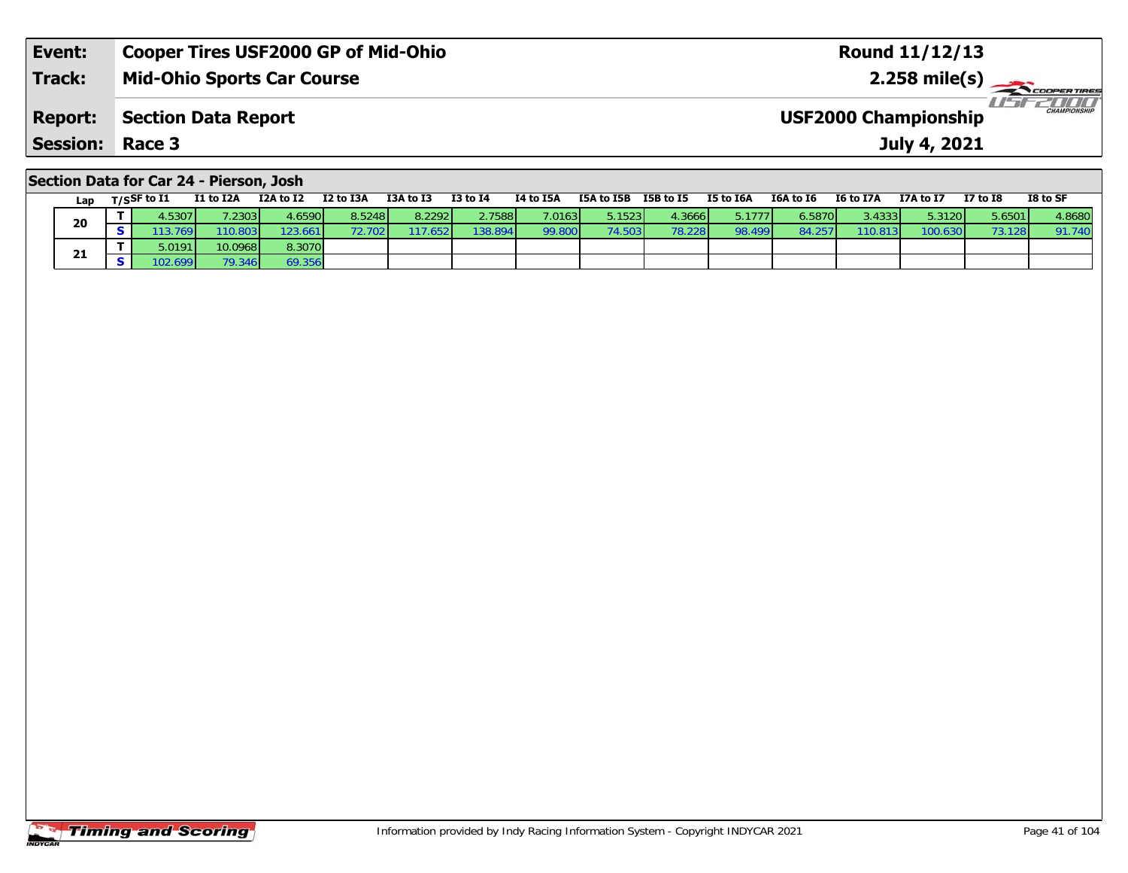| Event:                 | <b>Cooper Tires USF2000 GP of Mid-Ohio</b> | <b>Round 11/12/13</b>                              |
|------------------------|--------------------------------------------|----------------------------------------------------|
| <b>Track:</b>          | <b>Mid-Ohio Sports Car Course</b>          | 2.258 mile(s) $\rightarrow$<br><b>COOPERTIRES</b>  |
| <b>Report:</b>         | Section Data Report                        | <b>CHAMPIONSHIP</b><br><b>USF2000 Championship</b> |
| <b>Session: Race 3</b> |                                            | July 4, 2021                                       |
|                        |                                            |                                                    |

## **Section Data for Car 24 - Pierson, Josh**

| Lap | T/SSF to I1 | <b>I1 to I2A</b> | I2A to I2 | I2 to I3A | I3A to I3 | <b>I3 to I4</b> | I4 to I5A    | I5A to I5B      | I5B to I5 | I5 to I6A | I6A to I6 | I6 to I7A | I7A to I7          | <b>I7 to I8</b> | I8 to SF |
|-----|-------------|------------------|-----------|-----------|-----------|-----------------|--------------|-----------------|-----------|-----------|-----------|-----------|--------------------|-----------------|----------|
| 20  | .53071      | .2303            | l.6590 l  | 8.5248    | 8.2292    | 2.7588          | 7.0163       | 5.1523 <b>I</b> | 1.3666    | 5.1777    | 6.5870 l  | 3.43331   | 5.3120 $\mathsf I$ | 5.6501          | 4.8680   |
|     | 3.769'      | 110.803          | 123.661   |           | 117.652   | 138.894         | <b>99.8L</b> | 74.503          | 78.228    | 98.499    | 84.25     | 110.8.    |                    |                 | 91.740   |
|     | 5.0191      | 10.0968          | 8.3070    |           |           |                 |              |                 |           |           |           |           |                    |                 |          |
| 21  |             |                  | 69.356    |           |           |                 |              |                 |           |           |           |           |                    |                 |          |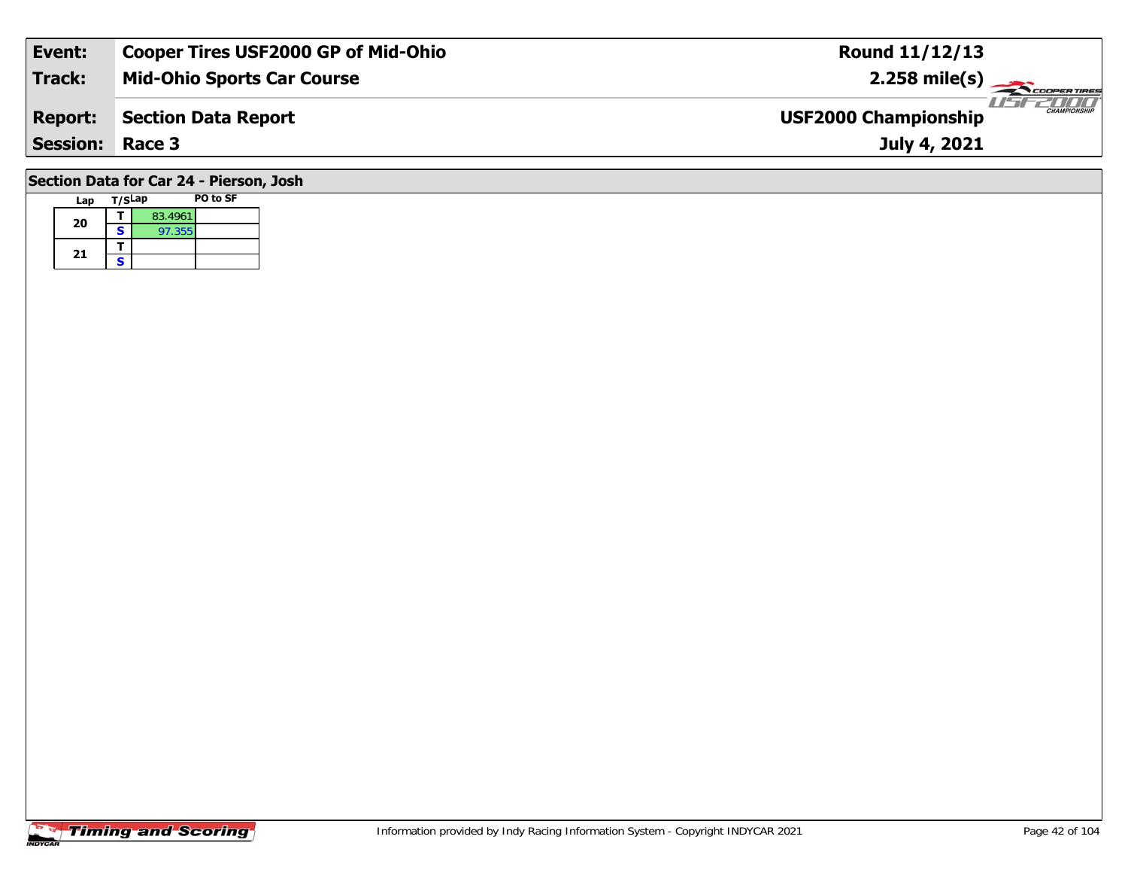| Event:                 | <b>Cooper Tires USF2000 GP of Mid-Ohio</b> | <b>Round 11/12/13</b>                              |
|------------------------|--------------------------------------------|----------------------------------------------------|
| Track:                 | <b>Mid-Ohio Sports Car Course</b>          | $2.258$ mile(s)                                    |
| <b>Report:</b>         | Section Data Report                        | <b>CHAMPIONSHIP</b><br><b>USF2000 Championship</b> |
| <b>Session: Race 3</b> |                                            | July 4, 2021                                       |
|                        | Section Data for Car 24 - Pierson, Josh    |                                                    |

### **Lap T/SLap PO to SF 20a**  $\begin{array}{|c|c|c|}\n\hline\n\textbf{S} & \textbf{83.4961} \\
\hline\n\textbf{S} & \textbf{97.355}\n\hline\n\end{array}$ 21  $\frac{1}{s}$

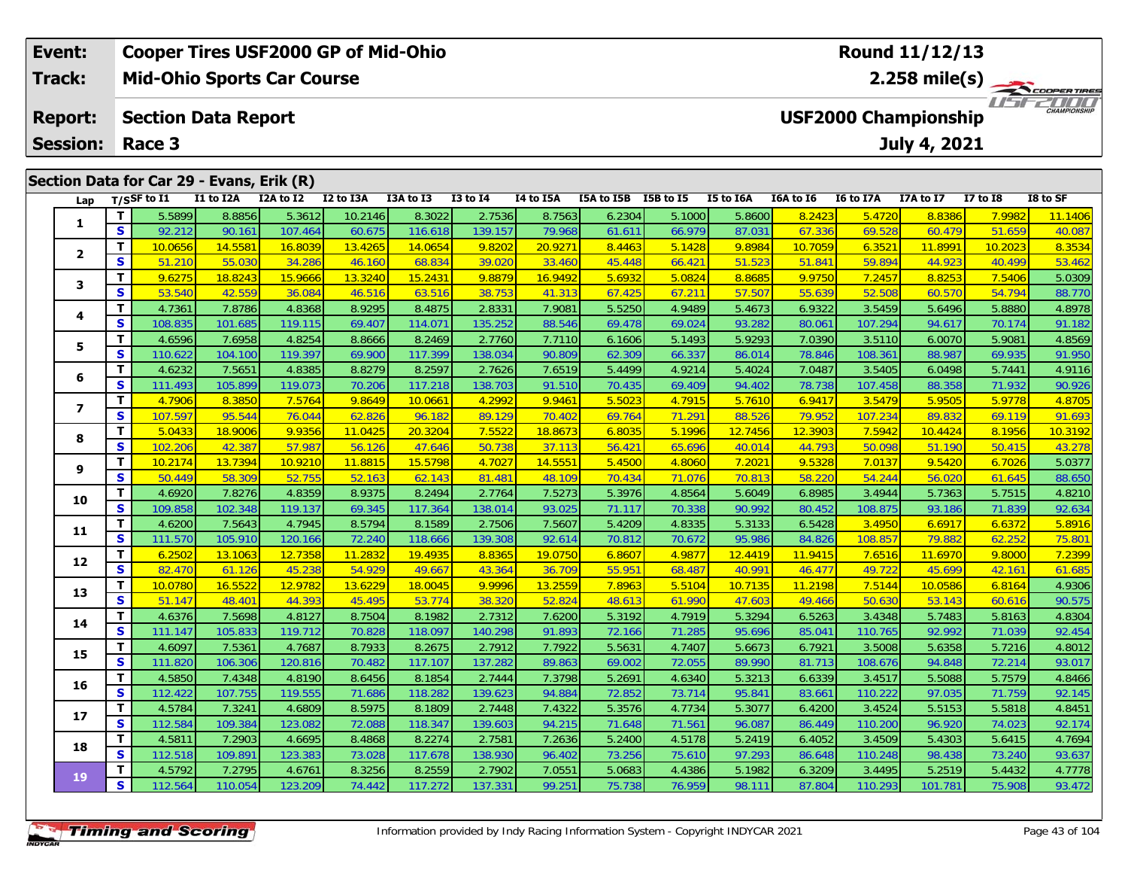| <b>Cooper Tires USF2000 GP of Mid-Ohio</b><br>Event: |    |                |                            |                                           |           |           |                 |                                                    |            | Round 11/12/13 |                         |                  |                  |                     |              |          |  |  |
|------------------------------------------------------|----|----------------|----------------------------|-------------------------------------------|-----------|-----------|-----------------|----------------------------------------------------|------------|----------------|-------------------------|------------------|------------------|---------------------|--------------|----------|--|--|
| <b>Track:</b>                                        |    |                |                            | <b>Mid-Ohio Sports Car Course</b>         |           |           |                 |                                                    |            |                | $2.258 \text{ mile(s)}$ |                  |                  |                     |              |          |  |  |
| <b>Report:</b>                                       |    |                | <b>Section Data Report</b> |                                           |           |           |                 | <b>CHAMPIONSHIP</b><br><b>USF2000 Championship</b> |            |                |                         |                  |                  |                     |              |          |  |  |
| <b>Session:</b><br>Race 3                            |    |                |                            |                                           |           |           |                 |                                                    |            |                |                         |                  |                  | <b>July 4, 2021</b> |              |          |  |  |
|                                                      |    |                |                            | Section Data for Car 29 - Evans, Erik (R) |           |           |                 |                                                    |            |                |                         |                  |                  |                     |              |          |  |  |
| Lap                                                  |    | $T/S$ SF to I1 | I1 to I2A                  | I2A to I2                                 | I2 to I3A | I3A to I3 | <b>I3 to I4</b> | <b>I4 to I5A</b>                                   | I5A to I5B | I5B to I5      | I5 to I6A               | <b>I6A to 16</b> | <b>I6 to I7A</b> | I7A to I7           | $I7$ to $I8$ | I8 to SF |  |  |
|                                                      |    | 5.5899         | 8.8856                     | 5.3612                                    | 10.2146   | 8.3022    | 2.7536          | 8.7563                                             | 6.2304     | 5.1000         | 5.8600                  | 8.2423           | 5.4720           | 8.8386              | 7.9982       | 11.1406  |  |  |
| J.                                                   | S. | 92.212         | 90.161                     | 107.464                                   | 60.675    | 116.618   | 139.157         | 79.968                                             | 61.611     | 66.979         | 87.031                  | 67.336           | 69.528           | 60.479              | 51.659       | 40.087   |  |  |
|                                                      |    | 10.0656        | 14.5581                    | 16.8039                                   | 13.4265   | 14.0654   | 9.8202          | 20.9271                                            | 8.4463     | 5.1428         | 9.8984                  | 10.7059          | 6.3521           | 11.8991             | 10.2023      | 8.3534   |  |  |
|                                                      |    |                |                            |                                           |           |           |                 |                                                    |            |                |                         |                  |                  |                     |              |          |  |  |

| --                       | .            |         |         |         |         |         |         |         |        |        |         |         |         |         |         |         |
|--------------------------|--------------|---------|---------|---------|---------|---------|---------|---------|--------|--------|---------|---------|---------|---------|---------|---------|
|                          | T            | 5.5899  | 8.8856  | 5.3612  | 10.2146 | 8.3022  | 2.7536  | 8.7563  | 6.2304 | 5.1000 | 5.8600  | 8.2423  | 5.4720  | 8.8386  | 7.9982  | 11.1406 |
| 1                        | S            | 92.212  | 90.161  | 107.464 | 60.675  | 116.618 | 139.157 | 79.968  | 61.611 | 66.979 | 87.031  | 67.336  | 69.528  | 60.479  | 51.659  | 40.087  |
| $\overline{2}$           | т            | 10.0656 | 14.5581 | 16.8039 | 13.4265 | 14.0654 | 9.8202  | 20.9271 | 8.4463 | 5.1428 | 9.8984  | 10.7059 | 6.3521  | 11.8991 | 10.2023 | 8.3534  |
|                          | S            | 51.210  | 55.030  | 34.286  | 46.160  | 68.834  | 39.020  | 33.460  | 45.448 | 66.421 | 51.523  | 51.841  | 59.894  | 44.923  | 40.499  | 53.462  |
| 3                        | T            | 9.6275  | 18.8243 | 15.9666 | 13.3240 | 15.2431 | 9.8879  | 16.9492 | 5.6932 | 5.0824 | 8.8685  | 9.9750  | 7.2457  | 8.8253  | 7.5406  | 5.0309  |
|                          | S            | 53.540  | 42.559  | 36.084  | 46.516  | 63.516  | 38.753  | 41.313  | 67.425 | 67.211 | 57.507  | 55.639  | 52.508  | 60.570  | 54.794  | 88.770  |
| 4                        | т            | 4.7361  | 7.8786  | 4.8368  | 8.9295  | 8.4875  | 2.8331  | 7.9081  | 5.5250 | 4.9489 | 5.4673  | 6.9322  | 3.5459  | 5.6496  | 5.8880  | 4.8978  |
|                          | S            | 108.835 | 101.685 | 119.115 | 69.407  | 114.071 | 135.252 | 88.546  | 69.478 | 69.024 | 93.282  | 80.061  | 107.294 | 94.617  | 70.174  | 91.182  |
| 5                        | т            | 4.6596  | 7.6958  | 4.8254  | 8.8666  | 8.2469  | 2.7760  | 7.7110  | 6.1606 | 5.1493 | 5.9293  | 7.0390  | 3.5110  | 6.0070  | 5.9081  | 4.8569  |
|                          | S            | 110.622 | 104.100 | 119.397 | 69.900  | 117.399 | 138.034 | 90.809  | 62.309 | 66.337 | 86.014  | 78.846  | 108.361 | 88.987  | 69.935  | 91.950  |
| 6                        | т            | 4.6232  | 7.5651  | 4.8385  | 8.8279  | 8.2597  | 2.7626  | 7.6519  | 5.4499 | 4.9214 | 5.4024  | 7.0487  | 3.5405  | 6.0498  | 5.7441  | 4.9116  |
|                          | $\mathbf{s}$ | 111.493 | 105.899 | 119.073 | 70.206  | 117.218 | 138.703 | 91.510  | 70.435 | 69.409 | 94.402  | 78.738  | 107.458 | 88.358  | 71.932  | 90.926  |
| $\overline{\phantom{a}}$ | т            | 4.7906  | 8.3850  | 7.5764  | 9.8649  | 10.0661 | 4.2992  | 9.9461  | 5.5023 | 4.7915 | 5.7610  | 6.9417  | 3.5479  | 5.9505  | 5.9778  | 4.8705  |
|                          | S            | 107.597 | 95.544  | 76.044  | 62.826  | 96.182  | 89.129  | 70.402  | 69.764 | 71.291 | 88.526  | 79.952  | 107.234 | 89.832  | 69.119  | 91.693  |
| 8                        | T.           | 5.0433  | 18.9006 | 9.9356  | 11.0425 | 20.3204 | 7.5522  | 18.8673 | 6.8035 | 5.1996 | 12.7456 | 12.3903 | 7.5942  | 10.4424 | 8.1956  | 10.3192 |
|                          | S            | 102.206 | 42.387  | 57.987  | 56.126  | 47.646  | 50.738  | 37.113  | 56.421 | 65.696 | 40.014  | 44.793  | 50.098  | 51.190  | 50.415  | 43.278  |
| 9                        | т            | 10.2174 | 13.7394 | 10.9210 | 11.8815 | 15.5798 | 4.7027  | 14.5551 | 5.4500 | 4.8060 | 7.2021  | 9.5328  | 7.0137  | 9.5420  | 6.7026  | 5.0377  |
|                          | S            | 50.449  | 58.309  | 52.755  | 52.163  | 62.143  | 81.481  | 48.109  | 70.434 | 71.076 | 70.813  | 58.220  | 54.244  | 56.020  | 61.645  | 88.650  |
| 10                       | т            | 4.6920  | 7.8276  | 4.8359  | 8.9375  | 8.2494  | 2.7764  | 7.5273  | 5.3976 | 4.8564 | 5.6049  | 6.8985  | 3.4944  | 5.7363  | 5.7515  | 4.8210  |
|                          | S            | 109.858 | 102.348 | 119.137 | 69.345  | 117.364 | 138.014 | 93.025  | 71.117 | 70.338 | 90.992  | 80.452  | 108.875 | 93.186  | 71.839  | 92.634  |
| 11                       | т            | 4.6200  | 7.5643  | 4.7945  | 8.5794  | 8.1589  | 2.7506  | 7.5607  | 5.4209 | 4.8335 | 5.3133  | 6.5428  | 3.4950  | 6.6917  | 6.6372  | 5.8916  |
|                          | S            | 111.570 | 105.910 | 120.166 | 72.240  | 118.666 | 139.308 | 92.614  | 70.812 | 70.672 | 95.986  | 84.826  | 108.857 | 79.882  | 62.252  | 75.801  |
| 12                       | т            | 6.2502  | 13.1063 | 12.7358 | 11.2832 | 19.4935 | 8.8365  | 19.0750 | 6.8607 | 4.9877 | 12.4419 | 11.9415 | 7.6516  | 11.6970 | 9.8000  | 7.2399  |
|                          | S            | 82.470  | 61.126  | 45.238  | 54.929  | 49.667  | 43.364  | 36.709  | 55.951 | 68.487 | 40.991  | 46.477  | 49.722  | 45.699  | 42.161  | 61.685  |
| 13                       | T.           | 10.0780 | 16.5522 | 12.9782 | 13.6229 | 18.0045 | 9.9996  | 13.2559 | 7.8963 | 5.5104 | 10.7135 | 11.2198 | 7.5144  | 10.0586 | 6.8164  | 4.9306  |
|                          | S            | 51.147  | 48.401  | 44.393  | 45.495  | 53.774  | 38.320  | 52.824  | 48.61  | 61.990 | 47.603  | 49.466  | 50.630  | 53.143  | 60.616  | 90.575  |
| 14                       | т            | 4.6376  | 7.5698  | 4.8127  | 8.7504  | 8.1982  | 2.7312  | 7.6200  | 5.3192 | 4.7919 | 5.3294  | 6.5263  | 3.4348  | 5.7483  | 5.8163  | 4.8304  |
|                          | S            | 111.147 | 105.833 | 119.712 | 70.828  | 118.097 | 140.298 | 91.893  | 72.166 | 71.285 | 95.696  | 85.04   | 110.765 | 92.992  | 71.039  | 92.454  |
| 15                       | T.           | 4.6097  | 7.5361  | 4.7687  | 8.7933  | 8.2675  | 2.7912  | 7.7922  | 5.5631 | 4.7407 | 5.6673  | 6.7921  | 3.5008  | 5.6358  | 5.7216  | 4.8012  |
|                          | S            | 111.820 | 106.306 | 120.816 | 70.482  | 117.107 | 137.282 | 89.863  | 69.002 | 72.055 | 89.990  | 81.713  | 108.676 | 94.848  | 72.214  | 93.017  |
| 16                       | т            | 4.5850  | 7.4348  | 4.8190  | 8.6456  | 8.1854  | 2.7444  | 7.3798  | 5.2691 | 4.6340 | 5.3213  | 6.6339  | 3.4517  | 5.5088  | 5.7579  | 4.8466  |
|                          | S            | 112.422 | 107.755 | 119.555 | 71.686  | 118.282 | 139.623 | 94.884  | 72.852 | 73.714 | 95.841  | 83.661  | 110.222 | 97.035  | 71.759  | 92.145  |
| 17                       | т            | 4.5784  | 7.3241  | 4.6809  | 8.5975  | 8.1809  | 2.7448  | 7.4322  | 5.3576 | 4.7734 | 5.3077  | 6.4200  | 3.4524  | 5.5153  | 5.5818  | 4.8451  |
|                          | S            | 112.584 | 109.384 | 123.082 | 72.088  | 118.347 | 139.603 | 94.215  | 71.648 | 71.561 | 96.087  | 86.449  | 110.200 | 96.920  | 74.023  | 92.174  |
| 18                       | т            | 4.5811  | 7.2903  | 4.6695  | 8.4868  | 8.2274  | 2.7581  | 7.2636  | 5.2400 | 4.5178 | 5.2419  | 6.4052  | 3.4509  | 5.4303  | 5.6415  | 4.7694  |
|                          | S            | 112.518 | 109.891 | 123.383 | 73.028  | 117.678 | 138.930 | 96.402  | 73.256 | 75.610 | 97.293  | 86.648  | 110.248 | 98.438  | 73.240  | 93.637  |
| <b>19</b>                | т            | 4.5792  | 7.2795  | 4.6761  | 8.3256  | 8.2559  | 2.7902  | 7.0551  | 5.0683 | 4.4386 | 5.1982  | 6.3209  | 3.4495  | 5.2519  | 5.4432  | 4.7778  |
|                          | S            | 112.564 | 110.054 | 123.209 | 74.442  | 117.272 | 137.331 | 99.251  | 75.738 | 76.959 | 98.111  | 87.804  | 110.293 | 101.781 | 75.908  | 93.472  |

# **Timing and Scoring**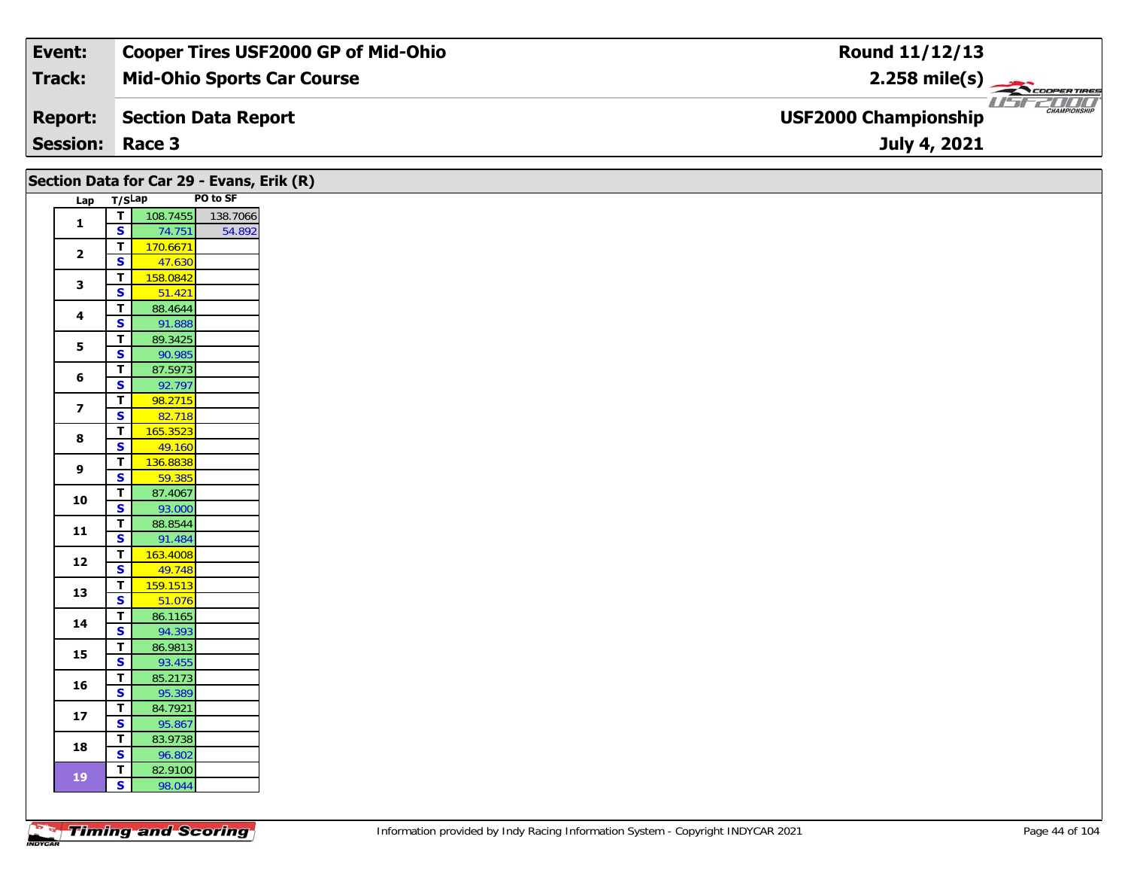| Event:                 | <b>Cooper Tires USF2000 GP of Mid-Ohio</b> | Round 11/12/13                                     |
|------------------------|--------------------------------------------|----------------------------------------------------|
| Track:                 | <b>Mid-Ohio Sports Car Course</b>          | $2.258$ mile(s)                                    |
| <b>Report:</b>         | Section Data Report                        | <b>CHAMPIONSHIP</b><br><b>USF2000 Championship</b> |
| <b>Session: Race 3</b> |                                            | July 4, 2021                                       |

|                         |                             | Section Data for Car 29 - Evans, Erik (R) |          |  |  |  |
|-------------------------|-----------------------------|-------------------------------------------|----------|--|--|--|
| Lap T/SLap              |                             |                                           | PO to SF |  |  |  |
|                         |                             | T 108.7455                                | 138.7066 |  |  |  |
| $\mathbf{1}$            | $\overline{\mathbf{s}}$     | 74.751                                    | 54.892   |  |  |  |
|                         | T                           | 170.6671                                  |          |  |  |  |
| $\mathbf{2}$            | $\overline{\mathbf{s}}$     | 47.630                                    |          |  |  |  |
| 3                       | $\mathbf T$                 | 158.0842                                  |          |  |  |  |
|                         | $\overline{\mathbf{s}}$     | 51.421                                    |          |  |  |  |
| $\overline{\mathbf{4}}$ | T                           | 88.4644                                   |          |  |  |  |
|                         | $\overline{\mathbf{s}}$     | 91.888                                    |          |  |  |  |
| 5                       | T                           | 89.3425                                   |          |  |  |  |
|                         | $\overline{\mathbf{s}}$     | 90.985                                    |          |  |  |  |
| 6                       | $\overline{\mathbf{T}}$     | 87.5973                                   |          |  |  |  |
|                         | S                           | 92.797                                    |          |  |  |  |
| $\overline{\mathbf{z}}$ | $\overline{\mathsf{T}}$     | 98.2715                                   |          |  |  |  |
|                         | $\mathbf{s}$                | 82.718                                    |          |  |  |  |
| $\bf{8}$                | $\overline{\mathsf{T}}$     | 165.3523                                  |          |  |  |  |
|                         | $\overline{\mathbf{s}}$     | 49.160                                    |          |  |  |  |
| 9                       | $\mathbf T$<br>$\mathbf{s}$ | 136.8838                                  |          |  |  |  |
|                         | $\overline{\mathbf{T}}$     | 59.385                                    |          |  |  |  |
| 10                      | $\overline{\mathbf{s}}$     | 87.4067<br>93.000                         |          |  |  |  |
|                         | T.                          | 88.8544                                   |          |  |  |  |
| $11$                    | $\mathbf{s}$                | 91.484                                    |          |  |  |  |
|                         | T.                          | 163.4008                                  |          |  |  |  |
| 12                      | $\overline{\mathbf{s}}$     | 49.748                                    |          |  |  |  |
|                         | T                           | 159.1513                                  |          |  |  |  |
| 13                      | $\overline{\mathbf{s}}$     | 51.076                                    |          |  |  |  |
|                         | $\overline{\mathbf{T}}$     | 86.1165                                   |          |  |  |  |
| 14                      | $\overline{\mathbf{s}}$     | 94.393                                    |          |  |  |  |
|                         | T.                          | 86.9813                                   |          |  |  |  |
| 15                      | $\overline{\mathbf{s}}$     | 93.455                                    |          |  |  |  |
|                         | T.                          | 85.2173                                   |          |  |  |  |
| 16                      | $\overline{\mathbf{s}}$     | 95.389                                    |          |  |  |  |
| 17                      | T.                          | 84.7921                                   |          |  |  |  |
|                         | $\overline{\mathbf{s}}$     | 95.867                                    |          |  |  |  |
| 18                      | $\mathbf T$                 | 83.9738                                   |          |  |  |  |
|                         | $\overline{\mathbf{s}}$     | 96.802                                    |          |  |  |  |
| 19                      | $\mathbf{T}$                | 82.9100                                   |          |  |  |  |
|                         | $\vert$ s $\vert$           | 98.044                                    |          |  |  |  |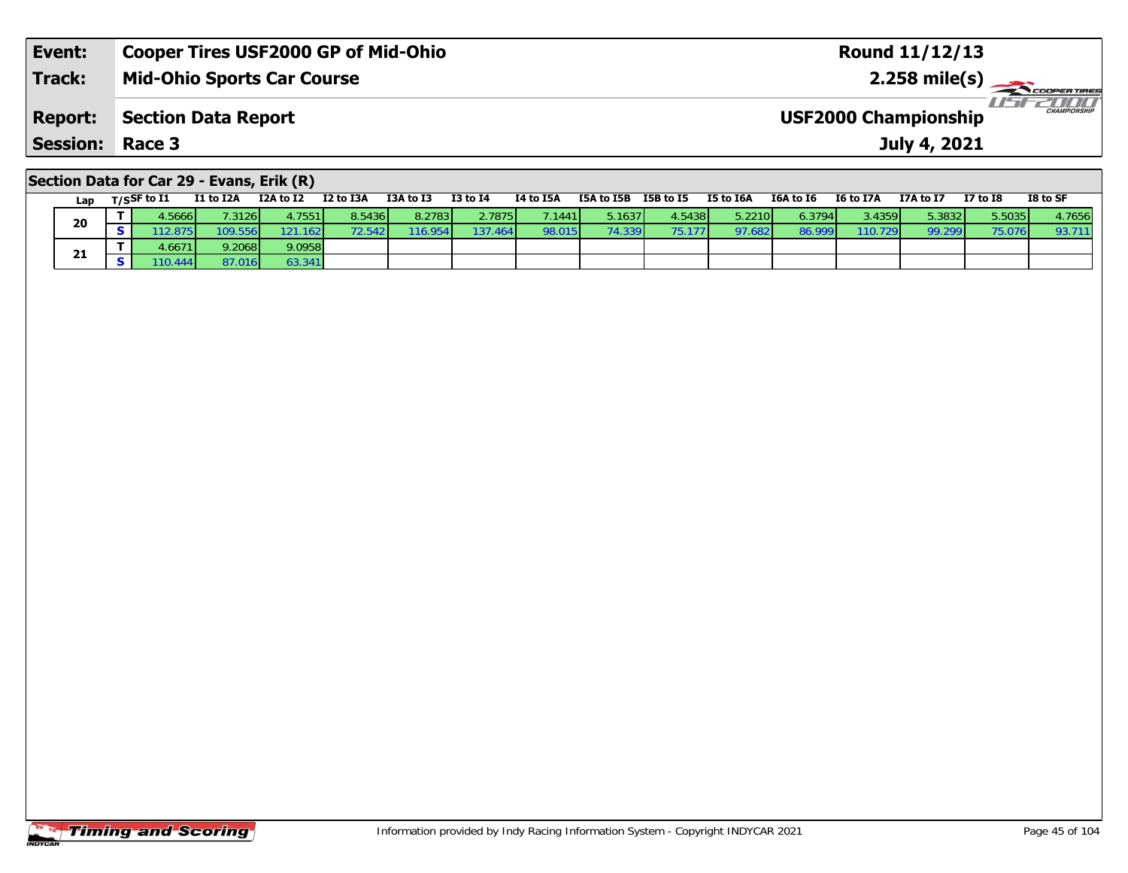| Event:                 | <b>Cooper Tires USF2000 GP of Mid-Ohio</b> | <b>Round 11/12/13</b>                              |
|------------------------|--------------------------------------------|----------------------------------------------------|
| <b>Track:</b>          | <b>Mid-Ohio Sports Car Course</b>          | $2.258 \text{ mile(s)}$                            |
| <b>Report:</b>         | Section Data Report                        | <b>CHAMPIONSHIP</b><br><b>USF2000 Championship</b> |
| <b>Session: Race 3</b> |                                            | July 4, 2021                                       |
|                        |                                            |                                                    |

# **Section Data for Car 29 - Evans, Erik (R)**

| Lap | T/SSF to I1 | I1 to I2A        | I2A to I2        | I2 to I3A | I3A to I3 | $I3$ to $I4$ | I4 to I5A | I5A to I5B | I5B to I5 | I5 to I6A | I6A to I6 | I6 to I7A | I7A to I7 | <b>I7 to I8</b> | I8 to SF |
|-----|-------------|------------------|------------------|-----------|-----------|--------------|-----------|------------|-----------|-----------|-----------|-----------|-----------|-----------------|----------|
| 20  | 5666        |                  | 4.7551 l         | 8.5436    | 8.2783    | 2.7875       | 7.1441    | 5.16371    | 4.54381   | 5.2210    | 6.3794 L  | 3.4359 L  | 5.3832    | 5.5035          | 4.7656   |
|     | 12.875      | 109.556 <b>1</b> | 121.162 <b>1</b> | 72.5421   | 116.954   | 137.464      | 98.015    | 74.339     | 75.177    | 97.682    | 86.999    | 110.729   | 99.299    | 75.076          | 93.711   |
|     | .66711      | 9.2068           | 9.0958           |           |           |              |           |            |           |           |           |           |           |                 |          |
| 21  | 10.444      | 87.016           | 63.341           |           |           |              |           |            |           |           |           |           |           |                 |          |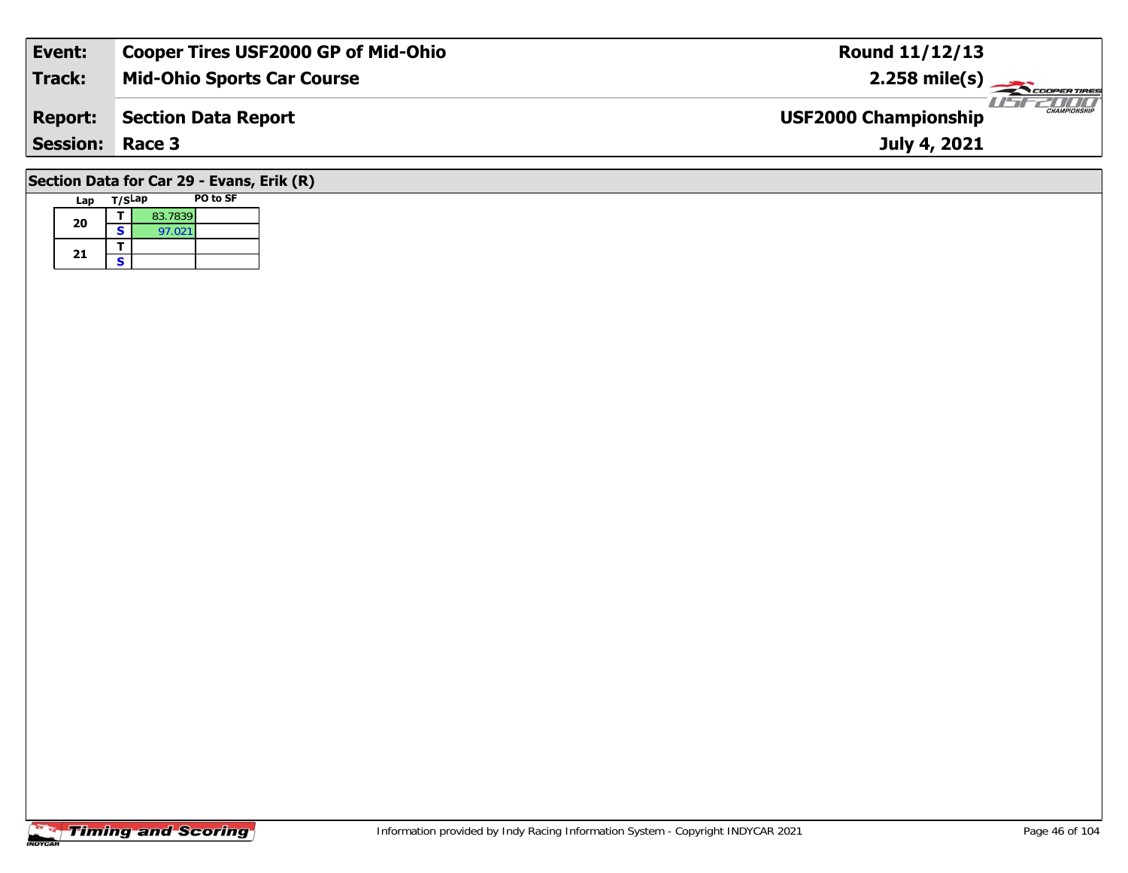| Event:          | <b>Cooper Tires USF2000 GP of Mid-Ohio</b> | <b>Round 11/12/13</b>                              |
|-----------------|--------------------------------------------|----------------------------------------------------|
| <b>Track:</b>   | <b>Mid-Ohio Sports Car Course</b>          | $2.258$ mile(s)                                    |
| <b>Report:</b>  | <b>Section Data Report</b>                 | <b>CHAMPIONSHIP</b><br><b>USF2000 Championship</b> |
| <b>Session:</b> | Race 3                                     | July 4, 2021                                       |
|                 | Section Data for Car 29 - Evans, Erik (R)  |                                                    |

# **Timing and Scoring**

**Lap T/SLap PO to SF** 

**a**  $\begin{array}{|c|c|c|}\n\hline\n\textbf{S} & \textbf{83.7839} \\
\hline\n\textbf{S} & \textbf{97.021}\n\hline\n\end{array}$ 

**20**

21  $\frac{1}{s}$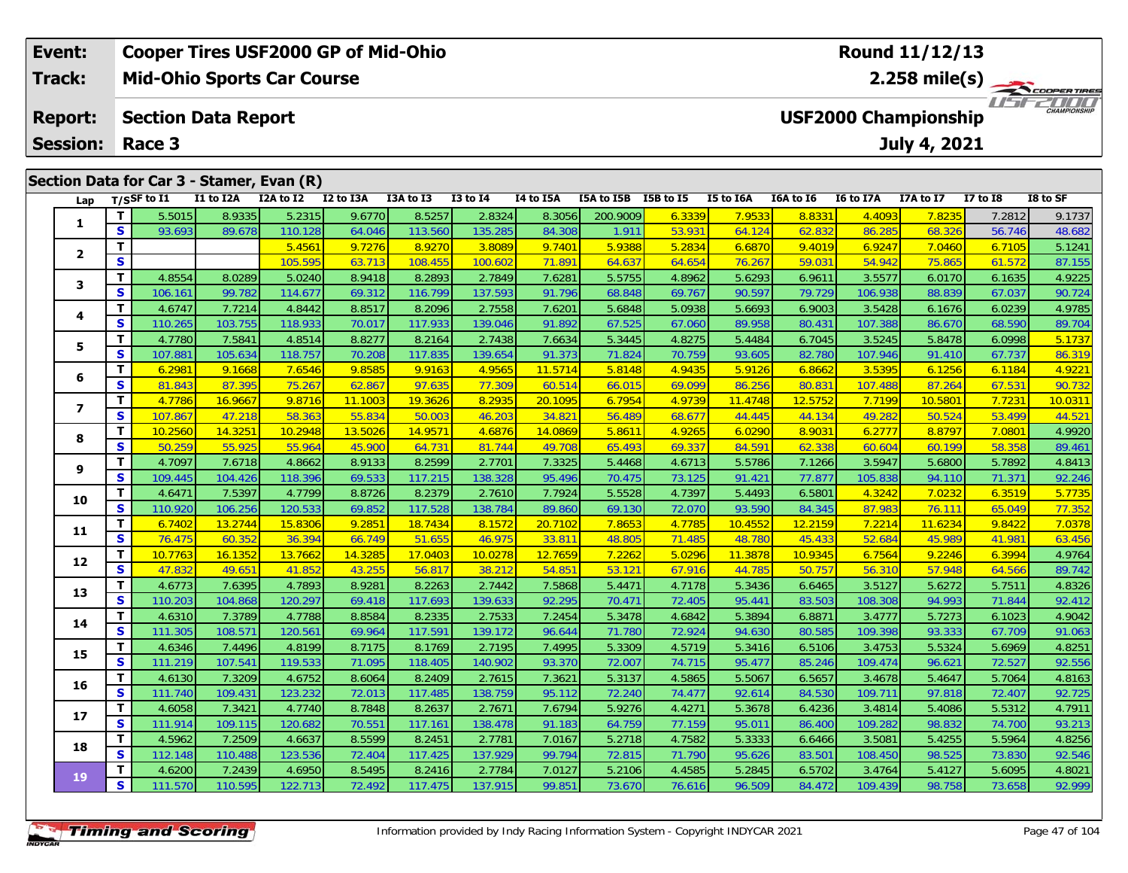| Event:          |    |                            |           |                                           | <b>Cooper Tires USF2000 GP of Mid-Ohio</b> |           |                 |           |            |           |                  |                             |                             | Round 11/12/13  |                 |             |
|-----------------|----|----------------------------|-----------|-------------------------------------------|--------------------------------------------|-----------|-----------------|-----------|------------|-----------|------------------|-----------------------------|-----------------------------|-----------------|-----------------|-------------|
| <b>Track:</b>   |    |                            |           | <b>Mid-Ohio Sports Car Course</b>         |                                            |           |                 |           |            |           |                  |                             |                             | $2.258$ mile(s) |                 | COOPERTIRES |
| <b>Report:</b>  |    | <b>Section Data Report</b> |           |                                           |                                            |           |                 |           |            |           |                  | <b>USF2000 Championship</b> | 7000<br><b>CHAMPIONSHIP</b> |                 |                 |             |
| <b>Session:</b> |    | Race 3                     |           |                                           |                                            |           |                 |           |            |           |                  | July 4, 2021                |                             |                 |                 |             |
|                 |    |                            |           |                                           |                                            |           |                 |           |            |           |                  |                             |                             |                 |                 |             |
|                 |    |                            |           | Section Data for Car 3 - Stamer, Evan (R) |                                            |           |                 |           |            |           |                  |                             |                             |                 |                 |             |
| Lap             |    | $T/S$ SF to $I1$           | I1 to I2A | I2A to I2                                 | I2 to I3A                                  | I3A to I3 | <b>I3 to I4</b> | I4 to I5A | I5A to I5B | I5B to I5 | <b>I5 to I6A</b> | I6A to I6                   | <b>I6 to I7A</b>            | I7A to I7       | <b>I7 to I8</b> | I8 to SF    |
|                 |    | 5.5015                     | 8.9335    | 5.2315                                    | 9.6770                                     | 8.5257    | 2.8324          | 8.3056    | 200.9009   | 6.3339    | 7.9533           | 8.8331                      | 4.4093                      | 7.8235          | 7.2812          | 9.1737      |
|                 | S  | 93.693                     | 89.678    | 110.128                                   | 64.046                                     | 113.560   | 135.285         | 84.308    | 1.911      | 53.931    | 64.124           | 62.832                      | 86.285                      | 68.326          | 56.746          | 48.682      |
| $\overline{2}$  |    |                            |           | 5.4561                                    | 9.7276                                     | 8.9270    | 3.8089          | 9.7401    | 5.9388     | 5.2834    | 6.6870           | 9.4019                      | 6.9247                      | 7.0460          | 6.7105          | 5.1241      |
|                 | S. |                            |           | 105.595                                   | 63.713                                     | 108.455   | 100.602         | 71.891    | 64.637     | 64.654    | 76.267           | 59.03                       | 54.942                      | 75.865          | 61.572          | 87.155      |
|                 |    | 4.8554                     | 8.0289    | 5.0240                                    | 8.9418                                     | 8.2893    | 2.7849          | 7.6281    | 5.5755     | 4.8962    | 5.6293           | 6.9611                      | 3.5577                      | 6.0170          | 6.1635          | 4.9225      |

| 3                       | T.           | 4.8554  | 8.0289  | 5.0240  | 8.9418  | 8.2893  | 2.7849  | 7.6281  | 5.5755 | 4.8962 | 5.6293  | 6.9611  | 3.5577  | 6.0170  | 6.1635 | 4.9225  |
|-------------------------|--------------|---------|---------|---------|---------|---------|---------|---------|--------|--------|---------|---------|---------|---------|--------|---------|
|                         | $\mathbf{s}$ | 106.161 | 99.782  | 114.677 | 69.312  | 116.799 | 137.593 | 91.796  | 68.848 | 69.767 | 90.597  | 79.729  | 106.938 | 88.839  | 67.037 | 90.724  |
| 4                       | T.           | 4.6747  | 7.7214  | 4.8442  | 8.8517  | 8.2096  | 2.7558  | 7.6201  | 5.6848 | 5.0938 | 5.6693  | 6.9003  | 3.5428  | 6.1676  | 6.0239 | 4.9785  |
|                         | S            | 110.265 | 103.755 | 118.933 | 70.017  | 117.933 | 139.046 | 91.892  | 67.525 | 67.060 | 89.958  | 80.431  | 107.388 | 86.670  | 68.590 | 89.704  |
| 5                       | T.           | 4.7780  | 7.5841  | 4.8514  | 8.8277  | 8.2164  | 2.7438  | 7.6634  | 5.3445 | 4.8275 | 5.4484  | 6.7045  | 3.5245  | 5.8478  | 6.0998 | 5.1737  |
|                         | S            | 107.881 | 105.634 | 118.757 | 70.208  | 117.835 | 139.654 | 91.373  | 71.824 | 70.759 | 93.605  | 82.780  | 107.946 | 91.410  | 67.737 | 86.319  |
| 6                       | Τ.           | 6.2981  | 9.1668  | 7.6546  | 9.8585  | 9.9163  | 4.9565  | 11.5714 | 5.8148 | 4.9435 | 5.9126  | 6.8662  | 3.5395  | 6.1256  | 6.1184 | 4.9221  |
|                         | S            | 81.843  | 87.395  | 75.267  | 62.867  | 97.635  | 77.309  | 60.514  | 66.015 | 69.099 | 86.256  | 80.831  | 107.488 | 87.264  | 67.531 | 90.732  |
| $\overline{\mathbf{z}}$ | T.           | 4.7786  | 16.9667 | 9.8716  | 11.1003 | 19.3626 | 8.2935  | 20.1095 | 6.7954 | 4.9739 | 11.4748 | 12.5752 | 7.7199  | 10.5801 | 7.7231 | 10.0311 |
|                         | S            | 107.867 | 47.218  | 58.363  | 55.834  | 50.003  | 46.203  | 34.821  | 56.489 | 68.67  | 44.445  | 44.134  | 49.282  | 50.524  | 53.499 | 44.521  |
| 8                       | T.           | 10.2560 | 14.3251 | 10.2948 | 13.5026 | 14.9571 | 4.6876  | 14.0869 | 5.8611 | 4.926  | 6.0290  | 8.9031  | 6.2777  | 8.8797  | 7.0801 | 4.9920  |
|                         | S            | 50.259  | 55.925  | 55.964  | 45.900  | 64.731  | 81.744  | 49.708  | 65.493 | 69.337 | 84.591  | 62.338  | 60.604  | 60.199  | 58.358 | 89.461  |
| 9                       | T.           | 4.7097  | 7.6718  | 4.8662  | 8.9133  | 8.2599  | 2.7701  | 7.3325  | 5.4468 | 4.6713 | 5.5786  | 7.1266  | 3.5947  | 5.6800  | 5.7892 | 4.8413  |
|                         | S            | 109.445 | 104.426 | 118.396 | 69.533  | 117.215 | 138.328 | 95.496  | 70.475 | 73.125 | 91.421  | 77.877  | 105.838 | 94.110  | 71.371 | 92.246  |
| 10                      | T.           | 4.6471  | 7.5397  | 4.7799  | 8.8726  | 8.2379  | 2.7610  | 7.7924  | 5.5528 | 4.7397 | 5.4493  | 6.5801  | 4.3242  | 7.0232  | 6.3519 | 5.7735  |
|                         | S            | 110.920 | 106.256 | 120.533 | 69.852  | 117.528 | 138.784 | 89.860  | 69.130 | 72.070 | 93.590  | 84.345  | 87.983  | 76.111  | 65.049 | 77.352  |
| 11                      | T.           | 6.7402  | 13.2744 | 15.8306 | 9.2851  | 18.7434 | 8.1572  | 20.7102 | 7.8653 | 4.7785 | 10.4552 | 12.2159 | 7.2214  | 11.6234 | 9.8422 | 7.0378  |
|                         | S            | 76.475  | 60.352  | 36.394  | 66.749  | 51.655  | 46.975  | 33.811  | 48.805 | 71.485 | 48.780  | 45.433  | 52.684  | 45.989  | 41.981 | 63.456  |
| 12                      | T.           | 10.7763 | 16.1352 | 13.7662 | 14.3285 | 17.0403 | 10.0278 | 12.7659 | 7.2262 | 5.0296 | 11.3878 | 10.9345 | 6.7564  | 9.2246  | 6.3994 | 4.9764  |
|                         | S.           | 47.832  | 49.651  | 41.852  | 43.255  | 56.817  | 38.212  | 54.851  | 53.121 | 67.916 | 44.785  | 50.757  | 56.310  | 57.948  | 64.566 | 89.742  |
| 13                      | Τ.           | 4.6773  | 7.6395  | 4.7893  | 8.9281  | 8.2263  | 2.7442  | 7.5868  | 5.4471 | 4.7178 | 5.3436  | 6.6465  | 3.5127  | 5.6272  | 5.7511 | 4.8326  |
|                         | S            | 110.203 | 104.868 | 120.297 | 69.418  | 117.693 | 139.633 | 92.295  | 70.471 | 72.405 | 95.441  | 83.503  | 108.308 | 94.993  | 71.844 | 92.412  |
| 14                      | T.           | 4.6310  | 7.3789  | 4.7788  | 8.8584  | 8.2335  | 2.7533  | 7.2454  | 5.3478 | 4.6842 | 5.3894  | 6.887   | 3.4777  | 5.7273  | 6.1023 | 4.9042  |
|                         | S.           | 111.305 | 108.571 | 120.561 | 69.964  | 117.591 | 139.172 | 96.644  | 71.780 | 72.924 | 94.630  | 80.585  | 109.398 | 93.333  | 67.709 | 91.063  |
| 15                      | T.           | 4.6346  | 7.4496  | 4.8199  | 8.7175  | 8.1769  | 2.7195  | 7.4995  | 5.3309 | 4.5719 | 5.3416  | 6.5106  | 3.4753  | 5.5324  | 5.6969 | 4.8251  |
|                         | S.           | 111.219 | 107.541 | 119.533 | 71.095  | 118.405 | 140.902 | 93.370  | 72.007 | 74.715 | 95.477  | 85.246  | 109.474 | 96.621  | 72.527 | 92.556  |
| 16                      | T.           | 4.6130  | 7.3209  | 4.6752  | 8.6064  | 8.2409  | 2.7615  | 7.3621  | 5.3137 | 4.5865 | 5.5067  | 6.5657  | 3.4678  | 5.4647  | 5.7064 | 4.8163  |
|                         | S            | 111.740 | 109.431 | 123.232 | 72.013  | 117.485 | 138.759 | 95.112  | 72.240 | 74.477 | 92.614  | 84.530  | 109.711 | 97.818  | 72.407 | 92.725  |
| 17                      | T.           | 4.6058  | 7.3421  | 4.7740  | 8.7848  | 8.2637  | 2.7671  | 7.6794  | 5.9276 | 4.4271 | 5.3678  | 6.4236  | 3.4814  | 5.4086  | 5.5312 | 4.7911  |
|                         | S            | 111.914 | 109.115 | 120.682 | 70.551  | 117.161 | 138.478 | 91.183  | 64.759 | 77.159 | 95.011  | 86.400  | 109.282 | 98.832  | 74.700 | 93.213  |
| 18                      | T.           | 4.5962  | 7.2509  | 4.6637  | 8.5599  | 8.2451  | 2.7781  | 7.0167  | 5.2718 | 4.7582 | 5.3333  | 6.6466  | 3.5081  | 5.4255  | 5.5964 | 4.8256  |
|                         | S            | 112.148 | 110.488 | 123.536 | 72.404  | 117.425 | 137.929 | 99.794  | 72.815 | 71.790 | 95.626  | 83.501  | 108.450 | 98.525  | 73.830 | 92.546  |
| 19                      | T            | 4.6200  | 7.2439  | 4.6950  | 8.5495  | 8.2416  | 2.7784  | 7.0127  | 5.2106 | 4.4585 | 5.2845  | 6.5702  | 3.4764  | 5.4127  | 5.6095 | 4.8021  |
|                         | S.           | 111.570 | 110.595 | 122.713 | 72.492  | 117.475 | 137.915 | 99.851  | 73.670 | 76.616 | 96.509  | 84.472  | 109.439 | 98.758  | 73.658 | 92.999  |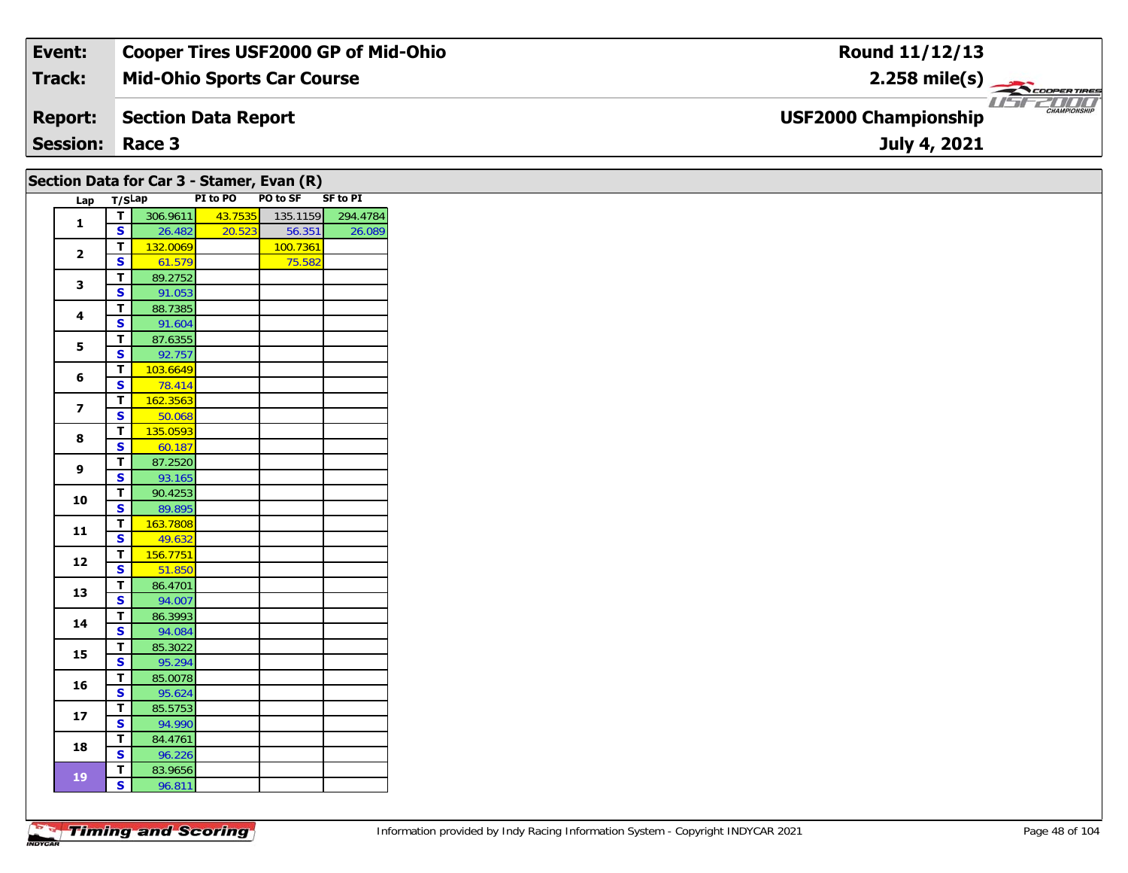| Event:                 | <b>Cooper Tires USF2000 GP of Mid-Ohio</b> | Round 11/12/13                                     |
|------------------------|--------------------------------------------|----------------------------------------------------|
| Track:                 | <b>Mid-Ohio Sports Car Course</b>          | $2.258$ mile(s)                                    |
| <b>Report:</b>         | Section Data Report                        | <b>CHAMPIONSHIP</b><br><b>USF2000 Championship</b> |
| <b>Session: Race 3</b> |                                            | July 4, 2021                                       |

## **Section Data for Car 3 - Stamer, Evan (R)**

| Lap                      | T/SLap                  |          | PI to PO | PO to SF SF to PI |          |
|--------------------------|-------------------------|----------|----------|-------------------|----------|
| $\mathbf{1}$             | т                       | 306.9611 | 43.7535  | 135.1159          | 294.4784 |
|                          | S                       | 26.482   | 20.523   | 56.351            | 26.089   |
| $\overline{2}$           | T.                      | 132.0069 |          | 100.7361          |          |
|                          | S                       | 61.579   |          | 75.582            |          |
| 3                        | т                       | 89.2752  |          |                   |          |
|                          | S                       | 91.053   |          |                   |          |
| 4                        | т                       | 88.7385  |          |                   |          |
|                          | S                       | 91.604   |          |                   |          |
| 5                        | т                       | 87.6355  |          |                   |          |
|                          | S                       | 92.757   |          |                   |          |
|                          | т                       | 103.6649 |          |                   |          |
| 6                        | S                       | 78.414   |          |                   |          |
| $\overline{\phantom{a}}$ | T                       | 162.3563 |          |                   |          |
|                          | S                       | 50.068   |          |                   |          |
| 8                        | Т                       | 135.0593 |          |                   |          |
|                          | S                       | 60.187   |          |                   |          |
| 9                        | T                       | 87.2520  |          |                   |          |
|                          | S                       | 93.165   |          |                   |          |
| 10                       | т                       | 90.4253  |          |                   |          |
|                          | $\overline{\mathbf{s}}$ | 89.895   |          |                   |          |
| 11                       | T.                      | 163.7808 |          |                   |          |
|                          | S                       | 49.632   |          |                   |          |
| 12                       | т                       | 156.7751 |          |                   |          |
|                          | S                       | 51.850   |          |                   |          |
| 13                       | T                       | 86.4701  |          |                   |          |
|                          | S                       | 94.007   |          |                   |          |
| 14                       | Т                       | 86.3993  |          |                   |          |
|                          | S                       | 94.084   |          |                   |          |
| 15                       | T                       | 85.3022  |          |                   |          |
|                          | S                       | 95.294   |          |                   |          |
| 16                       | T                       | 85.0078  |          |                   |          |
|                          | S                       | 95.624   |          |                   |          |
| 17                       | т                       | 85.5753  |          |                   |          |
|                          | S                       | 94.990   |          |                   |          |
| 18                       | T                       | 84.4761  |          |                   |          |
|                          | S                       | 96.226   |          |                   |          |
| 19                       | T                       | 83.9656  |          |                   |          |
|                          | S                       | 96.811   |          |                   |          |

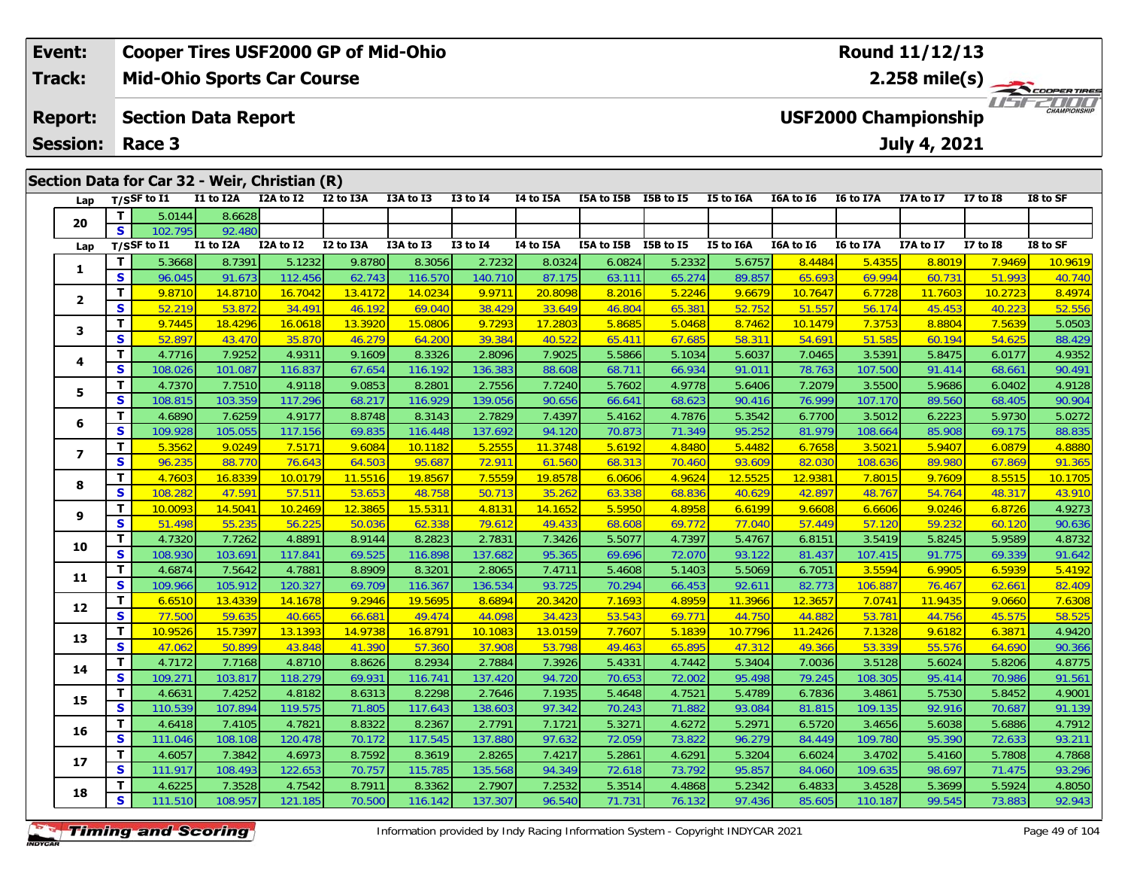#### **Event:Cooper Tires USF2000 GP of Mid-Ohio**

**Mid-Ohio Sports Car Course Track:**

#### **Section Data Report Report:**

**Session: Race 3**

| Section Data for Car 32 - Weir, Christian (R) |                         |                |           |           |           |           |                 |           |                      |        |           |           |           |           |                 |          |
|-----------------------------------------------|-------------------------|----------------|-----------|-----------|-----------|-----------|-----------------|-----------|----------------------|--------|-----------|-----------|-----------|-----------|-----------------|----------|
| Lap                                           |                         | $T/S$ SF to I1 | I1 to I2A | I2A to I2 | I2 to I3A | I3A to I3 | <b>I3 to I4</b> | I4 to I5A | I5A to I5B I5B to I5 |        | I5 to I6A | I6A to I6 | I6 to I7A | I7A to I7 | <b>I7 to I8</b> | I8 to SF |
|                                               | T                       | 5.0144         | 8.6628    |           |           |           |                 |           |                      |        |           |           |           |           |                 |          |
| 20                                            | S                       | 102.795        | 92.480    |           |           |           |                 |           |                      |        |           |           |           |           |                 |          |
| Lap                                           |                         | T/SSF to I1    | I1 to I2A | I2A to I2 | I2 to I3A | I3A to I3 | <b>I3 to I4</b> | I4 to I5A | I5A to I5B I5B to I5 |        | I5 to I6A | I6A to I6 | I6 to I7A | I7A to I7 | <b>I7 to 18</b> | I8 to SF |
|                                               | T                       | 5.3668         | 8.7391    | 5.1232    | 9.8780    | 8.3056    | 2.7232          | 8.0324    | 6.0824               | 5.2332 | 5.6757    | 8.4484    | 5.4355    | 8.8019    | 7.9469          | 10.9619  |
| 1                                             | $\overline{\mathbf{s}}$ | 96.045         | 91.673    | 112.456   | 62.743    | 116.570   | 140.710         | 87.175    | 63.111               | 65.274 | 89.857    | 65.693    | 69.994    | 60.731    | 51.993          | 40.740   |
| $\mathbf{2}$                                  | T.                      | 9.8710         | 14.8710   | 16.7042   | 13.4172   | 14.0234   | 9.9711          | 20.8098   | 8.2016               | 5.2246 | 9.6679    | 10.7647   | 6.7728    | 11.7603   | 10.2723         | 8.4974   |
|                                               | S                       | 52.219         | 53.872    | 34.491    | 46.192    | 69.040    | 38.429          | 33.649    | 46.804               | 65.381 | 52.752    | 51.557    | 56.174    | 45.453    | 40.223          | 52.556   |
| 3                                             | T.                      | 9.7445         | 18.4296   | 16.0618   | 13.3920   | 15.0806   | 9.7293          | 17.2803   | 5.8685               | 5.0468 | 8.7462    | 10.1479   | 7.3753    | 8.8804    | 7.5639          | 5.0503   |
|                                               | S                       | 52.897         | 43.470    | 35.870    | 46.279    | 64.200    | 39.384          | 40.522    | 65.411               | 67.685 | 58.31     | 54.691    | 51.585    | 60.194    | 54.625          | 88.429   |
| 4                                             | T                       | 4.7716         | 7.9252    | 4.9311    | 9.1609    | 8.3326    | 2.8096          | 7.9025    | 5.5866               | 5.1034 | 5.6037    | 7.0465    | 3.5391    | 5.8475    | 6.0177          | 4.9352   |
|                                               | $\mathbf{s}$            | 108.026        | 101.087   | 116.837   | 67.654    | 116.192   | 136.383         | 88.608    | 68.711               | 66.934 | 91.011    | 78.763    | 107.500   | 91.414    | 68.661          | 90.491   |
| 5                                             | T                       | 4.7370         | 7.7510    | 4.9118    | 9.0853    | 8.2801    | 2.7556          | 7.7240    | 5.7602               | 4.9778 | 5.6406    | 7.2079    | 3.5500    | 5.9686    | 6.0402          | 4.9128   |
|                                               | $\mathbf{s}$            | 108.815        | 103.359   | 117.296   | 68.217    | 116.929   | 139.056         | 90.656    | 66.641               | 68.623 | 90.416    | 76.999    | 107.170   | 89.560    | 68.405          | 90.904   |
| 6                                             | T                       | 4.6890         | 7.6259    | 4.9177    | 8.8748    | 8.3143    | 2.7829          | 7.4397    | 5.4162               | 4.7876 | 5.3542    | 6.7700    | 3.5012    | 6.2223    | 5.9730          | 5.0272   |
|                                               | $\mathbf{s}$            | 109.928        | 105.055   | 117.156   | 69.835    | 116.448   | 137.692         | 94.120    | 70.873               | 71.349 | 95.252    | 81.979    | 108.664   | 85.908    | 69.175          | 88.835   |
| $\overline{\phantom{a}}$                      | T.                      | 5.3562         | 9.0249    | 7.5171    | 9.6084    | 10.1182   | 5.2555          | 11.3748   | 5.6192               | 4.8480 | 5.4482    | 6.7658    | 3.5021    | 5.9407    | 6.0879          | 4.8880   |
|                                               | S                       | 96.235         | 88.770    | 76.643    | 64.503    | 95.687    | 72.911          | 61.560    | 68.313               | 70.460 | 93.609    | 82.030    | 108.636   | 89.980    | 67.869          | 91.365   |
| 8                                             | T.                      | 4.7603         | 16.8339   | 10.0179   | 11.5516   | 19.8567   | 7.5559          | 19.8578   | 6.0606               | 4.9624 | 12.5525   | 12.9381   | 7.8015    | 9.7609    | 8.5515          | 10.1705  |
|                                               | $\overline{\mathbf{s}}$ | 108.282        | 47.591    | 57.511    | 53.653    | 48.758    | 50.713          | 35.262    | 63.338               | 68.836 | 40.629    | 42.897    | 48.767    | 54.764    | 48.317          | 43.910   |
| 9                                             | T                       | 10.0093        | 14.5041   | 10.2469   | 12.3865   | 15.5311   | 4.8131          | 14.1652   | 5.5950               | 4.8958 | 6.6199    | 9.6608    | 6.6606    | 9.0246    | 6.8726          | 4.9273   |
|                                               | S                       | 51.498         | 55.235    | 56.225    | 50.036    | 62.338    | 79.612          | 49.433    | 68.608               | 69.772 | 77.040    | 57.449    | 57.120    | 59.232    | 60.120          | 90.636   |
| 10                                            | T                       | 4.7320         | 7.7262    | 4.8891    | 8.9144    | 8.2823    | 2.7831          | 7.3426    | 5.5077               | 4.7397 | 5.4767    | 6.8151    | 3.5419    | 5.8245    | 5.9589          | 4.8732   |
|                                               | $\overline{\mathbf{s}}$ | 108.930        | 103.691   | 117.841   | 69.525    | 116.898   | 137.682         | 95.365    | 69.696               | 72.070 | 93.122    | 81.437    | 107.415   | 91.775    | 69.339          | 91.642   |
| 11                                            | T                       | 4.6874         | 7.5642    | 4.7881    | 8.8909    | 8.3201    | 2.8065          | 7.4711    | 5.4608               | 5.1403 | 5.5069    | 6.7051    | 3.5594    | 6.9905    | 6.5939          | 5.4192   |
|                                               | S                       | 109.966        | 105.912   | 120.327   | 69.709    | 116.367   | 136.534         | 93.725    | 70.294               | 66.453 | 92.611    | 82.773    | 106.887   | 76.467    | 62.66           | 82.409   |
| 12                                            | T                       | 6.6510         | 13.4339   | 14.1678   | 9.2946    | 19.5695   | 8.6894          | 20.3420   | 7.1693               | 4.8959 | 11.3966   | 12.3657   | 7.0741    | 11.9435   | 9.0660          | 7.6308   |
|                                               | S                       | 77.500         | 59.635    | 40.665    | 66.681    | 49.474    | 44.098          | 34.423    | 53.543               | 69.771 | 44.750    | 44.882    | 53.781    | 44.756    | 45.575          | 58.525   |
| 13                                            | T                       | 10.9526        | 15.7397   | 13.1393   | 14.9738   | 16.8791   | 10.1083         | 13.0159   | 7.7607               | 5.1839 | 10.7796   | 11.2426   | 7.1328    | 9.6182    | 6.387           | 4.9420   |
|                                               | S                       | 47.062         | 50.899    | 43.848    | 41.390    | 57.360    | 37.908          | 53.798    | 49.463               | 65.895 | 47.312    | 49.366    | 53.339    | 55.576    | 64.690          | 90.366   |
| 14                                            | T.                      | 4.7172         | 7.7168    | 4.8710    | 8.8626    | 8.2934    | 2.7884          | 7.3926    | 5.4331               | 4.7442 | 5.3404    | 7.0036    | 3.5128    | 5.6024    | 5.8206          | 4.8775   |
|                                               | $\mathbf{s}$            | 109.271        | 103.817   | 118.279   | 69.931    | 116.741   | 137.420         | 94.720    | 70.653               | 72.002 | 95.498    | 79.245    | 108.305   | 95.414    | 70.986          | 91.561   |
| 15                                            | т                       | 4.6631         | 7.4252    | 4.8182    | 8.6313    | 8.2298    | 2.7646          | 7.1935    | 5.4648               | 4.7521 | 5.4789    | 6.7836    | 3.4861    | 5.7530    | 5.8452          | 4.9001   |
|                                               | S                       | 110.539        | 107.894   | 119.575   | 71.805    | 117.643   | 138.603         | 97.342    | 70.243               | 71.882 | 93.084    | 81.815    | 109.135   | 92.916    | 70.687          | 91.139   |
| 16                                            | T                       | 4.6418         | 7.4105    | 4.7821    | 8.8322    | 8.2367    | 2.7791          | 7.1721    | 5.3271               | 4.6272 | 5.297     | 6.5720    | 3.4656    | 5.6038    | 5.6886          | 4.7912   |
|                                               | S                       | 111.046        | 108.108   | 120.478   | 70.172    | 117.545   | 137.880         | 97.632    | 72.059               | 73.822 | 96.279    | 84.449    | 109.780   | 95.390    | 72.633          | 93.211   |
| 17                                            | т                       | 4.6057         | 7.3842    | 4.6973    | 8.7592    | 8.3619    | 2.8265          | 7.4217    | 5.2861               | 4.6291 | 5.3204    | 6.6024    | 3.4702    | 5.4160    | 5.7808          | 4.7868   |
|                                               | $\mathbf{s}$            | 111.917        | 108.493   | 122.653   | 70.757    | 115.785   | 135.568         | 94.349    | 72.618               | 73.792 | 95.857    | 84.060    | 109.635   | 98.697    | 71.475          | 93.296   |
|                                               | T                       | 4.6225         | 7.3528    | 4.7542    | 8.7911    | 8.3362    | 2.7907          | 7.2532    | 5.3514               | 4.4868 | 5.2342    | 6.4833    | 3.4528    | 5.3699    | 5.5924          | 4.8050   |
| 18                                            | S                       | 111.510        | 108.957   | 121.185   | 70.500    | 116.142   | 137.307         | 96.540    | 71.731               | 76.132 | 97.436    | 85.605    | 110.187   | 99.545    | 73.883          | 92.943   |



**2.258 mile(s)**

**July 4, 2021**



**USF2000 Championship**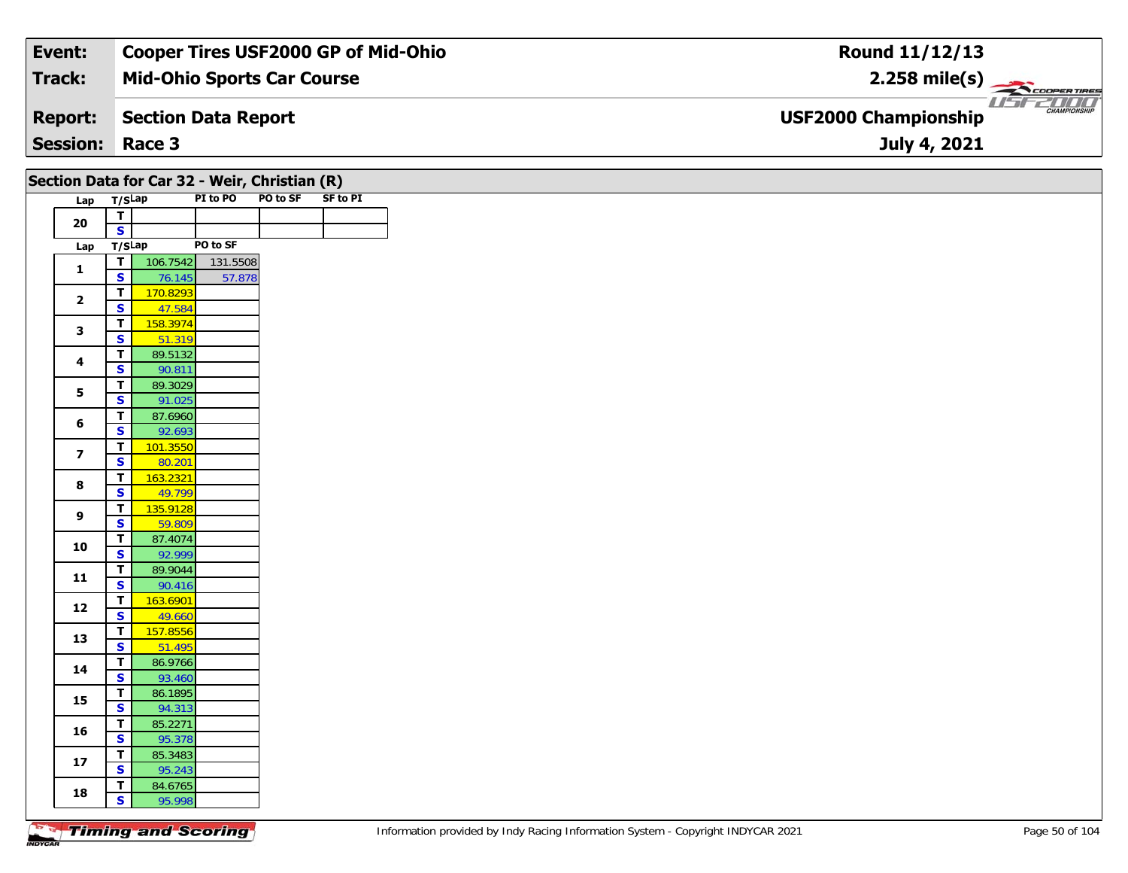#### **Event: Cooper Tires USF2000 GP of Mid-Ohio Round 11/12/13Mid-Ohio Sports Car Course 2.258 mile(s) Track:** COOPER TIRES **Section Data Report Report: USF2000 Championship July 4, 2021 Session: Race 3**

#### **SF** to PI **Section Data for Car 32 - Weir, Christian (R)**

| Lap | T/SLap |          | PI to PO | PO to SF |
|-----|--------|----------|----------|----------|
| 20  | т      |          |          |          |
|     | S      |          |          |          |
| Lap | T/SLap |          | PO to SF |          |
| 1   | т      | 106.7542 | 131.5508 |          |
|     | S      | 76.145   | 57.878   |          |
| 2   | т      | 170.8293 |          |          |
|     | S      | 47.584   |          |          |
| 3   | т      | 158.3974 |          |          |
|     | S      | 51.319   |          |          |
| 4   | т      | 89.5132  |          |          |
|     | S      | 90.811   |          |          |
| 5   | т      | 89.3029  |          |          |
|     | S      | 91.025   |          |          |
| 6   | т      | 87.6960  |          |          |
|     | S      | 92.693   |          |          |
| 7   | т      | 101.3550 |          |          |
|     | S      | 80.201   |          |          |
| 8   | т      | 163.2321 |          |          |
|     | S      | 49.799   |          |          |
| 9   | т      | 135.9128 |          |          |
|     | S      | 59.809   |          |          |
| 10  | т      | 87.4074  |          |          |
|     | S      | 92.999   |          |          |
| 11  | т      | 89.9044  |          |          |
|     | S      | 90.416   |          |          |
| 12  | т      | 163.6901 |          |          |
|     | S      | 49.660   |          |          |
| 13  | т      | 157.8556 |          |          |
|     | S      | 51.495   |          |          |
| 14  | т      | 86.9766  |          |          |
|     | S      | 93.460   |          |          |
| 15  | т      | 86.1895  |          |          |
|     | S      | 94.313   |          |          |
| 16  | т      | 85.2271  |          |          |
|     | S      | 95.378   |          |          |
| 17  | т      | 85.3483  |          |          |
|     | S      | 95.243   |          |          |
| 18  | т      | 84.6765  |          |          |
|     | S      | 95.998   |          |          |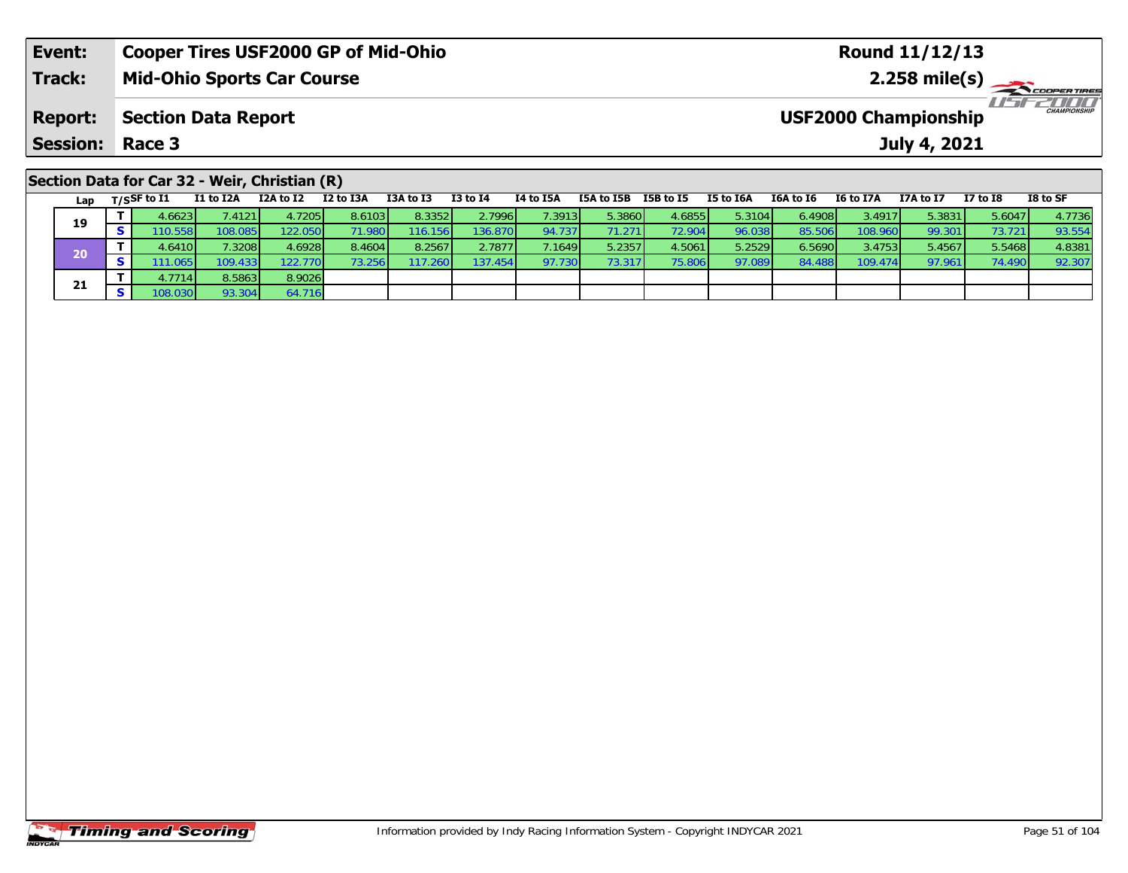| Event:                                        | <b>Cooper Tires USF2000 GP of Mid-Ohio</b> | Round 11/12/13                              |  |  |  |  |  |  |  |  |  |  |
|-----------------------------------------------|--------------------------------------------|---------------------------------------------|--|--|--|--|--|--|--|--|--|--|
| Track:                                        | <b>Mid-Ohio Sports Car Course</b>          | $2.258$ mile(s)                             |  |  |  |  |  |  |  |  |  |  |
| <b>Report:</b>                                | <b>Section Data Report</b>                 | CHAMPIONSHIP<br><b>USF2000 Championship</b> |  |  |  |  |  |  |  |  |  |  |
| <b>Session: Race 3</b>                        |                                            | July 4, 2021                                |  |  |  |  |  |  |  |  |  |  |
| Section Data for Car 32 - Weir, Christian (R) |                                            |                                             |  |  |  |  |  |  |  |  |  |  |

Lap T/S<sup>SF</sup> to I1 I1 to I2A I2A to I2 I2 to I3A I3A to I3 I3 to I4 I4 to I5A I5A to I5B I5B to I5 I5 to I6A 16A to I6 I6 to I7A I7A to I7 I7 to I8 I8 to SF

<mark>11</mark> 4.6623| 7.4121| 4.7205| 8.6103| 8.3352| 2.7996| 7.3913| 5.3860| 4.6855| 5.3104| 6.4908| 3.4917| 5.3831| 5.6047| 4.7736<br>| S 110.558| 108.085| 122.050| 71.980| 116.156| 136.870| 94.737| 71.271| 72.904| 96.038| 85.506|

0 T 4.6410 7.3208 4.6928 8.4604 8.2567 2.7877 7.1649 5.2357 4.5061 5.2529 6.5690 3.4753 5.4567 5.5468 4.8381<br>S 111.065 109.433 122.770 73.256 117.260 137.454 97.730 73.317 75.806 97.089 84.488 109.474 97.961 74.490 92.307

#### **Timing and Scoring**

**19**

**20**

**21**

**T** 4.7714 8.5863 8.9026<br>**S** 108.030 93.304 64.716

92.307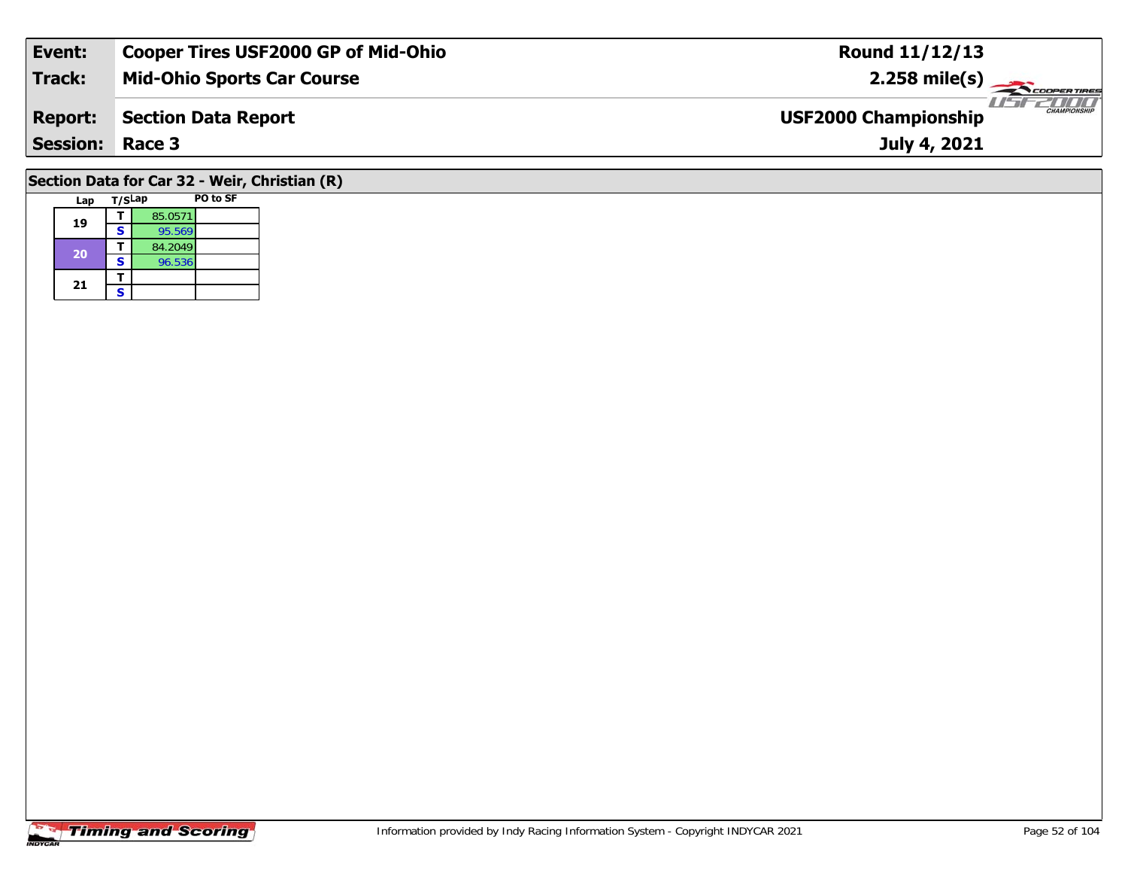| Event:          | <b>Cooper Tires USF2000 GP of Mid-Ohio</b> | <b>Round 11/12/13</b>                              |
|-----------------|--------------------------------------------|----------------------------------------------------|
| Track:          | <b>Mid-Ohio Sports Car Course</b>          | $2.258 \text{ mile(s)}$                            |
| <b>Report:</b>  | Section Data Report                        | <b>CHAMPIONSHIP</b><br><b>USF2000 Championship</b> |
| <b>Session:</b> | Race 3                                     | July 4, 2021                                       |
|                 |                                            |                                                    |

# **Section Data for Car 32 - Weir, Christian (R)**

| Lap | T/SLap |         | PO to SF |
|-----|--------|---------|----------|
| 19  |        | 85.0571 |          |
|     | s      | 95.569  |          |
| 20  |        | 84.2049 |          |
|     | s      | 96.536  |          |
| 21  |        |         |          |
|     | S      |         |          |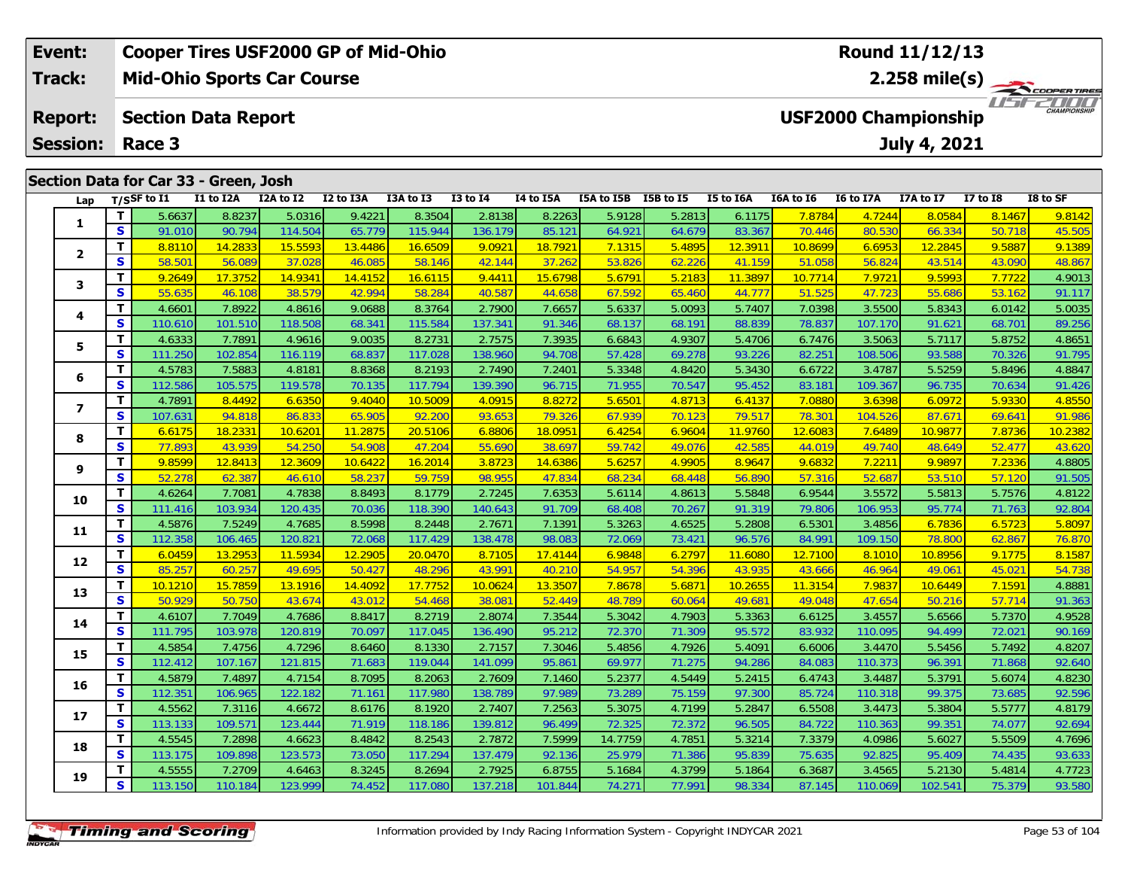| Event:          |                                                              | <b>Cooper Tires USF2000 GP of Mid-Ohio</b> |           |           |           |              |           |                      |        |           |           | <b>Round 11/12/13</b>       |              |                 |                      |
|-----------------|--------------------------------------------------------------|--------------------------------------------|-----------|-----------|-----------|--------------|-----------|----------------------|--------|-----------|-----------|-----------------------------|--------------|-----------------|----------------------|
| <b>Track:</b>   | $2.258 \text{ mile(s)}$<br><b>Mid-Ohio Sports Car Course</b> |                                            |           |           |           |              |           |                      |        |           |           |                             |              |                 |                      |
| <b>Report:</b>  |                                                              | <b>Section Data Report</b>                 |           |           |           |              |           |                      |        |           |           | <b>USF2000 Championship</b> |              |                 | 2000<br>CHAMPIONSHIP |
| <b>Session:</b> | Race 3                                                       |                                            |           |           |           |              |           |                      |        |           |           |                             | July 4, 2021 |                 |                      |
|                 | Section Data for Car 33 - Green, Josh                        |                                            |           |           |           |              |           |                      |        |           |           |                             |              |                 |                      |
| Lap             | $_{\rm T/SS}$ F to I1                                        | I1 to I2A                                  | I2A to I2 | I2 to I3A | I3A to I3 | $I3$ to $I4$ | I4 to I5A | I5A to I5B I5B to I5 |        | I5 to I6A | I6A to I6 | <b>I6 to I7A</b>            | I7A to I7    | <b>I7 to I8</b> | I8 to SF             |
|                 | 5.6637                                                       | 8.8237                                     | 5.0316    | 9.4221    | 8.3504    | 2.8138       | 8.2263    | 5.9128               | 5.2813 | 6.1175    | 7.8784    | 4.7244                      | 8.0584       | 8.1467          | 9.8142               |

| Lap                     |              | T/SSF to I1 | I1 to I2A | I2A to I2 | I2 to I3A | I3A to I3 | <b>I3 to 14</b> | I4 to I5A | I5A to I5B I5B to I5 |        | I5 to I6A | I6A to I6          | I6 to I7A | I7A to I7 | <b>I7 to I8</b> | I8 to SF |
|-------------------------|--------------|-------------|-----------|-----------|-----------|-----------|-----------------|-----------|----------------------|--------|-----------|--------------------|-----------|-----------|-----------------|----------|
| 1                       | т            | 5.6637      | 8.8237    | 5.0316    | 9.4221    | 8.3504    | 2.8138          | 8.2263    | 5.9128               | 5.2813 | 6.1175    | 7.8784             | 4.7244    | 8.0584    | 8.1467          | 9.8142   |
|                         | S            | 91.010      | 90.794    | 114.504   | 65.779    | 115.944   | 136.179         | 85.121    | 64.921               | 64.679 | 83.367    | 70.446             | 80.530    | 66.334    | 50.718          | 45.505   |
|                         | т            | 8.8110      | 14.2833   | 15.5593   | 13.4486   | 16.6509   | 9.0921          | 18.7921   | 7.1315               | 5.4895 | 12.3911   | 10.8699            | 6.6953    | 12.2845   | 9.5887          | 9.1389   |
| $\overline{2}$          | $\mathbf{s}$ | 58.501      | 56.089    | 37.028    | 46.085    | 58.146    | 42.144          | 37.262    | 53.826               | 62.226 | 41.159    | 51.058             | 56.824    | 43.514    | 43.090          | 48.867   |
| 3                       | т            | 9.2649      | 17.3752   | 14.9341   | 14.4152   | 16.6115   | 9.4411          | 15.6798   | 5.6791               | 5.2183 | 11.3897   | 10.7714            | 7.9721    | 9.5993    | 7.7722          | 4.9013   |
|                         | S            | 55.635      | 46.108    | 38.579    | 42.994    | 58.284    | 40.587          | 44.658    | 67.592               | 65.460 | 44.777    | 51.525             | 47.723    | 55.686    | 53.162          | 91.117   |
| 4                       | т            | 4.6601      | 7.8922    | 4.8616    | 9.0688    | 8.3764    | 2.7900          | 7.6657    | 5.6337               | 5.0093 | 5.7407    | 7.0398             | 3.5500    | 5.8343    | 6.0142          | 5.0035   |
|                         | S            | 110.610     | 101.510   | 118.508   | 68.341    | 115.584   | 137.341         | 91.346    | 68.137               | 68.191 | 88.839    | 78.837             | 107.170   | 91.621    | 68.701          | 89.256   |
| 5                       | т            | 4.6333      | 7.7891    | 4.9616    | 9.0035    | 8.2731    | 2.7575          | 7.3935    | 6.6843               | 4.9307 | 5.4706    | 6.7476             | 3.5063    | 5.7117    | 5.8752          | 4.8651   |
|                         | S            | 111.250     | 102.854   | 116.119   | 68.837    | 117.028   | 138.960         | 94.708    | 57.428               | 69.278 | 93.226    | 82.251             | 108.506   | 93.588    | 70.326          | 91.795   |
| 6                       | T            | 4.5783      | 7.5883    | 4.8181    | 8.8368    | 8.2193    | 2.7490          | 7.2401    | 5.3348               | 4.8420 | 5.3430    | 6.6722             | 3.4787    | 5.5259    | 5.8496          | 4.8847   |
|                         | S            | 112.586     | 105.575   | 119.578   | 70.135    | 117.794   | 139.390         | 96.715    | 71.955               | 70.547 | 95.452    | 83.181             | 109.367   | 96.735    | 70.634          | 91.426   |
| $\overline{\mathbf{z}}$ | т            | 4.7891      | 8.4492    | 6.6350    | 9.4040    | 10.5009   | 4.0915          | 8.8272    | 5.6501               | 4.8713 | 6.4137    | 7.0880             | 3.6398    | 6.0972    | 5.9330          | 4.8550   |
|                         | S            | 107.631     | 94.818    | 86.833    | 65.905    | 92.200    | 93.653          | 79.326    | 67.939               | 70.123 | 79.517    | 78.30 <sup>-</sup> | 104.526   | 87.671    | 69.641          | 91.986   |
| 8                       | т            | 6.6175      | 18.2331   | 10.6201   | 11.2875   | 20.5106   | 6.8806          | 18.0951   | 6.4254               | 6.9604 | 11.9760   | 12.6083            | 7.6489    | 10.9877   | 7.8736          | 10.2382  |
|                         | S            | 77.893      | 43.939    | 54.250    | 54.908    | 47.204    | 55.690          | 38.697    | 59.742               | 49.076 | 42.585    | 44.019             | 49.740    | 48.649    | 52.477          | 43.620   |
| 9                       | T.           | 9.8599      | 12.8413   | 12.3609   | 10.6422   | 16.2014   | 3.8723          | 14.6386   | 5.6257               | 4.9905 | 8.9647    | 9.6832             | 7.2211    | 9.9897    | 7.2336          | 4.8805   |
|                         | S            | 52.278      | 62.387    | 46.610    | 58.237    | 59.759    | 98.955          | 47.834    | 68.234               | 68.448 | 56.890    | 57.316             | 52.687    | 53.510    | 57.120          | 91.505   |
| 10                      | т            | 4.6264      | 7.7081    | 4.7838    | 8.8493    | 8.1779    | 2.7245          | 7.6353    | 5.6114               | 4.8613 | 5.5848    | 6.9544             | 3.5572    | 5.5813    | 5.7576          | 4.8122   |
|                         | S            | 111.416     | 103.934   | 120.435   | 70.036    | 118.390   | 140.643         | 91.709    | 68.408               | 70.267 | 91.319    | 79.806             | 106.953   | 95.774    | 71.763          | 92.804   |
| 11                      | т            | 4.5876      | 7.5249    | 4.7685    | 8.5998    | 8.2448    | 2.7671          | 7.1391    | 5.3263               | 4.6525 | 5.2808    | 6.5301             | 3.4856    | 6.7836    | 6.5723          | 5.8097   |
|                         | $\mathbf{s}$ | 112.358     | 106.465   | 120.821   | 72.068    | 117.429   | 138.478         | 98.083    | 72.069               | 73.421 | 96.576    | 84.991             | 109.150   | 78.800    | 62.867          | 76.870   |
| 12                      | T.           | 6.0459      | 13.2953   | 11.5934   | 12.2905   | 20.0470   | 8.7105          | 17.4144   | 6.9848               | 6.2797 | 11.6080   | 12.7100            | 8.1010    | 10.8956   | 9.1775          | 8.1587   |
|                         | S            | 85.257      | 60.257    | 49.695    | 50.427    | 48.296    | 43.991          | 40.210    | 54.957               | 54.396 | 43.935    | 43.666             | 46.964    | 49.061    | 45.021          | 54.738   |
| 13                      | т            | 10.1210     | 15.7859   | 13.1916   | 14.4092   | 17.7752   | 10.0624         | 13.3507   | 7.8678               | 5.6871 | 10.2655   | 11.3154            | 7.9837    | 10.6449   | 7.1591          | 4.8881   |
|                         | S            | 50.929      | 50.750    | 43.674    | 43.012    | 54.468    | 38.081          | 52.449    | 48.789               | 60.064 | 49.681    | 49.048             | 47.654    | 50.216    | 57.714          | 91.363   |
| 14                      | т            | 4.6107      | 7.7049    | 4.7686    | 8.8417    | 8.2719    | 2.8074          | 7.3544    | 5.3042               | 4.7903 | 5.3363    | 6.6125             | 3.4557    | 5.6566    | 5.7370          | 4.9528   |
|                         | $\mathbf{s}$ | 111.795     | 103.978   | 120.819   | 70.097    | 117.045   | 136.490         | 95.212    | 72.370               | 71.309 | 95.572    | 83.932             | 110.095   | 94.499    | 72.021          | 90.169   |
| 15                      | т            | 4.5854      | 7.4756    | 4.7296    | 8.6460    | 8.1330    | 2.7157          | 7.3046    | 5.4856               | 4.7926 | 5.4091    | 6.6006             | 3.4470    | 5.5456    | 5.7492          | 4.8207   |
|                         | S            | 112.412     | 107.167   | 121.815   | 71.683    | 119.044   | 141.099         | 95.861    | 69.977               | 71.275 | 94.286    | 84.083             | 110.373   | 96.391    | 71.868          | 92.640   |
| 16                      | т            | 4.5879      | 7.4897    | 4.7154    | 8.7095    | 8.2063    | 2.7609          | 7.1460    | 5.2377               | 4.5449 | 5.2415    | 6.4743             | 3.4487    | 5.3791    | 5.6074          | 4.8230   |
|                         | S            | 112.351     | 106.965   | 122.182   | 71.161    | 117.980   | 138.789         | 97.989    | 73.289               | 75.159 | 97.300    | 85.724             | 110.318   | 99.375    | 73.685          | 92.596   |
| 17                      | т            | 4.5562      | 7.3116    | 4.6672    | 8.6176    | 8.1920    | 2.7407          | 7.2563    | 5.3075               | 4.7199 | 5.2847    | 6.5508             | 3.4473    | 5.3804    | 5.5777          | 4.8179   |
|                         | $\mathbf{s}$ | 113.133     | 109.571   | 123.444   | 71.919    | 118.186   | 139.812         | 96.499    | 72.325               | 72.372 | 96.505    | 84.722             | 110.363   | 99.35     | 74.077          | 92.694   |
| 18                      | т            | 4.5545      | 7.2898    | 4.6623    | 8.4842    | 8.2543    | 2.7872          | 7.5999    | 14.7759              | 4.7851 | 5.3214    | 7.3379             | 4.0986    | 5.6027    | 5.5509          | 4.7696   |
|                         | $\mathbf{s}$ | 113.175     | 109.898   | 123.573   | 73.050    | 117.294   | 137.479         | 92.136    | 25.979               | 71.386 | 95.839    | 75.635             | 92.825    | 95.409    | 74.435          | 93.633   |
| 19                      | т            | 4.5555      | 7.2709    | 4.6463    | 8.3245    | 8.2694    | 2.7925          | 6.8755    | 5.1684               | 4.3799 | 5.1864    | 6.3687             | 3.4565    | 5.2130    | 5.4814          | 4.7723   |
|                         | $\mathbf{s}$ | 113.150     | 110.184   | 123.999   | 74.452    | 117.080   | 137.218         | 101.844   | 74.271               | 77.991 | 98.334    | 87.145             | 110.069   | 102.541   | 75.379          | 93.580   |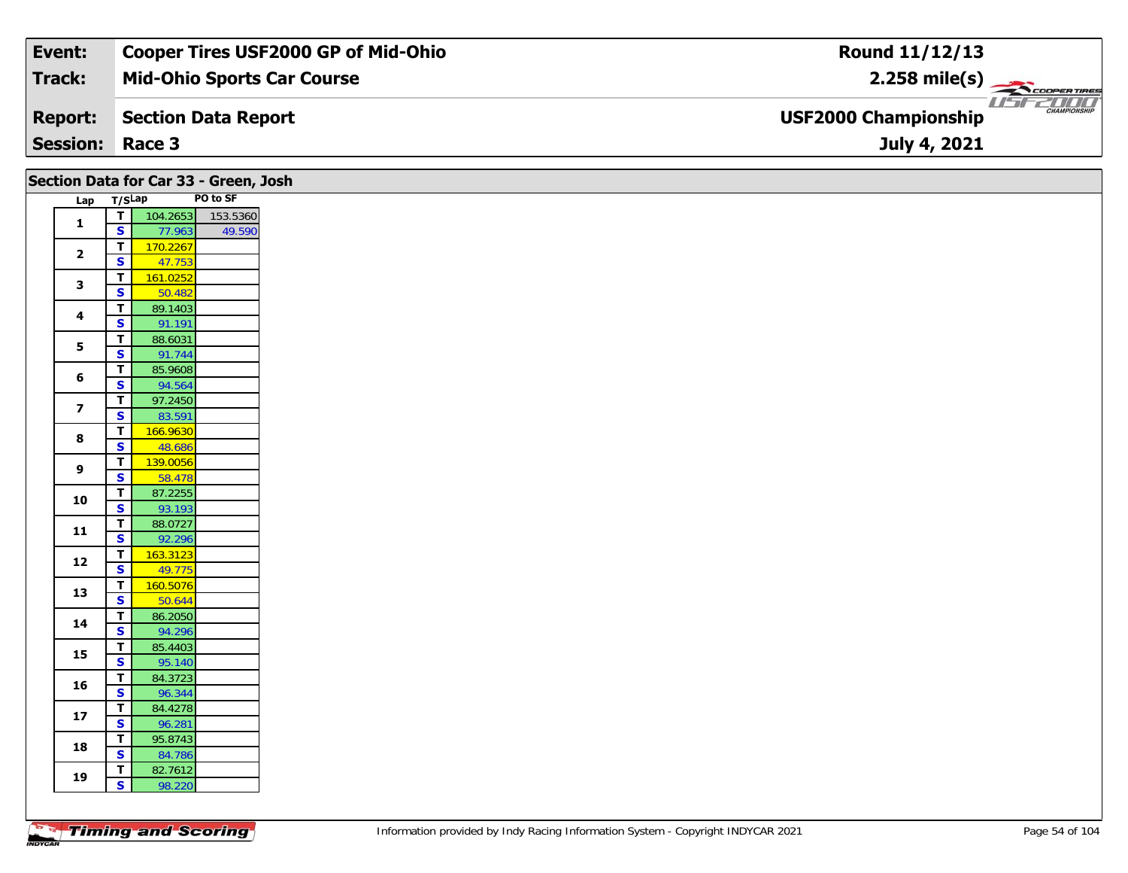| Event:          | <b>Cooper Tires USF2000 GP of Mid-Ohio</b> | Round 11/12/13                                     |
|-----------------|--------------------------------------------|----------------------------------------------------|
| Track:          | <b>Mid-Ohio Sports Car Course</b>          | $2.258$ mile(s)                                    |
| <b>Report:</b>  | Section Data Report                        | <b>CHAMPIONSHIP</b><br><b>USF2000 Championship</b> |
| <b>Session:</b> | Race 3                                     | July 4, 2021                                       |

| Lap T/SLap<br>$\mathbf{1}$<br>$\overline{\mathbf{2}}$<br>$\mathbf{3}$<br>4 | ┰┃<br>$\mathbf{s}$<br>$\mathbf T$<br>$\mathbf{s}$<br>T | 104.2653<br>77.963<br>170.2267<br>47.753 | PO to SF<br>153.5360<br>49.590 |
|----------------------------------------------------------------------------|--------------------------------------------------------|------------------------------------------|--------------------------------|
|                                                                            |                                                        |                                          |                                |
|                                                                            |                                                        |                                          |                                |
|                                                                            |                                                        |                                          |                                |
|                                                                            |                                                        |                                          |                                |
|                                                                            |                                                        |                                          |                                |
|                                                                            |                                                        | 161.0252                                 |                                |
|                                                                            | $\mathbf{s}$                                           | 50.482                                   |                                |
|                                                                            | T                                                      | 89.1403                                  |                                |
|                                                                            | S                                                      | 91.191                                   |                                |
| $\overline{\mathbf{5}}$                                                    | T.                                                     | 88.6031                                  |                                |
|                                                                            | $\overline{\mathbf{s}}$                                | 91.744                                   |                                |
| 6                                                                          | T                                                      | 85.9608                                  |                                |
|                                                                            | S                                                      | 94.564                                   |                                |
| $\overline{\mathbf{z}}$                                                    | $\mathbf T$<br>$\mathbf{s}$                            | 97.2450                                  |                                |
|                                                                            | $\overline{\mathsf{T}}$                                | 83.591<br>166.9630                       |                                |
| 8                                                                          | $\overline{\mathbf{s}}$                                | 48.686                                   |                                |
|                                                                            | T                                                      | 139.0056                                 |                                |
| 9                                                                          | $\overline{\mathbf{s}}$                                | 58.478                                   |                                |
|                                                                            | $\overline{\mathsf{r}}$                                | 87.2255                                  |                                |
| 10                                                                         | $\overline{\mathbf{s}}$                                | 93.193                                   |                                |
|                                                                            | $\mathbf T$                                            | 88.0727                                  |                                |
| 11                                                                         | $\overline{\mathbf{s}}$                                | 92.296                                   |                                |
|                                                                            | T                                                      | 163.3123                                 |                                |
| 12                                                                         | S                                                      | 49.775                                   |                                |
|                                                                            | $\overline{\mathsf{T}}$                                | 160.5076                                 |                                |
| 13                                                                         | $\mathbf{s}$                                           | 50.644                                   |                                |
|                                                                            | $\overline{\mathsf{r}}$                                | 86.2050                                  |                                |
| 14                                                                         | $\mathbf{s}$                                           | 94.296                                   |                                |
|                                                                            | $\mathbf T$                                            | 85.4403                                  |                                |
| 15                                                                         | $\overline{\mathbf{s}}$                                | 95.140                                   |                                |
|                                                                            | T.                                                     | 84.3723                                  |                                |
| 16                                                                         | $\overline{\mathbf{s}}$                                | 96.344                                   |                                |
| 17                                                                         | $\mathbf T$                                            | 84.4278                                  |                                |
|                                                                            | $\mathbf{s}$                                           | 96.281                                   |                                |
| 18                                                                         | T                                                      | 95.8743                                  |                                |
|                                                                            | $\mathbf{s}$                                           | 84.786                                   |                                |
| 19                                                                         | T.                                                     | 82.7612                                  |                                |
|                                                                            | $\overline{\mathbf{s}}$                                | 98.220                                   |                                |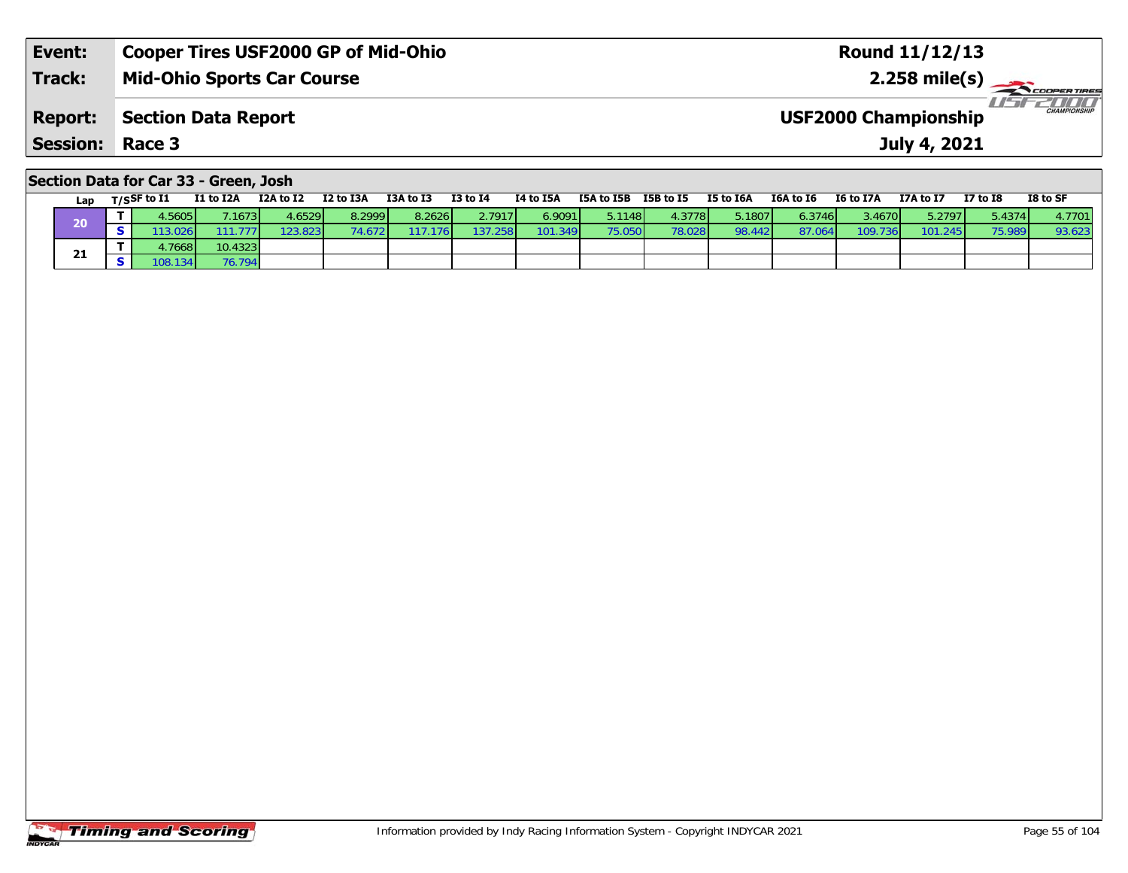| <b>Report:</b>  | Section Data Report | CHAMPIONSHIP<br><b>USF2000 Championship</b> |
|-----------------|---------------------|---------------------------------------------|
| <b>Session:</b> | Race 3              | July 4, 2021                                |

### **Section Data for Car 33 - Green, Josh**

| Lap | T/SSF to I1 | <b>I1 to I2A</b> | I2A to I2 | I2 to I3A | I3A to I3 | $I3$ to $I4$ | I4 to I5A | I5A to I5B      | I5B to I5 | I5 to I6A | I6A to I6 | I6 to I7A | I7A to I7 | <b>I7 to I8</b> | I8 to SF |
|-----|-------------|------------------|-----------|-----------|-----------|--------------|-----------|-----------------|-----------|-----------|-----------|-----------|-----------|-----------------|----------|
| 20  | .5605       | .1673            | 4.6529    | 8.2999    | 8.2626    | 2.7917       | 6.9091 L  | 5.1148 <b>I</b> | 4.3778    | 5.1807    | 6.3746    | 3.4670    | 5.2797    | 5.4374          | 4.7701   |
|     |             |                  | 23.823    |           | 176 I     |              | 101.349   | 75.050          | 78.028    | 98.442    | 87.0      | 109.      | 101.245   | 75.989          | 93.623   |
|     | .76681      | 10.4323          |           |           |           |              |           |                 |           |           |           |           |           |                 |          |
| 21  | 108.1341    | 76.794           |           |           |           |              |           |                 |           |           |           |           |           |                 |          |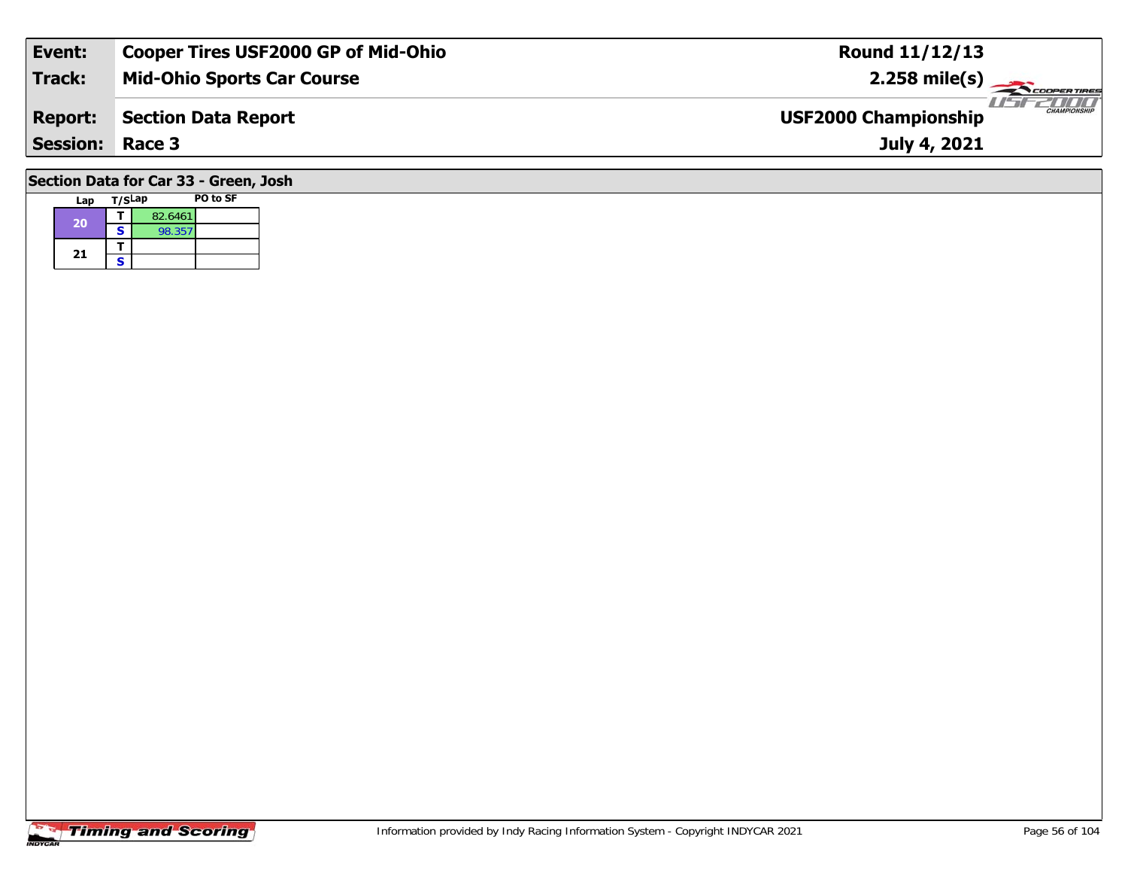| Event:                                | <b>Cooper Tires USF2000 GP of Mid-Ohio</b> | <b>Round 11/12/13</b>                              |  |  |  |  |  |  |  |  |  |  |
|---------------------------------------|--------------------------------------------|----------------------------------------------------|--|--|--|--|--|--|--|--|--|--|
| Track:                                | <b>Mid-Ohio Sports Car Course</b>          | $2.258$ mile(s)                                    |  |  |  |  |  |  |  |  |  |  |
| <b>Report:</b>                        | <b>Section Data Report</b>                 | <b>CHAMPIONSHIP</b><br><b>USF2000 Championship</b> |  |  |  |  |  |  |  |  |  |  |
| <b>Session: Race 3</b>                |                                            | July 4, 2021                                       |  |  |  |  |  |  |  |  |  |  |
| Section Data for Car 33 - Green, Josh |                                            |                                                    |  |  |  |  |  |  |  |  |  |  |

| Lap | T/SLap |         | <b>PO to SF</b> |
|-----|--------|---------|-----------------|
| 20  |        | 82.6461 |                 |
|     | S      | 98.357  |                 |
| 21  |        |         |                 |
|     | S      |         |                 |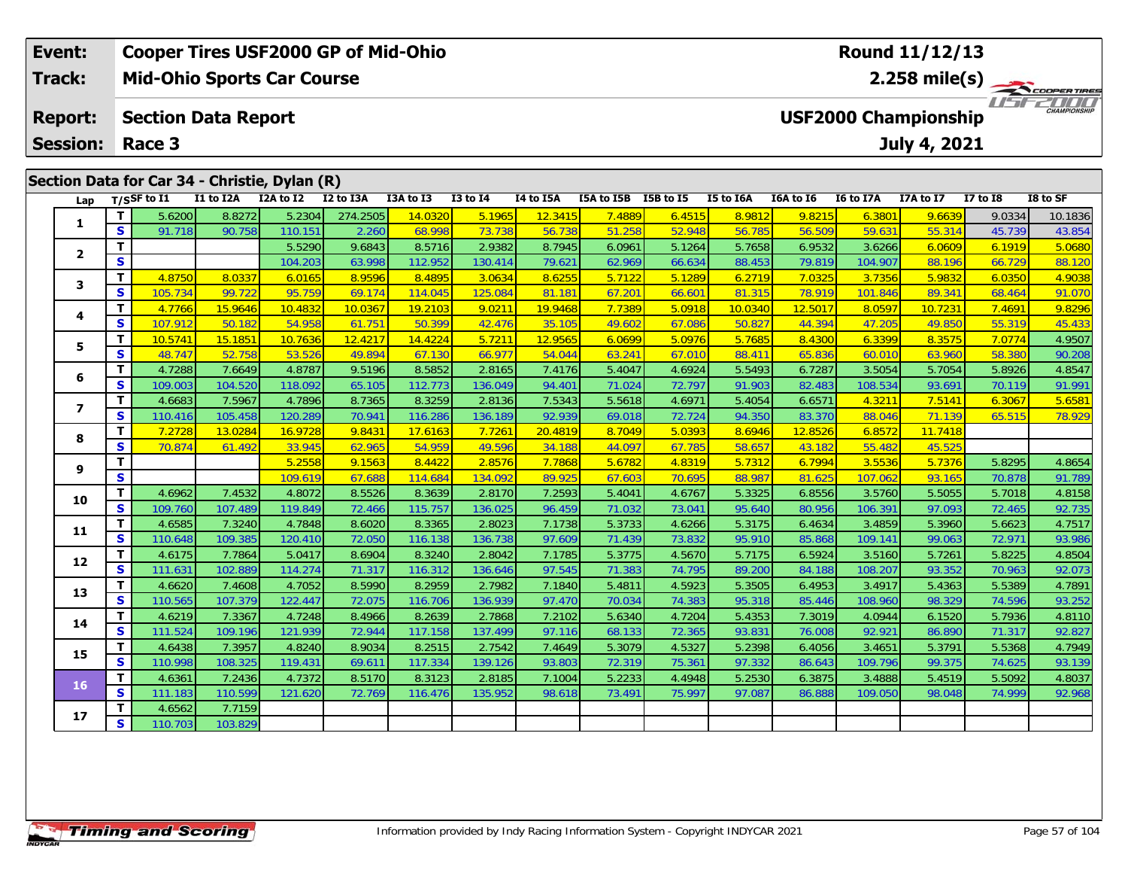| <b>Cooper Tires USF2000 GP of Mid-Ohio</b><br>Event: |                 |    |                                   |                                               |           |           |           |              | Round 11/12/13 |               |                  |                                         |               |                             |              |                 |                     |  |
|------------------------------------------------------|-----------------|----|-----------------------------------|-----------------------------------------------|-----------|-----------|-----------|--------------|----------------|---------------|------------------|-----------------------------------------|---------------|-----------------------------|--------------|-----------------|---------------------|--|
|                                                      | Track:          |    | <b>Mid-Ohio Sports Car Course</b> |                                               |           |           |           |              |                |               |                  | 2.258 mile(s) $-$<br><b>COOPERTIRES</b> |               |                             |              |                 |                     |  |
|                                                      | <b>Report:</b>  |    |                                   | <b>Section Data Report</b>                    |           |           |           |              |                |               |                  |                                         |               | <b>USF2000 Championship</b> |              |                 | <b>CHAMPIONSHIP</b> |  |
|                                                      | <b>Session:</b> |    | Race 3                            |                                               |           |           |           |              |                |               |                  |                                         |               |                             | July 4, 2021 |                 |                     |  |
|                                                      |                 |    |                                   | Section Data for Car 34 - Christie, Dylan (R) |           |           |           |              |                |               |                  |                                         |               |                             |              |                 |                     |  |
|                                                      |                 |    |                                   |                                               |           |           |           |              |                |               |                  |                                         |               |                             |              |                 |                     |  |
|                                                      | Lap             |    | $T/S$ SF to $I1$                  | I1 to I2A                                     | I2A to I2 | I2 to I3A | I3A to I3 | $I3$ to $I4$ | I4 to I5A      | I5A to I5B    | <b>I5B</b> to I5 | I5 to I6A                               | I6A to I6     | I6 to I7A                   | I7A to I7    | <b>I7 to I8</b> | I8 to SF            |  |
|                                                      |                 |    | 5.6200                            | 8.8272                                        | 5.2304    | 274.2505  | 14.0320   | 5.1965       | 12.3415        | <b>7.4889</b> | 6.4515           | 8.9812                                  | 9.8215        | 6.3801                      | 9.6639       | 9.0334          | 10.1836             |  |
|                                                      |                 | S. | 91.718                            | 90.758                                        | 110.151   | 2.260     | 68.998    | 73.738       | 56.738         | 51.258        | 52.948           | 56.785                                  | 56.509        | 59.631                      | 55.314       | 45.739          | 43.854              |  |
|                                                      |                 |    |                                   |                                               | 5.5290    | 9.6843    | 8.5716    | 2.9382       | 8.7945         | 6.0961        | 5.1264           | 5.7658                                  | 6.9532        | 3.6266                      | 6.0609       | 6.1919          | 5.0680              |  |
|                                                      |                 |    |                                   |                                               | 104.203   | 63.008    | 112951    | $130$ $11$   | <b>70.6211</b> | 62960         | 66.631           | $88.153$                                | <b>70 810</b> | 104.907                     | 88 196       | 66 729          | 88.120              |  |

|                | T                       |         |         | 5.5290  | 9.6843  | 8.5716  | 2.9382  | 8.7945  | 6.0961 | 5.1264 | 5.7658  | 6.9532  | 3.6266  | 6.0609  | 6.1919 | 5.0680 |
|----------------|-------------------------|---------|---------|---------|---------|---------|---------|---------|--------|--------|---------|---------|---------|---------|--------|--------|
| $\mathbf{2}$   | <b>S</b>                |         |         | 104.203 | 63.998  | 112.952 | 130.414 | 79.621  | 62.969 | 66.634 | 88.453  | 79.819  | 104.907 | 88.196  | 66.729 | 88.120 |
| 3              | T                       | 4.8750  | 8.0337  | 6.0165  | 8.9596  | 8.4895  | 3.0634  | 8.6255  | 5.7122 | 5.1289 | 6.2719  | 7.0325  | 3.7356  | 5.9832  | 6.0350 | 4.9038 |
|                | S                       | 105.734 | 99.722  | 95.759  | 69.174  | 114.045 | 125.084 | 81.181  | 67.201 | 66.601 | 81.315  | 78.919  | 101.846 | 89.341  | 68.464 | 91.070 |
|                | T                       | 4.7766  | 15.9646 | 10.4832 | 10.0367 | 19.2103 | 9.0211  | 19.9468 | 7.7389 | 5.0918 | 10.0340 | 12.5017 | 8.0597  | 10.7231 | 7.4691 | 9.8296 |
| 4              | S                       | 107.912 | 50.182  | 54.958  | 61.751  | 50.399  | 42.476  | 35.105  | 49.602 | 67.086 | 50.827  | 44.394  | 47.205  | 49.850  | 55.319 | 45.433 |
| 5              | т                       | 10.5741 | 15.1851 | 10.7636 | 12.4217 | 14.4224 | 5.7211  | 12.9565 | 6.0699 | 5.0976 | 5.7685  | 8.4300  | 6.3399  | 8.3575  | 7.0774 | 4.9507 |
|                | $\mathbf{s}$            | 48.747  | 52.758  | 53.526  | 49.894  | 67.130  | 66.977  | 54.044  | 63.241 | 67.010 | 88.411  | 65.836  | 60.010  | 63.960  | 58.380 | 90.208 |
| 6              | T                       | 4.7288  | 7.6649  | 4.8787  | 9.5196  | 8.5852  | 2.8165  | 7.4176  | 5.4047 | 4.6924 | 5.5493  | 6.7287  | 3.5054  | 5.7054  | 5.8926 | 4.8547 |
|                | $\mathbf{s}$            | 109.003 | 104.520 | 118.092 | 65.105  | 112.773 | 136.049 | 94.401  | 71.024 | 72.797 | 91.903  | 82.483  | 108.534 | 93.691  | 70.119 | 91.991 |
| $\overline{ }$ | T                       | 4.6683  | 7.5967  | 4.7896  | 8.7365  | 8.3259  | 2.8136  | 7.5343  | 5.5618 | 4.6971 | 5.4054  | 6.6571  | 4.3211  | 7.5141  | 6.3067 | 5.6581 |
|                | $\mathbf{s}$            | 110.416 | 105.458 | 120.289 | 70.941  | 116.286 | 136.189 | 92.939  | 69.018 | 72.724 | 94.350  | 83.370  | 88.046  | 71.139  | 65.515 | 78.929 |
| 8              | т                       | 7.2728  | 13.0284 | 16.9728 | 9.8431  | 17.6163 | 7.7261  | 20.4819 | 8.7049 | 5.0393 | 8.6946  | 12.8526 | 6.8572  | 11.7418 |        |        |
|                | S                       | 70.874  | 61.492  | 33.945  | 62.965  | 54.959  | 49.596  | 34.188  | 44.097 | 67.785 | 58.657  | 43.182  | 55.482  | 45.525  |        |        |
| 9              | т                       |         |         | 5.2558  | 9.1563  | 8.4422  | 2.8576  | 7.7868  | 5.6782 | 4.8319 | 5.7312  | 6.7994  | 3.5536  | 5.7376  | 5.8295 | 4.8654 |
|                | $\overline{\mathbf{s}}$ |         |         | 109.619 | 67.688  | 114.684 | 134.092 | 89.925  | 67.603 | 70.695 | 88.987  | 81.625  | 107.062 | 93.165  | 70.878 | 91.789 |
| 10             | T.                      | 4.6962  | 7.4532  | 4.8072  | 8.5526  | 8.3639  | 2.8170  | 7.2593  | 5.4041 | 4.6767 | 5.3325  | 6.8556  | 3.5760  | 5.5055  | 5.7018 | 4.8158 |
|                | $\mathbf{s}$            | 109.760 | 107.489 | 119.849 | 72.466  | 115.757 | 136.025 | 96.459  | 71.032 | 73.041 | 95.640  | 80.956  | 106.391 | 97.093  | 72.465 | 92.735 |
| 11             | T                       | 4.6585  | 7.3240  | 4.7848  | 8.6020  | 8.3365  | 2.8023  | 7.1738  | 5.3733 | 4.6266 | 5.3175  | 6.4634  | 3.4859  | 5.3960  | 5.6623 | 4.7517 |
|                | $\mathbf{s}$            | 110.648 | 109.385 | 120.410 | 72.050  | 116.138 | 136.738 | 97.609  | 71.439 | 73.832 | 95.910  | 85.868  | 109.141 | 99.063  | 72.971 | 93.986 |
| 12             | Т                       | 4.6175  | 7.7864  | 5.0417  | 8.6904  | 8.3240  | 2.8042  | 7.1785  | 5.3775 | 4.5670 | 5.7175  | 6.5924  | 3.5160  | 5.7261  | 5.8225 | 4.8504 |
|                | S                       | 111.631 | 102.889 | 114.274 | 71.317  | 116.312 | 136.646 | 97.545  | 71.383 | 74.795 | 89.200  | 84.188  | 108.207 | 93.352  | 70.963 | 92.073 |
| 13             | T                       | 4.6620  | 7.4608  | 4.7052  | 8.5990  | 8.2959  | 2.7982  | 7.1840  | 5.4811 | 4.5923 | 5.3505  | 6.4953  | 3.4917  | 5.4363  | 5.5389 | 4.7891 |
|                | $\mathbf{s}$            | 110.565 | 107.379 | 122.447 | 72.075  | 116.706 | 136.939 | 97.470  | 70.034 | 74.383 | 95.318  | 85.446  | 108.960 | 98.329  | 74.596 | 93.252 |
| 14             | т                       | 4.6219  | 7.3367  | 4.7248  | 8.4966  | 8.2639  | 2.7868  | 7.2102  | 5.6340 | 4.7204 | 5.4353  | 7.3019  | 4.0944  | 6.1520  | 5.7936 | 4.8110 |
|                | $\mathbf{s}$            | 111.524 | 109.196 | 121.939 | 72.944  | 117.158 | 137.499 | 97.116  | 68.133 | 72.365 | 93.831  | 76.008  | 92.921  | 86.890  | 71.317 | 92.827 |
| 15             | т                       | 4.6438  | 7.3957  | 4.8240  | 8.9034  | 8.2515  | 2.7542  | 7.4649  | 5.3079 | 4.5327 | 5.2398  | 6.4056  | 3.4651  | 5.3791  | 5.5368 | 4.7949 |
|                | S                       | 110.998 | 108.325 | 119.431 | 69.611  | 117.334 | 139.126 | 93.803  | 72.319 | 75.361 | 97.332  | 86.643  | 109.796 | 99.375  | 74.625 | 93.139 |
| 16             | T.                      | 4.6361  | 7.2436  | 4.7372  | 8.5170  | 8.3123  | 2.8185  | 7.1004  | 5.2233 | 4.4948 | 5.2530  | 6.3875  | 3.4888  | 5.4519  | 5.5092 | 4.8037 |
|                | $\mathbf{s}$            | 111.183 | 110.599 | 121.620 | 72.769  | 116.476 | 135.952 | 98.618  | 73.491 | 75.997 | 97.087  | 86.888  | 109.050 | 98.048  | 74.999 | 92.968 |
| 17             | т                       | 4.6562  | 7.7159  |         |         |         |         |         |        |        |         |         |         |         |        |        |
|                | <b>S</b>                | 110.703 | 103.829 |         |         |         |         |         |        |        |         |         |         |         |        |        |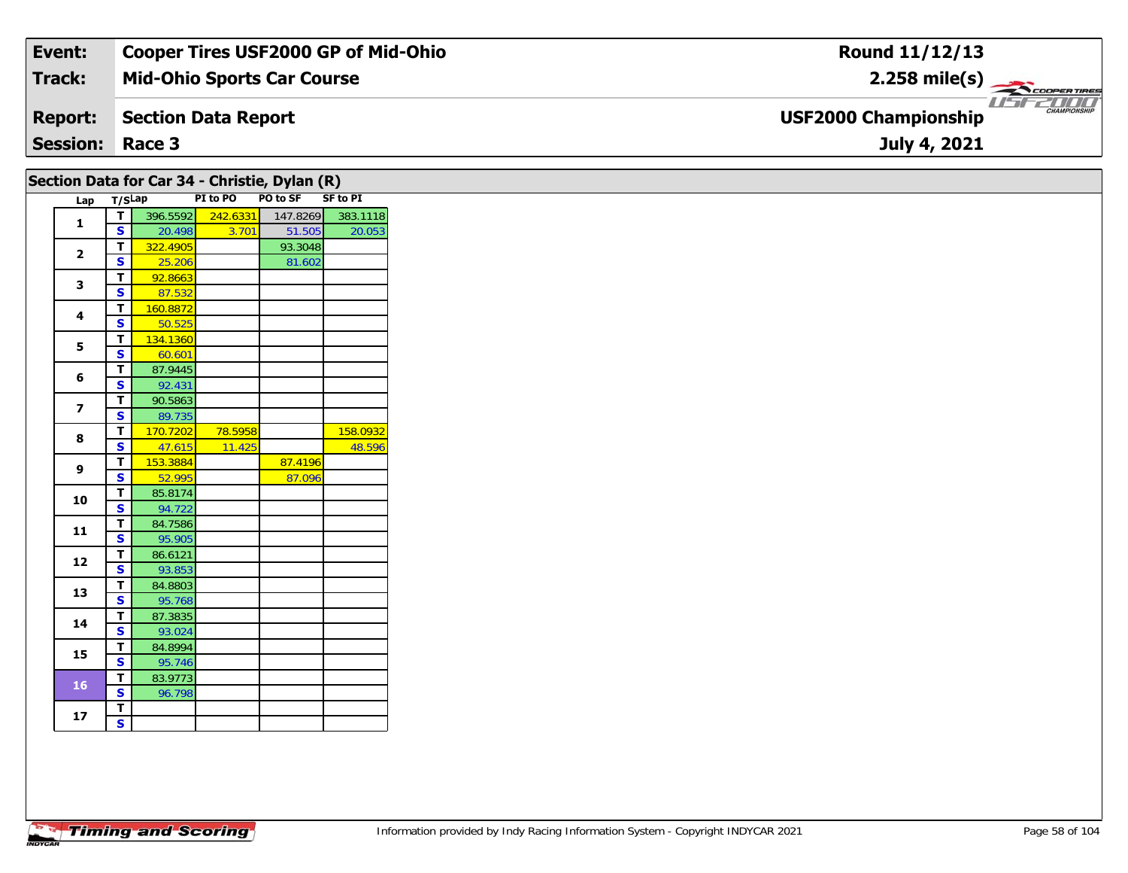| Event:                 | <b>Cooper Tires USF2000 GP of Mid-Ohio</b> | Round 11/12/13                                                |
|------------------------|--------------------------------------------|---------------------------------------------------------------|
| Track:                 | <b>Mid-Ohio Sports Car Course</b>          | $2.258 \text{ mile(s)}$                                       |
| <b>Report:</b>         | Section Data Report                        | USFZOOO<br><b>CHAMPIONSHIP</b><br><b>USF2000 Championship</b> |
| <b>Session: Race 3</b> |                                            | July 4, 2021                                                  |

|                         |                         |                    |                   | Section Data for Car 34 - Christie, Dylan (R) |          |
|-------------------------|-------------------------|--------------------|-------------------|-----------------------------------------------|----------|
| Lap T/SLap              |                         |                    |                   | PI to PO PO to SF SF to PI                    |          |
| $\mathbf{1}$            | T                       |                    | 396.5592 242.6331 | 147.8269                                      | 383.1118 |
|                         | <b>S</b>                | 20.498<br>322.4905 | 3.701             | 51.505<br>93.3048                             | 20.053   |
| $\overline{2}$          | T.<br>S                 | 25.206             |                   | 81.602                                        |          |
|                         | T                       | 92.8663            |                   |                                               |          |
| 3                       | S                       | 87.532             |                   |                                               |          |
|                         | T                       | 160.8872           |                   |                                               |          |
| 4                       | $\mathbf{s}$            | 50.525             |                   |                                               |          |
|                         | T                       | 134.1360           |                   |                                               |          |
| 5                       | S                       | 60.601             |                   |                                               |          |
|                         | T                       | 87.9445            |                   |                                               |          |
| 6                       | S                       | 92.431             |                   |                                               |          |
|                         | T                       | 90.5863            |                   |                                               |          |
| $\overline{\mathbf{z}}$ | <b>S</b>                | 89.735             |                   |                                               |          |
|                         | T.                      | 170.7202           | 78.5958           |                                               | 158.0932 |
| 8                       | $\mathbf{s}$            | 47.615             | 11.425            |                                               | 48.596   |
| 9                       | T                       | 153.3884           |                   | 87.4196                                       |          |
|                         | S                       | 52.995             |                   | 87.096                                        |          |
| 10                      | T                       | 85.8174            |                   |                                               |          |
|                         | <b>S</b>                | 94.722             |                   |                                               |          |
| 11                      | T.                      | 84.7586            |                   |                                               |          |
|                         | $\mathbf{s}$            | 95.905             |                   |                                               |          |
| 12                      | T                       | 86.6121            |                   |                                               |          |
|                         | $\mathbf{s}$            | 93.853             |                   |                                               |          |
| 13                      | T                       | 84.8803            |                   |                                               |          |
|                         | S                       | 95.768             |                   |                                               |          |
| 14                      | T                       | 87.3835            |                   |                                               |          |
|                         | S                       | 93.024<br>84.8994  |                   |                                               |          |
| 15                      | T<br>S                  | 95.746             |                   |                                               |          |
|                         | T                       | 83.9773            |                   |                                               |          |
| 16                      | S                       | 96.798             |                   |                                               |          |
|                         | $\mathbf T$             |                    |                   |                                               |          |
| 17 <sub>2</sub>         | $\overline{\mathbf{s}}$ |                    |                   |                                               |          |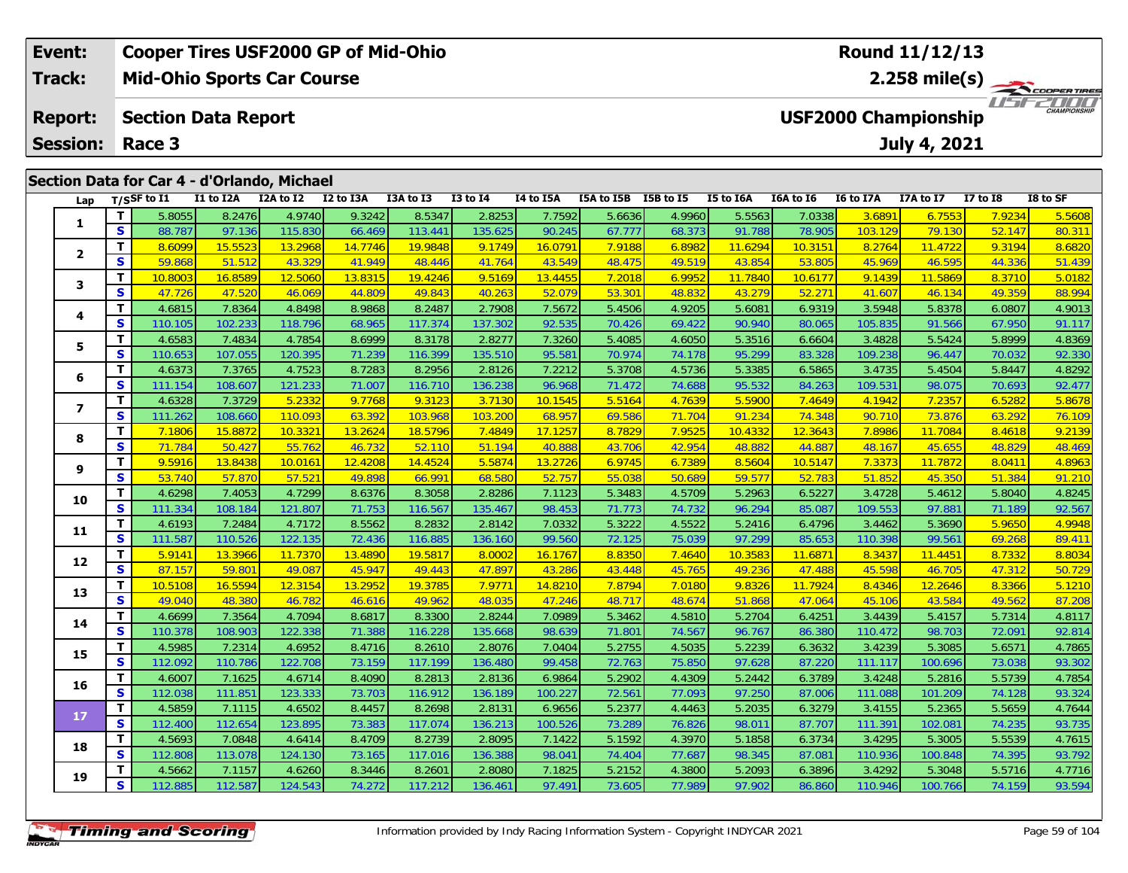| Event:          |                                             | <b>Cooper Tires USF2000 GP of Mid-Ohio</b> |           |           |           |              | Round 11/12/13   |            |                             |           |                           |                  |              |            |          |  |  |
|-----------------|---------------------------------------------|--------------------------------------------|-----------|-----------|-----------|--------------|------------------|------------|-----------------------------|-----------|---------------------------|------------------|--------------|------------|----------|--|--|
| <b>Track:</b>   | <b>Mid-Ohio Sports Car Course</b>           |                                            |           |           |           |              |                  |            |                             |           | $2.258$ mile(s)<br>7/7/7/ |                  |              |            |          |  |  |
| <b>Report:</b>  |                                             | <b>Section Data Report</b>                 |           |           |           |              |                  |            | <b>USF2000 Championship</b> |           |                           |                  |              |            |          |  |  |
| <b>Session:</b> | Race 3                                      |                                            |           |           |           |              |                  |            |                             |           |                           |                  | July 4, 2021 |            |          |  |  |
|                 |                                             |                                            |           |           |           |              |                  |            |                             |           |                           |                  |              |            |          |  |  |
|                 | Section Data for Car 4 - d'Orlando, Michael |                                            |           |           |           |              |                  |            |                             |           |                           |                  |              |            |          |  |  |
|                 | Lap $T/S$ SF to I1                          | I1 to I2A                                  | I2A to I2 | I2 to I3A | I3A to I3 | $I3$ to $I4$ | <b>I4 to I5A</b> | I5A to I5B | I5B to I5                   | I5 to I6A | I6A to I6                 | <b>I6 to I7A</b> | I7A to I7    | I7 to $I8$ | I8 to SF |  |  |

| 1.             | т  | 5.8055  | 8.2476  | 4.9740  | 9.3242  | 8.5347  | 2.8253  | 7.7592  | 5.6636 | 4.9960 | 5.5563  | 7.0338  | 3.6891  | 6.7553  | 7.9234 | 5.5608 |
|----------------|----|---------|---------|---------|---------|---------|---------|---------|--------|--------|---------|---------|---------|---------|--------|--------|
|                | S  | 88.787  | 97.136  | 115.830 | 66.469  | 113.441 | 135.625 | 90.245  | 67.777 | 68.373 | 91.788  | 78.905  | 103.129 | 79.130  | 52.147 | 80.311 |
| 2              | т  | 8.6099  | 15.5523 | 13.2968 | 14.7746 | 19.9848 | 9.1749  | 16.0791 | 7.9188 | 6.8982 | 11.6294 | 10.3151 | 8.2764  | 11.4722 | 9.3194 | 8.6820 |
|                | S  | 59.868  | 51.512  | 43.329  | 41.949  | 48.446  | 41.764  | 43.549  | 48.475 | 49.519 | 43.854  | 53.805  | 45.969  | 46.595  | 44.336 | 51.439 |
| 3              | т  | 10.8003 | 16.8589 | 12.5060 | 13.8315 | 19.4246 | 9.5169  | 13.4455 | 7.2018 | 6.9952 | 11.7840 | 10.6177 | 9.1439  | 11.5869 | 8.3710 | 5.0182 |
|                | S  | 47.726  | 47.520  | 46.069  | 44.809  | 49.843  | 40.263  | 52.079  | 53.301 | 48.832 | 43.279  | 52.271  | 41.607  | 46.134  | 49.359 | 88.994 |
| 4              | т  | 4.6815  | 7.8364  | 4.8498  | 8.9868  | 8.2487  | 2.7908  | 7.5672  | 5.4506 | 4.9205 | 5.6081  | 6.9319  | 3.5948  | 5.8378  | 6.0807 | 4.9013 |
|                | S  | 110.105 | 102.233 | 118.796 | 68.965  | 117.374 | 137.302 | 92.535  | 70.426 | 69.422 | 90.940  | 80.065  | 105.835 | 91.566  | 67.950 | 91.117 |
| 5              | т  | 4.6583  | 7.4834  | 4.7854  | 8.6999  | 8.3178  | 2.8277  | 7.3260  | 5.4085 | 4.6050 | 5.3516  | 6.6604  | 3.4828  | 5.5424  | 5.8999 | 4.8369 |
|                | S  | 110.653 | 107.055 | 120.395 | 71.239  | 116.399 | 135.510 | 95.58   | 70.974 | 74.178 | 95.299  | 83.328  | 109.238 | 96.447  | 70.032 | 92.330 |
| 6              | т  | 4.6373  | 7.3765  | 4.7523  | 8.7283  | 8.2956  | 2.8126  | 7.2212  | 5.3708 | 4.5736 | 5.3385  | 6.5865  | 3.4735  | 5.4504  | 5.8447 | 4.8292 |
|                | S  | 111.154 | 108.607 | 121.233 | 71.007  | 116.710 | 136.238 | 96.968  | 71.472 | 74.688 | 95.532  | 84.263  | 109.531 | 98.075  | 70.693 | 92.477 |
| $\overline{ }$ | т  | 4.6328  | 7.3729  | 5.2332  | 9.7768  | 9.3123  | 3.7130  | 10.1545 | 5.5164 | 4.7639 | 5.5900  | 7.4649  | 4.1942  | 7.2357  | 6.5282 | 5.8678 |
|                | S  | 111.262 | 108.660 | 110.093 | 63.392  | 103.968 | 103.200 | 68.957  | 69.586 | 71.704 | 91.234  | 74.348  | 90.710  | 73.876  | 63.292 | 76.109 |
| 8              | т  | 7.1806  | 15.887  | 10.3321 | 13.2624 | 18.5796 | 7.4849  | 17.1257 | 8.7829 | 7.9525 | 10.4332 | 12.3643 | 7.8986  | 11.7084 | 8.4618 | 9.2139 |
|                | S  | 71.784  | 50.427  | 55.762  | 46.732  | 52.110  | 51.194  | 40.888  | 43.706 | 42.954 | 48.882  | 44.887  | 48.167  | 45.655  | 48.829 | 48.469 |
| 9              | т  | 9.5916  | 13.8438 | 10.0161 | 12.4208 | 14.4524 | 5.5874  | 13.2726 | 6.9745 | 6.7389 | 8.5604  | 10.5147 | 7.3373  | 11.7872 | 8.0411 | 4.8963 |
|                | S  | 53.740  | 57.870  | 57.521  | 49.898  | 66.991  | 68.580  | 52.757  | 55.038 | 50.689 | 59.577  | 52.783  | 51.852  | 45.350  | 51.384 | 91.210 |
| 10             | T  | 4.6298  | 7.4053  | 4.7299  | 8.6376  | 8.3058  | 2.8286  | 7.1123  | 5.3483 | 4.5709 | 5.2963  | 6.5227  | 3.4728  | 5.4612  | 5.8040 | 4.8245 |
|                | S  | 111.334 | 108.184 | 121.807 | 71.753  | 116.567 | 135.467 | 98.453  | 71.773 | 74.732 | 96.294  | 85.087  | 109.553 | 97.881  | 71.189 | 92.567 |
| 11             | т  | 4.6193  | 7.2484  | 4.7172  | 8.5562  | 8.2832  | 2.8142  | 7.0332  | 5.3222 | 4.5522 | 5.2416  | 6.4796  | 3.4462  | 5.3690  | 5.9650 | 4.9948 |
|                | S  | 111.587 | 110.526 | 122.135 | 72.436  | 116.885 | 136.160 | 99.560  | 72.125 | 75.039 | 97.299  | 85.653  | 110.398 | 99.561  | 69.268 | 89.411 |
| 12             | T. | 5.9141  | 13.3966 | 11.7370 | 13.4890 | 19.5817 | 8.0002  | 16.1767 | 8.8350 | 7.4640 | 10.3583 | 11.6871 | 8.3437  | 11.4451 | 8.7332 | 8.8034 |
|                | S  | 87.157  | 59.80   | 49.087  | 45.947  | 49.443  | 47.897  | 43.286  | 43.448 | 45.765 | 49.236  | 47.488  | 45.598  | 46.705  | 47.312 | 50.729 |
| 13             | т  | 10.5108 | 16.5594 | 12.3154 | 13.2952 | 19.3785 | 7.9771  | 14.8210 | 7.8794 | 7.0180 | 9.8326  | 11.7924 | 8.4346  | 12.2646 | 8.3366 | 5.1210 |
|                | S  | 49.040  | 48.380  | 46.782  | 46.616  | 49.962  | 48.035  | 47.246  | 48.717 | 48.674 | 51.868  | 47.064  | 45.106  | 43.584  | 49.562 | 87.208 |
| 14             | т  | 4.6699  | 7.3564  | 4.7094  | 8.6817  | 8.3300  | 2.8244  | 7.0989  | 5.3462 | 4.5810 | 5.2704  | 6.4251  | 3.4439  | 5.4157  | 5.7314 | 4.8117 |
|                | S  | 110.378 | 108.903 | 122.338 | 71.388  | 116.228 | 135.668 | 98.639  | 71.801 | 74.567 | 96.767  | 86.380  | 110.472 | 98.703  | 72.09  | 92.814 |
| 15             | т  | 4.5985  | 7.2314  | 4.6952  | 8.4716  | 8.2610  | 2.8076  | 7.0404  | 5.2755 | 4.5035 | 5.2239  | 6.3632  | 3.4239  | 5.3085  | 5.657  | 4.7865 |
|                | S  | 112.092 | 110.786 | 122.708 | 73.159  | 117.199 | 136.480 | 99.458  | 72.763 | 75.850 | 97.628  | 87.220  | 111.117 | 100.696 | 73.038 | 93.302 |
| 16             | T. | 4.6007  | 7.1625  | 4.6714  | 8.4090  | 8.2813  | 2.8136  | 6.9864  | 5.2902 | 4.4309 | 5.2442  | 6.3789  | 3.4248  | 5.2816  | 5.5739 | 4.7854 |
|                | S  | 112.038 | 111.851 | 123.333 | 73.703  | 116.912 | 136.189 | 100.227 | 72.561 | 77.093 | 97.250  | 87.006  | 111.088 | 101.209 | 74.128 | 93.324 |
| 17             | T. | 4.5859  | 7.1115  | 4.6502  | 8.4457  | 8.2698  | 2.8131  | 6.9656  | 5.2377 | 4.4463 | 5.2035  | 6.3279  | 3.4155  | 5.2365  | 5.5659 | 4.7644 |
|                | S  | 112.400 | 112.654 | 123.895 | 73.383  | 117.074 | 136.213 | 100.526 | 73.289 | 76.826 | 98.01   | 87.707  | 111.391 | 102.081 | 74.235 | 93.735 |
| 18             | T. | 4.5693  | 7.0848  | 4.6414  | 8.4709  | 8.2739  | 2.8095  | 7.1422  | 5.1592 | 4.3970 | 5.1858  | 6.3734  | 3.4295  | 5.3005  | 5.5539 | 4.7615 |
|                | S  | 112.808 | 113.078 | 124.130 | 73.165  | 117.016 | 136.388 | 98.041  | 74.404 | 77.687 | 98.345  | 87.081  | 110.936 | 100.848 | 74.395 | 93.792 |
| 19             | т  | 4.5662  | 7.1157  | 4.6260  | 8.3446  | 8.2601  | 2.8080  | 7.1825  | 5.2152 | 4.3800 | 5.2093  | 6.3896  | 3.4292  | 5.3048  | 5.5716 | 4.7716 |
|                | S. | 112.885 | 112.587 | 124.543 | 74.272  | 117.212 | 136.461 | 97.491  | 73.605 | 77.989 | 97.902  | 86.860  | 110.946 | 100.766 | 74.159 | 93.594 |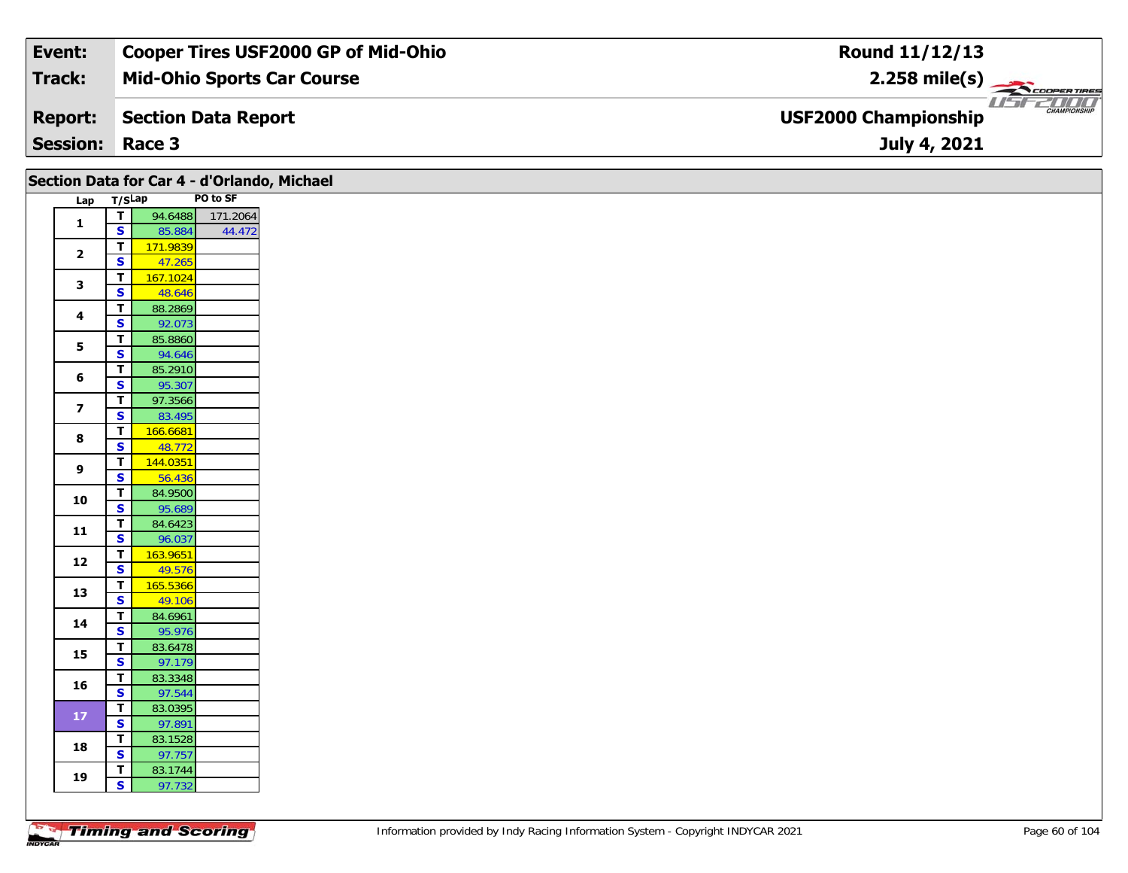| Event:                 | <b>Cooper Tires USF2000 GP of Mid-Ohio</b> | Round 11/12/13                                                       |
|------------------------|--------------------------------------------|----------------------------------------------------------------------|
| Track:                 | <b>Mid-Ohio Sports Car Course</b>          | $2.258$ mile(s)                                                      |
| <b>Report:</b>         | Section Data Report                        | <i>USF2DOO</i><br><b>CHAMPIONSHIP</b><br><b>USF2000 Championship</b> |
| <b>Session: Race 3</b> |                                            | July 4, 2021                                                         |

|                         |                                                    | Section Data for Car 4 - d'Orlando, Michael |          |
|-------------------------|----------------------------------------------------|---------------------------------------------|----------|
| Lap T/SLap              |                                                    |                                             | PO to SF |
|                         | $\overline{T}$                                     | 94.6488                                     | 171.2064 |
| $\mathbf{1}$            | $\overline{\mathbf{s}}$                            | 85.884                                      | 44.472   |
|                         | T                                                  | 171.9839                                    |          |
| $\overline{2}$          | $\mathbf{s}$                                       | 47.265                                      |          |
|                         | T                                                  | 167.1024                                    |          |
| $\mathbf{3}$            | $\overline{\mathbf{s}}$                            | 48.646                                      |          |
|                         | $\overline{\mathsf{r}}$                            | 88.2869                                     |          |
| $\overline{\mathbf{4}}$ | $\overline{\mathbf{s}}$                            | 92.073                                      |          |
| $5\phantom{a}$          | T                                                  | 85.8860                                     |          |
|                         | $\overline{\mathbf{s}}$                            | 94.646                                      |          |
| 6                       | $\mathbf{T}$                                       | 85.2910                                     |          |
|                         | $\overline{\mathbf{s}}$                            | 95.307                                      |          |
| $\overline{\mathbf{z}}$ | T.                                                 | 97.3566                                     |          |
|                         | $\overline{\mathbf{s}}$                            | 83.495                                      |          |
| 8                       | $\overline{\mathsf{T}}$                            | 166.6681                                    |          |
|                         | $\overline{\mathbf{s}}$                            | 48.772                                      |          |
| 9                       | $\overline{\mathsf{r}}$<br>$\mathbf{s}$            | 144.0351                                    |          |
|                         |                                                    | 56.436                                      |          |
| 10                      | $\overline{\mathsf{r}}$<br>$\overline{\mathbf{s}}$ | 84.9500<br>95.689                           |          |
|                         | $\mathbf{T}$                                       | 84.6423                                     |          |
| 11                      | $\overline{\mathbf{s}}$                            | 96.037                                      |          |
|                         | T                                                  | 163.9651                                    |          |
| 12                      | $\overline{\mathbf{s}}$                            | 49.576                                      |          |
|                         | $\overline{\mathsf{T}}$                            | 165.5366                                    |          |
| 13                      | $\overline{\mathbf{s}}$                            | 49.106                                      |          |
|                         | $\mathbf T$                                        | 84.6961                                     |          |
| 14                      | $\mathbf{s}$                                       | 95.976                                      |          |
| 15                      | $\overline{\mathsf{r}}$                            | 83.6478                                     |          |
|                         | $\overline{\mathbf{s}}$                            | 97.179                                      |          |
| 16                      | $\mathbf{T}$                                       | 83.3348                                     |          |
|                         | $\overline{\mathbf{s}}$                            | 97.544                                      |          |
| $17$                    | $\mathbf{T}$                                       | 83.0395                                     |          |
|                         | $\mathbf{s}$                                       | 97.891                                      |          |
| 18                      | $\overline{\mathbf{T}}$                            | 83.1528                                     |          |
|                         | $\overline{\mathbf{s}}$                            | 97.757                                      |          |
| 19                      | T                                                  | 83.1744                                     |          |
|                         | $\overline{\mathbf{s}}$                            | 97.732                                      |          |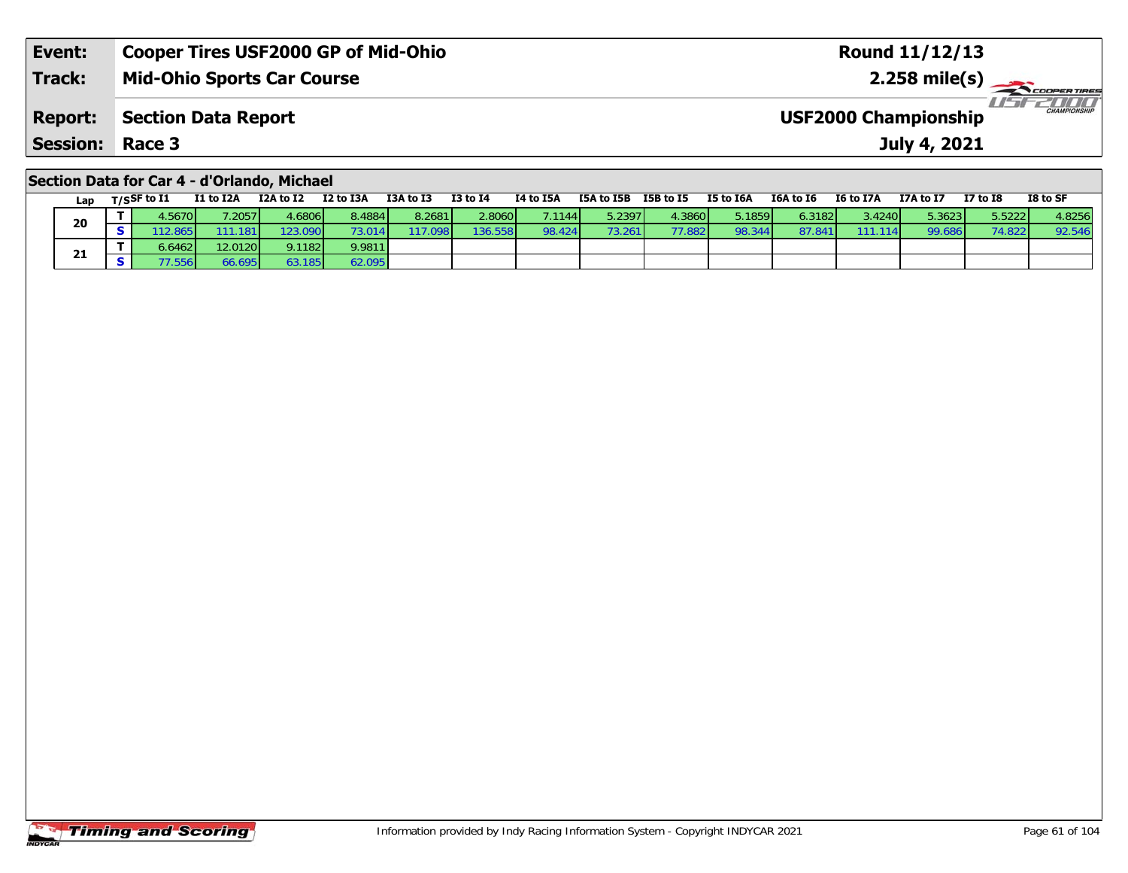| Session:       | Race 3                                     | July 4, 2021                                 |
|----------------|--------------------------------------------|----------------------------------------------|
| <b>Report:</b> | Section Data Report                        | CHAMPIONSHIP<br><b>USF2000 Championship</b>  |
| <b>Track:</b>  | <b>Mid-Ohio Sports Car Course</b>          | $2.258$ mile(s) $\rightarrow$<br>COOPERTIRES |
| Event:         | <b>Cooper Tires USF2000 GP of Mid-Ohio</b> | <b>Round 11/12/13</b>                        |

### **Section Data for Car 4 - d'Orlando, Michael**

| Lap | T/SSF to I1 | <b>I1 to I2A</b> | I2A to I2 | I2 to I3A       | I3A to I3 | <b>I3 to I4</b> | I4 to I5A       | I5A to I5B | <b>I5B</b> to I5 | I5 to I6A | I6A to I6               | I6 to I7A       | I7A to I7 | <b>I7 to I8</b> | I8 to SF |
|-----|-------------|------------------|-----------|-----------------|-----------|-----------------|-----------------|------------|------------------|-----------|-------------------------|-----------------|-----------|-----------------|----------|
| 20  | .5670       | .2057            | 1.6806    | 8.4884          | 8.2681    | 2.8060          | 7.1144 <b>I</b> | 5.2397     | 4.3860           | 5.1859    | $6.3182$ $\blacksquare$ | 3.4240 <b>1</b> | 5.3623    | 5.5222          | 4.8256   |
|     | (2.865)     | 111.181          | '23.090   | 73.014 <b>1</b> | 17.098    | 136.558         | 98.424          | 73.261     | 77.882           | 98.344    | 87.84                   | 1141            | 99.686    | 74.822          | 92.546   |
| 21  | 0.6462      | 12.0120          | 9.1182    | 9.9811          |           |                 |                 |            |                  |           |                         |                 |           |                 |          |
|     | 7.556       | 66.695           | 63.185    | 62.095          |           |                 |                 |            |                  |           |                         |                 |           |                 |          |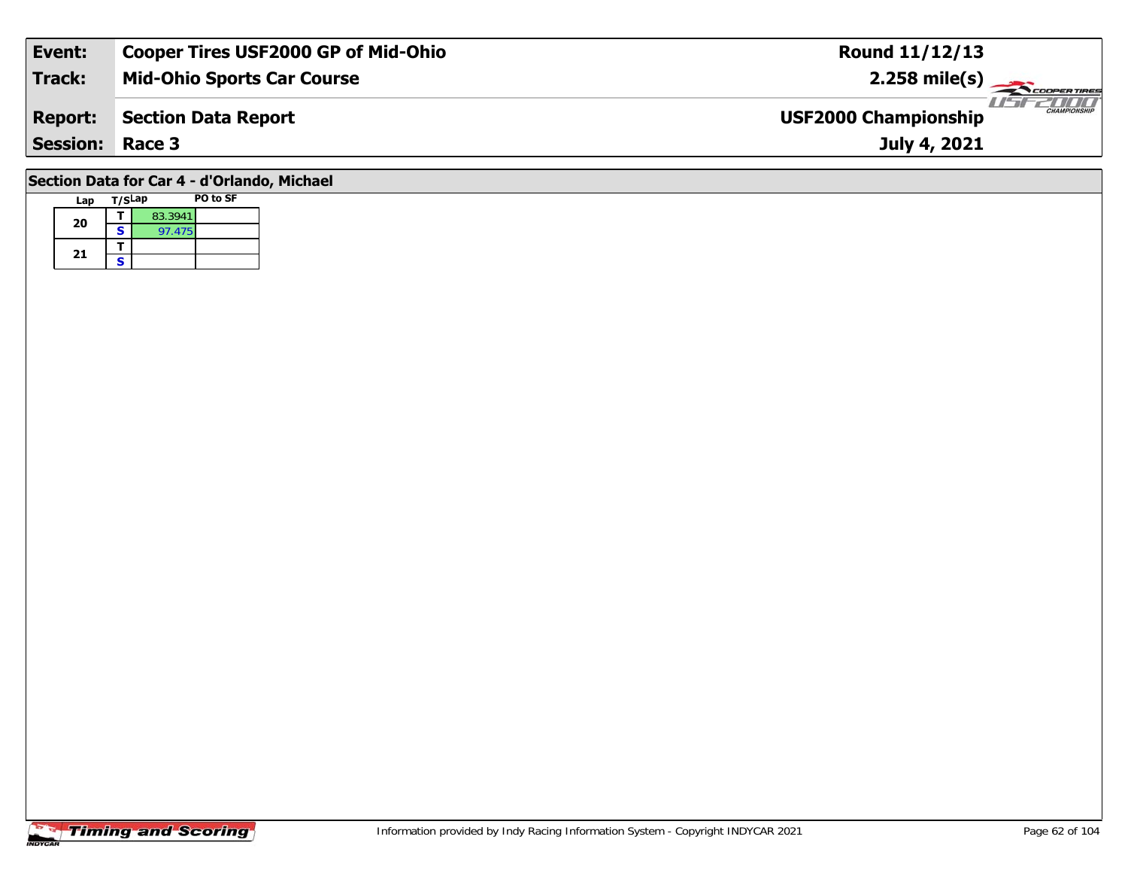| Event:                                                                                                       | <b>Cooper Tires USF2000 GP of Mid-Ohio</b> | <b>Round 11/12/13</b>                              |  |  |  |  |  |  |  |  |  |
|--------------------------------------------------------------------------------------------------------------|--------------------------------------------|----------------------------------------------------|--|--|--|--|--|--|--|--|--|
| Track:                                                                                                       | <b>Mid-Ohio Sports Car Course</b>          | $2.258 \text{ mile(s)}$                            |  |  |  |  |  |  |  |  |  |
| <b>Report:</b>                                                                                               | <b>Section Data Report</b>                 | <b>CHAMPIONSHIP</b><br><b>USF2000 Championship</b> |  |  |  |  |  |  |  |  |  |
| <b>Session: Race 3</b>                                                                                       |                                            | July 4, 2021                                       |  |  |  |  |  |  |  |  |  |
| $\overline{a}$ . The set of $\overline{a}$ and $\overline{a}$ and $\overline{a}$ . The set of $\overline{a}$ |                                            |                                                    |  |  |  |  |  |  |  |  |  |

#### **Section Data for Car 4 - d'Orlando, Michael**

| Lap | T/SLap |         | PO to SF |
|-----|--------|---------|----------|
| 20  |        | 83.3941 |          |
|     | S      | 97.475  |          |
|     |        |         |          |
| 21  | с      |         |          |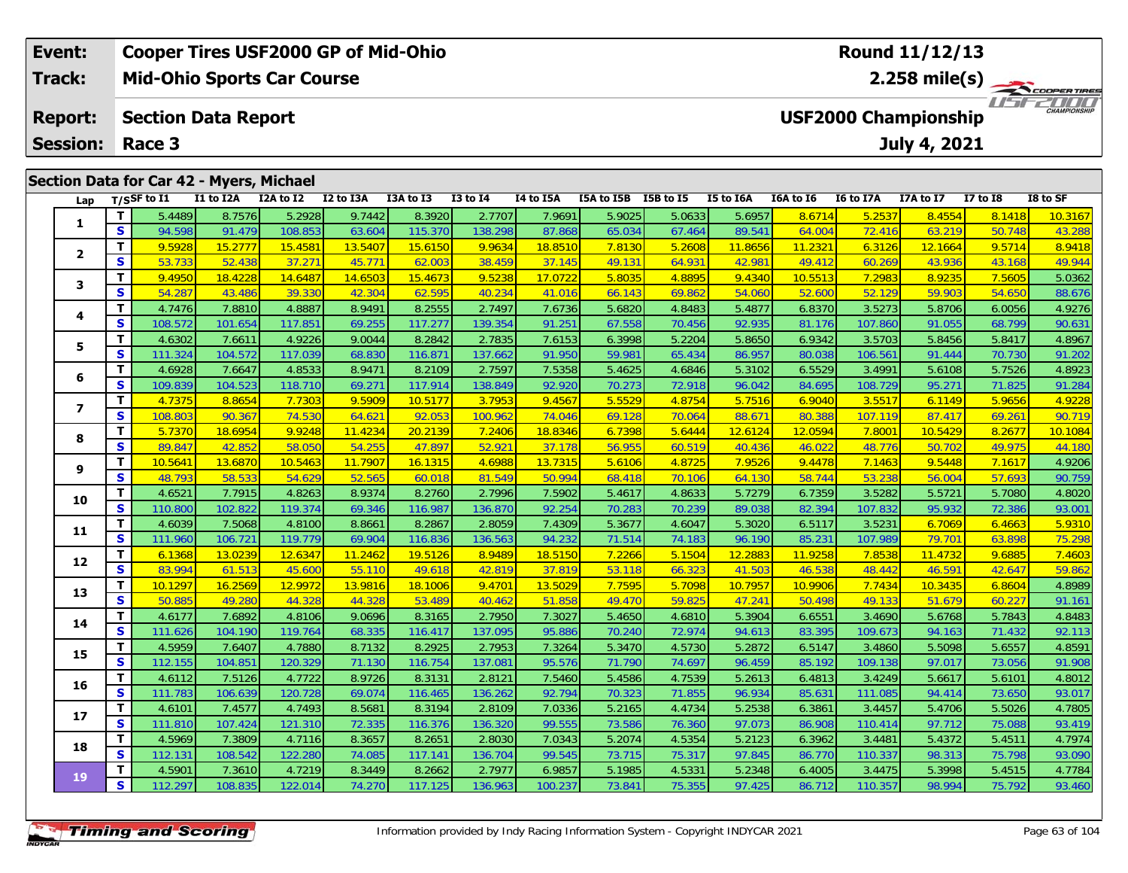|                                          | Event:          |             | <b>Cooper Tires USF2000 GP of Mid-Ohio</b> |           |           |           |              | <b>Round 11/12/13</b> |                                                                     |           |           |           |                  |                  |              |          |  |  |  |
|------------------------------------------|-----------------|-------------|--------------------------------------------|-----------|-----------|-----------|--------------|-----------------------|---------------------------------------------------------------------|-----------|-----------|-----------|------------------|------------------|--------------|----------|--|--|--|
|                                          | <b>Track:</b>   |             | <b>Mid-Ohio Sports Car Course</b>          |           |           |           |              |                       |                                                                     |           |           |           | $2.258$ mile(s)  |                  |              |          |  |  |  |
|                                          | <b>Report:</b>  |             | <b>Section Data Report</b>                 |           |           |           |              |                       | <b>TITITI</b><br><b>CHAMPIONSHIP</b><br><b>USF2000 Championship</b> |           |           |           |                  |                  |              |          |  |  |  |
|                                          | <b>Session:</b> | Race 3      |                                            |           |           |           |              |                       |                                                                     |           |           |           |                  | July 4, 2021     |              |          |  |  |  |
|                                          |                 |             |                                            |           |           |           |              |                       |                                                                     |           |           |           |                  |                  |              |          |  |  |  |
| Section Data for Car 42 - Myers, Michael |                 |             |                                            |           |           |           |              |                       |                                                                     |           |           |           |                  |                  |              |          |  |  |  |
|                                          | Lap             | T/SSF to I1 | I1 to I2A                                  | I2A to I2 | I2 to I3A | I3A to I3 | $I3$ to $I4$ | 14 to 15A             | I5A to I5B                                                          | I5B to I5 | I5 to I6A | I6A to I6 | <b>I6 to I7A</b> | <b>I7A to I7</b> | $I7$ to $I8$ | I8 to SF |  |  |  |
|                                          |                 |             |                                            |           |           |           |              |                       |                                                                     |           |           |           |                  |                  |              |          |  |  |  |

| Lap            |                         | T/SSF to 11 | <b>IL TO LZA</b> | <b>IZA TO IZ</b> | <b>IZ TO ISA</b> | <b>LJA TO LJ</b> | 13 TO 14 | <b>14 TO 15A</b> | <b>ISA TO TPR</b> | 12R 10 12 | <b>12 10 10 W</b> | TOY TO TO | 10 TO 1/A | 1/A to 1/ | <b>T\ 10 TR</b> | 18 TO SF |
|----------------|-------------------------|-------------|------------------|------------------|------------------|------------------|----------|------------------|-------------------|-----------|-------------------|-----------|-----------|-----------|-----------------|----------|
| 1              | T                       | 5.4489      | 8.7576           | 5.2928           | 9.7442           | 8.3920           | 2.7707   | 7.9691           | 5.9025            | 5.0633    | 5.6957            | 8.6714    | 5.2537    | 8.4554    | 8.1418          | 10.3167  |
|                | S                       | 94.598      | 91.479           | 108.853          | 63.604           | 115.370          | 138.298  | 87.868           | 65.034            | 67.464    | 89.541            | 64.004    | 72.416    | 63.219    | 50.748          | 43.288   |
|                | T                       | 9.5928      | 15.2777          | 15.4581          | 13.5407          | 15.6150          | 9.9634   | 18.8510          | 7.8130            | 5.2608    | 11.8656           | 11.2321   | 6.3126    | 12.1664   | 9.5714          | 8.9418   |
| $\overline{2}$ | S                       | 53.733      | 52.438           | 37.271           | 45.771           | 62.003           | 38.459   | 37.145           | 49.131            | 64.931    | 42.981            | 49.412    | 60.269    | 43.936    | 43.168          | 49.944   |
| 3              | T                       | 9.4950      | 18.4228          | 14.6487          | 14.6503          | 15.4673          | 9.5238   | 17.0722          | 5.8035            | 4.8895    | 9.4340            | 10.5513   | 7.2983    | 8.9235    | 7.5605          | 5.0362   |
|                | $\mathbf{s}$            | 54.287      | 43.486           | 39.330           | 42.304           | 62.595           | 40.234   | 41.016           | 66.143            | 69.862    | 54.060            | 52.600    | 52.129    | 59.903    | 54.650          | 88.676   |
|                | $\mathbf{T}$            | 4.7476      | 7.8810           | 4.8887           | 8.9491           | 8.2555           | 2.7497   | 7.6736           | 5.6820            | 4.8483    | 5.4877            | 6.8370    | 3.5273    | 5.8706    | 6.0056          | 4.9276   |
| 4              | $\mathbf{s}$            | 108.572     | 101.654          | 117.851          | 69.255           | 117.277          | 139.354  | 91.251           | 67.558            | 70.456    | 92.935            | 81.176    | 107.860   | 91.055    | 68.799          | 90.631   |
| 5              | T                       | 4.6302      | 7.6611           | 4.9226           | 9.0044           | 8.2842           | 2.7835   | 7.6153           | 6.3998            | 5.2204    | 5.8650            | 6.9342    | 3.5703    | 5.8456    | 5.8417          | 4.8967   |
|                | S                       | 111.324     | 104.572          | 117.039          | 68.830           | 116.871          | 137.662  | 91.950           | 59.981            | 65.434    | 86.957            | 80.038    | 106.561   | 91.444    | 70.730          | 91.202   |
| 6              | T                       | 4.6928      | 7.6647           | 4.8533           | 8.9471           | 8.2109           | 2.7597   | 7.5358           | 5.4625            | 4.6846    | 5.3102            | 6.5529    | 3.4991    | 5.6108    | 5.7526          | 4.8923   |
|                | S                       | 109.839     | 104.523          | 118.710          | 69.271           | 117.914          | 138.849  | 92.920           | 70.273            | 72.918    | 96.042            | 84.695    | 108.729   | 95.271    | 71.825          | 91.284   |
| 7              | T                       | 4.7375      | 8.8654           | 7.7303           | 9.5909           | 10.5177          | 3.7953   | 9.4567           | 5.5529            | 4.8754    | 5.7516            | 6.9040    | 3.5517    | 6.1149    | 5.9656          | 4.9228   |
|                | $\overline{\mathbf{s}}$ | 108.803     | 90.367           | 74.530           | 64.621           | 92.053           | 100.962  | 74.046           | 69.128            | 70.064    | 88.671            | 80.388    | 107.119   | 87.417    | 69.261          | 90.719   |
| 8              | T                       | 5.7370      | 18.6954          | 9.9248           | 11.4234          | 20.2139          | 7.2406   | 18.8346          | 6.7398            | 5.6444    | 12.6124           | 12.0594   | 7.8001    | 10.5429   | 8.2677          | 10.1084  |
|                | S                       | 89.847      | 42.852           | 58.050           | 54.255           | 47.897           | 52.921   | 37.178           | 56.955            | 60.519    | 40.436            | 46.022    | 48.776    | 50.702    | 49.975          | 44.180   |
| 9              | T                       | 10.5641     | 13.6870          | 10.5463          | 11.7907          | 16.1315          | 4.6988   | 13.7315          | 5.6106            | 4.8725    | 7.9526            | 9.4478    | 7.1463    | 9.5448    | 7.1617          | 4.9206   |
|                | S                       | 48.793      | 58.533           | 54.629           | 52.565           | 60.018           | 81.549   | 50.994           | 68.418            | 70.106    | 64.130            | 58.744    | 53.238    | 56.004    | 57.693          | 90.759   |
| 10             | т                       | 4.6521      | 7.7915           | 4.8263           | 8.9374           | 8.2760           | 2.7996   | 7.5902           | 5.4617            | 4.8633    | 5.7279            | 6.7359    | 3.5282    | 5.5721    | 5.7080          | 4.8020   |
|                | $\mathbf{s}$            | 110.800     | 102.822          | 119.374          | 69.346           | 116.987          | 136.870  | 92.254           | 70.283            | 70.239    | 89.038            | 82.394    | 107.832   | 95.932    | 72.386          | 93.001   |
| 11             | T                       | 4.6039      | 7.5068           | 4.8100           | 8.8661           | 8.2867           | 2.8059   | 7.4309           | 5.3677            | 4.6047    | 5.3020            | 6.5117    | 3.5231    | 6.7069    | 6.4663          | 5.9310   |
|                | S                       | 111.960     | 106.721          | 119.779          | 69.904           | 116.836          | 136.563  | 94.232           | 71.514            | 74.183    | 96.190            | 85.231    | 107.989   | 79.701    | 63.898          | 75.298   |
| 12             | T                       | 6.1368      | 13.0239          | 12.6347          | 11.2462          | 19.5126          | 8.9489   | 18.5150          | 7.2266            | 5.1504    | 12.2883           | 11.9258   | 7.8538    | 11.4732   | 9.6885          | 7.4603   |
|                | $\mathbf{s}$            | 83.994      | 61.513           | 45.600           | 55.110           | 49.618           | 42.819   | 37.819           | 53.118            | 66.323    | 41.503            | 46.538    | 48.442    | 46.591    | 42.647          | 59.862   |
| 13             | $\mathbf{T}$            | 10.1297     | 16.2569          | 12.9972          | 13.9816          | 18.1006          | 9.4701   | 13.5029          | 7.7595            | 5.7098    | 10.7957           | 10.9906   | 7.7434    | 10.3435   | 6.8604          | 4.8989   |
|                | $\mathbf{s}$            | 50.885      | 49.280           | 44.328           | 44.328           | 53.489           | 40.462   | 51.858           | 49.470            | 59.825    | 47.241            | 50.498    | 49.133    | 51.679    | 60.227          | 91.161   |
| 14             | T                       | 4.6177      | 7.6892           | 4.8106           | 9.0696           | 8.3165           | 2.7950   | 7.3027           | 5.4650            | 4.6810    | 5.3904            | 6.6551    | 3.4690    | 5.6768    | 5.7843          | 4.8483   |
|                | $\mathbf{s}$            | 111.626     | 104.190          | 119.764          | 68.335           | 116.417          | 137.095  | 95.886           | 70.240            | 72.974    | 94.613            | 83.395    | 109.673   | 94.163    | 71.432          | 92.113   |
| 15             | T                       | 4.5959      | 7.6407           | 4.7880           | 8.7132           | 8.2925           | 2.7953   | 7.3264           | 5.3470            | 4.5730    | 5.2872            | 6.5147    | 3.4860    | 5.5098    | 5.6557          | 4.8591   |
|                | S                       | 112.155     | 104.851          | 120.329          | 71.130           | 116.754          | 137.081  | 95.576           | 71.790            | 74.697    | 96.459            | 85.192    | 109.138   | 97.017    | 73.056          | 91.908   |
| 16             | Т                       | 4.6112      | 7.5126           | 4.7722           | 8.9726           | 8.3131           | 2.8121   | 7.5460           | 5.4586            | 4.7539    | 5.2613            | 6.4813    | 3.4249    | 5.6617    | 5.6101          | 4.8012   |
|                | $\mathbf{s}$            | 111.783     | 106.639          | 120.728          | 69.074           | 116.465          | 136.262  | 92.794           | 70.323            | 71.855    | 96.934            | 85.631    | 111.085   | 94.414    | 73.650          | 93.017   |
| 17             | Т                       | 4.6101      | 7.4577           | 4.7493           | 8.5681           | 8.3194           | 2.8109   | 7.0336           | 5.2165            | 4.4734    | 5.2538            | 6.3861    | 3.4457    | 5.4706    | 5.5026          | 4.7805   |
|                | $\mathbf{s}$            | 111.810     | 107.424          | 121.310          | 72.335           | 116.376          | 136.320  | 99.555           | 73.586            | 76.360    | 97.073            | 86.908    | 110.414   | 97.712    | 75.088          | 93.419   |
| 18             | T                       | 4.5969      | 7.3809           | 4.7116           | 8.3657           | 8.2651           | 2.8030   | 7.0343           | 5.2074            | 4.5354    | 5.2123            | 6.3962    | 3.4481    | 5.4372    | 5.4511          | 4.7974   |
|                | S                       | 112.131     | 108.542          | 122.280          | 74.085           | 117.141          | 136.704  | 99.545           | 73.715            | 75.317    | 97.845            | 86.770    | 110.337   | 98.313    | 75.798          | 93.090   |
| 19             | Т                       | 4.5901      | 7.3610           | 4.7219           | 8.3449           | 8.2662           | 2.7977   | 6.9857           | 5.1985            | 4.5331    | 5.2348            | 6.4005    | 3.4475    | 5.3998    | 5.4515          | 4.7784   |
|                | S                       | 112.297     | 108.835          | 122.014          | 74.270           | 117.125          | 136.963  | 100.237          | 73.841            | 75.355    | 97.425            | 86.712    | 110.357   | 98.994    | 75.792          | 93.460   |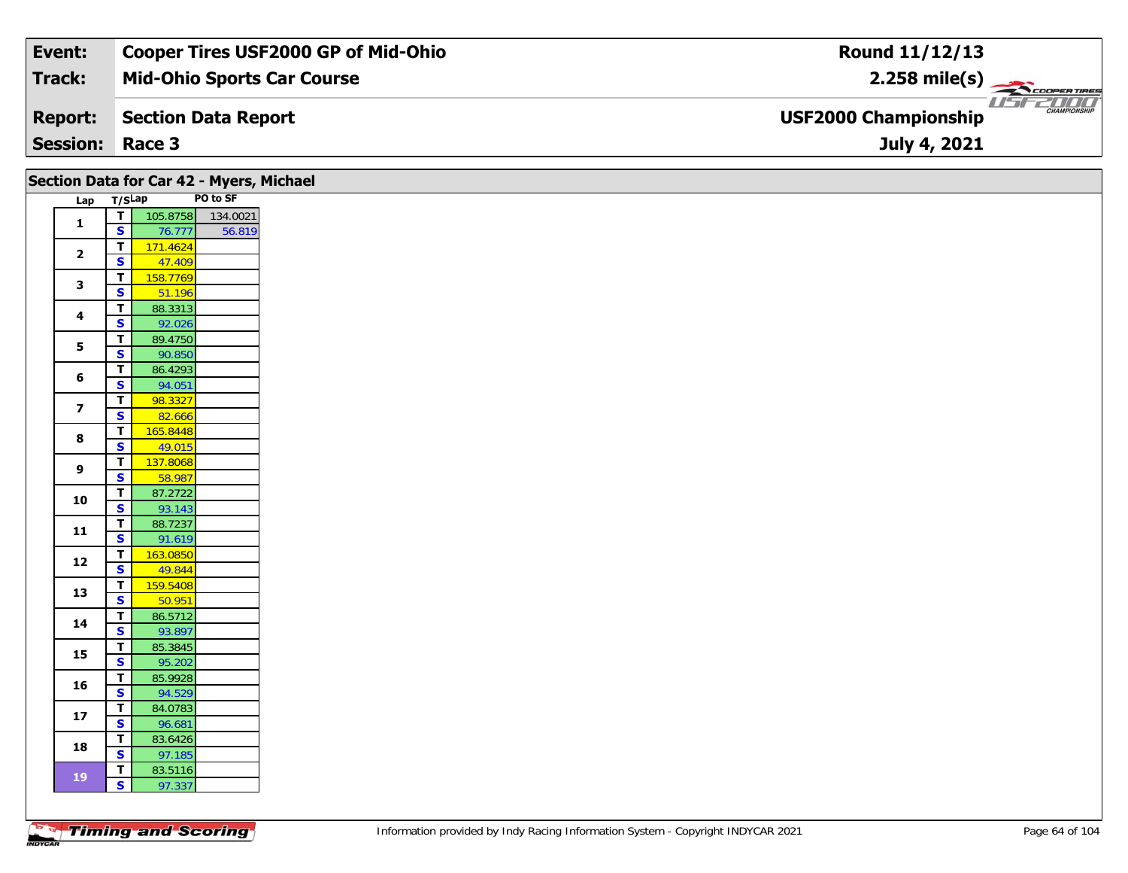| Event:                 | <b>Cooper Tires USF2000 GP of Mid-Ohio</b> | Round 11/12/13                                     |
|------------------------|--------------------------------------------|----------------------------------------------------|
| Track:                 | <b>Mid-Ohio Sports Car Course</b>          | $2.258$ mile(s)                                    |
| <b>Report:</b>         | Section Data Report                        | <b>CHAMPIONSHIP</b><br><b>USF2000 Championship</b> |
| <b>Session: Race 3</b> |                                            | July 4, 2021                                       |

|                         |                                                    | Section Data for Car 42 - Myers, Michael |          |
|-------------------------|----------------------------------------------------|------------------------------------------|----------|
| Lap                     | T/SLap                                             |                                          | PO to SF |
| $\mathbf{1}$            | $\overline{\mathbf{r}}$                            | 105.8758                                 | 134.0021 |
|                         | $\mathbf{s}$                                       | 76.777                                   | 56.819   |
| $\mathbf{2}$            | $\mathbf T$                                        | 171.4624                                 |          |
|                         | $\overline{\mathbf{s}}$                            | 47.409                                   |          |
| 3                       | $\overline{\mathbf{T}}$                            | 158.7769                                 |          |
|                         | $\overline{\mathbf{s}}$                            | 51.196                                   |          |
| 4                       | $\mathbf T$                                        | 88.3313                                  |          |
|                         | $\overline{\mathbf{s}}$                            | 92.026                                   |          |
| 5                       | $\mathbf T$                                        | 89.4750                                  |          |
|                         | $\overline{\mathbf{s}}$                            | 90.850                                   |          |
| 6                       | $\mathbf{T}$<br>$\overline{\mathbf{s}}$            | 86.4293<br>94.051                        |          |
|                         |                                                    |                                          |          |
| $\overline{\mathbf{z}}$ | $\overline{\mathbf{r}}$<br>$\overline{\mathbf{s}}$ | 98.3327<br>82.666                        |          |
|                         | $\overline{\mathbf{T}}$                            |                                          |          |
| 8                       | $\overline{\mathbf{s}}$                            | 165.8448<br>49.015                       |          |
|                         | $\mathbf T$                                        | 137.8068                                 |          |
| 9                       | $\mathbf{s}$                                       | 58.987                                   |          |
|                         | $\overline{\mathbf{r}}$                            | 87.2722                                  |          |
| 10                      | $\overline{\mathbf{s}}$                            | 93.143                                   |          |
|                         | $\overline{\mathbf{T}}$                            | 88.7237                                  |          |
| 11                      | $\overline{\mathbf{s}}$                            | 91.619                                   |          |
|                         | $\mathbf T$                                        | 163.0850                                 |          |
| 12                      | $\overline{\mathbf{s}}$                            | 49.844                                   |          |
|                         | $\overline{\mathbf{T}}$                            | 159.5408                                 |          |
| 13                      | $\overline{\mathbf{s}}$                            | 50.951                                   |          |
|                         | $\overline{\mathbf{r}}$                            | 86.5712                                  |          |
| 14                      | $\mathbf{s}$                                       | 93.897                                   |          |
|                         | $\mathbf T$                                        | 85.3845                                  |          |
| 15                      | $\overline{\mathbf{s}}$                            | 95.202                                   |          |
|                         | $\mathbf{T}$                                       | 85.9928                                  |          |
| 16                      | $\overline{\mathbf{s}}$                            | 94.529                                   |          |
| 17                      | $\overline{\mathbf{r}}$                            | 84.0783                                  |          |
|                         | $\overline{\mathbf{s}}$                            | 96.681                                   |          |
| 18                      | $\mathbf T$                                        | 83.6426                                  |          |
|                         | $\overline{\mathbf{s}}$                            | 97.185                                   |          |
| 19                      | $\overline{t}$                                     | 83.5116                                  |          |
|                         | $\mathbf{s}$                                       | 97.337                                   |          |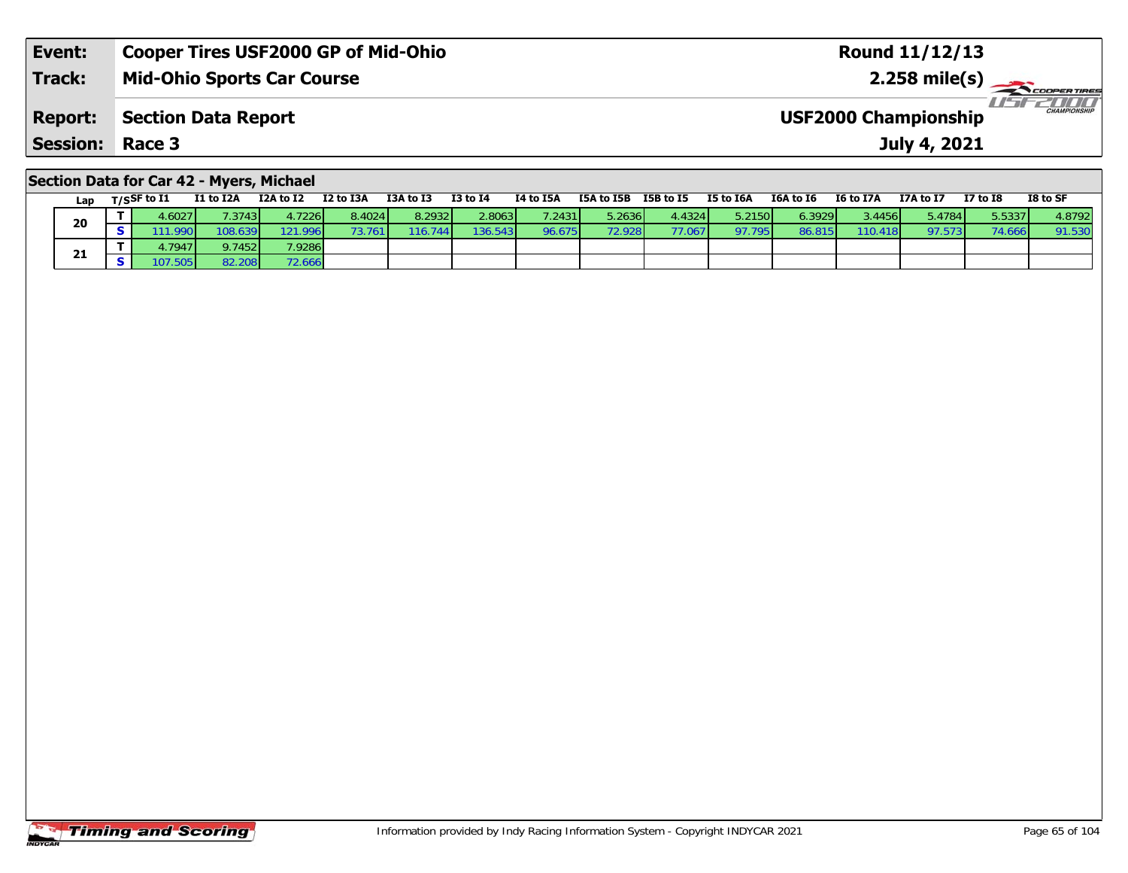| Event:                 | Cooper Tires USF2000 GP of Mid-Ohio | <b>Round 11/12/13</b>                              |
|------------------------|-------------------------------------|----------------------------------------------------|
| <b>Track:</b>          | <b>Mid-Ohio Sports Car Course</b>   | $2.258 \text{ mile(s)}$                            |
| <b>Report:</b>         | Section Data Report                 | <b>CHAMPIONSHIP</b><br><b>USF2000 Championship</b> |
| <b>Session: Race 3</b> |                                     | July 4, 2021                                       |
|                        |                                     |                                                    |

## **Section Data for Car 42 - Myers, Michael**

| Lap | T/SSF to I1 | I1 to I2A | I2A to I2 | I2 to I3A | I3A to I3 | I3 to I4 | I4 to I5A | I5A to I5B | I5B to I5 | I5 to I6A | I6A to I6 | I6 to I7A       | I7A to I7 | <b>I7 to I8</b> | I8 to SF |
|-----|-------------|-----------|-----------|-----------|-----------|----------|-----------|------------|-----------|-----------|-----------|-----------------|-----------|-----------------|----------|
| 20  | 4.6027'     | 7.3743    | 4.7226 l  | 8.4024    | 8.2932    | 2.8063   | 7.2431    | 5.2636     | 4.4324    | 5.2150    | 6.3929    | 3.4456 <b>1</b> | 5.4784    | 5.5337          | 4.8792   |
|     | 1.990       | 108.639   | 121.996   |           | 116.744   | 136.543  | 96.675    | 72.928     | 77.067    | 97.795    | 86.81     | 110.41          | 97.573    | 74.6            | 91.530   |
|     | 4.7947      | 9.7452    | 7.92861   |           |           |          |           |            |           |           |           |                 |           |                 |          |
| 21  | 07.         | 82.208    | 72.666    |           |           |          |           |            |           |           |           |                 |           |                 |          |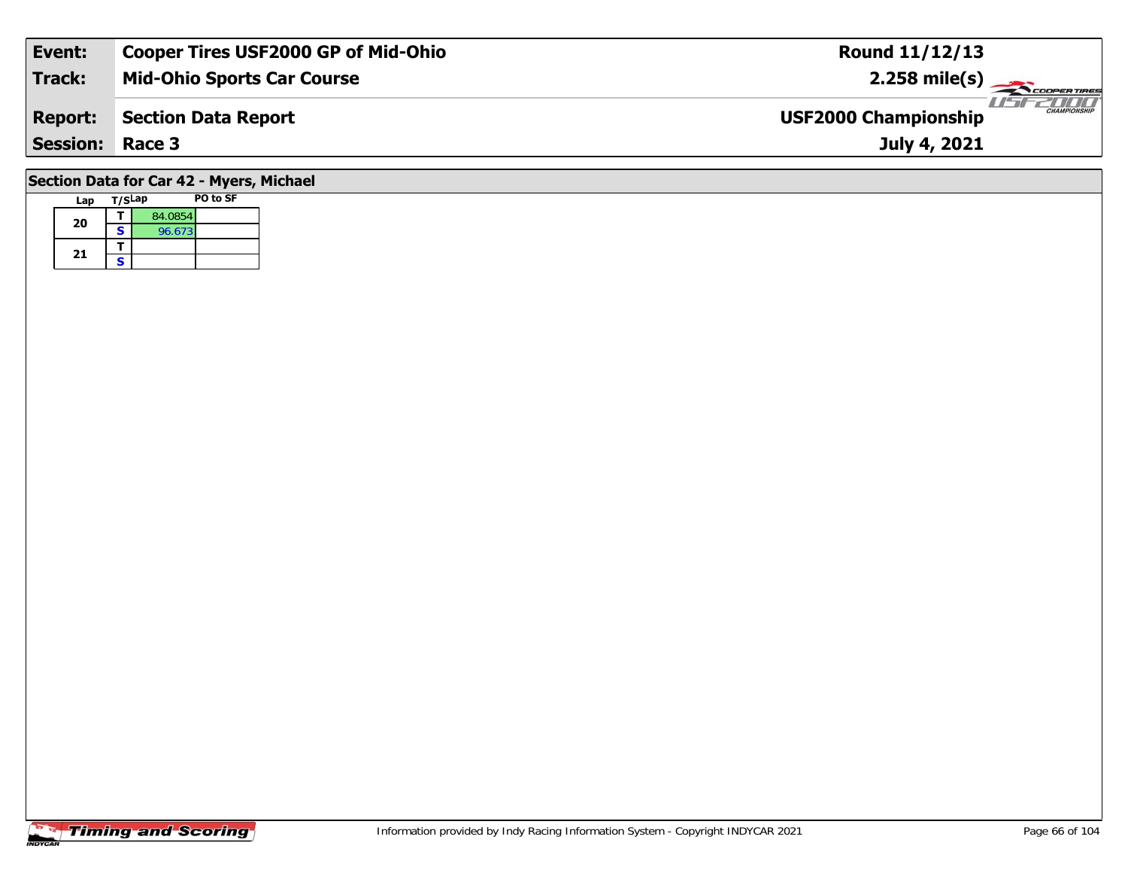| Event:          | <b>Cooper Tires USF2000 GP of Mid-Ohio</b> | <b>Round 11/12/13</b>                       |
|-----------------|--------------------------------------------|---------------------------------------------|
| Track:          | <b>Mid-Ohio Sports Car Course</b>          | $2.258 \text{ mile(s)}$                     |
| <b>Report:</b>  | <b>Section Data Report</b>                 | CHAMPIONSHIP<br><b>USF2000 Championship</b> |
| <b>Session:</b> | Race 3                                     | July 4, 2021                                |
|                 | . <i>. .</i> . <i>.</i><br>--- -           |                                             |

#### **Section Data for Car 42 - Myers, Michael**

| Lap | T/SLap |         | PO to SF |
|-----|--------|---------|----------|
| 20  |        | 84.0854 |          |
|     | S      | 96.673  |          |
|     |        |         |          |
| 21  | S      |         |          |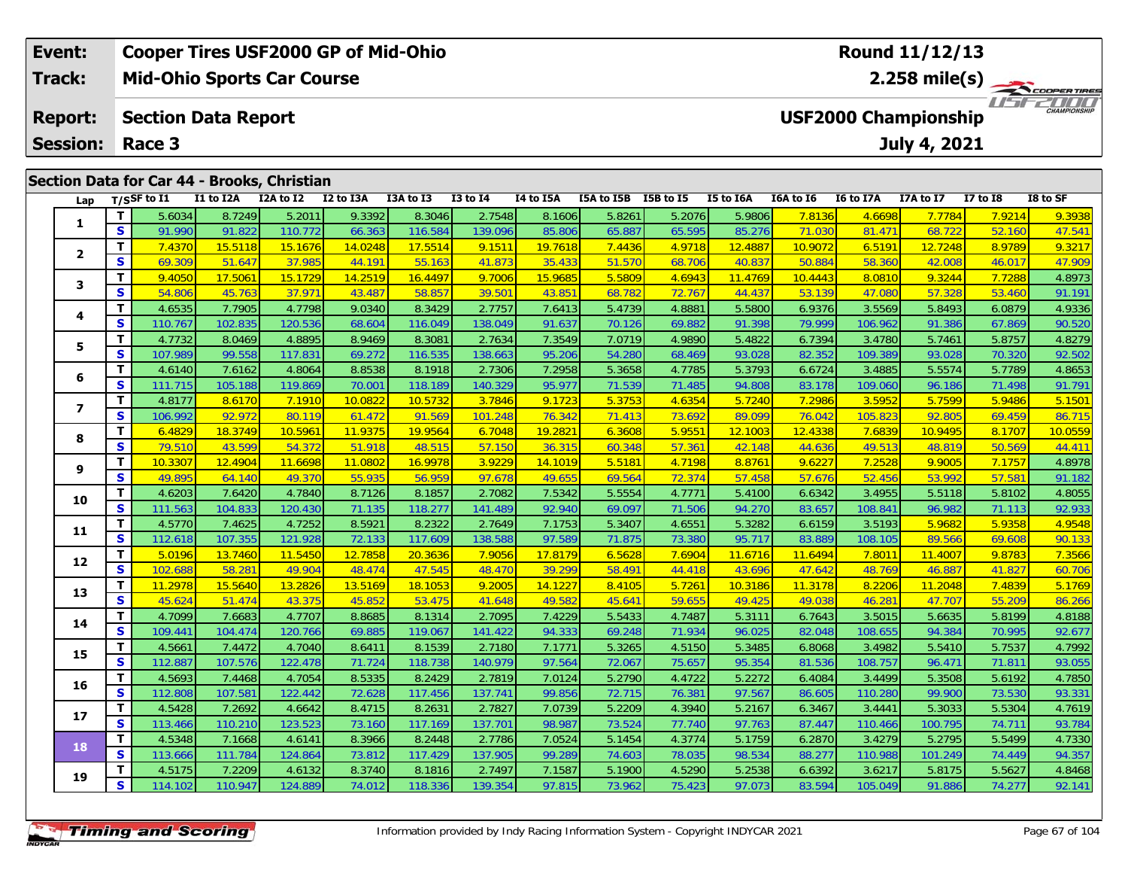| Event:                                      | <b>Cooper Tires USF2000 GP of Mid-Ohio</b>                                                       |                                   |  |           |          |           | Round 11/12/13 |  |           |                         |                             |              |          |                     |
|---------------------------------------------|--------------------------------------------------------------------------------------------------|-----------------------------------|--|-----------|----------|-----------|----------------|--|-----------|-------------------------|-----------------------------|--------------|----------|---------------------|
| <b>Track:</b>                               |                                                                                                  | <b>Mid-Ohio Sports Car Course</b> |  |           |          |           |                |  |           | $2.258 \text{ mile(s)}$ |                             |              |          |                     |
| <b>Report:</b>                              | <b>Section Data Report</b>                                                                       |                                   |  |           |          |           |                |  |           |                         | <b>USF2000 Championship</b> |              |          | <b>CHAMPIONSHIP</b> |
| Session:                                    | Race 3                                                                                           |                                   |  |           |          |           |                |  |           |                         |                             | July 4, 2021 |          |                     |
| Section Data for Car 44 - Brooks, Christian |                                                                                                  |                                   |  |           |          |           |                |  |           |                         |                             |              |          |                     |
|                                             | $\mathsf{L}_{\mathsf{an}}$ $\mathsf{T}/\mathsf{c}\mathsf{S}\mathsf{F}$ to $\mathsf{L}\mathsf{L}$ |                                   |  | T3A to T3 | 13 to 14 | 14 to 15A |                |  | 15 to 164 |                         |                             | 17A to 17    | 17 to 18 | IS to SF            |

| Lap              |              | T/SSF to I1 | I1 to I2A | I2A to I2 | I2 to I3A | I3A to I3 | <b>I3 to I4</b> | I4 to I5A | I5A to I5B I5B to I5 |        | I5 to I6A | I6A to I6 | I6 to I7A | I7A to I7 | <b>I7 to 18</b> | I8 to SF |
|------------------|--------------|-------------|-----------|-----------|-----------|-----------|-----------------|-----------|----------------------|--------|-----------|-----------|-----------|-----------|-----------------|----------|
| 1                | T.           | 5.6034      | 8.7249    | 5.2011    | 9.3392    | 8.3046    | 2.7548          | 8.1606    | 5.8261               | 5.2076 | 5.9806    | 7.8136    | 4.6698    | 7.7784    | 7.9214          | 9.3938   |
|                  | S            | 91.990      | 91.822    | 110.772   | 66.363    | 116.584   | 139.096         | 85.806    | 65.887               | 65.595 | 85.276    | 71.030    | 81.471    | 68.722    | 52.160          | 47.541   |
| $\mathbf{2}$     | T            | 7.4370      | 15.5118   | 15.1676   | 14.0248   | 17.5514   | 9.1511          | 19.7618   | 7.4436               | 4.9718 | 12.4887   | 10.9072   | 6.5191    | 12.7248   | 8.9789          | 9.3217   |
|                  | $\mathbf{s}$ | 69.309      | 51.647    | 37.985    | 44.191    | 55.163    | 41.873          | 35.433    | 51.570               | 68.706 | 40.837    | 50.884    | 58.360    | 42.008    | 46.017          | 47.909   |
| 3                | T.           | 9.4050      | 17.5061   | 15.1729   | 14.2519   | 16.4497   | 9.7006          | 15.9685   | 5.5809               | 4.6943 | 11.4769   | 10.4443   | 8.0810    | 9.3244    | 7.7288          | 4.8973   |
|                  | S            | 54.806      | 45.763    | 37.971    | 43.487    | 58.857    | 39.501          | 43.851    | 68.782               | 72.767 | 44.437    | 53.139    | 47.080    | 57.328    | 53.460          | 91.191   |
| 4                | $\mathbf{T}$ | 4.6535      | 7.7905    | 4.7798    | 9.0340    | 8.3429    | 2.7757          | 7.6413    | 5.4739               | 4.8881 | 5.5800    | 6.9376    | 3.5569    | 5.8493    | 6.0879          | 4.9336   |
|                  | S            | 110.767     | 102.835   | 120.536   | 68.604    | 116.049   | 138.049         | 91.637    | 70.126               | 69.882 | 91.398    | 79.999    | 106.962   | 91.386    | 67.869          | 90.520   |
|                  | T.           | 4.7732      | 8.0469    | 4.8895    | 8.9469    | 8.3081    | 2.7634          | 7.3549    | 7.0719               | 4.9890 | 5.4822    | 6.7394    | 3.4780    | 5.7461    | 5.8757          | 4.8279   |
| 5                | S            | 107.989     | 99.558    | 117.831   | 69.272    | 116.535   | 138.663         | 95.206    | 54.280               | 68.469 | 93.028    | 82.352    | 109.389   | 93.028    | 70.320          | 92.502   |
|                  | T.           | 4.6140      | 7.6162    | 4.8064    | 8.8538    | 8.1918    | 2.7306          | 7.2958    | 5.3658               | 4.7785 | 5.3793    | 6.6724    | 3.4885    | 5.5574    | 5.7789          | 4.8653   |
| 6                | $\mathbf{s}$ | 111.715     | 105.188   | 119.869   | 70.001    | 118.189   | 140.329         | 95.977    | 71.539               | 71.485 | 94.808    | 83.178    | 109.060   | 96.186    | 71.498          | 91.791   |
|                  | $\mathbf{T}$ | 4.8177      | 8.6170    | 7.1910    | 10.0822   | 10.5732   | 3.7846          | 9.1723    | 5.3753               | 4.6354 | 5.7240    | 7.2986    | 3.5952    | 5.7599    | 5.9486          | 5.1501   |
| $\boldsymbol{7}$ | $\mathbf{s}$ | 106.992     | 92.972    | 80.119    | 61.472    | 91.569    | 101.248         | 76.342    | 71.413               | 73.692 | 89.099    | 76.042    | 105.823   | 92.805    | 69.459          | 86.715   |
| 8                | T.           | 6.4829      | 18.3749   | 10.5961   | 11.9375   | 19.9564   | 6.7048          | 19.2821   | 6.3608               | 5.9551 | 12.1003   | 12.4338   | 7.6839    | 10.9495   | 8.1707          | 10.0559  |
|                  | $\mathbf{s}$ | 79.510      | 43.599    | 54.372    | 51.918    | 48.515    | 57.150          | 36.315    | 60.348               | 57.361 | 42.148    | 44.636    | 49.513    | 48.819    | 50.569          | 44.411   |
|                  | T.           | 10.3307     | 12.4904   | 11.6698   | 11.0802   | 16.9978   | 3.9229          | 14.1019   | 5.5181               | 4.7198 | 8.8761    | 9.6227    | 7.2528    | 9.9005    | 7.1757          | 4.8978   |
| 9                | S            | 49.895      | 64.140    | 49.370    | 55.935    | 56.959    | 97.678          | 49.655    | 69.564               | 72.374 | 57.458    | 57.676    | 52.456    | 53.992    | 57.581          | 91.182   |
|                  | $\mathbf{T}$ | 4.6203      | 7.6420    | 4.7840    | 8.7126    | 8.1857    | 2.7082          | 7.5342    | 5.5554               | 4.7771 | 5.4100    | 6.6342    | 3.4955    | 5.5118    | 5.8102          | 4.8055   |
| 10               | S            | 111.563     | 104.833   | 120.430   | 71.135    | 118.277   | 141.489         | 92.940    | 69.097               | 71.506 | 94.270    | 83.657    | 108.841   | 96.982    | 71.113          | 92.933   |
| 11               | T.           | 4.5770      | 7.4625    | 4.7252    | 8.5921    | 8.2322    | 2.7649          | 7.1753    | 5.3407               | 4.6551 | 5.3282    | 6.6159    | 3.5193    | 5.9682    | 5.9358          | 4.9548   |
|                  | S            | 112.618     | 107.355   | 121.928   | 72.133    | 117.609   | 138.588         | 97.589    | 71.875               | 73.380 | 95.717    | 83.889    | 108.105   | 89.566    | 69.608          | 90.133   |
| 12               | T.           | 5.0196      | 13.7460   | 11.5450   | 12.7858   | 20.3636   | 7.9056          | 17.8179   | 6.5628               | 7.6904 | 11.6716   | 11.6494   | 7.8011    | 11.4007   | 9.8783          | 7.3566   |
|                  | $\mathbf{s}$ | 102.688     | 58.281    | 49.904    | 48.474    | 47.545    | 48.470          | 39.299    | 58.491               | 44.418 | 43.696    | 47.642    | 48.769    | 46.887    | 41.827          | 60.706   |
| 13               | T            | 11.2978     | 15.5640   | 13.2826   | 13.5169   | 18.1053   | 9.2005          | 14.1227   | 8.4105               | 5.7261 | 10.3186   | 11.3178   | 8.2206    | 11.2048   | 7.4839          | 5.1769   |
|                  | S            | 45.624      | 51.474    | 43.375    | 45.852    | 53.475    | 41.648          | 49.582    | 45.641               | 59.655 | 49.425    | 49.038    | 46.281    | 47.707    | 55.209          | 86.266   |
| 14               | T.           | 4.7099      | 7.6683    | 4.7707    | 8.8685    | 8.1314    | 2.7095          | 7.4229    | 5.5433               | 4.7487 | 5.3111    | 6.7643    | 3.5015    | 5.6635    | 5.8199          | 4.8188   |
|                  | S            | 109.441     | 104.474   | 120.766   | 69.885    | 119.067   | 141.422         | 94.333    | 69.248               | 71.934 | 96.025    | 82.048    | 108.655   | 94.384    | 70.995          | 92.677   |
| 15               | т            | 4.5661      | 7.4472    | 4.7040    | 8.6411    | 8.1539    | 2.7180          | 7.1771    | 5.3265               | 4.5150 | 5.3485    | 6.8068    | 3.4982    | 5.5410    | 5.7537          | 4.7992   |
|                  | $\mathbf{s}$ | 112.887     | 107.576   | 122.478   | 71.724    | 118.738   | 140.979         | 97.564    | 72.067               | 75.657 | 95.354    | 81.536    | 108.757   | 96.47'    | 71.811          | 93.055   |
| 16               | T.           | 4.5693      | 7.4468    | 4.7054    | 8.5335    | 8.2429    | 2.7819          | 7.0124    | 5.2790               | 4.4722 | 5.2272    | 6.4084    | 3.4499    | 5.3508    | 5.6192          | 4.7850   |
|                  | S            | 112.808     | 107.581   | 122.442   | 72.628    | 117.456   | 137.741         | 99.856    | 72.715               | 76.381 | 97.567    | 86.605    | 110.280   | 99.900    | 73.530          | 93.331   |
| 17               | T.           | 4.5428      | 7.2692    | 4.6642    | 8.4715    | 8.2631    | 2.7827          | 7.0739    | 5.2209               | 4.3940 | 5.2167    | 6.3467    | 3.4441    | 5.3033    | 5.5304          | 4.7619   |
|                  | $\mathbf{s}$ | 113.466     | 110.210   | 123.523   | 73.160    | 117.169   | 137.701         | 98.987    | 73.524               | 77.740 | 97.763    | 87.447    | 110.466   | 100.795   | 74.711          | 93.784   |
| 18               | T.           | 4.5348      | 7.1668    | 4.6141    | 8.3966    | 8.2448    | 2.7786          | 7.0524    | 5.1454               | 4.3774 | 5.1759    | 6.2870    | 3.4279    | 5.2795    | 5.5499          | 4.7330   |
|                  | $\mathbf{s}$ | 113.666     | 111.784   | 124.864   | 73.812    | 117.429   | 137.905         | 99.289    | 74.603               | 78.035 | 98.534    | 88.277    | 110.988   | 101.249   | 74.449          | 94.357   |
|                  | T.           | 4.5175      | 7.2209    | 4.6132    | 8.3740    | 8.1816    | 2.7497          | 7.1587    | 5.1900               | 4.5290 | 5.2538    | 6.6392    | 3.6217    | 5.8175    | 5.5627          | 4.8468   |
| 19               | S            | 114.102     | 110.947   | 124.889   | 74.012    | 118.336   | 139.354         | 97.815    | 73.962               | 75.423 | 97.073    | 83.594    | 105.049   | 91.886    | 74.277          | 92.141   |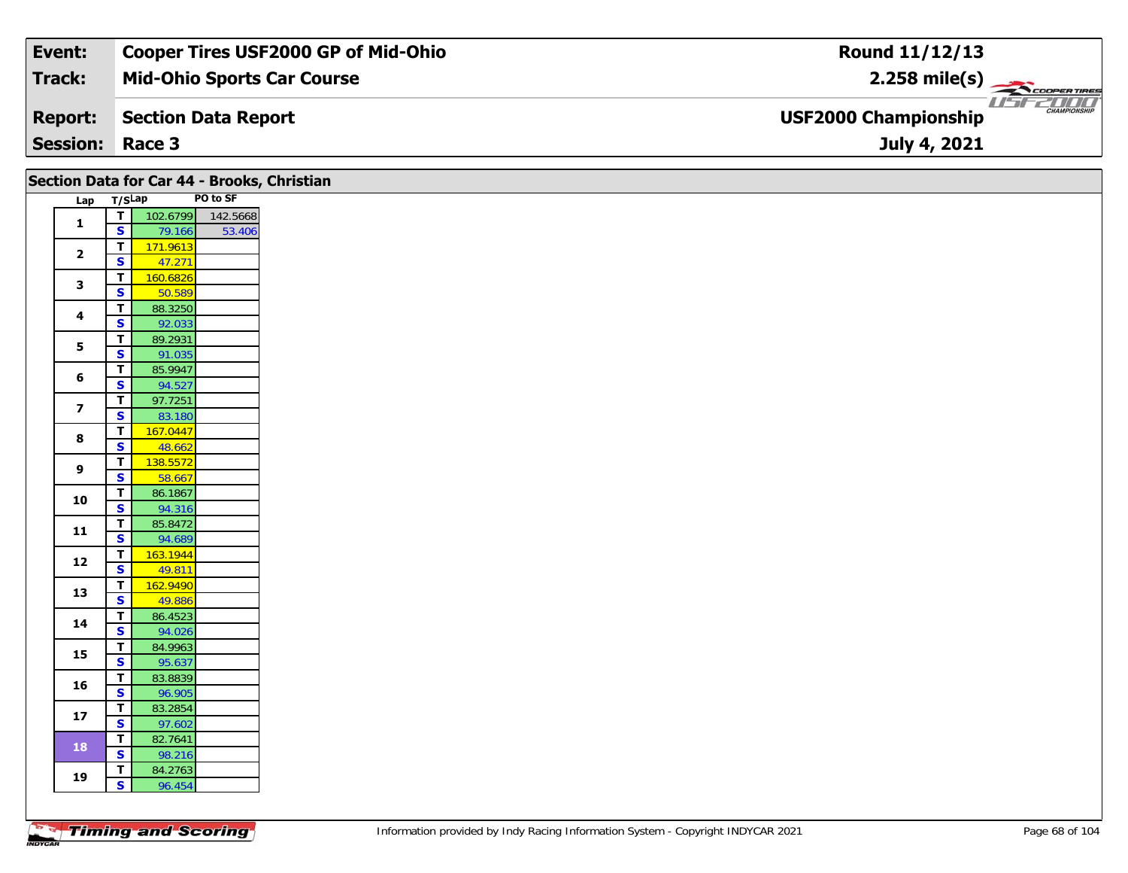| Event:                 | <b>Cooper Tires USF2000 GP of Mid-Ohio</b> | Round 11/12/13                                     |
|------------------------|--------------------------------------------|----------------------------------------------------|
| Track:                 | <b>Mid-Ohio Sports Car Course</b>          | $2.258$ mile(s)                                    |
| <b>Report:</b>         | Section Data Report                        | <b>CHAMPIONSHIP</b><br><b>USF2000 Championship</b> |
| <b>Session: Race 3</b> |                                            | July 4, 2021                                       |

| Lap T/SLap              |                                        |                   | PO to SF |
|-------------------------|----------------------------------------|-------------------|----------|
| $\mathbf{1}$            | $\overline{\mathsf{T}}$                | 102.6799 142.5668 |          |
|                         | $\overline{\mathbf{s}}$                | 79.166            | 53.406   |
| $\mathbf{2}$            | $\overline{\mathsf{r}}$                | 171.9613          |          |
|                         | $\mathbf{s}$                           | 47.271            |          |
| $\mathbf{3}$            | $\overline{\mathbf{T}}$                | 160.6826          |          |
|                         | $\overline{\mathbf{s}}$                | 50.589            |          |
| $\overline{\mathbf{4}}$ | T<br>$\overline{\mathbf{s}}$           | 88.3250<br>92.033 |          |
|                         | T                                      | 89.2931           |          |
| 5                       | $\overline{\mathbf{s}}$                | 91.035            |          |
|                         | $\mathbf T$                            | 85.9947           |          |
| 6                       | $\overline{\mathbf{s}}$                | 94.527            |          |
| $\overline{\mathbf{z}}$ | $\mathbf{T}$                           | 97.7251           |          |
|                         | S                                      | 83.180            |          |
| $\bf{8}$                | $\overline{\mathbf{T}}$                | 167.0447          |          |
|                         | $\overline{\mathbf{s}}$                | 48.662            |          |
| 9                       | T                                      | 138.5572          |          |
|                         | $\overline{\mathbf{s}}$                | 58.667            |          |
| 10                      | T<br>$\overline{\mathbf{s}}$           | 86.1867<br>94.316 |          |
|                         | $\mathbf T$                            | 85.8472           |          |
| 11                      | $\mathbf{s}$                           | 94.689            |          |
|                         | $\overline{\mathsf{r}}$                | 163.1944          |          |
| 12                      | $\mathbf{s}$                           | 49.811            |          |
|                         | $\overline{\mathbf{T}}$                | 162.9490          |          |
| 13                      | $\mathbf{s}$                           | 49.886            |          |
| 14                      | T                                      | 86.4523           |          |
|                         | $\overline{\mathbf{s}}$                | 94.026            |          |
| 15                      | $\overline{\mathbf{T}}$                | 84.9963           |          |
|                         | $\overline{\mathbf{s}}$                | 95.637            |          |
| 16                      | $\mathbf T$                            | 83.8839           |          |
|                         | $\overline{\mathbf{s}}$                | 96.905            |          |
|                         | $\mathbf T$<br>$\overline{\mathbf{s}}$ | 83.2854<br>97.602 |          |
| $17$                    |                                        |                   |          |
|                         |                                        |                   |          |
| 18                      | $\overline{\mathsf{T}}$                | 82.7641           |          |
| 19                      | $\overline{\mathbf{s}}$<br>T           | 98.216<br>84.2763 |          |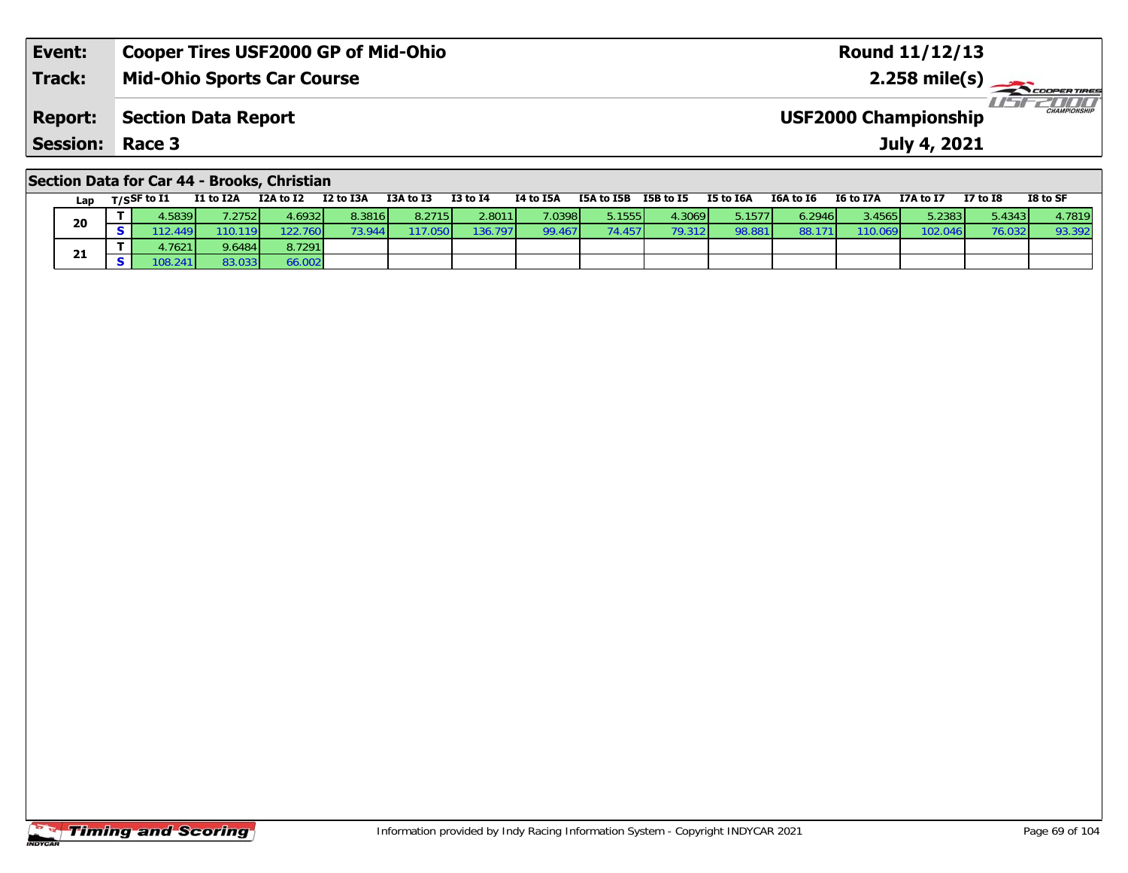| Event:                 | Cooper Tires USF2000 GP of Mid-Ohio | <b>Round 11/12/13</b>                              |
|------------------------|-------------------------------------|----------------------------------------------------|
| <b>Track:</b>          | <b>Mid-Ohio Sports Car Course</b>   | 2.258 mile(s) $\rightarrow$<br><b>COOPERTIRES</b>  |
| <b>Report:</b>         | Section Data Report                 | <b>CHAMPIONSHIP</b><br><b>USF2000 Championship</b> |
| <b>Session: Race 3</b> |                                     | July 4, 2021                                       |
|                        |                                     |                                                    |

### **Section Data for Car 44 - Brooks, Christian**

| Lap | T/SSF to $\mathbf{I1}$ | I1 to I2A       | I2A to I2 | I2 to I3A | I3A to I3         | <b>I3 to I4</b> | I4 to I5A | I5A to I5B | I5B to I5       | I5 to I6A | I6A to I6 | <b>I6 to I7A</b> | I7A to I7 | <b>I7 to I8</b> | I8 to SF |
|-----|------------------------|-----------------|-----------|-----------|-------------------|-----------------|-----------|------------|-----------------|-----------|-----------|------------------|-----------|-----------------|----------|
|     | .5839                  | 7.2752 <b>1</b> | 4.69321   | 8.3816    | 8.2715            | 2.8011          | 7.0398    | 5.1555     | 4.3069          | 5.1577    | 6.2946 l  | 3.4565           | 5.2383    | 5.4343          | 4.7819   |
| 20  | (2.449)                | 110.119         | 122.760   |           | .050 <sub>1</sub> | 136.797         | 99.467    | 74.4571    | 79.312 <b>1</b> | 98.881    | 88.1      | 110.069          | 102.046   | 76.032          | 93.392   |
|     | .7621                  | 9.6484          | 8.7291    |           |                   |                 |           |            |                 |           |           |                  |           |                 |          |
| 21  | '08.241                | 83.033          | 66.002    |           |                   |                 |           |            |                 |           |           |                  |           |                 |          |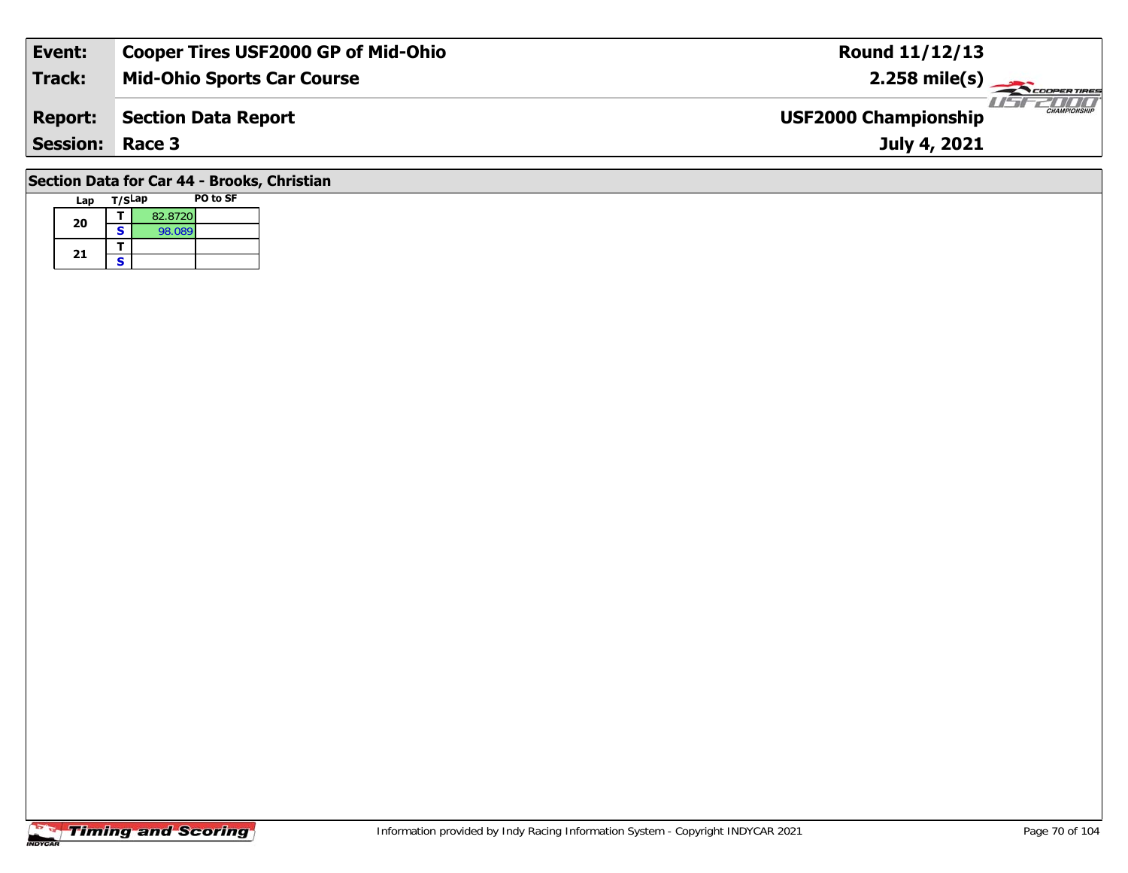| Event:                                      | Cooper Tires USF2000 GP of Mid-Ohio | <b>Round 11/12/13</b>                              |  |  |  |  |  |  |  |  |
|---------------------------------------------|-------------------------------------|----------------------------------------------------|--|--|--|--|--|--|--|--|
| <b>Track:</b>                               | <b>Mid-Ohio Sports Car Course</b>   | $2.258$ mile(s)                                    |  |  |  |  |  |  |  |  |
| <b>Report:</b>                              | Section Data Report                 | <b>CHAMPIONSHIP</b><br><b>USF2000 Championship</b> |  |  |  |  |  |  |  |  |
| <b>Session: Race 3</b>                      |                                     | July 4, 2021                                       |  |  |  |  |  |  |  |  |
| Section Data for Car 44 - Brooks, Christian |                                     |                                                    |  |  |  |  |  |  |  |  |

## **Lap T/SLap PO to SF 20d**  $\overline{\textbf{S}}$  82.8720<br>**S** 98.089 21  $\frac{1}{s}$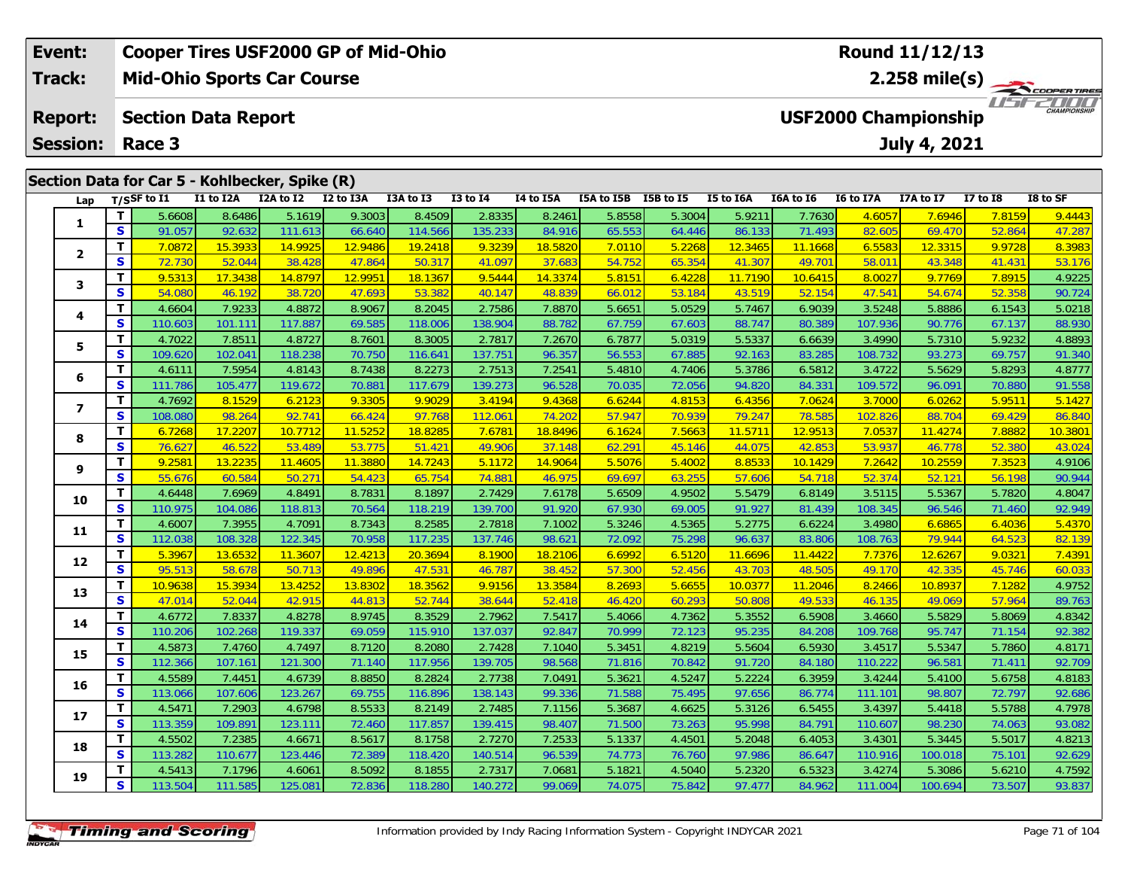| Event:<br>Track:<br><b>Report:</b> |                                                |          | <b>Cooper Tires USF2000 GP of Mid-Ohio</b><br><b>Mid-Ohio Sports Car Course</b> |           |           |                |           |                                                            |           |               |                  |           | Round 11/12/13                          |                  |                     |              |          |  |  |  |
|------------------------------------|------------------------------------------------|----------|---------------------------------------------------------------------------------|-----------|-----------|----------------|-----------|------------------------------------------------------------|-----------|---------------|------------------|-----------|-----------------------------------------|------------------|---------------------|--------------|----------|--|--|--|
|                                    |                                                |          |                                                                                 |           |           |                |           |                                                            |           |               |                  |           | 2.258 mile(s) $-$<br><b>COOPERTIRES</b> |                  |                     |              |          |  |  |  |
|                                    |                                                |          | <b>Section Data Report</b>                                                      |           |           |                |           | 7000<br><b>CHAMPIONSHIP</b><br><b>USF2000 Championship</b> |           |               |                  |           |                                         |                  |                     |              |          |  |  |  |
| <b>Session:</b>                    |                                                |          | Race 3                                                                          |           |           |                |           |                                                            |           |               |                  |           |                                         |                  | <b>July 4, 2021</b> |              |          |  |  |  |
|                                    | Section Data for Car 5 - Kohlbecker, Spike (R) |          |                                                                                 |           |           |                |           |                                                            |           |               |                  |           |                                         |                  |                     |              |          |  |  |  |
|                                    | Lap                                            |          | $T/S$ SF to $I1$                                                                | I1 to I2A | I2A to I2 | I2 to I3A      | I3A to I3 | $I3$ to $I4$                                               | I4 to I5A | I5A to I5B    | <b>I5B</b> to I5 | I5 to I6A | I6A to I6                               | <b>I6 to I7A</b> | I7A to I7           | $I7$ to $I8$ | I8 to SF |  |  |  |
|                                    | л.<br>$\overline{\mathbf{2}}$                  |          | 5.6608                                                                          | 8.6486    | 5.1619    | 9.3003         | 8.4509    | 2.8335                                                     | 8.2461    | 5.8558        | 5.3004           | 5.9211    | 7.7630                                  | 4.6057           | 7.6946              | 7.8159       | 9.4443   |  |  |  |
|                                    |                                                | <b>S</b> | 91.057                                                                          | 92.632    | 111.613   | 66.640         | 114.566   | 135.233                                                    | 84.916    | 65.553        | 64.446           | 86.133    | 71.493                                  | 82.605           | 69.470              | 52.864       | 47.287   |  |  |  |
|                                    |                                                |          | 7.0872                                                                          | 15.3933   | 14.9925   | <b>12.9486</b> | 19.2418   | 9.3239                                                     | 18.5820   | <b>7.0110</b> | 5.2268           | 12.3465   | 11.1668                                 | 6.5583           | 12.3315             | 9.9728       | 8.3983   |  |  |  |
|                                    |                                                | <b>S</b> | 72730                                                                           | 52041     | 38 428    | 47 864         | 50.317    | 41 097                                                     | 37683     | 54752         | 65 354           | 41.307    | 49 701                                  | 58.011           | 13.348              | 41 431       | 53 176   |  |  |  |

| 1                       |              | <b>pooo.c</b> | 0.0400  | 3.1017  | າ.ວບບວ  | 0.4007  | 2.0000  | 0.2401  | ວ.໐ວວ໐ | <b>9.9004</b> | 9.YZ L L | 1.7030  | <u>4.0007</u> | 7.0940                                                                                                                                                                                                                                                                                                                                                                                                                                                                                 | <u>7.0137</u> | <u>7.4443</u> |
|-------------------------|--------------|---------------|---------|---------|---------|---------|---------|---------|--------|---------------|----------|---------|---------------|----------------------------------------------------------------------------------------------------------------------------------------------------------------------------------------------------------------------------------------------------------------------------------------------------------------------------------------------------------------------------------------------------------------------------------------------------------------------------------------|---------------|---------------|
|                         | $\mathbf{s}$ | 91.057        | 92.632  | 111.613 | 66.640  | 114.566 | 135.233 | 84.916  | 65.553 | 64.446        | 86.133   | 71.493  | 82.605        | 69.470                                                                                                                                                                                                                                                                                                                                                                                                                                                                                 | 52.864        | 47.287        |
| $\mathbf{2}$            | T.           | 7.0872        | 15.3933 | 14.9925 | 12.9486 | 19.2418 | 9.3239  | 18.5820 | 7.0110 | 5.2268        | 12.3465  | 11.1668 | 6.5583        | 12.3315                                                                                                                                                                                                                                                                                                                                                                                                                                                                                | 9.9728        | 8.3983        |
|                         | S            | 72.730        | 52.044  | 38.428  | 47.864  | 50.317  | 41.097  | 37.683  | 54.752 | 65.354        | 41.307   | 49.701  | 58.011        | 43.348                                                                                                                                                                                                                                                                                                                                                                                                                                                                                 | 41.431        | 53.176        |
| 3                       | T.           | 9.5313        | 17.3438 | 14.8797 | 12.9951 | 18.1367 | 9.5444  | 14.3374 | 5.8151 | 6.4228        | 11.7190  | 10.6415 | 8.0027        | 9.7769                                                                                                                                                                                                                                                                                                                                                                                                                                                                                 | 7.8915        | 4.9225        |
|                         | S            | 54.080        | 46.192  | 38.720  | 47.693  | 53.382  | 40.147  | 48.839  | 66.012 | 53.184        | 43.519   | 52.154  | 47.541        | 54.674                                                                                                                                                                                                                                                                                                                                                                                                                                                                                 | 52.358        | 90.724        |
| 4                       | T            | 4.6604        | 7.9233  | 4.8872  | 8.9067  | 8.2045  | 2.7586  | 7.8870  | 5.6651 | 5.0529        | 5.7467   | 6.9039  | 3.5248        | 5.8886                                                                                                                                                                                                                                                                                                                                                                                                                                                                                 | 6.1543        | 5.0218        |
|                         | S            | 110.603       | 101.11' | 117.887 | 69.585  | 118.006 | 138.904 | 88.782  | 67.759 | 67.603        | 88.747   | 80.389  |               | 90.776                                                                                                                                                                                                                                                                                                                                                                                                                                                                                 | 67.137        | 88.930        |
| 5                       | T            | 4.7022        | 7.8511  | 4.8727  | 8.7601  | 8.3005  | 2.7817  | 7.2670  | 6.7877 | 5.0319        | 5.5337   | 6.6639  | 3.4990        | 5.7310                                                                                                                                                                                                                                                                                                                                                                                                                                                                                 | 5.9232        | 4.8893        |
|                         | S            | 109.620       | 102.041 | 118.238 | 70.750  | 116.641 | 137.751 | 96.357  | 56.553 | 67.885        | 92.163   | 83.285  | 108.732       | 93.273                                                                                                                                                                                                                                                                                                                                                                                                                                                                                 | 69.757        | 91.340        |
| 6                       | T            | 4.6111        | 7.5954  | 4.8143  | 8.7438  | 8.2273  | 2.7513  | 7.2541  | 5.4810 | 4.7406        | 5.3786   | 6.5812  | 3.4722        | 5.5629                                                                                                                                                                                                                                                                                                                                                                                                                                                                                 | 5.8293        | 4.8777        |
|                         | S            | 111.786       | 105.477 | 119.672 | 70.881  | 117.679 | 139.273 | 96.528  | 70.035 | 72.056        | 94.820   | 84.331  | 109.572       | 96.091                                                                                                                                                                                                                                                                                                                                                                                                                                                                                 | 70.880        | 91.558        |
| $\overline{\mathbf{z}}$ | T            | 4.7692        | 8.1529  | 6.2123  | 9.3305  | 9.9029  | 3.4194  | 9.4368  | 6.6244 | 4.8153        | 6.4356   | 7.0624  | 3.7000        | 6.0262                                                                                                                                                                                                                                                                                                                                                                                                                                                                                 | 5.9511        | 5.1427        |
|                         | $\mathbf{s}$ | 108.080       | 98.264  | 92.741  | 66.424  | 97.768  | 112.061 | 74.202  | 57.947 | 70.939        | 79.247   | 78.585  | 102.826       | 88.704                                                                                                                                                                                                                                                                                                                                                                                                                                                                                 | 69.429        | 86.840        |
| 8                       | T.           | 6.7268        | 17.2207 | 10.7712 | 11.5252 | 18.8285 | 7.6781  | 18.8496 | 6.1624 | 7.5663        | 11.5711  | 12.9513 |               | 11.4274                                                                                                                                                                                                                                                                                                                                                                                                                                                                                | 7.8882        | 10.3801       |
|                         | S            | 76.627        | 46.522  | 53.489  | 53.775  | 51.421  | 49.906  | 37.148  | 62.291 | 45.146        | 44.075   | 42.853  |               | 46.778                                                                                                                                                                                                                                                                                                                                                                                                                                                                                 | 52.380        | 43.024        |
| 9                       | T            | 9.2581        | 13.2235 | 11.4605 | 11.3880 | 14.7243 | 5.1172  | 14.9064 | 5.5076 | 5.4002        | 8.8533   | 10.1429 |               |                                                                                                                                                                                                                                                                                                                                                                                                                                                                                        | 7.3523        | 4.9106        |
|                         | S            | 55.676        | 60.584  | 50.271  | 54.423  | 65.754  | 74.881  | 46.975  | 69.697 | 63.255        | 57.606   | 54.718  |               |                                                                                                                                                                                                                                                                                                                                                                                                                                                                                        | 56.198        | 90.944        |
| 10                      | т            | 4.6448        | 7.6969  | 4.8491  | 8.7831  | 8.1897  | 2.7429  | 7.6178  | 5.6509 | 4.9502        | 5.5479   | 6.8149  | 3.5115        | 107.936<br>7.0537<br>53.937<br>7.2642<br>10.2559<br>52.374<br>52.121<br>5.5367<br>108.345<br>96.546<br>3.4980<br>6.6865<br>108.763<br>79.944<br>7.7376<br>12.6267<br>49.170<br>42.335<br>8.2466<br>10.8937<br>46.135<br>49.069<br>3.4660<br>5.5829<br>109.768<br>95.747<br>3.4517<br>5.5347<br>110.222<br>96.581<br>3.4244<br>5.4100<br>111.101<br>98.807<br>3.4397<br>5.4418<br>110.607<br>98.230<br>3.4301<br>5.3445<br>110.916<br>100.018<br>3.4274<br>5.3086<br>111.004<br>100.694 | 5.7820        | 4.8047        |
|                         | $\mathbf{s}$ | 110.975       | 104.086 | 118.813 | 70.564  | 118.219 | 139.700 | 91.920  | 67.930 | 69.005        | 91.927   | 81.439  |               |                                                                                                                                                                                                                                                                                                                                                                                                                                                                                        | 71.460        | 92.949        |
| 11                      | т            | 4.6007        | 7.3955  | 4.7091  | 8.7343  | 8.2585  | 2.7818  | 7.1002  | 5.3246 | 4.5365        | 5.2775   | 6.6224  |               |                                                                                                                                                                                                                                                                                                                                                                                                                                                                                        | 6.4036        | 5.4370        |
|                         | S            | 112.038       | 108.328 | 122.345 | 70.958  | 117.235 | 137.746 | 98.621  | 72.092 | 75.298        | 96.637   | 83.806  |               |                                                                                                                                                                                                                                                                                                                                                                                                                                                                                        | 64.523        | 82.139        |
| 12                      | т            | 5.3967        | 13.6532 | 11.3607 | 12.4213 | 20.3694 | 8.1900  | 18.2106 | 6.6992 | 6.5120        | 11.6696  | 11.4422 |               |                                                                                                                                                                                                                                                                                                                                                                                                                                                                                        | 9.0321        | 7.4391        |
|                         | S            | 95.513        | 58.678  | 50.713  | 49.896  | 47.531  | 46.787  | 38.452  | 57.300 | 52.456        | 43.703   | 48.505  |               |                                                                                                                                                                                                                                                                                                                                                                                                                                                                                        | 45.746        | 60.033        |
| 13                      | т            | 10.9638       | 15.3934 | 13.4252 | 13.8302 | 18.3562 | 9.9156  | 13.3584 | 8.2693 | 5.6655        | 10.0377  | 11.2046 |               |                                                                                                                                                                                                                                                                                                                                                                                                                                                                                        | 7.1282        | 4.9752        |
|                         | S            | 47.014        | 52.044  | 42.915  | 44.813  | 52.744  | 38.644  | 52.418  | 46.420 | 60.293        | 50.808   | 49.533  |               |                                                                                                                                                                                                                                                                                                                                                                                                                                                                                        | 57.964        | 89.763        |
| 14                      | т            | 4.6772        | 7.8337  | 4.8278  | 8.9745  | 8.3529  | 2.7962  | 7.5417  | 5.4066 | 4.7362        | 5.3552   | 6.5908  |               |                                                                                                                                                                                                                                                                                                                                                                                                                                                                                        | 5.8069        | 4.8342        |
|                         | S            | 110.206       | 102.268 | 119.337 | 69.059  | 115.910 | 137.037 | 92.847  | 70.999 | 72.123        | 95.235   | 84.208  |               |                                                                                                                                                                                                                                                                                                                                                                                                                                                                                        | 71.154        | 92.382        |
| 15                      | T            | 4.5873        | 7.4760  | 4.7497  | 8.7120  | 8.2080  | 2.7428  | 7.1040  | 5.3451 | 4.8219        | 5.5604   | 6.5930  |               |                                                                                                                                                                                                                                                                                                                                                                                                                                                                                        | 5.7860        | 4.8171        |
|                         | S            | 112.366       | 107.161 | 121.300 | 71.140  | 117.956 | 139.705 | 98.568  | 71.816 | 70.842        | 91.720   | 84.180  |               |                                                                                                                                                                                                                                                                                                                                                                                                                                                                                        | 71.411        | 92.709        |
| 16                      | T            | 4.5589        | 7.4451  | 4.6739  | 8.8850  | 8.2824  | 2.7738  | 7.0491  | 5.3621 | 4.5247        | 5.2224   | 6.3959  |               |                                                                                                                                                                                                                                                                                                                                                                                                                                                                                        | 5.6758        | 4.8183        |
|                         | S            | 113.066       | 107.606 | 123.267 | 69.755  | 116.896 | 138.143 | 99.336  | 71.588 | 75.495        | 97.656   | 86.774  |               |                                                                                                                                                                                                                                                                                                                                                                                                                                                                                        | 72.797        | 92.686        |
| 17                      | т            | 4.5471        | 7.2903  | 4.6798  | 8.5533  | 8.2149  | 2.7485  | 7.1156  | 5.3687 | 4.6625        | 5.3126   | 6.5455  |               |                                                                                                                                                                                                                                                                                                                                                                                                                                                                                        | 5.5788        | 4.7978        |
|                         | S            | 113.359       | 109.891 | 123.111 | 72.460  | 117.857 | 139.415 | 98.407  | 71.500 | 73.263        | 95.998   | 84.791  |               |                                                                                                                                                                                                                                                                                                                                                                                                                                                                                        | 74.063        | 93.082        |
| 18                      | т            | 4.5502        | 7.2385  | 4.6671  | 8.5617  | 8.1758  | 2.7270  | 7.2533  | 5.1337 | 4.4501        | 5.2048   | 6.4053  |               |                                                                                                                                                                                                                                                                                                                                                                                                                                                                                        | 5.5017        | 4.8213        |
|                         | S            | 113.282       | 110.677 | 123.446 | 72.389  | 118.420 | 140.514 | 96.539  | 74.773 | 76.760        | 97.986   | 86.647  |               |                                                                                                                                                                                                                                                                                                                                                                                                                                                                                        | 75.101        | 92.629        |
| 19                      | т            | 4.5413        | 7.1796  | 4.6061  | 8.5092  | 8.1855  | 2.7317  | 7.0681  | 5.1821 | 4.5040        | 5.2320   | 6.5323  |               |                                                                                                                                                                                                                                                                                                                                                                                                                                                                                        | 5.6210        | 4.7592        |
|                         | S            | 113.504       | 111.585 | 125.081 | 72.836  | 118.280 | 140.272 | 99.069  | 74.075 | 75.842        | 97.477   | 84.962  |               |                                                                                                                                                                                                                                                                                                                                                                                                                                                                                        | 73.507        | 93.837        |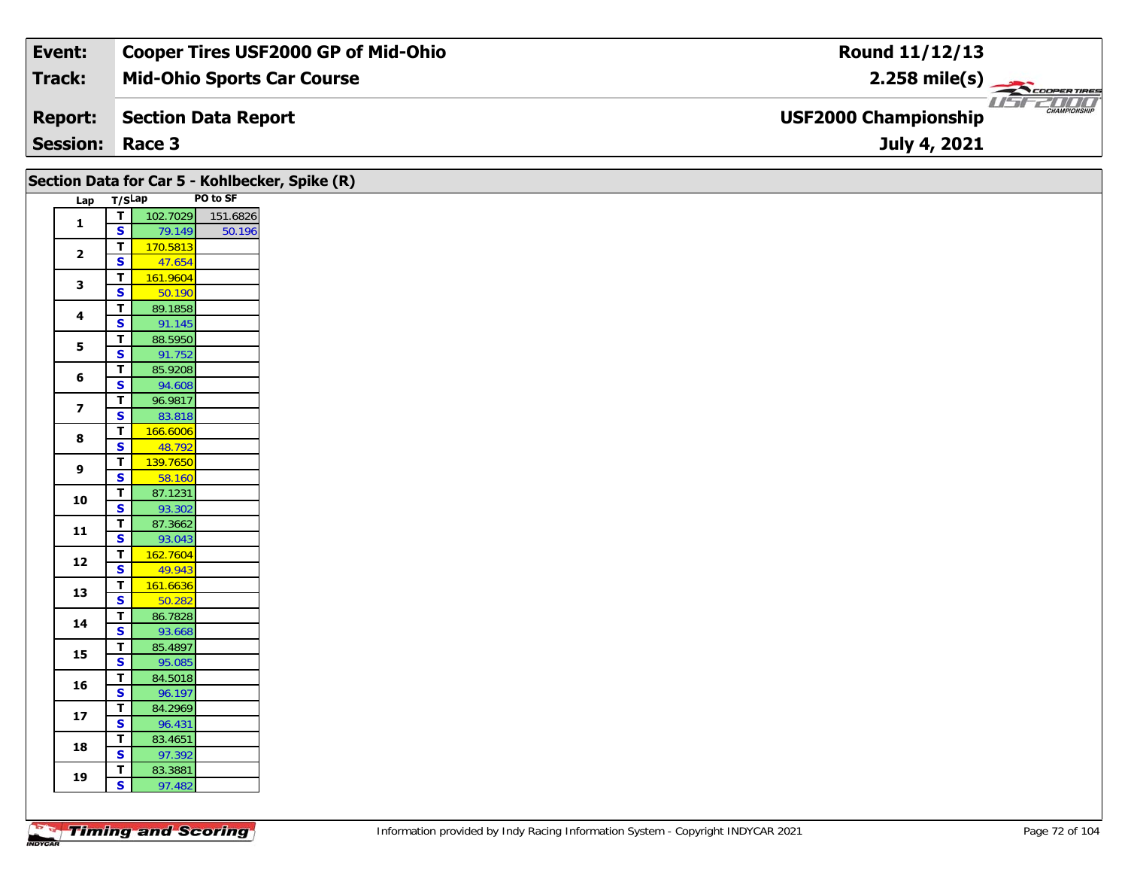| Event:                 | <b>Cooper Tires USF2000 GP of Mid-Ohio</b> | Round 11/12/13                                                 |
|------------------------|--------------------------------------------|----------------------------------------------------------------|
| Track:                 | <b>Mid-Ohio Sports Car Course</b>          | $2.258$ mile(s)                                                |
| <b>Report:</b>         | Section Data Report                        | USFZDOO'<br><b>CHAMPIONSHIP</b><br><b>USF2000 Championship</b> |
| <b>Session: Race 3</b> |                                            | July 4, 2021                                                   |

|                         |                                                    |                   | Section Data for Car 5 - Kohlbecker, Spike (R) |  |  |  |  |
|-------------------------|----------------------------------------------------|-------------------|------------------------------------------------|--|--|--|--|
|                         | Lap T/SLap                                         | PO to SF          |                                                |  |  |  |  |
| $\mathbf{1}$            | $\mathbf{T}$                                       | 102.7029          | 151.6826                                       |  |  |  |  |
|                         | $\mathbf{s}$                                       | 79.149            | 50.196                                         |  |  |  |  |
| $\mathbf{2}$            | T                                                  | 170.5813          |                                                |  |  |  |  |
|                         | $\overline{\mathbf{s}}$                            | 47.654            |                                                |  |  |  |  |
| $\mathbf{3}$            | $\overline{\mathbf{T}}$                            | 161.9604          |                                                |  |  |  |  |
|                         | $\mathbf{s}$                                       | 50.190            |                                                |  |  |  |  |
| $\overline{\mathbf{4}}$ | $\overline{\mathbf{T}}$                            | 89.1858           |                                                |  |  |  |  |
|                         | $\mathbf{s}$                                       | 91.145            |                                                |  |  |  |  |
| 5                       | $\overline{\mathsf{T}}$                            | 88.5950           |                                                |  |  |  |  |
|                         | $\overline{\mathbf{s}}$                            | 91.752            |                                                |  |  |  |  |
| 6                       | T.                                                 | 85.9208           |                                                |  |  |  |  |
|                         | $\mathbf{s}$                                       | 94.608            |                                                |  |  |  |  |
| $\overline{\mathbf{z}}$ | $\overline{\mathbf{T}}$                            | 96.9817           |                                                |  |  |  |  |
|                         | $\overline{\mathbf{s}}$<br>$\overline{\mathbf{T}}$ | 83.818            |                                                |  |  |  |  |
| 8                       | 166.6006<br>$\overline{\mathbf{s}}$                | 48.792            |                                                |  |  |  |  |
|                         | $\overline{\mathbf{r}}$                            | 139.7650          |                                                |  |  |  |  |
| $\boldsymbol{9}$        | $\overline{\mathbf{s}}$                            | 58.160            |                                                |  |  |  |  |
|                         | $\mathbf T$                                        | 87.1231           |                                                |  |  |  |  |
| 10                      | $\overline{\mathbf{s}}$                            | 93.302            |                                                |  |  |  |  |
|                         | $\mathbf T$                                        | 87.3662           |                                                |  |  |  |  |
| 11                      | $\mathbf{s}$                                       | 93.043            |                                                |  |  |  |  |
|                         | T                                                  | 162.7604          |                                                |  |  |  |  |
| 12                      | $\mathbf{s}$                                       | 49.943            |                                                |  |  |  |  |
| 13                      | $\overline{\mathsf{T}}$                            | 161.6636          |                                                |  |  |  |  |
|                         | $\overline{\mathbf{s}}$                            | 50.282            |                                                |  |  |  |  |
| 14                      | $\overline{\mathbf{T}}$                            | 86.7828           |                                                |  |  |  |  |
|                         | $\mathbf{s}$                                       | 93.668            |                                                |  |  |  |  |
| 15                      | T.                                                 | 85.4897           |                                                |  |  |  |  |
|                         | $\overline{\mathbf{s}}$                            | 95.085            |                                                |  |  |  |  |
| 16                      | $\mathbf T$                                        | 84.5018           |                                                |  |  |  |  |
|                         | $\overline{\mathbf{s}}$                            | 96.197            |                                                |  |  |  |  |
| ${\bf 17}$              | $\overline{\mathbf{T}}$<br>$\overline{\mathbf{s}}$ | 84.2969<br>96.431 |                                                |  |  |  |  |
|                         | T.                                                 | 83.4651           |                                                |  |  |  |  |
| 18                      | $\mathbf{s}$                                       | 97.392            |                                                |  |  |  |  |
|                         | T.                                                 | 83.3881           |                                                |  |  |  |  |
| 19                      | $\mathsf{s}$                                       | 97.482            |                                                |  |  |  |  |
|                         |                                                    |                   |                                                |  |  |  |  |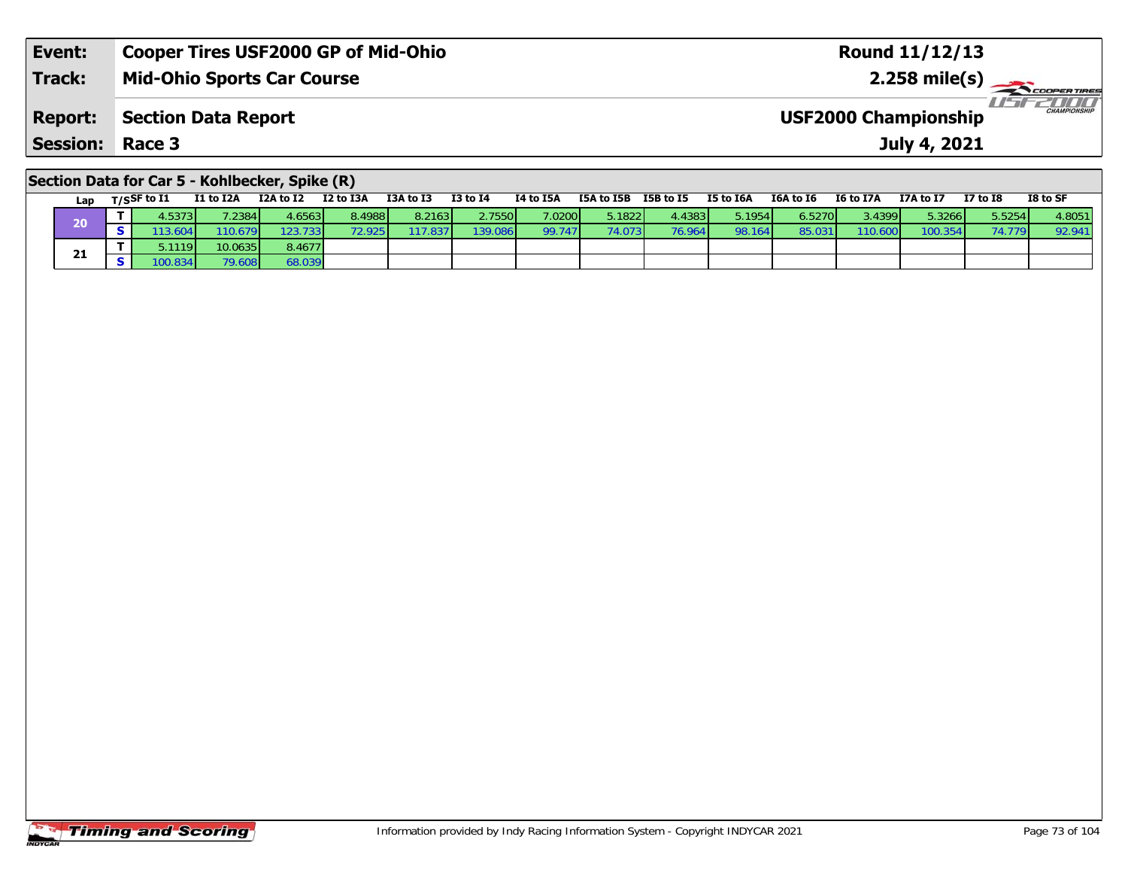| <b>Event:</b>          | <b>Cooper Tires USF2000 GP of Mid-Ohio</b> | <b>Round 11/12/13</b>                              |  |
|------------------------|--------------------------------------------|----------------------------------------------------|--|
| Track:                 | <b>Mid-Ohio Sports Car Course</b>          | $2.258$ mile(s) $\leftarrow$                       |  |
| Report:                | Section Data Report                        | <b>CHAMPIONSHIP</b><br><b>USF2000 Championship</b> |  |
| <b>Session: Race 3</b> |                                            | July 4, 2021                                       |  |
|                        |                                            |                                                    |  |

## **Section Data for Car 5 - Kohlbecker, Spike (R)**

| Lap | $T/S$ SF to $I1$       | I1 to I2A | I2A to I2 | I2 to I3A | I3A to I3 | <b>I3 to I4</b> | I4 to I5A | I5A to I5B | I5B to I5       | I5 to I6A | I6A to I6 | I6 to I7A | I7A to I7 | <b>I7 to I8</b> | I8 to SF |
|-----|------------------------|-----------|-----------|-----------|-----------|-----------------|-----------|------------|-----------------|-----------|-----------|-----------|-----------|-----------------|----------|
| 20  | .53731                 | .2384     | 4.6563 L  | 8.4988l   | 8.2163    | 2.7550          | 7.0200    | 5.18221    | 1.4383 <b>I</b> | 5.1954    | 6.5270    | 3.4399 L  | 5.3266    | 5.5254          | 4.8051   |
|     | .3.604                 | 110.679   | 123.7331  | 72.925 I  | 17.837    | 139.086         | 99.747    | 74.073     | 76.964          | 98.164    | 85.03     | 110.600   | 100.354   |                 | 92.941   |
| - 1 | .1119 <b>I</b>         | 10.0635   | 8.4677    |           |           |                 |           |            |                 |           |           |           |           |                 |          |
| 41  | $0.834$ $\blacksquare$ | 79.608    | 58.039    |           |           |                 |           |            |                 |           |           |           |           |                 |          |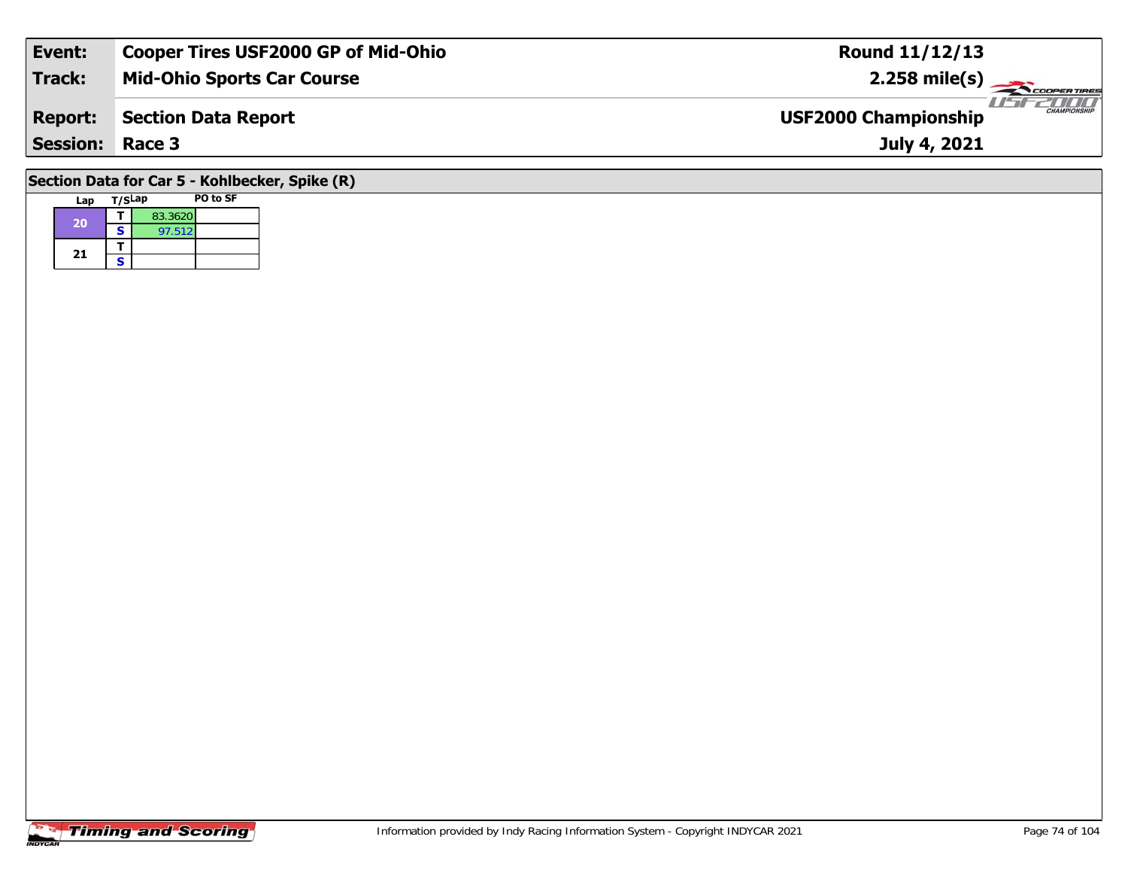| Event:                                         | <b>Cooper Tires USF2000 GP of Mid-Ohio</b> | <b>Round 11/12/13</b>                              |  |  |  |  |  |  |  |  |
|------------------------------------------------|--------------------------------------------|----------------------------------------------------|--|--|--|--|--|--|--|--|
| Track:                                         | <b>Mid-Ohio Sports Car Course</b>          | $2.258$ mile(s)                                    |  |  |  |  |  |  |  |  |
| <b>Report:</b>                                 | Section Data Report                        | <b>CHAMPIONSHIP</b><br><b>USF2000 Championship</b> |  |  |  |  |  |  |  |  |
| <b>Session: Race 3</b>                         |                                            | July 4, 2021                                       |  |  |  |  |  |  |  |  |
| Section Data for Car 5 - Kohlbecker, Spike (R) |                                            |                                                    |  |  |  |  |  |  |  |  |

## **Lap T/SLap PO to SF 20a S**  $\overline{S}$  97.512 21  $\frac{1}{s}$

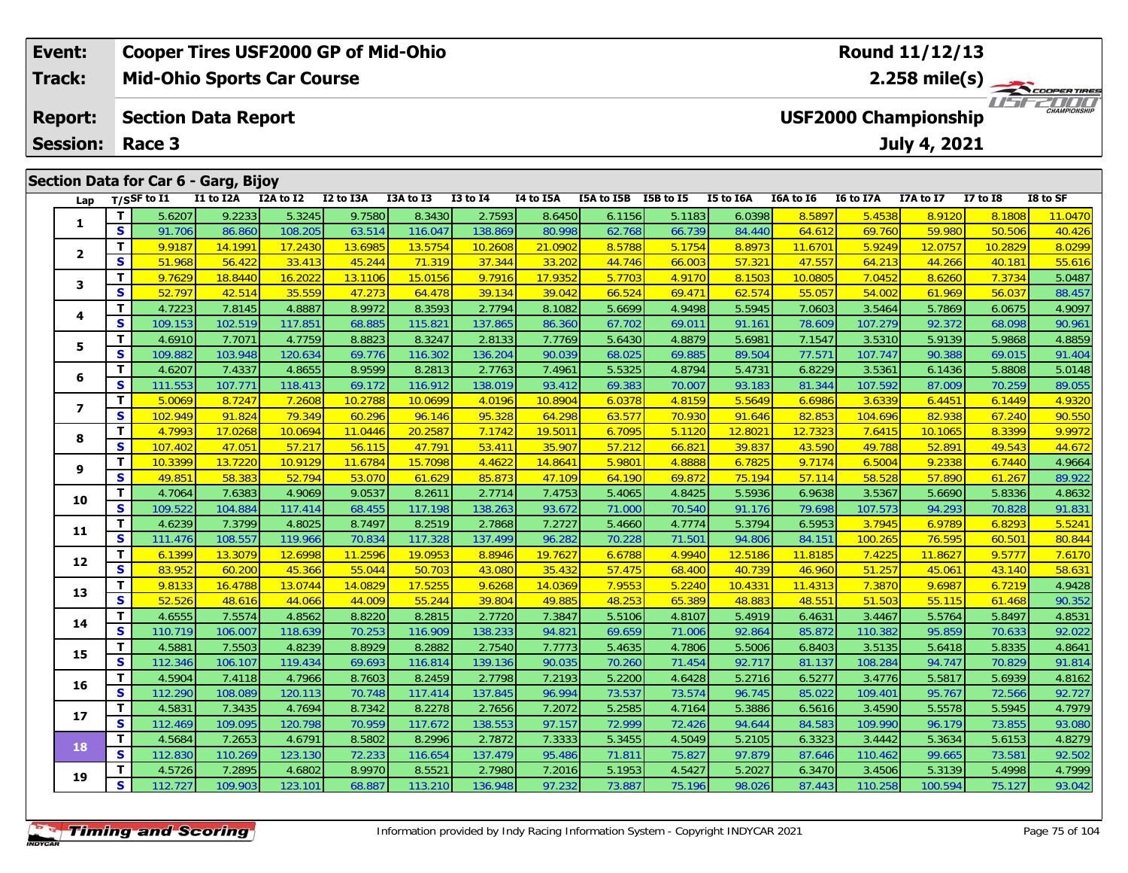| Event:                                      | <b>Cooper Tires USF2000 GP of Mid-Ohio</b> |                |                                      |           |           |           |              |                                                    |                 | Round 11/12/13 |                  |           |               |              |                 |                |  |  |
|---------------------------------------------|--------------------------------------------|----------------|--------------------------------------|-----------|-----------|-----------|--------------|----------------------------------------------------|-----------------|----------------|------------------|-----------|---------------|--------------|-----------------|----------------|--|--|
| Track:<br><b>Mid-Ohio Sports Car Course</b> |                                            |                |                                      |           |           |           |              |                                                    | $2.258$ mile(s) |                |                  |           |               |              |                 | COOPERTIRES    |  |  |
| <b>Report:</b>                              |                                            |                | <b>Section Data Report</b>           |           |           |           |              | <b>CHAMPIONSHIP</b><br><b>USF2000 Championship</b> |                 |                |                  |           |               |              |                 |                |  |  |
| <b>Session:</b><br>Race 3                   |                                            |                |                                      |           |           |           |              |                                                    |                 |                |                  |           |               | July 4, 2021 |                 |                |  |  |
|                                             |                                            |                |                                      |           |           |           |              |                                                    |                 |                |                  |           |               |              |                 |                |  |  |
|                                             |                                            |                | Section Data for Car 6 - Garg, Bijoy |           |           |           |              |                                                    |                 |                |                  |           |               |              |                 |                |  |  |
| Lap                                         |                                            | $T/S$ SF to I1 | I1 to I2A                            | I2A to I2 | I2 to I3A | I3A to I3 | $I3$ to $I4$ | <b>I4 to I5A</b>                                   | I5A to I5B      | I5B to I5      | <b>I5 to I6A</b> | I6A to I6 | I6 to I7A     | I7A to I7    | <b>I7 to I8</b> | I8 to SF       |  |  |
|                                             |                                            | 5.6207         | 9.2233                               | 5.3245    | 9.7580    | 8.3430    | 2.7593       | 8.6450                                             | 6.1156          | 5.1183         | 6.0398           | 8.5897    | 5.4538        | 8.9120       | 8.1808          | 11.0470        |  |  |
|                                             | S                                          | 91.706         | 86.860                               | 108.205   | 63.514    | 116.047   | 138.869      | 80.998                                             | 62.768          | 66.739         | 84.440           | 64.612    | 69.760        | 59.980       | 50.506          | 40.426         |  |  |
|                                             | $\mathbf{r}$                               | 0.0107         | 111001                               | 17.212    | 12,000    | 12E1      | 10.200       | 21.0002                                            | OEDO            | $E = 1.7E$     | 0.0072           | 1117701   | <b>E</b> 0240 | 12025        | 10.2020         | <u>lo oppo</u> |  |  |

|                |   | J.UZUT  | 7.ZZJJ  | U.JZHJ  | $7.1$ JUV | 0.J+JU  | 2. I J 7 J | 0.0400  | 0.1100 | <b>J.IIOJ</b> | 0.0370  | 0.0077  | <u>J.4JJ(</u> | <u>0.7120</u> | <u> 0. I 000</u> | <u> 1.0470</u> |
|----------------|---|---------|---------|---------|-----------|---------|------------|---------|--------|---------------|---------|---------|---------------|---------------|------------------|----------------|
| 1              | s | 91.706  | 86.860  | 108.205 | 63.514    | 116.047 | 138.869    | 80.998  | 62.768 | 66.739        | 84.440  | 64.612  | 69.760        | 59.980        | 50.506           | 40.426         |
| $\mathbf{2}$   | т | 9.9187  | 14.1991 | 17.2430 | 13.6985   | 13.5754 | 10.2608    | 21.0902 | 8.5788 | 5.1754        | 8.8973  | 11.6701 | 5.9249        | 12.0757       | 10.2829          | 8.0299         |
|                | S | 51.968  | 56.422  | 33.413  | 45.244    | 71.319  | 37.344     | 33.202  | 44.746 | 66.003        | 57.321  | 47.557  | 64.213        | 44.266        | 40.181           | 55.616         |
| 3              | т | 9.7629  | 18.8440 | 16.2022 | 13.1106   | 15.0156 | 9.7916     | 17.9352 | 5.7703 | 4.9170        | 8.1503  | 10.0805 | 7.0452        | 8.6260        | 7.3734           | 5.0487         |
|                | S | 52.797  | 42.514  | 35.559  | 47.273    | 64.478  | 39.134     | 39.042  | 66.524 | 69.471        | 62.574  | 55.057  | 54.002        | 61.969        | 56.037           | 88.457         |
| 4              | т | 4.7223  | 7.8145  | 4.8887  | 8.9972    | 8.3593  | 2.7794     | 8.1082  | 5.6699 | 4.9498        | 5.5945  | 7.0603  | 3.5464        | 5.7869        | 6.0675           | 4.9097         |
|                | S | 109.153 | 102.519 | 117.851 | 68.885    | 115.821 | 137.865    | 86.360  | 67.702 | 69.011        | 91.161  | 78.609  | 107.279       | 92.372        | 68.098           | 90.961         |
| 5              | т | 4.6910  | 7.7071  | 4.7759  | 8.8823    | 8.3247  | 2.8133     | 7.7769  | 5.6430 | 4.8879        | 5.6981  | 7.1547  | 3.5310        | 5.9139        | 5.9868           | 4.8859         |
|                | S | 109.882 | 103.948 | 120.634 | 69.776    | 116.302 | 136.204    | 90.039  | 68.025 | 69.885        | 89.504  | 77.571  | 107.747       | 90.388        | 69.015           | 91.404         |
| 6              | т | 4.6207  | 7.4337  | 4.8655  | 8.9599    | 8.2813  | 2.7763     | 7.4961  | 5.5325 | 4.8794        | 5.4731  | 6.8229  | 3.5361        | 6.1436        | 5.8808           | 5.0148         |
|                | S | 111.553 | 107.771 | 118.413 | 69.172    | 116.912 | 138.019    | 93.412  | 69.383 | 70.007        | 93.183  | 81.344  | 107.592       | 87.009        | 70.259           | 89.055         |
| $\overline{ }$ | т | 5.0069  | 8.7247  | 7.2608  | 10.2788   | 10.0699 | 4.0196     | 10.8904 | 6.0378 | 4.8159        | 5.5649  | 6.6986  | 3.6339        | 6.4451        | 6.1449           | 4.9320         |
|                | S | 102.949 | 91.824  | 79.349  | 60.296    | 96.146  | 95.328     | 64.298  | 63.577 | 70.930        | 91.646  | 82.853  | 104.696       | 82.938        | 67.240           | 90.550         |
| 8              | т | 4.7993  | 17.0268 | 10.0694 | 11.0446   | 20.2587 | 7.1742     | 19.5011 | 6.7095 | 5.1120        | 12.8021 | 12.7323 | 7.6415        | 10.1065       | 8.3399           | 9.9972         |
|                | S | 107.402 | 47.051  | 57.217  | 56.115    | 47.791  | 53.411     | 35.907  | 57.212 | 66.821        | 39.837  | 43.590  | 49.788        | 52.891        | 49.543           | 44.672         |
| 9              | т | 10.3399 | 13.7220 | 10.9129 | 11.6784   | 15.7098 | 4.4622     | 14.8641 | 5.9801 | 4.8888        | 6.7825  | 9.7174  | 6.5004        | 9.2338        | 6.7440           | 4.9664         |
|                | S | 49.85   | 58.383  | 52.794  | 53.070    | 61.629  | 85.873     | 47.109  | 64.190 | 69.872        | 75.194  | 57.114  | 58.528        | 57.890        | 61.267           | 89.922         |
| 10             | т | 4.7064  | 7.6383  | 4.9069  | 9.0537    | 8.2611  | 2.7714     | 7.4753  | 5.4065 | 4.8425        | 5.5936  | 6.9638  | 3.5367        | 5.6690        | 5.8336           | 4.8632         |
|                | S | 109.522 | 104.884 | 117.414 | 68.455    | 117.198 | 138.263    | 93.672  | 71.000 | 70.540        | 91.176  | 79.698  | 107.573       | 94.293        | 70.828           | 91.831         |
| 11             | т | 4.6239  | 7.3799  | 4.8025  | 8.7497    | 8.2519  | 2.7868     | 7.2727  | 5.4660 | 4.7774        | 5.3794  | 6.5953  | 3.7945        | 6.9789        | 6.8293           | 5.5241         |
|                | S | 111.476 | 108.557 | 119.966 | 70.834    | 117.328 | 137.499    | 96.282  | 70.228 | 71.501        | 94.806  | 84.151  | 100.265       | 76.595        | 60.501           | 80.844         |
| 12             | т | 6.1399  | 13.3079 | 12.6998 | 11.2596   | 19.0953 | 8.8946     | 19.7627 | 6.6788 | 4.9940        | 12.5186 | 11.8185 | 7.4225        | 11.8627       | 9.5777           | 7.6170         |
|                | S | 83.952  | 60.200  | 45.366  | 55.044    | 50.703  | 43.080     | 35.432  | 57.475 | 68.400        | 40.739  | 46.960  | 51.257        | 45.061        | 43.140           | 58.631         |
| 13             | т | 9.8133  | 16.4788 | 13.0744 | 14.0829   | 17.5255 | 9.6268     | 14.0369 | 7.9553 | 5.2240        | 10.4331 | 11.4313 | 7.3870        | 9.6987        | 6.7219           | 4.9428         |
|                | S | 52.526  | 48.616  | 44.066  | 44.009    | 55.244  | 39.804     | 49.885  | 48.253 | 65.389        | 48.883  | 48.551  | 51.503        | 55.115        | 61.468           | 90.352         |
| 14             | т | 4.6555  | 7.5574  | 4.8562  | 8.8220    | 8.2815  | 2.7720     | 7.3847  | 5.5106 | 4.8107        | 5.4919  | 6.4631  | 3.4467        | 5.5764        | 5.8497           | 4.8531         |
|                | S | 110.719 | 106.007 | 118.639 | 70.253    | 116.909 | 138.233    | 94.821  | 69.659 | 71.006        | 92.864  | 85.872  | 110.382       | 95.859        | 70.633           | 92.022         |
| 15             | т | 4.5881  | 7.5503  | 4.8239  | 8.8929    | 8.2882  | 2.7540     | 7.7773  | 5.4635 | 4.7806        | 5.5006  | 6.8403  | 3.5135        | 5.6418        | 5.8335           | 4.8641         |
|                | S | 112.346 | 106.107 | 119.434 | 69.693    | 116.814 | 139.136    | 90.035  | 70.260 | 71.454        | 92.717  | 81.137  | 108.284       | 94.747        | 70.829           | 91.814         |
| 16             | т | 4.5904  | 7.4118  | 4.7966  | 8.7603    | 8.2459  | 2.7798     | 7.2193  | 5.2200 | 4.6428        | 5.2716  | 6.5277  | 3.4776        | 5.5817        | 5.6939           | 4.8162         |
|                | S | 112.290 | 108.089 | 120.113 | 70.748    | 117.414 | 137.845    | 96.994  | 73.537 | 73.574        | 96.745  | 85.022  | 109.401       | 95.767        | 72.566           | 92.727         |
| 17             | т | 4.5831  | 7.3435  | 4.7694  | 8.7342    | 8.2278  | 2.7656     | 7.2072  | 5.2585 | 4.7164        | 5.3886  | 6.5616  | 3.4590        | 5.5578        | 5.5945           | 4.7979         |
|                | S | 112.469 | 109.095 | 120.798 | 70.959    | 117.672 | 138.553    | 97.157  | 72.999 | 72.426        | 94.644  | 84.583  | 109.990       | 96.179        | 73.855           | 93.080         |
| 18             | T | 4.5684  | 7.2653  | 4.6791  | 8.5802    | 8.2996  | 2.7872     | 7.3333  | 5.3455 | 4.5049        | 5.2105  | 6.3323  | 3.4442        | 5.3634        | 5.6153           | 4.8279         |
|                | S | 112.830 | 110.269 | 123.130 | 72.233    | 116.654 | 137.479    | 95.486  | 71.811 | 75.827        | 97.879  | 87.646  | 110.462       | 99.665        | 73.581           | 92.502         |
| 19             | т | 4.5726  | 7.2895  | 4.6802  | 8.9970    | 8.5521  | 2.7980     | 7.2016  | 5.1953 | 4.5427        | 5.2027  | 6.3470  | 3.4506        | 5.3139        | 5.4998           | 4.7999         |
|                | S | 112.727 | 109.903 | 123.101 | 68.887    | 113.210 | 136.948    | 97.232  | 73.887 | 75.196        | 98.026  | 87.443  | 110.258       | 100.594       | 75.127           | 93.042         |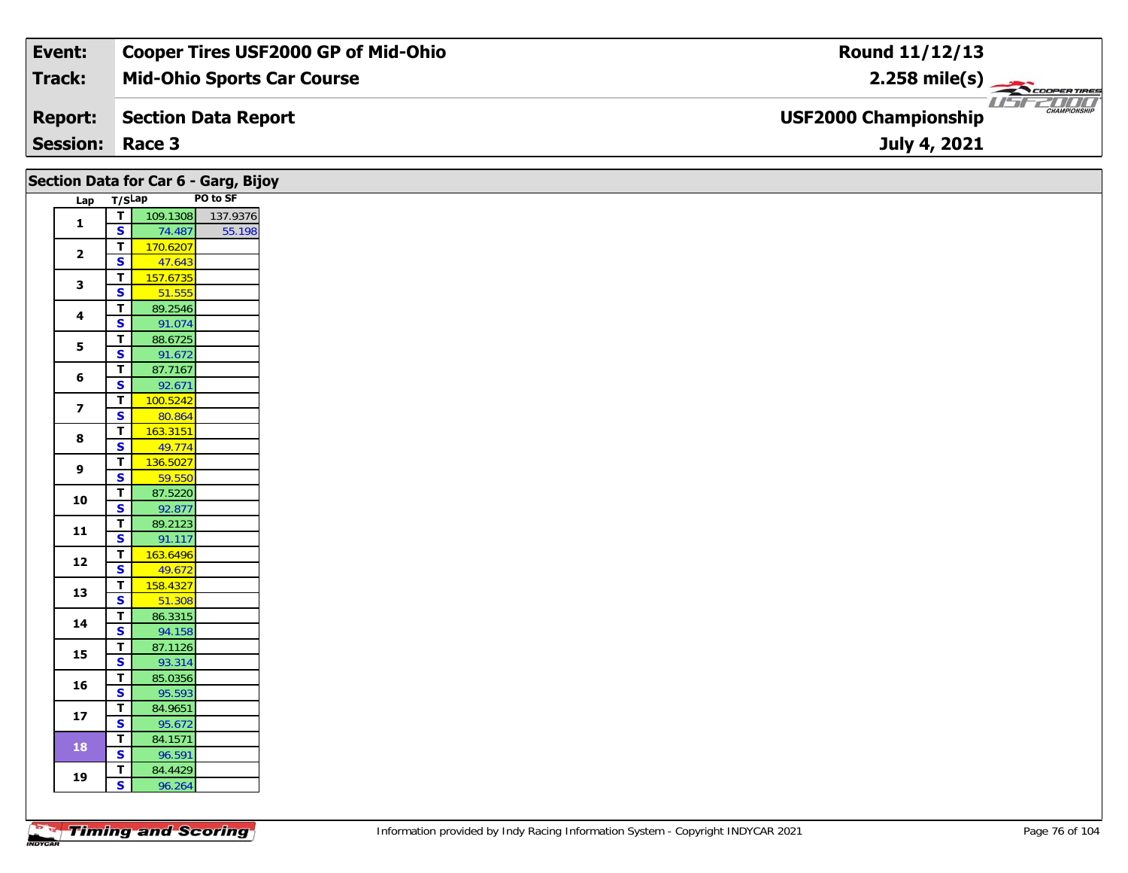| Event:                 | <b>Cooper Tires USF2000 GP of Mid-Ohio</b> | Round 11/12/13                                                |
|------------------------|--------------------------------------------|---------------------------------------------------------------|
| Track:                 | <b>Mid-Ohio Sports Car Course</b>          | $2.258$ mile(s)                                               |
| <b>Report:</b>         | Section Data Report                        | USFZDOO<br><b>CHAMPIONSHIP</b><br><b>USF2000 Championship</b> |
| <b>Session: Race 3</b> |                                            | July 4, 2021                                                  |

|                         | Section Data for Car 6 - Garg, Bijoy                         |  |
|-------------------------|--------------------------------------------------------------|--|
|                         | PO to SF<br>Lap T/SLap                                       |  |
| $\mathbf{1}$            | 109.1308<br>$\mathbf{T}$<br>137.9376                         |  |
|                         | $\overline{\mathbf{s}}$<br>74.487<br>55.198                  |  |
| $\mathbf{2}$            | 170.6207<br>T                                                |  |
|                         | $\mathbf{s}$<br>47.643                                       |  |
| 3                       | 157.6735<br>$\mathbf{T}$                                     |  |
|                         | $\overline{\mathbf{s}}$<br>51.555                            |  |
| 4                       | T<br>89.2546                                                 |  |
|                         | $\mathbf{s}$<br>91.074                                       |  |
| 5                       | $\overline{\mathbf{r}}$<br>88.6725                           |  |
|                         | $\overline{\mathbf{s}}$<br>91.672                            |  |
| 6                       | 87.7167<br>$\mathbf T$<br>$\mathbf{s}$<br>92.671             |  |
|                         | 100.5242<br>$\blacksquare$                                   |  |
| $\overline{\mathbf{z}}$ | $\mathbf{s}$<br>80.864                                       |  |
|                         | 163.3151<br>$\mathbf T$                                      |  |
| 8                       | $\overline{\mathbf{s}}$<br>49.774                            |  |
|                         | $\blacksquare$<br>136.5027                                   |  |
| 9                       | $\mathbf{s}$<br>59.550                                       |  |
| 10                      | $\overline{1}$<br>87.5220                                    |  |
|                         | $\overline{\mathbf{s}}$<br>92.877                            |  |
| 11                      | T<br>89.2123                                                 |  |
|                         | $\overline{\mathbf{s}}$<br>91.117                            |  |
| $12$                    | $\blacksquare$<br>163.6496                                   |  |
|                         | $\overline{\mathbf{s}}$<br>49.672                            |  |
| 13                      | $\overline{T}$<br>158.4327                                   |  |
|                         | $\overline{\mathbf{s}}$<br>51.308<br>86.3315<br>$\mathbf{T}$ |  |
| 14                      | $\mathbf{s}$<br>94.158                                       |  |
|                         | $\overline{I}$<br>87.1126                                    |  |
| 15                      | $\overline{\mathbf{s}}$<br>93.314                            |  |
|                         | $\mathbf T$<br>85.0356                                       |  |
| 16                      | $\mathbf{s}$<br>95.593                                       |  |
| ${\bf 17}$              | $\mathbf T$<br>84.9651                                       |  |
|                         | $\mathbf{s}$<br>95.672                                       |  |
| 18                      | 84.1571<br>$\mathbf{T}$                                      |  |
|                         | $\overline{\mathbf{s}}$<br>96.591                            |  |
| 19                      | 84.4429<br>T.                                                |  |
|                         | $\mathsf{s}$<br>96.264                                       |  |
|                         |                                                              |  |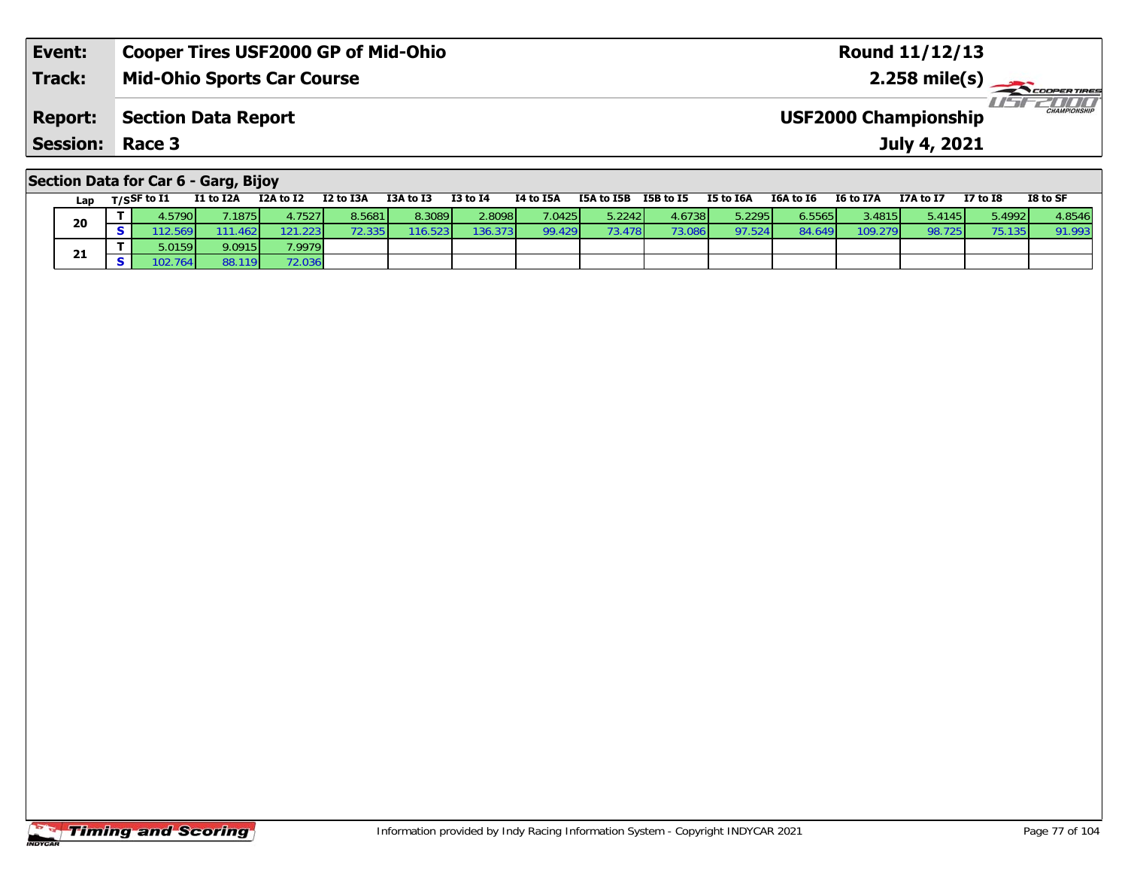| Event:                                      | Cooper Tires USF2000 GP of Mid-Ohio | <b>Round 11/12/13</b>                              |  |  |  |  |  |  |  |  |
|---------------------------------------------|-------------------------------------|----------------------------------------------------|--|--|--|--|--|--|--|--|
| <b>Track:</b>                               | <b>Mid-Ohio Sports Car Course</b>   |                                                    |  |  |  |  |  |  |  |  |
| <b>Report:</b>                              | Section Data Report                 | <b>CHAMPIONSHIP</b><br><b>USF2000 Championship</b> |  |  |  |  |  |  |  |  |
| <b>Session: Race 3</b>                      |                                     | July 4, 2021                                       |  |  |  |  |  |  |  |  |
| <b>Section Data for Car 6 - Garg, Bijov</b> |                                     |                                                    |  |  |  |  |  |  |  |  |

|     | <u>saan saan isi sal s</u> |           |           |                 |           |          |           |                      |        |           |           |                  |           |                 |          |
|-----|----------------------------|-----------|-----------|-----------------|-----------|----------|-----------|----------------------|--------|-----------|-----------|------------------|-----------|-----------------|----------|
| Lap | $T/S$ SF to I1             | I1 to I2A | I2A to I2 | I2 to I3A       | I3A to I3 | I3 to I4 | I4 to I5A | ISA to ISB ISB to IS |        | I5 to I6A | I6A to I6 | <b>I6 to I7A</b> | I7A to I7 | <b>I7 to I8</b> | I8 to SF |
|     | 4.5790                     | 1875      | 4.7527    | 8.5681          | 8.3089    | 2.8098   | 7.0425    | 5.2242               | 4.6738 | 5.2295    | 6.5565    | 3.4815 <b>I</b>  | 5.4145    | 5.4992          | 4.8546   |
| 20  |                            |           | 121.2231  | <b>72.335 N</b> | 116.5231  | 136.373  | 99.429    | 73.478               | 73.086 | 97.524    | 84.649    | 109.279          | 98.725    | 75.135          | 91.993   |
| 21  | 5.0159                     | 9.0915    | 7.9979    |                 |           |          |           |                      |        |           |           |                  |           |                 |          |
|     | 102.764                    |           | 72.0361   |                 |           |          |           |                      |        |           |           |                  |           |                 |          |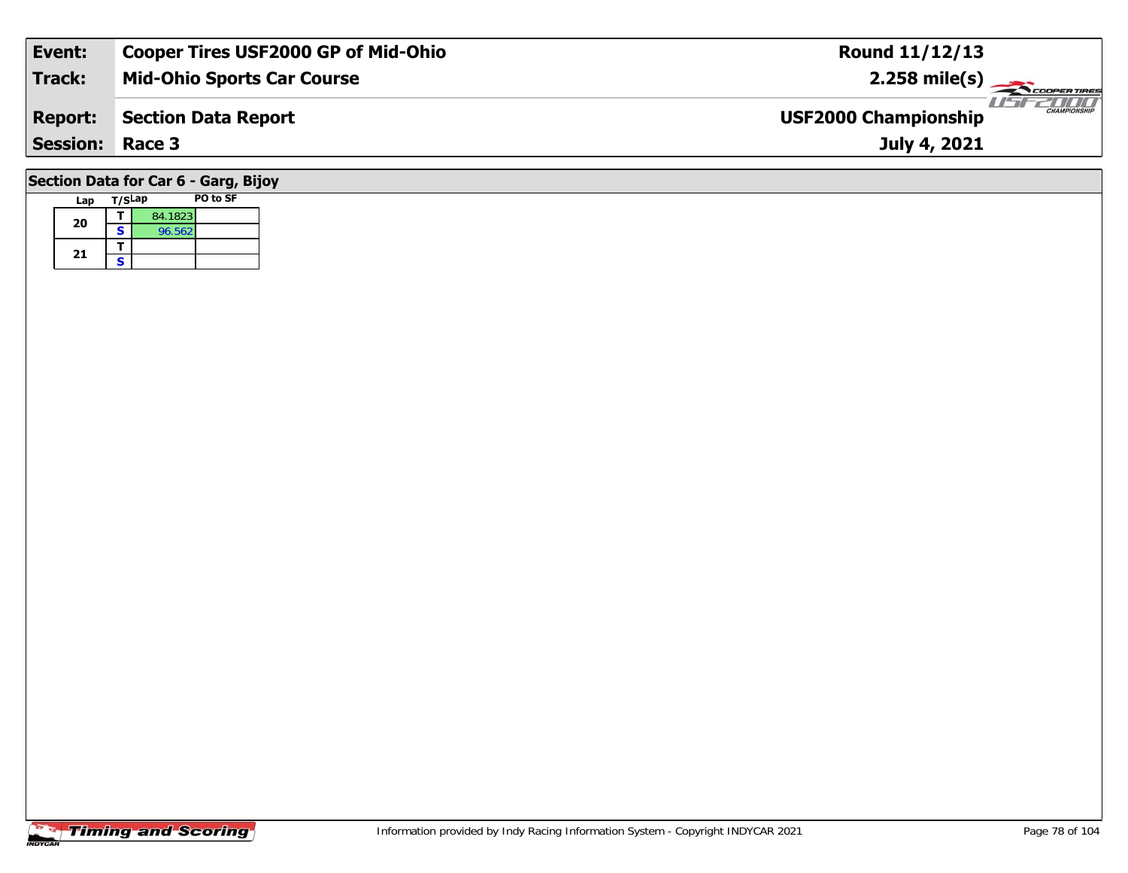| Event:                               | <b>Cooper Tires USF2000 GP of Mid-Ohio</b> | <b>Round 11/12/13</b>                              |  |  |  |  |  |  |  |  |
|--------------------------------------|--------------------------------------------|----------------------------------------------------|--|--|--|--|--|--|--|--|
| <b>Track:</b>                        | <b>Mid-Ohio Sports Car Course</b>          | $2.258$ mile(s)                                    |  |  |  |  |  |  |  |  |
| <b>Report:</b>                       | <b>Section Data Report</b>                 | <b>CHAMPIONSHIP</b><br><b>USF2000 Championship</b> |  |  |  |  |  |  |  |  |
| <b>Session: Race 3</b>               |                                            | July 4, 2021                                       |  |  |  |  |  |  |  |  |
| Section Data for Car 6 - Garg, Bijoy |                                            |                                                    |  |  |  |  |  |  |  |  |

|  | Lap | T/SLap |         | <b>PO to SF</b> |
|--|-----|--------|---------|-----------------|
|  | 20  |        | 84.1823 |                 |
|  |     | s      | 96.562  |                 |
|  | 21  |        |         |                 |
|  |     | S      |         |                 |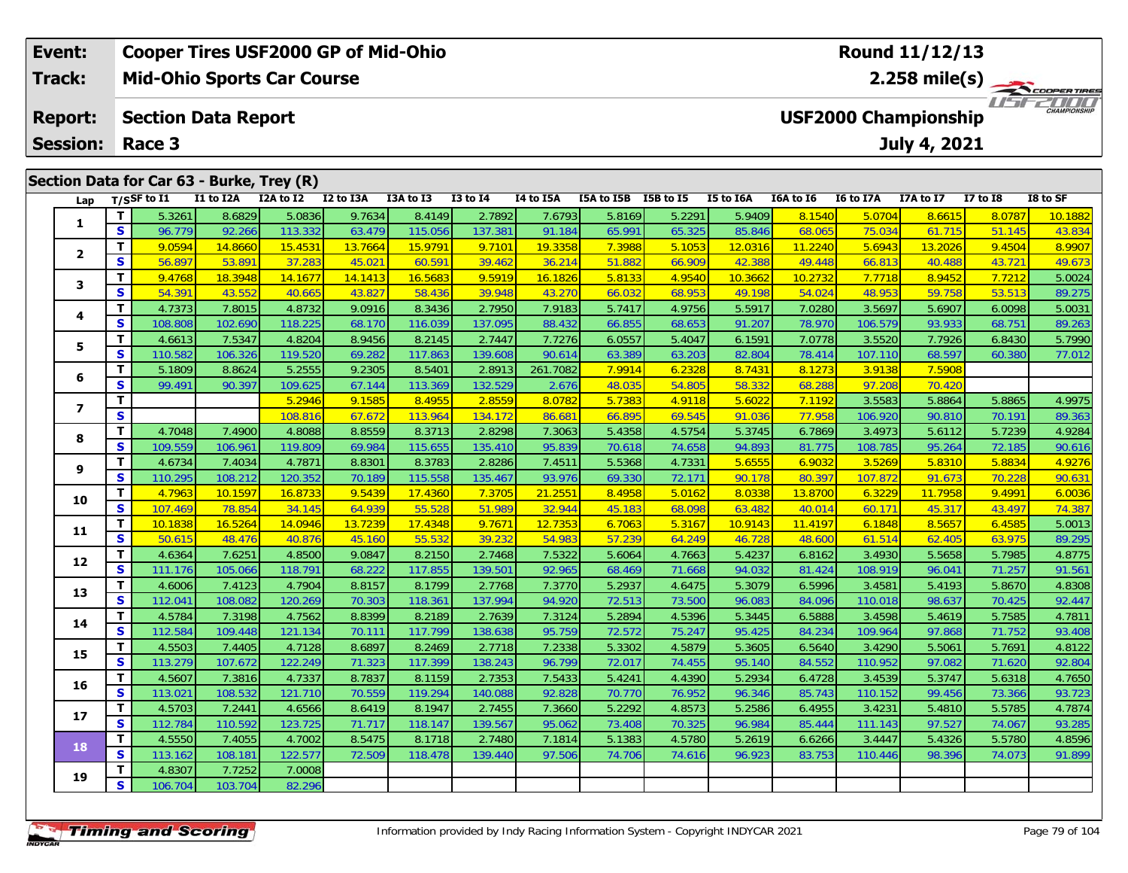|  | Event:                                       |     |                |           | <b>Cooper Tires USF2000 GP of Mid-Ohio</b> |           |           |              |           |              |           |           |                         | Round 11/12/13 |                                                      |              |          |  |  |  |
|--|----------------------------------------------|-----|----------------|-----------|--------------------------------------------|-----------|-----------|--------------|-----------|--------------|-----------|-----------|-------------------------|----------------|------------------------------------------------------|--------------|----------|--|--|--|
|  | Track:                                       |     |                |           | <b>Mid-Ohio Sports Car Course</b>          |           |           |              |           |              |           |           | $2.258 \text{ mile(s)}$ |                |                                                      |              |          |  |  |  |
|  | <b>Report:</b><br><b>Section Data Report</b> |     |                |           |                                            |           |           |              |           |              |           |           |                         |                | 20000<br>CHAMPIONSHIP<br><b>USF2000 Championship</b> |              |          |  |  |  |
|  | <b>Session:</b>                              |     | Race 3         |           |                                            |           |           |              |           | July 4, 2021 |           |           |                         |                |                                                      |              |          |  |  |  |
|  |                                              |     |                |           |                                            |           |           |              |           |              |           |           |                         |                |                                                      |              |          |  |  |  |
|  |                                              |     |                |           | Section Data for Car 63 - Burke, Trey (R)  |           |           |              |           |              |           |           |                         |                |                                                      |              |          |  |  |  |
|  | Lap                                          |     | $T/S$ SF to I1 | I1 to I2A | I2A to I2                                  | I2 to I3A | I3A to I3 | $I3$ to $I4$ | I4 to I5A | I5A to I5B   | I5B to I5 | I5 to I6A | I6A to I6               | I6 to I7A      | I7A to I7                                            | $I7$ to $I8$ | I8 to SF |  |  |  |
|  | 1                                            |     | 5.3261         | 8.6829    | 5.0836                                     | 9.7634    | 8.4149    | 2.7892       | 7.6793    | 5.8169       | 5.2291    | 5.9409    | 8.1540                  | 5.0704         | 8.6615                                               | 8.0787       | 10.1882  |  |  |  |
|  |                                              | S I | 96.779         | 92.266    | 113.332                                    | 63.479    | 115.056   | 137.381      | 91.184    | 65.991       | 65.325    | 85.846    | 68.065                  | 75.034         | 61.715                                               | 51.145       | 43.834   |  |  |  |
|  | $\overline{\mathbf{2}}$                      |     | 9.0594         | 14.8660   | 15.4531                                    | 13.7664   | 15.9791   | 9.7101       | 19.3358   | 7.3988       | 5.1053    | 12.0316   | 11.2240                 | 5.6943         | 13.2026                                              | 9.4504       | 8.9907   |  |  |  |
|  |                                              | S.  | 56.897         | 53.891    | 37.283                                     | 45.021    | 60.591    | 39.462       | 36.214    | 51.882       | 66.909    | 42.388    | 49.448                  | 66.813         | 40.488                                               | 43.721       | 49.673   |  |  |  |
|  | 3                                            |     | 9.4768         | 18.3948   | 14.1677                                    | 14.1413   | 16.5683   | 9.5919       | 16.1826   | 5.8133       | 4.9540    | 10.3662   | 10.2732                 | 7.7718         | 8.9452                                               | 7.7212       | 5.0024   |  |  |  |
|  |                                              | S   | 54.391         | 43.552    | 40.665                                     | 43.827    | 58.436    | 39.948       | 43.270    | 66.032       | 68.953    | 49.198    | 54.024                  | 48.953         | 59.758                                               | 53.513       | 89.275   |  |  |  |

| S<br>56.897<br>45.021<br>60.591<br>36.214<br>51.882<br>66.813<br>43.721<br>53.891<br>37.283<br>39.462<br>66.909<br>42.388<br>49.448<br>40.488<br>T.<br>9.4768<br>14.1413<br>16.5683<br>9.5919<br>5.8133<br>10.3662<br>7.7718<br>8.9452<br>18.3948<br>14.1677<br>16.1826<br>4.9540<br>10.2732<br>7.7212<br>3<br>S<br>54.391<br>43.552<br>43.827<br>58.436<br>39.948<br>66.032<br>68.953<br>48.953<br>59.758<br>53.513<br>40.665<br>43.270<br>49.198<br>54.024<br>T.<br>9.0916<br>5.7417<br>3.5697<br>4.7373<br>8.3436<br>2.7950<br>7.9183<br>4.9756<br>7.0280<br>7.8015<br>4.8732<br>5.5917<br>5.6907<br>6.0098<br>4<br>S<br>106.579<br>108.808<br>102.690<br>118.225<br>68.170<br>116.039<br>137.095<br>88.432<br>66.855<br>68.653<br>91.207<br>78.970<br>93.933<br>68.751<br>T.<br>8.9456<br>3.5520<br>4.6613<br>7.5347<br>4.8204<br>8.2145<br>2.7447<br>6.0557<br>5.4047<br>7.0778<br>6.8430<br>7.7276<br>6.1591<br>7.7926<br>5<br>S<br>110.582<br>69.282<br>117.863<br>63.389<br>82.804<br>106.326<br>119.520<br>139.608<br>90.614<br>63.203<br>78.414<br>107.110<br>68.597<br>60.380<br>T.<br>9.2305<br>8.5401<br>261.7082<br>7.9914<br>6.2328<br>8.1273<br>3.9138<br>7.5908<br>5.1809<br>8.8624<br>5.2555<br>2.8913<br>8.7431<br>6<br>S<br>67.144<br>97.208<br>99.491<br>90.397<br>109.625<br>113.369<br>132.529<br>2.676<br>48.035<br>54.805<br>58.332<br>68.288<br>70.420<br>T.<br>5.2946<br>9.1585<br>2.8559<br>8.0782<br>5.7383<br>4.9118<br>5.6022<br>3.5583<br>8.4955<br>7.1192<br>5.8864<br>5.8865<br>$\overline{ }$<br>S.<br>67.672<br>113.964<br>86.681<br>66.895<br>69.545<br>77.958<br>106.920<br>90.810<br>108.816<br>134.172<br>91.036<br>70.191<br>T.<br>4.7048<br>7.4900<br>8.8559<br>5.4358<br>4.8088<br>8.3713<br>2.8298<br>7.3063<br>4.5754<br>5.3745<br>6.7869<br>3.4973<br>5.6112<br>5.7239<br>8<br>S<br>109.559<br>69.984<br>115.655<br>95.839<br>74.658<br>94.893<br>108.785<br>106.961<br>119.809<br>135.410<br>70.618<br>81.775<br>95.264<br>72.185<br>T.<br>8.8301<br>8.3783<br>5.5368<br>4.7331<br>5.6555<br>6.9032<br>3.5269<br>5.8310<br>5.8834<br>4.6734<br>7.4034<br>4.7871<br>2.8286<br>7.4511<br>9<br>S<br>110.295<br>70.189<br>115.558<br>93.976<br>69.330<br>72.171<br>107.872<br>91.673<br>108.212<br>120.352<br>135.467<br>90.178<br>80.397<br>70.228<br>T<br>9.5439<br>8.4958<br>6.0036<br>4.7963<br>21.2551<br>5.0162<br>8.0338<br>13.8700<br>6.3229<br>11.7958<br>9.4991<br>10.1597<br>16.8733<br>17.4360<br>7.3705<br>10<br>S<br>107.469<br>64.939<br>45.183<br>43.497<br>78.854<br>34.145<br>55.528<br>51.989<br>32.944<br>68.098<br>63.482<br>40.014<br>60.17<br>45.317<br>T.<br>13.7239<br>17.4348<br>9.7671<br>12.7353<br>6.7063<br>5.3167<br>6.1848<br>8.5657<br>10.1838<br>16.5264<br>14.0946<br>10.9143<br>11.4197<br>6.4585<br>11<br>S<br>55.532<br>57.239<br>50.615<br>45.160<br>39.232<br>54.983<br>64.249<br>61.514<br>48.476<br>40.876<br>46.728<br>48.600<br>62.405<br>63.975<br>T.<br>9.0847<br>3.4930<br>5.5658<br>4.6364<br>7.6251<br>4.8500<br>8.2150<br>2.7468<br>7.5322<br>5.6064<br>4.7663<br>5.4237<br>6.8162<br>5.7985<br>12<br>S<br>117.855<br>108.919<br>111.176<br>105.066<br>118.791<br>68.222<br>139.501<br>92.965<br>68.469<br>71.668<br>94.032<br>81.424<br>96.041<br>71.257<br>т<br>8.8157<br>5.2937<br>3.4581<br>4.6006<br>7.4123<br>4.7904<br>8.1799<br>2.7768<br>7.3770<br>4.6475<br>5.3079<br>6.5996<br>5.4193<br>5.8670<br>13<br>$\mathbf{s}$<br>112.041<br>92.447<br>70.303<br>118.361<br>137.994<br>94.920<br>72.513<br>73.500<br>96.083<br>84.096<br>110.018<br>98.637<br>70.425<br>108.082<br>120.269<br>T.<br>8.8399<br>5.2894<br>6.5888<br>3.4598<br>4.7811<br>4.5784<br>7.3198<br>4.7562<br>8.2189<br>2.7639<br>7.3124<br>4.5396<br>5.3445<br>5.4619<br>5.7585<br>14<br>S<br>112.584<br>70.111<br>117.799<br>72.572<br>75.247<br>95.425<br>109.964<br>97.868<br>93.408<br>109.448<br>121.134<br>138.638<br>95.759<br>84.234<br>71.752<br>T.<br>4.5503<br>7.4405<br>4.7128<br>8.6897<br>8.2469<br>7.2338<br>5.3302<br>4.5879<br>5.3605<br>6.5640<br>3.4290<br>5.5061<br>5.7691<br>4.8122<br>2.7718<br>15<br>S<br>113.279<br>71.323<br>117.399<br>74.455<br>84.552<br>110.952<br>97.082<br>71.620<br>92.804<br>107.672<br>122.249<br>138.243<br>96.799<br>72.017<br>95.140<br>T.<br>5.3747<br>4.7650<br>4.5607<br>4.7337<br>8.7837<br>8.1159<br>2.7353<br>7.5433<br>5.4241<br>4.4390<br>5.2934<br>6.4728<br>3.4539<br>5.6318<br>7.3816<br>16<br>S<br>93.723<br>113.021<br>70.559<br>76.952<br>99.456<br>108.532<br>121.710<br>119.294<br>140.088<br>92.828<br>70.770<br>96.346<br>85.743<br>110.152<br>73.366<br>T.<br>4.7874<br>4.5703<br>7.2441<br>4.6566<br>8.6419<br>8.1947<br>2.7455<br>7.3660<br>5.2292<br>4.8573<br>5.2586<br>6.4955<br>3.4231<br>5.4810<br>5.5785<br>17<br>S<br>93.285<br>112.784<br>110.592<br>71.717<br>118.147<br>95.062<br>73.408<br>70.325<br>96.984<br>85.444<br>97.527<br>123.725<br>139.567<br>111.143<br>74.067<br>T.<br>4.5550<br>7.4055<br>8.5475<br>2.7480<br>5.1383<br>6.6266<br>3.4447<br>4.8596<br>4.7002<br>8.1718<br>7.1814<br>4.5780<br>5.2619<br>5.4326<br>5.5780<br>18<br>S<br>113.162<br>72.509<br>97.506<br>108.181<br>122.577<br>118.478<br>139.440<br>74.706<br>74.616<br>96.923<br>83.753<br>110.446<br>98.396<br>74.073<br>T.<br>4.8307<br>7.7252<br>7.0008<br>19 | 2 | Τ. | 9.0594  | 14.8660 | 15.4531 | 13.7664 | 15.9791 | 9.7101 | 19.3358 | 7.3988 | 5.1053 | 12.0316 | 11.2240 | 5.6943 | 13.2026 | 9.4504 | 8.9907 |
|----------------------------------------------------------------------------------------------------------------------------------------------------------------------------------------------------------------------------------------------------------------------------------------------------------------------------------------------------------------------------------------------------------------------------------------------------------------------------------------------------------------------------------------------------------------------------------------------------------------------------------------------------------------------------------------------------------------------------------------------------------------------------------------------------------------------------------------------------------------------------------------------------------------------------------------------------------------------------------------------------------------------------------------------------------------------------------------------------------------------------------------------------------------------------------------------------------------------------------------------------------------------------------------------------------------------------------------------------------------------------------------------------------------------------------------------------------------------------------------------------------------------------------------------------------------------------------------------------------------------------------------------------------------------------------------------------------------------------------------------------------------------------------------------------------------------------------------------------------------------------------------------------------------------------------------------------------------------------------------------------------------------------------------------------------------------------------------------------------------------------------------------------------------------------------------------------------------------------------------------------------------------------------------------------------------------------------------------------------------------------------------------------------------------------------------------------------------------------------------------------------------------------------------------------------------------------------------------------------------------------------------------------------------------------------------------------------------------------------------------------------------------------------------------------------------------------------------------------------------------------------------------------------------------------------------------------------------------------------------------------------------------------------------------------------------------------------------------------------------------------------------------------------------------------------------------------------------------------------------------------------------------------------------------------------------------------------------------------------------------------------------------------------------------------------------------------------------------------------------------------------------------------------------------------------------------------------------------------------------------------------------------------------------------------------------------------------------------------------------------------------------------------------------------------------------------------------------------------------------------------------------------------------------------------------------------------------------------------------------------------------------------------------------------------------------------------------------------------------------------------------------------------------------------------------------------------------------------------------------------------------------------------------------------------------------------------------------------------------------------------------------------------------------------------------------------------------------------------------------------------------------------------------------------------------------------------------------------------------------------------------------------------------------------------------------------------------------------------------------------------------------------------------------------------------------------------------------------------------------------------------------------------------------------------------------------------------------------------------------------------------------------------------------------------------------------------------------------------------------------------------------------------------------------------------------------------------------------------------------------------------------------------------------------------------|---|----|---------|---------|---------|---------|---------|--------|---------|--------|--------|---------|---------|--------|---------|--------|--------|
|                                                                                                                                                                                                                                                                                                                                                                                                                                                                                                                                                                                                                                                                                                                                                                                                                                                                                                                                                                                                                                                                                                                                                                                                                                                                                                                                                                                                                                                                                                                                                                                                                                                                                                                                                                                                                                                                                                                                                                                                                                                                                                                                                                                                                                                                                                                                                                                                                                                                                                                                                                                                                                                                                                                                                                                                                                                                                                                                                                                                                                                                                                                                                                                                                                                                                                                                                                                                                                                                                                                                                                                                                                                                                                                                                                                                                                                                                                                                                                                                                                                                                                                                                                                                                                                                                                                                                                                                                                                                                                                                                                                                                                                                                                                                                                                                                                                                                                                                                                                                                                                                                                                                                                                                                                                                                                          |   |    |         |         |         |         |         |        |         |        |        |         |         |        |         |        | 49.673 |
|                                                                                                                                                                                                                                                                                                                                                                                                                                                                                                                                                                                                                                                                                                                                                                                                                                                                                                                                                                                                                                                                                                                                                                                                                                                                                                                                                                                                                                                                                                                                                                                                                                                                                                                                                                                                                                                                                                                                                                                                                                                                                                                                                                                                                                                                                                                                                                                                                                                                                                                                                                                                                                                                                                                                                                                                                                                                                                                                                                                                                                                                                                                                                                                                                                                                                                                                                                                                                                                                                                                                                                                                                                                                                                                                                                                                                                                                                                                                                                                                                                                                                                                                                                                                                                                                                                                                                                                                                                                                                                                                                                                                                                                                                                                                                                                                                                                                                                                                                                                                                                                                                                                                                                                                                                                                                                          |   |    |         |         |         |         |         |        |         |        |        |         |         |        |         |        | 5.0024 |
|                                                                                                                                                                                                                                                                                                                                                                                                                                                                                                                                                                                                                                                                                                                                                                                                                                                                                                                                                                                                                                                                                                                                                                                                                                                                                                                                                                                                                                                                                                                                                                                                                                                                                                                                                                                                                                                                                                                                                                                                                                                                                                                                                                                                                                                                                                                                                                                                                                                                                                                                                                                                                                                                                                                                                                                                                                                                                                                                                                                                                                                                                                                                                                                                                                                                                                                                                                                                                                                                                                                                                                                                                                                                                                                                                                                                                                                                                                                                                                                                                                                                                                                                                                                                                                                                                                                                                                                                                                                                                                                                                                                                                                                                                                                                                                                                                                                                                                                                                                                                                                                                                                                                                                                                                                                                                                          |   |    |         |         |         |         |         |        |         |        |        |         |         |        |         |        | 89.275 |
|                                                                                                                                                                                                                                                                                                                                                                                                                                                                                                                                                                                                                                                                                                                                                                                                                                                                                                                                                                                                                                                                                                                                                                                                                                                                                                                                                                                                                                                                                                                                                                                                                                                                                                                                                                                                                                                                                                                                                                                                                                                                                                                                                                                                                                                                                                                                                                                                                                                                                                                                                                                                                                                                                                                                                                                                                                                                                                                                                                                                                                                                                                                                                                                                                                                                                                                                                                                                                                                                                                                                                                                                                                                                                                                                                                                                                                                                                                                                                                                                                                                                                                                                                                                                                                                                                                                                                                                                                                                                                                                                                                                                                                                                                                                                                                                                                                                                                                                                                                                                                                                                                                                                                                                                                                                                                                          |   |    |         |         |         |         |         |        |         |        |        |         |         |        |         |        | 5.0031 |
|                                                                                                                                                                                                                                                                                                                                                                                                                                                                                                                                                                                                                                                                                                                                                                                                                                                                                                                                                                                                                                                                                                                                                                                                                                                                                                                                                                                                                                                                                                                                                                                                                                                                                                                                                                                                                                                                                                                                                                                                                                                                                                                                                                                                                                                                                                                                                                                                                                                                                                                                                                                                                                                                                                                                                                                                                                                                                                                                                                                                                                                                                                                                                                                                                                                                                                                                                                                                                                                                                                                                                                                                                                                                                                                                                                                                                                                                                                                                                                                                                                                                                                                                                                                                                                                                                                                                                                                                                                                                                                                                                                                                                                                                                                                                                                                                                                                                                                                                                                                                                                                                                                                                                                                                                                                                                                          |   |    |         |         |         |         |         |        |         |        |        |         |         |        |         |        | 89.263 |
|                                                                                                                                                                                                                                                                                                                                                                                                                                                                                                                                                                                                                                                                                                                                                                                                                                                                                                                                                                                                                                                                                                                                                                                                                                                                                                                                                                                                                                                                                                                                                                                                                                                                                                                                                                                                                                                                                                                                                                                                                                                                                                                                                                                                                                                                                                                                                                                                                                                                                                                                                                                                                                                                                                                                                                                                                                                                                                                                                                                                                                                                                                                                                                                                                                                                                                                                                                                                                                                                                                                                                                                                                                                                                                                                                                                                                                                                                                                                                                                                                                                                                                                                                                                                                                                                                                                                                                                                                                                                                                                                                                                                                                                                                                                                                                                                                                                                                                                                                                                                                                                                                                                                                                                                                                                                                                          |   |    |         |         |         |         |         |        |         |        |        |         |         |        |         |        | 5.7990 |
|                                                                                                                                                                                                                                                                                                                                                                                                                                                                                                                                                                                                                                                                                                                                                                                                                                                                                                                                                                                                                                                                                                                                                                                                                                                                                                                                                                                                                                                                                                                                                                                                                                                                                                                                                                                                                                                                                                                                                                                                                                                                                                                                                                                                                                                                                                                                                                                                                                                                                                                                                                                                                                                                                                                                                                                                                                                                                                                                                                                                                                                                                                                                                                                                                                                                                                                                                                                                                                                                                                                                                                                                                                                                                                                                                                                                                                                                                                                                                                                                                                                                                                                                                                                                                                                                                                                                                                                                                                                                                                                                                                                                                                                                                                                                                                                                                                                                                                                                                                                                                                                                                                                                                                                                                                                                                                          |   |    |         |         |         |         |         |        |         |        |        |         |         |        |         |        | 77.012 |
|                                                                                                                                                                                                                                                                                                                                                                                                                                                                                                                                                                                                                                                                                                                                                                                                                                                                                                                                                                                                                                                                                                                                                                                                                                                                                                                                                                                                                                                                                                                                                                                                                                                                                                                                                                                                                                                                                                                                                                                                                                                                                                                                                                                                                                                                                                                                                                                                                                                                                                                                                                                                                                                                                                                                                                                                                                                                                                                                                                                                                                                                                                                                                                                                                                                                                                                                                                                                                                                                                                                                                                                                                                                                                                                                                                                                                                                                                                                                                                                                                                                                                                                                                                                                                                                                                                                                                                                                                                                                                                                                                                                                                                                                                                                                                                                                                                                                                                                                                                                                                                                                                                                                                                                                                                                                                                          |   |    |         |         |         |         |         |        |         |        |        |         |         |        |         |        |        |
|                                                                                                                                                                                                                                                                                                                                                                                                                                                                                                                                                                                                                                                                                                                                                                                                                                                                                                                                                                                                                                                                                                                                                                                                                                                                                                                                                                                                                                                                                                                                                                                                                                                                                                                                                                                                                                                                                                                                                                                                                                                                                                                                                                                                                                                                                                                                                                                                                                                                                                                                                                                                                                                                                                                                                                                                                                                                                                                                                                                                                                                                                                                                                                                                                                                                                                                                                                                                                                                                                                                                                                                                                                                                                                                                                                                                                                                                                                                                                                                                                                                                                                                                                                                                                                                                                                                                                                                                                                                                                                                                                                                                                                                                                                                                                                                                                                                                                                                                                                                                                                                                                                                                                                                                                                                                                                          |   |    |         |         |         |         |         |        |         |        |        |         |         |        |         |        |        |
|                                                                                                                                                                                                                                                                                                                                                                                                                                                                                                                                                                                                                                                                                                                                                                                                                                                                                                                                                                                                                                                                                                                                                                                                                                                                                                                                                                                                                                                                                                                                                                                                                                                                                                                                                                                                                                                                                                                                                                                                                                                                                                                                                                                                                                                                                                                                                                                                                                                                                                                                                                                                                                                                                                                                                                                                                                                                                                                                                                                                                                                                                                                                                                                                                                                                                                                                                                                                                                                                                                                                                                                                                                                                                                                                                                                                                                                                                                                                                                                                                                                                                                                                                                                                                                                                                                                                                                                                                                                                                                                                                                                                                                                                                                                                                                                                                                                                                                                                                                                                                                                                                                                                                                                                                                                                                                          |   |    |         |         |         |         |         |        |         |        |        |         |         |        |         |        | 4.9975 |
|                                                                                                                                                                                                                                                                                                                                                                                                                                                                                                                                                                                                                                                                                                                                                                                                                                                                                                                                                                                                                                                                                                                                                                                                                                                                                                                                                                                                                                                                                                                                                                                                                                                                                                                                                                                                                                                                                                                                                                                                                                                                                                                                                                                                                                                                                                                                                                                                                                                                                                                                                                                                                                                                                                                                                                                                                                                                                                                                                                                                                                                                                                                                                                                                                                                                                                                                                                                                                                                                                                                                                                                                                                                                                                                                                                                                                                                                                                                                                                                                                                                                                                                                                                                                                                                                                                                                                                                                                                                                                                                                                                                                                                                                                                                                                                                                                                                                                                                                                                                                                                                                                                                                                                                                                                                                                                          |   |    |         |         |         |         |         |        |         |        |        |         |         |        |         |        | 89.363 |
|                                                                                                                                                                                                                                                                                                                                                                                                                                                                                                                                                                                                                                                                                                                                                                                                                                                                                                                                                                                                                                                                                                                                                                                                                                                                                                                                                                                                                                                                                                                                                                                                                                                                                                                                                                                                                                                                                                                                                                                                                                                                                                                                                                                                                                                                                                                                                                                                                                                                                                                                                                                                                                                                                                                                                                                                                                                                                                                                                                                                                                                                                                                                                                                                                                                                                                                                                                                                                                                                                                                                                                                                                                                                                                                                                                                                                                                                                                                                                                                                                                                                                                                                                                                                                                                                                                                                                                                                                                                                                                                                                                                                                                                                                                                                                                                                                                                                                                                                                                                                                                                                                                                                                                                                                                                                                                          |   |    |         |         |         |         |         |        |         |        |        |         |         |        |         |        | 4.9284 |
|                                                                                                                                                                                                                                                                                                                                                                                                                                                                                                                                                                                                                                                                                                                                                                                                                                                                                                                                                                                                                                                                                                                                                                                                                                                                                                                                                                                                                                                                                                                                                                                                                                                                                                                                                                                                                                                                                                                                                                                                                                                                                                                                                                                                                                                                                                                                                                                                                                                                                                                                                                                                                                                                                                                                                                                                                                                                                                                                                                                                                                                                                                                                                                                                                                                                                                                                                                                                                                                                                                                                                                                                                                                                                                                                                                                                                                                                                                                                                                                                                                                                                                                                                                                                                                                                                                                                                                                                                                                                                                                                                                                                                                                                                                                                                                                                                                                                                                                                                                                                                                                                                                                                                                                                                                                                                                          |   |    |         |         |         |         |         |        |         |        |        |         |         |        |         |        | 90.616 |
|                                                                                                                                                                                                                                                                                                                                                                                                                                                                                                                                                                                                                                                                                                                                                                                                                                                                                                                                                                                                                                                                                                                                                                                                                                                                                                                                                                                                                                                                                                                                                                                                                                                                                                                                                                                                                                                                                                                                                                                                                                                                                                                                                                                                                                                                                                                                                                                                                                                                                                                                                                                                                                                                                                                                                                                                                                                                                                                                                                                                                                                                                                                                                                                                                                                                                                                                                                                                                                                                                                                                                                                                                                                                                                                                                                                                                                                                                                                                                                                                                                                                                                                                                                                                                                                                                                                                                                                                                                                                                                                                                                                                                                                                                                                                                                                                                                                                                                                                                                                                                                                                                                                                                                                                                                                                                                          |   |    |         |         |         |         |         |        |         |        |        |         |         |        |         |        | 4.9276 |
|                                                                                                                                                                                                                                                                                                                                                                                                                                                                                                                                                                                                                                                                                                                                                                                                                                                                                                                                                                                                                                                                                                                                                                                                                                                                                                                                                                                                                                                                                                                                                                                                                                                                                                                                                                                                                                                                                                                                                                                                                                                                                                                                                                                                                                                                                                                                                                                                                                                                                                                                                                                                                                                                                                                                                                                                                                                                                                                                                                                                                                                                                                                                                                                                                                                                                                                                                                                                                                                                                                                                                                                                                                                                                                                                                                                                                                                                                                                                                                                                                                                                                                                                                                                                                                                                                                                                                                                                                                                                                                                                                                                                                                                                                                                                                                                                                                                                                                                                                                                                                                                                                                                                                                                                                                                                                                          |   |    |         |         |         |         |         |        |         |        |        |         |         |        |         |        | 90.631 |
|                                                                                                                                                                                                                                                                                                                                                                                                                                                                                                                                                                                                                                                                                                                                                                                                                                                                                                                                                                                                                                                                                                                                                                                                                                                                                                                                                                                                                                                                                                                                                                                                                                                                                                                                                                                                                                                                                                                                                                                                                                                                                                                                                                                                                                                                                                                                                                                                                                                                                                                                                                                                                                                                                                                                                                                                                                                                                                                                                                                                                                                                                                                                                                                                                                                                                                                                                                                                                                                                                                                                                                                                                                                                                                                                                                                                                                                                                                                                                                                                                                                                                                                                                                                                                                                                                                                                                                                                                                                                                                                                                                                                                                                                                                                                                                                                                                                                                                                                                                                                                                                                                                                                                                                                                                                                                                          |   |    |         |         |         |         |         |        |         |        |        |         |         |        |         |        |        |
|                                                                                                                                                                                                                                                                                                                                                                                                                                                                                                                                                                                                                                                                                                                                                                                                                                                                                                                                                                                                                                                                                                                                                                                                                                                                                                                                                                                                                                                                                                                                                                                                                                                                                                                                                                                                                                                                                                                                                                                                                                                                                                                                                                                                                                                                                                                                                                                                                                                                                                                                                                                                                                                                                                                                                                                                                                                                                                                                                                                                                                                                                                                                                                                                                                                                                                                                                                                                                                                                                                                                                                                                                                                                                                                                                                                                                                                                                                                                                                                                                                                                                                                                                                                                                                                                                                                                                                                                                                                                                                                                                                                                                                                                                                                                                                                                                                                                                                                                                                                                                                                                                                                                                                                                                                                                                                          |   |    |         |         |         |         |         |        |         |        |        |         |         |        |         |        | 74.387 |
|                                                                                                                                                                                                                                                                                                                                                                                                                                                                                                                                                                                                                                                                                                                                                                                                                                                                                                                                                                                                                                                                                                                                                                                                                                                                                                                                                                                                                                                                                                                                                                                                                                                                                                                                                                                                                                                                                                                                                                                                                                                                                                                                                                                                                                                                                                                                                                                                                                                                                                                                                                                                                                                                                                                                                                                                                                                                                                                                                                                                                                                                                                                                                                                                                                                                                                                                                                                                                                                                                                                                                                                                                                                                                                                                                                                                                                                                                                                                                                                                                                                                                                                                                                                                                                                                                                                                                                                                                                                                                                                                                                                                                                                                                                                                                                                                                                                                                                                                                                                                                                                                                                                                                                                                                                                                                                          |   |    |         |         |         |         |         |        |         |        |        |         |         |        |         |        | 5.0013 |
|                                                                                                                                                                                                                                                                                                                                                                                                                                                                                                                                                                                                                                                                                                                                                                                                                                                                                                                                                                                                                                                                                                                                                                                                                                                                                                                                                                                                                                                                                                                                                                                                                                                                                                                                                                                                                                                                                                                                                                                                                                                                                                                                                                                                                                                                                                                                                                                                                                                                                                                                                                                                                                                                                                                                                                                                                                                                                                                                                                                                                                                                                                                                                                                                                                                                                                                                                                                                                                                                                                                                                                                                                                                                                                                                                                                                                                                                                                                                                                                                                                                                                                                                                                                                                                                                                                                                                                                                                                                                                                                                                                                                                                                                                                                                                                                                                                                                                                                                                                                                                                                                                                                                                                                                                                                                                                          |   |    |         |         |         |         |         |        |         |        |        |         |         |        |         |        | 89.295 |
|                                                                                                                                                                                                                                                                                                                                                                                                                                                                                                                                                                                                                                                                                                                                                                                                                                                                                                                                                                                                                                                                                                                                                                                                                                                                                                                                                                                                                                                                                                                                                                                                                                                                                                                                                                                                                                                                                                                                                                                                                                                                                                                                                                                                                                                                                                                                                                                                                                                                                                                                                                                                                                                                                                                                                                                                                                                                                                                                                                                                                                                                                                                                                                                                                                                                                                                                                                                                                                                                                                                                                                                                                                                                                                                                                                                                                                                                                                                                                                                                                                                                                                                                                                                                                                                                                                                                                                                                                                                                                                                                                                                                                                                                                                                                                                                                                                                                                                                                                                                                                                                                                                                                                                                                                                                                                                          |   |    |         |         |         |         |         |        |         |        |        |         |         |        |         |        | 4.8775 |
|                                                                                                                                                                                                                                                                                                                                                                                                                                                                                                                                                                                                                                                                                                                                                                                                                                                                                                                                                                                                                                                                                                                                                                                                                                                                                                                                                                                                                                                                                                                                                                                                                                                                                                                                                                                                                                                                                                                                                                                                                                                                                                                                                                                                                                                                                                                                                                                                                                                                                                                                                                                                                                                                                                                                                                                                                                                                                                                                                                                                                                                                                                                                                                                                                                                                                                                                                                                                                                                                                                                                                                                                                                                                                                                                                                                                                                                                                                                                                                                                                                                                                                                                                                                                                                                                                                                                                                                                                                                                                                                                                                                                                                                                                                                                                                                                                                                                                                                                                                                                                                                                                                                                                                                                                                                                                                          |   |    |         |         |         |         |         |        |         |        |        |         |         |        |         |        | 91.561 |
|                                                                                                                                                                                                                                                                                                                                                                                                                                                                                                                                                                                                                                                                                                                                                                                                                                                                                                                                                                                                                                                                                                                                                                                                                                                                                                                                                                                                                                                                                                                                                                                                                                                                                                                                                                                                                                                                                                                                                                                                                                                                                                                                                                                                                                                                                                                                                                                                                                                                                                                                                                                                                                                                                                                                                                                                                                                                                                                                                                                                                                                                                                                                                                                                                                                                                                                                                                                                                                                                                                                                                                                                                                                                                                                                                                                                                                                                                                                                                                                                                                                                                                                                                                                                                                                                                                                                                                                                                                                                                                                                                                                                                                                                                                                                                                                                                                                                                                                                                                                                                                                                                                                                                                                                                                                                                                          |   |    |         |         |         |         |         |        |         |        |        |         |         |        |         |        | 4.8308 |
|                                                                                                                                                                                                                                                                                                                                                                                                                                                                                                                                                                                                                                                                                                                                                                                                                                                                                                                                                                                                                                                                                                                                                                                                                                                                                                                                                                                                                                                                                                                                                                                                                                                                                                                                                                                                                                                                                                                                                                                                                                                                                                                                                                                                                                                                                                                                                                                                                                                                                                                                                                                                                                                                                                                                                                                                                                                                                                                                                                                                                                                                                                                                                                                                                                                                                                                                                                                                                                                                                                                                                                                                                                                                                                                                                                                                                                                                                                                                                                                                                                                                                                                                                                                                                                                                                                                                                                                                                                                                                                                                                                                                                                                                                                                                                                                                                                                                                                                                                                                                                                                                                                                                                                                                                                                                                                          |   |    |         |         |         |         |         |        |         |        |        |         |         |        |         |        |        |
|                                                                                                                                                                                                                                                                                                                                                                                                                                                                                                                                                                                                                                                                                                                                                                                                                                                                                                                                                                                                                                                                                                                                                                                                                                                                                                                                                                                                                                                                                                                                                                                                                                                                                                                                                                                                                                                                                                                                                                                                                                                                                                                                                                                                                                                                                                                                                                                                                                                                                                                                                                                                                                                                                                                                                                                                                                                                                                                                                                                                                                                                                                                                                                                                                                                                                                                                                                                                                                                                                                                                                                                                                                                                                                                                                                                                                                                                                                                                                                                                                                                                                                                                                                                                                                                                                                                                                                                                                                                                                                                                                                                                                                                                                                                                                                                                                                                                                                                                                                                                                                                                                                                                                                                                                                                                                                          |   |    |         |         |         |         |         |        |         |        |        |         |         |        |         |        |        |
|                                                                                                                                                                                                                                                                                                                                                                                                                                                                                                                                                                                                                                                                                                                                                                                                                                                                                                                                                                                                                                                                                                                                                                                                                                                                                                                                                                                                                                                                                                                                                                                                                                                                                                                                                                                                                                                                                                                                                                                                                                                                                                                                                                                                                                                                                                                                                                                                                                                                                                                                                                                                                                                                                                                                                                                                                                                                                                                                                                                                                                                                                                                                                                                                                                                                                                                                                                                                                                                                                                                                                                                                                                                                                                                                                                                                                                                                                                                                                                                                                                                                                                                                                                                                                                                                                                                                                                                                                                                                                                                                                                                                                                                                                                                                                                                                                                                                                                                                                                                                                                                                                                                                                                                                                                                                                                          |   |    |         |         |         |         |         |        |         |        |        |         |         |        |         |        |        |
|                                                                                                                                                                                                                                                                                                                                                                                                                                                                                                                                                                                                                                                                                                                                                                                                                                                                                                                                                                                                                                                                                                                                                                                                                                                                                                                                                                                                                                                                                                                                                                                                                                                                                                                                                                                                                                                                                                                                                                                                                                                                                                                                                                                                                                                                                                                                                                                                                                                                                                                                                                                                                                                                                                                                                                                                                                                                                                                                                                                                                                                                                                                                                                                                                                                                                                                                                                                                                                                                                                                                                                                                                                                                                                                                                                                                                                                                                                                                                                                                                                                                                                                                                                                                                                                                                                                                                                                                                                                                                                                                                                                                                                                                                                                                                                                                                                                                                                                                                                                                                                                                                                                                                                                                                                                                                                          |   |    |         |         |         |         |         |        |         |        |        |         |         |        |         |        |        |
|                                                                                                                                                                                                                                                                                                                                                                                                                                                                                                                                                                                                                                                                                                                                                                                                                                                                                                                                                                                                                                                                                                                                                                                                                                                                                                                                                                                                                                                                                                                                                                                                                                                                                                                                                                                                                                                                                                                                                                                                                                                                                                                                                                                                                                                                                                                                                                                                                                                                                                                                                                                                                                                                                                                                                                                                                                                                                                                                                                                                                                                                                                                                                                                                                                                                                                                                                                                                                                                                                                                                                                                                                                                                                                                                                                                                                                                                                                                                                                                                                                                                                                                                                                                                                                                                                                                                                                                                                                                                                                                                                                                                                                                                                                                                                                                                                                                                                                                                                                                                                                                                                                                                                                                                                                                                                                          |   |    |         |         |         |         |         |        |         |        |        |         |         |        |         |        |        |
|                                                                                                                                                                                                                                                                                                                                                                                                                                                                                                                                                                                                                                                                                                                                                                                                                                                                                                                                                                                                                                                                                                                                                                                                                                                                                                                                                                                                                                                                                                                                                                                                                                                                                                                                                                                                                                                                                                                                                                                                                                                                                                                                                                                                                                                                                                                                                                                                                                                                                                                                                                                                                                                                                                                                                                                                                                                                                                                                                                                                                                                                                                                                                                                                                                                                                                                                                                                                                                                                                                                                                                                                                                                                                                                                                                                                                                                                                                                                                                                                                                                                                                                                                                                                                                                                                                                                                                                                                                                                                                                                                                                                                                                                                                                                                                                                                                                                                                                                                                                                                                                                                                                                                                                                                                                                                                          |   |    |         |         |         |         |         |        |         |        |        |         |         |        |         |        |        |
|                                                                                                                                                                                                                                                                                                                                                                                                                                                                                                                                                                                                                                                                                                                                                                                                                                                                                                                                                                                                                                                                                                                                                                                                                                                                                                                                                                                                                                                                                                                                                                                                                                                                                                                                                                                                                                                                                                                                                                                                                                                                                                                                                                                                                                                                                                                                                                                                                                                                                                                                                                                                                                                                                                                                                                                                                                                                                                                                                                                                                                                                                                                                                                                                                                                                                                                                                                                                                                                                                                                                                                                                                                                                                                                                                                                                                                                                                                                                                                                                                                                                                                                                                                                                                                                                                                                                                                                                                                                                                                                                                                                                                                                                                                                                                                                                                                                                                                                                                                                                                                                                                                                                                                                                                                                                                                          |   |    |         |         |         |         |         |        |         |        |        |         |         |        |         |        |        |
|                                                                                                                                                                                                                                                                                                                                                                                                                                                                                                                                                                                                                                                                                                                                                                                                                                                                                                                                                                                                                                                                                                                                                                                                                                                                                                                                                                                                                                                                                                                                                                                                                                                                                                                                                                                                                                                                                                                                                                                                                                                                                                                                                                                                                                                                                                                                                                                                                                                                                                                                                                                                                                                                                                                                                                                                                                                                                                                                                                                                                                                                                                                                                                                                                                                                                                                                                                                                                                                                                                                                                                                                                                                                                                                                                                                                                                                                                                                                                                                                                                                                                                                                                                                                                                                                                                                                                                                                                                                                                                                                                                                                                                                                                                                                                                                                                                                                                                                                                                                                                                                                                                                                                                                                                                                                                                          |   |    |         |         |         |         |         |        |         |        |        |         |         |        |         |        |        |
|                                                                                                                                                                                                                                                                                                                                                                                                                                                                                                                                                                                                                                                                                                                                                                                                                                                                                                                                                                                                                                                                                                                                                                                                                                                                                                                                                                                                                                                                                                                                                                                                                                                                                                                                                                                                                                                                                                                                                                                                                                                                                                                                                                                                                                                                                                                                                                                                                                                                                                                                                                                                                                                                                                                                                                                                                                                                                                                                                                                                                                                                                                                                                                                                                                                                                                                                                                                                                                                                                                                                                                                                                                                                                                                                                                                                                                                                                                                                                                                                                                                                                                                                                                                                                                                                                                                                                                                                                                                                                                                                                                                                                                                                                                                                                                                                                                                                                                                                                                                                                                                                                                                                                                                                                                                                                                          |   |    |         |         |         |         |         |        |         |        |        |         |         |        |         |        |        |
|                                                                                                                                                                                                                                                                                                                                                                                                                                                                                                                                                                                                                                                                                                                                                                                                                                                                                                                                                                                                                                                                                                                                                                                                                                                                                                                                                                                                                                                                                                                                                                                                                                                                                                                                                                                                                                                                                                                                                                                                                                                                                                                                                                                                                                                                                                                                                                                                                                                                                                                                                                                                                                                                                                                                                                                                                                                                                                                                                                                                                                                                                                                                                                                                                                                                                                                                                                                                                                                                                                                                                                                                                                                                                                                                                                                                                                                                                                                                                                                                                                                                                                                                                                                                                                                                                                                                                                                                                                                                                                                                                                                                                                                                                                                                                                                                                                                                                                                                                                                                                                                                                                                                                                                                                                                                                                          |   |    |         |         |         |         |         |        |         |        |        |         |         |        |         |        |        |
|                                                                                                                                                                                                                                                                                                                                                                                                                                                                                                                                                                                                                                                                                                                                                                                                                                                                                                                                                                                                                                                                                                                                                                                                                                                                                                                                                                                                                                                                                                                                                                                                                                                                                                                                                                                                                                                                                                                                                                                                                                                                                                                                                                                                                                                                                                                                                                                                                                                                                                                                                                                                                                                                                                                                                                                                                                                                                                                                                                                                                                                                                                                                                                                                                                                                                                                                                                                                                                                                                                                                                                                                                                                                                                                                                                                                                                                                                                                                                                                                                                                                                                                                                                                                                                                                                                                                                                                                                                                                                                                                                                                                                                                                                                                                                                                                                                                                                                                                                                                                                                                                                                                                                                                                                                                                                                          |   |    |         |         |         |         |         |        |         |        |        |         |         |        |         |        | 91.899 |
|                                                                                                                                                                                                                                                                                                                                                                                                                                                                                                                                                                                                                                                                                                                                                                                                                                                                                                                                                                                                                                                                                                                                                                                                                                                                                                                                                                                                                                                                                                                                                                                                                                                                                                                                                                                                                                                                                                                                                                                                                                                                                                                                                                                                                                                                                                                                                                                                                                                                                                                                                                                                                                                                                                                                                                                                                                                                                                                                                                                                                                                                                                                                                                                                                                                                                                                                                                                                                                                                                                                                                                                                                                                                                                                                                                                                                                                                                                                                                                                                                                                                                                                                                                                                                                                                                                                                                                                                                                                                                                                                                                                                                                                                                                                                                                                                                                                                                                                                                                                                                                                                                                                                                                                                                                                                                                          |   |    |         |         |         |         |         |        |         |        |        |         |         |        |         |        |        |
|                                                                                                                                                                                                                                                                                                                                                                                                                                                                                                                                                                                                                                                                                                                                                                                                                                                                                                                                                                                                                                                                                                                                                                                                                                                                                                                                                                                                                                                                                                                                                                                                                                                                                                                                                                                                                                                                                                                                                                                                                                                                                                                                                                                                                                                                                                                                                                                                                                                                                                                                                                                                                                                                                                                                                                                                                                                                                                                                                                                                                                                                                                                                                                                                                                                                                                                                                                                                                                                                                                                                                                                                                                                                                                                                                                                                                                                                                                                                                                                                                                                                                                                                                                                                                                                                                                                                                                                                                                                                                                                                                                                                                                                                                                                                                                                                                                                                                                                                                                                                                                                                                                                                                                                                                                                                                                          |   | S. | 106.704 | 103.704 | 82.296  |         |         |        |         |        |        |         |         |        |         |        |        |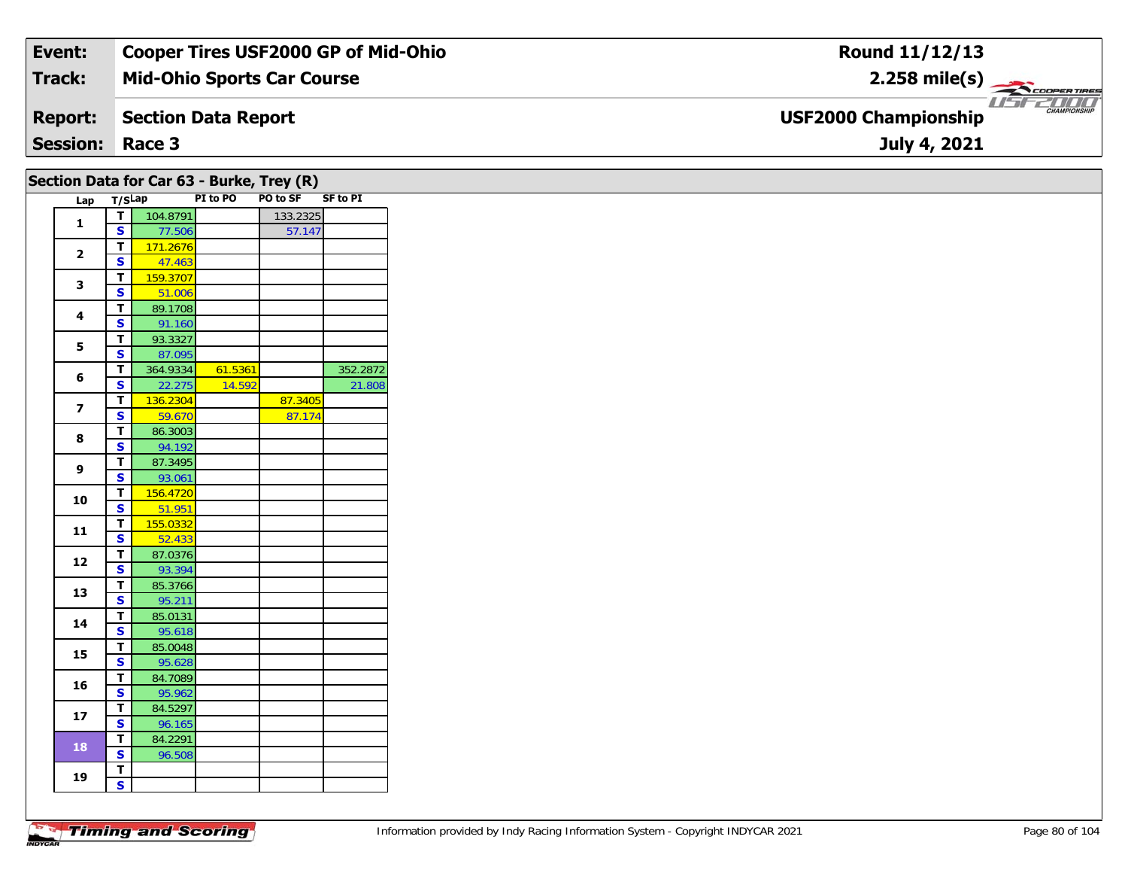#### **Event: Cooper Tires USF2000 GP of Mid-Ohio Round 11/12/13Track:Mid-Ohio Sports Car Course 2.258 mile(s)** COOPERTIRES *USE2000* **Report: Section Data Report USF2000 Championship July 4, 2021 Session: Race 3**

#### Lap T/S<sup>Lap</sup> PI to PO PO to SF SF to PI **11 T** 104.8791 133.2325<br>**S** 77.506 57.147 **2 <sup>T</sup>** 171.2676 **<sup>S</sup>** 47.463**3T** 159.3707<br>**S** 51.006 **44 S** 89.1708 **5 <sup>T</sup>** 93.3327 **<sup>S</sup>** 87.095**6d T** 364.9334 61.5361 352.2872<br>**S** 22.275 14.592 21.808 **7T** 136.2304 87.3405<br>**S** 59.670 87.174 87.174 **8 <sup>T</sup>** 86.3003 **<sup>S</sup>** 94.192**9 <sup>T</sup>** 87.3495 **<sup>S</sup>** 93.061 **10 <sup>T</sup>** 156.4720 **<sup>S</sup>** 51.951**T** 155.0332 **1112 <sup>T</sup>** 87.0376 **<sup>S</sup>** 93.394**133 S**  $\frac{1}{{\mathbf{S}}}$  **B** 95.211 **14 <sup>T</sup>** 85.0131 **<sup>S</sup>** 95.618 **15 <sup>T</sup>** 85.0048 **<sup>S</sup>** 95.628**16 <sup>T</sup>** 84.7089 **<sup>S</sup>** 95.962**17T** 84.5297<br>**S** 96.165 96.165 **18T** 84.2291 96.50 **19 TSSection Data for Car 63 - Burke, Trey (R)**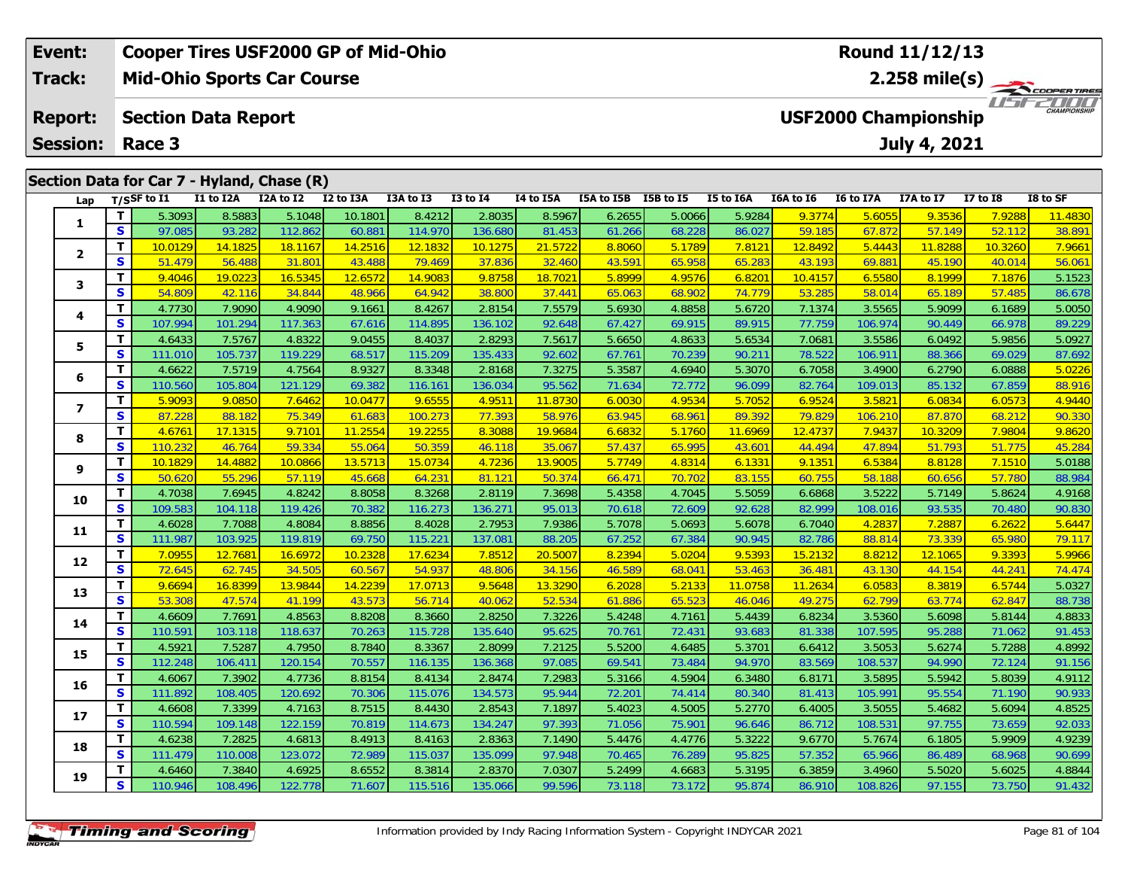| <b>Cooper Tires USF2000 GP of Mid-Ohio</b><br>Event: |          |                |                            |                                            |           |               |                 |           | Round 11/12/13 |                  |           |           |                  |                             |                 |                      |
|------------------------------------------------------|----------|----------------|----------------------------|--------------------------------------------|-----------|---------------|-----------------|-----------|----------------|------------------|-----------|-----------|------------------|-----------------------------|-----------------|----------------------|
| Track:                                               |          |                |                            | <b>Mid-Ohio Sports Car Course</b>          |           |               |                 |           |                |                  |           |           |                  | 2.258 mile(s) $-$           |                 | COOPERTIRES          |
| <b>Report:</b>                                       |          |                | <b>Section Data Report</b> |                                            |           |               |                 |           |                |                  |           |           |                  | <b>USF2000 Championship</b> |                 | 2000<br>CHAMPIONSHIP |
| <b>Session: Race 3</b>                               |          |                |                            |                                            |           |               |                 |           |                |                  |           |           |                  | July 4, 2021                |                 |                      |
|                                                      |          |                |                            | Section Data for Car 7 - Hyland, Chase (R) |           |               |                 |           |                |                  |           |           |                  |                             |                 |                      |
| Lap                                                  |          | $T/S$ SF to I1 | I1 to I2A                  | I2A to I2                                  | I2 to I3A | I3A to I3     | <b>I3 to I4</b> | I4 to I5A | I5A to I5B     | <b>I5B</b> to I5 | I5 to I6A | I6A to I6 | <b>I6 to I7A</b> | I7A to I7                   | <b>I7 to I8</b> | I8 to SF             |
|                                                      |          | 5.3093         | 8.5883                     | 5.1048                                     | 10.1801   | 8.4212        | 2.8035          | 8.5967    | 6.2655         | 5.0066           | 5.9284    | 9.3774    | 5.6055           | 9.3536                      | <b>7.92881</b>  | 11.4830              |
| L.                                                   | <b>S</b> | 97.085         | 93.282                     | 112.862                                    | 60.881    | 114.970       | 136.680         | 81.453    | 61.266         | 68.228           | 86.027    | 59.185    | 67.872           | 57.149                      | 52.112          | 38.891               |
|                                                      |          | 10.0129        | 14.1825                    | 18.1167                                    | 14.2516   | 12.1832       | 10.1275         | 21.5722   | 8.8060         | 5.1789           | 7.8121    | 12.8492   | 5.4443           | 11.8288                     | 10.3260         | 7.9661               |
| $\overline{\mathbf{2}}$                              | <b>S</b> | 51.479         | 56.488                     | 31.801                                     | 43.488    | <b>79.469</b> | 37.836          | 32.460    | 43.591         | 65.958           | 65.283    | 43.193    | 69.881           | 45.190                      | 40.014          | 56.061               |

| 1              |              | 5.3093  | 8.5883  | 5.1048  | 10.1801 | 8.4212  | 2.8035  | 8.5967  | 6.2655 | 5.0066 | 5.9284  | 9.3774  | 5.6055  | 9.3536  | 7.9288  | 11.4830 |
|----------------|--------------|---------|---------|---------|---------|---------|---------|---------|--------|--------|---------|---------|---------|---------|---------|---------|
|                | S            | 97.085  | 93.282  | 112.862 | 60.881  | 114.970 | 136.680 | 81.453  | 61.266 | 68.228 | 86.027  | 59.185  | 67.872  | 57.149  | 52.112  | 38.891  |
|                | T.           | 10.0129 | 14.1825 | 18.1167 | 14.2516 | 12.1832 | 10.1275 | 21.5722 | 8.8060 | 5.1789 | 7.8121  | 12.8492 | 5.4443  | 11.8288 | 10.3260 | 7.9661  |
| $\mathbf{2}$   | S            | 51.479  | 56.488  | 31.801  | 43.488  | 79.469  | 37.836  | 32.460  | 43.591 | 65.958 | 65.283  | 43.193  | 69.881  | 45.190  | 40.014  | 56.061  |
| 3.             | T.           | 9.4046  | 19.0223 | 16.5345 | 12.6572 | 14.9083 | 9.8758  | 18.7021 | 5.8999 | 4.9576 | 6.8201  | 10.4157 | 6.5580  | 8.1999  | 7.1876  | 5.1523  |
|                | S            | 54.809  | 42.116  | 34.844  | 48.966  | 64.942  | 38.800  | 37.441  | 65.063 | 68.902 | 74.779  | 53.285  | 58.014  | 65.189  | 57.485  | 86.678  |
|                | T.           | 4.7730  | 7.9090  | 4.9090  | 9.1661  | 8.4267  | 2.8154  | 7.5579  | 5.6930 | 4.8858 | 5.6720  | 7.1374  | 3.5565  | 5.9099  | 6.1689  | 5.0050  |
| 4              | S            | 107.994 | 101.294 | 117.363 | 67.616  | 114.895 | 136.102 | 92.648  | 67.427 | 69.915 | 89.915  | 77.759  | 106.974 | 90.449  | 66.978  | 89.229  |
| 5.             | T.           | 4.6433  | 7.5767  | 4.8322  | 9.0455  | 8.4037  | 2.8293  | 7.5617  | 5.6650 | 4.8633 | 5.6534  | 7.0681  | 3.5586  | 6.0492  | 5.9856  | 5.0927  |
|                | S            | 111.010 | 105.737 | 119.229 | 68.517  | 115.209 | 135.433 | 92.602  | 67.761 | 70.239 | 90.211  | 78.522  | 106.911 | 88.366  | 69.029  | 87.692  |
| 6              | T.           | 4.6622  | 7.5719  | 4.7564  | 8.9327  | 8.3348  | 2.8168  | 7.3275  | 5.3587 | 4.6940 | 5.3070  | 6.7058  | 3.4900  | 6.2790  | 6.0888  | 5.0226  |
|                | S            | 110.560 | 105.804 | 121.129 | 69.382  | 116.161 | 136.034 | 95.562  | 71.634 | 72.772 | 96.099  | 82.764  | 109.013 | 85.132  | 67.859  | 88.916  |
| $\overline{ }$ | T.           | 5.9093  | 9.0850  | 7.6462  | 10.0477 | 9.6555  | 4.9511  | 11.8730 | 6.0030 | 4.9534 | 5.7052  | 6.9524  | 3.5821  | 6.0834  | 6.0573  | 4.9440  |
|                | S            | 87.228  | 88.182  | 75.349  | 61.683  | 100.273 | 77.393  | 58.976  | 63.945 | 68.961 | 89.392  | 79.829  | 106.210 | 87.870  | 68.212  | 90.330  |
| 8              | T            | 4.6761  | 17.1315 | 9.7101  | 11.2554 | 19.2255 | 8.3088  | 19.9684 | 6.6832 | 5.1760 | 11.6969 | 12.4737 | 7.9437  | 10.3209 | 7.9804  | 9.8620  |
|                | S            | 110.232 | 46.764  | 59.334  | 55.064  | 50.359  | 46.118  | 35.067  | 57.437 | 65.995 | 43.601  | 44.494  | 47.894  | 51.793  | 51.775  | 45.284  |
| 9              | T            | 10.1829 | 14.4882 | 10.0866 | 13.5713 | 15.0734 | 4.7236  | 13.9005 | 5.7749 | 4.8314 | 6.1331  | 9.1351  | 6.5384  | 8.8128  | 7.1510  | 5.0188  |
|                | $\mathbf{s}$ | 50.620  | 55.296  | 57.119  | 45.668  | 64.231  | 81.121  | 50.374  | 66.471 | 70.702 | 83.155  | 60.755  | 58.188  | 60.656  | 57.780  | 88.984  |
| 10             | T            | 4.7038  | 7.6945  | 4.8242  | 8.8058  | 8.3268  | 2.8119  | 7.3698  | 5.4358 | 4.7045 | 5.5059  | 6.6868  | 3.5222  | 5.7149  | 5.8624  | 4.9168  |
|                | S            | 109.583 | 104.118 | 119.426 | 70.382  | 116.273 | 136.271 | 95.013  | 70.618 | 72.609 | 92.628  | 82.999  | 108.016 | 93.535  | 70.480  | 90.830  |
| 11             | T.           | 4.6028  | 7.7088  | 4.8084  | 8.8856  | 8.4028  | 2.7953  | 7.9386  | 5.7078 | 5.0693 | 5.6078  | 6.7040  | 4.2837  | 7.2887  | 6.2622  | 5.6447  |
|                | S            | 111.987 | 103.925 | 119.819 | 69.750  | 115.221 | 137.081 | 88.205  | 67.252 | 67.384 | 90.945  | 82.786  | 88.814  | 73.339  | 65.980  | 79.117  |
| 12             | T            | 7.0955  | 12.7681 | 16.6972 | 10.2328 | 17.6234 | 7.8512  | 20.5007 | 8.2394 | 5.0204 | 9.5393  | 15.2132 | 8.8212  | 12.1065 | 9.3393  | 5.9966  |
|                | S            | 72.645  | 62.745  | 34.505  | 60.567  | 54.937  | 48.806  | 34.156  | 46.589 | 68.041 | 53.463  | 36.481  | 43.130  | 44.154  | 44.241  | 74.474  |
| 13             | T.           | 9.6694  | 16.8399 | 13.9844 | 14.2239 | 17.0713 | 9.5648  | 13.3290 | 6.2028 | 5.2133 | 11.0758 | 11.2634 | 6.0583  | 8.3819  | 6.5744  | 5.0327  |
|                | S            | 53.308  | 47.574  | 41.199  | 43.573  | 56.714  | 40.062  | 52.534  | 61.886 | 65.523 | 46.046  | 49.275  | 62.799  | 63.774  | 62.847  | 88.738  |
| 14             | T.           | 4.6609  | 7.7691  | 4.8563  | 8.8208  | 8.3660  | 2.8250  | 7.3226  | 5.4248 | 4.7161 | 5.4439  | 6.8234  | 3.5360  | 5.6098  | 5.8144  | 4.8833  |
|                | S            | 110.591 | 103.118 | 118.637 | 70.263  | 115.728 | 135.640 | 95.625  | 70.761 | 72.431 | 93.683  | 81.338  | 107.595 | 95.288  | 71.062  | 91.453  |
| 15             | T.           | 4.5921  | 7.5287  | 4.7950  | 8.7840  | 8.3367  | 2.8099  | 7.2125  | 5.5200 | 4.6485 | 5.3701  | 6.6412  | 3.5053  | 5.6274  | 5.7288  | 4.8992  |
|                | S            | 112.248 | 106.411 | 120.154 | 70.557  | 116.135 | 136.368 | 97.085  | 69.541 | 73.484 | 94.970  | 83.569  | 108.537 | 94.990  | 72.124  | 91.156  |
| 16             | T.           | 4.6067  | 7.3902  | 4.7736  | 8.8154  | 8.4134  | 2.8474  | 7.2983  | 5.3166 | 4.5904 | 6.3480  | 6.8171  | 3.5895  | 5.5942  | 5.8039  | 4.9112  |
|                | S            | 111.892 | 108.405 | 120.692 | 70.306  | 115.076 | 134.573 | 95.944  | 72.201 | 74.414 | 80.340  | 81.413  | 105.991 | 95.554  | 71.190  | 90.933  |
| 17             | T.           | 4.6608  | 7.3399  | 4.7163  | 8.7515  | 8.4430  | 2.8543  | 7.1897  | 5.4023 | 4.5005 | 5.2770  | 6.4005  | 3.5055  | 5.4682  | 5.6094  | 4.8525  |
|                | S            | 110.594 | 109.148 | 122.159 | 70.819  | 114.673 | 134.247 | 97.393  | 71.056 | 75.901 | 96.646  | 86.712  | 108.531 | 97.755  | 73.659  | 92.033  |
| 18             | T.           | 4.6238  | 7.2825  | 4.6813  | 8.4913  | 8.4163  | 2.8363  | 7.1490  | 5.4476 | 4.4776 | 5.3222  | 9.6770  | 5.7674  | 6.1805  | 5.9909  | 4.9239  |
|                | S            | 111.479 | 110.008 | 123.072 | 72.989  | 115.037 | 135.099 | 97.948  | 70.465 | 76.289 | 95.825  | 57.352  | 65.966  | 86.489  | 68.968  | 90.699  |
| 19             | T.           | 4.6460  | 7.3840  | 4.6925  | 8.6552  | 8.3814  | 2.8370  | 7.0307  | 5.2499 | 4.6683 | 5.3195  | 6.3859  | 3.4960  | 5.5020  | 5.6025  | 4.8844  |
|                | S            | 110.946 | 108.496 | 122.778 | 71.607  | 115.516 | 135.066 | 99.596  | 73.118 | 73.172 | 95.874  | 86.910  | 108.826 | 97.155  | 73.750  | 91.432  |
|                |              |         |         |         |         |         |         |         |        |        |         |         |         |         |         |         |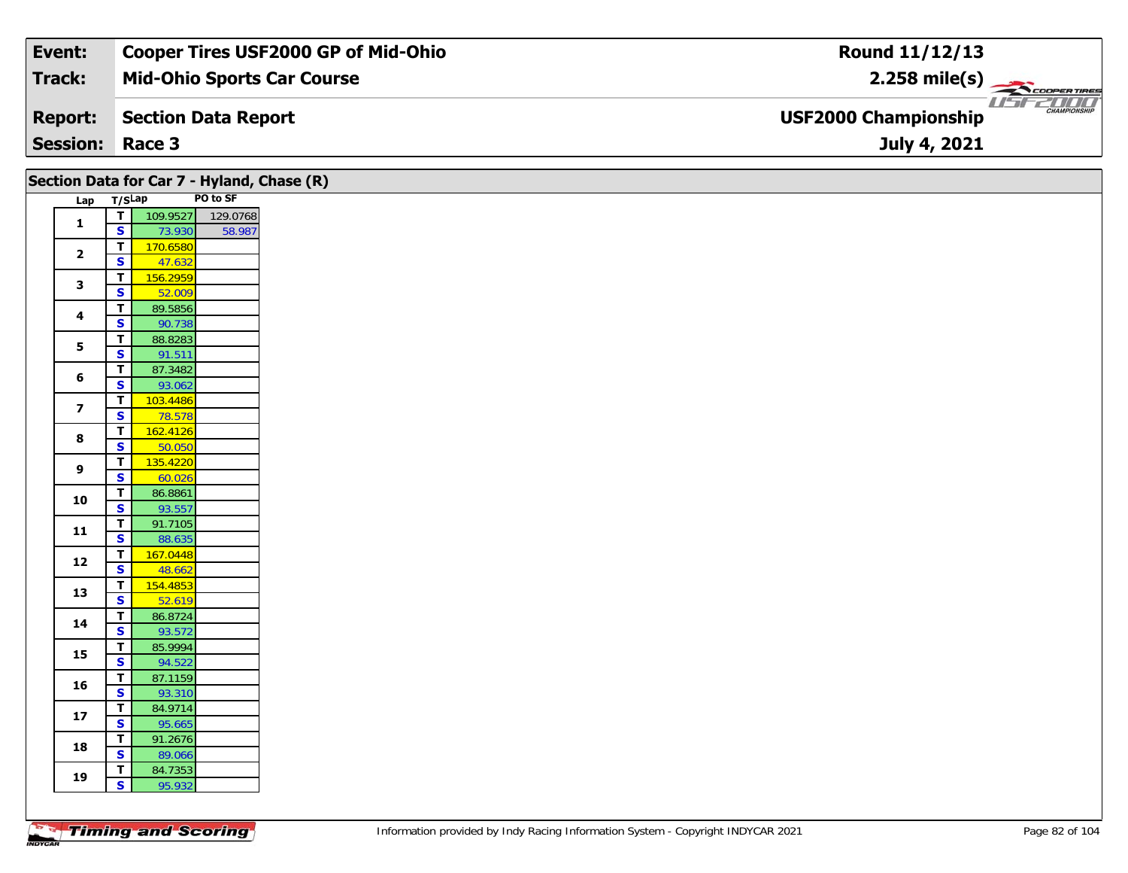| Event:                 | <b>Cooper Tires USF2000 GP of Mid-Ohio</b> | Round 11/12/13                                             |
|------------------------|--------------------------------------------|------------------------------------------------------------|
| Track:                 | <b>Mid-Ohio Sports Car Course</b>          | $2.258$ mile(s)                                            |
| <b>Report:</b>         | Section Data Report                        | 2000<br><b>CHAMPIONSHIP</b><br><b>USF2000 Championship</b> |
| <b>Session: Race 3</b> |                                            | July 4, 2021                                               |

|                         |                                        | Section Data for Car 7 - Hyland, Chase (R) |  |
|-------------------------|----------------------------------------|--------------------------------------------|--|
| Lap                     | T/SLap                                 | PO to SF                                   |  |
| $\mathbf{1}$            | $\overline{\mathbf{T}}$                | 109.9527<br>129.0768                       |  |
|                         | $\overline{\mathbf{s}}$                | 73.930<br>58.987                           |  |
| $\overline{\mathbf{2}}$ | $\mathbf T$                            | 170.6580                                   |  |
|                         | $\overline{\mathbf{s}}$                | 47.632                                     |  |
| $\mathbf{3}$            | $\overline{\mathbf{T}}$                | 156.2959                                   |  |
|                         | $\mathbf{s}$                           | 52.009                                     |  |
| 4                       | $\overline{\mathbf{T}}$                | 89.5856                                    |  |
|                         | S<br>$\mathbf T$                       | 90.738<br>88.8283                          |  |
| $\mathbf{5}$            | $\overline{\mathbf{s}}$                | 91.511                                     |  |
|                         | $\overline{\mathbf{T}}$                | 87.3482                                    |  |
| 6                       | $\mathbf{s}$                           | 93.062                                     |  |
|                         | $\overline{\mathbf{T}}$                | 103.4486                                   |  |
| $\overline{\mathbf{z}}$ | S                                      | 78.578                                     |  |
| 8                       | $\mathbf T$                            | 162.4126                                   |  |
|                         | $\overline{\mathbf{s}}$                | 50.050                                     |  |
| 9                       | $\mathbf T$                            | 135.4220                                   |  |
|                         | $\overline{\mathbf{s}}$                | 60.026                                     |  |
| 10                      | $\mathbf T$                            | 86.8861                                    |  |
|                         | $\overline{\mathbf{s}}$                | 93.557                                     |  |
| $11$                    | $\mathbf T$<br>$\overline{\mathbf{s}}$ | 91.7105<br>88.635                          |  |
|                         | $\mathbf T$                            | 167.0448                                   |  |
| 12                      | $\overline{\mathbf{s}}$                | 48.662                                     |  |
|                         | T                                      | 154.4853                                   |  |
| 13                      | $\overline{\mathbf{s}}$                | 52.619                                     |  |
| $14$                    | $\mathbf T$                            | 86.8724                                    |  |
|                         | $\overline{\mathbf{s}}$                | 93.572                                     |  |
| 15                      | $\mathbf T$                            | 85.9994                                    |  |
|                         | $\overline{\mathbf{s}}$                | 94.522                                     |  |
| 16                      | T<br>$\mathbf{s}$                      | 87.1159<br>93.310                          |  |
|                         | $\mathbf T$                            | 84.9714                                    |  |
| ${\bf 17}$              | $\overline{\mathbf{s}}$                | 95.665                                     |  |
|                         | $\mathbf T$                            | 91.2676                                    |  |
| 18                      | $\overline{\mathbf{s}}$                | 89.066                                     |  |
|                         | T                                      | 84.7353                                    |  |
| 19                      | $\overline{\mathbf{s}}$                | 95.932                                     |  |
|                         |                                        |                                            |  |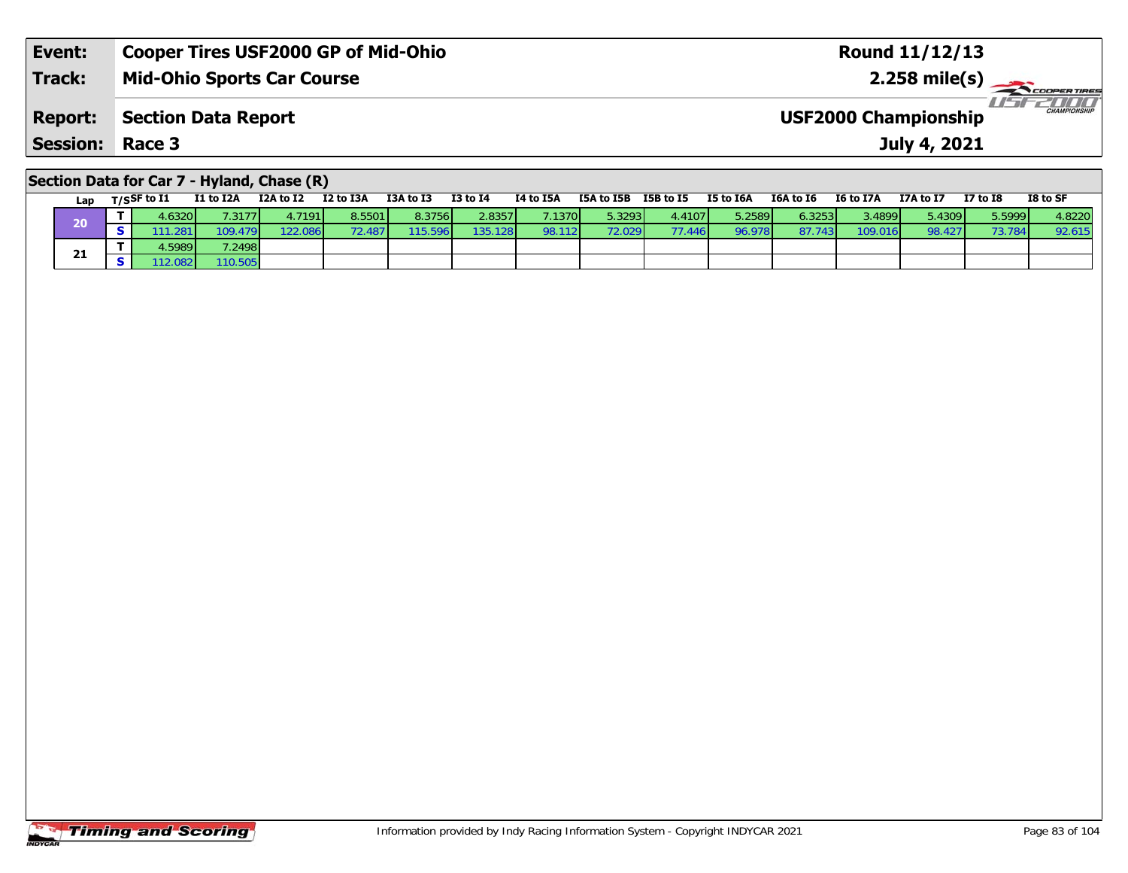| Event:                 | <b>Cooper Tires USF2000 GP of Mid-Ohio</b> | <b>Round 11/12/13</b>                              |
|------------------------|--------------------------------------------|----------------------------------------------------|
| <b>Track:</b>          | Mid-Ohio Sports Car Course                 | $2.258 \text{ mile(s)}$                            |
| <b>Report:</b>         | Section Data Report                        | <b>CHAMPIONSHIP</b><br><b>USF2000 Championship</b> |
| <b>Session: Race 3</b> |                                            | July 4, 2021                                       |
|                        |                                            |                                                    |

### **Section Data for Car 7 - Hyland, Chase (R)**

| Lap | T/SSF to I1 | I1 to I2A | I2A to I2 | I2 to I3A | I3A to I3 | <b>I3 to I4</b> | I4 to I5A | I5A to I5B | I5B to I5 | I5 to I6A | I6A to I6 | <b>I6 to I7A</b> | I7A to I7 | <b>I7 to I8</b> | I8 to SF |
|-----|-------------|-----------|-----------|-----------|-----------|-----------------|-----------|------------|-----------|-----------|-----------|------------------|-----------|-----------------|----------|
| 20  | .6320       | 1.3177    | 1.7191 l  | 8.5501    | 8.3756    | 2.8357          | .1370     | 5.32931    | 4.4107    | 5.2589    | 6.3253    | 3.4899 V         | 5.4309    | 5.5999          | 4.8220   |
|     | .281        | 109.479   | 122.086   |           | 596       | 135.128         | 98.112    | 72.029 I   | 77.446    | 96.978    | 97.74.    | 109.0            | 98.427    | 73.78           | 92.61.   |
| 21  | .59891      | 7.2498    |           |           |           |                 |           |            |           |           |           |                  |           |                 |          |
|     | 12.082      | 10.505    |           |           |           |                 |           |            |           |           |           |                  |           |                 |          |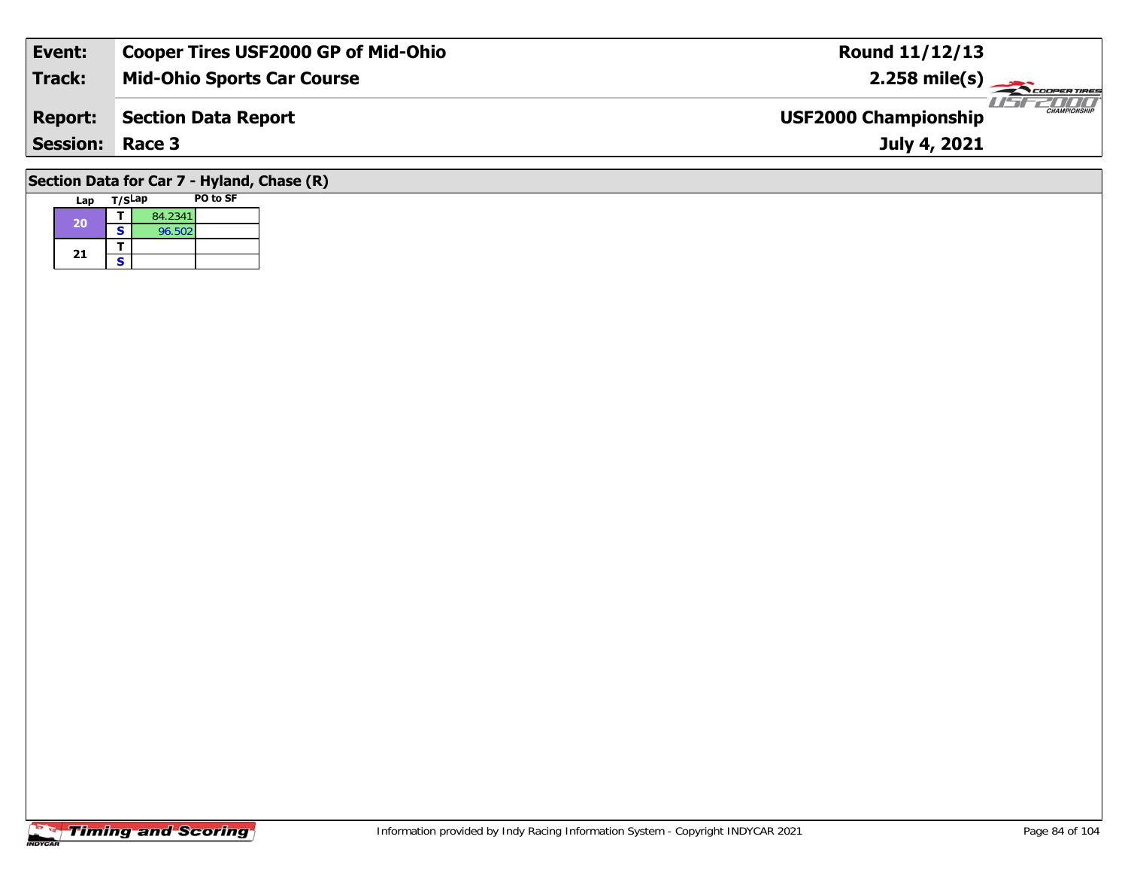| Event:          | <b>Cooper Tires USF2000 GP of Mid-Ohio</b> | <b>Round 11/12/13</b>                              |
|-----------------|--------------------------------------------|----------------------------------------------------|
| Track:          | <b>Mid-Ohio Sports Car Course</b>          | $2.258$ mile(s)                                    |
| <b>Report:</b>  | Section Data Report                        | <b>CHAMPIONSHIP</b><br><b>USF2000 Championship</b> |
| <b>Session:</b> | Race 3                                     | July 4, 2021                                       |
|                 | Section Data for Car 7 - Hyland, Chase (R) |                                                    |

#### **Lap T/SLap PO to SF 20d T** 84.2341 21  $\frac{1}{s}$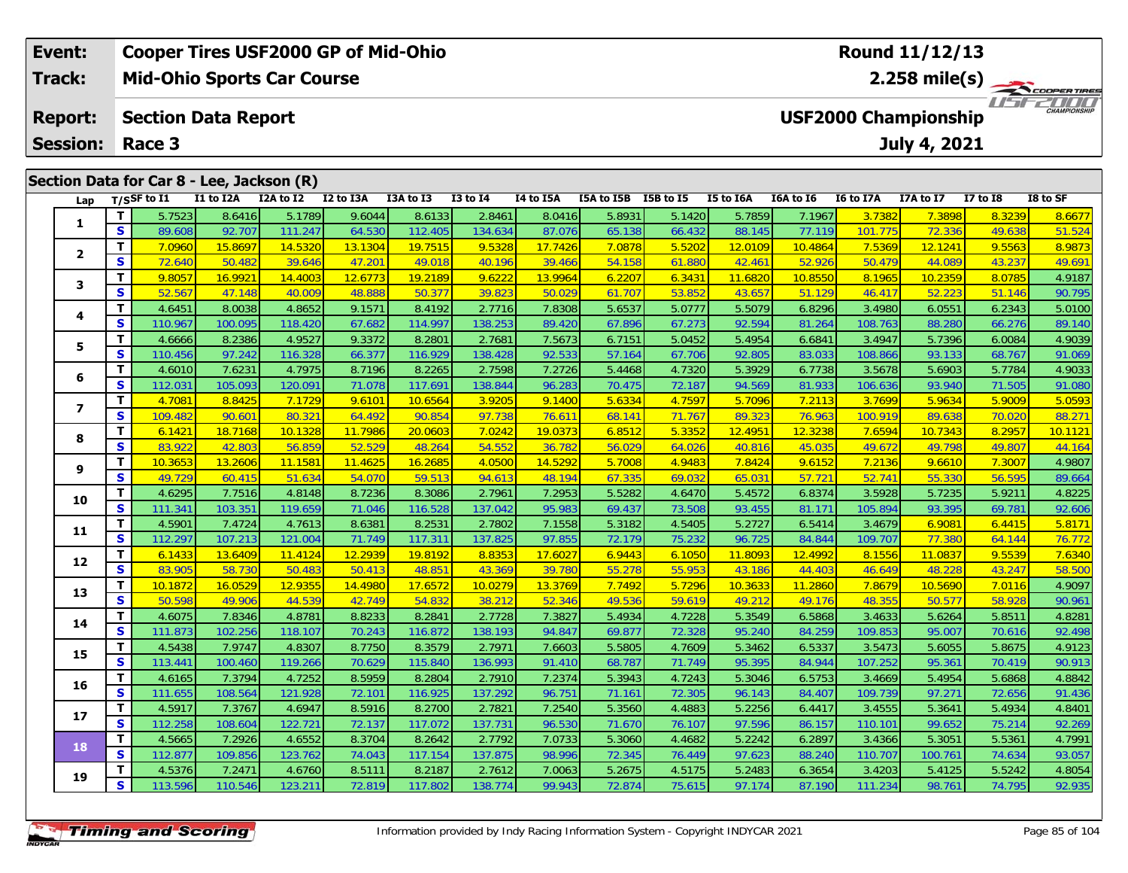| <b>Cooper Tires USF2000 GP of Mid-Ohio</b><br>Event: |          |                                                      |           |                                           |           |           |              |           | Round 11/12/13 |                  |           |           |                  |                                             |              |                     |
|------------------------------------------------------|----------|------------------------------------------------------|-----------|-------------------------------------------|-----------|-----------|--------------|-----------|----------------|------------------|-----------|-----------|------------------|---------------------------------------------|--------------|---------------------|
| Track:                                               |          |                                                      |           | <b>Mid-Ohio Sports Car Course</b>         |           |           |              |           |                |                  |           |           |                  | 2.258 mile(s) $-$                           |              | COOPER TIRES        |
| <b>Report:</b>                                       |          | <b>Section Data Report</b><br><b>Session: Race 3</b> |           |                                           |           |           |              |           |                |                  |           |           |                  | <b>USF2000 Championship</b><br>July 4, 2021 |              | <b>CHAMPIONSHIP</b> |
|                                                      |          |                                                      |           |                                           |           |           |              |           |                |                  |           |           |                  |                                             |              |                     |
|                                                      |          |                                                      |           | Section Data for Car 8 - Lee, Jackson (R) |           |           |              |           |                |                  |           |           |                  |                                             |              |                     |
| Lap                                                  |          | $T/S$ SF to I1                                       | I1 to I2A | I2A to I2                                 | I2 to I3A | I3A to I3 | $I3$ to $I4$ | I4 to I5A | I5A to I5B     | <b>I5B</b> to I5 | I5 to I6A | I6A to I6 | <b>I6 to I7A</b> | I7A to I7                                   | $I7$ to $I8$ | I8 to SF            |
|                                                      |          | 5.7523                                               | 8.6416    | 5.1789                                    | 9.6044    | 8.6133    | 2.8461       | 8.0416    | 5.8931         | 5.1420           | 5.7859    | 7.1967    | 3.7382           | 7.3898                                      | 8.3239       | 8.6677              |
|                                                      | <b>S</b> | 89.608                                               | 92.707    | 111.247                                   | 64.530    | 112.405   | 134.634      | 87.076    | 65.138         | 66.432           | 88.145    | 77.119    | 101.775          | 72.336                                      | 49.638       | 51.524              |
| $\overline{\mathbf{2}}$                              |          | 7.0960                                               | 15.8697   | 14.5320                                   | 13.1304   | 19.7515   | 9.5328       | 17.7426   | 7.0878         | 5.5202           | 12.0109   | 10.4864   | 7.5369           | 12.1241                                     | 9.5563       | 8.9873              |
|                                                      | <b>S</b> | 72.640                                               | 50.482    | 39.646                                    | 47.201    | 49.018    | 40.196       | 39.466    | 54.158         | 61.880           | 42.461    | 52.926    | 50.479           | 44.089                                      | 43.237       | 49.691              |

**<sup>T</sup>** 9.8057 16.9921 14.4003 12.6773 19.2189 9.6222 13.9964 6.2207 6.3431 11.6820 10.8550 8.1965 10.2359 8.0785 4.9187 **<sup>S</sup>** 52.567 47.148 40.009 48.888 50.377 39.823 50.029 61.707 53.852 43.657 51.129 46.417 52.223 51.146 90.795

**<sup>T</sup>** 4.6451 8.0038 4.8652 9.1571 8.4192 2.7716 7.8308 5.6537 5.0777 5.5079 6.8296 3.4980 6.0551 6.2343 5.0100 **<sup>S</sup>** 110.967 100.095 118.420 67.682 114.997 138.253 89.420 67.896 67.273 92.594 81.264 108.763 88.280 66.276 89.140

5 T 4.6666 8.2386 4.9527 9.3372 8.2801 2.7681 7.5673 6.7151 5.0452 5.4954 6.6841 3.4947 5.7396 6.0084 4.9039<br>5 S 110.456 97.242 116.328 66.377 116.929 138.428 92.533 57.164 67.706 92.805 83.033 108.866 93.133 68.767 91.069

**<sup>T</sup>** 4.6010 7.6231 4.7975 8.7196 8.2265 2.7598 7.2726 5.4468 4.7320 5.3929 6.7738 3.5678 5.6903 5.7784 4.9033 **<sup>S</sup>** 112.031 105.093 120.091 71.078 117.691 138.844 96.283 70.475 72.187 94.569 81.933 106.636 93.940 71.505 91.080

7 | T | 4.7081 | 8.8425 | 7.1729 | 9.6101 | 10.6564 | 3.9205 | 9.1400 | 5.6334 | 4.7597 | 5.7096 | 7.2113 | 3.7699 | 5.9634 | 5.9009 | 5.0593<br>7 | S | 109.482 | 90.601 | 80.321 | 64.492 | 90.854 | 97.738 | 76.611 | 68.141 |

8 | **T |** 6.1421 18.7168 10.1328 11.7986 20.0603 7.0242 19.0373 6.8512 5.3352 12.4951 12.3238 7.6594 10.7343 8.2957 10.1121<br>8 | S | 83.922 42.803 56.859 52.529 48.264 54.552 36.782 56.029 64.026 40.816 45.035 49.672 49.798

|    | т | <mark>10.3653</mark> | 13.2606 | 11.1581 | 11.4625 | 16.2685 | 4.0500  | 14.5292 | 5.7008 | 4.9483 | 7.8424  | 9.6152  | 7.2136  | 9.6610  | 7.3007 | 4.9807 |
|----|---|----------------------|---------|---------|---------|---------|---------|---------|--------|--------|---------|---------|---------|---------|--------|--------|
| 9  | S | 49.729               | 60.415  | 51.634  | 54.070  | 59.513  | 94.613  | 48.194  | 67.335 | 69.032 | 65.031  | 57.721  | 52.741  | 55.330  | 56.595 | 89.664 |
|    | т | 4.6295               | 7.7516  | 4.8148  | 8.7236  | 8.3086  | 2.7961  | 7.2953  | 5.5282 | 4.6470 | 5.4572  | 6.8374  | 3.5928  | 5.7235  | 5.9211 | 4.8225 |
| 10 | S | 111.341              | 103.351 | 119.659 | 71.046  | 116.528 | 137.042 | 95.983  | 69.437 | 73.508 | 93.455  | 81.171  | 105.894 | 93.395  | 69.781 | 92.606 |
| 11 | т | 4.5901               | 7.4724  | 4.7613  | 8.6381  | 8.2531  | 2.7802  | 7.1558  | 5.3182 | 4.5405 | 5.2727  | 6.5414  | 3.4679  | 6.9081  | 6.4415 | 5.8171 |
|    | S | 112.297              | 107.213 | 121.004 | 71.749  | 117.311 | 137.825 | 97.855  | 72.179 | 75.232 | 96.725  | 84.844  | 109.707 | 77.380  | 64.144 | 76.772 |
|    | т | 6.1433               | 13.6409 | 11.4124 | 12.2939 | 19.8192 | 8.8353  | 17.6027 | 6.9443 | 6.1050 | 11.8093 | 12.4992 | 8.1556  | 11.0837 | 9.5539 | 7.6340 |
| 12 | S | 83.905               | 58.730  | 50.483  | 50.413  | 48.851  | 43.369  | 39.780  | 55.278 | 55.953 | 43.186  | 44.403  | 46.649  | 48.228  | 43.247 | 58.500 |
| 13 | т | 10.1872              | 16.0529 | 12.9355 | 14.4980 | 17.6572 | 10.0279 | 13.3769 | 7.7492 | 5.7296 | 10.3633 | 11.2860 | 7.8679  | 10.5690 | 7.0116 | 4.9097 |
|    | S | 50.598               | 49.906  | 44.539  | 42.749  | 54.832  | 38.212  | 52.346  | 49.536 | 59.619 | 49.212  | 49.176  | 48.355  | 50.577  | 58.928 | 90.961 |
| 14 | т | 4.6075               | 7.8346  | 4.8781  | 8.8233  | 8.2841  | 2.7728  | 7.3827  | 5.4934 | 4.7228 | 5.3549  | 6.5868  | 3.4633  | 5.6264  | 5.8511 | 4.8281 |
|    | S | 111.873              | 102.256 | 118.107 | 70.243  | 116.872 | 138.193 | 94.847  | 69.877 | 72.328 | 95.240  | 84.259  | 109.853 | 95.007  | 70.616 | 92.498 |
| 15 | т | 4.5438               | 7.9747  | 4.8307  | 8.7750  | 8.3579  | 2.7971  | 7.6603  | 5.5805 | 4.7609 | 5.3462  | 6.5337  | 3.5473  | 5.6055  | 5.8675 | 4.9123 |
|    | S | 113.441              | 100.460 | 119.266 | 70.629  | 115.840 | 136.993 | 91.410  | 68.787 | 71.749 | 95.395  | 84.944  | 107.252 | 95.361  | 70.419 | 90.913 |
| 16 | т | 4.6165               | 7.3794  | 4.7252  | 8.5959  | 8.2804  | 2.7910  | 7.2374  | 5.3943 | 4.7243 | 5.3046  | 6.5753  | 3.4669  | 5.4954  | 5.6868 | 4.8842 |
|    | S | 111.655              | 108.564 | 121.928 | 72.101  | 116.925 | 137.292 | 96.751  | 71.161 | 72.305 | 96.143  | 84.407  | 109.739 | 97.271  | 72.656 | 91.436 |
| 17 | т | 4.5917               | 7.3767  | 4.6947  | 8.5916  | 8.2700  | 2.7821  | 7.2540  | 5.3560 | 4.4883 | 5.2256  | 6.4417  | 3.4555  | 5.3641  | 5.4934 | 4.8401 |
|    | S | 112.258              | 108.604 | 122.721 | 72.137  | 117.072 | 137.731 | 96.530  | 71.670 | 76.107 | 97.596  | 86.157  | 110.101 | 99.652  | 75.214 | 92.269 |
| 18 | т | 4.5665               | 7.2926  | 4.6552  | 8.3704  | 8.2642  | 2.7792  | 7.0733  | 5.3060 | 4.4682 | 5.2242  | 6.2897  | 3.4366  | 5.3051  | 5.5361 | 4.7991 |
|    | S | 112.877              | 109.856 | 123.762 | 74.043  | 117.154 | 137.875 | 98.996  | 72.345 | 76.449 | 97.623  | 88.240  | 110.707 | 100.761 | 74.634 | 93.057 |
| 19 | т | 4.5376               | 7.2471  | 4.6760  | 8.5111  | 8.2187  | 2.7612  | 7.0063  | 5.2675 | 4.5175 | 5.2483  | 6.3654  | 3.4203  | 5.4125  | 5.5242 | 4.8054 |
|    | S | 113.596              | 110.546 | 123.211 | 72.819  | 117.802 | 138.774 | 99.943  | 72.874 | 75.615 | 97.174  | 87.190  | 111.234 | 98.761  | 74.795 | 92.935 |
|    |   |                      |         |         |         |         |         |         |        |        |         |         |         |         |        |        |
|    |   |                      |         |         |         |         |         |         |        |        |         |         |         |         |        |        |

**3**

**4**

**5**

**6**

**7**

**8**

89.140

88.271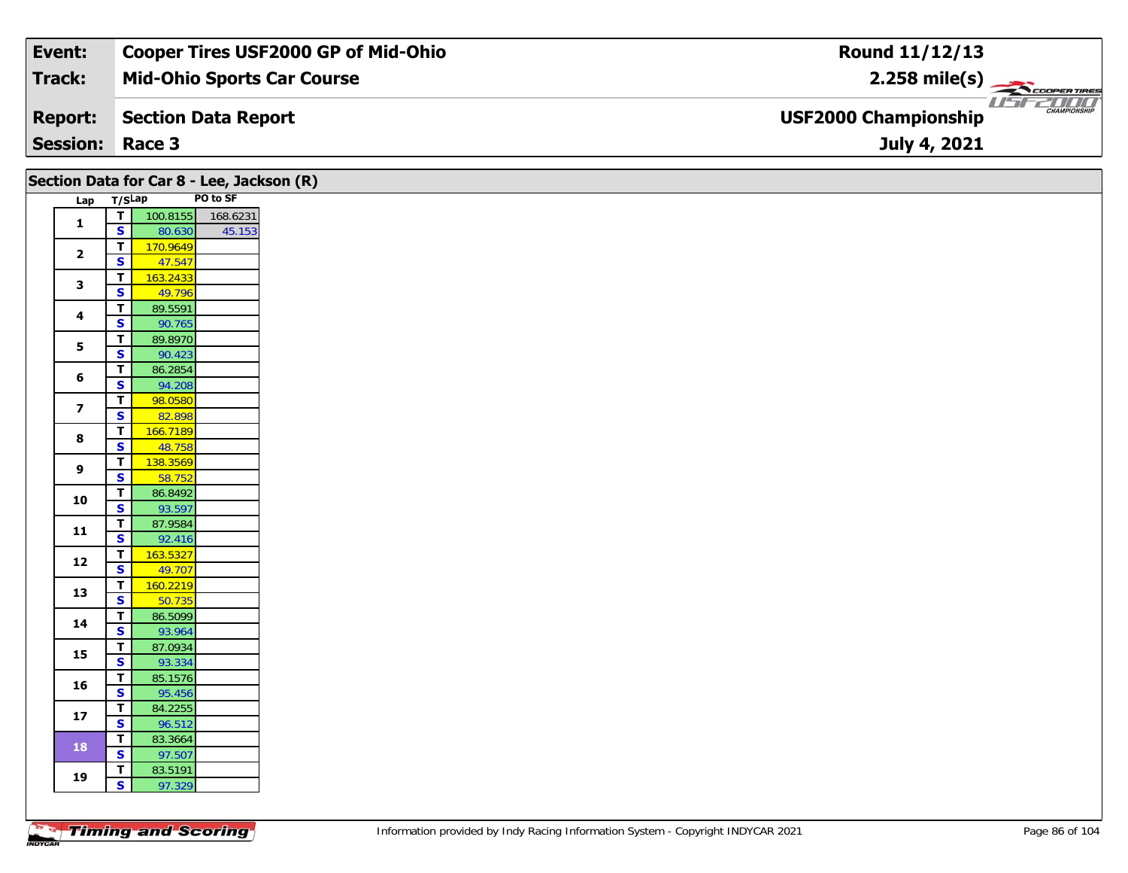| Event:          | Cooper Tires USF2000 GP of Mid-Ohio | Round 11/12/13                                                 |
|-----------------|-------------------------------------|----------------------------------------------------------------|
| Track:          | <b>Mid-Ohio Sports Car Course</b>   | $2.258 \text{ mile(s)}$                                        |
| <b>Report:</b>  | Section Data Report                 | USFZDOO'<br><b>CHAMPIONSHIP</b><br><b>USF2000 Championship</b> |
| <b>Session:</b> | Race 3                              | July 4, 2021                                                   |

|                         |                                                    | Section Data for Car 8 - Lee, Jackson (R) |          |  |
|-------------------------|----------------------------------------------------|-------------------------------------------|----------|--|
| Lap                     | T/SLap                                             |                                           | PO to SF |  |
| $\mathbf{1}$            | $\top$                                             | 100.8155                                  | 168.6231 |  |
|                         | $\mathbf{s}$                                       | 80.630                                    | 45.153   |  |
| $\overline{2}$          | $\overline{1}$                                     | 170.9649                                  |          |  |
|                         | $\mathsf{s}$                                       | 47.547                                    |          |  |
| $\mathbf{3}$            | $\overline{\mathsf{T}}$                            | 163.2433                                  |          |  |
|                         | $\overline{\mathbf{s}}$                            | 49.796                                    |          |  |
| 4                       | $\overline{\mathsf{r}}$                            | 89.5591                                   |          |  |
|                         | $\mathbf{s}$                                       | 90.765                                    |          |  |
| $\overline{\mathbf{5}}$ | $\overline{I}$<br>$\overline{\mathbf{s}}$          | 89.8970                                   |          |  |
|                         |                                                    | 90.423                                    |          |  |
| 6                       | $\overline{\mathsf{r}}$<br>$\overline{\mathbf{s}}$ | 86.2854                                   |          |  |
|                         | $\overline{\mathbf{r}}$                            | 94.208<br>98.0580                         |          |  |
| $\overline{\mathbf{z}}$ | $\overline{\mathbf{s}}$                            | 82.898                                    |          |  |
|                         | $\overline{1}$                                     | 166.7189                                  |          |  |
| 8                       | $\overline{\mathbf{s}}$                            | 48.758                                    |          |  |
|                         | $\overline{\mathsf{r}}$                            | 138.3569                                  |          |  |
| $\boldsymbol{9}$        | $\mathbf{s}$                                       | 58.752                                    |          |  |
|                         | $\overline{1}$                                     | 86.8492                                   |          |  |
| 10                      | $\overline{\mathbf{s}}$                            | 93.597                                    |          |  |
|                         | $\overline{1}$                                     | 87.9584                                   |          |  |
| $11$                    | $\mathbf{s}$                                       | 92.416                                    |          |  |
| 12                      | $\overline{\mathsf{T}}$                            | 163.5327                                  |          |  |
|                         | $\overline{\mathbf{s}}$                            | 49.707                                    |          |  |
| 13                      | $\overline{I}$                                     | 160.2219                                  |          |  |
|                         | $\overline{\mathbf{s}}$                            | 50.735                                    |          |  |
| 14                      | $\overline{t}$                                     | 86.5099                                   |          |  |
|                         | $\mathsf{s}$                                       | 93.964                                    |          |  |
| 15                      | $\overline{\mathbf{r}}$<br>$\overline{\mathbf{s}}$ | 87.0934<br>93.334                         |          |  |
|                         | $\mathbf{T}$                                       | 85.1576                                   |          |  |
| 16                      | $\mathbf{s}$                                       | 95.456                                    |          |  |
|                         | $\overline{\mathsf{r}}$                            | 84.2255                                   |          |  |
| $\bf 17$                | $\overline{\mathbf{s}}$                            | 96.512                                    |          |  |
|                         | $\overline{\mathbf{T}}$                            | 83.3664                                   |          |  |
| 18                      | $\overline{\mathbf{s}}$                            | 97.507                                    |          |  |
|                         | $\overline{1}$                                     | 83.5191                                   |          |  |
| 19                      | $\mathsf{s}$                                       | 97.329                                    |          |  |
|                         |                                                    |                                           |          |  |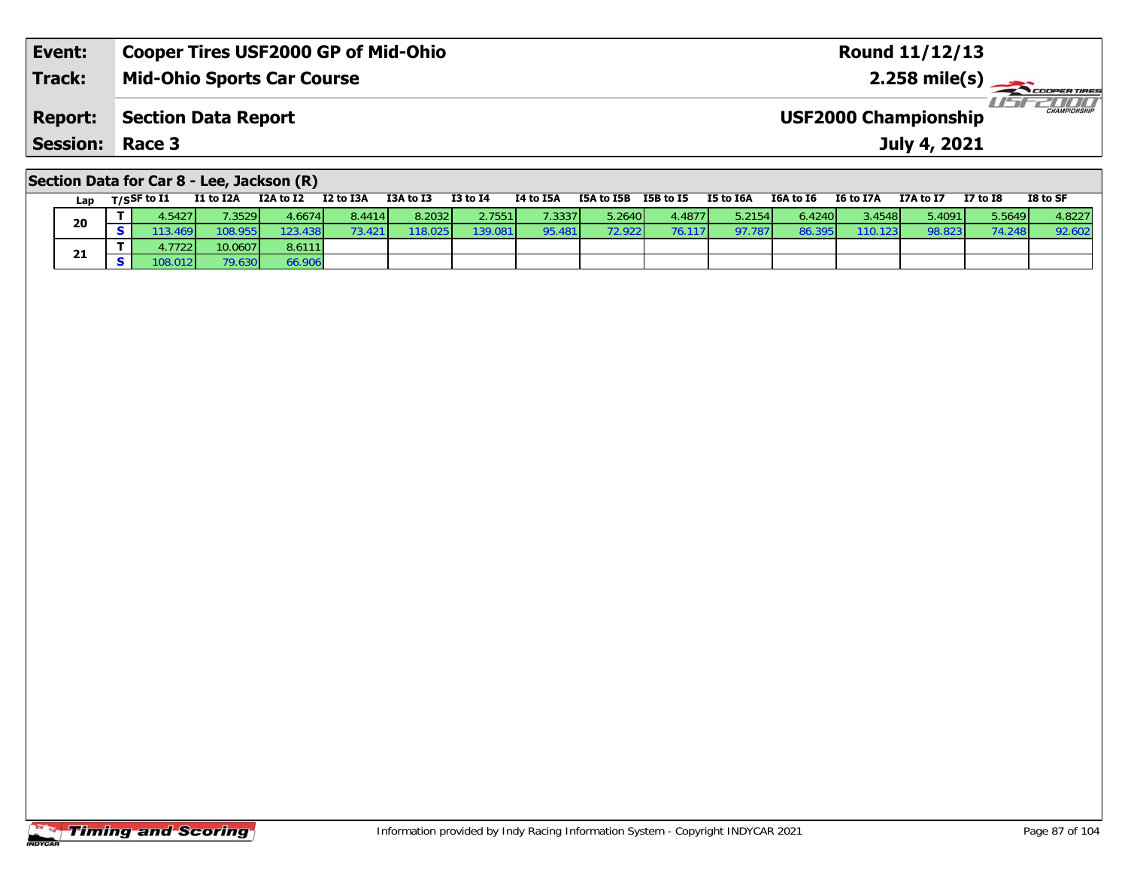| Event:                 | <b>Cooper Tires USF2000 GP of Mid-Ohio</b> | <b>Round 11/12/13</b>                              |
|------------------------|--------------------------------------------|----------------------------------------------------|
| <b>Track:</b>          | Mid-Ohio Sports Car Course                 | $2.258 \text{ mile(s)}$                            |
| <b>Report:</b>         | Section Data Report                        | <b>CHAMPIONSHIP</b><br><b>USF2000 Championship</b> |
| <b>Session: Race 3</b> |                                            | July 4, 2021                                       |
|                        |                                            |                                                    |

# **Section Data for Car 8 - Lee, Jackson (R)**

| Lap | $T/S$ SF to $I1$ | I1 to I2A | I2A to I2 | I2 to I3A | I3A to I3 | $I3$ to $I4$ | I4 to I5A | I5A to I5B      | I5B to I5       | I5 to I6A | I6A to I6 | I6 to I7A | I7A to I7 | <b>I7 to I8</b> | I8 to SF |
|-----|------------------|-----------|-----------|-----------|-----------|--------------|-----------|-----------------|-----------------|-----------|-----------|-----------|-----------|-----------------|----------|
| 20  | 4.5427           | .35291    | 4.66741   | 8.4414    | 8.2032    | 2.7551       | 7.3337    | 5.2640 <b>1</b> | 4.4877 <b>I</b> | 5.2154    | 6.42401   | 3.4548    | 5.4091    | 5.5649          | 4.8227   |
|     | .3.469V          | 108.955   | 123.438   | 3.421     | 118.025   | 139.081      | 95.481    | <b>72.9221</b>  | 76.117          | 97.787    | 86.395    | 110.123   | 98.823    | 74.248          | 92.602   |
|     | ا 7722.          | 10.0607   | 8.6111    |           |           |              |           |                 |                 |           |           |           |           |                 |          |
| 21  | 08.012           | 79.630    | 66.906    |           |           |              |           |                 |                 |           |           |           |           |                 |          |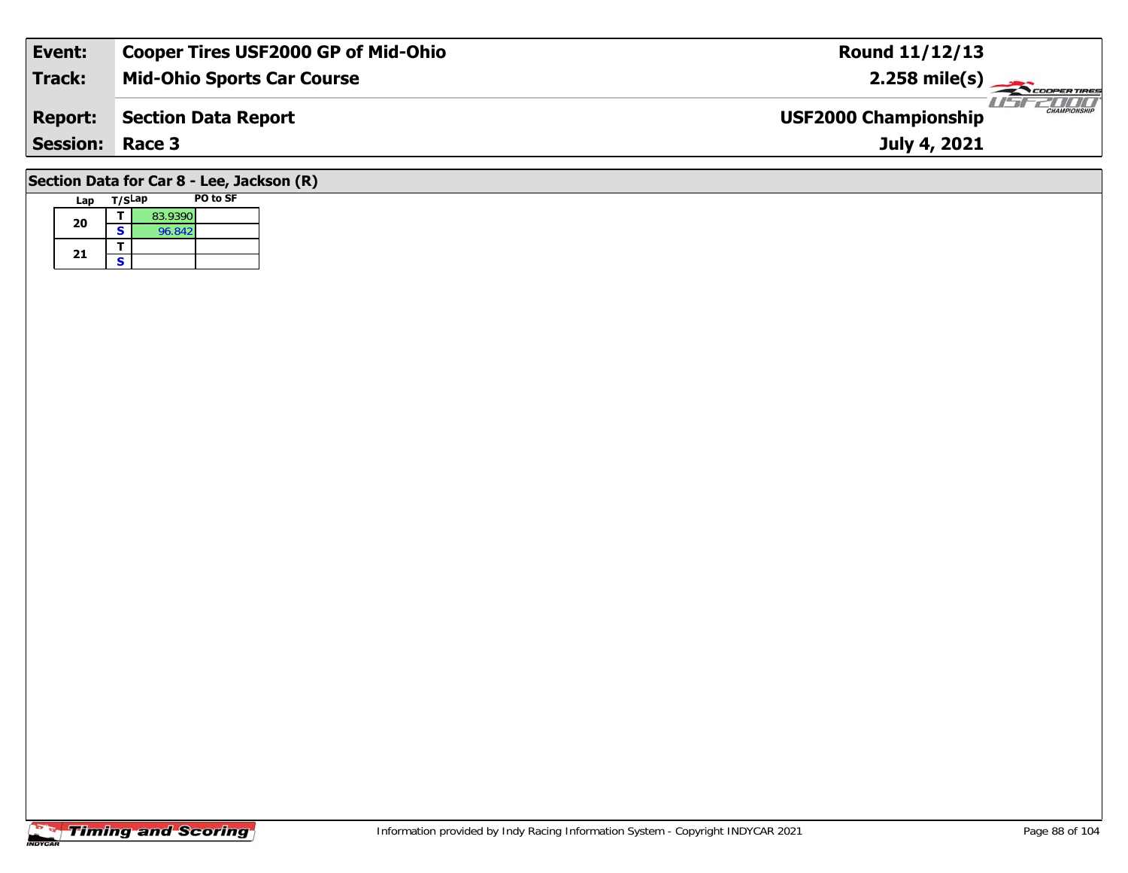| Event:          | <b>Cooper Tires USF2000 GP of Mid-Ohio</b> | Round 11/12/13                                     |
|-----------------|--------------------------------------------|----------------------------------------------------|
| Track:          | <b>Mid-Ohio Sports Car Course</b>          | $2.258 \text{ mile(s)}$                            |
| <b>Report:</b>  | <b>Section Data Report</b>                 | <b>CHAMPIONSHIP</b><br><b>USF2000 Championship</b> |
| <b>Session:</b> | Race 3                                     | July 4, 2021                                       |
|                 | Section Data for Car 8 - Lee, Jackson (R)  |                                                    |

#### **Lap T/SLap PO to SF 200**  $\begin{array}{|c|c|c|c|}\n\hline\n\textbf{S} & \textbf{96.842}\n\hline\n\end{array}$ 21  $\frac{1}{s}$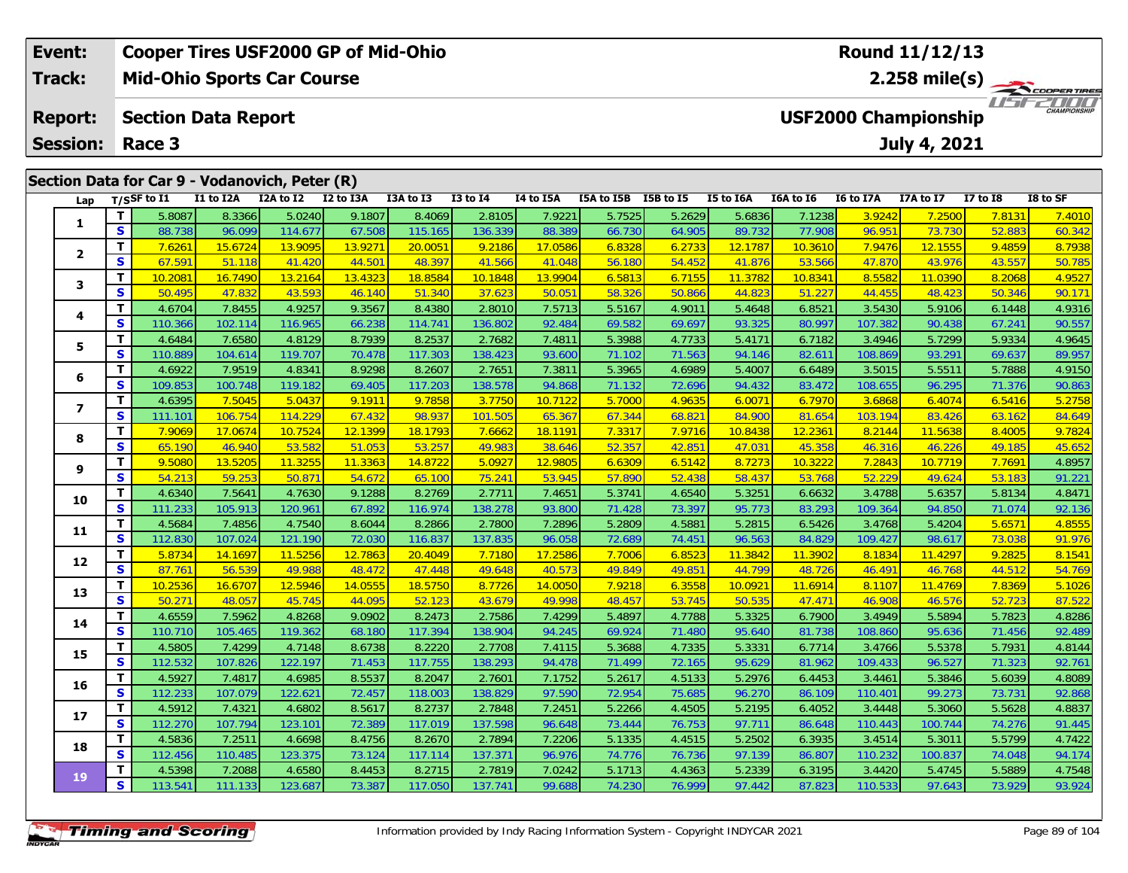| Event:          |          |                  |                            | <b>Cooper Tires USF2000 GP of Mid-Ohio</b>     |           |           |              | Round 11/12/13              |            |                                  |           |           |           |              |                 |          |  |
|-----------------|----------|------------------|----------------------------|------------------------------------------------|-----------|-----------|--------------|-----------------------------|------------|----------------------------------|-----------|-----------|-----------|--------------|-----------------|----------|--|
| Track:          |          |                  |                            | <b>Mid-Ohio Sports Car Course</b>              |           |           |              |                             |            | 2.258 mile(s) $-$<br>COOPERTIRES |           |           |           |              |                 |          |  |
| <b>Report:</b>  |          |                  | <b>Section Data Report</b> |                                                |           |           |              | <b>USF2000 Championship</b> |            |                                  |           |           |           |              |                 |          |  |
| <b>Session:</b> |          | Race 3           |                            |                                                |           |           |              |                             |            |                                  |           |           |           | July 4, 2021 |                 |          |  |
|                 |          |                  |                            | Section Data for Car 9 - Vodanovich, Peter (R) |           |           |              |                             |            |                                  |           |           |           |              |                 |          |  |
| Lap             |          | $T/S$ SF to $I1$ | I1 to I2A                  | I2A to I2                                      | I2 to I3A | I3A to I3 | $I3$ to $I4$ | I4 to I5A                   | I5A to I5B | I5B to I5                        | I5 to I6A | I6A to I6 | I6 to I7A | I7A to I7    | <b>I7 to I8</b> | I8 to SF |  |
|                 |          | 5.8087           | 8.3366                     | 5.0240                                         | 9.1807    | 8.4069    | 2.8105       | 7.9221                      | 5.7525     | 5.2629                           | 5.6836    | 7.1238    | 3.9242    | 7.2500       | 7.8131          | 7.4010   |  |
|                 | <b>S</b> | 88.738           | 96.099                     | 114.677                                        | 67.508    | 115.165   | 136.339      | 88.389                      | 66.730     | 64.905                           | 89.732    | 77.908    | 96.951    | 73.730       | 52.883          | 60.342   |  |
|                 |          | 7.6261           | 15.6724                    | 13.9095                                        | 13.9271   | 20.0051   | 9.2186       | 17.0586                     | 6.8328     | 6.2733                           | 12.1787   | 10.3610   | 7.9476    | 12.1555      | 9.4859          | 8.7938   |  |
|                 |          |                  |                            |                                                |           |           |              |                             |            |                                  |           |           |           |              |                 |          |  |

|                |              | 5.808/  | 8.3366  | 5.0240  | 9.1807  | 8.4069  | 2.8105  | 7.9221  | 5.7525 | 5.2629 | 5.6836  | 1.1238  | 3.9242  | 7.2500         | 7.8131 | 7.4010 |
|----------------|--------------|---------|---------|---------|---------|---------|---------|---------|--------|--------|---------|---------|---------|----------------|--------|--------|
| 1              | S            | 88.738  | 96.099  | 114.677 | 67.508  | 115.165 | 136.339 | 88.389  | 66.730 | 64.905 | 89.732  | 77.908  | 96.951  | 73.730         | 52.883 | 60.342 |
|                | Т            | 7.6261  | 15.6724 | 13.9095 | 13.9271 | 20.0051 | 9.2186  | 17.0586 | 6.8328 | 6.2733 | 12.1787 | 10.3610 | 7.9476  | <b>12.1555</b> | 9.4859 | 8.7938 |
| $\overline{2}$ | S            | 67.591  | 51.118  | 41.420  | 44.501  | 48.397  | 41.566  | 41.048  | 56.180 | 54.452 | 41.876  | 53.566  | 47.870  | 43.976         | 43.557 | 50.785 |
|                | Т            | 10.2081 | 16.7490 | 13.2164 | 13.4323 | 18.8584 | 10.1848 | 13.9904 | 6.5813 | 6.7155 | 11.3782 | 10.8341 | 8.5582  | 11.0390        | 8.2068 | 4.9527 |
| 3              | S            | 50.495  | 47.832  | 43.593  | 46.140  | 51.340  | 37.623  | 50.051  | 58.326 | 50.866 | 44.823  | 51.227  | 44.455  | 48.423         | 50.346 | 90.171 |
|                | Т            | 4.6704  | 7.8455  | 4.9257  | 9.3567  | 8.4380  | 2.8010  | 7.5713  | 5.5167 | 4.9011 | 5.4648  | 6.8521  | 3.5430  | 5.9106         | 6.1448 | 4.9316 |
| 4              | S            | 110.366 | 102.114 | 116.965 | 66.238  | 114.741 | 136.802 | 92.484  | 69.582 | 69.697 | 93.325  | 80.997  | 107.382 | 90.438         | 67.241 | 90.557 |
| 5              | Т            | 4.6484  | 7.6580  | 4.8129  | 8.7939  | 8.2537  | 2.7682  | 7.4811  | 5.3988 | 4.7733 | 5.4171  | 6.7182  | 3.4946  | 5.7299         | 5.9334 | 4.9645 |
|                | S            | 110.889 | 104.614 | 119.707 | 70.478  | 117.303 | 138.423 | 93.600  | 71.102 | 71.563 | 94.146  | 82.611  | 108.869 | 93.291         | 69.637 | 89.957 |
| 6              | Т            | 4.6922  | 7.9519  | 4.8341  | 8.9298  | 8.2607  | 2.7651  | 7.3811  | 5.3965 | 4.6989 | 5.4007  | 6.6489  | 3.5015  | 5.5511         | 5.7888 | 4.9150 |
|                | S            | 109.853 | 100.748 | 119.182 | 69.405  | 117.203 | 138.578 | 94.868  | 71.132 | 72.696 | 94.432  | 83.472  | 108.655 | 96.295         | 71.376 | 90.863 |
| 7              | $\mathbf{T}$ | 4.6395  | 7.5045  | 5.0437  | 9.1911  | 9.7858  | 3.7750  | 10.7122 | 5.7000 | 4.9635 | 6.0071  | 6.7970  | 3.6868  | 6.4074         | 6.5416 | 5.2758 |
|                | S            | 111.101 | 106.754 | 114.229 | 67.432  | 98.937  | 101.505 | 65.367  | 67.344 | 68.821 | 84.900  | 81.654  | 103.194 | 83.426         | 63.162 | 84.649 |
| 8              | Т            | 7.9069  | 17.0674 | 10.7524 | 12.1399 | 18.1793 | 7.6662  | 18.1191 | 7.3317 | 7.9716 | 10.8438 | 12.2361 | 8.2144  | 11.5638        | 8.4005 | 9.7824 |
|                | S            | 65.190  | 46.940  | 53.582  | 51.053  | 53.257  | 49.983  | 38.646  | 52.357 | 42.851 | 47.031  | 45.358  | 46.316  | 46.226         | 49.185 | 45.652 |
| 9              | $\mathbf{T}$ | 9.5080  | 13.5205 | 11.3255 | 11.3363 | 14.8722 | 5.0927  | 12.9805 | 6.6309 | 6.5142 | 8.7273  | 10.3222 | 7.2843  | 10.7719        | 7.7691 | 4.8957 |
|                | S            | 54.213  | 59.253  | 50.871  | 54.672  | 65.100  | 75.241  | 53.945  | 57.890 | 52.438 | 58.437  | 53.768  | 52.229  | 49.624         | 53.183 | 91.221 |
| 10             | $\mathbf{T}$ | 4.6340  | 7.5641  | 4.7630  | 9.1288  | 8.2769  | 2.7711  | 7.4651  | 5.3741 | 4.6540 | 5.3251  | 6.6632  | 3.4788  | 5.6357         | 5.8134 | 4.8471 |
|                | S            | 111.233 | 105.913 | 120.961 | 67.892  | 116.974 | 138.278 | 93.800  | 71.428 | 73.397 | 95.773  | 83.293  | 109.364 | 94.850         | 71.074 | 92.136 |
|                | Т            | 4.5684  | 7.4856  | 4.7540  | 8.6044  | 8.2866  | 2.7800  | 7.2896  | 5.2809 | 4.5881 | 5.2815  | 6.5426  | 3.4768  | 5.4204         | 5.6571 | 4.8555 |
| 11             | $\mathbf{s}$ | 112.830 | 107.024 | 121.190 | 72.030  | 116.837 | 137.835 | 96.058  | 72.689 | 74.451 | 96.563  | 84.829  | 109.427 | 98.617         | 73.038 | 91.976 |
| 12             | T.           | 5.8734  | 14.1697 | 11.5256 | 12.7863 | 20.4049 | 7.7180  | 17.2586 | 7.7006 | 6.8523 | 11.3842 | 11.3902 | 8.1834  | 11.4297        | 9.2825 | 8.1541 |
|                | $\mathbf{s}$ | 87.761  | 56.539  | 49.988  | 48.472  | 47.448  | 49.648  | 40.573  | 49.849 | 49.851 | 44.799  | 48.726  | 46.491  | 46.768         | 44.512 | 54.769 |
| 13             | Т            | 10.2536 | 16.6707 | 12.5946 | 14.0555 | 18.5750 | 8.7726  | 14.0050 | 7.9218 | 6.3558 | 10.0921 | 11.6914 | 8.1107  | 11.4769        | 7.8369 | 5.1026 |
|                | $\mathbf{s}$ | 50.271  | 48.057  | 45.745  | 44.095  | 52.123  | 43.679  | 49.998  | 48.457 | 53.745 | 50.535  | 47.471  | 46.908  | 46.576         | 52.723 | 87.522 |
| 14             | T.           | 4.6559  | 7.5962  | 4.8268  | 9.0902  | 8.2473  | 2.7586  | 7.4299  | 5.4897 | 4.7788 | 5.3325  | 6.7900  | 3.4949  | 5.5894         | 5.7823 | 4.8286 |
|                | S            | 110.710 | 105.465 | 119.362 | 68.180  | 117.394 | 138.904 | 94.245  | 69.924 | 71.480 | 95.640  | 81.738  | 108.860 | 95.636         | 71.456 | 92.489 |
| 15             | Т            | 4.5805  | 7.4299  | 4.7148  | 8.6738  | 8.2220  | 2.7708  | 7.4115  | 5.3688 | 4.7335 | 5.3331  | 6.7714  | 3.4766  | 5.5378         | 5.7931 | 4.8144 |
|                | $\mathbf{s}$ | 112.532 | 107.826 | 122.197 | 71.453  | 117.755 | 138.293 | 94.478  | 71.499 | 72.165 | 95.629  | 81.962  | 109.433 | 96.527         | 71.323 | 92.761 |
| 16             | T            | 4.5927  | 7.4817  | 4.6985  | 8.5537  | 8.2047  | 2.7601  | 7.1752  | 5.2617 | 4.5133 | 5.2976  | 6.4453  | 3.4461  | 5.3846         | 5.6039 | 4.8089 |
|                | S            | 112.233 | 107.079 | 122.621 | 72.457  | 118.003 | 138.829 | 97.590  | 72.954 | 75.685 | 96.270  | 86.109  | 110.401 | 99.273         | 73.731 | 92.868 |
| 17             | T            | 4.5912  | 7.4321  | 4.6802  | 8.5617  | 8.2737  | 2.7848  | 7.2451  | 5.2266 | 4.4505 | 5.2195  | 6.4052  | 3.4448  | 5.3060         | 5.5628 | 4.8837 |
|                | $\mathbf{s}$ | 112.270 | 107.794 | 123.101 | 72.389  | 117.019 | 137.598 | 96.648  | 73.444 | 76.753 | 97.711  | 86.648  | 110.443 | 100.744        | 74.276 | 91.445 |
| 18             | Т            | 4.5836  | 7.2511  | 4.6698  | 8.4756  | 8.2670  | 2.7894  | 7.2206  | 5.1335 | 4.4515 | 5.2502  | 6.3935  | 3.4514  | 5.3011         | 5.5799 | 4.7422 |
|                | $\mathbf{s}$ | 112.456 | 110.485 | 123.375 | 73.124  | 117.114 | 137.371 | 96.976  | 74.776 | 76.736 | 97.139  | 86.807  | 110.232 | 100.837        | 74.048 | 94.174 |
| 19             | Т            | 4.5398  | 7.2088  | 4.6580  | 8.4453  | 8.2715  | 2.7819  | 7.0242  | 5.1713 | 4.4363 | 5.2339  | 6.3195  | 3.4420  | 5.4745         | 5.5889 | 4.7548 |
|                | S            | 113.541 | 111.133 | 123.687 | 73.387  | 117.050 | 137.741 | 99.688  | 74.230 | 76.999 | 97.442  | 87.823  | 110.533 | 97.643         | 73.929 | 93.924 |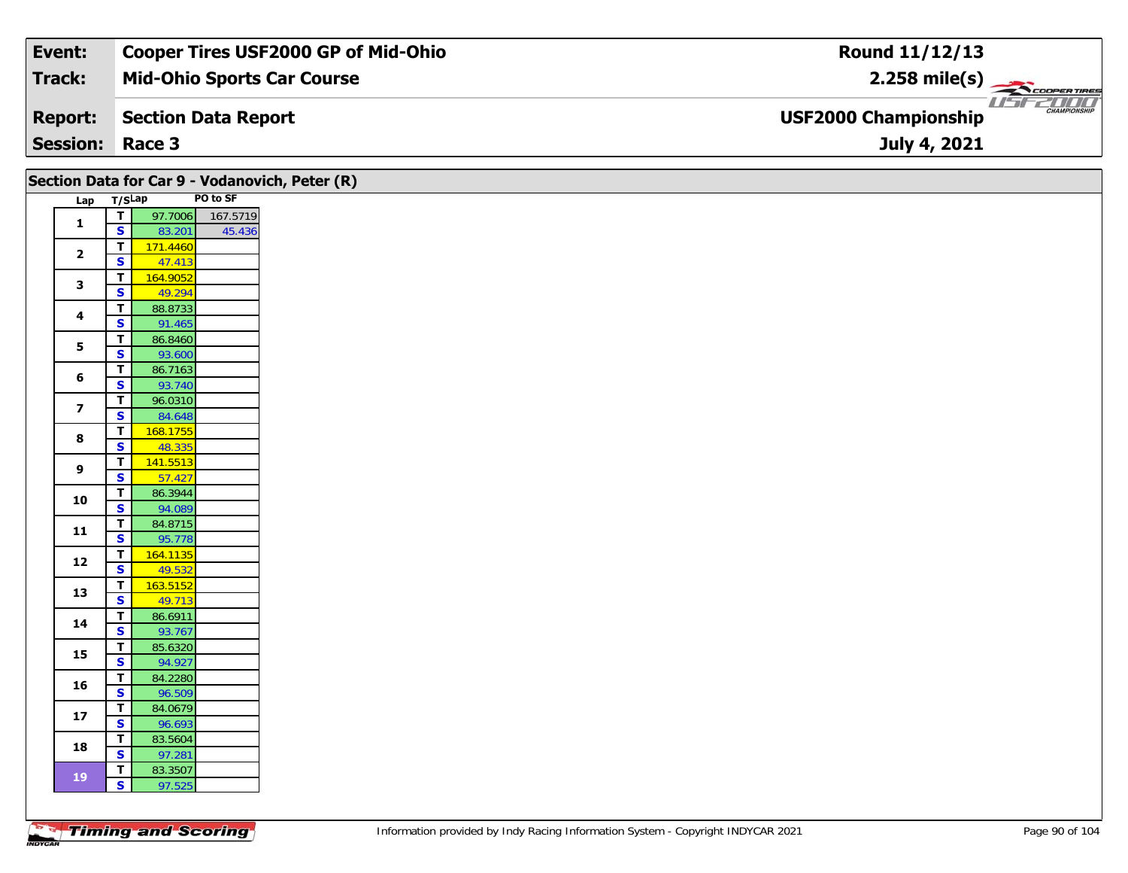| Event:                 | <b>Cooper Tires USF2000 GP of Mid-Ohio</b> | Round 11/12/13                                                 |
|------------------------|--------------------------------------------|----------------------------------------------------------------|
| Track:                 | <b>Mid-Ohio Sports Car Course</b>          | $2.258$ mile(s)                                                |
| <b>Report:</b>         | Section Data Report                        | USFZDOO'<br><b>CHAMPIONSHIP</b><br><b>USF2000 Championship</b> |
| <b>Session: Race 3</b> |                                            | July 4, 2021                                                   |

|                         |                                                    | Section Data for Car 9 - Vodanovich, Peter (R) |  |
|-------------------------|----------------------------------------------------|------------------------------------------------|--|
| Lap T/SLap              |                                                    | PO to SF                                       |  |
| $\mathbf{1}$            | $\overline{\mathbf{T}}$                            | 97.7006<br>167.5719                            |  |
|                         | $\overline{\mathbf{s}}$                            | 83.201<br>45.436                               |  |
| $\mathbf{2}$            | $\overline{1}$                                     | 171.4460                                       |  |
|                         | $\mathbf{s}$<br>$\overline{\mathsf{r}}$            | 47.413<br>164.9052                             |  |
| $\mathbf{3}$            | $\overline{\mathbf{s}}$                            | 49.294                                         |  |
|                         | $\overline{\mathsf{r}}$                            | 88.8733                                        |  |
| $\overline{\mathbf{4}}$ | $\overline{\mathbf{s}}$                            | 91.465                                         |  |
| 5                       | $\overline{\mathbf{r}}$                            | 86.8460                                        |  |
|                         | $\overline{\mathbf{s}}$                            | 93.600                                         |  |
| 6                       | $\overline{\mathsf{r}}$                            | 86.7163                                        |  |
|                         | $\overline{\mathbf{s}}$                            | 93.740                                         |  |
| $\overline{\mathbf{z}}$ | $\overline{\mathbf{r}}$<br>$\overline{\mathbf{s}}$ | 96.0310<br>84.648                              |  |
|                         | $\mathbf T$                                        | 168.1755                                       |  |
| 8                       | $\overline{\mathbf{s}}$                            | 48.335                                         |  |
| $\overline{9}$          | $\overline{t}$                                     | 141.5513                                       |  |
|                         | $\overline{\mathbf{s}}$                            | 57.427                                         |  |
| 10                      | $\overline{\mathsf{r}}$                            | 86.3944                                        |  |
|                         | $\overline{\mathbf{s}}$<br>T                       | 94.089<br>84.8715                              |  |
| $11$                    | $\overline{\mathbf{s}}$                            | 95.778                                         |  |
|                         | $\overline{\mathbf{I}}$                            | 164.1135                                       |  |
| 12                      | $\overline{\mathbf{s}}$                            | 49.532                                         |  |
| 13                      | $\overline{\mathbf{T}}$                            | 163.5152                                       |  |
|                         | $\overline{\mathbf{s}}$                            | 49.713                                         |  |
| $14$                    | $\overline{\mathsf{r}}$<br>$\mathbf{s}$            | 86.6911                                        |  |
|                         | $\overline{1}$                                     | 93.767<br>85.6320                              |  |
| 15                      | $\overline{\mathbf{s}}$                            | 94.927                                         |  |
|                         | $\mathbf{T}$                                       | 84.2280                                        |  |
| 16                      | $\overline{\mathbf{s}}$                            | 96.509                                         |  |
| $17$                    | $\overline{\mathbf{r}}$                            | 84.0679                                        |  |
|                         | $\overline{\mathbf{s}}$                            | 96.693                                         |  |
| 18                      | $\overline{\mathbf{T}}$<br>$\overline{\mathbf{s}}$ | 83.5604<br>97.281                              |  |
|                         | $\mathbf{T}$                                       | 83.3507                                        |  |
| <b>19</b>               | $\mathbf{s}$                                       | 97.525                                         |  |
|                         |                                                    |                                                |  |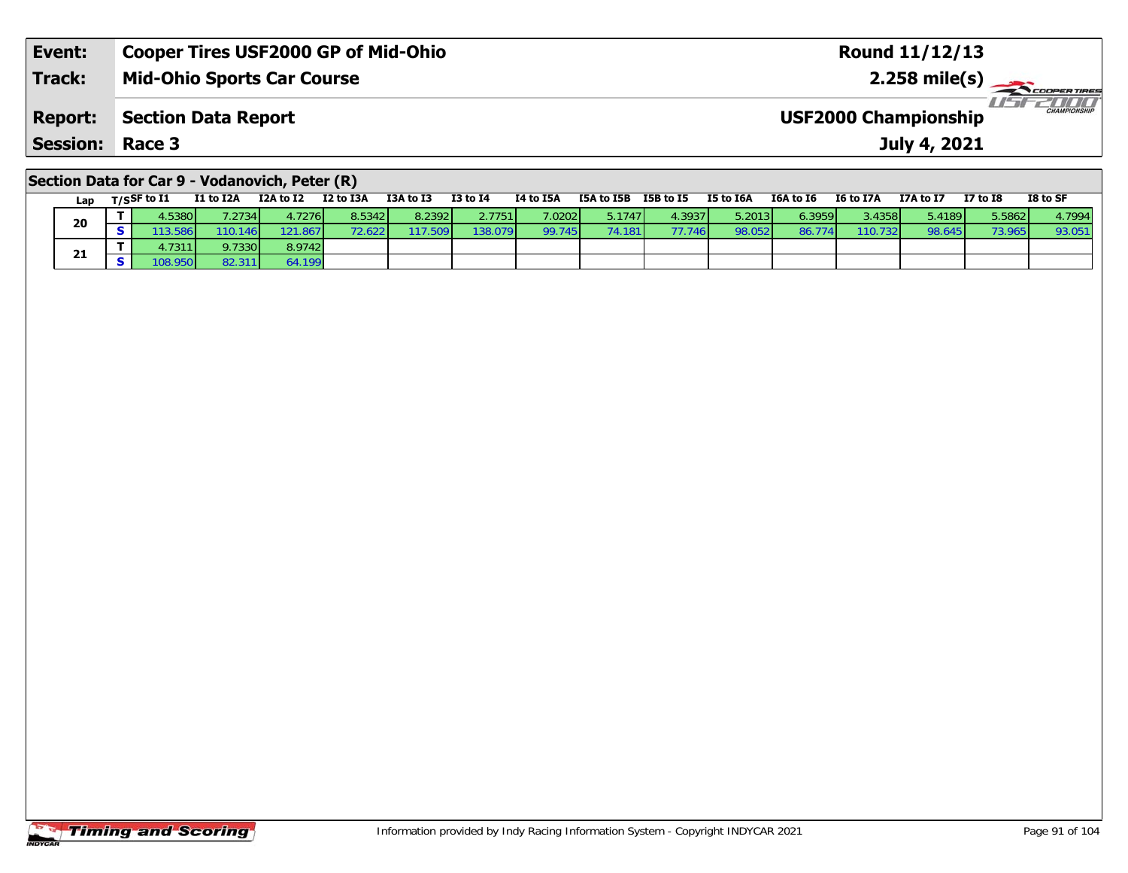| Event:                 | <b>Cooper Tires USF2000 GP of Mid-Ohio</b> | <b>Round 11/12/13</b>                              |
|------------------------|--------------------------------------------|----------------------------------------------------|
| <b>Track:</b>          | <b>Mid-Ohio Sports Car Course</b>          | $2.258 \text{ mile(s)}$                            |
| <b>Report:</b>         | Section Data Report                        | <b>CHAMPIONSHIP</b><br><b>USF2000 Championship</b> |
| <b>Session: Race 3</b> |                                            | July 4, 2021                                       |
|                        |                                            |                                                    |

### **Section Data for Car 9 - Vodanovich, Peter (R)**

| Lap | $T/S$ SF to $I1$ | I1 to I2A | I2A to I2 | I2 to I3A | I3A to I3 | <b>I3 to I4</b> | I4 to I5A | I5A to I5B | I5B to I5 | I5 to I6A               | I6A to I6 | <b>I6 to I7A</b> | I7A to I7 | <b>I7 to I8</b> | I8 to SF |
|-----|------------------|-----------|-----------|-----------|-----------|-----------------|-----------|------------|-----------|-------------------------|-----------|------------------|-----------|-----------------|----------|
| 20  | .5380            | .2734     | 1.7276 l  | 8.5342    | 8.2392    | 2.7751          | 7.02021   | 5.1747     | 4.3937    | $5.2013$ $\blacksquare$ | 6.3959    | 3.4358           | 5.4189    | 5.5862          | 4.7994   |
|     | .3.586           | 110.146   | 21.867    | '2.622 L  | 17.509    | 138.079         | 99.745    | .181       | 77.746    | 98.052                  | 86.774    | 110.732          | 98.645    | 73.965          | 93.051   |
| 21  | . 7311 L         | 9.7330    | 8.9742    |           |           |                 |           |            |           |                         |           |                  |           |                 |          |
|     | 08.9501          | 82.311    | 199.199   |           |           |                 |           |            |           |                         |           |                  |           |                 |          |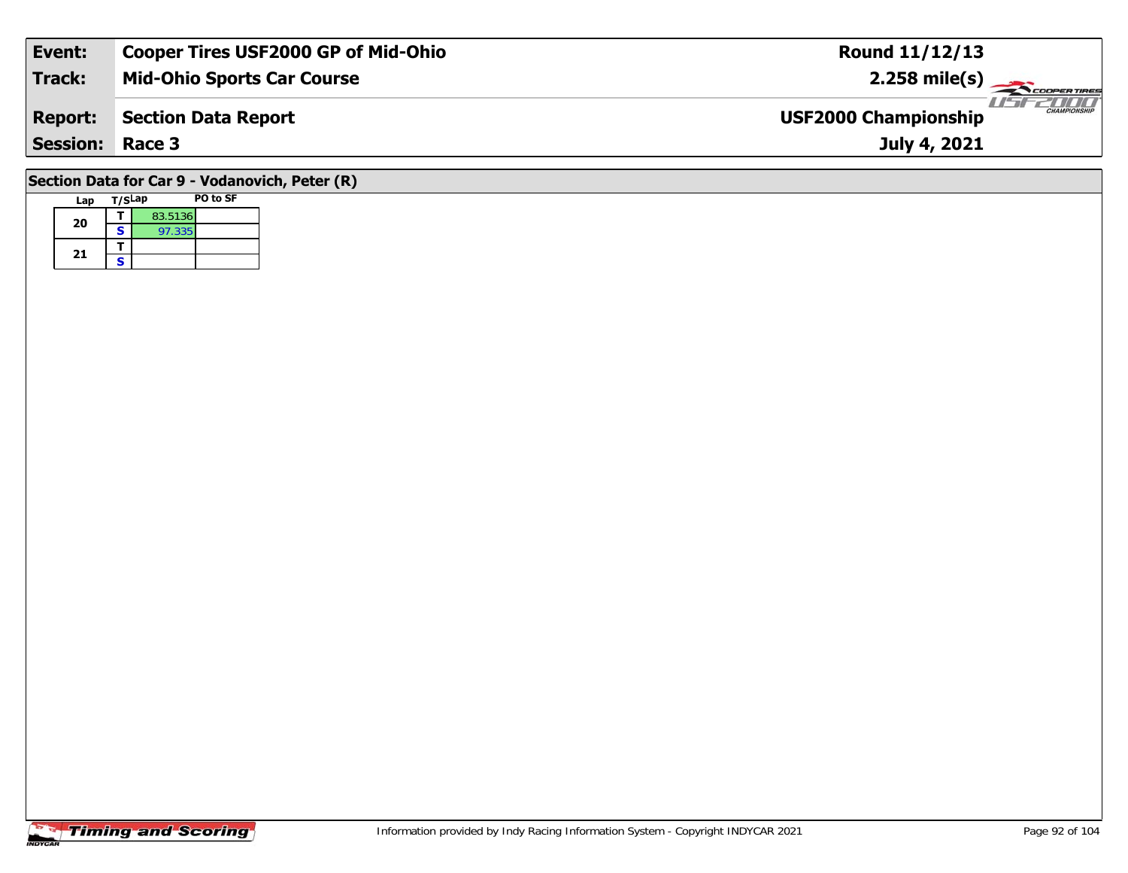| Event:                                         | <b>Cooper Tires USF2000 GP of Mid-Ohio</b> | <b>Round 11/12/13</b>                              |  |  |  |  |  |  |  |  |  |  |
|------------------------------------------------|--------------------------------------------|----------------------------------------------------|--|--|--|--|--|--|--|--|--|--|
| Track:                                         | <b>Mid-Ohio Sports Car Course</b>          | $2.258$ mile(s)                                    |  |  |  |  |  |  |  |  |  |  |
| <b>Report:</b>                                 | Section Data Report                        | <b>CHAMPIONSHIP</b><br><b>USF2000 Championship</b> |  |  |  |  |  |  |  |  |  |  |
| <b>Session: Race 3</b>                         |                                            | July 4, 2021                                       |  |  |  |  |  |  |  |  |  |  |
| Section Data for Car 9 - Vodanovich, Peter (R) |                                            |                                                    |  |  |  |  |  |  |  |  |  |  |

# Lap T/S<sup>Lap</sup> PO to SF **20a**  $\begin{array}{|c|c|c|}\n\hline\n\textbf{S} & \textbf{83.5136} \\
\hline\n\textbf{S} & \textbf{97.335}\n\end{array}$ 21  $\frac{1}{s}$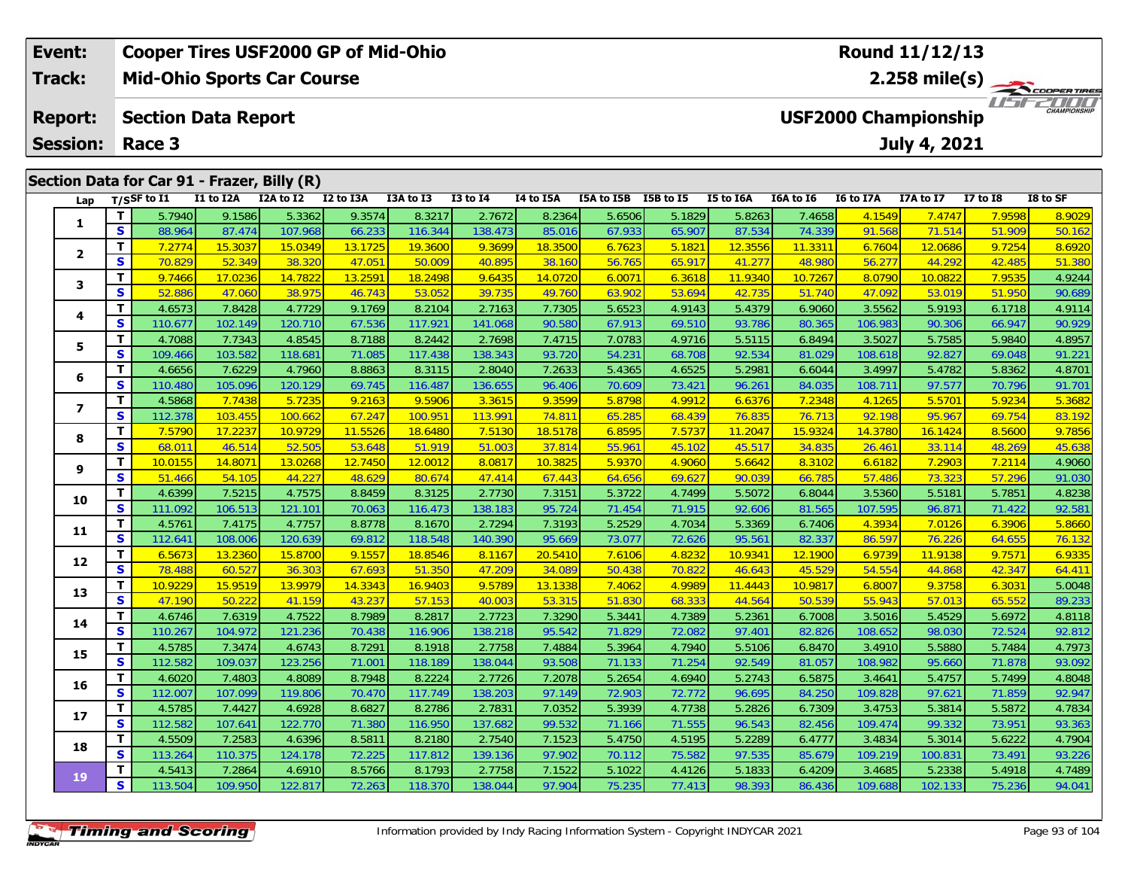| Event:          |    |                            |           | <b>Cooper Tires USF2000 GP of Mid-Ohio</b>  |           |           |                 |           |            |           |           |           |                             | <b>Round 11/12/13</b> |              |                     |
|-----------------|----|----------------------------|-----------|---------------------------------------------|-----------|-----------|-----------------|-----------|------------|-----------|-----------|-----------|-----------------------------|-----------------------|--------------|---------------------|
| <b>Track:</b>   |    |                            |           | <b>Mid-Ohio Sports Car Course</b>           |           |           |                 |           |            |           |           |           | $2.258$ mile(s)             |                       | COOPERTIRES  |                     |
| <b>Report:</b>  |    | <b>Section Data Report</b> |           |                                             |           |           |                 |           |            |           |           |           | <b>USF2000 Championship</b> |                       |              | <b>CHAMPIONSHIP</b> |
| <b>Session:</b> |    | Race 3                     |           |                                             |           |           |                 |           |            |           |           |           |                             | <b>July 4, 2021</b>   |              |                     |
|                 |    |                            |           | Section Data for Car 91 - Frazer, Billy (R) |           |           |                 |           |            |           |           |           |                             |                       |              |                     |
| Lap             |    | $T/S$ SF to $I1$           | I1 to I2A | I2A to I2                                   | I2 to I3A | I3A to I3 | <b>I3 to I4</b> | I4 to I5A | I5A to I5B | I5B to I5 | I5 to I6A | I6A to I6 | I6 to I7A                   | <b>I7A to I7</b>      | $I7$ to $I8$ | I8 to SF            |
|                 |    | 5.7940                     | 9.1586    | 5.3362                                      | 9.3574    | 8.3217    | 2.7672          | 8.2364    | 5.6506     | 5.1829    | 5.8263    | 7.4658    | 4.1549                      | 7.4747                | 7.9598       | 8.9029              |
|                 | S. | 88.964                     | 87.474    | 107.968                                     | 66.233    | 116.344   | 138.473         | 85.016    | 67.933     | 65.907    | 87.534    | 74.339    | 91.568                      | 71.514                | 51.909       | 50.162              |
|                 |    | 7.2774                     | 15.3037   | 15.0349                                     | 13.1725   | 19.3600   | 9.3699          | 18.3500   | 6.7623     | 5.1821    | 12.355    | 11.3311   | 6.7604                      | 12.0686               | 9.7254       | 8.6920              |
|                 | S. | 70.829                     | 52.349    | 38.320                                      | 47.051    | 50.009    | 40.895          | 38.160    | 56.765     | 65.917    | 41.27     | 48.980    | 56.27                       | 44.292                | 42.485       | 51.380              |
| 3               |    | 9.7466                     | 17.0236   | 14.7822                                     | 13.2591   | 18.2498   | 9.6435          | 14.0720   | 6.0071     | 6.3618    | 11.934    | 10.7267   | 8.0790                      | 10.0822               | 7.9535       | 4.9244              |
|                 | s  | 52.886                     | 47.060    | 38.975                                      | 46.743    | 53.052    | 39.735          | 49.760    | 63.902     | 53.694    | 42.735    | 51.740    | 47.092                      | 53.019                | 51.950       | 90.689              |
|                 |    |                            |           |                                             |           |           |                 |           |            |           |           |           |                             |                       |              |                     |

| $\mathbf{2}$   | T                       | 7.2774  | 15.3037 | 15.0349 | 13.1725 | 19.3600 | 9.3699  | 18.3500 | 6.7623 | 5.1821 | 12.3556 | 11.3311 | 6.7604  | 12.0686 | 9.7254 | 8.6920 |
|----------------|-------------------------|---------|---------|---------|---------|---------|---------|---------|--------|--------|---------|---------|---------|---------|--------|--------|
|                | S                       | 70.829  | 52.349  | 38.320  | 47.051  | 50.009  | 40.895  | 38.160  | 56.765 | 65.917 | 41.277  | 48.980  | 56.277  | 44.292  | 42.485 | 51.380 |
| 3              | т                       | 9.7466  | 17.0236 | 14.7822 | 13.2591 | 18.2498 | 9.6435  | 14.0720 | 6.0071 | 6.3618 | 11.9340 | 10.7267 | 8.0790  | 10.0822 | 7.9535 | 4.9244 |
|                | $\overline{\mathbf{s}}$ | 52.886  | 47.060  | 38.975  | 46.743  | 53.052  | 39.735  | 49.760  | 63.902 | 53.694 | 42.735  | 51.740  | 47.092  | 53.019  | 51.950 | 90.689 |
| 4              | т                       | 4.6573  | 7.8428  | 4.7729  | 9.1769  | 8.2104  | 2.7163  | 7.7305  | 5.6523 | 4.9143 | 5.4379  | 6.9060  | 3.5562  | 5.9193  | 6.1718 | 4.9114 |
|                | S                       | 110.677 | 102.149 | 120.710 | 67.536  | 117.921 | 141.068 | 90.580  | 67.913 | 69.510 | 93.786  | 80.365  | 106.983 | 90.306  | 66.947 | 90.929 |
| 5              | T.                      | 4.7088  | 7.7343  | 4.8545  | 8.7188  | 8.2442  | 2.7698  | 7.4715  | 7.0783 | 4.9716 | 5.5115  | 6.8494  | 3.5027  | 5.7585  | 5.9840 | 4.8957 |
|                | S                       | 109.466 | 103.582 | 118.681 | 71.085  | 117.438 | 138.343 | 93.720  | 54.231 | 68.708 | 92.534  | 81.029  | 108.618 | 92.827  | 69.048 | 91.221 |
| 6              | T.                      | 4.6656  | 7.6229  | 4.7960  | 8.8863  | 8.3115  | 2.8040  | 7.2633  | 5.4365 | 4.6525 | 5.2981  | 6.6044  | 3.4997  | 5.4782  | 5.8362 | 4.8701 |
|                | S                       | 110.480 | 105.096 | 120.129 | 69.745  | 116.487 | 136.655 | 96.406  | 70.609 | 73.421 | 96.261  | 84.035  | 108.711 | 97.577  | 70.796 | 91.701 |
| $\overline{ }$ | T                       | 4.5868  | 7.7438  | 5.7235  | 9.2163  | 9.5906  | 3.3615  | 9.3599  | 5.8798 | 4.9912 | 6.6376  | 7.2348  | 4.1265  | 5.5701  | 5.9234 | 5.3682 |
|                | $\mathbf{s}$            | 112.378 | 103.455 | 100.662 | 67.247  | 100.951 | 113.991 | 74.811  | 65.285 | 68.439 | 76.835  | 76.713  | 92.198  | 95.967  | 69.754 | 83.192 |
| 8              | T                       | 7.5790  | 17.2237 | 10.9729 | 11.5526 | 18.6480 | 7.5130  | 18.5178 | 6.8595 | 7.5737 | 11.2047 | 15.9324 | 14.3780 | 16.1424 | 8.5600 | 9.7856 |
|                | S                       | 68.011  | 46.514  | 52.505  | 53.648  | 51.919  | 51.003  | 37.814  | 55.961 | 45.102 | 45.517  | 34.835  | 26.461  | 33.114  | 48.269 | 45.638 |
| 9              | T                       | 10.0155 | 14.8071 | 13.0268 | 12.7450 | 12.0012 | 8.0817  | 10.3825 | 5.9370 | 4.9060 | 5.6642  | 8.3102  | 6.6182  | 7.2903  | 7.2114 | 4.9060 |
|                | S                       | 51.466  | 54.105  | 44.227  | 48.629  | 80.674  | 47.414  | 67.443  | 64.656 | 69.627 | 90.039  | 66.785  | 57.486  | 73.323  | 57.296 | 91.030 |
| 10             | T.                      | 4.6399  | 7.5215  | 4.7575  | 8.8459  | 8.3125  | 2.7730  | 7.3151  | 5.3722 | 4.7499 | 5.5072  | 6.8044  | 3.5360  | 5.5181  | 5.7851 | 4.8238 |
|                | S                       | 111.092 | 106.513 | 121.101 | 70.063  | 116.473 | 138.183 | 95.724  | 71.454 | 71.915 | 92.606  | 81.565  | 107.595 | 96.871  | 71.422 | 92.581 |
| 11             | т                       | 4.5761  | 7.4175  | 4.7757  | 8.8778  | 8.1670  | 2.7294  | 7.3193  | 5.2529 | 4.7034 | 5.3369  | 6.7406  | 4.3934  | 7.0126  | 6.3906 | 5.8660 |
|                | S                       | 112.641 | 108.006 | 120.639 | 69.812  | 118.548 | 140.390 | 95.669  | 73.077 | 72.626 | 95.561  | 82.337  | 86.597  | 76.226  | 64.655 | 76.132 |
| 12             | т                       | 6.5673  | 13.2360 | 15.8700 | 9.1557  | 18.8546 | 8.1167  | 20.5410 | 7.6106 | 4.8232 | 10.9341 | 12.1900 | 6.9739  | 11.9138 | 9.7571 | 6.9335 |
|                | S                       | 78.488  | 60.527  | 36.303  | 67.693  | 51.350  | 47.209  | 34.089  | 50.438 | 70.822 | 46.643  | 45.529  | 54.554  | 44.868  | 42.347 | 64.411 |
| 13             | T                       | 10.9229 | 15.9519 | 13.9979 | 14.3343 | 16.9403 | 9.5789  | 13.1338 | 7.4062 | 4.9989 | 11.4443 | 10.9817 | 6.8007  | 9.3758  | 6.3031 | 5.0048 |
|                | S                       | 47.190  | 50.222  | 41.159  | 43.237  | 57.153  | 40.003  | 53.315  | 51.830 | 68.333 | 44.564  | 50.539  | 55.943  | 57.013  | 65.552 | 89.233 |
| 14             | T.                      | 4.6746  | 7.6319  | 4.7522  | 8.7989  | 8.2817  | 2.7723  | 7.3290  | 5.3441 | 4.7389 | 5.2361  | 6.7008  | 3.5016  | 5.4529  | 5.6972 | 4.8118 |
|                | S                       | 110.267 | 104.972 | 121.236 | 70.438  | 116.906 | 138.218 | 95.542  | 71.829 | 72.082 | 97.401  | 82.826  | 108.652 | 98.030  | 72.524 | 92.812 |
| 15             | T                       | 4.5785  | 7.3474  | 4.6743  | 8.7291  | 8.1918  | 2.7758  | 7.4884  | 5.3964 | 4.7940 | 5.5106  | 6.8470  | 3.4910  | 5.5880  | 5.7484 | 4.7973 |
|                | $\mathbf{s}$            | 112.582 | 109.037 | 123.256 | 71.001  | 118.189 | 138.044 | 93.508  | 71.133 | 71.254 | 92.549  | 81.057  | 108.982 | 95.660  | 71.878 | 93.092 |
| 16             | T.                      | 4.6020  | 7.4803  | 4.8089  | 8.7948  | 8.2224  | 2.7726  | 7.2078  | 5.2654 | 4.6940 | 5.2743  | 6.5875  | 3.4641  | 5.4757  | 5.7499 | 4.8048 |
|                | $\mathbf{s}$            | 112.007 | 107.099 | 119.806 | 70.470  | 117.749 | 138.203 | 97.149  | 72.903 | 72.772 | 96.695  | 84.250  | 109.828 | 97.621  | 71.859 | 92.947 |
| 17             | T                       | 4.5785  | 7.4427  | 4.6928  | 8.6827  | 8.2786  | 2.7831  | 7.0352  | 5.3939 | 4.7738 | 5.2826  | 6.7309  | 3.4753  | 5.3814  | 5.5872 | 4.7834 |
|                | S                       | 112.582 | 107.641 | 122.770 | 71.380  | 116.950 | 137.682 | 99.532  | 71.166 | 71.555 | 96.543  | 82.456  | 109.474 | 99.332  | 73.951 | 93.363 |
| 18             | T                       | 4.5509  | 7.2583  | 4.6396  | 8.5811  | 8.2180  | 2.7540  | 7.1523  | 5.4750 | 4.5195 | 5.2289  | 6.4777  | 3.4834  | 5.3014  | 5.6222 | 4.7904 |
|                | $\mathbf{s}$            | 113.264 | 110.375 | 124.178 | 72.225  | 117.812 | 139.136 | 97.902  | 70.112 | 75.582 | 97.535  | 85.679  | 109.219 | 100.831 | 73.491 | 93.226 |
| 19             | т                       | 4.5413  | 7.2864  | 4.6910  | 8.5766  | 8.1793  | 2.7758  | 7.1522  | 5.1022 | 4.4126 | 5.1833  | 6.4209  | 3.4685  | 5.2338  | 5.4918 | 4.7489 |
|                | S                       | 113.504 | 109.950 | 122.817 | 72.263  | 118.370 | 138.044 | 97.904  | 75.235 | 77.413 | 98.393  | 86.436  | 109.688 | 102.133 | 75.236 | 94.041 |
|                |                         |         |         |         |         |         |         |         |        |        |         |         |         |         |        |        |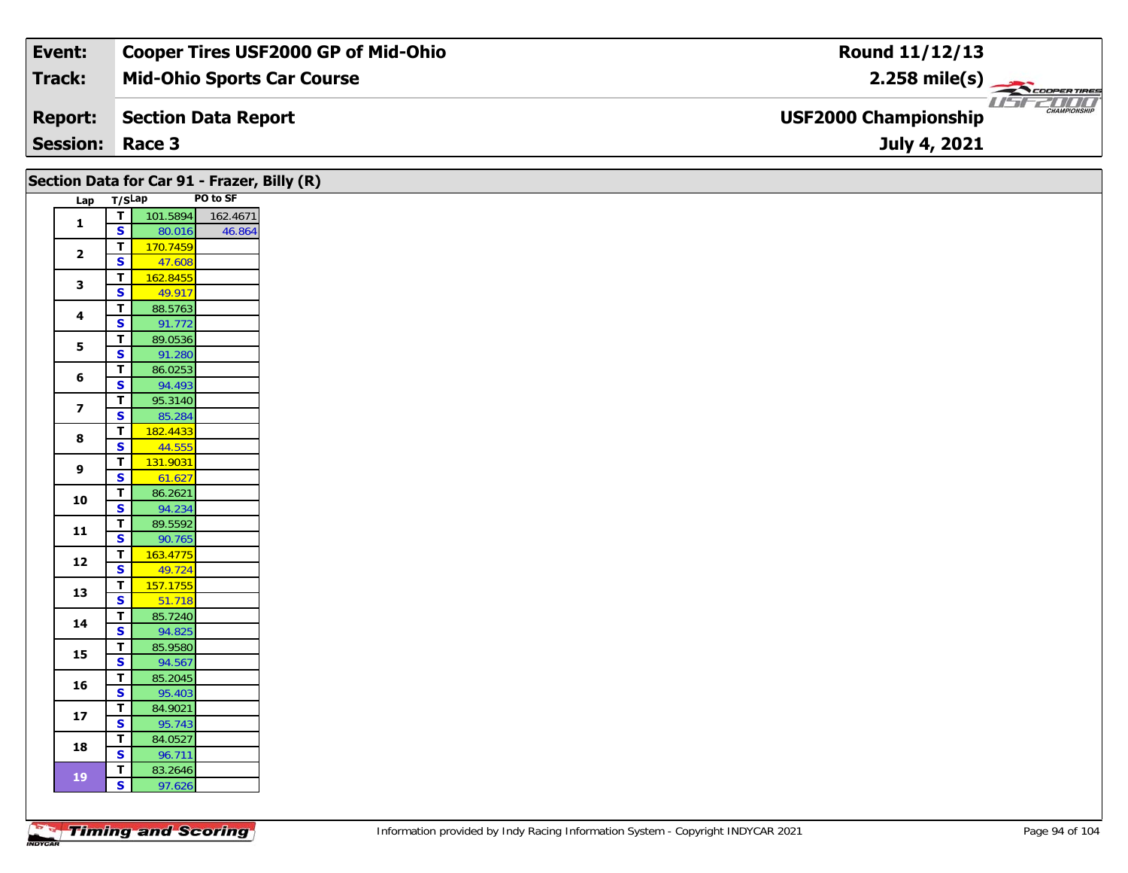| Event:          | <b>Cooper Tires USF2000 GP of Mid-Ohio</b> | Round 11/12/13                                               |
|-----------------|--------------------------------------------|--------------------------------------------------------------|
| Track:          | <b>Mid-Ohio Sports Car Course</b>          | $2.258$ mile(s)                                              |
| <b>Report:</b>  | Section Data Report                        | 2000 T<br><b>CHAMPIONSHIP</b><br><b>USF2000 Championship</b> |
| <b>Session:</b> | Race 3                                     | July 4, 2021                                                 |

| Section Data for Car 91 - Frazer, Billy (R) |                                                    |                   |          |  |  |
|---------------------------------------------|----------------------------------------------------|-------------------|----------|--|--|
| Lap T/SLap                                  |                                                    |                   | PO to SF |  |  |
| $\mathbf{1}$                                | $\overline{\mathbf{r}}$                            | 101.5894 162.4671 |          |  |  |
|                                             | $\overline{\mathbf{s}}$                            | 80.016            | 46.864   |  |  |
| $\overline{\mathbf{2}}$                     | $\overline{1}$                                     | 170.7459          |          |  |  |
|                                             | $\overline{\mathbf{s}}$                            | 47.608            |          |  |  |
| $\mathbf{3}$                                | $\overline{\mathbf{T}}$                            | 162.8455          |          |  |  |
|                                             | $\overline{\mathbf{s}}$                            | 49.917            |          |  |  |
| $\overline{\mathbf{4}}$                     | $\overline{\mathsf{r}}$                            | 88.5763           |          |  |  |
|                                             | $\overline{\mathbf{s}}$<br>$\overline{\mathbf{I}}$ | 91.772<br>89.0536 |          |  |  |
| 5                                           | $\overline{\mathbf{s}}$                            | 91.280            |          |  |  |
|                                             | $\mathbf{T}$                                       | 86.0253           |          |  |  |
| 6                                           | $\overline{\mathbf{s}}$                            | 94.493            |          |  |  |
|                                             | $\overline{\mathsf{r}}$                            | 95.3140           |          |  |  |
| $\overline{\mathbf{z}}$                     | $\overline{\mathbf{s}}$                            | 85.284            |          |  |  |
|                                             | $\overline{\mathbf{T}}$                            | 182.4433          |          |  |  |
| 8                                           | $\overline{\mathbf{s}}$                            | 44.555            |          |  |  |
|                                             | $\overline{\mathbf{r}}$                            | 131.9031          |          |  |  |
| $\boldsymbol{9}$                            | $\overline{\mathbf{s}}$                            | 61.627            |          |  |  |
| 10                                          | $\overline{t}$                                     | 86.2621           |          |  |  |
|                                             | $\overline{\mathbf{s}}$                            | 94.234            |          |  |  |
| 11                                          | $\mathbf{T}$                                       | 89.5592           |          |  |  |
|                                             | $\mathbf{s}$                                       | 90.765            |          |  |  |
| 12                                          | $\overline{\mathbf{I}}$                            | 163.4775          |          |  |  |
|                                             | $\overline{\mathbf{s}}$                            | 49.724            |          |  |  |
| 13                                          | $\overline{r}$                                     | 157.1755          |          |  |  |
|                                             | $\overline{\mathbf{s}}$                            | 51.718            |          |  |  |
| 14                                          | $\overline{\mathbf{I}}$<br>$\overline{\mathbf{s}}$ | 85.7240<br>94.825 |          |  |  |
|                                             | $\overline{\mathsf{r}}$                            | 85.9580           |          |  |  |
| 15                                          | $\overline{\mathbf{s}}$                            | 94.567            |          |  |  |
|                                             | T                                                  | 85.2045           |          |  |  |
| 16                                          | $\overline{\mathbf{s}}$                            | 95.403            |          |  |  |
|                                             | $\overline{\mathbf{r}}$                            | 84.9021           |          |  |  |
| $17$                                        | $\mathbf{s}$                                       | 95.743            |          |  |  |
|                                             | $\overline{\mathbf{T}}$                            | 84.0527           |          |  |  |
| 18                                          | $\overline{\mathbf{s}}$                            | 96.711            |          |  |  |
| 19                                          | $\mathbf{T}$                                       | 83.2646           |          |  |  |
|                                             | $\vert$ s $\vert$                                  | 97.626            |          |  |  |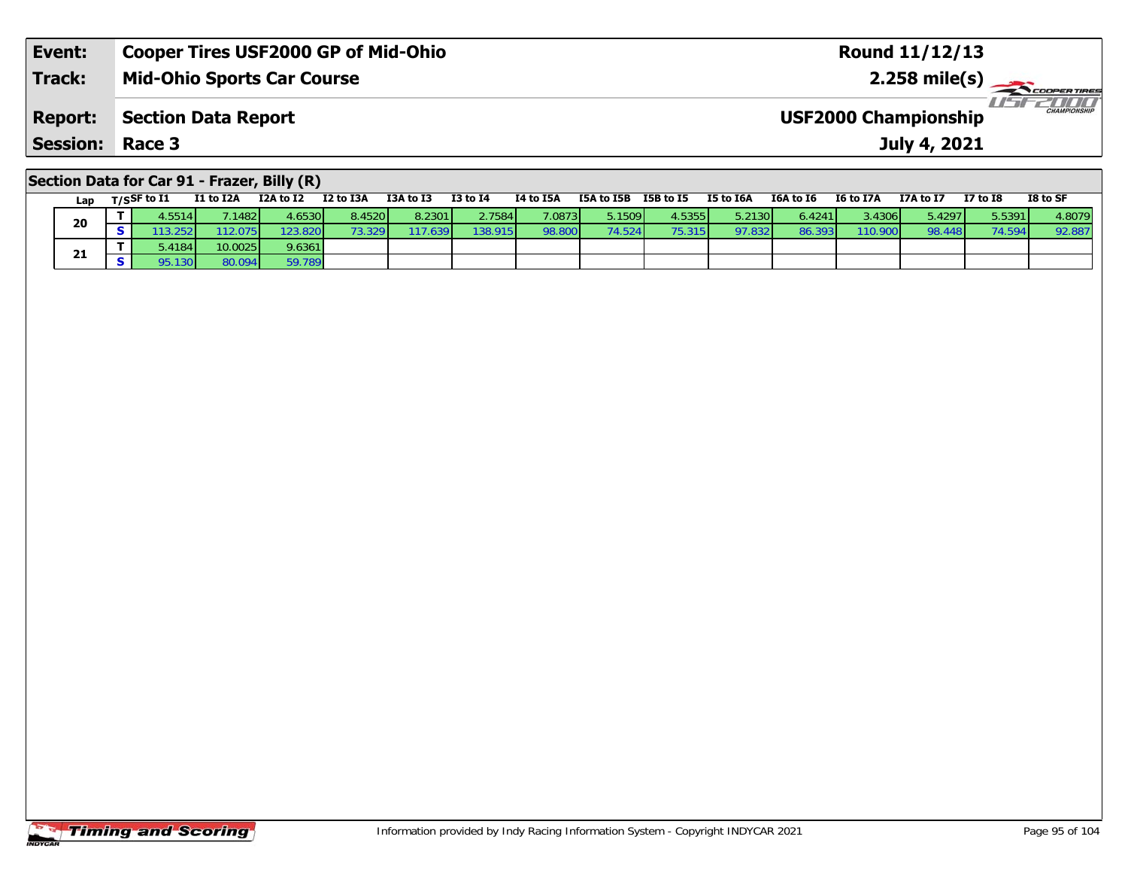| <b>Session: Race 3</b> |                                            | July 4, 2021                                        |
|------------------------|--------------------------------------------|-----------------------------------------------------|
| <b>Report:</b>         | Section Data Report                        | <b>CHAMPIONSHIP</b><br><b>USF2000 Championship</b>  |
| <b>Track:</b>          | <b>Mid-Ohio Sports Car Course</b>          | $2.258$ mile(s) $\rightarrow$<br><b>COOPERTIRES</b> |
| Event:                 | <b>Cooper Tires USF2000 GP of Mid-Ohio</b> | Round 11/12/13                                      |

# **Section Data for Car 91 - Frazer, Billy (R)**

| Lap | T/SSF to I1           | I1 to I2A | I2A to I2 | I2 to I3A | I3A to I3 | <b>I3 to I4</b> | I4 to I5A | I5A to I5B              | I5B to I5 | I5 to I6A | I6A to I6 | I6 to I7A | I7A to I7 | I7 to I8 | I8 to SF |
|-----|-----------------------|-----------|-----------|-----------|-----------|-----------------|-----------|-------------------------|-----------|-----------|-----------|-----------|-----------|----------|----------|
| 20  | $4.5514$ <sup>1</sup> | .1482     | 4.6530    | 8.4520    | 8.2301    | 2.7584          | 7.0873    | 5.1509                  | 4.5355    | 5.2130    | 6.4241    | 3.4306 L  | 5.4297    | 5.5391   | 4.8079   |
|     | .2521                 | 12.075    | 123.8201  | 3.329     | 17.639    | 138.915         | 98.800    | $74.524$ $\blacksquare$ | 75.315    | 97.832    | 86.393    | 110.900   | 98.448    | 74.594   | 92.887   |
| 21  | .4184                 | 10.0025   | 9.6361    |           |           |                 |           |                         |           |           |           |           |           |          |          |
|     | .1301                 | 80.094    | 59.789    |           |           |                 |           |                         |           |           |           |           |           |          |          |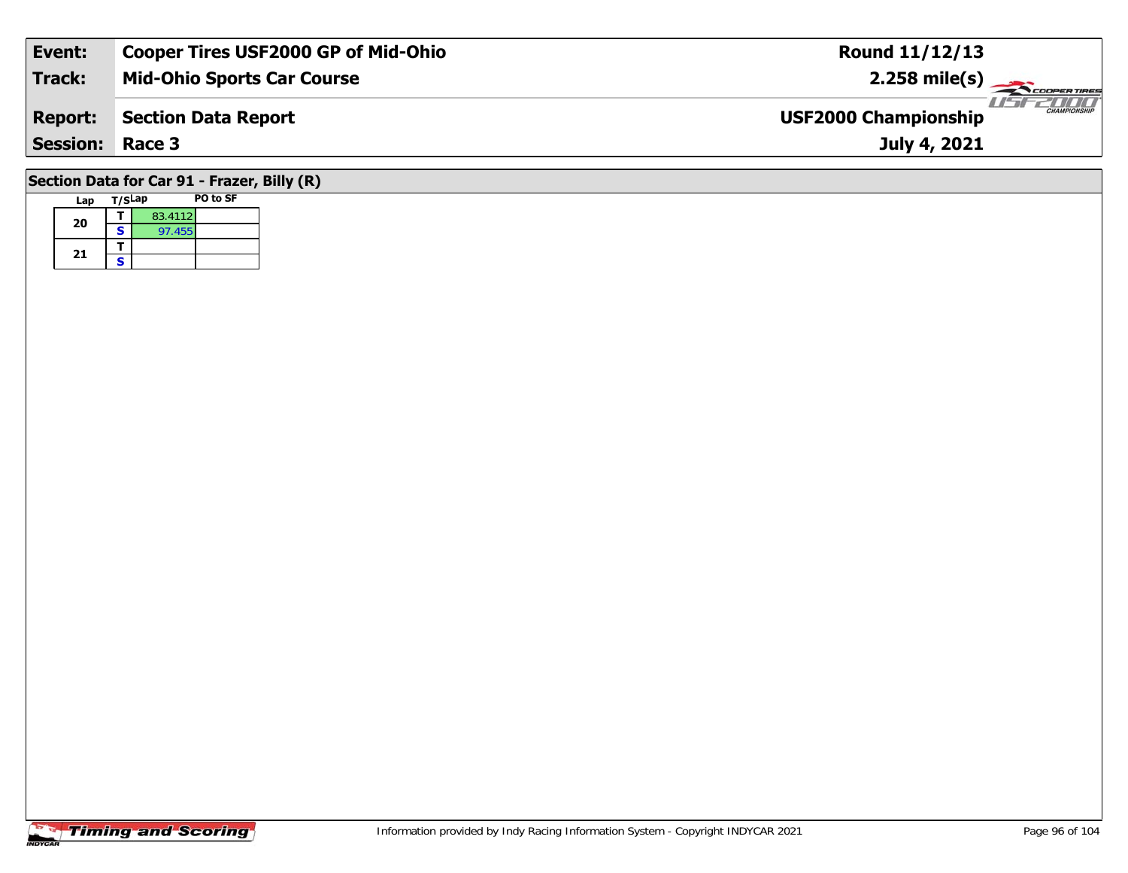| Event:                                                                                      | <b>Cooper Tires USF2000 GP of Mid-Ohio</b> | <b>Round 11/12/13</b> |  |  |  |  |  |  |  |  |
|---------------------------------------------------------------------------------------------|--------------------------------------------|-----------------------|--|--|--|--|--|--|--|--|
| Track:                                                                                      | <b>Mid-Ohio Sports Car Course</b>          | $2.258$ mile(s)       |  |  |  |  |  |  |  |  |
| <b>CHAMPIONSHIP</b><br><b>USF2000 Championship</b><br>Section Data Report<br><b>Report:</b> |                                            |                       |  |  |  |  |  |  |  |  |
| <b>Session: Race 3</b><br>July 4, 2021                                                      |                                            |                       |  |  |  |  |  |  |  |  |
| Section Data for Car 91 - Frazer, Billy (R)                                                 |                                            |                       |  |  |  |  |  |  |  |  |

#### **Lap T/SLap PO to SF 20a**  $\begin{array}{|c|c|c|}\n\hline\n\textbf{S} & \textbf{83.4112} \\
\hline\n\textbf{S} & \textbf{97.455}\n\hline\n\end{array}$ 21  $\frac{1}{s}$

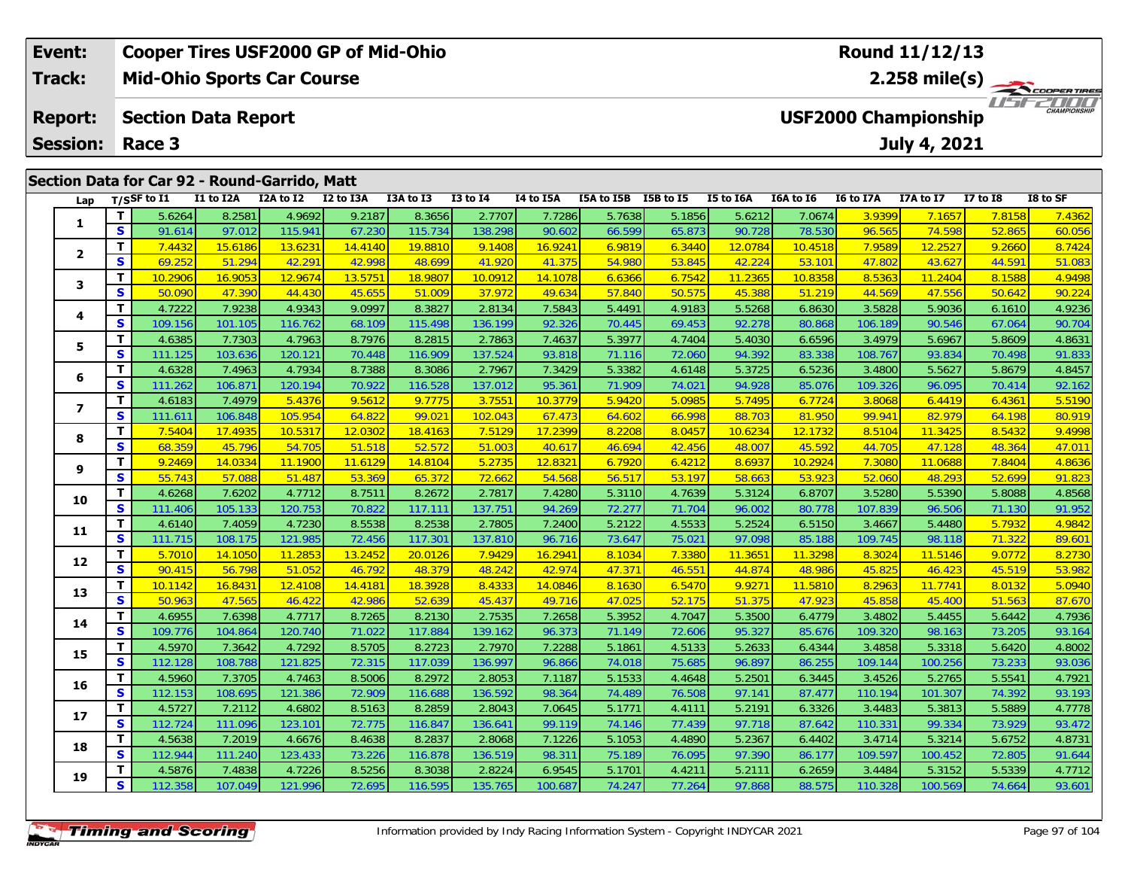| Event:          | <b>Cooper Tires USF2000 GP of Mid-Ohio</b>    |           |                     |  |           |                 |           |                      | Round 11/12/13 |                  |           |                             |              |          |                             |
|-----------------|-----------------------------------------------|-----------|---------------------|--|-----------|-----------------|-----------|----------------------|----------------|------------------|-----------|-----------------------------|--------------|----------|-----------------------------|
| Track:          | <b>Mid-Ohio Sports Car Course</b>             |           |                     |  |           |                 |           |                      |                |                  |           |                             |              |          | $2.258$ mile(s)             |
| <b>Report:</b>  | <b>Section Data Report</b>                    |           |                     |  |           |                 |           |                      |                |                  |           | <b>USF2000 Championship</b> |              |          | 2000<br><b>CHAMPIONSHIP</b> |
| <b>Session:</b> | Race 3                                        |           |                     |  |           |                 |           |                      |                |                  |           |                             | July 4, 2021 |          |                             |
|                 |                                               |           |                     |  |           |                 |           |                      |                |                  |           |                             |              |          |                             |
|                 | Section Data for Car 92 - Round-Garrido, Matt |           |                     |  |           |                 |           |                      |                |                  |           |                             |              |          |                             |
| Lap             | T/SSF to I1                                   | I1 to I2A | I2A to I2 I2 to I3A |  | I3A to I3 | <b>I3 to I4</b> | I4 to I5A | ISA to ISB ISB to IS |                | <b>I5 to I6A</b> | I6A to I6 | <b>I6 to I7A</b>            | I7A to I7    | I7 to I8 | I8 to SF                    |

1 | T | 5.6264 | 8.2581 | 4.9692 | 9.2187 | 8.3656 | 2.7707 | 7.7286 | 5.7638 | 5.1856 | 5.6212 | 7.0674 | 3.9399 | 7.1657 | 7.8158 | 7.4362<br>1 | S | 91.614 | 97.012 | 115.941 | 67.230 | 115.734 | 138.298 | 90.602 | 66.599

2 | **T |** 7.4432 | 15.6186 | 13.6231 | 14.4140 | 19.8810 | 9.1408 | 16.9241 | 6.9819 | 6.3440 | 12.0784 | 10.4518 | 7.9589 | 12.2527 | 9.2660 | 8.7424<br>2 | S | 69.252 | 51.294 | 42.291 | 42.998 | 48.699 | 41.920 | 41.375 |

**<sup>T</sup>** 10.2906 16.9053 12.9674 13.5751 18.9807 10.0912 14.1078 6.6366 6.7542 11.2365 10.8358 8.5363 11.2404 8.1588 4.9498 **<sup>S</sup>** 50.090 47.390 44.430 45.655 51.009 37.972 49.634 57.840 50.575 45.388 51.219 44.569 47.556 50.642 90.224

4 T 4.7222 7.9238 4.9343 9.0997 8.3827 2.8134 7.5843 5.4491 4.9183 5.5268 6.8630 3.5828 5.9036 6.1610 4.9236<br>4 S 109.156 101.105 116.762 68.109 115.498 136.199 92.326 70.445 69.453 92.278 80.868 106.189 90.546 67.064 90.70

5 T 4.6385 7.7303 4.7963 8.7976 8.2815 2.7863 7.4637 5.3977 4.7404 5.4030 6.6596 3.4979 5.6967 5.8609 4.8631<br>5 S 111.125 103.636 120.121 70.448 116.909 137.524 93.818 71.116 72.060 94.392 83.338 108.767 93.834 70.498 91.83

6 | **T** | 4.6328| 7.4963| 4.7934| 8.7388| 8.3086| 2.7967| 7.3429| 5.3382| 4.6148| 5.3725| 6.5236| 3.4800| 5.5627| 5.8679| 4.8457<br>| S | 111.262 106.871 120.194| 70.922 116.528| 137.012| 95.361| 71.909| 74.021| 94.928| 85.07

7 | T | 4.6183 | 7.4979 | 5.4376 | 9.5612 | 9.7775 | 3.7551 | 10.3779 | 5.9420 | 5.0985 | 5.7495 | 6.7724 | 3.8068 | 6.4419 | 6.4361 | 5.5190<br>7 | S | 111.611 | 106.848 | 105.954 | 64.822 | 99.021 | 102.043 | 67.473 | 64.60

8 | **T |** 7.5404 17.4935 10.5317 12.0302 18.4163 7.5129 17.2399 8.2208 8.0457 10.6234 12.1732 8.5104 11.3425 8.5432 9.4998<br>- S 68.359 45.796 54.705 51.518 52.572 51.003 40.617 46.694 42.456 48.007 45.592 44.705 47.128 48.3

**<sup>T</sup>** 9.2469 14.0334 11.1900 11.6129 14.8104 5.2735 12.8321 6.7920 6.4212 8.6937 10.2924 7.3080 11.0688 7.8404 4.8636 **<sup>S</sup>** 55.743 57.088 51.487 53.369 65.372 72.662 54.568 56.517 53.197 58.663 53.923 52.060 48.293 52.699 91.823

0 T 4.6268 7.6202 4.7712 8.7511 8.2672 2.7817 7.4280 5.3110 4.7639 5.3124 6.8707 3.5280 5.5390 5.8088 4.8568<br>S 111.406 105.133 120.753 70.822 117.111 137.751 94.269 72.277 71.704 96.002 80.778 107.839 96.506 71.130 91.952

1 T 4.6140 7.4059 4.7230 8.5538 8.2538 2.7805 7.2400 5.2122 4.5533 5.2524 6.5150 3.4667 5.4480 5.7932 4.9842<br>1 S 111.715 108.175 121.985 72.456 117.301 137.810 96.716 73.647 75.021 97.098 85.188 109.745 98.118 71.322 89.60

2 T 5.7010 14.1050 11.2853 13.2452 20.0126 7.9429 16.2941 8.1034 7.3380 11.3651 11.3298 8.3024 11.5146 9.0772 8.2730<br>2 S 90.415 56.798 51.052 46.792 48.379 48.242 42.974 47.371 46.551 44.874 48.986 45.825 46.423 45.519 53.

3 | **T** | 10.1142 | 16.8431 | 12.4108 | 14.4181 | 18.3928 | 8.4333 | 14.0846 | 8.1630 | 6.5470 | 9.9271 | 11.5810 | 8.2963 | 11.7741 | 8.0132 | 5.0940<br>| S | 50.963 | 47.565 | 46.422 | 42.986 | 52.639 | 45.437 | 49.716 | 47

4 T 4.6955 7.6398 4.7717 8.7265 8.2130 2.7535 7.2658 5.3952 4.7047 5.3500 6.4779 3.4802 5.4455 5.6442 4.7936<br>S 109.776 104.864 120.740 71.022 117.884 139.162 96.373 71.149 72.606 95.327 85.676 109.320 98.163 73.205 93.164

**<sup>T</sup>** 4.5970 7.3642 4.7292 8.5705 8.2723 2.7970 7.2288 5.1861 4.5133 5.2633 6.4344 3.4858 5.3318 5.6420 4.8002 **<sup>S</sup>** 112.128 108.788 121.825 72.315 117.039 136.997 96.866 74.018 75.685 96.897 86.255 109.144 100.256 73.233 93.036

6 T 4.5960 7.3705 4.7463 8.5006 8.2972 2.8053 7.1187 5.1533 4.4648 5.2501 6.3445 3.4526 5.2765 5.5541 4.7921<br>5 S 112.153 108.695 121.386 72.909 116.688 136.592 98.364 74.489 76.508 97.141 87.477 110.194 101.307 74.392 93.1

7 T 4.5727 7.2112 4.6802 8.5163 8.2859 2.8043 7.0645 5.1771 4.4111 5.2191 6.3326 3.4483 5.3813 5.5889 4.7778<br>7 S 112.724 111.096 123.101 72.775 116.847 136.641 99.119 74.146 77.439 97.718 87.642 110.331 99.334 73.929 93.47

8 T 4.5638 7.2019 4.6676 8.4638 8.2837 2.8068 7.1226 5.1053 4.4890 5.2367 6.4402 3.4714 5.3214 5.6752 4.8731<br>S 112.944 111.240 123.433 73.226 116.878 136.519 98.311 75.189 76.095 97.390 86.177 109.597 100.452 72.805 91.644

**<sup>T</sup>** 4.5876 7.4838 4.7226 8.5256 8.3038 2.8224 6.9545 5.1701 4.4211 5.2111 6.2659 3.4484 5.3152 5.5339 4.7712 **<sup>S</sup>** 112.358 107.049 121.996 72.695 116.595 135.765 100.687 74.247 77.264 97.868 88.575 110.328 100.569 74.664 93.601

| <b>Timing and Scoring</b> |
|---------------------------|
|---------------------------|

**1**

**2**

**3**

**4**

**5**

**6**

**7**

**8**

**9**

**10**

**11**

**12**

**13**

**14**

**15**

**16**

**17**

**18**

**19**

 $90.70$ 

91.823

93.164

93.472

91.644

93.601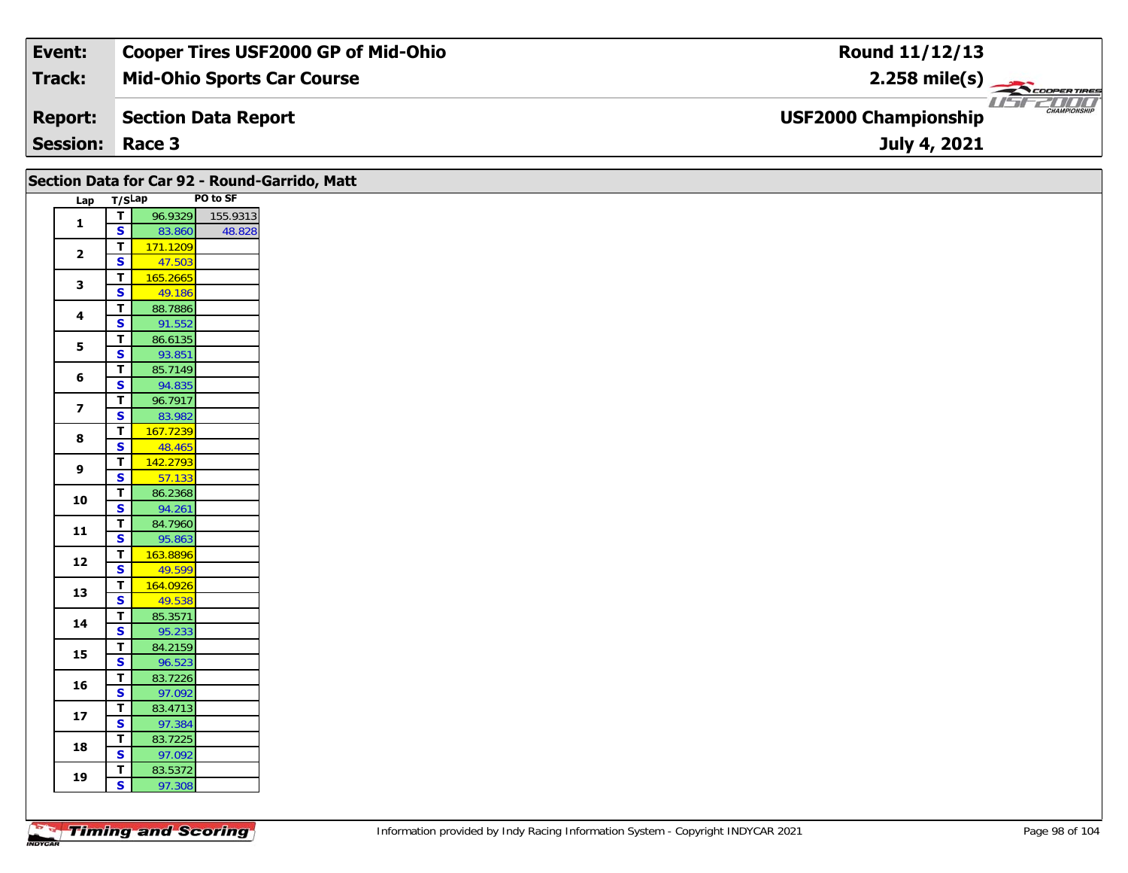| Event:                 | <b>Cooper Tires USF2000 GP of Mid-Ohio</b> | Round 11/12/13                                                 |
|------------------------|--------------------------------------------|----------------------------------------------------------------|
| Track:                 | <b>Mid-Ohio Sports Car Course</b>          | $2.258$ mile(s)                                                |
| <b>Report:</b>         | Section Data Report                        | USFZDOO'<br><b>CHAMPIONSHIP</b><br><b>USF2000 Championship</b> |
| <b>Session: Race 3</b> |                                            | July 4, 2021                                                   |

|                         |                                                    | Section Data for Car 92 - Round-Garrido, Matt |          |
|-------------------------|----------------------------------------------------|-----------------------------------------------|----------|
| Lap T/SLap              |                                                    |                                               | PO to SF |
| $\mathbf{1}$            | $\mathbf{T}$                                       | 96.9329                                       | 155.9313 |
|                         | $\mathbf{s}$                                       | 83.860                                        | 48.828   |
| $\overline{\mathbf{2}}$ | $\mathbf T$                                        | 171.1209                                      |          |
|                         | $\overline{\mathbf{s}}$<br>$\overline{\mathbf{T}}$ | 47.503<br>165.2665                            |          |
| $\mathbf{3}$            | $\overline{\mathbf{s}}$                            | 49.186                                        |          |
|                         | $\overline{I}$                                     | 88.7886                                       |          |
| $\overline{\mathbf{4}}$ | $\overline{\mathbf{s}}$                            | 91.552                                        |          |
|                         | $\overline{\mathsf{r}}$                            | 86.6135                                       |          |
| 5                       | $\overline{\mathbf{s}}$                            | 93.851                                        |          |
| 6                       | $\mathbf{T}$                                       | 85.7149                                       |          |
|                         | S                                                  | 94.835                                        |          |
| $\overline{\mathbf{z}}$ | $\overline{t}$                                     | 96.7917                                       |          |
|                         | $\mathbf{s}$<br>$\overline{\mathbf{T}}$            | 83.982<br>167.7239                            |          |
| 8                       | $\overline{\mathbf{s}}$                            | 48.465                                        |          |
|                         | $\mathbf{T}$                                       | 142.2793                                      |          |
| $\boldsymbol{9}$        | $\mathbf{s}$                                       | 57.133                                        |          |
|                         | $\overline{t}$                                     | 86.2368                                       |          |
| 10                      | $\overline{\mathbf{s}}$                            | 94.261                                        |          |
| $\mathbf{11}$           | T                                                  | 84.7960                                       |          |
|                         | $\overline{\mathbf{s}}$                            | 95.863                                        |          |
| 12                      | $\overline{t}$                                     | 163.8896                                      |          |
|                         | $\overline{\mathbf{s}}$                            | 49.599                                        |          |
| 13                      | $\overline{\mathbf{T}}$<br>$\overline{\mathbf{s}}$ | 164.0926<br>49.538                            |          |
|                         | $\overline{I}$                                     | 85.3571                                       |          |
| 14                      | $\overline{\mathbf{s}}$                            | 95.233                                        |          |
|                         | $\mathbf T$                                        | 84.2159                                       |          |
| 15                      | $\overline{\mathbf{s}}$                            | 96.523                                        |          |
| 16                      | $\mathbf{T}$                                       | 83.7226                                       |          |
|                         | $\overline{\mathbf{s}}$                            | 97.092                                        |          |
| 17                      | $\overline{t}$                                     | 83.4713                                       |          |
|                         | $\overline{\mathbf{s}}$                            | 97.384                                        |          |
| 18                      | $\overline{\mathbf{T}}$<br>$\overline{\mathbf{s}}$ | 83.7225<br>97.092                             |          |
|                         | $\mathbf{T}$                                       | 83.5372                                       |          |
| 19                      | S                                                  | 97.308                                        |          |
|                         |                                                    |                                               |          |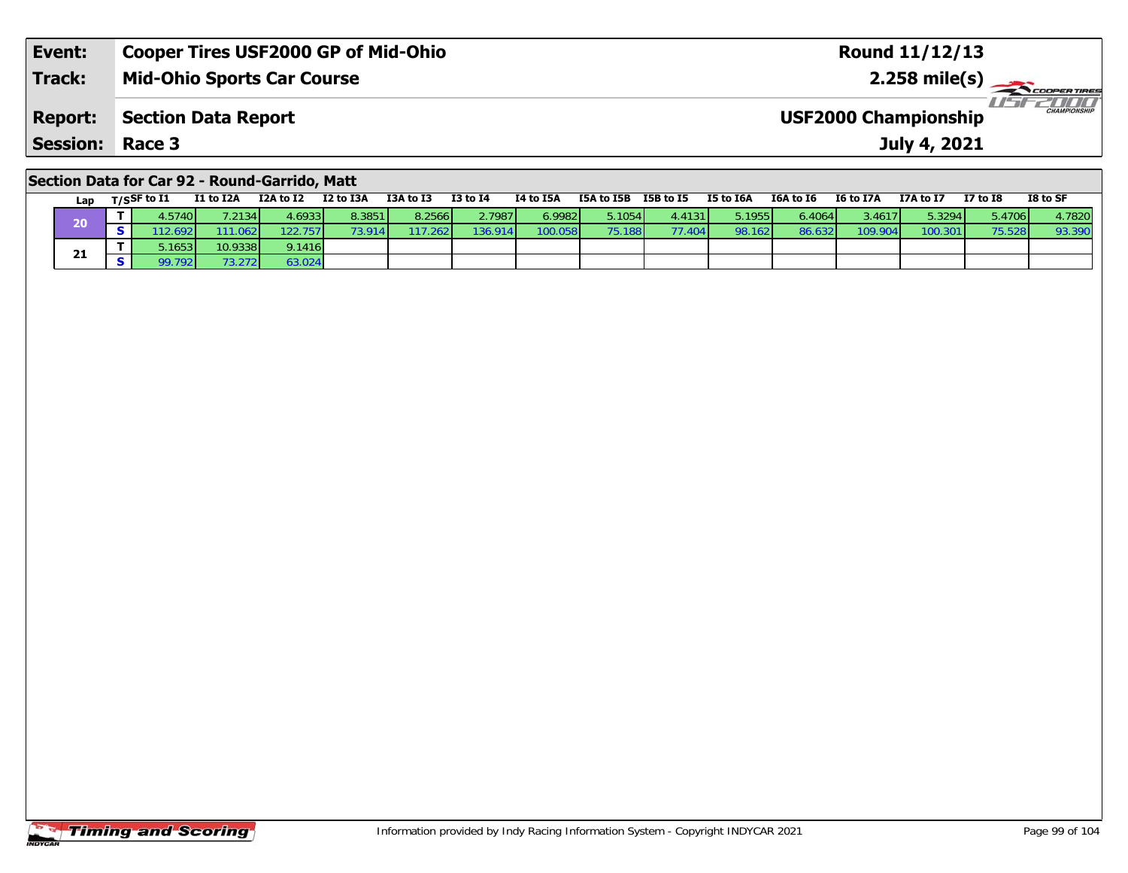| Event:                 | <b>Cooper Tires USF2000 GP of Mid-Ohio</b> | <b>Round 11/12/13</b>                              |
|------------------------|--------------------------------------------|----------------------------------------------------|
| <b>Track:</b>          | <b>Mid-Ohio Sports Car Course</b>          | $2.258 \text{ mile(s)}$                            |
| <b>Report:</b>         | Section Data Report                        | <b>CHAMPIONSHIP</b><br><b>USF2000 Championship</b> |
| <b>Session: Race 3</b> |                                            | July 4, 2021                                       |

### **Section Data for Car 92 - Round-Garrido, Matt**

| Lap | T/SSF to I1 | I1 to I2A | I2A to I2        | I2 to I3A | I3A to I3 | <b>I3 to I4</b> | I4 to I5A | I5A to I5B | I5B to I5 | I5 to I6A | I6A to I6 | <b>I6 to I7A</b> | I7A to I7 | <b>I7 to I8</b> | I8 to SF |
|-----|-------------|-----------|------------------|-----------|-----------|-----------------|-----------|------------|-----------|-----------|-----------|------------------|-----------|-----------------|----------|
| 20  | .5740       | 1.2134    | 4.69331          | 8.3851    | 8.2566    | 2.7987          | 6.9982 L  | 5.1054 l   | 4.4131    | 5.1955    | 6.4064    | 3.4617           | 5.3294    | 5.4706          | 4.7820   |
|     | 2.692       | 111.062   | 122.757 <b>1</b> | 3 914 I   | .2621     | 136.914         | 100.058   | 75.188 l   | 77.404    | 98.162    | 86.632    | 109.904          | 100.301   |                 | 93.390   |
|     | .1653       | 10.9338   | 9.1416           |           |           |                 |           |            |           |           |           |                  |           |                 |          |
| 21  | .7921       | 3.272     | 63.024           |           |           |                 |           |            |           |           |           |                  |           |                 |          |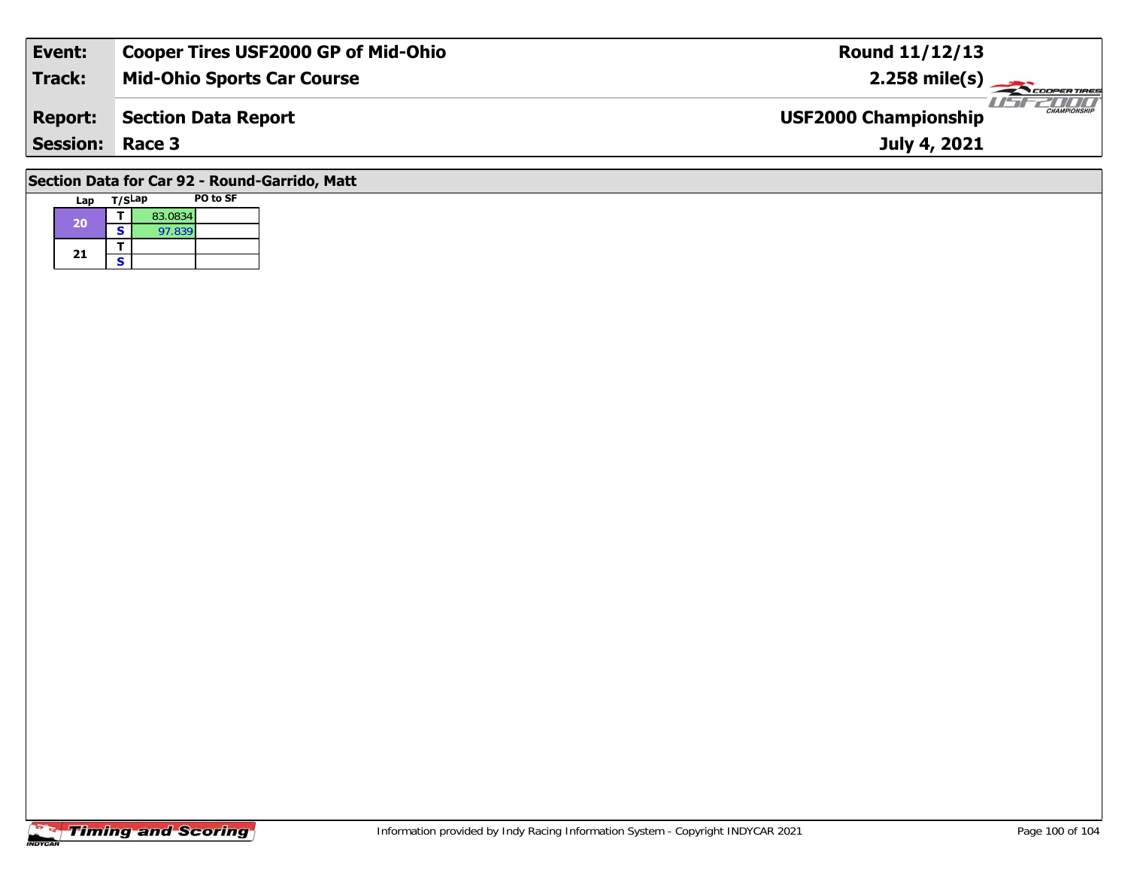| Event:                 | <b>Cooper Tires USF2000 GP of Mid-Ohio</b> | <b>Round 11/12/13</b>                              |
|------------------------|--------------------------------------------|----------------------------------------------------|
| Track:                 | <b>Mid-Ohio Sports Car Course</b>          | $2.258 \text{ mile(s)}$                            |
| <b>Report:</b>         | <b>Section Data Report</b>                 | <b>CHAMPIONSHIP</b><br><b>USF2000 Championship</b> |
| <b>Session: Race 3</b> |                                            | July 4, 2021                                       |
|                        |                                            |                                                    |

#### **Lap T/SLap PO to SF Section Data for Car 92 - Round-Garrido, Matt**

|  | Lap | 173-4P |         | . |
|--|-----|--------|---------|---|
|  |     |        | 83.0834 |   |
|  |     | S      | 97.839  |   |
|  |     |        |         |   |
|  | 21  | S      |         |   |

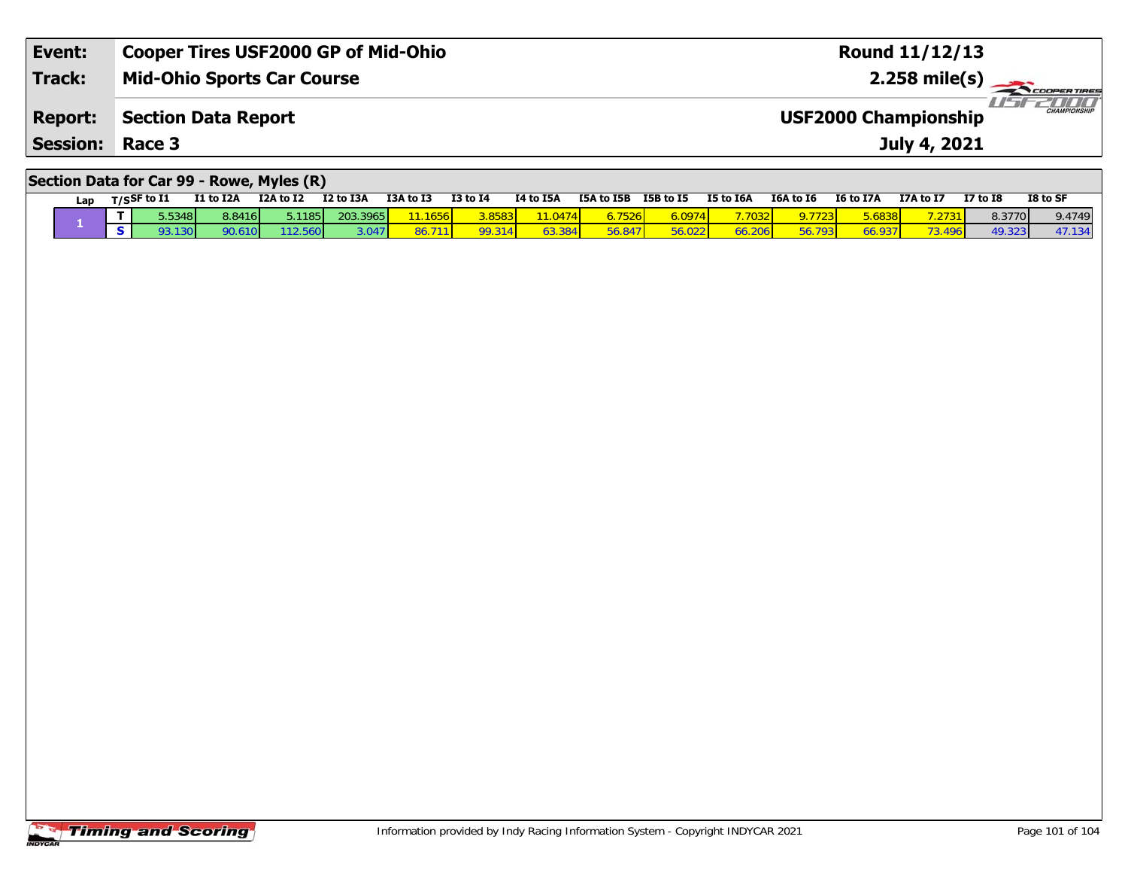| Event:          | Cooper Tires USF2000 GP of Mid-Ohio | <b>Round 11/12/13</b>                              |
|-----------------|-------------------------------------|----------------------------------------------------|
| <b>Track:</b>   | <b>Mid-Ohio Sports Car Course</b>   | $2.258 \text{ mile(s)}$                            |
| <b>Report:</b>  | Section Data Report                 | <b>CHAMPIONSHIP</b><br><b>USF2000 Championship</b> |
| <b>Session:</b> | Race 3                              | July 4, 2021                                       |
|                 |                                     |                                                    |

#### **Section Data for Car 99 - Rowe, Myles (R)**

|  | Lap | $T/S$ SF to I1 | I1 to I2A | I2A to I2 | I2 to I3A | I3A to I3 | $I3$ to $I4$ | <b>14 to 15A</b> | I5A to I5B | I5B to I5 | <b>I5 to I6A</b> | I6A to I6 | <b>I6 to I7A</b> | <b>I7A to I7</b> | <b>I7 to I8</b> | I8 to SF |
|--|-----|----------------|-----------|-----------|-----------|-----------|--------------|------------------|------------|-----------|------------------|-----------|------------------|------------------|-----------------|----------|
|  |     | 5.5348         | 8.8416    | 5.1185    | 203.3965  |           |              |                  |            | 3.0974    |                  |           |                  | .2731            | 8.3770          | 9.4749   |
|  |     | 30 I           |           |           |           |           |              |                  |            |           |                  |           |                  | AOA              | <b>40 323</b>   | 47.134   |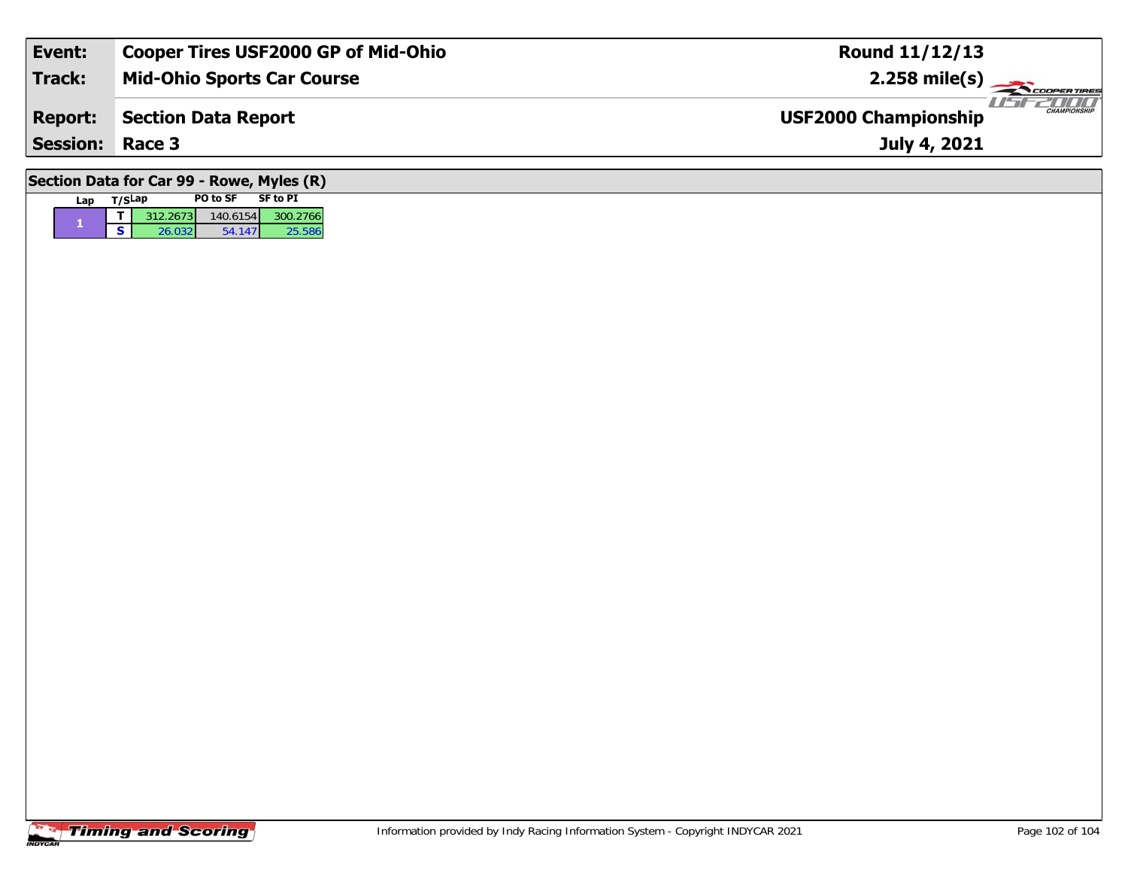| Event:                 | <b>Cooper Tires USF2000 GP of Mid-Ohio</b> | <b>Round 11/12/13</b>                              |
|------------------------|--------------------------------------------|----------------------------------------------------|
| Track:                 | <b>Mid-Ohio Sports Car Course</b>          | $2.258 \text{ mile(s)}$                            |
| <b>Report:</b>         | <b>Section Data Report</b>                 | <b>CHAMPIONSHIP</b><br><b>USF2000 Championship</b> |
| <b>Session: Race 3</b> |                                            | July 4, 2021                                       |
|                        |                                            |                                                    |

# **Section Data for Car 99 - Rowe, Myles (R)**

| Lan | T/SLap |          | <b>PO to SF</b><br>SF to PI |          |  |  |  |
|-----|--------|----------|-----------------------------|----------|--|--|--|
|     |        | 312.2673 | 140.6154                    | 300.2766 |  |  |  |
|     | с      | 26.032   | 54.147                      | 25.586   |  |  |  |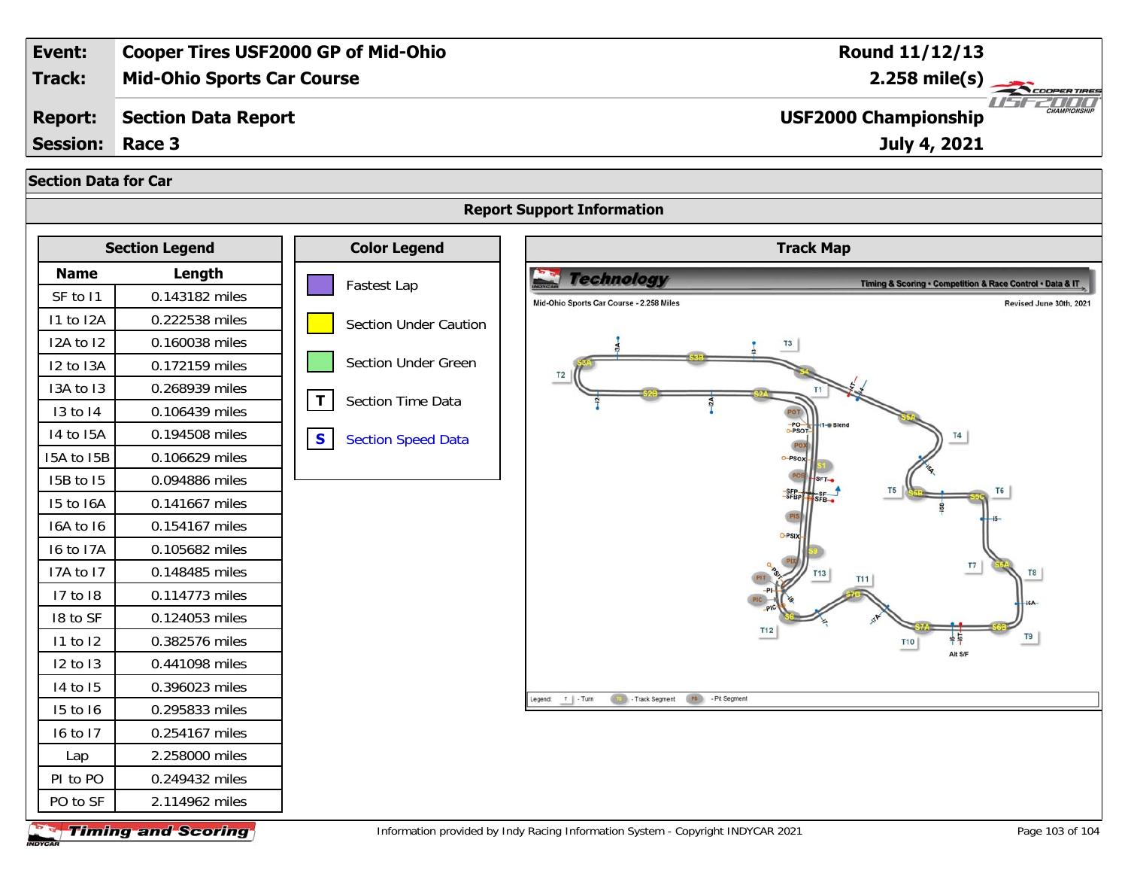

**Timing and Scoring** 

Information provided by Indy Racing Information System - Copyright INDYCAR 2021 Page 103 of 104